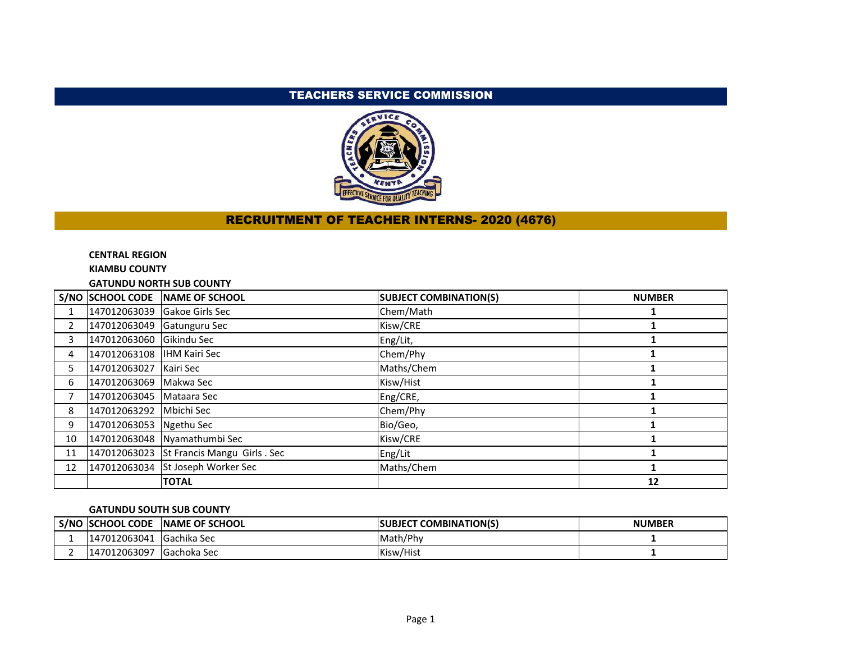# TEACHERS SERVICE COMMISSION



# RECRUITMENT OF TEACHER INTERNS- 2020 (4676)

## **CENTRAL REGION**

**KIAMBU COUNTY**

**GATUNDU NORTH SUB COUNTY**

|                |                              | S/NO SCHOOL CODE NAME OF SCHOOL          | <b>SUBJECT COMBINATION(S)</b> | <b>NUMBER</b> |
|----------------|------------------------------|------------------------------------------|-------------------------------|---------------|
|                | 147012063039 Gakoe Girls Sec |                                          | Chem/Math                     |               |
| $\overline{2}$ | 147012063049 Gatunguru Sec   |                                          | Kisw/CRE                      |               |
| 3              | 147012063060 Gikindu Sec     |                                          | Eng/Lit,                      |               |
| 4              | 147012063108 HHM Kairi Sec   |                                          | Chem/Phy                      |               |
| 5.             | 147012063027   Kairi Sec     |                                          | Maths/Chem                    |               |
| 6              | 147012063069 Makwa Sec       |                                          | Kisw/Hist                     |               |
| 7              | 147012063045   Mataara Sec   |                                          | Eng/CRE,                      |               |
| 8              | 147012063292 Mbichi Sec      |                                          | Chem/Phy                      |               |
| 9              | 147012063053 Ngethu Sec      |                                          | Bio/Geo,                      |               |
| 10             |                              | 147012063048 Nyamathumbi Sec             | Kisw/CRE                      |               |
| 11             |                              | 147012063023 St Francis Mangu Girls. Sec | Eng/Lit                       |               |
| 12             |                              | 147012063034 St Joseph Worker Sec        | Maths/Chem                    |               |
|                |                              | <b>TOTAL</b>                             |                               | 12            |

## **GATUNDU SOUTH SUB COUNTY**

| S/NC | <b>ISCHOOL CODE</b> | <b>INAME OF SCHOOL</b> | <b>COMBINATION(S)</b><br><b>ISUBJECT</b> | <b>NUMBER</b> |
|------|---------------------|------------------------|------------------------------------------|---------------|
|      | 147012063041        | <b>Sachika Sec</b>     | Math/Phy                                 |               |
|      | 12063097<br>1701″،  | <b>I</b> Gachoka Sec   | Kisw/Hist                                |               |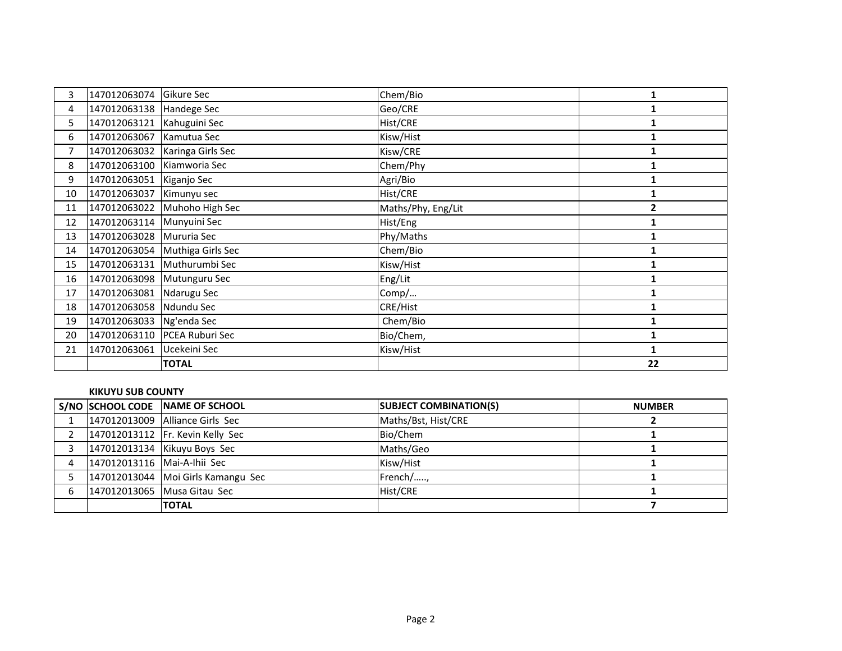| 3  | 147012063074               | Gikure Sec                     | Chem/Bio           | 1              |
|----|----------------------------|--------------------------------|--------------------|----------------|
| 4  | 147012063138 Handege Sec   |                                | Geo/CRE            |                |
| 5. | 147012063121               | Kahuguini Sec                  | Hist/CRE           |                |
| 6  | 147012063067               | Kamutua Sec                    | Kisw/Hist          |                |
| 7  |                            | 147012063032 Karinga Girls Sec | Kisw/CRE           |                |
| 8  | 147012063100 Kiamworia Sec |                                | Chem/Phy           |                |
| 9  | 147012063051 Kiganjo Sec   |                                | Agri/Bio           |                |
| 10 | 147012063037               | Kimunyu sec                    | Hist/CRE           | 1              |
| 11 | 147012063022               | Muhoho High Sec                | Maths/Phy, Eng/Lit | $\overline{2}$ |
| 12 | 147012063114 Munyuini Sec  |                                | Hist/Eng           |                |
| 13 | 147012063028               | Mururia Sec                    | Phy/Maths          |                |
| 14 |                            | 147012063054 Muthiga Girls Sec | Chem/Bio           | 1              |
| 15 |                            | 147012063131 Muthurumbi Sec    | Kisw/Hist          |                |
| 16 | 147012063098 Mutunguru Sec |                                | Eng/Lit            |                |
| 17 | 147012063081               | Ndarugu Sec                    | Comp/              | 1              |
| 18 | 147012063058               | Ndundu Sec                     | CRE/Hist           |                |
| 19 | 147012063033 Ng'enda Sec   |                                | Chem/Bio           |                |
| 20 |                            | 147012063110 PCEA Ruburi Sec   | Bio/Chem,          |                |
| 21 | 147012063061               | Ucekeini Sec                   | Kisw/Hist          | 1              |
|    |                            | <b>TOTAL</b>                   |                    | 22             |

### **KIKUYU SUB COUNTY**

|                             | S/NO SCHOOL CODE NAME OF SCHOOL      | <b>SUBJECT COMBINATION(S)</b> | <b>NUMBER</b> |
|-----------------------------|--------------------------------------|-------------------------------|---------------|
|                             | 147012013009 Alliance Girls Sec      | Maths/Bst, Hist/CRE           |               |
|                             | 147012013112 Fr. Kevin Kelly Sec     | Bio/Chem                      |               |
|                             | 147012013134 Kikuyu Boys Sec         | Maths/Geo                     |               |
| 147012013116 Mai-A-Ihii Sec |                                      | Kisw/Hist                     |               |
|                             | 147012013044   Moi Girls Kamangu Sec | French/,                      |               |
|                             | 147012013065 Musa Gitau Sec          | Hist/CRE                      |               |
|                             | <b>TOTAL</b>                         |                               |               |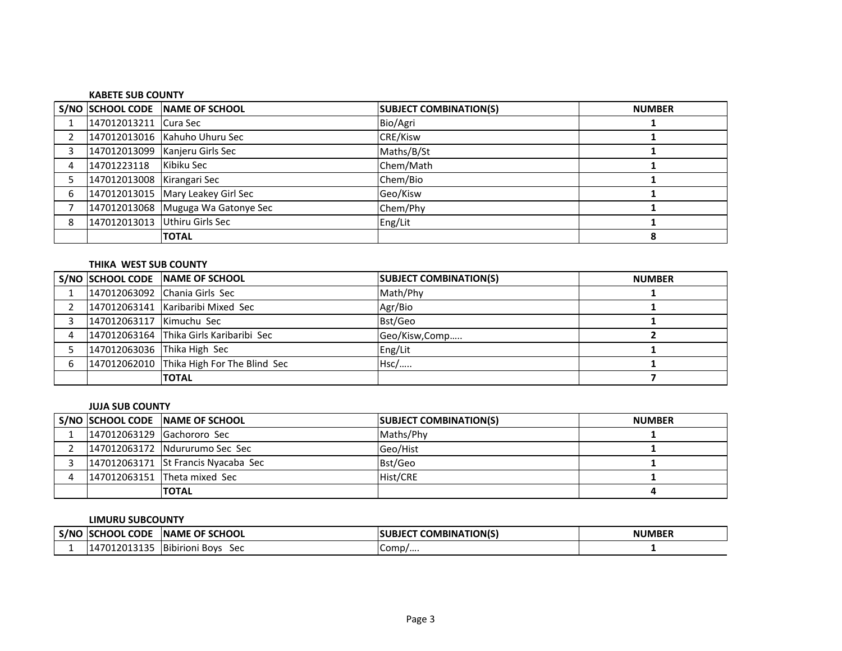#### **KABETE SUB COUNTY**

|   |                            | S/NO SCHOOL CODE NAME OF SCHOOL    | <b>SUBJECT COMBINATION(S)</b> | <b>NUMBER</b> |
|---|----------------------------|------------------------------------|-------------------------------|---------------|
|   | 147012013211 Cura Sec      |                                    | Bio/Agri                      |               |
|   |                            | 147012013016 Kahuho Uhuru Sec      | CRE/Kisw                      |               |
| 3 |                            | 147012013099   Kanjeru Girls Sec   | Maths/B/St                    |               |
| 4 | 14701223118                | Kibiku Sec                         | Chem/Math                     |               |
|   | 147012013008 Kirangari Sec |                                    | Chem/Bio                      |               |
| 6 |                            | 147012013015 Mary Leakey Girl Sec  | Geo/Kisw                      |               |
|   |                            | 147012013068 Muguga Wa Gatonye Sec | Chem/Phy                      |               |
| 8 |                            | 147012013013 Uthiru Girls Sec      | Eng/Lit                       |               |
|   |                            | <b>TOTAL</b>                       |                               |               |

# **THIKA WEST SUB COUNTY**

|                             | S/NO SCHOOL CODE NAME OF SCHOOL           | <b>SUBJECT COMBINATION(S)</b> | <b>NUMBER</b> |
|-----------------------------|-------------------------------------------|-------------------------------|---------------|
|                             | 147012063092 Chania Girls Sec             | Math/Phy                      |               |
|                             | 147012063141 Karibaribi Mixed Sec         | Agr/Bio                       |               |
| 147012063117 Kimuchu Sec    |                                           | Bst/Geo                       |               |
|                             | 147012063164 Thika Girls Karibaribi Sec   | Geo/Kisw,Comp                 |               |
| 147012063036 Thika High Sec |                                           | Eng/Lit                       |               |
|                             | 147012062010 Thika High For The Blind Sec | $Hsc/$                        |               |
|                             | <b>TOTAL</b>                              |                               |               |

#### **JUJA SUB COUNTY**

|                            | S/NO SCHOOL CODE NAME OF SCHOOL     | <b>SUBJECT COMBINATION(S)</b> | <b>NUMBER</b> |
|----------------------------|-------------------------------------|-------------------------------|---------------|
| 147012063129 Gachororo Sec |                                     | Maths/Phy                     |               |
|                            | 147012063172 Ndururumo Sec Sec      | Geo/Hist                      |               |
|                            | 147012063171 St Francis Nyacaba Sec | Bst/Geo                       |               |
|                            | 147012063151 Theta mixed Sec        | Hist/CRE                      |               |
|                            | <b>TOTAL</b>                        |                               |               |

#### **LIMURU SUBCOUNTY**

| . S/NC | CHOOL CODE<br>150 | <b>OF SCHOOL</b><br><b>INAME</b>  | <b>COMBINATION(S)</b><br><b>ISUBJECT</b> | <b>NUMBER</b> |
|--------|-------------------|-----------------------------------|------------------------------------------|---------------|
|        | 012013135<br>70۰  | <b>Bibirioni</b><br>Sec<br>i Bovs | Comp/                                    |               |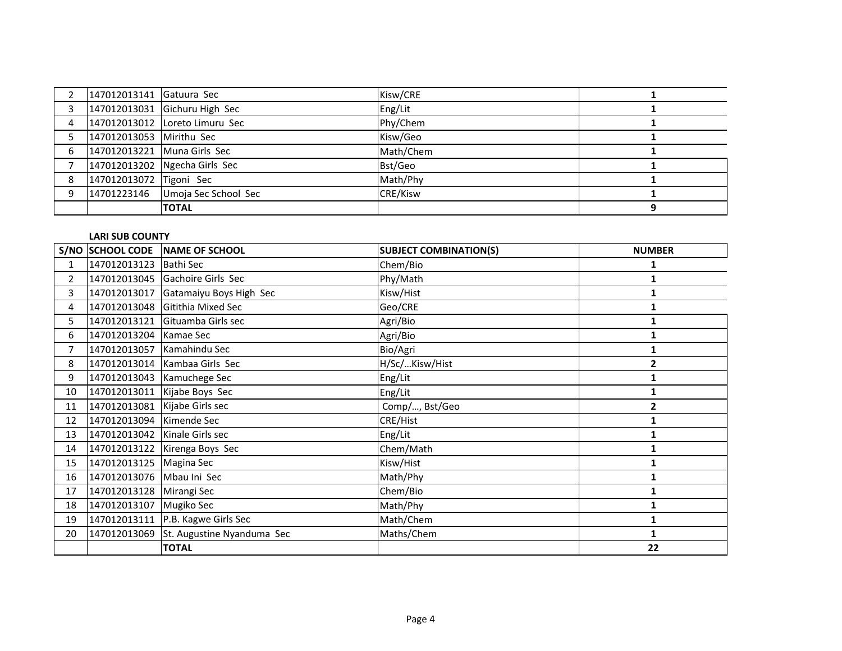|   | 147012013141 Gatuura Sec |                                | Kisw/CRE        |  |
|---|--------------------------|--------------------------------|-----------------|--|
|   |                          | 147012013031 Gichuru High Sec  | Eng/Lit         |  |
| 4 |                          | 147012013012 Loreto Limuru Sec | Phy/Chem        |  |
|   | 147012013053 Mirithu Sec |                                | Kisw/Geo        |  |
| 6 |                          | 147012013221 Muna Girls Sec    | Math/Chem       |  |
|   |                          | 147012013202 Ngecha Girls Sec  | Bst/Geo         |  |
| 8 | 147012013072 Tigoni Sec  |                                | Math/Phy        |  |
| q | 14701223146              | Umoja Sec School Sec           | <b>CRE/Kisw</b> |  |
|   |                          | <b>TOTAL</b>                   |                 |  |

## **LARI SUB COUNTY**

|                |                               | S/NO SCHOOL CODE NAME OF SCHOOL         | <b>SUBJECT COMBINATION(S)</b> | <b>NUMBER</b>  |
|----------------|-------------------------------|-----------------------------------------|-------------------------------|----------------|
| $\mathbf 1$    | 147012013123   Bathi Sec      |                                         | Chem/Bio                      |                |
| $\overline{2}$ |                               | 147012013045 Gachoire Girls Sec         | Phy/Math                      | 1              |
| 3              |                               | 147012013017 Gatamaiyu Boys High Sec    | Kisw/Hist                     |                |
| 4              |                               | 147012013048 Gitithia Mixed Sec         | Geo/CRE                       |                |
| 5.             |                               | 147012013121 Gituamba Girls sec         | Agri/Bio                      |                |
| 6              | 147012013204 Kamae Sec        |                                         | Agri/Bio                      |                |
| $\overline{7}$ | 147012013057 Kamahindu Sec    |                                         | Bio/Agri                      |                |
| 8              |                               | 147012013014 Kambaa Girls Sec           | H/Sc/Kisw/Hist                | $\overline{2}$ |
| 9              |                               | 147012013043 Kamuchege Sec              | Eng/Lit                       | 1              |
| 10             |                               | 147012013011 Kijabe Boys Sec            | Eng/Lit                       | 1              |
| 11             | 147012013081 Kijabe Girls sec |                                         | Comp/, Bst/Geo                | $\overline{2}$ |
| 12             | 147012013094 Kimende Sec      |                                         | CRE/Hist                      | 1              |
| 13             | 147012013042 Kinale Girls sec |                                         | Eng/Lit                       | 1              |
| 14             |                               | 147012013122 Kirenga Boys Sec           | Chem/Math                     |                |
| 15             | 147012013125 Magina Sec       |                                         | Kisw/Hist                     |                |
| 16             | 147012013076 Mbau Ini Sec     |                                         | Math/Phy                      | 1              |
| 17             | 147012013128 Mirangi Sec      |                                         | Chem/Bio                      | 1              |
| 18             | 147012013107 Mugiko Sec       |                                         | Math/Phy                      | 1              |
| 19             |                               | 147012013111   P.B. Kagwe Girls Sec     | Math/Chem                     | 1              |
| 20             |                               | 147012013069 St. Augustine Nyanduma Sec | Maths/Chem                    | 1              |
|                |                               | <b>TOTAL</b>                            |                               | 22             |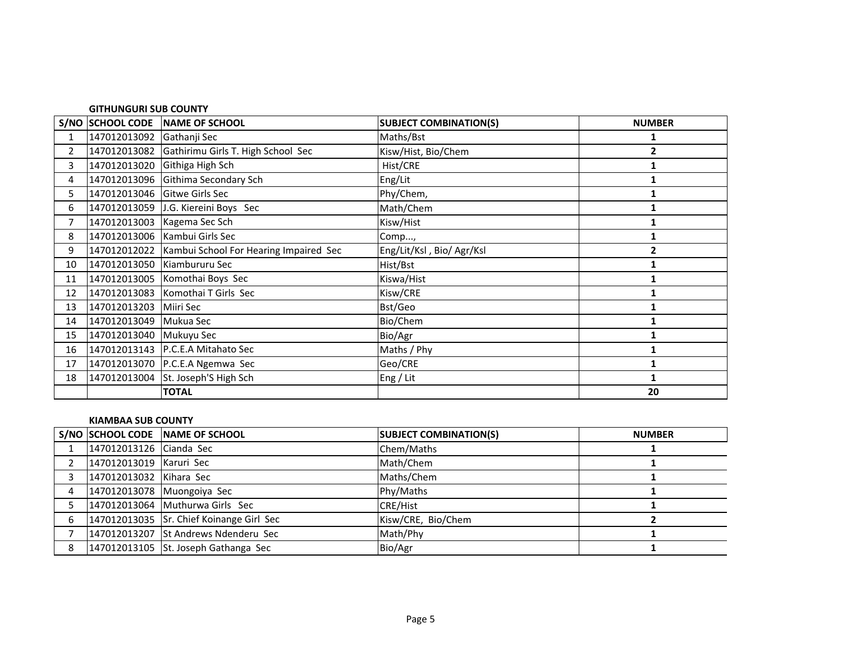|                | <b>GITHUNGURI SUB COUNTY</b> |                                                     |                               |               |  |
|----------------|------------------------------|-----------------------------------------------------|-------------------------------|---------------|--|
|                |                              | S/NO SCHOOL CODE NAME OF SCHOOL                     | <b>SUBJECT COMBINATION(S)</b> | <b>NUMBER</b> |  |
| $\mathbf{1}$   | 147012013092 Gathanji Sec    |                                                     | Maths/Bst                     | 1             |  |
| $\overline{2}$ |                              | 147012013082 Gathirimu Girls T. High School Sec     | Kisw/Hist, Bio/Chem           | $\mathbf{2}$  |  |
| 3              | 147012013020                 | Githiga High Sch                                    | Hist/CRE                      |               |  |
| 4              |                              | 147012013096 Githima Secondary Sch                  | Eng/Lit                       |               |  |
| 5              | 147012013046 Gitwe Girls Sec |                                                     | Phy/Chem,                     |               |  |
| 6              |                              | 147012013059 J.G. Kiereini Boys Sec                 | Math/Chem                     |               |  |
| $\overline{7}$ | 147012013003                 | Kagema Sec Sch                                      | Kisw/Hist                     | 1             |  |
| 8              |                              | 147012013006   Kambui Girls Sec                     | Comp,                         | 1             |  |
| 9              |                              | 147012012022 Kambui School For Hearing Impaired Sec | Eng/Lit/Ksl, Bio/ Agr/Ksl     | 2             |  |
| 10             |                              | 147012013050 Kiambururu Sec                         | Hist/Bst                      |               |  |
| 11             |                              | 147012013005 Komothai Boys Sec                      | Kiswa/Hist                    | 1             |  |
| 12             |                              | 147012013083 Komothai T Girls Sec                   | Kisw/CRE                      |               |  |
| 13             | 147012013203                 | Miiri Sec                                           | Bst/Geo                       |               |  |
| 14             | 147012013049 Mukua Sec       |                                                     | Bio/Chem                      |               |  |
| 15             | 147012013040 Mukuyu Sec      |                                                     | Bio/Agr                       |               |  |
| 16             |                              | 147012013143 P.C.E.A Mitahato Sec                   | Maths / Phy                   | 1             |  |
| 17             |                              | 147012013070 P.C.E.A Ngemwa Sec                     | Geo/CRE                       |               |  |
| 18             |                              | 147012013004 St. Joseph'S High Sch                  | Eng / Lit                     |               |  |
|                |                              | <b>TOTAL</b>                                        |                               | 20            |  |

## **KIAMBAA SUB COUNTY**

|   |                         | S/NO SCHOOL CODE NAME OF SCHOOL          | <b>SUBJECT COMBINATION(S)</b> | <b>NUMBER</b> |
|---|-------------------------|------------------------------------------|-------------------------------|---------------|
|   | 147012013126 Cianda Sec |                                          | Chem/Maths                    |               |
|   | 147012013019 Karuri Sec |                                          | Math/Chem                     |               |
|   | 147012013032 Kihara Sec |                                          | Maths/Chem                    |               |
| 4 |                         | 147012013078 Muongoiya Sec               | Phy/Maths                     |               |
|   |                         | 147012013064 Muthurwa Girls Sec          | <b>CRE/Hist</b>               |               |
| 6 |                         | 147012013035 Sr. Chief Koinange Girl Sec | Kisw/CRE, Bio/Chem            |               |
|   |                         | 147012013207 St Andrews Ndenderu Sec     | Math/Phy                      |               |
| 8 |                         | 147012013105 St. Joseph Gathanga Sec     | Bio/Agr                       |               |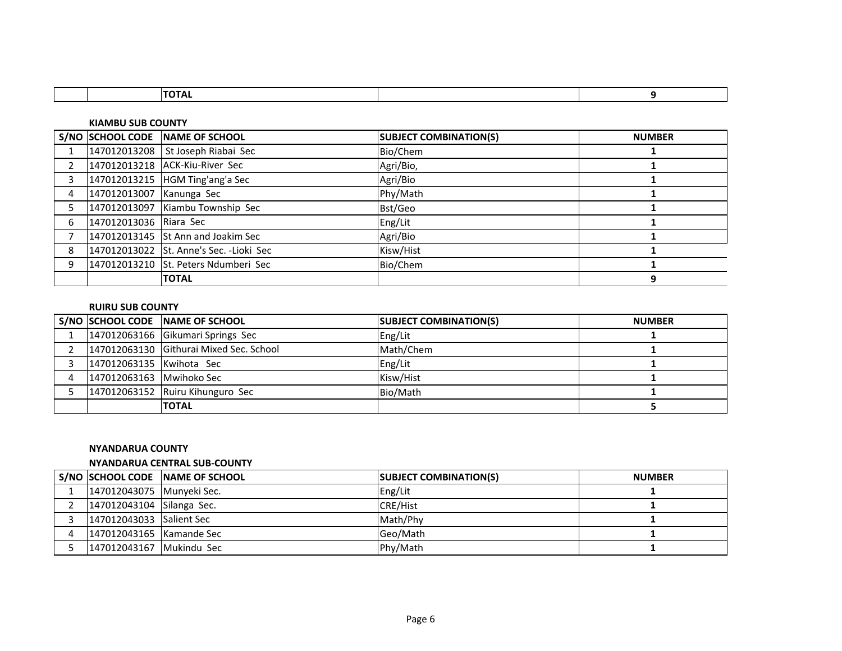| וחדרו<br>'''                       |  |
|------------------------------------|--|
|                                    |  |
| VIAMR.<br><b>I INT\</b><br>10<br>. |  |

|                |                          | S/NO SCHOOL CODE NAME OF SCHOOL          | <b>SUBJECT COMBINATION(S)</b> | <b>NUMBER</b> |
|----------------|--------------------------|------------------------------------------|-------------------------------|---------------|
|                |                          | 147012013208 St Joseph Riabai Sec        | Bio/Chem                      |               |
| $\overline{2}$ |                          | 147012013218 ACK-Kiu-River Sec           | Agri/Bio,                     |               |
| 3              |                          | 147012013215   HGM Ting'ang'a Sec        | Agri/Bio                      |               |
| 4              | 147012013007 Kanunga Sec |                                          | Phy/Math                      |               |
|                |                          | 147012013097 Kiambu Township Sec         | Bst/Geo                       |               |
| 6              | 147012013036 Riara Sec   |                                          | Eng/Lit                       |               |
|                |                          | 147012013145 St Ann and Joakim Sec       | Agri/Bio                      |               |
| 8              |                          | 147012013022 St. Anne's Sec. - Lioki Sec | Kisw/Hist                     |               |
| 9              |                          | 147012013210 St. Peters Ndumberi Sec     | Bio/Chem                      |               |
|                |                          | <b>TOTAL</b>                             |                               | 9             |

## **RUIRU SUB COUNTY**

|                          | S/NO SCHOOL CODE NAME OF SCHOOL         | <b>SUBJECT COMBINATION(S)</b> | <b>NUMBER</b> |
|--------------------------|-----------------------------------------|-------------------------------|---------------|
|                          | 147012063166 Gikumari Springs Sec       | Eng/Lit                       |               |
|                          | 147012063130 Githurai Mixed Sec. School | Math/Chem                     |               |
| 147012063135 Kwihota Sec |                                         | Eng/Lit                       |               |
| 147012063163 Mwihoko Sec |                                         | Kisw/Hist                     |               |
|                          | 147012063152 Ruiru Kihunguro Sec        | Bio/Math                      |               |
|                          | <b>TOTAL</b>                            |                               |               |

#### **NYANDARUA COUNTY**

#### **NYANDARUA CENTRAL SUB-COUNTY**

|                             | S/NO SCHOOL CODE NAME OF SCHOOL | <b>SUBJECT COMBINATION(S)</b> | <b>NUMBER</b> |
|-----------------------------|---------------------------------|-------------------------------|---------------|
| 147012043075   Munyeki Sec. |                                 | Eng/Lit                       |               |
| 147012043104 Silanga Sec.   |                                 | CRE/Hist                      |               |
| 147012043033 Salient Sec    |                                 | Math/Phy                      |               |
| 147012043165 Kamande Sec    |                                 | Geo/Math                      |               |
| 147012043167 Mukindu Sec    |                                 | Phy/Math                      |               |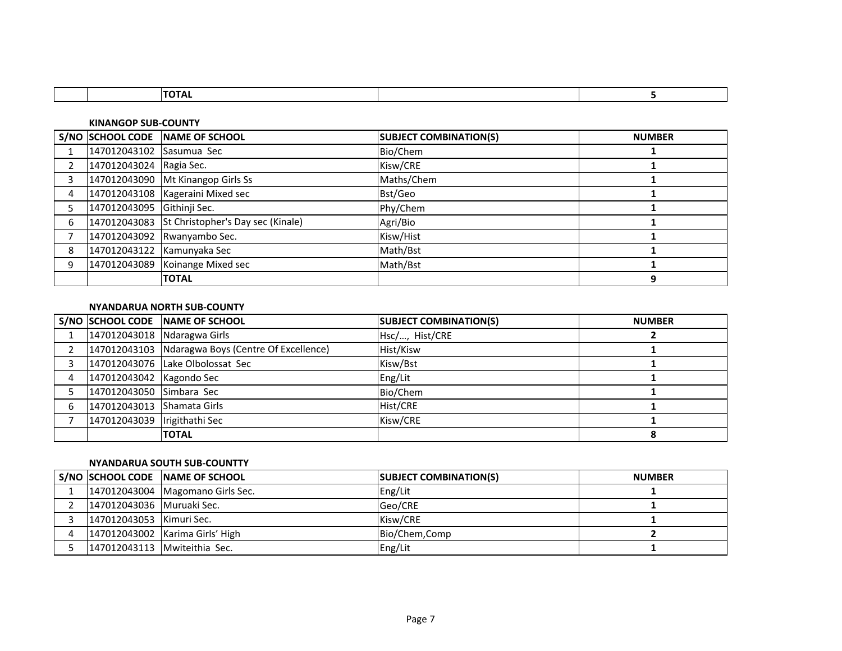**KINANGOP SUB-COUNTY**

|   |                            | S/NO SCHOOL CODE NAME OF SCHOOL                | <b>SUBJECT COMBINATION(S)</b> | <b>NUMBER</b> |
|---|----------------------------|------------------------------------------------|-------------------------------|---------------|
|   | 147012043102 Sasumua Sec   |                                                | Bio/Chem                      |               |
|   | 147012043024 Ragia Sec.    |                                                | Kisw/CRE                      |               |
|   |                            | 147012043090 Mt Kinangop Girls Ss              | Maths/Chem                    |               |
| 4 |                            | 147012043108 Kageraini Mixed sec               | Bst/Geo                       |               |
|   | 147012043095 Githinji Sec. |                                                | Phy/Chem                      |               |
| 6 |                            | 147012043083 St Christopher's Day sec (Kinale) | Agri/Bio                      |               |
|   |                            | 147012043092 Rwanyambo Sec.                    | Kisw/Hist                     |               |
| 8 |                            | 147012043122 Kamunyaka Sec                     | Math/Bst                      |               |
|   |                            | 147012043089 Koinange Mixed sec                | Math/Bst                      |               |
|   |                            | <b>TOTAL</b>                                   |                               | q             |

## **NYANDARUA NORTH SUB-COUNTY**

|                              | S/NO SCHOOL CODE NAME OF SCHOOL                   | <b>SUBJECT COMBINATION(S)</b> | <b>NUMBER</b> |
|------------------------------|---------------------------------------------------|-------------------------------|---------------|
| 147012043018 Ndaragwa Girls  |                                                   | Hsc/, Hist/CRE                |               |
|                              | 147012043103 Ndaragwa Boys (Centre Of Excellence) | Hist/Kisw                     |               |
|                              | 147012043076 Lake Olbolossat Sec                  | Kisw/Bst                      |               |
| 147012043042 Kagondo Sec     |                                                   | Eng/Lit                       |               |
| 147012043050 Simbara Sec     |                                                   | Bio/Chem                      |               |
| 147012043013 Shamata Girls   |                                                   | Hist/CRE                      |               |
| 147012043039 Irigithathi Sec |                                                   | Kisw/CRE                      |               |
|                              | <b>TOTAL</b>                                      |                               |               |

# **NYANDARUA SOUTH SUB-COUNTTY**

|                           | S/NO SCHOOL CODE NAME OF SCHOOL    | <b>SUBJECT COMBINATION(S)</b> | <b>NUMBER</b> |
|---------------------------|------------------------------------|-------------------------------|---------------|
|                           | 147012043004   Magomano Girls Sec. | Eng/Lit                       |               |
| 147012043036 Muruaki Sec. |                                    | Geo/CRE                       |               |
| 147012043053 Kimuri Sec.  |                                    | Kisw/CRE                      |               |
|                           | 147012043002 Karima Girls' High    | Bio/Chem, Comp                |               |
|                           | 147012043113 Mwiteithia Sec.       | Eng/Lit                       |               |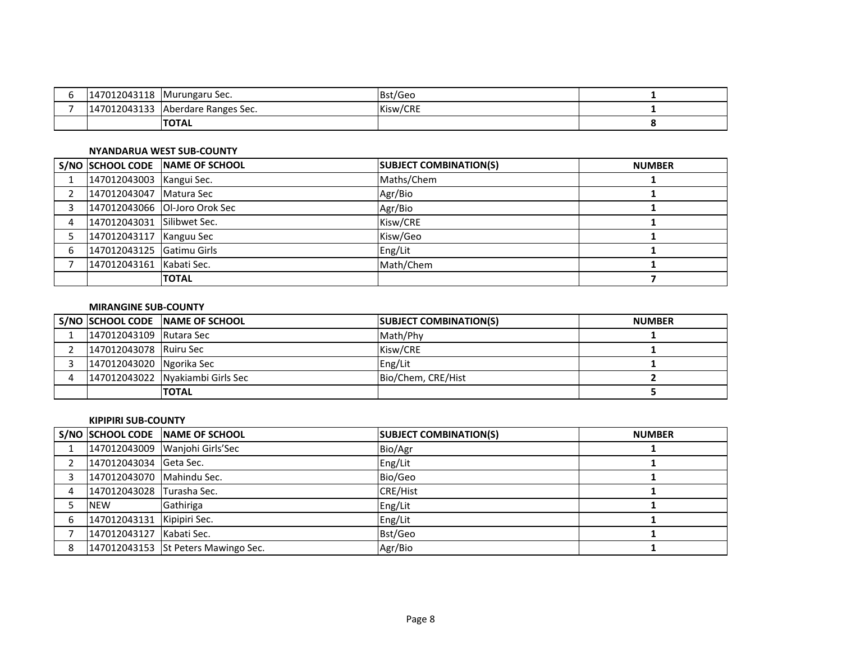| 147012043118 | Murungaru Sec.       | Bst/Geo  |  |
|--------------|----------------------|----------|--|
| 147012043133 | Aberdare Ranges Sec. | Kisw/CRE |  |
|              | <b>TOTAL</b>         |          |  |

## **NYANDARUA WEST SUB-COUNTY**

|   |                            | S/NO SCHOOL CODE NAME OF SCHOOL | <b>SUBJECT COMBINATION(S)</b> | <b>NUMBER</b> |
|---|----------------------------|---------------------------------|-------------------------------|---------------|
|   | 147012043003 Kangui Sec.   |                                 | Maths/Chem                    |               |
|   | 147012043047   Matura Sec  |                                 | Agr/Bio                       |               |
|   |                            | 147012043066 Ol-Joro Orok Sec   | Agr/Bio                       |               |
| 4 | 147012043031 Silibwet Sec. |                                 | Kisw/CRE                      |               |
|   | 147012043117 Kanguu Sec    |                                 | Kisw/Geo                      |               |
| 6 | 147012043125 Gatimu Girls  |                                 | Eng/Lit                       |               |
|   | 147012043161 Kabati Sec.   |                                 | Math/Chem                     |               |
|   |                            | <b>TOTAL</b>                    |                               |               |

### **MIRANGINE SUB-COUNTY**

|                          | S/NO SCHOOL CODE NAME OF SCHOOL  | <b>SUBJECT COMBINATION(S)</b> | <b>NUMBER</b> |
|--------------------------|----------------------------------|-------------------------------|---------------|
| 147012043109 Rutara Sec  |                                  | Math/Phy                      |               |
| 147012043078 Ruiru Sec   |                                  | Kisw/CRE                      |               |
| 147012043020 Ngorika Sec |                                  | Eng/Lit                       |               |
|                          | 147012043022 Nyakiambi Girls Sec | Bio/Chem, CRE/Hist            |               |
|                          | <b>TOTAL</b>                     |                               |               |

#### **KIPIPIRI SUB-COUNTY**

|   |                            | S/NO SCHOOL CODE NAME OF SCHOOL     | <b>SUBJECT COMBINATION(S)</b> | <b>NUMBER</b> |
|---|----------------------------|-------------------------------------|-------------------------------|---------------|
|   |                            | 147012043009 Wanjohi Girls'Sec      | Bio/Agr                       |               |
|   | 147012043034 Geta Sec.     |                                     | Eng/Lit                       |               |
|   | 147012043070 Mahindu Sec.  |                                     | Bio/Geo                       |               |
|   | 147012043028 Turasha Sec.  |                                     | <b>CRE/Hist</b>               |               |
|   | <b>NEW</b>                 | Gathiriga                           | Eng/Lit                       |               |
| 6 | 147012043131 Kipipiri Sec. |                                     | Eng/Lit                       |               |
|   | 147012043127 Kabati Sec.   |                                     | Bst/Geo                       |               |
| 8 |                            | 147012043153 St Peters Mawingo Sec. | Agr/Bio                       |               |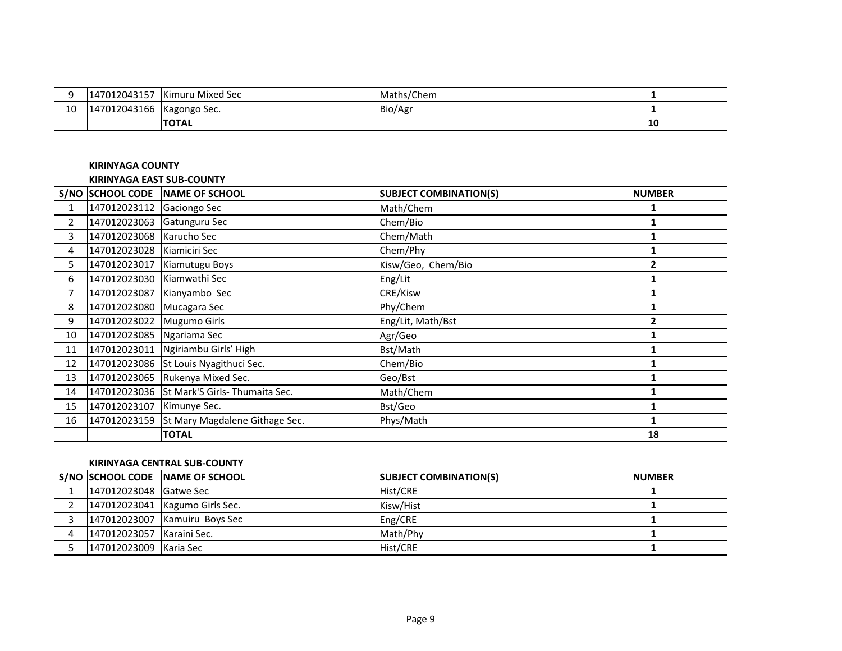|          | 147012043157 | Kimuru Mixed Sec | Maths/Chem |    |
|----------|--------------|------------------|------------|----|
| 10<br>⊥∪ | 147012043166 | Kagongo Sec.     | Bio/Agr    |    |
|          |              | <b>TOTAL</b>     |            | щu |

# **KIRINYAGA COUNTY**

#### **KIRINYAGA EAST SUB-COUNTY**

|                | <b>S/NO SCHOOL CODE</b>   | NAME OF SCHOOL                              | <b>SUBJECT COMBINATION(S)</b> | <b>NUMBER</b> |
|----------------|---------------------------|---------------------------------------------|-------------------------------|---------------|
| $\mathbf{1}$   | 147012023112 Gaciongo Sec |                                             | Math/Chem                     |               |
| $\overline{2}$ | 147012023063              | Gatunguru Sec                               | Chem/Bio                      |               |
| 3              | 147012023068              | Karucho Sec                                 | Chem/Math                     |               |
| 4              | 147012023028              | Kiamiciri Sec                               | Chem/Phy                      |               |
| 5.             | 147012023017              | Kiamutugu Boys                              | Kisw/Geo, Chem/Bio            | 2             |
| 6              | 147012023030              | Kiamwathi Sec                               | Eng/Lit                       |               |
| 7              | 147012023087              | Kianyambo Sec                               | CRE/Kisw                      |               |
| 8              | 147012023080              | Mucagara Sec                                | Phy/Chem                      |               |
| 9              | 147012023022              | Mugumo Girls                                | Eng/Lit, Math/Bst             |               |
| 10             | 147012023085              | Ngariama Sec                                | Agr/Geo                       |               |
| 11             | 147012023011              | Ngiriambu Girls' High                       | Bst/Math                      |               |
| 12             | 147012023086              | St Louis Nyagithuci Sec.                    | Chem/Bio                      |               |
| 13             | 147012023065              | Rukenya Mixed Sec.                          | Geo/Bst                       |               |
| 14             |                           | 147012023036 St Mark'S Girls- Thumaita Sec. | Math/Chem                     |               |
| 15             | 147012023107              | Kimunye Sec.                                | Bst/Geo                       |               |
| 16             | 147012023159              | St Mary Magdalene Githage Sec.              | Phys/Math                     |               |
|                |                           | <b>TOTAL</b>                                |                               | 18            |

# **KIRINYAGA CENTRAL SUB-COUNTY**

|                           | S/NO SCHOOL CODE NAME OF SCHOOL  | <b>SUBJECT COMBINATION(S)</b> | <b>NUMBER</b> |
|---------------------------|----------------------------------|-------------------------------|---------------|
| 147012023048 Gatwe Sec    |                                  | Hist/CRE                      |               |
|                           | 147012023041   Kagumo Girls Sec. | Kisw/Hist                     |               |
|                           | 147012023007 Kamuiru Boys Sec    | Eng/CRE                       |               |
| 147012023057 Karaini Sec. |                                  | Math/Phy                      |               |
| 147012023009 Karia Sec    |                                  | Hist/CRE                      |               |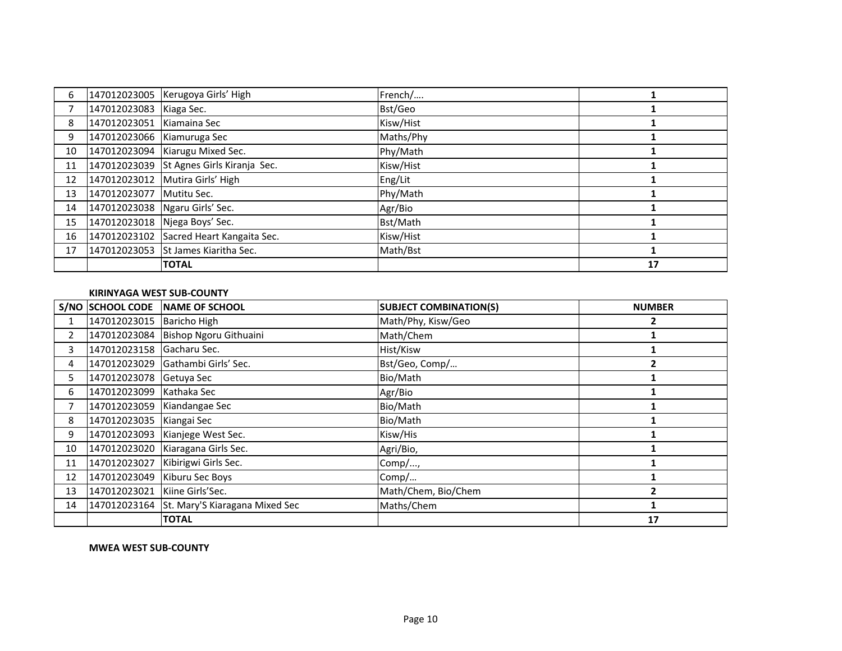| 6  |                            | 147012023005 Kerugoya Girls' High        | French/   |    |
|----|----------------------------|------------------------------------------|-----------|----|
|    | 147012023083   Kiaga Sec.  |                                          | Bst/Geo   |    |
| 8  | 147012023051               | Kiamaina Sec                             | Kisw/Hist |    |
| 9  | 147012023066 Kiamuruga Sec |                                          | Maths/Phy |    |
| 10 |                            | 147012023094 Kiarugu Mixed Sec.          | Phy/Math  |    |
| 11 |                            | 147012023039 St Agnes Girls Kiranja Sec. | Kisw/Hist |    |
| 12 |                            | 147012023012 Mutira Girls' High          | Eng/Lit   |    |
| 13 | 147012023077               | Mutitu Sec.                              | Phy/Math  |    |
| 14 |                            | 147012023038 Ngaru Girls' Sec.           | Agr/Bio   |    |
| 15 |                            | 147012023018 Njega Boys' Sec.            | Bst/Math  |    |
| 16 | 147012023102               | Sacred Heart Kangaita Sec.               | Kisw/Hist |    |
| 17 | 147012023053               | St James Kiaritha Sec.                   | Math/Bst  |    |
|    |                            | <b>TOTAL</b>                             |           | 17 |

## **KIRINYAGA WEST SUB-COUNTY**

|                |                               | S/NO SCHOOL CODE NAME OF SCHOOL             | <b>SUBJECT COMBINATION(S)</b> | <b>NUMBER</b>  |
|----------------|-------------------------------|---------------------------------------------|-------------------------------|----------------|
|                | 147012023015 Baricho High     |                                             | Math/Phy, Kisw/Geo            | $\overline{2}$ |
| $\overline{2}$ |                               | 147012023084 Bishop Ngoru Githuaini         | Math/Chem                     |                |
| 3              | 147012023158 Gacharu Sec.     |                                             | Hist/Kisw                     |                |
| 4              |                               | 147012023029 Gathambi Girls' Sec.           | Bst/Geo, Comp/                | 7              |
| 5.             | 147012023078 Getuya Sec       |                                             | Bio/Math                      |                |
| 6              | 147012023099 Kathaka Sec      |                                             | Agr/Bio                       |                |
| 7              |                               | 147012023059 Kiandangae Sec                 | Bio/Math                      |                |
| 8              | 147012023035 Kiangai Sec      |                                             | Bio/Math                      |                |
| 9              |                               | 147012023093 Kianjege West Sec.             | Kisw/His                      |                |
| 10             |                               | 147012023020 Kiaragana Girls Sec.           | Agri/Bio,                     |                |
| 11             | 147012023027                  | Kibirigwi Girls Sec.                        | Comp/,                        |                |
| 12             | 147012023049                  | Kiburu Sec Boys                             | Comp/                         |                |
| 13             | 147012023021 Kiine Girls'Sec. |                                             | Math/Chem, Bio/Chem           |                |
| 14             |                               | 147012023164 St. Mary'S Kiaragana Mixed Sec | Maths/Chem                    |                |
|                |                               | <b>TOTAL</b>                                |                               | 17             |

**MWEA WEST SUB-COUNTY**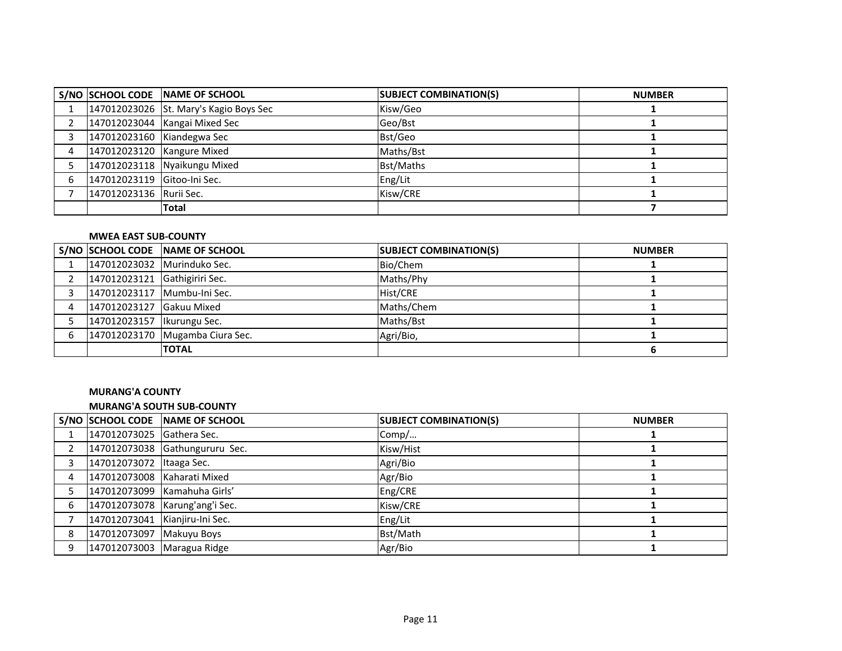|   |                             | S/NO SCHOOL CODE NAME OF SCHOOL        | <b>SUBJECT COMBINATION(S)</b> | <b>NUMBER</b> |
|---|-----------------------------|----------------------------------------|-------------------------------|---------------|
|   |                             | 147012023026 St. Mary's Kagio Boys Sec | Kisw/Geo                      |               |
|   |                             | 147012023044 Kangai Mixed Sec          | Geo/Bst                       |               |
|   | 147012023160 Kiandegwa Sec  |                                        | Bst/Geo                       |               |
| 4 | 147012023120 Kangure Mixed  |                                        | Maths/Bst                     |               |
|   |                             | 147012023118 Nyaikungu Mixed           | Bst/Maths                     |               |
| 6 | 147012023119 Gitoo-Ini Sec. |                                        | Eng/Lit                       |               |
|   | 147012023136 Rurii Sec.     |                                        | Kisw/CRE                      |               |
|   |                             | <b>Total</b>                           |                               |               |

## **MWEA EAST SUB-COUNTY**

|                               | S/NO SCHOOL CODE NAME OF SCHOOL | <b>SUBJECT COMBINATION(S)</b> | <b>NUMBER</b> |
|-------------------------------|---------------------------------|-------------------------------|---------------|
| 147012023032 Murinduko Sec.   |                                 | Bio/Chem                      |               |
| 147012023121 Gathigiriri Sec. |                                 | Maths/Phy                     |               |
|                               | 147012023117 Mumbu-Ini Sec.     | Hist/CRE                      |               |
| 147012023127 Gakuu Mixed      |                                 | Maths/Chem                    |               |
| 147012023157   Ikurungu Sec.  |                                 | Maths/Bst                     |               |
|                               | 147012023170 Mugamba Ciura Sec. | Agri/Bio,                     |               |
|                               | <b>TOTAL</b>                    |                               |               |

# **MURANG'A COUNTY**

# **MURANG'A SOUTH SUB-COUNTY**

|   |                                  | S/NO SCHOOL CODE NAME OF SCHOOL  | <b>SUBJECT COMBINATION(S)</b> | <b>NUMBER</b> |
|---|----------------------------------|----------------------------------|-------------------------------|---------------|
|   | 147012073025 Gathera Sec.        |                                  | Comp/                         |               |
|   |                                  | 147012073038 Gathungururu Sec.   | Kisw/Hist                     |               |
| 3 | 147012073072 Itaaga Sec.         |                                  | Agri/Bio                      |               |
| 4 | 147012073008 Kaharati Mixed      |                                  | Agr/Bio                       |               |
|   |                                  | 147012073099 Kamahuha Girls'     | Eng/CRE                       |               |
| 6 |                                  | 147012073078   Karung'ang'i Sec. | Kisw/CRE                      |               |
|   | 147012073041   Kianjiru-Ini Sec. |                                  | Eng/Lit                       |               |
| 8 | 147012073097 Makuyu Boys         |                                  | Bst/Math                      |               |
| 9 | 147012073003 Maragua Ridge       |                                  | Agr/Bio                       |               |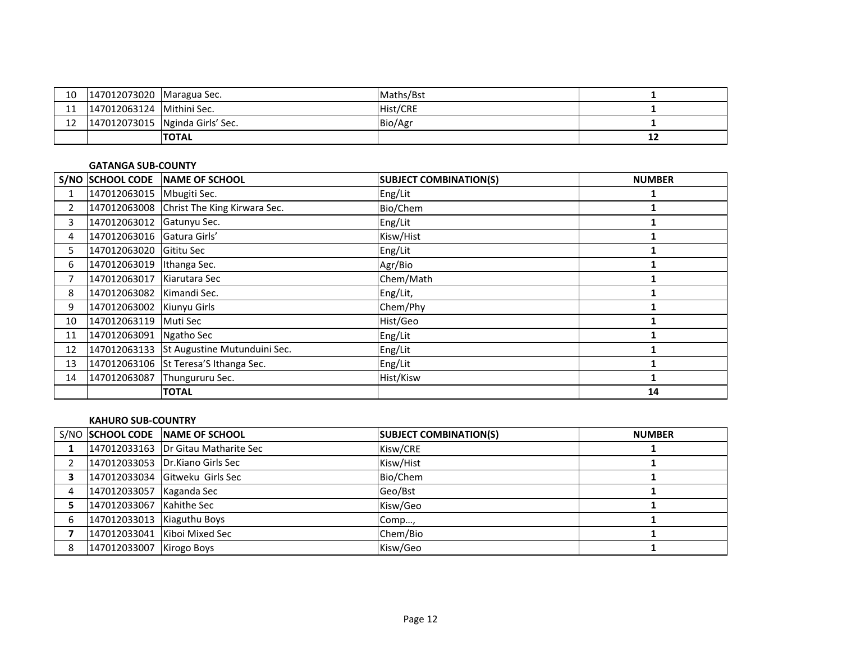| 10         | 147012073020 Maragua Sec. |                                 | Maths/Bst |    |
|------------|---------------------------|---------------------------------|-----------|----|
| <b>. .</b> | 147012063124 Mithini Sec. |                                 | Hist/CRE  |    |
| ∸          |                           | 147012073015 Nginda Girls' Sec. | Bio/Agr   |    |
|            |                           | <b>TOTAL</b>                    |           | ∸∸ |

#### **GATANGA SUB-COUNTY**

|    | S/NO SCHOOL CODE           | NAME OF SCHOOL                            | <b>SUBJECT COMBINATION(S)</b> | <b>NUMBER</b> |
|----|----------------------------|-------------------------------------------|-------------------------------|---------------|
|    | 147012063015 Mbugiti Sec.  |                                           | Eng/Lit                       |               |
| 2  |                            | 147012063008 Christ The King Kirwara Sec. | Bio/Chem                      |               |
| 3  | 147012063012 Gatunyu Sec.  |                                           | Eng/Lit                       |               |
| 4  | 147012063016 Gatura Girls' |                                           | Kisw/Hist                     |               |
| 5. | 147012063020 Gititu Sec    |                                           | Eng/Lit                       |               |
| 6  | 147012063019               | Ithanga Sec.                              | Agr/Bio                       |               |
|    | 147012063017 Kiarutara Sec |                                           | Chem/Math                     |               |
| 8  | 147012063082 Kimandi Sec.  |                                           | Eng/Lit,                      |               |
| 9  | 147012063002 Kiunyu Girls  |                                           | Chem/Phy                      |               |
| 10 | 147012063119               | Muti Sec                                  | Hist/Geo                      |               |
| 11 | 147012063091               | Ngatho Sec                                | Eng/Lit                       |               |
| 12 |                            | 147012063133 St Augustine Mutunduini Sec. | Eng/Lit                       |               |
| 13 |                            | 147012063106 St Teresa'S Ithanga Sec.     | Eng/Lit                       |               |
| 14 | 147012063087               | Thungururu Sec.                           | Hist/Kisw                     |               |
|    |                            | <b>TOTAL</b>                              |                               | 14            |

#### **KAHURO SUB-COUNTRY**

|   |                            | S/NO SCHOOL CODE NAME OF SCHOOL       | <b>SUBJECT COMBINATION(S)</b> | <b>NUMBER</b> |
|---|----------------------------|---------------------------------------|-------------------------------|---------------|
|   |                            | 147012033163   Dr Gitau Matharite Sec | Kisw/CRE                      |               |
|   |                            | 147012033053 Dr.Kiano Girls Sec       | Kisw/Hist                     |               |
|   |                            | 147012033034 Gitweku Girls Sec        | Bio/Chem                      |               |
| 4 | 147012033057 Kaganda Sec   |                                       | Geo/Bst                       |               |
|   | 147012033067 Kahithe Sec   |                                       | Kisw/Geo                      |               |
| 6 | 147012033013 Kiaguthu Boys |                                       | Comp…,                        |               |
|   |                            | 147012033041 Kiboi Mixed Sec          | Chem/Bio                      |               |
| 8 | 147012033007 Kirogo Boys   |                                       | Kisw/Geo                      |               |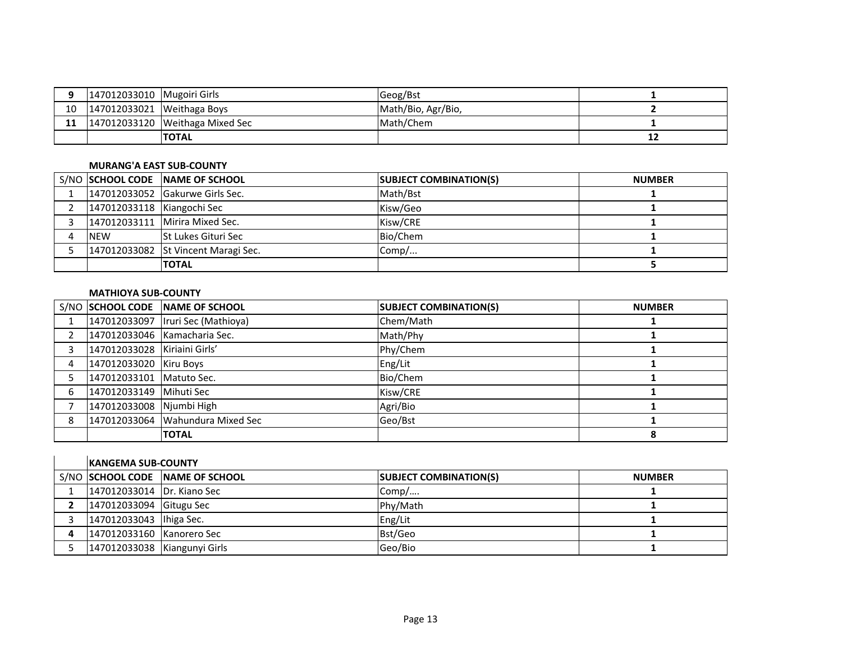| 147012033010   Mugoiri Girls |                                 | <b>Geog/Bst</b>    |    |
|------------------------------|---------------------------------|--------------------|----|
| 147012033021 Weithaga Boys   |                                 | Math/Bio, Agr/Bio, |    |
|                              | 147012033120 Weithaga Mixed Sec | Math/Chem          |    |
|                              | <b>TOTAL</b>                    |                    | ∸∸ |

# **MURANG'A EAST SUB-COUNTY**

|                            | S/NO SCHOOL CODE NAME OF SCHOOL     | <b>SUBJECT COMBINATION(S)</b> | <b>NUMBER</b> |
|----------------------------|-------------------------------------|-------------------------------|---------------|
|                            | 147012033052 Gakurwe Girls Sec.     | Math/Bst                      |               |
| 147012033118 Kiangochi Sec |                                     | Kisw/Geo                      |               |
|                            | 147012033111 Mirira Mixed Sec.      | Kisw/CRE                      |               |
| <b>NEW</b>                 | <b>St Lukes Gituri Sec</b>          | Bio/Chem                      |               |
|                            | 147012033082 St Vincent Maragi Sec. | Comp/                         |               |
|                            | <b>TOTAL</b>                        |                               |               |

# **MATHIOYA SUB-COUNTY**

|   |                              | S/NO SCHOOL CODE NAME OF SCHOOL     | <b>SUBJECT COMBINATION(S)</b> | <b>NUMBER</b> |
|---|------------------------------|-------------------------------------|-------------------------------|---------------|
|   |                              | 147012033097   Iruri Sec (Mathioya) | Chem/Math                     |               |
|   |                              | 147012033046 Kamacharia Sec.        | Math/Phy                      |               |
|   | 147012033028 Kiriaini Girls' |                                     | Phy/Chem                      |               |
| 4 | 147012033020 Kiru Boys       |                                     | Eng/Lit                       |               |
|   | 147012033101   Matuto Sec.   |                                     | Bio/Chem                      |               |
| 6 | 147012033149 Mihuti Sec      |                                     | Kisw/CRE                      |               |
|   | 147012033008 Njumbi High     |                                     | Agri/Bio                      |               |
| 8 |                              | 147012033064 Wahundura Mixed Sec    | Geo/Bst                       |               |
|   |                              | <b>TOTAL</b>                        |                               | 8             |

| <b>IKANGEMA SUB-COUNTY</b>   |                                 |                               |               |  |
|------------------------------|---------------------------------|-------------------------------|---------------|--|
|                              | S/NO SCHOOL CODE NAME OF SCHOOL | <b>SUBJECT COMBINATION(S)</b> | <b>NUMBER</b> |  |
| 147012033014 Dr. Kiano Sec   |                                 | Comp/                         |               |  |
| 147012033094 Gitugu Sec      |                                 | Phy/Math                      |               |  |
| 147012033043   Ihiga Sec.    |                                 | Eng/Lit                       |               |  |
| 147012033160 Kanorero Sec    |                                 | Bst/Geo                       |               |  |
| 147012033038 Kiangunyi Girls |                                 | Geo/Bio                       |               |  |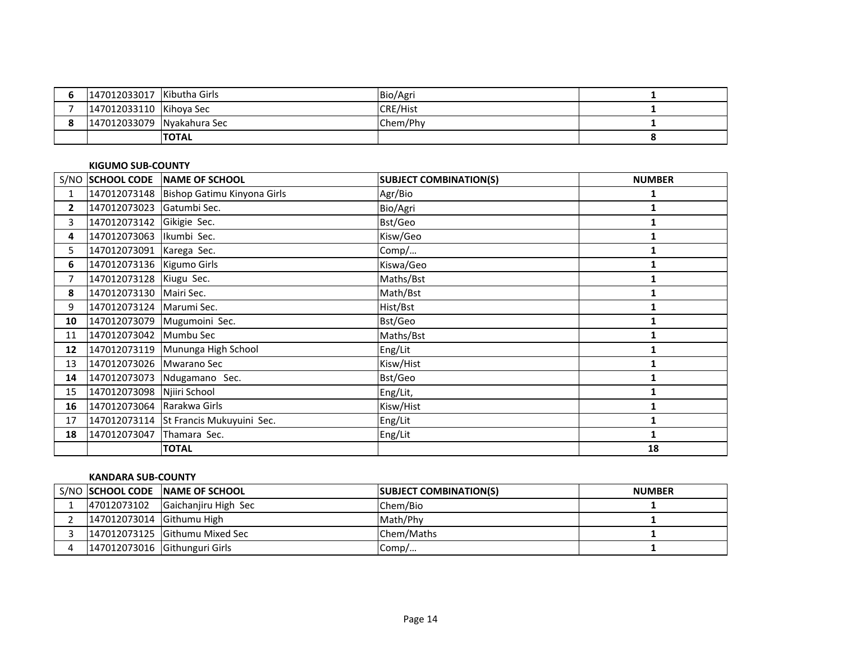| 147012033017 Kibutha Girls |              | Bio/Agri        |  |
|----------------------------|--------------|-----------------|--|
| 147012033110 Kihoya Sec    |              | <b>CRE/Hist</b> |  |
| 147012033079 Nyakahura Sec |              | Chem/Phy        |  |
|                            | <b>TOTAL</b> |                 |  |

#### **KIGUMO SUB-COUNTY**

|                |                             | S/NO SCHOOL CODE NAME OF SCHOOL            | <b>SUBJECT COMBINATION(S)</b> | <b>NUMBER</b> |
|----------------|-----------------------------|--------------------------------------------|-------------------------------|---------------|
| 1              |                             | 147012073148   Bishop Gatimu Kinyona Girls | Agr/Bio                       | 1             |
| $\mathbf{2}$   | 147012073023 Gatumbi Sec.   |                                            | Bio/Agri                      |               |
| 3              | 147012073142 Gikigie Sec.   |                                            | Bst/Geo                       |               |
| 4              | 147012073063 Ikumbi Sec.    |                                            | Kisw/Geo                      |               |
| 5              | 147012073091 Karega Sec.    |                                            | Comp/                         |               |
| 6              | 147012073136   Kigumo Girls |                                            | Kiswa/Geo                     |               |
| $\overline{7}$ | 147012073128 Kiugu Sec.     |                                            | Maths/Bst                     |               |
| 8              | 147012073130 Mairi Sec.     |                                            | Math/Bst                      |               |
| 9              | 147012073124 Marumi Sec.    |                                            | Hist/Bst                      |               |
| 10             |                             | 147012073079 Mugumoini Sec.                | Bst/Geo                       |               |
| 11             | 147012073042 Mumbu Sec      |                                            | Maths/Bst                     |               |
| 12             |                             | 147012073119 Mununga High School           | Eng/Lit                       |               |
| 13             | 147012073026 Mwarano Sec    |                                            | Kisw/Hist                     |               |
| 14             |                             | 147012073073 Ndugamano Sec.                | Bst/Geo                       | 1             |
| 15             | 147012073098                | Njiiri School                              | Eng/Lit,                      |               |
| 16             | 147012073064 Rarakwa Girls  |                                            | Kisw/Hist                     |               |
| 17             |                             | 147012073114 St Francis Mukuyuini Sec.     | Eng/Lit                       |               |
| 18             | 147012073047                | Thamara Sec.                               | Eng/Lit                       | 1             |
|                |                             | <b>TOTAL</b>                               |                               | 18            |

## **KANDARA SUB-COUNTY**

|                           | S/NO SCHOOL CODE NAME OF SCHOOL | <b>SUBJECT COMBINATION(S)</b> | <b>NUMBER</b> |
|---------------------------|---------------------------------|-------------------------------|---------------|
| 47012073102               | Gaichanjiru High Sec            | Chem/Bio                      |               |
| 147012073014 Githumu High |                                 | Math/Phy                      |               |
|                           | 147012073125 Githumu Mixed Sec  | Chem/Maths                    |               |
|                           | 147012073016 Githunguri Girls   | Comp/                         |               |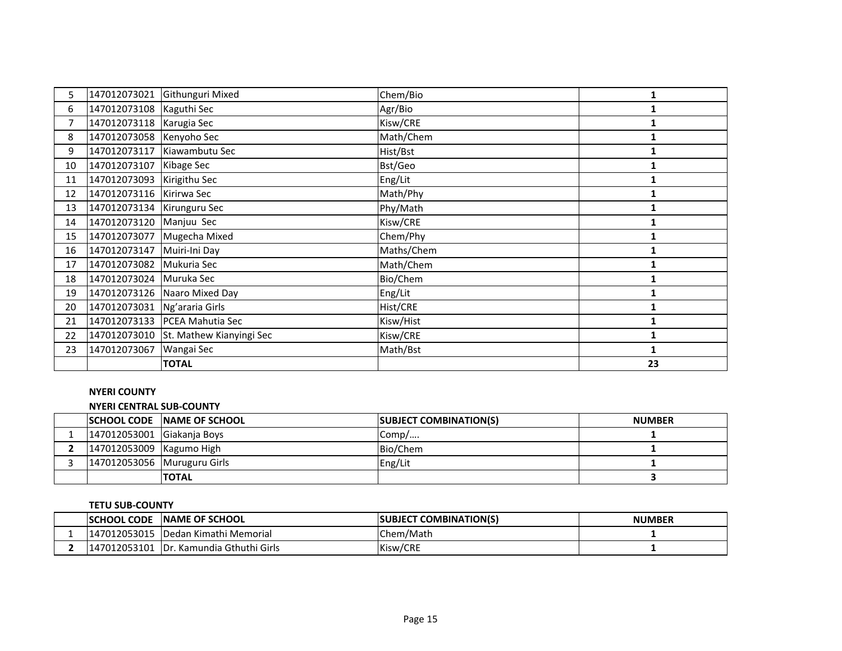| 5. | 147012073021               | Githunguri Mixed                      | Chem/Bio   | 1  |
|----|----------------------------|---------------------------------------|------------|----|
| 6  | 147012073108 Kaguthi Sec   |                                       | Agr/Bio    |    |
| 7  | 147012073118 Karugia Sec   |                                       | Kisw/CRE   |    |
| 8  | 147012073058 Kenyoho Sec   |                                       | Math/Chem  |    |
| 9  | 147012073117               | Kiawambutu Sec                        | Hist/Bst   |    |
| 10 | 147012073107               | Kibage Sec                            | Bst/Geo    |    |
| 11 | 147012073093               | Kirigithu Sec                         | Eng/Lit    |    |
| 12 | 147012073116 Kirirwa Sec   |                                       | Math/Phy   | 1  |
| 13 | 147012073134 Kirunguru Sec |                                       | Phy/Math   |    |
| 14 | 147012073120 Manjuu Sec    |                                       | Kisw/CRE   |    |
| 15 | 147012073077               | Mugecha Mixed                         | Chem/Phy   |    |
| 16 | 147012073147               | Muiri-Ini Day                         | Maths/Chem |    |
| 17 | 147012073082               | Mukuria Sec                           | Math/Chem  |    |
| 18 | 147012073024 Muruka Sec    |                                       | Bio/Chem   |    |
| 19 |                            | 147012073126 Naaro Mixed Day          | Eng/Lit    |    |
| 20 | 147012073031               | Ng'araria Girls                       | Hist/CRE   | 1  |
| 21 |                            | 147012073133 PCEA Mahutia Sec         | Kisw/Hist  |    |
| 22 |                            | 147012073010 St. Mathew Kianyingi Sec | Kisw/CRE   |    |
| 23 | 147012073067               | Wangai Sec                            | Math/Bst   |    |
|    |                            | <b>TOTAL</b>                          |            | 23 |

# **NYERI COUNTY**

#### **NYERI CENTRAL SUB-COUNTY**

|                             | <b>SCHOOL CODE NAME OF SCHOOL</b> | <b>SUBJECT COMBINATION(S)</b> | <b>NUMBER</b> |
|-----------------------------|-----------------------------------|-------------------------------|---------------|
| 147012053001 Giakanja Boys  |                                   | $\mathsf{IComp}/\dots$        |               |
| 147012053009 Kagumo High    |                                   | Bio/Chem                      |               |
| 147012053056 Muruguru Girls |                                   | Eng/Lit                       |               |
|                             | ΙΤΟΤΑL                            |                               |               |

## **TETU SUB-COUNTY**

| <b>CODE</b><br><b>ISCHOOL</b> | <b>INAME OF SCHOOL</b>             | " COMBINATION(S)<br><b>ISUBJECT</b> | <b>NUMBER</b> |
|-------------------------------|------------------------------------|-------------------------------------|---------------|
| 147012053015                  | Dedan Kimathi Memorial             | IChem/Math                          |               |
| 147012053101                  | <b>IDr. Kamundia Gthuthi Girls</b> | Kisw/CRE                            |               |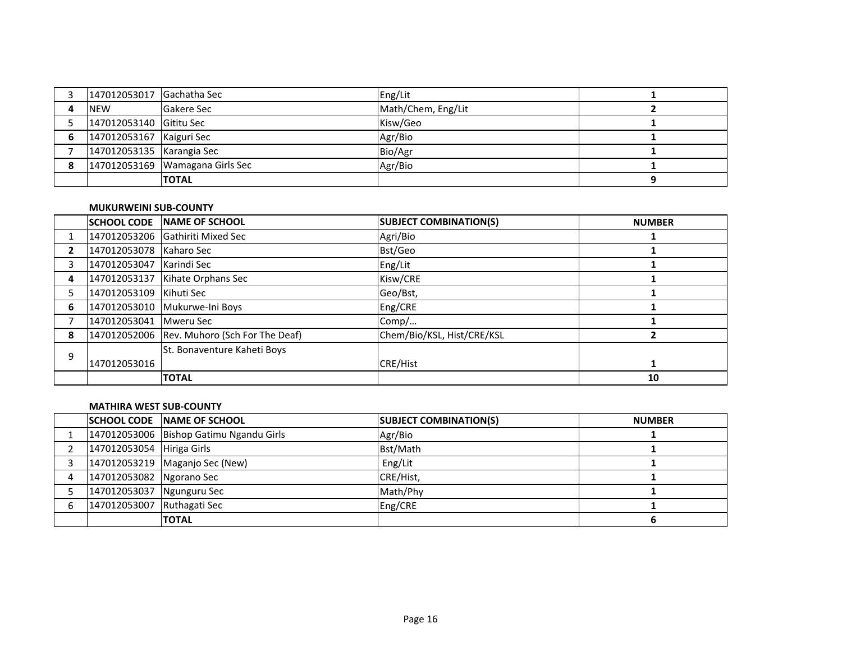| 147012053017 Gachatha Sec |                                   | Eng/Lit            |  |
|---------------------------|-----------------------------------|--------------------|--|
| <b>NEW</b>                | <b>Gakere Sec</b>                 | Math/Chem, Eng/Lit |  |
| 147012053140 Gititu Sec   |                                   | Kisw/Geo           |  |
| 147012053167 Kaiguri Sec  |                                   | Agr/Bio            |  |
| 147012053135 Karangia Sec |                                   | Bio/Agr            |  |
|                           | 147012053169   Wamagana Girls Sec | Agr/Bio            |  |
|                           | <b>TOTAL</b>                      |                    |  |

### **MUKURWEINI SUB-COUNTY**

|   | <b>SCHOOL CODE</b>       | <b>INAME OF SCHOOL</b>                      | <b>SUBJECT COMBINATION(S)</b> | <b>NUMBER</b> |
|---|--------------------------|---------------------------------------------|-------------------------------|---------------|
|   |                          | 147012053206 Gathiriti Mixed Sec            | Agri/Bio                      |               |
| 2 | 147012053078 Kaharo Sec  |                                             | Bst/Geo                       |               |
| 3 | 147012053047 Karindi Sec |                                             | Eng/Lit                       |               |
| 4 |                          | 147012053137 Kihate Orphans Sec             | Kisw/CRE                      |               |
|   | 147012053109 Kihuti Sec  |                                             | Geo/Bst,                      |               |
| 6 |                          | 147012053010 Mukurwe-Ini Boys               | Eng/CRE                       |               |
|   | 147012053041 Mweru Sec   |                                             | Comp/                         |               |
| 8 |                          | 147012052006 Rev. Muhoro (Sch For The Deaf) | Chem/Bio/KSL, Hist/CRE/KSL    |               |
| 9 |                          | St. Bonaventure Kaheti Boys                 |                               |               |
|   | 147012053016             |                                             | CRE/Hist                      |               |
|   |                          | <b>TOTAL</b>                                |                               | 10            |

## **MATHIRA WEST SUB-COUNTY**

|                            | <b>SCHOOL CODE INAME OF SCHOOL</b>      | <b>SUBJECT COMBINATION(S)</b> | <b>NUMBER</b> |
|----------------------------|-----------------------------------------|-------------------------------|---------------|
|                            | 147012053006 Bishop Gatimu Ngandu Girls | Agr/Bio                       |               |
| 147012053054 Hiriga Girls  |                                         | Bst/Math                      |               |
|                            | 147012053219   Maganjo Sec (New)        | Eng/Lit                       |               |
| 147012053082 Ngorano Sec   |                                         | CRE/Hist,                     |               |
| 147012053037 Ngunguru Sec  |                                         | Math/Phy                      |               |
| 147012053007 Ruthagati Sec |                                         | Eng/CRE                       |               |
|                            | <b>TOTAL</b>                            |                               |               |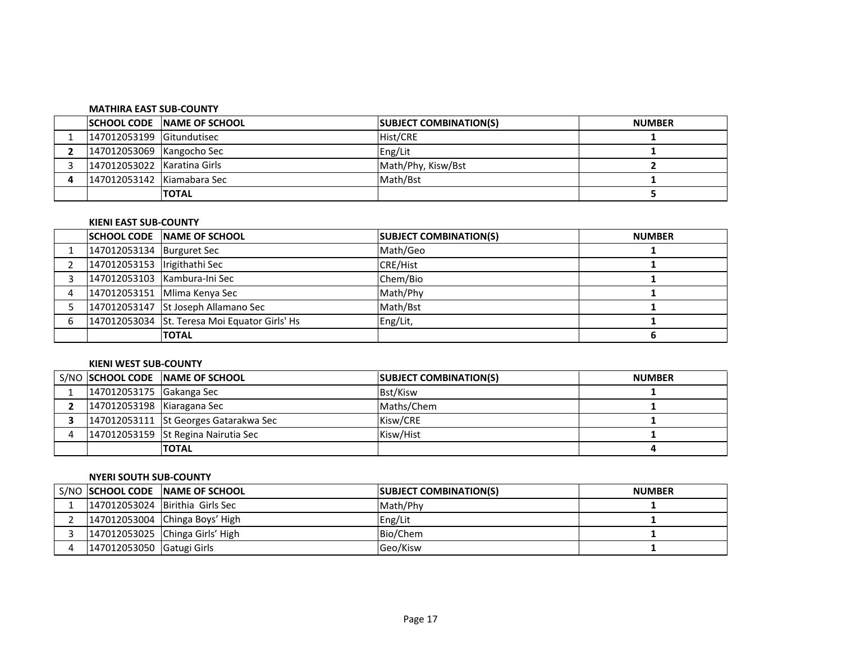| <b>MATHIRA EAST SUB-COUNTY</b> |                                     |                               |               |  |
|--------------------------------|-------------------------------------|-------------------------------|---------------|--|
|                                | <b>ISCHOOL CODE INAME OF SCHOOL</b> | <b>SUBJECT COMBINATION(S)</b> | <b>NUMBER</b> |  |
| 147012053199 Gitundutisec      |                                     | Hist/CRE                      |               |  |
| 147012053069 Kangocho Sec      |                                     | Eng/Lit                       |               |  |
| 147012053022 Karatina Girls    |                                     | Math/Phy, Kisw/Bst            |               |  |
| 147012053142 Kiamabara Sec     |                                     | Math/Bst                      |               |  |
|                                | <b>TOTAL</b>                        |                               |               |  |

# **KIENI EAST SUB-COUNTY**

|                              | <b>SCHOOL CODE NAME OF SCHOOL</b>             | <b>SUBJECT COMBINATION(S)</b> | <b>NUMBER</b> |
|------------------------------|-----------------------------------------------|-------------------------------|---------------|
| 147012053134   Burguret Sec  |                                               | Math/Geo                      |               |
| 147012053153 Irigithathi Sec |                                               | <b>CRE/Hist</b>               |               |
|                              | 147012053103 Kambura-Ini Sec                  | Chem/Bio                      |               |
|                              | [147012053151   Mlima Kenya Sec               | Math/Phy                      |               |
|                              | 147012053147 St Joseph Allamano Sec           | Math/Bst                      |               |
|                              | 147012053034 St. Teresa Moi Equator Girls' Hs | Eng/Lit,                      |               |
|                              | <b>TOTAL</b>                                  |                               |               |

# **KIENI WEST SUB-COUNTY**

|                            | S/NO SCHOOL CODE NAME OF SCHOOL       | <b>SUBJECT COMBINATION(S)</b> | <b>NUMBER</b> |
|----------------------------|---------------------------------------|-------------------------------|---------------|
| 147012053175 Gakanga Sec   |                                       | Bst/Kisw                      |               |
| 147012053198 Kiaragana Sec |                                       | Maths/Chem                    |               |
|                            | 147012053111 St Georges Gatarakwa Sec | Kisw/CRE                      |               |
|                            | 147012053159 St Regina Nairutia Sec   | Kisw/Hist                     |               |
|                            | <b>ITOTAL</b>                         |                               |               |

# **NYERI SOUTH SUB-COUNTY**

|                           | S/NO SCHOOL CODE NAME OF SCHOOL | <b>SUBJECT COMBINATION(S)</b> | <b>NUMBER</b> |
|---------------------------|---------------------------------|-------------------------------|---------------|
|                           | 147012053024 Birithia Girls Sec | Math/Phy                      |               |
|                           | 147012053004 Chinga Boys' High  | Eng/Lit                       |               |
|                           | 147012053025 Chinga Girls' High | Bio/Chem                      |               |
| 147012053050 Gatugi Girls |                                 | Geo/Kisw                      |               |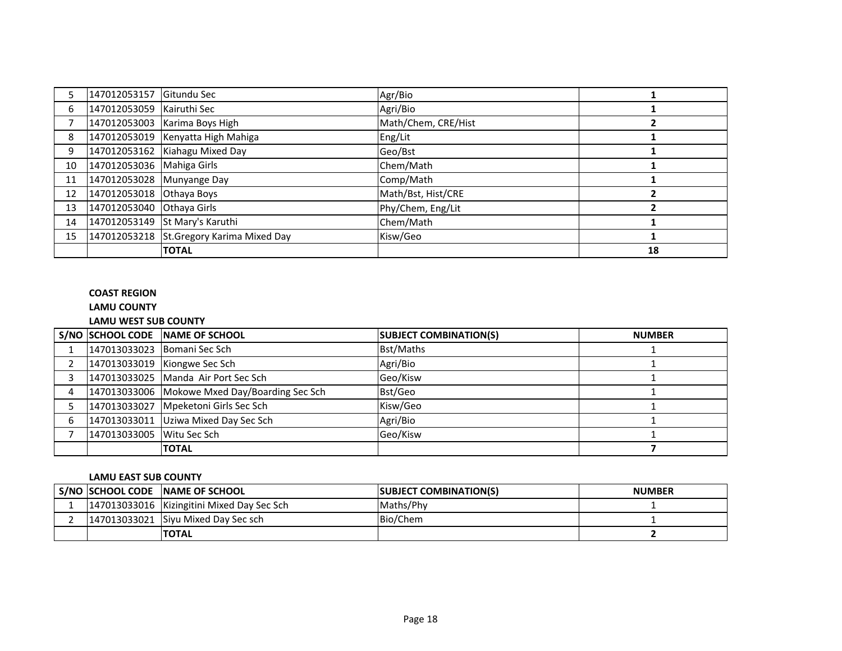|    | 147012053157 Gitundu Sec  |                                          | Agr/Bio             |    |
|----|---------------------------|------------------------------------------|---------------------|----|
| 6  | 147012053059 Kairuthi Sec |                                          | Agri/Bio            |    |
|    |                           | 147012053003 Karima Boys High            | Math/Chem, CRE/Hist |    |
| 8  |                           | 147012053019 Kenyatta High Mahiga        | Eng/Lit             |    |
| 9  |                           | 147012053162 Kiahagu Mixed Day           | Geo/Bst             |    |
| 10 | 147012053036 Mahiga Girls |                                          | Chem/Math           |    |
| 11 | 147012053028 Munyange Day |                                          | Comp/Math           |    |
| 12 | 147012053018 Othaya Boys  |                                          | Math/Bst, Hist/CRE  |    |
| 13 | 147012053040 Othaya Girls |                                          | Phy/Chem, Eng/Lit   |    |
| 14 |                           | 147012053149 St Mary's Karuthi           | Chem/Math           |    |
| 15 |                           | 147012053218 St.Gregory Karima Mixed Day | Kisw/Geo            |    |
|    |                           | <b>TOTAL</b>                             |                     | 18 |

# **COAST REGION**

# **LAMU COUNTY**

# **LAMU WEST SUB COUNTY**

|   |                           | S/NO SCHOOL CODE NAME OF SCHOOL               | <b>SUBJECT COMBINATION(S)</b> | <b>NUMBER</b> |
|---|---------------------------|-----------------------------------------------|-------------------------------|---------------|
|   |                           | 147013033023 Bomani Sec Sch                   | <b>Bst/Maths</b>              |               |
|   |                           | 147013033019 Kiongwe Sec Sch                  | Agri/Bio                      |               |
|   |                           | 147013033025 Manda Air Port Sec Sch           | Geo/Kisw                      |               |
|   |                           | 147013033006 Mokowe Mxed Day/Boarding Sec Sch | Bst/Geo                       |               |
|   |                           | 147013033027 Mpeketoni Girls Sec Sch          | Kisw/Geo                      |               |
| 6 |                           | 147013033011 Uziwa Mixed Day Sec Sch          | Agri/Bio                      |               |
|   | 147013033005 Witu Sec Sch |                                               | Geo/Kisw                      |               |
|   |                           | <b>TOTAL</b>                                  |                               |               |

# **LAMU EAST SUB COUNTY**

|  | S/NO SCHOOL CODE NAME OF SCHOOL              | <b>ISUBJECT COMBINATION(S)</b> | <b>NUMBER</b> |
|--|----------------------------------------------|--------------------------------|---------------|
|  | 147013033016   Kizingitini Mixed Day Sec Sch | Maths/Phy                      |               |
|  | 147013033021 Siyu Mixed Day Sec sch          | Bio/Chem                       |               |
|  | <b>TOTAL</b>                                 |                                |               |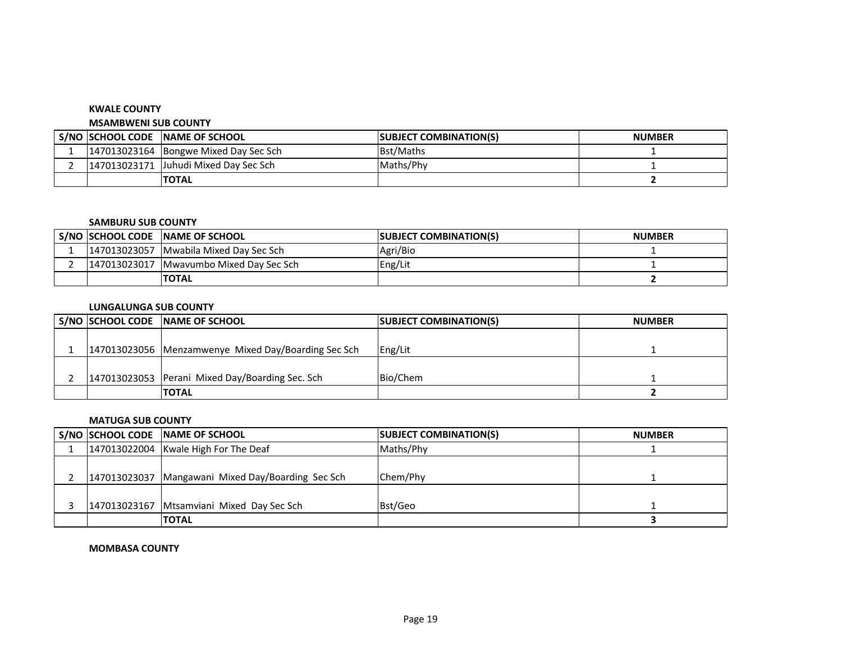#### **KWALE COUNTY**

#### **MSAMBWENI SUB COUNTY**

|  | S/NO SCHOOL CODE NAME OF SCHOOL       | <b>ISUBJECT COMBINATION(S)</b> | <b>NUMBER</b> |
|--|---------------------------------------|--------------------------------|---------------|
|  | 147013023164 Bongwe Mixed Day Sec Sch | Bst/Maths                      |               |
|  | 147013023171 Juhudi Mixed Day Sec Sch | Maths/Phy                      |               |
|  | <b>TOTAL</b>                          |                                |               |

#### **SAMBURU SUB COUNTY**

| S/NO SCHOOL CODE | <b>INAME OF SCHOOL</b>       | <b>ISUBJECT COMBINATION(S)</b> | <b>NUMBER</b> |
|------------------|------------------------------|--------------------------------|---------------|
| 147013023057     | 'l Mwabila Mixed Day Sec Sch | Agri/Bio                       |               |
| 147013023017     | Mwayumbo Mixed Day Sec Sch   | Eng/Lit                        |               |
|                  | <b>TOTAL</b>                 |                                |               |

### **LUNGALUNGA SUB COUNTY**

|  | S/NO SCHOOL CODE NAME OF SCHOOL                     | <b>SUBJECT COMBINATION(S)</b> | <b>NUMBER</b> |
|--|-----------------------------------------------------|-------------------------------|---------------|
|  |                                                     |                               |               |
|  | 147013023056 Menzamwenye Mixed Day/Boarding Sec Sch | Eng/Lit                       |               |
|  |                                                     |                               |               |
|  | 147013023053 Perani Mixed Day/Boarding Sec. Sch     | Bio/Chem                      |               |
|  | <b>TOTAL</b>                                        |                               |               |

# **MATUGA SUB COUNTY**

|  | S/NO SCHOOL CODE NAME OF SCHOOL                     | <b>SUBJECT COMBINATION(S)</b> | <b>NUMBER</b> |
|--|-----------------------------------------------------|-------------------------------|---------------|
|  | 147013022004 Kwale High For The Deaf                | Maths/Phy                     |               |
|  |                                                     |                               |               |
|  | 147013023037   Mangawani Mixed Day/Boarding Sec Sch | Chem/Phy                      |               |
|  |                                                     |                               |               |
|  | 147013023167 Mtsamviani Mixed Day Sec Sch           | Bst/Geo                       |               |
|  | <b>ITOTAL</b>                                       |                               |               |

#### **MOMBASA COUNTY**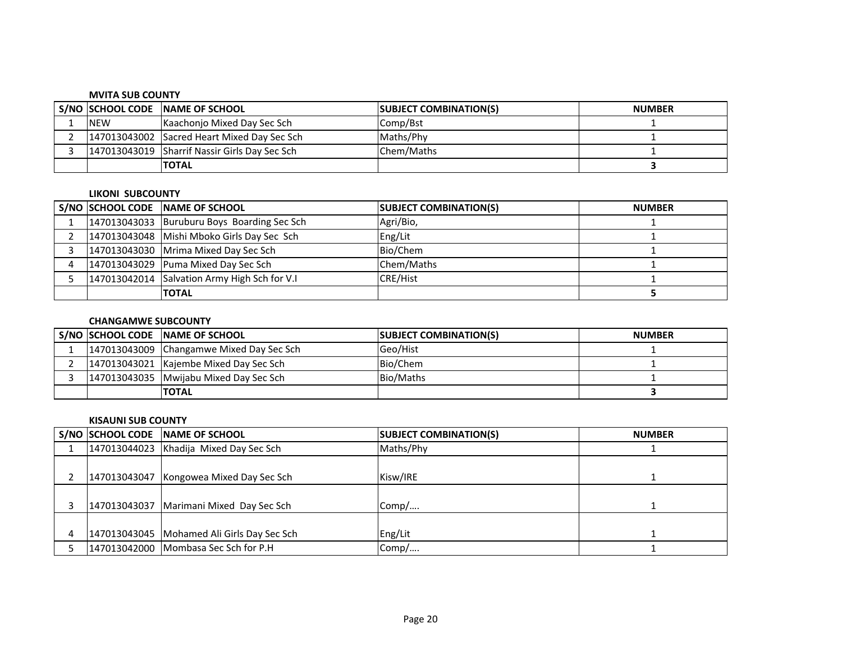### **MVITA SUB COUNTY**

|            | S/NO SCHOOL CODE NAME OF SCHOOL               | <b>SUBJECT COMBINATION(S)</b> | <b>NUMBER</b> |
|------------|-----------------------------------------------|-------------------------------|---------------|
| <b>NEW</b> | Kaachonjo Mixed Day Sec Sch                   | Comp/Bst                      |               |
|            | 147013043002 Sacred Heart Mixed Day Sec Sch   | Maths/Phy                     |               |
|            | 147013043019 Sharrif Nassir Girls Day Sec Sch | Chem/Maths                    |               |
|            | <b>TOTAL</b>                                  |                               |               |

#### **LIKONI SUBCOUNTY**

|  | S/NO SCHOOL CODE NAME OF SCHOOL              | <b>SUBJECT COMBINATION(S)</b> | <b>NUMBER</b> |
|--|----------------------------------------------|-------------------------------|---------------|
|  | 147013043033 Buruburu Boys Boarding Sec Sch  | Agri/Bio,                     |               |
|  | 147013043048 Mishi Mboko Girls Day Sec Sch   | Eng/Lit                       |               |
|  | 147013043030 Mrima Mixed Day Sec Sch         | Bio/Chem                      |               |
|  | 147013043029 Puma Mixed Day Sec Sch          | Chem/Maths                    |               |
|  | 147013042014 Salvation Army High Sch for V.I | <b>CRE/Hist</b>               |               |
|  | <b>TOTAL</b>                                 |                               |               |

## **CHANGAMWE SUBCOUNTY**

|  | S/NO SCHOOL CODE NAME OF SCHOOL          | <b>SUBJECT COMBINATION(S)</b> | <b>NUMBER</b> |
|--|------------------------------------------|-------------------------------|---------------|
|  | 147013043009 Changamwe Mixed Day Sec Sch | Geo/Hist                      |               |
|  | 147013043021 Kajembe Mixed Day Sec Sch   | Bio/Chem                      |               |
|  | 147013043035 Mwijabu Mixed Day Sec Sch   | Bio/Maths                     |               |
|  | <b>TOTAL</b>                             |                               |               |

#### **KISAUNI SUB COUNTY**

|  | S/NO SCHOOL CODE NAME OF SCHOOL              | <b>SUBJECT COMBINATION(S)</b> | <b>NUMBER</b> |
|--|----------------------------------------------|-------------------------------|---------------|
|  | 147013044023 Khadija Mixed Day Sec Sch       | Maths/Phy                     |               |
|  |                                              |                               |               |
|  | 147013043047 Kongowea Mixed Day Sec Sch      | Kisw/IRE                      |               |
|  |                                              |                               |               |
|  | 147013043037 Marimani Mixed Day Sec Sch      | Comp/                         |               |
|  |                                              |                               |               |
|  | 147013043045   Mohamed Ali Girls Day Sec Sch | Eng/Lit                       |               |
|  | 147013042000 Mombasa Sec Sch for P.H         | Comp/                         |               |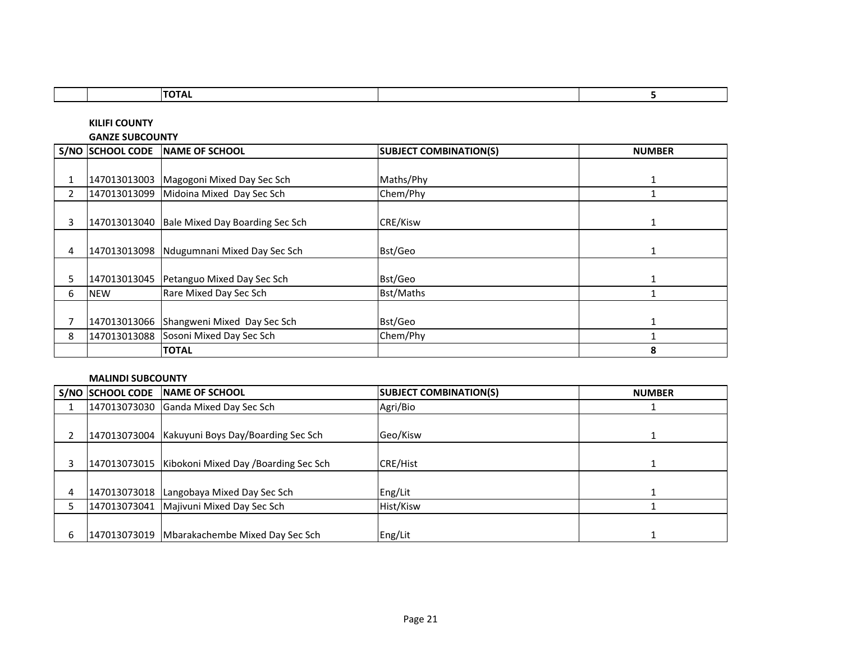|              |                        | <b>TOTAL</b>                    |                               | 5             |
|--------------|------------------------|---------------------------------|-------------------------------|---------------|
|              |                        |                                 |                               |               |
|              | <b>KILIFI COUNTY</b>   |                                 |                               |               |
|              | <b>GANZE SUBCOUNTY</b> |                                 |                               |               |
|              | S/NO SCHOOL CODE       | <b>NAME OF SCHOOL</b>           | <b>SUBJECT COMBINATION(S)</b> | <b>NUMBER</b> |
|              |                        |                                 |                               |               |
|              | 147013013003           | Magogoni Mixed Day Sec Sch      | Maths/Phy                     | 1             |
| $\mathbf{2}$ | 147013013099           | Midoina Mixed Day Sec Sch       | Chem/Phy                      | 1             |
|              |                        |                                 |                               |               |
| 3            | 147013013040           | Bale Mixed Day Boarding Sec Sch | CRE/Kisw                      | 1             |
|              |                        |                                 |                               |               |
| 4            | 147013013098           | Ndugumnani Mixed Day Sec Sch    | Bst/Geo                       | $\mathbf{1}$  |
|              |                        |                                 |                               |               |
| 5.           | 147013013045           | Petanguo Mixed Day Sec Sch      | Bst/Geo                       | $\mathbf{1}$  |
| 6            | <b>NEW</b>             | Rare Mixed Day Sec Sch          | Bst/Maths                     |               |
|              |                        |                                 |                               |               |
|              | 147013013066           | Shangweni Mixed Day Sec Sch     | Bst/Geo                       | $\mathbf{1}$  |
| 8            | 147013013088           | Sosoni Mixed Day Sec Sch        | Chem/Phy                      |               |
|              |                        | <b>TOTAL</b>                    |                               | 8             |

## **MALINDI SUBCOUNTY**

г

|   | S/NO SCHOOL CODE | <b>INAME OF SCHOOL</b>                               | <b>SUBJECT COMBINATION(S)</b> | <b>NUMBER</b> |
|---|------------------|------------------------------------------------------|-------------------------------|---------------|
|   |                  | 147013073030 Ganda Mixed Day Sec Sch                 | Agri/Bio                      |               |
|   |                  |                                                      |                               |               |
|   |                  | 147013073004   Kakuyuni Boys Day/Boarding Sec Sch    | Geo/Kisw                      |               |
|   |                  |                                                      |                               |               |
|   |                  | 147013073015   Kibokoni Mixed Day / Boarding Sec Sch | <b>CRE/Hist</b>               |               |
|   |                  |                                                      |                               |               |
| 4 |                  | 147013073018 Langobaya Mixed Day Sec Sch             | Eng/Lit                       |               |
|   |                  | 147013073041   Majivuni Mixed Day Sec Sch            | Hist/Kisw                     |               |
|   |                  |                                                      |                               |               |
| 6 |                  | 147013073019 Mbarakachembe Mixed Day Sec Sch         | Eng/Lit                       |               |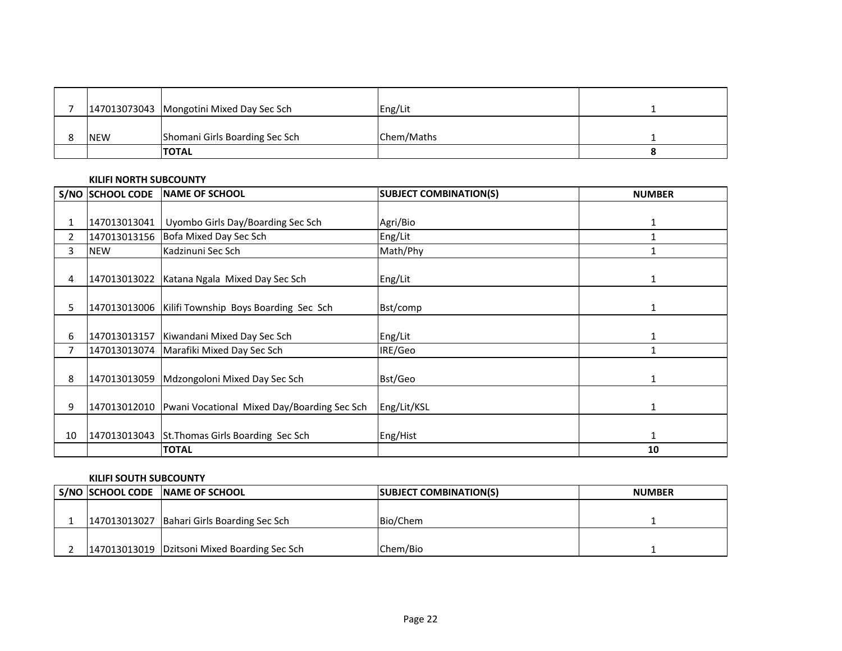|            | 147013073043 Mongotini Mixed Day Sec Sch | Eng/Lit    |  |
|------------|------------------------------------------|------------|--|
| <b>NEW</b> | Shomani Girls Boarding Sec Sch           | Chem/Maths |  |
|            | <b>TOTAL</b>                             |            |  |

### **KILIFI NORTH SUBCOUNTY**

|                | <b>S/NO SCHOOL CODE</b> | <b>INAME OF SCHOOL</b>                               | <b>SUBJECT COMBINATION(S)</b> | <b>NUMBER</b> |
|----------------|-------------------------|------------------------------------------------------|-------------------------------|---------------|
|                |                         |                                                      |                               |               |
|                | 147013013041            | Uyombo Girls Day/Boarding Sec Sch                    | Agri/Bio                      | 1             |
| $\overline{2}$ | 147013013156            | Bofa Mixed Day Sec Sch                               | Eng/Lit                       | 1             |
| 3              | <b>NEW</b>              | Kadzinuni Sec Sch                                    | Math/Phy                      | 1             |
|                |                         |                                                      |                               |               |
| 4              | 147013013022            | Katana Ngala Mixed Day Sec Sch                       | Eng/Lit                       | 1             |
|                |                         |                                                      |                               |               |
| 5              |                         | 147013013006   Kilifi Township Boys Boarding Sec Sch | Bst/comp                      | 1             |
|                |                         |                                                      |                               |               |
| 6              |                         | 147013013157 Kiwandani Mixed Day Sec Sch             | Eng/Lit                       | 1             |
|                | 147013013074            | Marafiki Mixed Day Sec Sch                           | IRE/Geo                       | 1             |
|                |                         |                                                      |                               |               |
| 8              | 147013013059            | Mdzongoloni Mixed Day Sec Sch                        | Bst/Geo                       | 1             |
|                |                         |                                                      |                               |               |
| 9              | 147013012010            | Pwani Vocational Mixed Day/Boarding Sec Sch          | Eng/Lit/KSL                   | 1             |
|                |                         |                                                      |                               |               |
| 10             | 147013013043            | St. Thomas Girls Boarding Sec Sch                    | Eng/Hist                      | 1             |
|                |                         | <b>TOTAL</b>                                         |                               | 10            |

## **KILIFI SOUTH SUBCOUNTY**

|  | S/NO SCHOOL CODE NAME OF SCHOOL              | <b>SUBJECT COMBINATION(S)</b> | <b>NUMBER</b> |
|--|----------------------------------------------|-------------------------------|---------------|
|  |                                              |                               |               |
|  | 147013013027 Bahari Girls Boarding Sec Sch   | Bio/Chem                      |               |
|  |                                              |                               |               |
|  | 147013013019 Dzitsoni Mixed Boarding Sec Sch | Chem/Bio                      |               |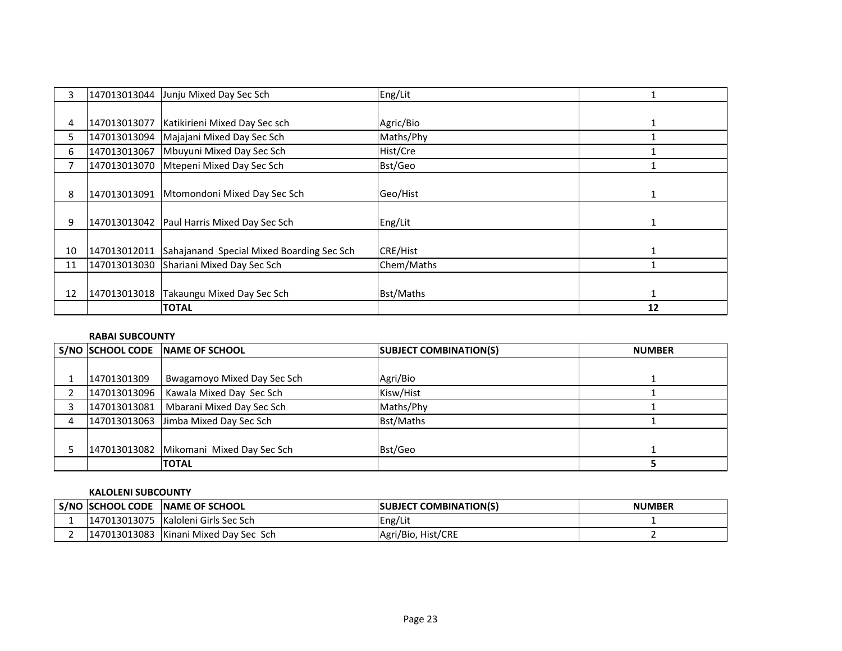|    |              | 147013013044 Junju Mixed Day Sec Sch       | Eng/Lit          |    |
|----|--------------|--------------------------------------------|------------------|----|
|    |              |                                            |                  |    |
| 4  | 147013013077 | Katikirieni Mixed Day Sec sch              | Agric/Bio        |    |
| 5. |              | 147013013094 Majajani Mixed Day Sec Sch    | Maths/Phy        |    |
| 6  | 147013013067 | Mbuyuni Mixed Day Sec Sch                  | Hist/Cre         |    |
|    | 147013013070 | Mtepeni Mixed Day Sec Sch                  | Bst/Geo          |    |
|    |              |                                            |                  |    |
| 8  | 147013013091 | Mtomondoni Mixed Day Sec Sch               | Geo/Hist         |    |
|    |              |                                            |                  |    |
| 9  |              | 147013013042 Paul Harris Mixed Day Sec Sch | Eng/Lit          |    |
|    |              |                                            |                  |    |
| 10 | 147013012011 | Sahajanand Special Mixed Boarding Sec Sch  | <b>CRE/Hist</b>  |    |
| 11 |              | 147013013030 Shariani Mixed Day Sec Sch    | Chem/Maths       |    |
|    |              |                                            |                  |    |
| 12 | 147013013018 | Takaungu Mixed Day Sec Sch                 | <b>Bst/Maths</b> | 1  |
|    |              | <b>TOTAL</b>                               |                  | 12 |

# **RABAI SUBCOUNTY**

|             | S/NO SCHOOL CODE NAME OF SCHOOL          | <b>SUBJECT COMBINATION(S)</b> | <b>NUMBER</b> |
|-------------|------------------------------------------|-------------------------------|---------------|
|             |                                          |                               |               |
| 14701301309 | <b>Bwagamoyo Mixed Day Sec Sch</b>       | Agri/Bio                      |               |
|             | 147013013096   Kawala Mixed Day Sec Sch  | Kisw/Hist                     |               |
|             | 147013013081   Mbarani Mixed Day Sec Sch | Maths/Phy                     |               |
|             | 147013013063 Jimba Mixed Day Sec Sch     | <b>Bst/Maths</b>              |               |
|             |                                          |                               |               |
|             | 147013013082 Mikomani Mixed Day Sec Sch  | Bst/Geo                       |               |
|             | <b>TOTAL</b>                             |                               |               |

# **KALOLENI SUBCOUNTY**

| <b>S/NO SCHOOL CODE</b> | <b>INAME OF SCHOOL</b>   | <b>COMBINATION(S)</b><br>ISUBJECT | <b>NUMBER</b> |
|-------------------------|--------------------------|-----------------------------------|---------------|
| 147013013075            | Kaloleni Girls Sec Sch   | Eng/Lit                           |               |
| 147013013083            | Kinani Mixed Day Sec Sch | Agri/Bio, Hist/CRE                |               |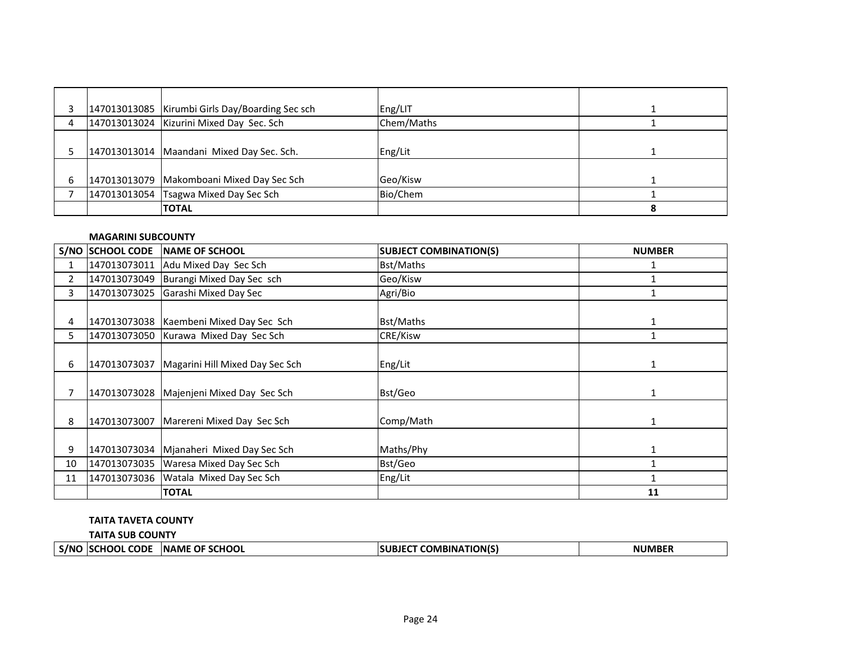|   | 147013013085   Kirumbi Girls Day/Boarding Sec sch | Eng/LIT    |  |
|---|---------------------------------------------------|------------|--|
| 4 | 147013013024 Kizurini Mixed Day Sec. Sch          | Chem/Maths |  |
|   |                                                   |            |  |
|   | 147013013014   Maandani Mixed Day Sec. Sch.       | Eng/Lit    |  |
|   |                                                   |            |  |
| 6 | 147013013079 Makomboani Mixed Day Sec Sch         | Geo/Kisw   |  |
|   | 147013013054 Tsagwa Mixed Day Sec Sch             | Bio/Chem   |  |
|   | <b>TOTAL</b>                                      |            |  |

# **MAGARINI SUBCOUNTY**

|                | S/NO SCHOOL CODE | <b>INAME OF SCHOOL</b>                | <b>SUBJECT COMBINATION(S)</b> | <b>NUMBER</b> |
|----------------|------------------|---------------------------------------|-------------------------------|---------------|
| 1              | 147013073011     | Adu Mixed Day Sec Sch                 | Bst/Maths                     |               |
| $\overline{2}$ | 147013073049     | Burangi Mixed Day Sec sch             | Geo/Kisw                      |               |
| 3              | 147013073025     | Garashi Mixed Day Sec                 | Agri/Bio                      |               |
|                |                  |                                       |                               |               |
| 4              | 147013073038     | Kaembeni Mixed Day Sec Sch            | <b>Bst/Maths</b>              |               |
| 5.             | 147013073050     | Kurawa Mixed Day Sec Sch              | CRE/Kisw                      |               |
|                |                  |                                       |                               |               |
| 6              | 147013073037     | Magarini Hill Mixed Day Sec Sch       | Eng/Lit                       |               |
|                |                  |                                       |                               |               |
|                | 147013073028     | Majenjeni Mixed Day Sec Sch           | Bst/Geo                       |               |
|                |                  |                                       |                               |               |
| 8              | 147013073007     | Marereni Mixed Day Sec Sch            | Comp/Math                     | 1             |
|                |                  |                                       |                               |               |
| 9              | 147013073034     | Mjanaheri Mixed Day Sec Sch           | Maths/Phy                     | 1             |
| 10             |                  | 147013073035 Waresa Mixed Day Sec Sch | Bst/Geo                       |               |
| 11             | 147013073036     | Watala Mixed Day Sec Sch              | Eng/Lit                       |               |
|                |                  | <b>TOTAL</b>                          |                               | 11            |

# **TAITA TAVETA COUNTY**

**TAITA SUB COUNTY**

|  | S/NC | CODE<br>CHOOL | <b>OF SCHOOL</b><br><b>INAME</b> | TION(S)<br>3INA<br>JMP | ----<br>NI |
|--|------|---------------|----------------------------------|------------------------|------------|
|--|------|---------------|----------------------------------|------------------------|------------|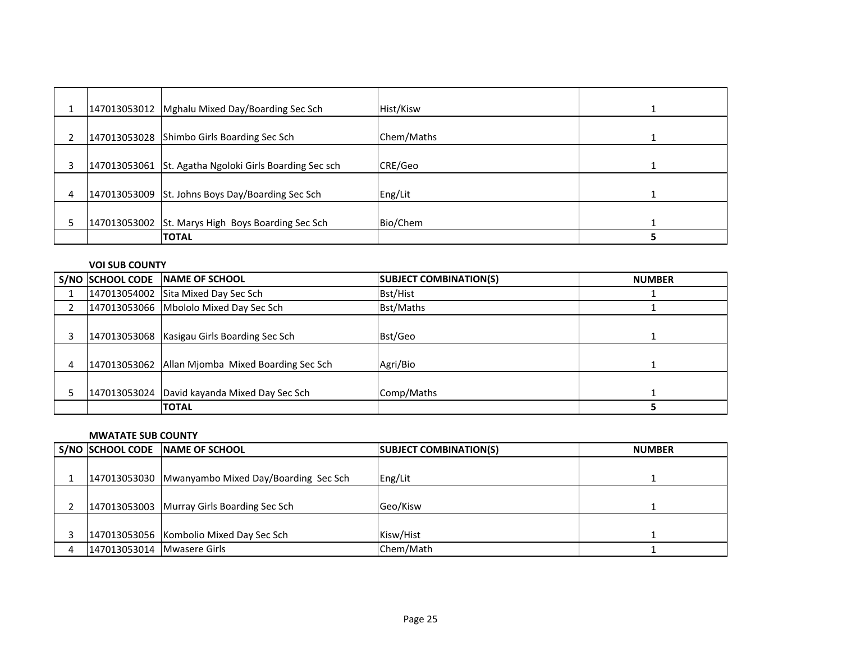|   | 147013053012 Mghalu Mixed Day/Boarding Sec Sch         | Hist/Kisw  |  |
|---|--------------------------------------------------------|------------|--|
|   | 147013053028 Shimbo Girls Boarding Sec Sch             | Chem/Maths |  |
| 3 | 147013053061 St. Agatha Ngoloki Girls Boarding Sec sch | CRE/Geo    |  |
| 4 | 147013053009 St. Johns Boys Day/Boarding Sec Sch       | Eng/Lit    |  |
|   | 147013053002 St. Marys High Boys Boarding Sec Sch      | Bio/Chem   |  |
|   | <b>TOTAL</b>                                           |            |  |

# **VOI SUB COUNTY**

|   | <b>S/NO SCHOOL CODE</b> | <b>NAME OF SCHOOL</b>                            | <b>SUBJECT COMBINATION(S)</b> | <b>NUMBER</b> |
|---|-------------------------|--------------------------------------------------|-------------------------------|---------------|
|   |                         | 147013054002 Sita Mixed Day Sec Sch              | Bst/Hist                      |               |
|   |                         | 147013053066 Mbololo Mixed Day Sec Sch           | <b>Bst/Maths</b>              |               |
|   |                         | 147013053068   Kasigau Girls Boarding Sec Sch    | Bst/Geo                       |               |
| 4 |                         | 147013053062 Allan Mjomba Mixed Boarding Sec Sch | Agri/Bio                      |               |
|   |                         | 147013053024   David kayanda Mixed Day Sec Sch   | Comp/Maths                    |               |
|   |                         | <b>TOTAL</b>                                     |                               |               |

### **MWATATE SUB COUNTY**

|                            | S/NO SCHOOL CODE NAME OF SCHOOL                   | <b>SUBJECT COMBINATION(S)</b> | <b>NUMBER</b> |
|----------------------------|---------------------------------------------------|-------------------------------|---------------|
|                            | 147013053030 Mwanyambo Mixed Day/Boarding Sec Sch | Eng/Lit                       |               |
|                            | 147013053003 Murray Girls Boarding Sec Sch        | Geo/Kisw                      |               |
|                            | 147013053056 Kombolio Mixed Day Sec Sch           | Kisw/Hist                     |               |
| 147013053014 Mwasere Girls |                                                   | Chem/Math                     |               |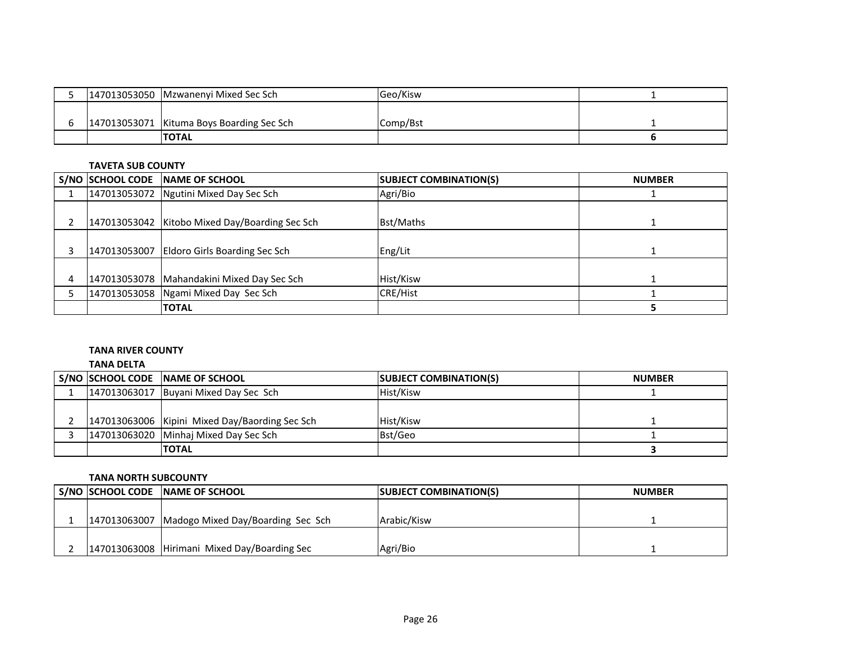|  | 147013053050 Mzwanenyi Mixed Sec Sch      | Geo/Kisw |  |
|--|-------------------------------------------|----------|--|
|  | 147013053071 Kituma Boys Boarding Sec Sch | Comp/Bst |  |
|  |                                           |          |  |
|  | <b>TOTAL</b>                              |          |  |

## **TAVETA SUB COUNTY**

|   | S/NO SCHOOL CODE NAME OF SCHOOL                | <b>SUBJECT COMBINATION(S)</b> | <b>NUMBER</b> |
|---|------------------------------------------------|-------------------------------|---------------|
|   | 147013053072 Ngutini Mixed Day Sec Sch         | Agri/Bio                      |               |
|   | 147013053042 Kitobo Mixed Day/Boarding Sec Sch | Bst/Maths                     |               |
|   | 147013053007 Eldoro Girls Boarding Sec Sch     | Eng/Lit                       |               |
| 4 | 147013053078   Mahandakini Mixed Day Sec Sch   | Hist/Kisw                     |               |
|   | 147013053058 Ngami Mixed Day Sec Sch           | CRE/Hist                      |               |
|   | <b>TOTAL</b>                                   |                               |               |

# **TANA RIVER COUNTY**

**TANA DELTA**

|  | S/NO SCHOOL CODE NAME OF SCHOOL                | <b>SUBJECT COMBINATION(S)</b> | <b>NUMBER</b> |
|--|------------------------------------------------|-------------------------------|---------------|
|  | 147013063017 Buyani Mixed Day Sec Sch          | Hist/Kisw                     |               |
|  |                                                |                               |               |
|  | 147013063006 Kipini Mixed Day/Baording Sec Sch | Hist/Kisw                     |               |
|  | 147013063020 Minhaj Mixed Day Sec Sch          | Bst/Geo                       |               |
|  | <b>TOTAL</b>                                   |                               |               |

# **TANA NORTH SUBCOUNTY**

|  | S/NO SCHOOL CODE NAME OF SCHOOL                | <b>SUBJECT COMBINATION(S)</b> | <b>NUMBER</b> |
|--|------------------------------------------------|-------------------------------|---------------|
|  |                                                |                               |               |
|  | 147013063007 Madogo Mixed Day/Boarding Sec Sch | Arabic/Kisw                   |               |
|  |                                                |                               |               |
|  | 147013063008 Hirimani Mixed Day/Boarding Sec   | Agri/Bio                      |               |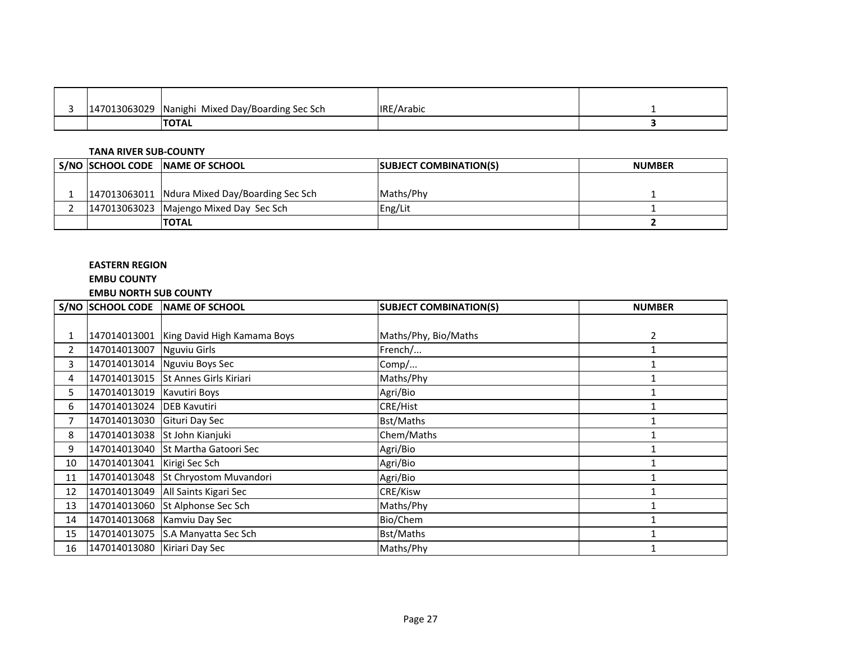| 13063029<br>$1470^{\circ}$ | Nanighi Mixed Day/Boarding Sec Sch | <b>IRE/Arabic</b> |  |
|----------------------------|------------------------------------|-------------------|--|
|                            | <b>TOTAL</b>                       |                   |  |

## **TANA RIVER SUB-COUNTY**

|  | S/NO SCHOOL CODE NAME OF SCHOOL               | <b>SUBJECT COMBINATION(S)</b> | <b>NUMBER</b> |
|--|-----------------------------------------------|-------------------------------|---------------|
|  |                                               |                               |               |
|  | 147013063011 Ndura Mixed Day/Boarding Sec Sch | lMaths/Phy                    |               |
|  | 147013063023 Majengo Mixed Day Sec Sch        | Eng/Lit                       |               |
|  | <b>TOTAL</b>                                  |                               |               |

# **EASTERN REGION**

# **EMBU COUNTY**

# **EMBU NORTH SUB COUNTY**

|    | S/NO SCHOOL CODE             | <b>INAME OF SCHOOL</b>        | <b>SUBJECT COMBINATION(S)</b> | <b>NUMBER</b> |
|----|------------------------------|-------------------------------|-------------------------------|---------------|
|    |                              |                               |                               |               |
|    | 147014013001                 | King David High Kamama Boys   | Maths/Phy, Bio/Maths          | 2             |
| 2  | 147014013007                 | <b>Nguviu Girls</b>           | French/                       |               |
| 3  |                              | 147014013014 Nguviu Boys Sec  | Comp/                         |               |
| 4  | 147014013015                 | <b>St Annes Girls Kiriari</b> | Maths/Phy                     |               |
| 5. | 147014013019                 | Kavutiri Boys                 | Agri/Bio                      |               |
| 6  | 147014013024 DEB Kavutiri    |                               | <b>CRE/Hist</b>               |               |
|    | 147014013030                 | Gituri Day Sec                | <b>Bst/Maths</b>              |               |
| 8  |                              | 147014013038 St John Kianjuki | Chem/Maths                    |               |
| 9  | 147014013040                 | St Martha Gatoori Sec         | Agri/Bio                      |               |
| 10 | 147014013041                 | Kirigi Sec Sch                | Agri/Bio                      |               |
| 11 | 147014013048                 | St Chryostom Muvandori        | Agri/Bio                      |               |
| 12 | 147014013049                 | All Saints Kigari Sec         | CRE/Kisw                      |               |
| 13 | 147014013060                 | St Alphonse Sec Sch           | Maths/Phy                     |               |
| 14 | 147014013068                 | Kamviu Day Sec                | Bio/Chem                      |               |
| 15 | 147014013075                 | S.A Manyatta Sec Sch          | Bst/Maths                     |               |
| 16 | 147014013080 Kiriari Day Sec |                               | Maths/Phy                     |               |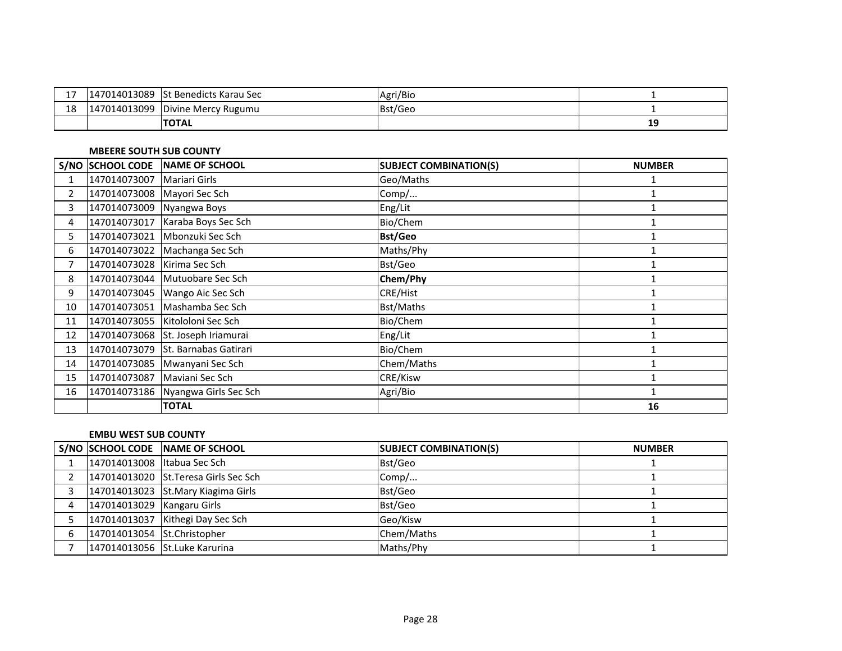|    | 7014013089<br>$1470^{\circ}$ | <b>St Benedicts Karau Sec</b> | Agri/Bio |    |
|----|------------------------------|-------------------------------|----------|----|
| ΨO | 7014013099<br>$1470^{\circ}$ | Divine Mercy Rugumu           | Bst/Geo  |    |
|    |                              | <b>TOTAL</b>                  |          | -- |

### **MBEERE SOUTH SUB COUNTY**

|                | <b>S/NO SCHOOL CODE</b>     | NAME OF SCHOOL                     | <b>SUBJECT COMBINATION(S)</b> | <b>NUMBER</b> |
|----------------|-----------------------------|------------------------------------|-------------------------------|---------------|
| 1              | 147014073007                | Mariari Girls                      | Geo/Maths                     |               |
| $\overline{2}$ | 147014073008 Mayori Sec Sch |                                    | Comp/                         |               |
| 3              | 147014073009                | Nyangwa Boys                       | Eng/Lit                       |               |
| 4              | 147014073017                | Karaba Boys Sec Sch                | Bio/Chem                      |               |
| 5.             | 147014073021                | Mbonzuki Sec Sch                   | <b>Bst/Geo</b>                |               |
| 6              | 147014073022                | Machanga Sec Sch                   | Maths/Phy                     |               |
| 7              | 147014073028                | Kirima Sec Sch                     | Bst/Geo                       |               |
| 8              |                             | 147014073044 Mutuobare Sec Sch     | Chem/Phy                      |               |
| 9              | 147014073045                | Wango Aic Sec Sch                  | <b>CRE/Hist</b>               |               |
| 10             | 147014073051                | Mashamba Sec Sch                   | <b>Bst/Maths</b>              |               |
| 11             |                             | 147014073055 Kitololoni Sec Sch    | Bio/Chem                      |               |
| 12             | 147014073068                | St. Joseph Iriamurai               | Eng/Lit                       |               |
| 13             | 147014073079                | St. Barnabas Gatirari              | Bio/Chem                      |               |
| 14             | 147014073085                | Mwanyani Sec Sch                   | Chem/Maths                    |               |
| 15             | 147014073087                | Maviani Sec Sch                    | CRE/Kisw                      |               |
| 16             |                             | 147014073186 Nyangwa Girls Sec Sch | Agri/Bio                      |               |
|                |                             | <b>TOTAL</b>                       |                               | 16            |

#### **EMBU WEST SUB COUNTY**

|   |                             | S/NO SCHOOL CODE NAME OF SCHOOL       | <b>ISUBJECT COMBINATION(S)</b> | <b>NUMBER</b> |
|---|-----------------------------|---------------------------------------|--------------------------------|---------------|
|   | 147014013008 Itabua Sec Sch |                                       | Bst/Geo                        |               |
|   |                             | 147014013020 St. Teresa Girls Sec Sch | Comp/                          |               |
|   |                             | 147014013023 St. Mary Kiagima Girls   | Bst/Geo                        |               |
|   | 147014013029 Kangaru Girls  |                                       | Bst/Geo                        |               |
|   |                             | 147014013037 Kithegi Day Sec Sch      | Geo/Kisw                       |               |
| 6 | 147014013054 St.Christopher |                                       | Chem/Maths                     |               |
|   |                             | 147014013056 St.Luke Karurina         | Maths/Phy                      |               |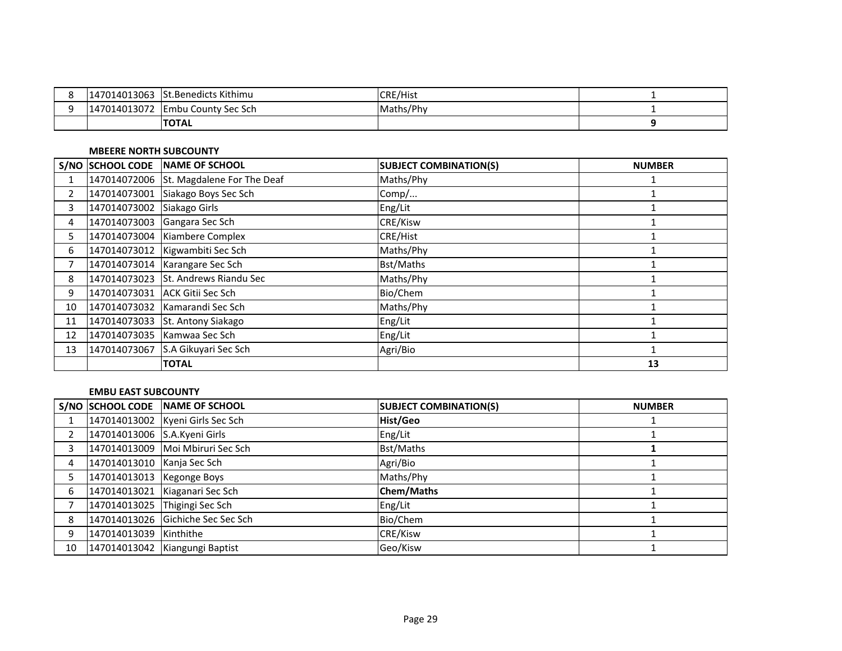| 147014013063      | <b>St.Benedicts Kithimu</b> | <b>CRE/Hist</b> |  |
|-------------------|-----------------------------|-----------------|--|
| 14013072<br>14701 | <b>Embu County Sec Sch</b>  | Maths/Phy       |  |
|                   | <b>ITOTAL</b>               |                 |  |

## **MBEERE NORTH SUBCOUNTY**

|                | S/NO SCHOOL CODE | NAME OF SCHOOL                          | <b>SUBJECT COMBINATION(S)</b> | <b>NUMBER</b> |
|----------------|------------------|-----------------------------------------|-------------------------------|---------------|
|                |                  | 147014072006 St. Magdalene For The Deaf | Maths/Phy                     |               |
| $\overline{2}$ | 147014073001     | Siakago Boys Sec Sch                    | Comp/                         |               |
| 3              | 147014073002     | Siakago Girls                           | Eng/Lit                       |               |
| 4              |                  | 147014073003 Gangara Sec Sch            | CRE/Kisw                      |               |
| 5.             |                  | 147014073004 Kiambere Complex           | <b>CRE/Hist</b>               |               |
| 6              |                  | 147014073012 Kigwambiti Sec Sch         | Maths/Phy                     |               |
|                |                  | 147014073014   Karangare Sec Sch        | Bst/Maths                     |               |
| 8              |                  | 147014073023 St. Andrews Riandu Sec     | Maths/Phy                     |               |
| 9              |                  | 147014073031 ACK Gitii Sec Sch          | Bio/Chem                      |               |
| 10             |                  | 147014073032 Kamarandi Sec Sch          | Maths/Phy                     |               |
| 11             |                  | 147014073033 St. Antony Siakago         | Eng/Lit                       |               |
| 12             |                  | 147014073035   Kamwaa Sec Sch           | Eng/Lit                       |               |
| 13             | 147014073067     | S.A Gikuyari Sec Sch                    | Agri/Bio                      |               |
|                |                  | <b>TOTAL</b>                            |                               | 13            |

### **EMBU EAST SUBCOUNTY**

|    |                              | S/NO SCHOOL CODE NAME OF SCHOOL   | <b>SUBJECT COMBINATION(S)</b> | <b>NUMBER</b> |
|----|------------------------------|-----------------------------------|-------------------------------|---------------|
|    |                              | 147014013002 Kyeni Girls Sec Sch  | Hist/Geo                      |               |
|    | 147014013006 S.A.Kyeni Girls |                                   | Eng/Lit                       |               |
|    |                              | 147014013009 Moi Mbiruri Sec Sch  | <b>Bst/Maths</b>              |               |
| 4  | 147014013010 Kanja Sec Sch   |                                   | Agri/Bio                      |               |
|    | 147014013013   Kegonge Boys  |                                   | Maths/Phy                     |               |
| 6  |                              | 147014013021 Kiaganari Sec Sch    | <b>Chem/Maths</b>             |               |
|    |                              | 147014013025 Thigingi Sec Sch     | Eng/Lit                       |               |
| 8  |                              | 147014013026 Gichiche Sec Sec Sch | Bio/Chem                      |               |
| 9  | 147014013039 Kinthithe       |                                   | CRE/Kisw                      |               |
| 10 |                              | 147014013042 Kiangungi Baptist    | Geo/Kisw                      |               |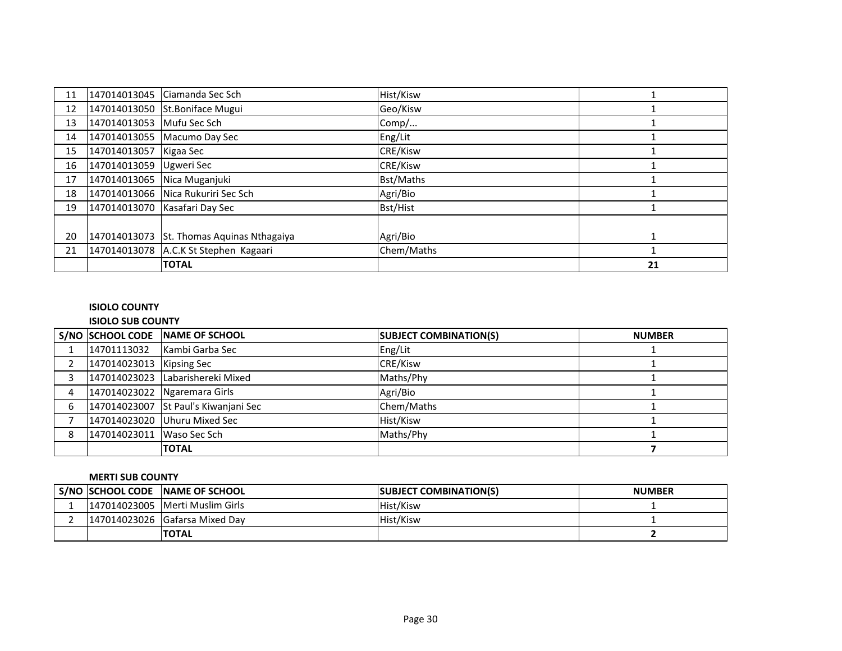| 11 | 147014013045 | Ciamanda Sec Sch                      | Hist/Kisw  |    |
|----|--------------|---------------------------------------|------------|----|
| 12 |              | 147014013050 St.Boniface Mugui        | Geo/Kisw   |    |
| 13 | 147014013053 | Mufu Sec Sch                          | Comp/      |    |
| 14 |              | 147014013055 Macumo Day Sec           | Eng/Lit    |    |
| 15 | 147014013057 | Kigaa Sec                             | CRE/Kisw   |    |
| 16 | 147014013059 | <b>Ugweri Sec</b>                     | CRE/Kisw   |    |
| 17 | 147014013065 | Nica Muganjuki                        | Bst/Maths  |    |
| 18 |              | 147014013066 Nica Rukuriri Sec Sch    | Agri/Bio   |    |
| 19 | 147014013070 | Kasafari Day Sec                      | Bst/Hist   |    |
|    |              |                                       |            |    |
| 20 | 147014013073 | St. Thomas Aquinas Nthagaiya          | Agri/Bio   |    |
| 21 |              | 147014013078 A.C.K St Stephen Kagaari | Chem/Maths |    |
|    |              | <b>TOTAL</b>                          |            | 21 |

# **ISIOLO COUNTY**

# **ISIOLO SUB COUNTY**

|   |                           | S/NO SCHOOL CODE NAME OF SCHOOL      | <b>SUBJECT COMBINATION(S)</b> | <b>NUMBER</b> |
|---|---------------------------|--------------------------------------|-------------------------------|---------------|
|   | 14701113032               | Kambi Garba Sec                      | Eng/Lit                       |               |
|   | 147014023013 Kipsing Sec  |                                      | <b>CRE/Kisw</b>               |               |
|   |                           | 147014023023 Labarishereki Mixed     | Maths/Phy                     |               |
| 4 |                           | 147014023022 Ngaremara Girls         | Agri/Bio                      |               |
| 6 |                           | 147014023007 St Paul's Kiwanjani Sec | Chem/Maths                    |               |
|   |                           | 147014023020 Uhuru Mixed Sec         | Hist/Kisw                     |               |
| 8 | 147014023011 Waso Sec Sch |                                      | Maths/Phy                     |               |
|   |                           | <b>TOTAL</b>                         |                               |               |

# **MERTI SUB COUNTY**

|  | S/NO SCHOOL CODE NAME OF SCHOOL | <b>ISUBJECT COMBINATION(S)</b> | <b>NUMBER</b> |
|--|---------------------------------|--------------------------------|---------------|
|  | 147014023005 Merti Muslim Girls | Hist/Kisw                      |               |
|  | 147014023026 Gafarsa Mixed Day  | Hist/Kisw                      |               |
|  | <b>TOTAL</b>                    |                                |               |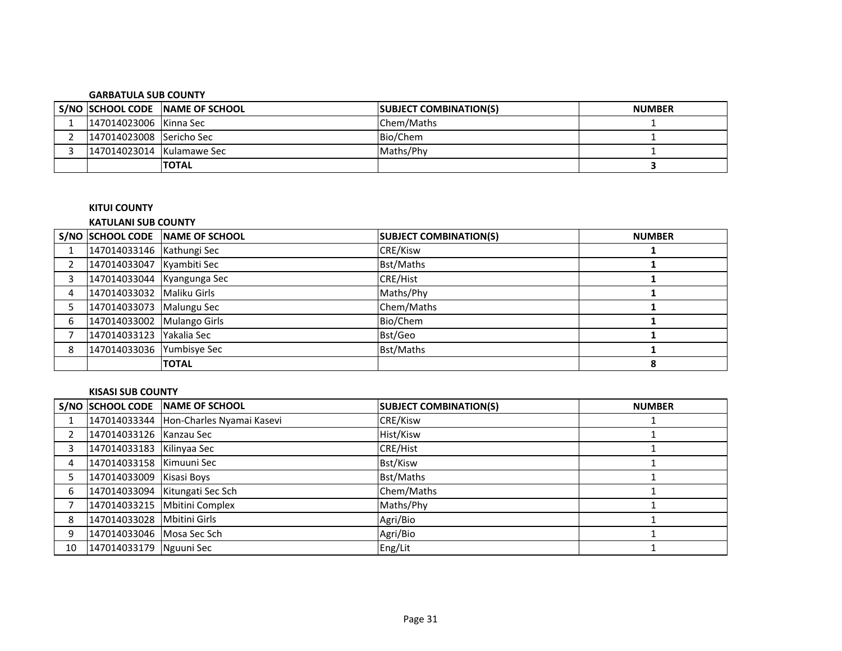#### **GARBATULA SUB COUNTY**

|                            | S/NO SCHOOL CODE NAME OF SCHOOL | <b>SUBJECT COMBINATION(S)</b> | <b>NUMBER</b> |
|----------------------------|---------------------------------|-------------------------------|---------------|
| 147014023006 Kinna Sec     |                                 | Chem/Maths                    |               |
| 147014023008 Sericho Sec   |                                 | Bio/Chem                      |               |
| [147014023014 Kulamawe Sec |                                 | Maths/Phy                     |               |
|                            | <b>TOTAL</b>                    |                               |               |

# **KITUI COUNTY**

# **KATULANI SUB COUNTY**

|   |                            | S/NO SCHOOL CODE NAME OF SCHOOL | <b>SUBJECT COMBINATION(S)</b> | <b>NUMBER</b> |
|---|----------------------------|---------------------------------|-------------------------------|---------------|
|   | 147014033146 Kathungi Sec  |                                 | CRE/Kisw                      |               |
|   | 147014033047 Kyambiti Sec  |                                 | <b>Bst/Maths</b>              |               |
|   | 147014033044 Kyangunga Sec |                                 | CRE/Hist                      |               |
| 4 | 147014033032 Maliku Girls  |                                 | Maths/Phy                     |               |
|   | 147014033073 Malungu Sec   |                                 | Chem/Maths                    |               |
| 6 | 147014033002 Mulango Girls |                                 | Bio/Chem                      |               |
|   | 147014033123 Yakalia Sec   |                                 | Bst/Geo                       |               |
| 8 | 147014033036 Yumbisye Sec  |                                 | <b>Bst/Maths</b>              |               |
|   |                            | <b>TOTAL</b>                    |                               | 8             |

### **KISASI SUB COUNTY**

|    |                            | S/NO SCHOOL CODE NAME OF SCHOOL        | <b>SUBJECT COMBINATION(S)</b> | <b>NUMBER</b> |
|----|----------------------------|----------------------------------------|-------------------------------|---------------|
|    |                            | 147014033344 Hon-Charles Nyamai Kasevi | CRE/Kisw                      |               |
|    | 147014033126 Kanzau Sec    |                                        | Hist/Kisw                     |               |
|    | 147014033183 Kilinyaa Sec  |                                        | <b>CRE/Hist</b>               |               |
| 4  | 147014033158 Kimuuni Sec   |                                        | Bst/Kisw                      |               |
|    | 147014033009 Kisasi Boys   |                                        | Bst/Maths                     |               |
| 6  |                            | 147014033094   Kitungati Sec Sch       | Chem/Maths                    |               |
|    |                            | 147014033215 Mbitini Complex           | Maths/Phy                     |               |
| 8  | 147014033028 Mbitini Girls |                                        | Agri/Bio                      |               |
| 9  | 147014033046 Mosa Sec Sch  |                                        | Agri/Bio                      |               |
| 10 | 147014033179 Nguuni Sec    |                                        | Eng/Lit                       |               |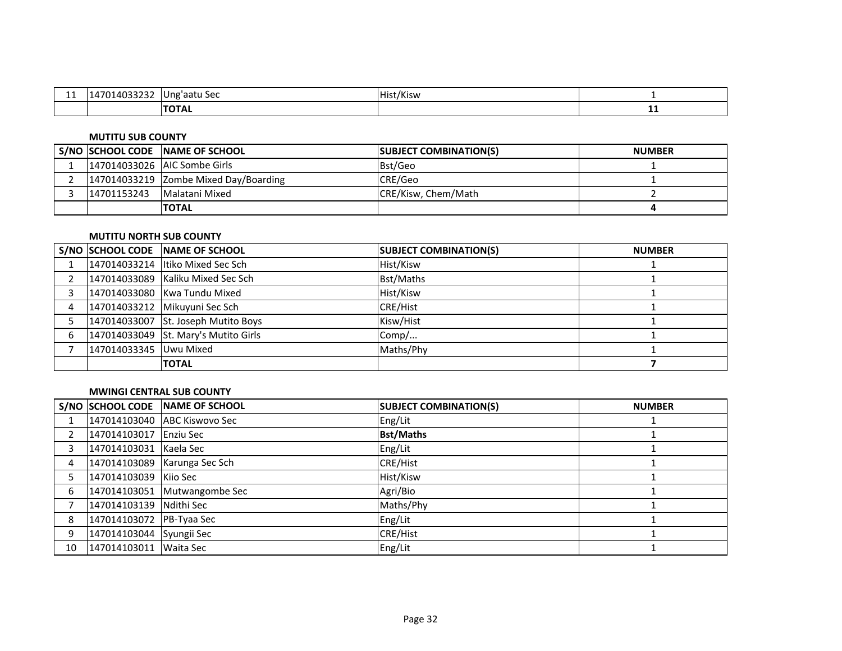| . .<br>. | .<br>ا 1⁄2<br>rujjzjz | - Ung'aatu Sec | .<br>.<br>Hist/Kisw |     |
|----------|-----------------------|----------------|---------------------|-----|
|          |                       | <b>TOTAL</b>   |                     | . . |

#### **MUTITU SUB COUNTY**

|             | S/NO SCHOOL CODE NAME OF SCHOOL       | <b>ISUBJECT COMBINATION(S)</b> | <b>NUMBER</b> |
|-------------|---------------------------------------|--------------------------------|---------------|
|             | 147014033026 IAIC Sombe Girls         | Bst/Geo                        |               |
|             | 147014033219 Zombe Mixed Day/Boarding | CRE/Geo                        |               |
| 14701153243 | Malatani Mixed                        | CRE/Kisw, Chem/Math            |               |
|             | <b>ITOTAL</b>                         |                                |               |

## **MUTITU NORTH SUB COUNTY**

|   |                        | S/NO SCHOOL CODE NAME OF SCHOOL      | <b>SUBJECT COMBINATION(S)</b> | <b>NUMBER</b> |
|---|------------------------|--------------------------------------|-------------------------------|---------------|
|   |                        | 147014033214 Itiko Mixed Sec Sch     | Hist/Kisw                     |               |
|   |                        | 147014033089 Kaliku Mixed Sec Sch    | <b>Bst/Maths</b>              |               |
|   |                        | 147014033080 Kwa Tundu Mixed         | Hist/Kisw                     |               |
| 4 |                        | 147014033212 Mikuyuni Sec Sch        | <b>CRE/Hist</b>               |               |
|   |                        | 147014033007 St. Joseph Mutito Boys  | Kisw/Hist                     |               |
| 6 |                        | 147014033049 St. Mary's Mutito Girls | Comp/                         |               |
|   | 147014033345 Uwu Mixed |                                      | Maths/Phy                     |               |
|   |                        | <b>TOTAL</b>                         |                               |               |

# **MWINGI CENTRAL SUB COUNTY**

|                |                          | S/NO SCHOOL CODE NAME OF SCHOOL | <b>SUBJECT COMBINATION(S)</b> | <b>NUMBER</b> |
|----------------|--------------------------|---------------------------------|-------------------------------|---------------|
|                |                          | 147014103040 ABC Kiswovo Sec    | Eng/Lit                       |               |
| $\overline{2}$ | 147014103017 Enziu Sec   |                                 | <b>Bst/Maths</b>              |               |
|                | 147014103031 Kaela Sec   |                                 | Eng/Lit                       |               |
| 4              |                          | 147014103089 Karunga Sec Sch    | <b>CRE/Hist</b>               |               |
|                | 147014103039 Kiio Sec    |                                 | Hist/Kisw                     |               |
| 6              |                          | 147014103051 Mutwangombe Sec    | Agri/Bio                      |               |
|                | 147014103139 Ndithi Sec  |                                 | Maths/Phy                     |               |
| 8              | 147014103072 PB-Tyaa Sec |                                 | Eng/Lit                       |               |
| 9              | 147014103044 Syungii Sec |                                 | <b>CRE/Hist</b>               |               |
| 10             | 147014103011 Waita Sec   |                                 | Eng/Lit                       |               |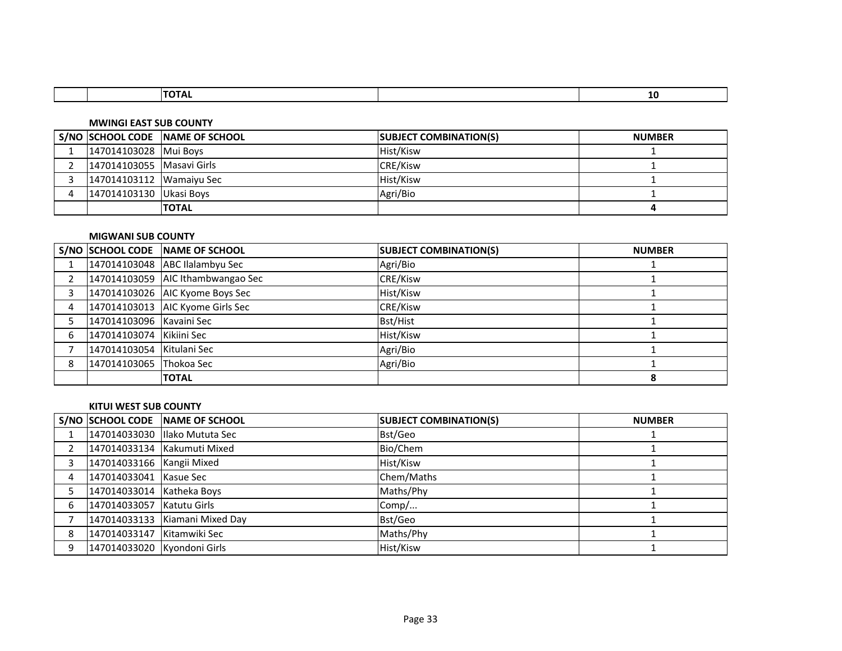|  |  | -14 |
|--|--|-----|
|  |  |     |

#### **MWINGI EAST SUB COUNTY**

|                           | S/NO SCHOOL CODE NAME OF SCHOOL | <b>SUBJECT COMBINATION(S)</b> | <b>NUMBER</b> |
|---------------------------|---------------------------------|-------------------------------|---------------|
| 147014103028 Mui Boys     |                                 | Hist/Kisw                     |               |
| 147014103055 Masavi Girls |                                 | <b>CRE/Kisw</b>               |               |
| 147014103112 Wamaiyu Sec  |                                 | Hist/Kisw                     |               |
| 147014103130   Ukasi Boys |                                 | Agri/Bio                      |               |
|                           | <b>ITOTAL</b>                   |                               |               |

## **MIGWANI SUB COUNTY**

|   |                           | S/NO SCHOOL CODE NAME OF SCHOOL    | <b>SUBJECT COMBINATION(S)</b> | <b>NUMBER</b> |
|---|---------------------------|------------------------------------|-------------------------------|---------------|
|   |                           | 147014103048 ABC Ilalambyu Sec     | Agri/Bio                      |               |
| 2 |                           | 147014103059 AIC Ithambwangao Sec  | <b>CRE/Kisw</b>               |               |
| 3 |                           | 147014103026 AIC Kyome Boys Sec    | Hist/Kisw                     |               |
| 4 |                           | 147014103013   AIC Kyome Girls Sec | CRE/Kisw                      |               |
|   | 147014103096 Kavaini Sec  |                                    | <b>Bst/Hist</b>               |               |
| 6 | 147014103074 Kikiini Sec  |                                    | Hist/Kisw                     |               |
|   | 147014103054 Kitulani Sec |                                    | Agri/Bio                      |               |
| 8 | 147014103065 Thokoa Sec   |                                    | Agri/Bio                      |               |
|   |                           | <b>TOTAL</b>                       |                               |               |

#### **KITUI WEST SUB COUNTY**

|   |                             | S/NO SCHOOL CODE NAME OF SCHOOL | <b>SUBJECT COMBINATION(S)</b> | <b>NUMBER</b> |
|---|-----------------------------|---------------------------------|-------------------------------|---------------|
|   |                             | 147014033030 Illako Mututa Sec  | Bst/Geo                       |               |
|   |                             | 147014033134 Kakumuti Mixed     | Bio/Chem                      |               |
|   | 147014033166 Kangii Mixed   |                                 | Hist/Kisw                     |               |
|   | 147014033041 Kasue Sec      |                                 | Chem/Maths                    |               |
|   | 147014033014 Katheka Boys   |                                 | Maths/Phy                     |               |
| 6 | 147014033057   Katutu Girls |                                 | Comp/                         |               |
|   |                             | 147014033133 Kiamani Mixed Day  | Bst/Geo                       |               |
| 8 | 147014033147 Kitamwiki Sec  |                                 | Maths/Phy                     |               |
| 9 | 147014033020 Kyondoni Girls |                                 | Hist/Kisw                     |               |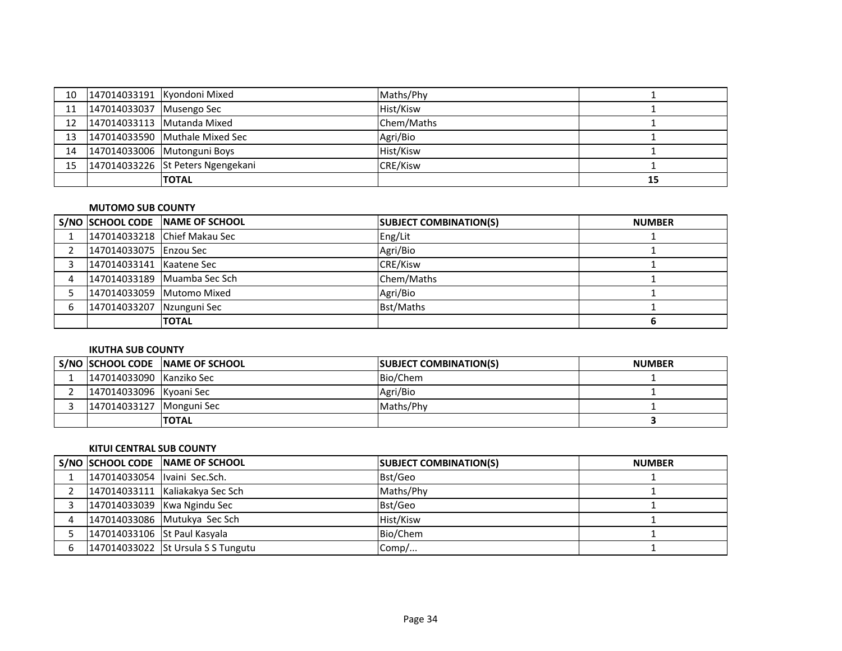| 10 |                          | 147014033191 Kyondoni Mixed       | Maths/Phy       |    |
|----|--------------------------|-----------------------------------|-----------------|----|
| 11 | 147014033037 Musengo Sec |                                   | Hist/Kisw       |    |
| 12 |                          | 147014033113 Mutanda Mixed        | Chem/Maths      |    |
| 13 |                          | 147014033590 Muthale Mixed Sec    | Agri/Bio        |    |
| 14 |                          | 147014033006 Mutonguni Boys       | Hist/Kisw       |    |
| 15 |                          | 147014033226 St Peters Ngengekani | <b>CRE/Kisw</b> |    |
|    |                          | <b>TOTAL</b>                      |                 | 15 |

## **MUTOMO SUB COUNTY**

|   |                           | S/NO SCHOOL CODE NAME OF SCHOOL | <b>SUBJECT COMBINATION(S)</b> | <b>NUMBER</b> |
|---|---------------------------|---------------------------------|-------------------------------|---------------|
|   |                           | 147014033218 Chief Makau Sec    | Eng/Lit                       |               |
|   | 147014033075 Enzou Sec    |                                 | Agri/Bio                      |               |
|   | 147014033141 Kaatene Sec  |                                 | <b>CRE/Kisw</b>               |               |
|   |                           | 147014033189 Muamba Sec Sch     | Chem/Maths                    |               |
|   |                           | 147014033059 Mutomo Mixed       | Agri/Bio                      |               |
| 6 | 147014033207 Nzunguni Sec |                                 | Bst/Maths                     |               |
|   |                           | <b>TOTAL</b>                    |                               |               |

# **IKUTHA SUB COUNTY**

|                          | S/NO SCHOOL CODE NAME OF SCHOOL | <b>SUBJECT COMBINATION(S)</b> | <b>NUMBER</b> |
|--------------------------|---------------------------------|-------------------------------|---------------|
| 147014033090 Kanziko Sec |                                 | Bio/Chem                      |               |
| 147014033096 Kyoani Sec  |                                 | Agri/Bio                      |               |
| 147014033127 Monguni Sec |                                 | <b>Maths/Phy</b>              |               |
|                          | <b>ITOTAL</b>                   |                               |               |

# **KITUI CENTRAL SUB COUNTY**

|                              | S/NO SCHOOL CODE NAME OF SCHOOL    | <b>SUBJECT COMBINATION(S)</b> | <b>NUMBER</b> |
|------------------------------|------------------------------------|-------------------------------|---------------|
| 147014033054 Ivaini Sec.Sch. |                                    | Bst/Geo                       |               |
|                              | 147014033111 Kaliakakya Sec Sch    | Maths/Phy                     |               |
|                              | 147014033039 Kwa Ngindu Sec        | Bst/Geo                       |               |
|                              | 147014033086 Mutukya Sec Sch       | Hist/Kisw                     |               |
| 147014033106 St Paul Kasyala |                                    | Bio/Chem                      |               |
|                              | 147014033022 St Ursula S S Tungutu | Comp/                         |               |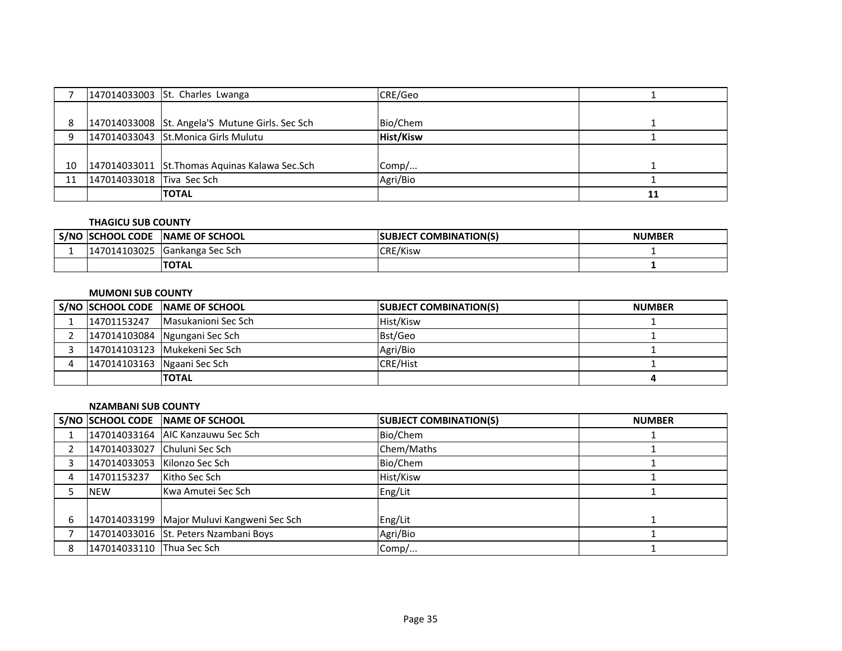|    |                           | 147014033003 St. Charles Lwanga                 | CRE/Geo          |    |
|----|---------------------------|-------------------------------------------------|------------------|----|
|    |                           |                                                 |                  |    |
|    |                           | 147014033008 St. Angela'S Mutune Girls. Sec Sch | Bio/Chem         |    |
|    |                           | 147014033043 St.Monica Girls Mulutu             | <b>Hist/Kisw</b> |    |
|    |                           |                                                 |                  |    |
| 10 |                           | 147014033011 St. Thomas Aquinas Kalawa Sec. Sch | Comp/            |    |
| 11 | 147014033018 Tiva Sec Sch |                                                 | Agri/Bio         |    |
|    |                           | <b>TOTAL</b>                                    |                  | 11 |

# **THAGICU SUB COUNTY**

| S/NC | CHOOL CODE              | <b>INAME OF SCHOOL</b>   | <b>COMBINATION(S)</b><br>ISUBJECT | <b>NUMBER</b> |
|------|-------------------------|--------------------------|-----------------------------------|---------------|
|      | 14103025<br>.471.<br>14 | <b>IGankanga Sec Sch</b> | CRE/Kisw                          |               |
|      |                         | <b>TOTAL</b>             |                                   |               |

# **MUMONI SUB COUNTY**

|                             | S/NO SCHOOL CODE NAME OF SCHOOL | <b>SUBJECT COMBINATION(S)</b> | <b>NUMBER</b> |
|-----------------------------|---------------------------------|-------------------------------|---------------|
| 14701153247                 | Masukanioni Sec Sch             | Hist/Kisw                     |               |
|                             | 147014103084 Ngungani Sec Sch   | Bst/Geo                       |               |
|                             | 147014103123 Mukekeni Sec Sch   | Agri/Bio                      |               |
| 147014103163 Ngaani Sec Sch |                                 | CRE/Hist                      |               |
|                             | <b>ITOTAL</b>                   |                               |               |

#### **NZAMBANI SUB COUNTY**

|   |                              | S/NO SCHOOL CODE NAME OF SCHOOL            | <b>SUBJECT COMBINATION(S)</b> | <b>NUMBER</b> |
|---|------------------------------|--------------------------------------------|-------------------------------|---------------|
|   |                              | 147014033164 AIC Kanzauwu Sec Sch          | Bio/Chem                      |               |
|   | 147014033027 Chuluni Sec Sch |                                            | Chem/Maths                    |               |
|   | 147014033053 Kilonzo Sec Sch |                                            | Bio/Chem                      |               |
| 4 | 14701153237                  | Kitho Sec Sch                              | Hist/Kisw                     |               |
|   | <b>NEW</b>                   | Kwa Amutei Sec Sch                         | Eng/Lit                       |               |
|   |                              |                                            |                               |               |
|   |                              | 147014033199 Major Muluvi Kangweni Sec Sch | Eng/Lit                       |               |
|   |                              | 147014033016 St. Peters Nzambani Boys      | Agri/Bio                      |               |
| 8 | 147014033110 Thua Sec Sch    |                                            | Comp/                         |               |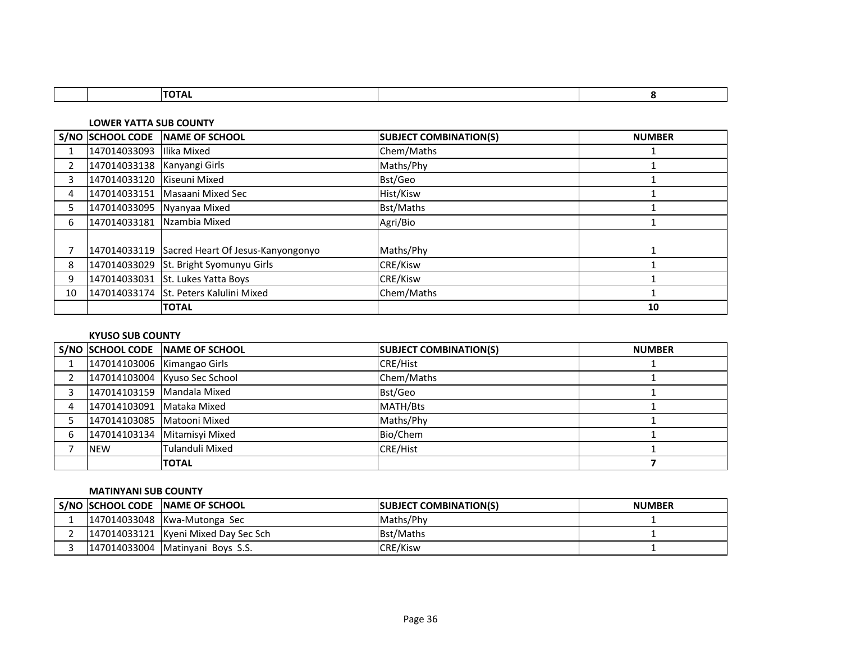|  | $\overline{\phantom{a}}$ |  |
|--|--------------------------|--|
|  |                          |  |

**LOWER YATTA SUB COUNTY**

|                |                             | S/NO SCHOOL CODE NAME OF SCHOOL                | <b>SUBJECT COMBINATION(S)</b> | <b>NUMBER</b> |
|----------------|-----------------------------|------------------------------------------------|-------------------------------|---------------|
|                | 147014033093                | Ilika Mixed                                    | Chem/Maths                    |               |
| $\overline{2}$ | 147014033138 Kanyangi Girls |                                                | Maths/Phy                     |               |
| 3              | 147014033120 Kiseuni Mixed  |                                                | Bst/Geo                       |               |
| 4              |                             | 147014033151 Masaani Mixed Sec                 | Hist/Kisw                     |               |
| 5              |                             | 147014033095 Nyanyaa Mixed                     | Bst/Maths                     |               |
| 6              |                             | 147014033181 Nzambia Mixed                     | Agri/Bio                      |               |
|                |                             |                                                |                               |               |
|                |                             | 147014033119 Sacred Heart Of Jesus-Kanyongonyo | Maths/Phy                     |               |
| 8              |                             | 147014033029 St. Bright Syomunyu Girls         | CRE/Kisw                      |               |
| 9              |                             | 147014033031 St. Lukes Yatta Boys              | CRE/Kisw                      |               |
| 10             |                             | 147014033174 St. Peters Kalulini Mixed         | Chem/Maths                    |               |
|                |                             | <b>ITOTAL</b>                                  |                               | 10            |

# **KYUSO SUB COUNTY**

|   |                             | S/NO SCHOOL CODE NAME OF SCHOOL | <b>SUBJECT COMBINATION(S)</b> | <b>NUMBER</b> |
|---|-----------------------------|---------------------------------|-------------------------------|---------------|
|   | 147014103006 Kimangao Girls |                                 | CRE/Hist                      |               |
|   |                             | 147014103004 Kyuso Sec School   | Chem/Maths                    |               |
|   | 147014103159 Mandala Mixed  |                                 | Bst/Geo                       |               |
| 4 | 147014103091 Mataka Mixed   |                                 | MATH/Bts                      |               |
|   | 147014103085 Matooni Mixed  |                                 | Maths/Phy                     |               |
|   |                             | 147014103134 Mitamisvi Mixed    | Bio/Chem                      |               |
|   | <b>NEW</b>                  | Tulanduli Mixed                 | CRE/Hist                      |               |
|   |                             | <b>TOTAL</b>                    |                               |               |

### **MATINYANI SUB COUNTY**

|  | S/NO SCHOOL CODE INAME OF SCHOOL     | <b>SUBJECT COMBINATION(S)</b> | <b>NUMBER</b> |
|--|--------------------------------------|-------------------------------|---------------|
|  | 147014033048   Kwa-Mutonga Sec       | Maths/Phy                     |               |
|  | 147014033121 Kyeni Mixed Day Sec Sch | <b>Bst/Maths</b>              |               |
|  | 147014033004   Matinyani Boys S.S.   | <b>CRE/Kisw</b>               |               |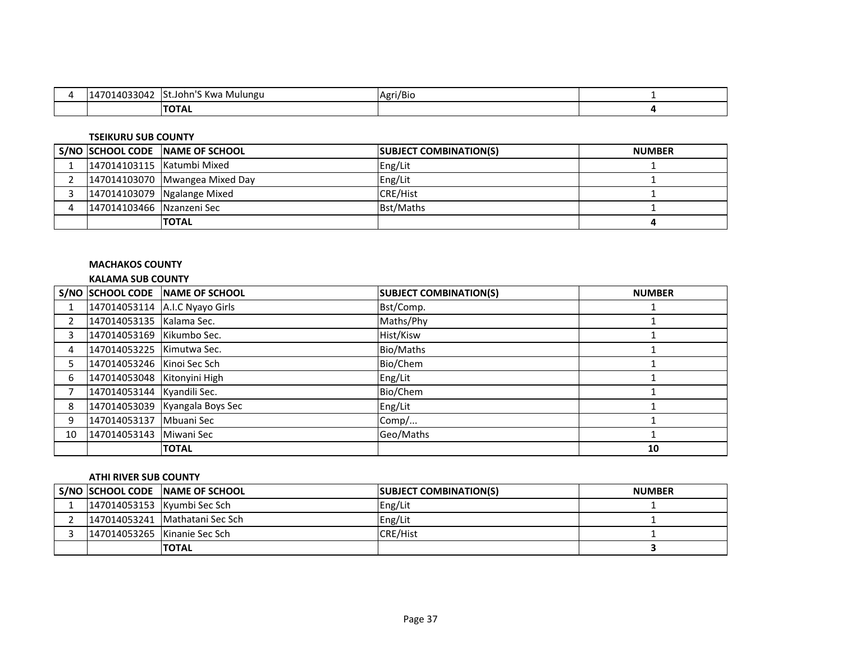| רו חככר<br>140°،<br>4033042 | TSt.John'S Kwa Mulungu | Agri/Bio |  |
|-----------------------------|------------------------|----------|--|
|                             | <b>TOTAL</b>           |          |  |

#### **TSEIKURU SUB COUNTY**

|                            | S/NO SCHOOL CODE NAME OF SCHOOL | <b>SUBJECT COMBINATION(S)</b> | <b>NUMBER</b> |
|----------------------------|---------------------------------|-------------------------------|---------------|
| 147014103115 Katumbi Mixed |                                 | Eng/Lit                       |               |
|                            | 147014103070 Mwangea Mixed Day  | Eng/Lit                       |               |
|                            | 147014103079 Ngalange Mixed     | <b>CRE/Hist</b>               |               |
| 147014103466 Nzanzeni Sec  |                                 | <b>Bst/Maths</b>              |               |
|                            | <b>TOTAL</b>                    |                               |               |

### **MACHAKOS COUNTY**

### **KALAMA SUB COUNTY**

|    |                             | S/NO SCHOOL CODE NAME OF SCHOOL | <b>SUBJECT COMBINATION(S)</b> | <b>NUMBER</b> |
|----|-----------------------------|---------------------------------|-------------------------------|---------------|
|    |                             | 147014053114 A.I.C Nyayo Girls  | Bst/Comp.                     |               |
|    | 147014053135 Kalama Sec.    |                                 | Maths/Phy                     |               |
| 3  | 147014053169 Kikumbo Sec.   |                                 | Hist/Kisw                     |               |
| 4  | 147014053225 Kimutwa Sec.   |                                 | Bio/Maths                     |               |
| 5. | 147014053246 Kinoi Sec Sch  |                                 | Bio/Chem                      |               |
| 6  | 147014053048 Kitonyini High |                                 | Eng/Lit                       |               |
|    | 147014053144 Kyandili Sec.  |                                 | Bio/Chem                      |               |
| 8  |                             | 147014053039 Kyangala Boys Sec  | Eng/Lit                       |               |
| 9  | 147014053137 Mbuani Sec     |                                 | Comp/                         |               |
| 10 | 147014053143 Miwani Sec     |                                 | Geo/Maths                     |               |
|    |                             | <b>TOTAL</b>                    |                               | 10            |

### **ATHI RIVER SUB COUNTY**

|                             | S/NO SCHOOL CODE NAME OF SCHOOL | <b>SUBJECT COMBINATION(S)</b> | <b>NUMBER</b> |
|-----------------------------|---------------------------------|-------------------------------|---------------|
| 147014053153 Kyumbi Sec Sch |                                 | Eng/Lit                       |               |
|                             | 147014053241 Mathatani Sec Sch  | Eng/Lit                       |               |
|                             | 147014053265 Kinanie Sec Sch    | <b>CRE/Hist</b>               |               |
|                             | <b>TOTAL</b>                    |                               |               |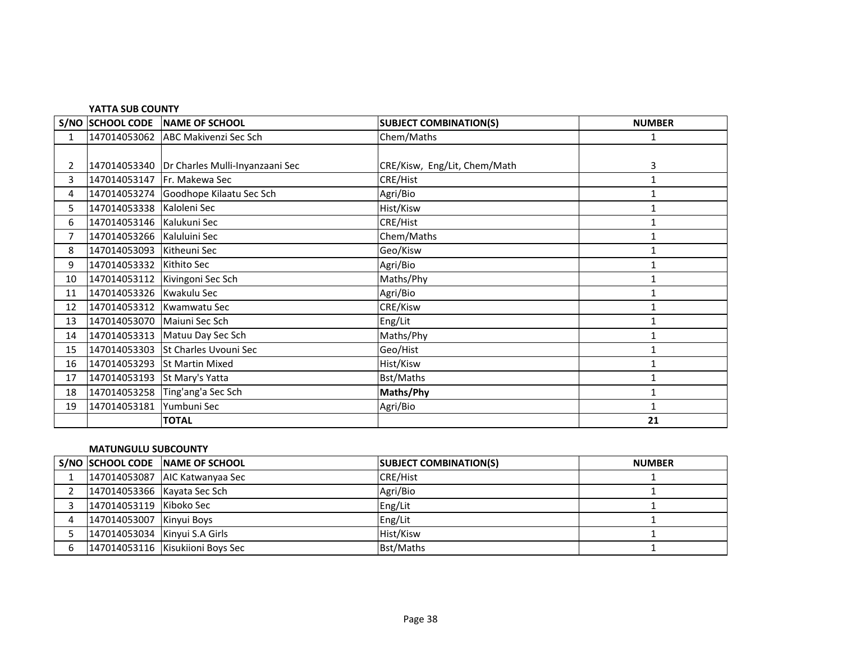|                | YATTA SUB COUNTY             |                                                |                               |               |  |
|----------------|------------------------------|------------------------------------------------|-------------------------------|---------------|--|
|                |                              | S/NO SCHOOL CODE NAME OF SCHOOL                | <b>SUBJECT COMBINATION(S)</b> | <b>NUMBER</b> |  |
| $\mathbf{1}$   | 147014053062                 | ABC Makivenzi Sec Sch                          | Chem/Maths                    | $\mathbf{1}$  |  |
|                |                              |                                                |                               |               |  |
| $\overline{2}$ |                              | 147014053340   Dr Charles Mulli-Inyanzaani Sec | CRE/Kisw, Eng/Lit, Chem/Math  | 3             |  |
| 3              | 147014053147 Fr. Makewa Sec  |                                                | CRE/Hist                      | 1             |  |
| 4              |                              | 147014053274 Goodhope Kilaatu Sec Sch          | Agri/Bio                      | 1             |  |
| 5              | 147014053338 Kaloleni Sec    |                                                | Hist/Kisw                     | 1             |  |
| 6              | 147014053146 Kalukuni Sec    |                                                | <b>CRE/Hist</b>               | 1             |  |
| $\overline{7}$ | 147014053266 Kaluluini Sec   |                                                | Chem/Maths                    | 1             |  |
| 8              | 147014053093 Kitheuni Sec    |                                                | Geo/Kisw                      | 1             |  |
| 9              | 147014053332 Kithito Sec     |                                                | Agri/Bio                      | 1             |  |
| 10             |                              | 147014053112 Kivingoni Sec Sch                 | Maths/Phy                     | 1             |  |
| 11             | 147014053326 Kwakulu Sec     |                                                | Agri/Bio                      | 1             |  |
| 12             | 147014053312 Kwamwatu Sec    |                                                | CRE/Kisw                      | 1             |  |
| 13             | 147014053070 Maiuni Sec Sch  |                                                | Eng/Lit                       | 1             |  |
| 14             |                              | 147014053313 Matuu Day Sec Sch                 | Maths/Phy                     | $\mathbf{1}$  |  |
| 15             | 147014053303                 | St Charles Uvouni Sec                          | Geo/Hist                      | 1             |  |
| 16             |                              | 147014053293 St Martin Mixed                   | Hist/Kisw                     | $\mathbf{1}$  |  |
| 17             | 147014053193 St Mary's Yatta |                                                | <b>Bst/Maths</b>              | $\mathbf{1}$  |  |
| 18             |                              | 147014053258 Ting'ang'a Sec Sch                | Maths/Phy                     | 1             |  |
| 19             | 147014053181                 | Yumbuni Sec                                    | Agri/Bio                      | 1             |  |
|                |                              | <b>TOTAL</b>                                   |                               | 21            |  |

## **MATUNGULU SUBCOUNTY**

|                               | S/NO SCHOOL CODE NAME OF SCHOOL  | <b>SUBJECT COMBINATION(S)</b> | <b>NUMBER</b> |
|-------------------------------|----------------------------------|-------------------------------|---------------|
|                               | 147014053087 AIC Katwanyaa Sec   | <b>CRE/Hist</b>               |               |
| 147014053366 Kayata Sec Sch   |                                  | Agri/Bio                      |               |
| 147014053119 Kiboko Sec       |                                  | Eng/Lit                       |               |
| 147014053007 Kinyui Boys      |                                  | Eng/Lit                       |               |
| 147014053034 Kinyui S.A Girls |                                  | <b>Hist/Kisw</b>              |               |
|                               | 147014053116 Kisukiioni Boys Sec | Bst/Maths                     |               |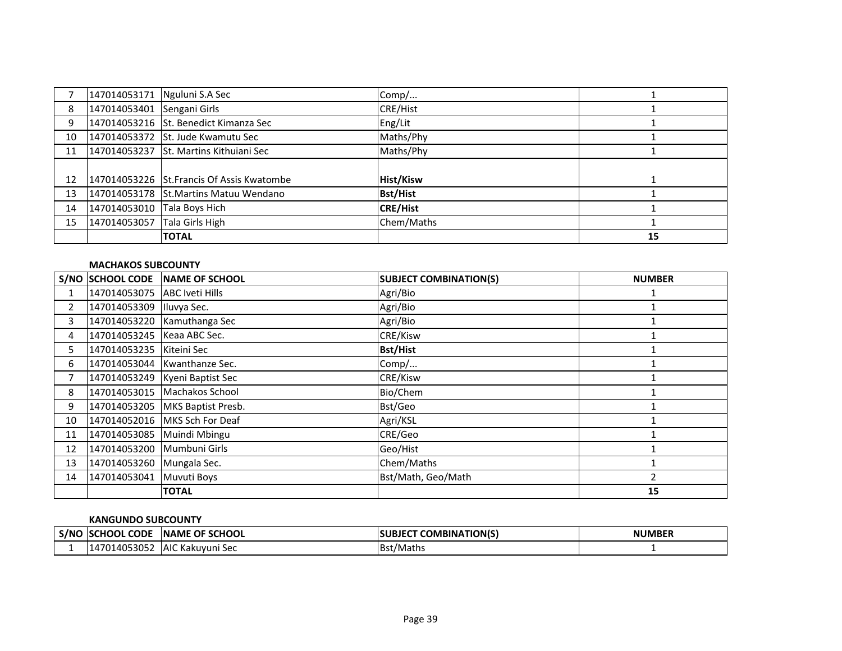|    |              | 147014053171 Nguluni S.A Sec              | Comp/            |    |
|----|--------------|-------------------------------------------|------------------|----|
| 8  | 147014053401 | Sengani Girls                             | <b>CRE/Hist</b>  |    |
| 9  |              | 147014053216 St. Benedict Kimanza Sec     | Eng/Lit          |    |
| 10 |              | 147014053372 St. Jude Kwamutu Sec         | Maths/Phy        |    |
| 11 |              | 147014053237 St. Martins Kithuiani Sec    | Maths/Phy        |    |
|    |              |                                           |                  |    |
| 12 |              | 147014053226 St.Francis Of Assis Kwatombe | <b>Hist/Kisw</b> |    |
| 13 |              | 147014053178 St.Martins Matuu Wendano     | <b>Bst/Hist</b>  |    |
| 14 | 147014053010 | Tala Boys Hich                            | <b>CRE/Hist</b>  |    |
| 15 | 147014053057 | Tala Girls High                           | Chem/Maths       |    |
|    |              | <b>TOTAL</b>                              |                  | 15 |

### **MACHAKOS SUBCOUNTY**

|    | S/NO SCHOOL CODE               | <b>NAME OF SCHOOL</b>             | <b>SUBJECT COMBINATION(S)</b> | <b>NUMBER</b> |
|----|--------------------------------|-----------------------------------|-------------------------------|---------------|
|    | 147014053075   ABC Iveti Hills |                                   | Agri/Bio                      |               |
| 2  | 147014053309                   | Iluvya Sec.                       | Agri/Bio                      |               |
| 3  |                                | 147014053220 Kamuthanga Sec       | Agri/Bio                      |               |
| 4  | 147014053245 Keaa ABC Sec.     |                                   | <b>CRE/Kisw</b>               |               |
| 5. | 147014053235 Kiteini Sec       |                                   | <b>Bst/Hist</b>               |               |
| 6  |                                | 147014053044   Kwanthanze Sec.    | Comp/                         |               |
|    |                                | 147014053249   Kyeni Baptist Sec  | <b>CRE/Kisw</b>               |               |
| 8  |                                | 147014053015   Machakos School    | Bio/Chem                      |               |
| 9  |                                | 147014053205   MKS Baptist Presb. | Bst/Geo                       |               |
| 10 |                                | 147014052016   MKS Sch For Deaf   | Agri/KSL                      |               |
| 11 | 147014053085 Muindi Mbingu     |                                   | CRE/Geo                       |               |
| 12 | 147014053200                   | Mumbuni Girls                     | Geo/Hist                      |               |
| 13 | 147014053260                   | Mungala Sec.                      | Chem/Maths                    |               |
| 14 | 147014053041                   | Muvuti Boys                       | Bst/Math, Geo/Math            |               |
|    |                                | <b>TOTAL</b>                      |                               | 15            |

#### **KANGUNDO SUBCOUNTY**

| S/NC | <b>ISCHOOL CODE</b> | <b>OF SCHOOL</b><br><b>INAME</b> | <b>COMBINATION(S)</b><br><b>SUBJEC</b> | <b>NUMBER</b> |
|------|---------------------|----------------------------------|----------------------------------------|---------------|
|      | 14053052<br>14<br>u | <b>AIC Kakuvuni Sec</b>          | <b>Bst/Maths</b>                       |               |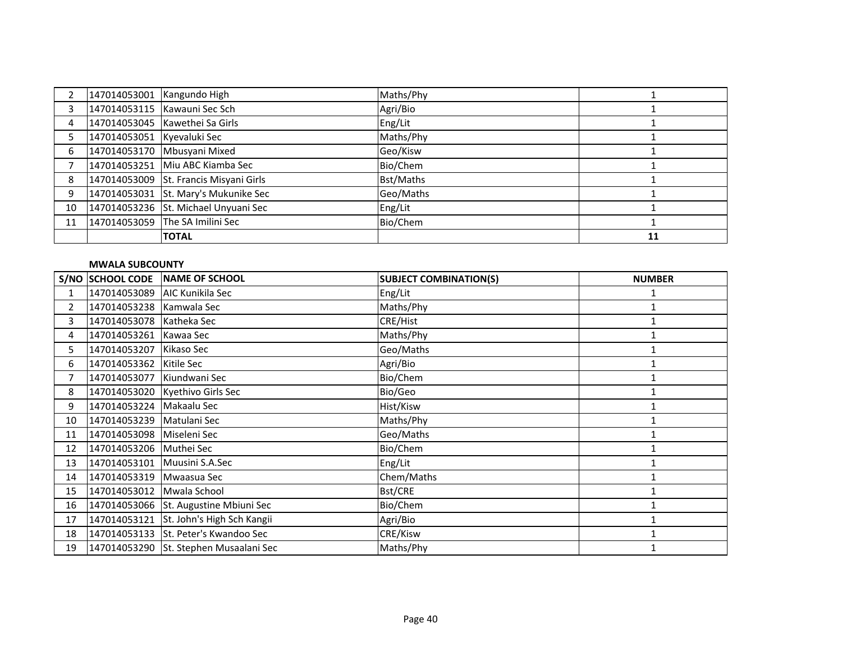|    | 147014053001 Kangundo High |                                        | Maths/Phy |    |
|----|----------------------------|----------------------------------------|-----------|----|
|    |                            | 147014053115 Kawauni Sec Sch           | Agri/Bio  |    |
| 4  |                            | 147014053045 Kawethei Sa Girls         | Eng/Lit   |    |
|    | 147014053051 Kyevaluki Sec |                                        | Maths/Phy |    |
| 6  |                            | 147014053170 Mbusyani Mixed            | Geo/Kisw  |    |
|    |                            | 147014053251 Miu ABC Kiamba Sec        | Bio/Chem  |    |
| 8  |                            | 147014053009 St. Francis Misyani Girls | Bst/Maths |    |
| 9  |                            | 147014053031 St. Mary's Mukunike Sec   | Geo/Maths |    |
| 10 |                            | 147014053236 St. Michael Unyuani Sec   | Eng/Lit   |    |
| 11 |                            | 147014053059 The SA Imilini Sec        | Bio/Chem  |    |
|    |                            | <b>TOTAL</b>                           |           | 11 |

### **MWALA SUBCOUNTY**

|              | <b>S/NO SCHOOL CODE</b>    | NAME OF SCHOOL                          | <b>SUBJECT COMBINATION(S)</b> | <b>NUMBER</b> |
|--------------|----------------------------|-----------------------------------------|-------------------------------|---------------|
|              |                            | 147014053089 AIC Kunikila Sec           | Eng/Lit                       |               |
| $\mathbf{2}$ | 147014053238 Kamwala Sec   |                                         | Maths/Phy                     |               |
| 3            | 147014053078 Katheka Sec   |                                         | CRE/Hist                      |               |
| 4            | 147014053261 Kawaa Sec     |                                         | Maths/Phy                     |               |
| 5.           | 147014053207 Kikaso Sec    |                                         | Geo/Maths                     |               |
| 6            | 147014053362 Kitile Sec    |                                         | Agri/Bio                      |               |
| 7            | 147014053077 Kiundwani Sec |                                         | Bio/Chem                      | 1             |
| 8            |                            | 147014053020 Kyethivo Girls Sec         | Bio/Geo                       |               |
| 9            | 147014053224   Makaalu Sec |                                         | Hist/Kisw                     |               |
| 10           | 147014053239 Matulani Sec  |                                         | Maths/Phy                     |               |
| 11           | 147014053098 Miseleni Sec  |                                         | Geo/Maths                     |               |
| 12           | 147014053206 Muthei Sec    |                                         | Bio/Chem                      |               |
| 13           |                            | 147014053101 Muusini S.A.Sec            | Eng/Lit                       |               |
| 14           | 147014053319 Mwaasua Sec   |                                         | Chem/Maths                    |               |
| 15           | 147014053012               | Mwala School                            | Bst/CRE                       | 1             |
| 16           |                            | 147014053066 St. Augustine Mbiuni Sec   | Bio/Chem                      |               |
| 17           |                            | 147014053121 St. John's High Sch Kangii | Agri/Bio                      |               |
| 18           |                            | 147014053133 St. Peter's Kwandoo Sec    | CRE/Kisw                      |               |
| 19           |                            | 147014053290 St. Stephen Musaalani Sec  | Maths/Phy                     |               |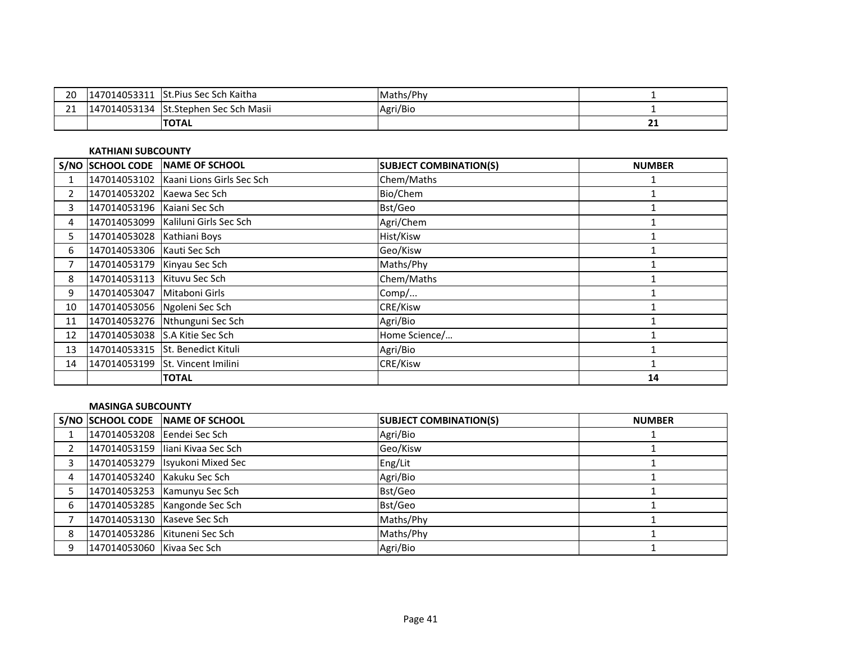| ാറ<br>ZU             | 7014053311<br>$1470^{\circ}$    | <b>St.Pius Sec Sch Kaitha</b> | Maths/Phy |        |
|----------------------|---------------------------------|-------------------------------|-----------|--------|
| $\sim$<br><u>_ _</u> | $.14053134$ '<br>$1470^{\circ}$ | St.Stephen Sec Sch Masii      | Agri/Bio  |        |
|                      |                                 | <b>TOTAL</b>                  |           | <br>-- |

### **KATHIANI SUBCOUNTY**

|                | S/NO SCHOOL CODE             | NAME OF SCHOOL                         | <b>SUBJECT COMBINATION(S)</b> | <b>NUMBER</b> |
|----------------|------------------------------|----------------------------------------|-------------------------------|---------------|
|                |                              | 147014053102 Kaani Lions Girls Sec Sch | Chem/Maths                    |               |
| $\overline{2}$ | 147014053202                 | Kaewa Sec Sch                          | Bio/Chem                      |               |
| 3              | 147014053196 Kaiani Sec Sch  |                                        | Bst/Geo                       |               |
| 4              | 147014053099                 | Kaliluni Girls Sec Sch                 | Agri/Chem                     |               |
| 5.             | 147014053028                 | Kathiani Boys                          | Hist/Kisw                     |               |
| 6              | 147014053306 Kauti Sec Sch   |                                        | Geo/Kisw                      |               |
|                | 147014053179                 | Kinyau Sec Sch                         | Maths/Phy                     |               |
| 8              | 147014053113                 | Kituvu Sec Sch                         | Chem/Maths                    |               |
| 9              | 147014053047                 | Mitaboni Girls                         | Comp/                         |               |
| 10             | 147014053056 Ngoleni Sec Sch |                                        | CRE/Kisw                      |               |
| 11             | 147014053276                 | Nthunguni Sec Sch                      | Agri/Bio                      |               |
| 12             | 147014053038                 | S.A Kitie Sec Sch                      | Home Science/                 |               |
| 13             |                              | 147014053315 St. Benedict Kituli       | Agri/Bio                      |               |
| 14             | 147014053199                 | St. Vincent Imilini                    | <b>CRE/Kisw</b>               |               |
|                |                              | <b>TOTAL</b>                           |                               | 14            |

### **MASINGA SUBCOUNTY**

|   |                             | S/NO SCHOOL CODE NAME OF SCHOOL  | <b>SUBJECT COMBINATION(S)</b> | <b>NUMBER</b> |
|---|-----------------------------|----------------------------------|-------------------------------|---------------|
|   | 147014053208 Eendei Sec Sch |                                  | Agri/Bio                      |               |
|   |                             | 147014053159 liani Kivaa Sec Sch | Geo/Kisw                      |               |
|   |                             | 147014053279 Isyukoni Mixed Sec  | Eng/Lit                       |               |
| 4 | 147014053240 Kakuku Sec Sch |                                  | Agri/Bio                      |               |
|   |                             | 147014053253 Kamunyu Sec Sch     | Bst/Geo                       |               |
| 6 |                             | 147014053285   Kangonde Sec Sch  | Bst/Geo                       |               |
|   | 147014053130 Kaseve Sec Sch |                                  | Maths/Phy                     |               |
| 8 |                             | 147014053286 Kituneni Sec Sch    | Maths/Phy                     |               |
| q | 147014053060 Kivaa Sec Sch  |                                  | Agri/Bio                      |               |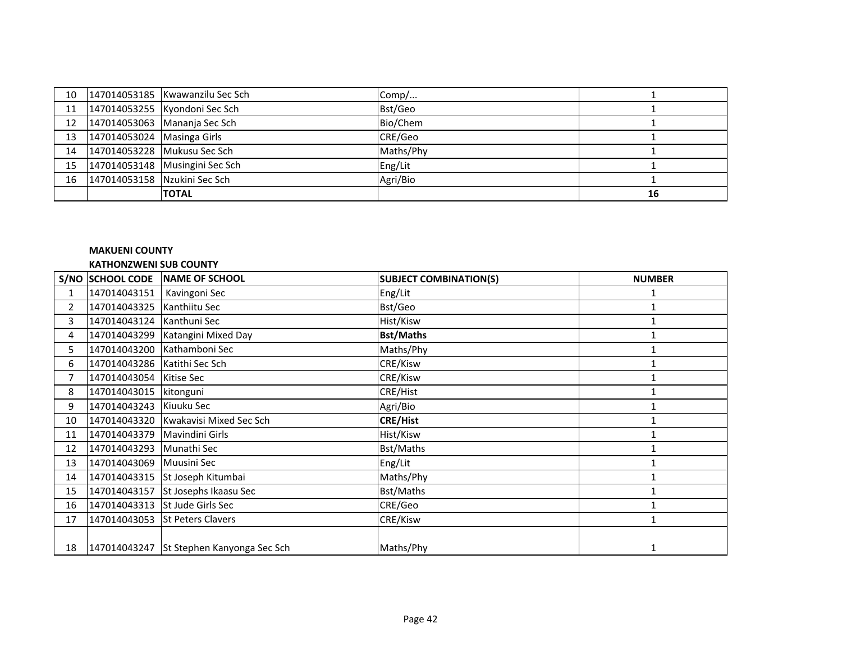|                                 | 10 147014053185 Kwawanzilu Sec Sch | Comp/     |    |
|---------------------------------|------------------------------------|-----------|----|
|                                 | 11 147014053255 Kyondoni Sec Sch   | Bst/Geo   |    |
|                                 | 12 147014053063 Mananja Sec Sch    | Bio/Chem  |    |
| 13 147014053024 Masinga Girls   |                                    | CRE/Geo   |    |
|                                 | 14 147014053228 Mukusu Sec Sch     | Maths/Phy |    |
|                                 | 15 147014053148 Musingini Sec Sch  | Eng/Lit   |    |
| 16 147014053158 Nzukini Sec Sch |                                    | Agri/Bio  |    |
|                                 | <b>TOTAL</b>                       |           | 16 |

### **MAKUENI COUNTY KATHONZWENI SUB COUNTY**

|                | S/NO SCHOOL CODE               | <b>NAME OF SCHOOL</b>                    | <b>SUBJECT COMBINATION(S)</b> | <b>NUMBER</b> |
|----------------|--------------------------------|------------------------------------------|-------------------------------|---------------|
| $\mathbf{1}$   | 147014043151                   | Kavingoni Sec                            | Eng/Lit                       |               |
| $\overline{2}$ | 147014043325                   | Kanthiitu Sec                            | Bst/Geo                       |               |
| 3              | 147014043124                   | Kanthuni Sec                             | Hist/Kisw                     |               |
| 4              | 147014043299                   | Katangini Mixed Day                      | <b>Bst/Maths</b>              |               |
| 5.             | 147014043200                   | Kathamboni Sec                           | Maths/Phy                     | 1             |
| 6              | 147014043286   Katithi Sec Sch |                                          | CRE/Kisw                      |               |
| 7              | 147014043054                   | <b>Kitise Sec</b>                        | CRE/Kisw                      |               |
| 8              | 147014043015                   | kitonguni                                | CRE/Hist                      |               |
| 9              | 147014043243                   | Kiuuku Sec                               | Agri/Bio                      |               |
| 10             |                                | 147014043320 Kwakavisi Mixed Sec Sch     | <b>CRE/Hist</b>               |               |
| 11             | 147014043379                   | Mavindini Girls                          | Hist/Kisw                     |               |
| 12             | 147014043293                   | Munathi Sec                              | Bst/Maths                     |               |
| 13             | 147014043069                   | <b>Muusini Sec</b>                       | Eng/Lit                       |               |
| 14             | 147014043315                   | St Joseph Kitumbai                       | Maths/Phy                     |               |
| 15             | 147014043157                   | St Josephs Ikaasu Sec                    | Bst/Maths                     | 1             |
| 16             | 147014043313                   | St Jude Girls Sec                        | CRE/Geo                       |               |
| 17             | 147014043053                   | <b>St Peters Clavers</b>                 | CRE/Kisw                      |               |
| 18             |                                | 147014043247 St Stephen Kanyonga Sec Sch | Maths/Phy                     | 1             |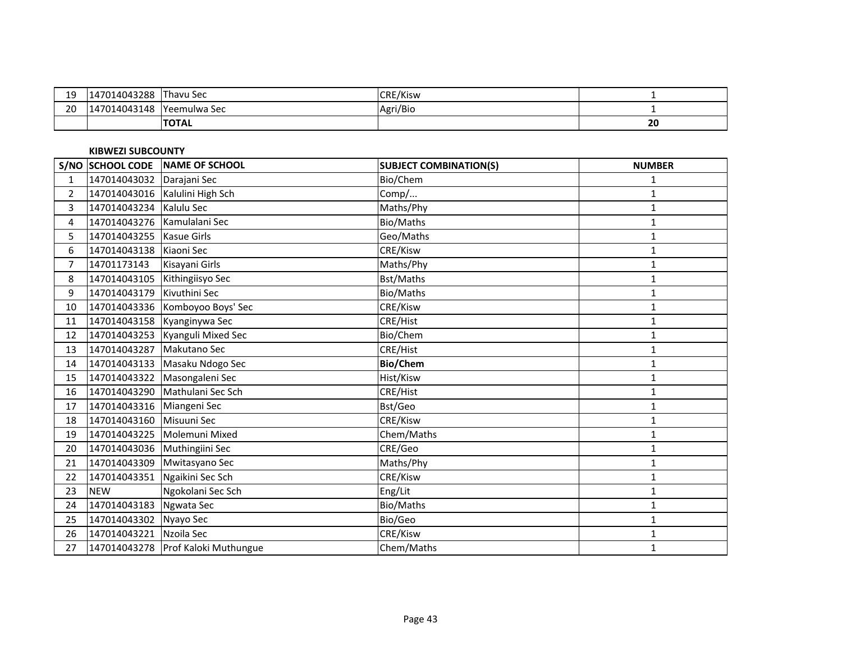| 1 C<br>. .<br>-- | )14043288<br>$147^\circ$                         | '–<br>Thavu Sec | <b>CRE/Kisw</b> |    |
|------------------|--------------------------------------------------|-----------------|-----------------|----|
| $\sim$<br>∠∪     | 14043148<br>$\overline{\phantom{a}}$<br>$\Delta$ | Yeemulwa Sec    | Agri/Bic        |    |
|                  |                                                  | <b>ITOTAL</b>   |                 | 20 |

# **KIBWEZI SUBCOUNTY**

|                |                              | S/NO SCHOOL CODE NAME OF SCHOOL      | <b>SUBJECT COMBINATION(S)</b> | <b>NUMBER</b> |
|----------------|------------------------------|--------------------------------------|-------------------------------|---------------|
| 1              | 147014043032                 | Darajani Sec                         | Bio/Chem                      | 1             |
| $\overline{2}$ |                              | 147014043016 Kalulini High Sch       | Comp/                         | 1             |
| 3              | 147014043234 Kalulu Sec      |                                      | Maths/Phy                     | $\mathbf{1}$  |
| 4              | 147014043276 Kamulalani Sec  |                                      | Bio/Maths                     | $\mathbf{1}$  |
| 5.             | 147014043255 Kasue Girls     |                                      | Geo/Maths                     | 1             |
| 6              | 147014043138 Kiaoni Sec      |                                      | CRE/Kisw                      | 1             |
| 7              | 14701173143                  | Kisayani Girls                       | Maths/Phy                     | $\mathbf{1}$  |
| 8              | 147014043105                 | Kithingiisyo Sec                     | Bst/Maths                     | 1             |
| 9              | 147014043179                 | Kivuthini Sec                        | Bio/Maths                     | 1             |
| 10             | 147014043336                 | Komboyoo Boys' Sec                   | CRE/Kisw                      | $\mathbf{1}$  |
| 11             |                              | 147014043158 Kyanginywa Sec          | CRE/Hist                      | 1             |
| 12             | 147014043253                 | Kyanguli Mixed Sec                   | Bio/Chem                      | 1             |
| 13             | 147014043287                 | Makutano Sec                         | CRE/Hist                      | 1             |
| 14             | 147014043133                 | Masaku Ndogo Sec                     | <b>Bio/Chem</b>               | $\mathbf{1}$  |
| 15             | 147014043322                 | Masongaleni Sec                      | Hist/Kisw                     | $\mathbf{1}$  |
| 16             | 147014043290                 | Mathulani Sec Sch                    | CRE/Hist                      | $\mathbf{1}$  |
| 17             | 147014043316 Miangeni Sec    |                                      | Bst/Geo                       | 1             |
| 18             | 147014043160                 | Misuuni Sec                          | CRE/Kisw                      | 1             |
| 19             | 147014043225                 | Molemuni Mixed                       | Chem/Maths                    | $\mathbf{1}$  |
| 20             | 147014043036 Muthingiini Sec |                                      | CRE/Geo                       | 1             |
| 21             | 147014043309                 | Mwitasyano Sec                       | Maths/Phy                     | 1             |
| 22             | 147014043351                 | Ngaikini Sec Sch                     | CRE/Kisw                      | $\mathbf{1}$  |
| 23             | <b>NEW</b>                   | Ngokolani Sec Sch                    | Eng/Lit                       | 1             |
| 24             | 147014043183                 | Ngwata Sec                           | Bio/Maths                     | 1             |
| 25             | 147014043302                 | Nyayo Sec                            | Bio/Geo                       | $\mathbf{1}$  |
| 26             | 147014043221                 | Nzoila Sec                           | CRE/Kisw                      | 1             |
| 27             |                              | 147014043278   Prof Kaloki Muthungue | Chem/Maths                    | 1             |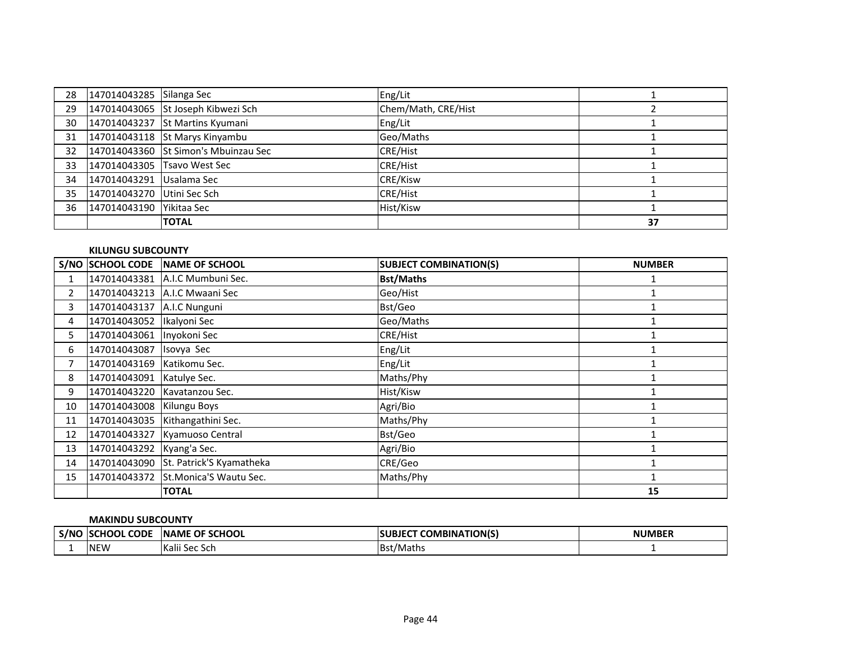| 28 | 147014043285 Silanga Sec   |                                      | Eng/Lit             |    |
|----|----------------------------|--------------------------------------|---------------------|----|
| 29 |                            | 147014043065 St Joseph Kibwezi Sch   | Chem/Math, CRE/Hist |    |
| 30 |                            | 147014043237 St Martins Kyumani      | Eng/Lit             |    |
| 31 |                            | 147014043118 St Marys Kinyambu       | Geo/Maths           |    |
| 32 |                            | 147014043360 St Simon's Mbuinzau Sec | <b>CRE/Hist</b>     |    |
| 33 |                            | 147014043305 Tsavo West Sec          | <b>CRE/Hist</b>     |    |
| 34 | 147014043291 Usalama Sec   |                                      | <b>CRE/Kisw</b>     |    |
| 35 | 147014043270 Utini Sec Sch |                                      | <b>CRE/Hist</b>     |    |
| 36 | 147014043190   Yikitaa Sec |                                      | Hist/Kisw           |    |
|    |                            | <b>TOTAL</b>                         |                     | 37 |

### **KILUNGU SUBCOUNTY**

|                | S/NO SCHOOL CODE             | NAME OF SCHOOL                        | <b>SUBJECT COMBINATION(S)</b> | <b>NUMBER</b> |
|----------------|------------------------------|---------------------------------------|-------------------------------|---------------|
|                |                              | 147014043381 A.I.C Mumbuni Sec.       | <b>Bst/Maths</b>              |               |
| $\overline{2}$ |                              | 147014043213 A.I.C Mwaani Sec         | Geo/Hist                      |               |
| 3              | 147014043137 A.I.C Nunguni   |                                       | Bst/Geo                       |               |
| 4              | 147014043052  Ikalyoni Sec   |                                       | Geo/Maths                     |               |
| 5.             | 147014043061 Inyokoni Sec    |                                       | CRE/Hist                      |               |
| 6              | 147014043087 Isovya Sec      |                                       | Eng/Lit                       |               |
| $\overline{7}$ | 147014043169   Katikomu Sec. |                                       | Eng/Lit                       |               |
| 8              | 147014043091 Katulye Sec.    |                                       | Maths/Phy                     |               |
| 9              |                              | 147014043220 Kavatanzou Sec.          | Hist/Kisw                     |               |
| 10             | 147014043008 Kilungu Boys    |                                       | Agri/Bio                      |               |
| 11             |                              | 147014043035 Kithangathini Sec.       | Maths/Phy                     |               |
| 12             |                              | 147014043327 Kyamuoso Central         | Bst/Geo                       |               |
| 13             | 147014043292 Kyang'a Sec.    |                                       | Agri/Bio                      |               |
| 14             |                              | 147014043090 St. Patrick'S Kyamatheka | CRE/Geo                       |               |
| 15             |                              | 147014043372 St.Monica'S Wautu Sec.   | Maths/Phy                     |               |
|                |                              | <b>TOTAL</b>                          |                               | 15            |

#### **MAKINDU SUBCOUNTY**

| . S/NC | <b>CODF</b><br><b>CHOOL</b> | <b>SCHOOL</b><br><b>INAME</b><br><b>OF</b> | <b>COMBINATION(S)</b><br>DJEL | <b>NUMBER</b> |
|--------|-----------------------------|--------------------------------------------|-------------------------------|---------------|
|        | <b>INEW</b>                 | .<br>lv.<br>i Sec Sch<br>'Kalii            | IBst<br>/Maths                |               |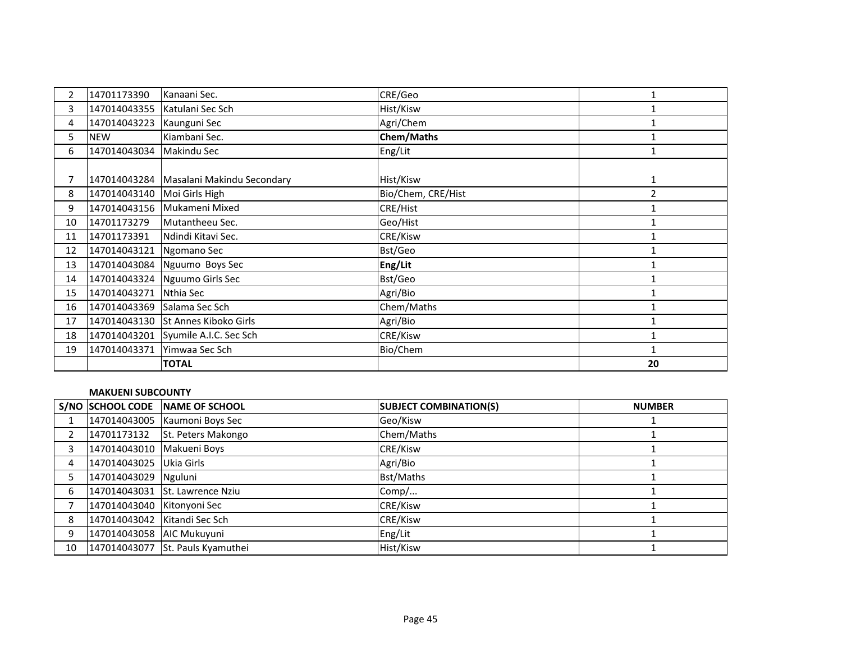| $\overline{2}$ | 14701173390  | Kanaani Sec.                            | CRE/Geo            | 1              |
|----------------|--------------|-----------------------------------------|--------------------|----------------|
| 3              |              | 147014043355 Katulani Sec Sch           | Hist/Kisw          |                |
| 4              | 147014043223 | Kaunguni Sec                            | Agri/Chem          |                |
| 5.             | <b>NEW</b>   | Kiambani Sec.                           | <b>Chem/Maths</b>  |                |
| 6              | 147014043034 | Makindu Sec                             | Eng/Lit            |                |
|                |              |                                         |                    |                |
|                |              | 147014043284 Masalani Makindu Secondary | Hist/Kisw          | 1              |
| 8              | 147014043140 | Moi Girls High                          | Bio/Chem, CRE/Hist | $\overline{2}$ |
| 9              |              | 147014043156 Mukameni Mixed             | CRE/Hist           |                |
| 10             | 14701173279  | Mutantheeu Sec.                         | Geo/Hist           |                |
| 11             | 14701173391  | Ndindi Kitavi Sec.                      | CRE/Kisw           |                |
| 12             | 147014043121 | Ngomano Sec                             | Bst/Geo            |                |
| 13             |              | 147014043084 Nguumo Boys Sec            | Eng/Lit            |                |
| 14             |              | 147014043324 Nguumo Girls Sec           | Bst/Geo            |                |
| 15             | 147014043271 | Nthia Sec                               | Agri/Bio           | $\mathbf{1}$   |
| 16             | 147014043369 | Salama Sec Sch                          | Chem/Maths         |                |
| 17             | 147014043130 | St Annes Kiboko Girls                   | Agri/Bio           |                |
| 18             | 147014043201 | Syumile A.I.C. Sec Sch                  | CRE/Kisw           |                |
| 19             | 147014043371 | Yimwaa Sec Sch                          | Bio/Chem           |                |
|                |              | <b>TOTAL</b>                            |                    | 20             |

#### **MAKUENI SUBCOUNTY**

|           |                              | S/NO SCHOOL CODE NAME OF SCHOOL  | <b>SUBJECT COMBINATION(S)</b> | <b>NUMBER</b> |
|-----------|------------------------------|----------------------------------|-------------------------------|---------------|
| $1 \quad$ |                              | 147014043005 Kaumoni Boys Sec    | Geo/Kisw                      |               |
| 2         | 14701173132                  | St. Peters Makongo               | Chem/Maths                    |               |
| 3         | 147014043010   Makueni Boys  |                                  | CRE/Kisw                      |               |
| 4         | 147014043025 Ukia Girls      |                                  | Agri/Bio                      |               |
|           | 147014043029 Nguluni         |                                  | Bst/Maths                     |               |
| 6         |                              | 147014043031 St. Lawrence Nziu   | Comp/                         |               |
|           | 147014043040 Kitonyoni Sec   |                                  | <b>CRE/Kisw</b>               |               |
| 8         | 147014043042 Kitandi Sec Sch |                                  | <b>CRE/Kisw</b>               |               |
| 9         | 147014043058 AIC Mukuyuni    |                                  | Eng/Lit                       |               |
| 10        |                              | 147014043077 St. Pauls Kyamuthei | Hist/Kisw                     |               |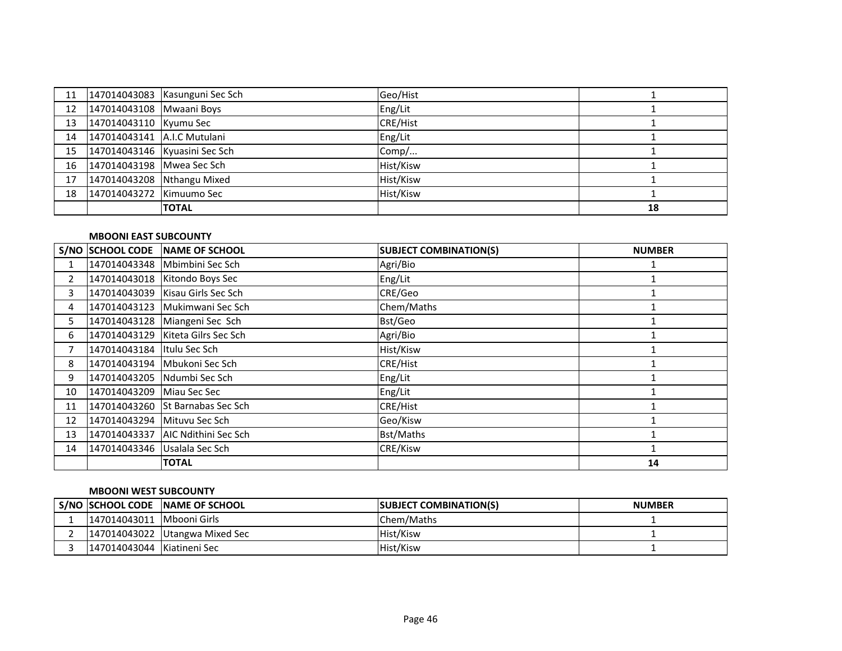| 11               |                             | 147014043083 Kasunguni Sec Sch | Geo/Hist        |    |
|------------------|-----------------------------|--------------------------------|-----------------|----|
| 12 <sup>12</sup> | 147014043108 Mwaani Boys    |                                | Eng/Lit         |    |
| 13               | 147014043110 Kyumu Sec      |                                | <b>CRE/Hist</b> |    |
| 14               | 147014043141 A.I.C Mutulani |                                | Eng/Lit         |    |
| 15               |                             | 147014043146 Kyuasini Sec Sch  | Comp/           |    |
| 16               | 147014043198 Mwea Sec Sch   |                                | Hist/Kisw       |    |
| 17               | 147014043208 Nthangu Mixed  |                                | Hist/Kisw       |    |
| 18               | 147014043272 Kimuumo Sec    |                                | Hist/Kisw       |    |
|                  |                             | <b>TOTAL</b>                   |                 | 18 |

### **MBOONI EAST SUBCOUNTY**

|    | <b>S/NO SCHOOL CODE</b>      | <b>INAME OF SCHOOL</b>              | <b>SUBJECT COMBINATION(S)</b> | <b>NUMBER</b> |
|----|------------------------------|-------------------------------------|-------------------------------|---------------|
|    |                              | 147014043348 Mbimbini Sec Sch       | Agri/Bio                      |               |
| 2  |                              | 147014043018   Kitondo Boys Sec     | Eng/Lit                       |               |
| 3  |                              | 147014043039   Kisau Girls Sec Sch  | CRE/Geo                       |               |
| 4  |                              | 147014043123 Mukimwani Sec Sch      | Chem/Maths                    |               |
| 5. |                              | 147014043128 Miangeni Sec Sch       | Bst/Geo                       |               |
| 6  |                              | 147014043129 Kiteta Gilrs Sec Sch   | Agri/Bio                      |               |
| 7  | 147014043184 Itulu Sec Sch   |                                     | Hist/Kisw                     |               |
| 8  |                              | 147014043194 Mbukoni Sec Sch        | <b>CRE/Hist</b>               |               |
| 9  |                              | 147014043205 Ndumbi Sec Sch         | Eng/Lit                       |               |
| 10 | 147014043209 Miau Sec Sec    |                                     | Eng/Lit                       |               |
| 11 |                              | 147014043260 St Barnabas Sec Sch    | <b>CRE/Hist</b>               |               |
| 12 | 147014043294 Mituvu Sec Sch  |                                     | Geo/Kisw                      |               |
| 13 |                              | 147014043337   AIC Ndithini Sec Sch | Bst/Maths                     |               |
| 14 | 147014043346 Usalala Sec Sch |                                     | CRE/Kisw                      |               |
|    |                              | <b>TOTAL</b>                        |                               | 14            |

#### **MBOONI WEST SUBCOUNTY**

|                            | S/NO SCHOOL CODE NAME OF SCHOOL | <b>SUBJECT COMBINATION(S)</b> | <b>NUMBER</b> |
|----------------------------|---------------------------------|-------------------------------|---------------|
| 147014043011 Mbooni Girls  |                                 | IChem/Maths                   |               |
|                            | [147014043022 Utangwa Mixed Sec | Hist/Kisw                     |               |
| 147014043044 Kiatineni Sec |                                 | Hist/Kisw                     |               |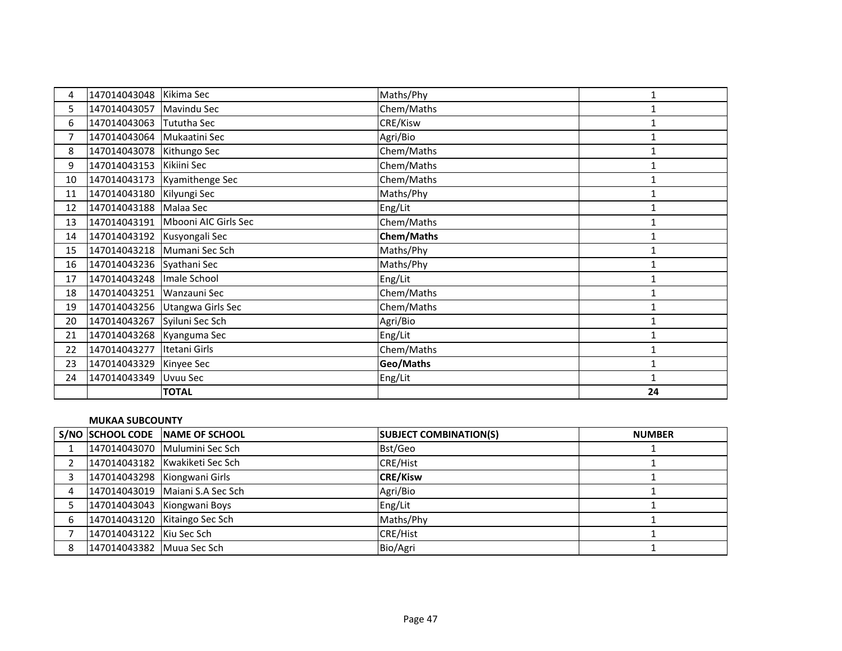| 4              | 147014043048                | Kikima Sec                        | Maths/Phy         | 1            |
|----------------|-----------------------------|-----------------------------------|-------------------|--------------|
| 5              | 147014043057 Mavindu Sec    |                                   | Chem/Maths        |              |
| 6              | 147014043063 Tututha Sec    |                                   | CRE/Kisw          | 1            |
| $\overline{7}$ | 147014043064                | Mukaatini Sec                     | Agri/Bio          | $\mathbf{1}$ |
| 8              | 147014043078 Kithungo Sec   |                                   | Chem/Maths        |              |
| 9              | 147014043153                | Kikiini Sec                       | Chem/Maths        | $\mathbf{1}$ |
| 10             |                             | 147014043173 Kyamithenge Sec      | Chem/Maths        | 1            |
| 11             | 147014043180 Kilyungi Sec   |                                   | Maths/Phy         | 1            |
| 12             | 147014043188 Malaa Sec      |                                   | Eng/Lit           |              |
| 13             |                             | 147014043191 Mbooni AIC Girls Sec | Chem/Maths        | 1            |
| 14             | 147014043192 Kusyongali Sec |                                   | <b>Chem/Maths</b> | 1            |
| 15             |                             | 147014043218 Mumani Sec Sch       | Maths/Phy         | 1            |
| 16             | 147014043236 Syathani Sec   |                                   | Maths/Phy         | 1            |
| 17             | 147014043248                | Imale School                      | Eng/Lit           | $\mathbf{1}$ |
| 18             | 147014043251 Wanzauni Sec   |                                   | Chem/Maths        | 1            |
| 19             |                             | 147014043256 Utangwa Girls Sec    | Chem/Maths        | 1            |
| 20             | 147014043267                | Syiluni Sec Sch                   | Agri/Bio          | 1            |
| 21             | 147014043268 Kyanguma Sec   |                                   | Eng/Lit           | 1            |
| 22             | 147014043277                | Itetani Girls                     | Chem/Maths        | 1            |
| 23             | 147014043329                | Kinyee Sec                        | Geo/Maths         | $\mathbf{1}$ |
| 24             | 147014043349                | <b>Uvuu Sec</b>                   | Eng/Lit           | 1            |
|                |                             | <b>TOTAL</b>                      |                   | 24           |

#### **MUKAA SUBCOUNTY**

|   |                           | S/NO SCHOOL CODE NAME OF SCHOOL | <b>SUBJECT COMBINATION(S)</b> | <b>NUMBER</b> |
|---|---------------------------|---------------------------------|-------------------------------|---------------|
|   |                           | 147014043070 Mulumini Sec Sch   | Bst/Geo                       |               |
|   |                           | 147014043182 Kwakiketi Sec Sch  | <b>CRE/Hist</b>               |               |
|   |                           | 147014043298 Kiongwani Girls    | <b>CRE/Kisw</b>               |               |
|   |                           | 147014043019 Maiani S.A Sec Sch | Agri/Bio                      |               |
|   |                           | 147014043043 Kiongwani Boys     | Eng/Lit                       |               |
|   |                           | 147014043120 Kitaingo Sec Sch   | Maths/Phy                     |               |
|   | 147014043122 Kiu Sec Sch  |                                 | <b>CRE/Hist</b>               |               |
| 8 | 147014043382 Muua Sec Sch |                                 | Bio/Agri                      |               |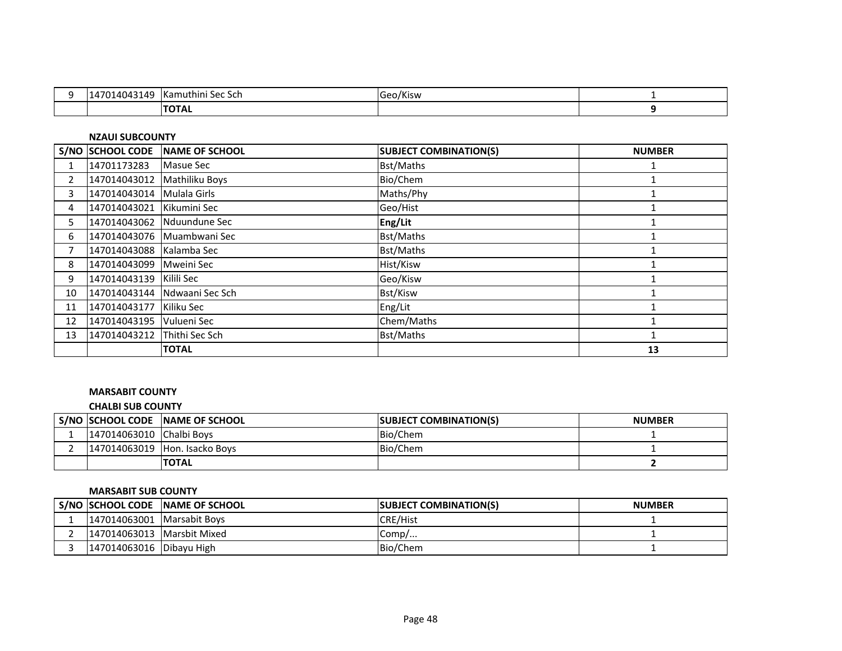| 0121<br>140<br>٬۱4۲<br>. . | TKamuthini Sec Sch | Geo/Kisw<br>$ -$ |  |
|----------------------------|--------------------|------------------|--|
|                            | $TT^T$<br>ΤΟΤΑΙ    |                  |  |

**NZAUI SUBCOUNTY**

|                | S/NO SCHOOL CODE            | NAME OF SCHOOL               | <b>SUBJECT COMBINATION(S)</b> | <b>NUMBER</b> |
|----------------|-----------------------------|------------------------------|-------------------------------|---------------|
| 1              | 14701173283                 | Masue Sec                    | <b>Bst/Maths</b>              |               |
| $\overline{2}$ | 147014043012 Mathiliku Boys |                              | Bio/Chem                      |               |
| 3              | 147014043014 Mulala Girls   |                              | Maths/Phy                     |               |
| 4              | 147014043021                | Kikumini Sec                 | Geo/Hist                      |               |
| 5.             |                             | 147014043062 Nduundune Sec   | Eng/Lit                       |               |
| 6              |                             | 147014043076 Muambwani Sec   | <b>Bst/Maths</b>              |               |
| 7              | 147014043088 Kalamba Sec    |                              | <b>Bst/Maths</b>              |               |
| 8              | 147014043099 Mweini Sec     |                              | Hist/Kisw                     |               |
| 9              | 147014043139 Kilili Sec     |                              | Geo/Kisw                      |               |
| 10             |                             | 147014043144 Ndwaani Sec Sch | Bst/Kisw                      |               |
| 11             | 147014043177                | Kiliku Sec                   | Eng/Lit                       |               |
| 12             | 147014043195   Vulueni Sec  |                              | Chem/Maths                    |               |
| 13             | 147014043212 Thithi Sec Sch |                              | <b>Bst/Maths</b>              |               |
|                |                             | <b>TOTAL</b>                 |                               | 13            |

### **MARSABIT COUNTY**

### **CHALBI SUB COUNTY**

| S/NO SCHOOL CODE         | <b>INAME OF SCHOOL</b> | <b>ISUBJECT COMBINATION(S)</b> | <b>NUMBER</b> |
|--------------------------|------------------------|--------------------------------|---------------|
| 147014063010 Chalbi Boys |                        | Bio/Chem                       |               |
| 147014063019             | Hon. Isacko Boys       | <b>Bio/Chem</b>                |               |
|                          | <b>ITOTAL</b>          |                                |               |

#### **MARSABIT SUB COUNTY**

|                            | S/NO SCHOOL CODE NAME OF SCHOOL | <b>ISUBJECT COMBINATION(S)</b> | <b>NUMBER</b> |
|----------------------------|---------------------------------|--------------------------------|---------------|
| 147014063001 Marsabit Boys |                                 | <b>CRE/Hist</b>                |               |
| 147014063013 Marsbit Mixed |                                 | Comp/                          |               |
| 147014063016 Dibayu High   |                                 | Bio/Chem                       |               |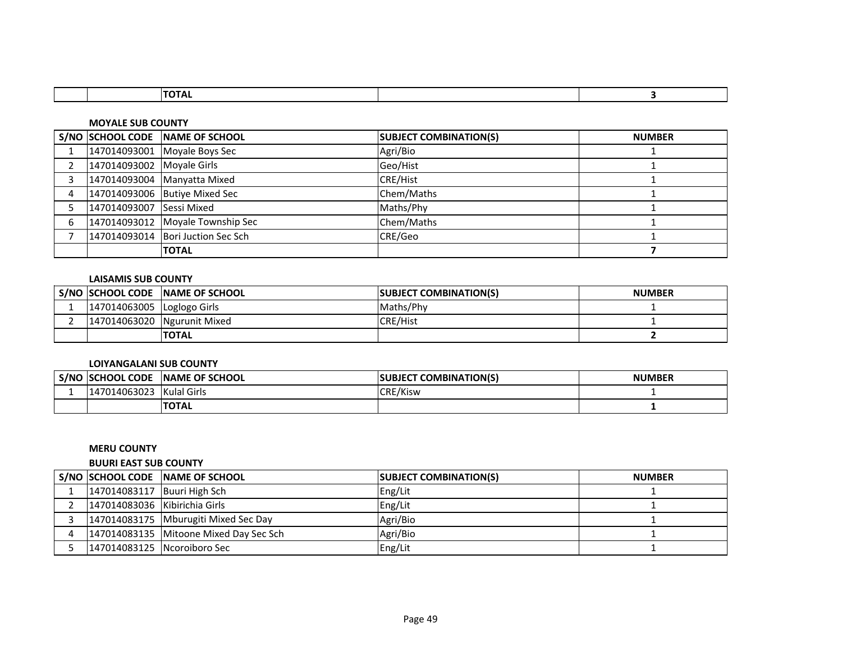| <u>. ur</u> |  |  |  |
|-------------|--|--|--|
|             |  |  |  |

#### **MOYALE SUB COUNTY**

|   |                           | S/NO SCHOOL CODE NAME OF SCHOOL     | <b>SUBJECT COMBINATION(S)</b> | <b>NUMBER</b> |
|---|---------------------------|-------------------------------------|-------------------------------|---------------|
|   |                           | 147014093001 Moyale Boys Sec        | Agri/Bio                      |               |
|   | 147014093002 Moyale Girls |                                     | Geo/Hist                      |               |
|   |                           | 147014093004 Manyatta Mixed         | <b>CRE/Hist</b>               |               |
| 4 |                           | 147014093006 Butiye Mixed Sec       | Chem/Maths                    |               |
|   | 147014093007 Sessi Mixed  |                                     | Maths/Phy                     |               |
| 6 |                           | 147014093012 Moyale Township Sec    | Chem/Maths                    |               |
|   |                           | 147014093014   Bori Juction Sec Sch | CRE/Geo                       |               |
|   |                           | <b>TOTAL</b>                        |                               |               |

### **LAISAMIS SUB COUNTY**

|                             | S/NO ISCHOOL CODE NAME OF SCHOOL | <b>ISUBJECT COMBINATION(S)</b> | <b>NUMBER</b> |
|-----------------------------|----------------------------------|--------------------------------|---------------|
| 147014063005 Loglogo Girls  |                                  | Maths/Phy                      |               |
| 147014063020 Ngurunit Mixed |                                  | <b>CRE/Hist</b>                |               |
|                             | <b>TOTAL</b>                     |                                |               |

### **LOIYANGALANI SUB COUNTY**

| S/NO | <b>ISCHOOL CODE</b> | <b>NAME OF SCHOOL</b> | <b>COMBINATION(S)</b><br><b>SUBJECT</b> | <b>NUMBER</b> |
|------|---------------------|-----------------------|-----------------------------------------|---------------|
|      | 147014063023        | <b>Kulal Girls</b>    | <b>CRE/Kisw</b><br>LNE.                 |               |
|      |                     | <b>TOTAL</b>          |                                         |               |

### **MERU COUNTY**

### **BUURI EAST SUB COUNTY**

|                               | S/NO SCHOOL CODE NAME OF SCHOOL        | <b>SUBJECT COMBINATION(S)</b> | <b>NUMBER</b> |
|-------------------------------|----------------------------------------|-------------------------------|---------------|
| 147014083117 Buuri High Sch   |                                        | Eng/Lit                       |               |
| 147014083036 Kibirichia Girls |                                        | Eng/Lit                       |               |
|                               | 147014083175   Mburugiti Mixed Sec Day | Agri/Bio                      |               |
|                               | 147014083135 Mitoone Mixed Day Sec Sch | Agri/Bio                      |               |
| 147014083125 Ncoroiboro Sec   |                                        | Eng/Lit                       |               |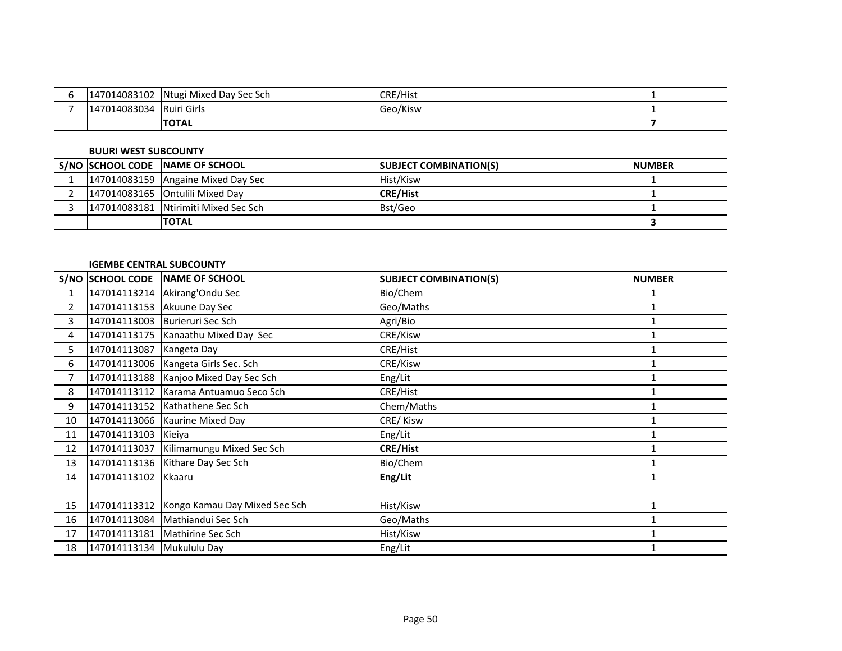| 147014083102 | Ntugi Mixed Day Sec Sch | CDE / Lic<br>° ⊶ ا ا∟ ،<br>IUNE/NISL |  |
|--------------|-------------------------|--------------------------------------|--|
| 147014083034 | Ruiri Girls             | Geo/Kisw                             |  |
|              | <b>ITOTAL</b>           |                                      |  |

### **BUURI WEST SUBCOUNTY**

|  | S/NO SCHOOL CODE NAME OF SCHOOL        | <b>SUBJECT COMBINATION(S)</b> | <b>NUMBER</b> |
|--|----------------------------------------|-------------------------------|---------------|
|  | 147014083159 Angaine Mixed Day Sec     | Hist/Kisw                     |               |
|  | 147014083165 Ontulili Mixed Day        | <b>CRE/Hist</b>               |               |
|  | 147014083181   Ntirimiti Mixed Sec Sch | Bst/Geo                       |               |
|  | <b>TOTAL</b>                           |                               |               |

### **IGEMBE CENTRAL SUBCOUNTY**

|              | <b>S/NO SCHOOL CODE</b>   | <b>NAME OF SCHOOL</b>                 | <b>SUBJECT COMBINATION(S)</b> | <b>NUMBER</b> |
|--------------|---------------------------|---------------------------------------|-------------------------------|---------------|
| 1            |                           | 147014113214   Akirang' Ondu Sec      | Bio/Chem                      |               |
| $\mathbf{2}$ |                           | 147014113153 Akuune Day Sec           | Geo/Maths                     |               |
| 3            | 147014113003              | Burieruri Sec Sch                     | Agri/Bio                      |               |
| 4            |                           | 147014113175   Kanaathu Mixed Day Sec | CRE/Kisw                      |               |
| 5.           | 147014113087              | Kangeta Day                           | CRE/Hist                      |               |
| 6            |                           | 147014113006   Kangeta Girls Sec. Sch | CRE/Kisw                      |               |
| 7            | 147014113188              | Kanjoo Mixed Day Sec Sch              | Eng/Lit                       |               |
| 8            | 147014113112              | Karama Antuamuo Seco Sch              | CRE/Hist                      |               |
| 9            |                           | 147014113152 Kathathene Sec Sch       | Chem/Maths                    |               |
| 10           |                           | 147014113066 Kaurine Mixed Day        | CRE/Kisw                      |               |
| 11           | 147014113103              | Kieiya                                | Eng/Lit                       |               |
| 12           | 147014113037              | Kilimamungu Mixed Sec Sch             | <b>CRE/Hist</b>               |               |
| 13           |                           | 147014113136 Kithare Day Sec Sch      | Bio/Chem                      |               |
| 14           | 147014113102              | Kkaaru                                | Eng/Lit                       |               |
|              |                           |                                       |                               |               |
| 15           | 147014113312              | Kongo Kamau Day Mixed Sec Sch         | Hist/Kisw                     | $\mathbf{1}$  |
| 16           | 147014113084              | Mathiandui Sec Sch                    | Geo/Maths                     |               |
| 17           | 147014113181              | Mathirine Sec Sch                     | Hist/Kisw                     |               |
| 18           | 147014113134 Mukululu Day |                                       | Eng/Lit                       |               |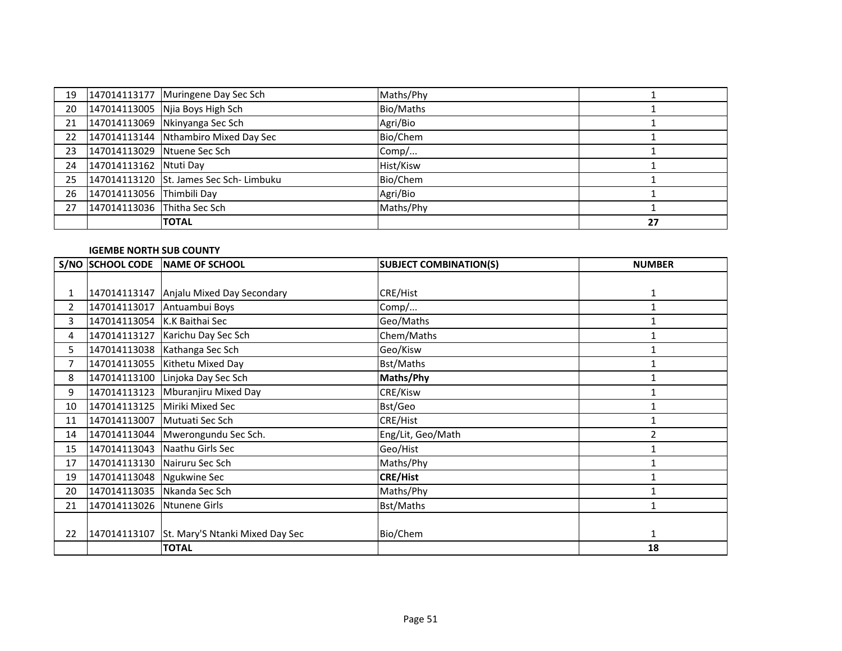| 19 |                             | 147014113177 Muringene Day Sec Sch      | Maths/Phy |    |
|----|-----------------------------|-----------------------------------------|-----------|----|
| 20 |                             | 147014113005 Njia Boys High Sch         | Bio/Maths |    |
| 21 |                             | 147014113069 Nkinyanga Sec Sch          | Agri/Bio  |    |
| 22 |                             | 147014113144 Nthambiro Mixed Day Sec    | Bio/Chem  |    |
| 23 | 147014113029 Ntuene Sec Sch |                                         | Comp/     |    |
| 24 | 147014113162 Ntuti Day      |                                         | Hist/Kisw |    |
| 25 |                             | 147014113120 St. James Sec Sch- Limbuku | Bio/Chem  |    |
| 26 | 147014113056 Thimbili Day   |                                         | Agri/Bio  |    |
| 27 | 147014113036 Thitha Sec Sch |                                         | Maths/Phy |    |
|    |                             | <b>TOTAL</b>                            |           | 27 |

### **IGEMBE NORTH SUB COUNTY**

|                | S/NO SCHOOL CODE             | <b>NAME OF SCHOOL</b>                        | <b>SUBJECT COMBINATION(S)</b> | <b>NUMBER</b>  |
|----------------|------------------------------|----------------------------------------------|-------------------------------|----------------|
|                |                              |                                              |                               |                |
| 1              |                              | 147014113147 Anjalu Mixed Day Secondary      | CRE/Hist                      | 1              |
| $\overline{2}$ |                              | 147014113017 Antuambui Boys                  | Comp/                         | 1              |
| 3              | 147014113054 K.K Baithai Sec |                                              | Geo/Maths                     |                |
| 4              | 147014113127                 | Karichu Day Sec Sch                          | Chem/Maths                    |                |
| 5              |                              | 147014113038 Kathanga Sec Sch                | Geo/Kisw                      |                |
| $\overline{7}$ |                              | 147014113055   Kithetu Mixed Day             | <b>Bst/Maths</b>              |                |
| 8              |                              | 147014113100 Linjoka Day Sec Sch             | Maths/Phy                     |                |
| 9              | 147014113123                 | Mburanjiru Mixed Day                         | CRE/Kisw                      |                |
| 10             | 147014113125                 | Miriki Mixed Sec                             | Bst/Geo                       |                |
| 11             |                              | 147014113007 Mutuati Sec Sch                 | CRE/Hist                      |                |
| 14             |                              | 147014113044 Mwerongundu Sec Sch.            | Eng/Lit, Geo/Math             | $\overline{2}$ |
| 15             |                              | 147014113043 Naathu Girls Sec                | Geo/Hist                      |                |
| 17             |                              | 147014113130 Nairuru Sec Sch                 | Maths/Phy                     |                |
| 19             | 147014113048 Ngukwine Sec    |                                              | <b>CRE/Hist</b>               |                |
| 20             |                              | 147014113035 Nkanda Sec Sch                  | Maths/Phy                     |                |
| 21             | 147014113026                 | Ntunene Girls                                | Bst/Maths                     |                |
|                |                              |                                              |                               |                |
| 22             |                              | 147014113107 St. Mary'S Ntanki Mixed Day Sec | Bio/Chem                      | 1              |
|                |                              | <b>TOTAL</b>                                 |                               | 18             |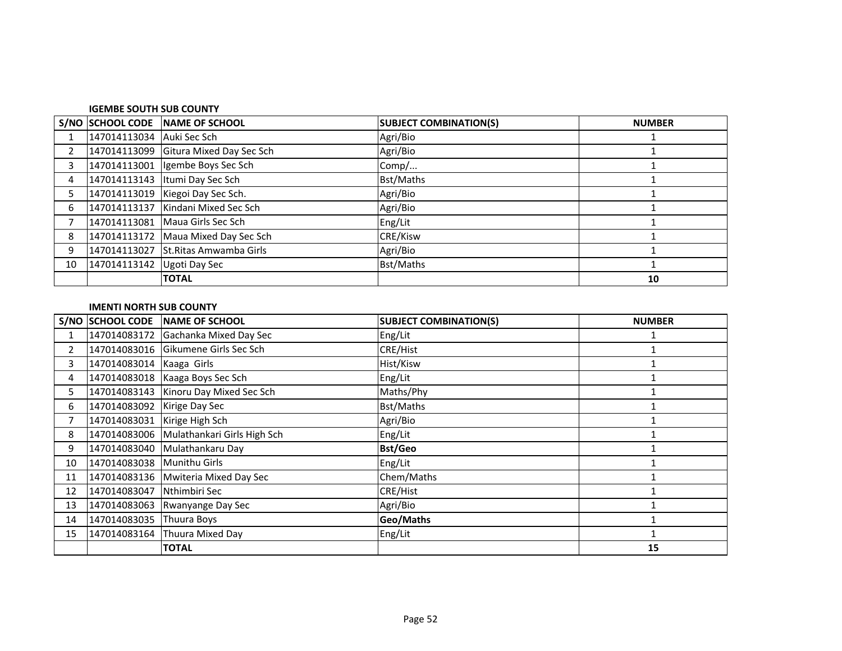#### **IGEMBE SOUTH SUB COUNTY**

|                |                            | S/NO SCHOOL CODE NAME OF SCHOOL       | <b>SUBJECT COMBINATION(S)</b> | <b>NUMBER</b> |
|----------------|----------------------------|---------------------------------------|-------------------------------|---------------|
|                | 147014113034 Auki Sec Sch  |                                       | Agri/Bio                      |               |
| $\overline{2}$ |                            | 147014113099 Gitura Mixed Day Sec Sch | Agri/Bio                      |               |
| 3              |                            | 147014113001   Igembe Boys Sec Sch    | Comp/                         |               |
| 4              |                            | 147014113143   Itumi Day Sec Sch      | Bst/Maths                     |               |
| 5              |                            | 147014113019 Kiegoi Day Sec Sch.      | Agri/Bio                      |               |
| 6              |                            | 147014113137 Kindani Mixed Sec Sch    | Agri/Bio                      |               |
|                |                            | 147014113081 Maua Girls Sec Sch       | Eng/Lit                       |               |
| 8              |                            | 147014113172 Maua Mixed Day Sec Sch   | CRE/Kisw                      |               |
| 9              |                            | 147014113027 St.Ritas Amwamba Girls   | Agri/Bio                      |               |
| 10             | 147014113142 Ugoti Day Sec |                                       | Bst/Maths                     |               |
|                |                            | <b>TOTAL</b>                          |                               | 10            |

#### **IMENTI NORTH SUB COUNTY**

|                |                              | S/NO SCHOOL CODE NAME OF SCHOOL          | <b>SUBJECT COMBINATION(S)</b> | <b>NUMBER</b> |
|----------------|------------------------------|------------------------------------------|-------------------------------|---------------|
|                |                              | 147014083172 Gachanka Mixed Day Sec      | Eng/Lit                       |               |
| $\overline{2}$ |                              | 147014083016 Gikumene Girls Sec Sch      | <b>CRE/Hist</b>               |               |
| 3              | 147014083014 Kaaga Girls     |                                          | Hist/Kisw                     |               |
| 4              |                              | 147014083018   Kaaga Boys Sec Sch        | Eng/Lit                       |               |
| 5.             |                              | 147014083143 Kinoru Day Mixed Sec Sch    | Maths/Phy                     |               |
| 6.             | 147014083092 Kirige Day Sec  |                                          | Bst/Maths                     |               |
| 7              | 147014083031 Kirige High Sch |                                          | Agri/Bio                      |               |
| 8              |                              | 147014083006 Mulathankari Girls High Sch | Eng/Lit                       |               |
| 9              |                              | 147014083040 Mulathankaru Day            | <b>Bst/Geo</b>                |               |
| 10             | 147014083038 Munithu Girls   |                                          | Eng/Lit                       |               |
| 11             |                              | 147014083136   Mwiteria Mixed Day Sec    | Chem/Maths                    |               |
| 12             | 147014083047                 | Nthimbiri Sec                            | CRE/Hist                      |               |
| 13             |                              | 147014083063 Rwanyange Day Sec           | Agri/Bio                      |               |
| 14             | 147014083035 Thuura Boys     |                                          | Geo/Maths                     |               |
| 15             |                              | 147014083164 Thuura Mixed Day            | Eng/Lit                       |               |
|                |                              | <b>TOTAL</b>                             |                               | 15            |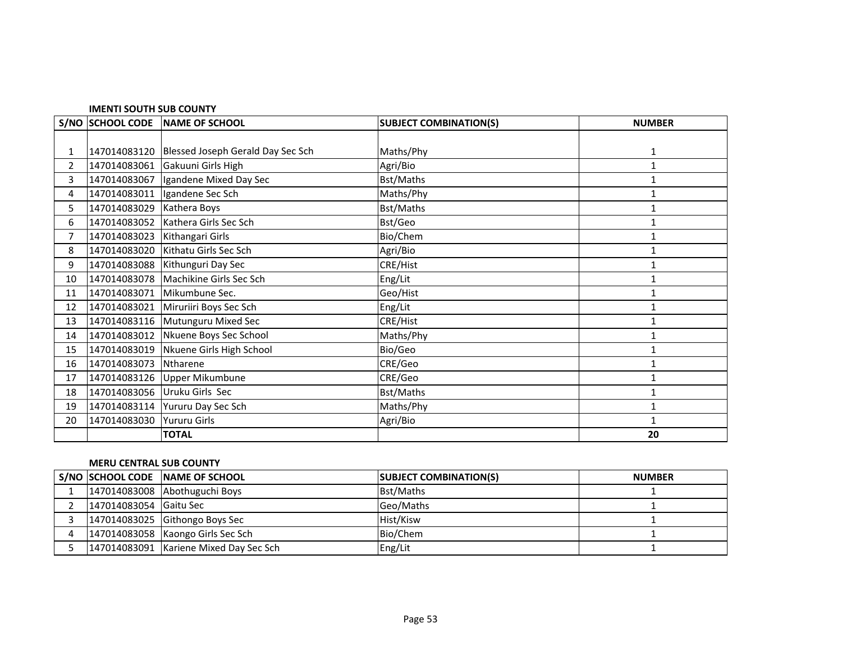#### **IMENTI SOUTH SUB COUNTY**

|                | S/NO SCHOOL CODE | <b>NAME OF SCHOOL</b>                | <b>SUBJECT COMBINATION(S)</b> | <b>NUMBER</b> |
|----------------|------------------|--------------------------------------|-------------------------------|---------------|
|                |                  |                                      |                               |               |
| 1              | 147014083120     | Blessed Joseph Gerald Day Sec Sch    | Maths/Phy                     | 1             |
| $\overline{2}$ | 147014083061     | Gakuuni Girls High                   | Agri/Bio                      | 1             |
| 3              | 147014083067     | Igandene Mixed Day Sec               | Bst/Maths                     | 1             |
| 4              | 147014083011     | Igandene Sec Sch                     | Maths/Phy                     | 1             |
| 5              | 147014083029     | Kathera Boys                         | Bst/Maths                     | 1             |
| 6              |                  | 147014083052   Kathera Girls Sec Sch | Bst/Geo                       | 1             |
| 7              | 147014083023     | Kithangari Girls                     | Bio/Chem                      | 1             |
| 8              | 147014083020     | Kithatu Girls Sec Sch                | Agri/Bio                      | 1             |
| 9              | 147014083088     | Kithunguri Day Sec                   | <b>CRE/Hist</b>               | 1             |
| 10             |                  | 147014083078 Machikine Girls Sec Sch | Eng/Lit                       | 1             |
| 11             | 147014083071     | Mikumbune Sec.                       | Geo/Hist                      | 1             |
| 12             | 147014083021     | Miruriiri Boys Sec Sch               | Eng/Lit                       | 1             |
| 13             |                  | 147014083116 Mutunguru Mixed Sec     | <b>CRE/Hist</b>               | 1             |
| 14             | 147014083012     | Nkuene Boys Sec School               | Maths/Phy                     | 1             |
| 15             | 147014083019     | Nkuene Girls High School             | Bio/Geo                       | 1             |
| 16             | 147014083073     | Ntharene                             | CRE/Geo                       | 1             |
| 17             |                  | 147014083126 Upper Mikumbune         | CRE/Geo                       | 1             |
| 18             | 147014083056     | Uruku Girls Sec                      | <b>Bst/Maths</b>              | 1             |
| 19             |                  | 147014083114 Yururu Day Sec Sch      | Maths/Phy                     | 1             |
| 20             | 147014083030     | <b>Yururu Girls</b>                  | Agri/Bio                      | 1             |
|                |                  | <b>TOTAL</b>                         |                               | 20            |

### **MERU CENTRAL SUB COUNTY**

|                        | S/NO SCHOOL CODE NAME OF SCHOOL        | <b>SUBJECT COMBINATION(S)</b> | <b>NUMBER</b> |
|------------------------|----------------------------------------|-------------------------------|---------------|
|                        | 147014083008 Abothuguchi Boys          | <b>Bst/Maths</b>              |               |
| 147014083054 Gaitu Sec |                                        | Geo/Maths                     |               |
|                        | 147014083025 Githongo Boys Sec         | Hist/Kisw                     |               |
|                        | 147014083058   Kaongo Girls Sec Sch    | Bio/Chem                      |               |
|                        | 147014083091 Kariene Mixed Day Sec Sch | Eng/Lit                       |               |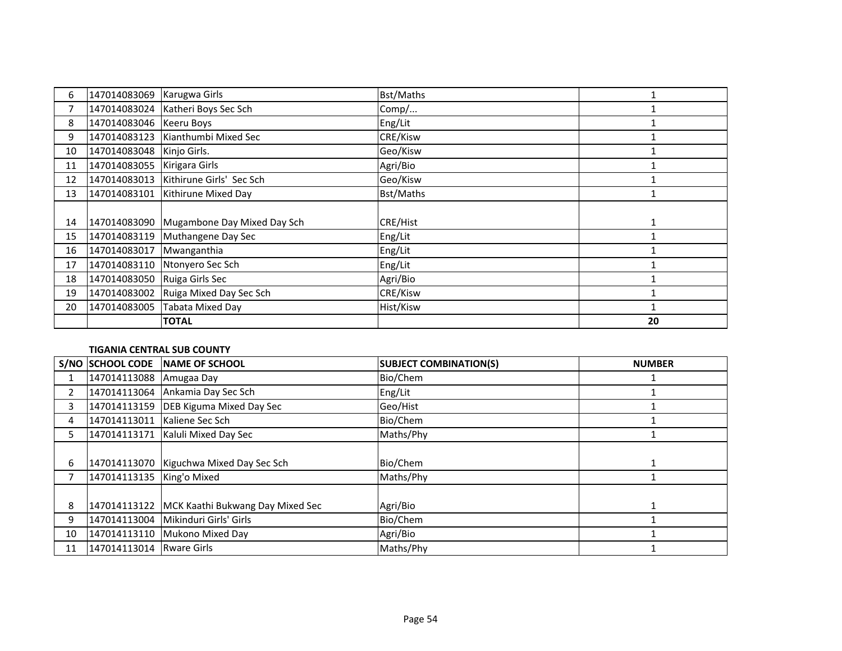| 6  | 147014083069              | Karugwa Girls                       | <b>Bst/Maths</b> |    |
|----|---------------------------|-------------------------------------|------------------|----|
|    |                           | 147014083024 Katheri Boys Sec Sch   | Comp/            |    |
| 8  | 147014083046   Keeru Boys |                                     | Eng/Lit          |    |
| 9  |                           | 147014083123   Kianthumbi Mixed Sec | <b>CRE/Kisw</b>  |    |
| 10 | 147014083048              | Kinjo Girls.                        | Geo/Kisw         |    |
| 11 | 147014083055              | Kirigara Girls                      | Agri/Bio         |    |
| 12 | 147014083013              | Kithirune Girls' Sec Sch            | Geo/Kisw         |    |
| 13 | 147014083101              | Kithirune Mixed Day                 | Bst/Maths        |    |
|    |                           |                                     |                  |    |
| 14 | 147014083090              | Mugambone Day Mixed Day Sch         | <b>CRE/Hist</b>  |    |
| 15 | 147014083119              | Muthangene Day Sec                  | Eng/Lit          |    |
| 16 | 147014083017              | Mwanganthia                         | Eng/Lit          |    |
| 17 | 147014083110              | Ntonyero Sec Sch                    | Eng/Lit          |    |
| 18 | 147014083050              | Ruiga Girls Sec                     | Agri/Bio         |    |
| 19 | 147014083002              | Ruiga Mixed Day Sec Sch             | CRE/Kisw         |    |
| 20 | 147014083005              | <b>Tabata Mixed Day</b>             | Hist/Kisw        |    |
|    |                           | <b>TOTAL</b>                        |                  | 20 |

### **TIGANIA CENTRAL SUB COUNTY**

|    | S/NO SCHOOL CODE          | NAME OF SCHOOL                          | <b>SUBJECT COMBINATION(S)</b> | <b>NUMBER</b> |
|----|---------------------------|-----------------------------------------|-------------------------------|---------------|
|    | 147014113088              | Amugaa Day                              | Bio/Chem                      |               |
|    |                           | 147014113064 Ankamia Day Sec Sch        | Eng/Lit                       |               |
| 3  |                           | 147014113159 DEB Kiguma Mixed Day Sec   | Geo/Hist                      |               |
| 4  | 147014113011              | Kaliene Sec Sch                         | Bio/Chem                      |               |
| 5. | 147014113171              | Kaluli Mixed Day Sec                    | Maths/Phy                     |               |
|    |                           |                                         |                               |               |
| 6  |                           | 147014113070 Kiguchwa Mixed Day Sec Sch | Bio/Chem                      |               |
|    | 147014113135 King'o Mixed |                                         | Maths/Phy                     |               |
|    |                           |                                         |                               |               |
| 8  | 147014113122              | MCK Kaathi Bukwang Day Mixed Sec        | Agri/Bio                      |               |
| 9  | 147014113004              | Mikinduri Girls' Girls                  | Bio/Chem                      |               |
| 10 | 147014113110              | Mukono Mixed Day                        | Agri/Bio                      |               |
| 11 | 147014113014 Rware Girls  |                                         | Maths/Phy                     |               |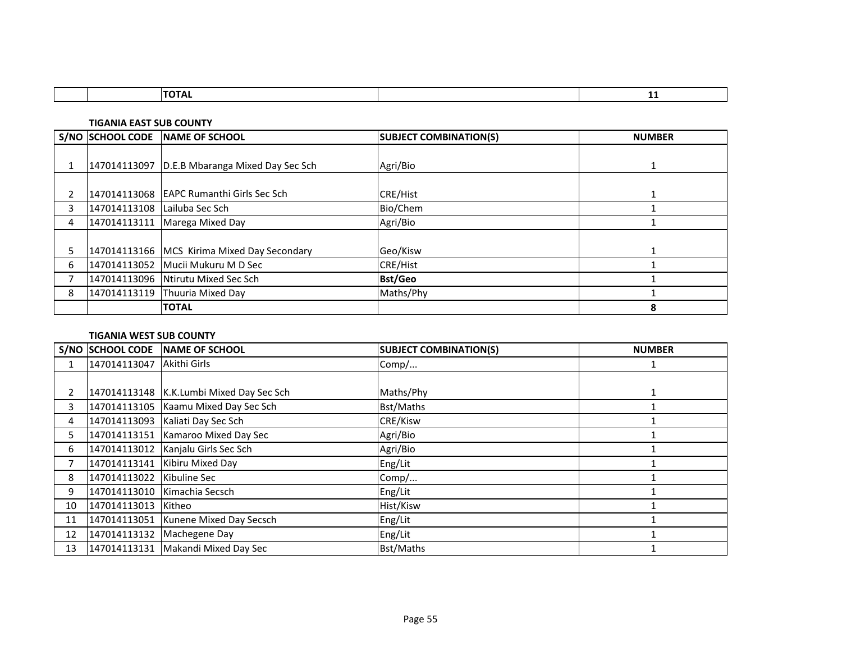|  |  | -- |
|--|--|----|
|  |  |    |

**TIGANIA EAST SUB COUNTY**

|   | S/NO SCHOOL CODE             | <b>INAME OF SCHOOL</b>                        | <b>SUBJECT COMBINATION(S)</b> | <b>NUMBER</b> |
|---|------------------------------|-----------------------------------------------|-------------------------------|---------------|
|   |                              |                                               |                               |               |
|   |                              | 147014113097 D.E.B Mbaranga Mixed Day Sec Sch | Agri/Bio                      |               |
|   |                              |                                               |                               |               |
|   |                              | 147014113068 EAPC Rumanthi Girls Sec Sch      | <b>CRE/Hist</b>               |               |
| 3 | 147014113108 Lailuba Sec Sch |                                               | Bio/Chem                      |               |
| 4 |                              | 147014113111   Marega Mixed Day               | Agri/Bio                      |               |
|   |                              |                                               |                               |               |
| 5 |                              | 147014113166 MCS Kirima Mixed Day Secondary   | Geo/Kisw                      |               |
| 6 |                              | 147014113052 Mucii Mukuru M D Sec             | <b>CRE/Hist</b>               |               |
|   |                              | 147014113096 Ntirutu Mixed Sec Sch            | <b>Bst/Geo</b>                |               |
| 8 |                              | 147014113119 Thuuria Mixed Day                | Maths/Phy                     |               |
|   |                              | <b>TOTAL</b>                                  |                               | 8             |

### **TIGANIA WEST SUB COUNTY**

|    | S/NO SCHOOL CODE          | NAME OF SCHOOL                             | <b>SUBJECT COMBINATION(S)</b> | <b>NUMBER</b> |
|----|---------------------------|--------------------------------------------|-------------------------------|---------------|
|    | 147014113047 Akithi Girls |                                            | Comp/                         |               |
|    |                           |                                            |                               |               |
| 2  |                           | 147014113148   K.K.Lumbi Mixed Day Sec Sch | Maths/Phy                     |               |
| 3  |                           | 147014113105   Kaamu Mixed Day Sec Sch     | <b>Bst/Maths</b>              |               |
| 4  |                           | 147014113093   Kaliati Day Sec Sch         | <b>CRE/Kisw</b>               |               |
| 5. |                           | 147014113151 Kamaroo Mixed Day Sec         | Agri/Bio                      |               |
| 6  |                           | 147014113012 Kanjalu Girls Sec Sch         | Agri/Bio                      |               |
|    |                           | 147014113141 Kibiru Mixed Day              | Eng/Lit                       |               |
| 8  | 147014113022              | Kibuline Sec                               | Comp/                         |               |
| 9  | 147014113010              | Kimachia Secsch                            | Eng/Lit                       |               |
| 10 | 147014113013              | Kitheo                                     | Hist/Kisw                     |               |
| 11 |                           | 147014113051 Kunene Mixed Day Secsch       | Eng/Lit                       |               |
| 12 |                           | 147014113132 Machegene Day                 | Eng/Lit                       |               |
| 13 |                           | 147014113131   Makandi Mixed Day Sec       | <b>Bst/Maths</b>              |               |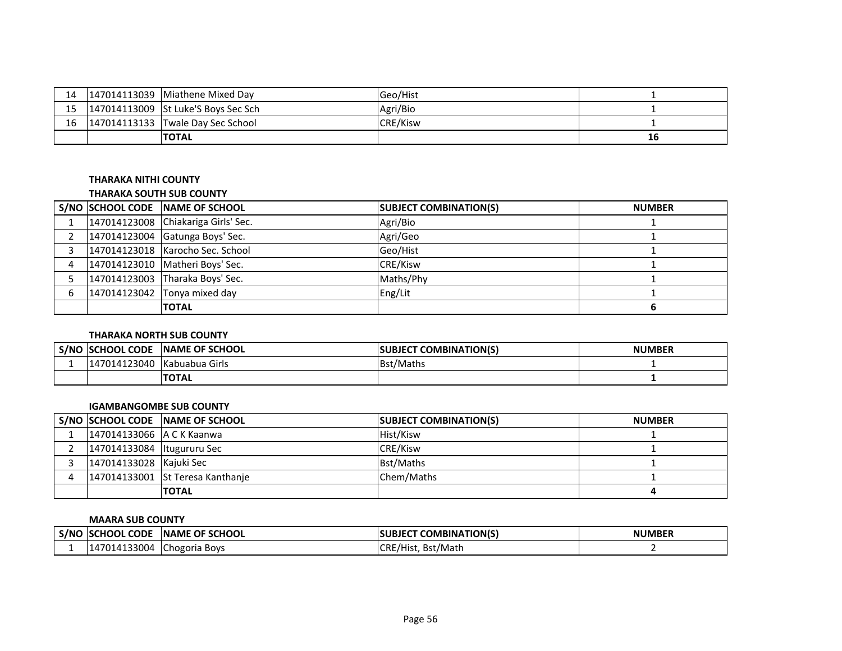| 14 | 147014113039 IMiathene Mixed Dav         | <b>IGeo/Hist</b> |    |
|----|------------------------------------------|------------------|----|
|    | 15   147014113009 St Luke'S Boys Sec Sch | Agri/Bio         |    |
| 16 | $147014113133$ Twale Day Sec School      | <b>CRE/Kisw</b>  |    |
|    | <b>TOTAL</b>                             |                  | 16 |

### **THARAKA NITHI COUNTY**

#### **THARAKA SOUTH SUB COUNTY**

|  | S/NO SCHOOL CODE NAME OF SCHOOL     | <b>SUBJECT COMBINATION(S)</b> | <b>NUMBER</b> |
|--|-------------------------------------|-------------------------------|---------------|
|  | 147014123008 Chiakariga Girls' Sec. | Agri/Bio                      |               |
|  | 147014123004 Gatunga Boys' Sec.     | Agri/Geo                      |               |
|  | 147014123018 Karocho Sec. School    | Geo/Hist                      |               |
|  | 147014123010 Matheri Boys' Sec.     | <b>CRE/Kisw</b>               |               |
|  | 147014123003 Tharaka Boys' Sec.     | Maths/Phy                     |               |
|  | 147014123042 Tonya mixed day        | Eng/Lit                       |               |
|  | <b>TOTAL</b>                        |                               |               |

### **THARAKA NORTH SUB COUNTY**

| S/NC | <b>ISCHOOL CODE</b> | <b>INAME OF SCHOOL</b> | <b>COMBINATION(S)</b><br><b>SUBJECT</b> | <b>NUMBER</b> |
|------|---------------------|------------------------|-----------------------------------------|---------------|
|      | 147014123040        | <b>Kabuabua Girls</b>  | <b>Bst/Maths</b>                        |               |
|      |                     | <b>TOTAL</b>           |                                         |               |

### **IGAMBANGOMBE SUB COUNTY**

|                              | S/NO SCHOOL CODE NAME OF SCHOOL  | <b>SUBJECT COMBINATION(S)</b> | <b>NUMBER</b> |
|------------------------------|----------------------------------|-------------------------------|---------------|
| 147014133066 A C K Kaanwa    |                                  | Hist/Kisw                     |               |
| 147014133084   Itugururu Sec |                                  | <b>CRE/Kisw</b>               |               |
| 147014133028 Kajuki Sec      |                                  | <b>Bst/Maths</b>              |               |
|                              | 147014133001 St Teresa Kanthanie | Chem/Maths                    |               |
|                              | <b>TOTAL</b>                     |                               |               |

#### **MAARA SUB COUNTY**

| ∟S/NO | <b>ISCHOOL CODE</b> | <b>INAME OF SCHOOL</b> | BJECT COMBINATION(S)<br><b>ISUBJECT</b> | <b>NUMBER</b> |
|-------|---------------------|------------------------|-----------------------------------------|---------------|
|       | 147014133004        | <b>Chogoria Boys</b>   | CRE/Hist, Bst/Math                      |               |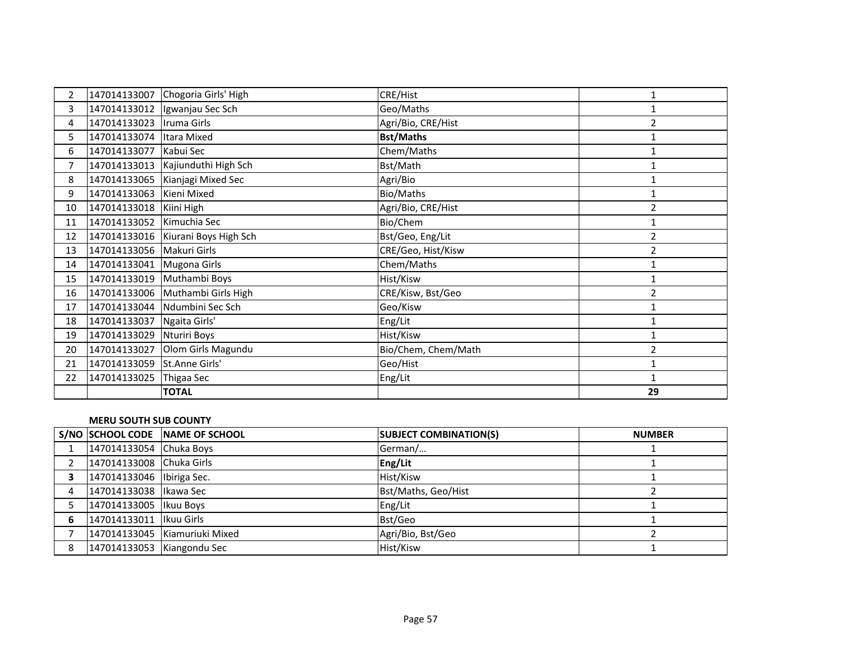| $\overline{2}$ | 147014133007               | Chogoria Girls' High               | <b>CRE/Hist</b>     |                |
|----------------|----------------------------|------------------------------------|---------------------|----------------|
| $\mathbf{3}$   |                            | 147014133012   Igwanjau Sec Sch    | Geo/Maths           |                |
| 4              | 147014133023   Iruma Girls |                                    | Agri/Bio, CRE/Hist  | $\overline{2}$ |
| 5              | 147014133074 Itara Mixed   |                                    | <b>Bst/Maths</b>    | $\mathbf{1}$   |
| 6              | 147014133077 Kabui Sec     |                                    | Chem/Maths          |                |
| 7              |                            | 147014133013 Kajiunduthi High Sch  | Bst/Math            |                |
| 8              |                            | 147014133065 Kianjagi Mixed Sec    | Agri/Bio            | 1              |
| 9              | 147014133063 Kieni Mixed   |                                    | Bio/Maths           | 1              |
| 10             | 147014133018 Kiini High    |                                    | Agri/Bio, CRE/Hist  | $\overline{2}$ |
| 11             | 147014133052 Kimuchia Sec  |                                    | Bio/Chem            | 1              |
| 12             |                            | 147014133016 Kiurani Boys High Sch | Bst/Geo, Eng/Lit    | $\overline{2}$ |
| 13             | 147014133056 Makuri Girls  |                                    | CRE/Geo, Hist/Kisw  | 2              |
| 14             | 147014133041 Mugona Girls  |                                    | Chem/Maths          | $\mathbf{1}$   |
| 15             | 147014133019 Muthambi Boys |                                    | Hist/Kisw           | $\mathbf{1}$   |
| 16             |                            | 147014133006 Muthambi Girls High   | CRE/Kisw, Bst/Geo   | $\overline{2}$ |
| 17             |                            | 147014133044 Ndumbini Sec Sch      | Geo/Kisw            | $\mathbf{1}$   |
| 18             | 147014133037               | Ngaita Girls'                      | Eng/Lit             | $\mathbf{1}$   |
| 19             | 147014133029               | Nturiri Boys                       | Hist/Kisw           | 1              |
| 20             |                            | 147014133027 Olom Girls Magundu    | Bio/Chem, Chem/Math | $\overline{2}$ |
| 21             | 147014133059               | St.Anne Girls'                     | Geo/Hist            | $\mathbf{1}$   |
| 22             | 147014133025               | Thigaa Sec                         | Eng/Lit             |                |
|                |                            | <b>TOTAL</b>                       |                     | 29             |

### **MERU SOUTH SUB COUNTY**

|   |                             | S/NO SCHOOL CODE NAME OF SCHOOL | <b>SUBJECT COMBINATION(S)</b> | <b>NUMBER</b> |
|---|-----------------------------|---------------------------------|-------------------------------|---------------|
|   | 147014133054 Chuka Boys     |                                 | German/                       |               |
|   | 147014133008 Chuka Girls    |                                 | Eng/Lit                       |               |
|   | 147014133046   Ibiriga Sec. |                                 | Hist/Kisw                     |               |
| 4 | 147014133038   Ikawa Sec    |                                 | Bst/Maths, Geo/Hist           |               |
|   | 147014133005   Ikuu Boys    |                                 | Eng/Lit                       |               |
| 6 | 147014133011 Ilkuu Girls    |                                 | Bst/Geo                       |               |
|   |                             | 147014133045 Kiamuriuki Mixed   | Agri/Bio, Bst/Geo             |               |
| 8 | 147014133053 Kiangondu Sec  |                                 | Hist/Kisw                     |               |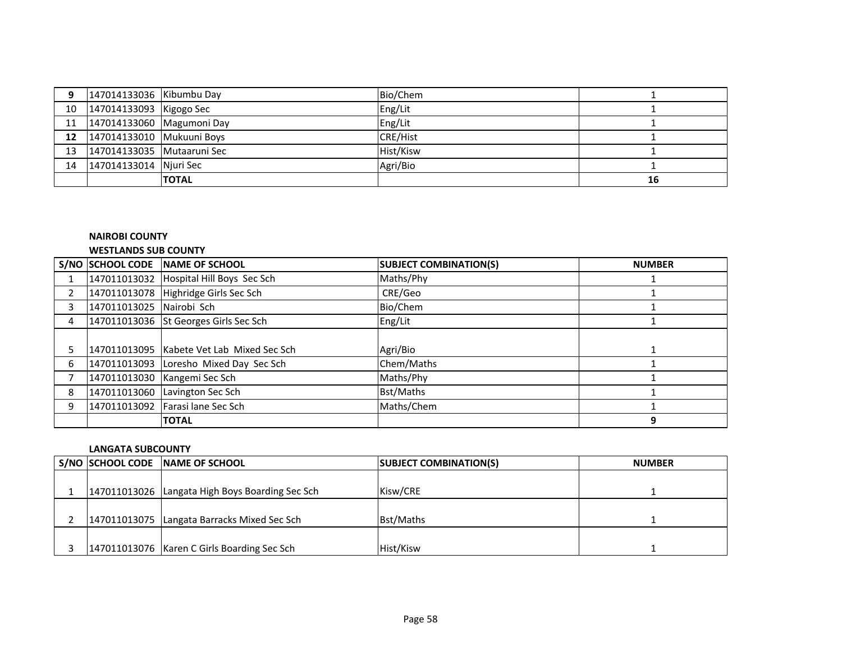| 9  | 147014133036 Kibumbu Day   |              | Bio/Chem        |    |
|----|----------------------------|--------------|-----------------|----|
| 10 | 147014133093 Kigogo Sec    |              | Eng/Lit         |    |
| 11 | 147014133060 Magumoni Day  |              | Eng/Lit         |    |
| 12 | 147014133010 Mukuuni Boys  |              | <b>CRE/Hist</b> |    |
| 13 | 147014133035 Mutaaruni Sec |              | Hist/Kisw       |    |
| 14 | 147014133014 Njuri Sec     |              | Agri/Bio        |    |
|    |                            | <b>TOTAL</b> |                 | 16 |

### **NAIROBI COUNTY**

#### **WESTLANDS SUB COUNTY**

|                |                          | S/NO SCHOOL CODE NAME OF SCHOOL           | <b>SUBJECT COMBINATION(S)</b> | <b>NUMBER</b> |
|----------------|--------------------------|-------------------------------------------|-------------------------------|---------------|
|                |                          | 147011013032 Hospital Hill Boys Sec Sch   | Maths/Phy                     |               |
| $\overline{2}$ |                          | 147011013078 Highridge Girls Sec Sch      | CRE/Geo                       |               |
| 3              | 147011013025 Nairobi Sch |                                           | Bio/Chem                      |               |
| 4              |                          | 147011013036 St Georges Girls Sec Sch     | Eng/Lit                       |               |
|                |                          |                                           |                               |               |
|                |                          | 147011013095 Kabete Vet Lab Mixed Sec Sch | Agri/Bio                      |               |
| 6              |                          | 147011013093 Loresho Mixed Day Sec Sch    | Chem/Maths                    |               |
|                |                          | 147011013030   Kangemi Sec Sch            | Maths/Phy                     |               |
| 8              |                          | 147011013060 Lavington Sec Sch            | <b>Bst/Maths</b>              |               |
| 9              |                          | 147011013092 Farasi lane Sec Sch          | Maths/Chem                    |               |
|                |                          | <b>TOTAL</b>                              |                               | 9             |

#### **LANGATA SUBCOUNTY**

|  | S/NO SCHOOL CODE NAME OF SCHOOL                 | <b>SUBJECT COMBINATION(S)</b> | <b>NUMBER</b> |
|--|-------------------------------------------------|-------------------------------|---------------|
|  |                                                 |                               |               |
|  | 147011013026 Langata High Boys Boarding Sec Sch | Kisw/CRE                      |               |
|  |                                                 |                               |               |
|  | 147011013075 Langata Barracks Mixed Sec Sch     | Bst/Maths                     |               |
|  |                                                 |                               |               |
|  | 147011013076   Karen C Girls Boarding Sec Sch   | Hist/Kisw                     |               |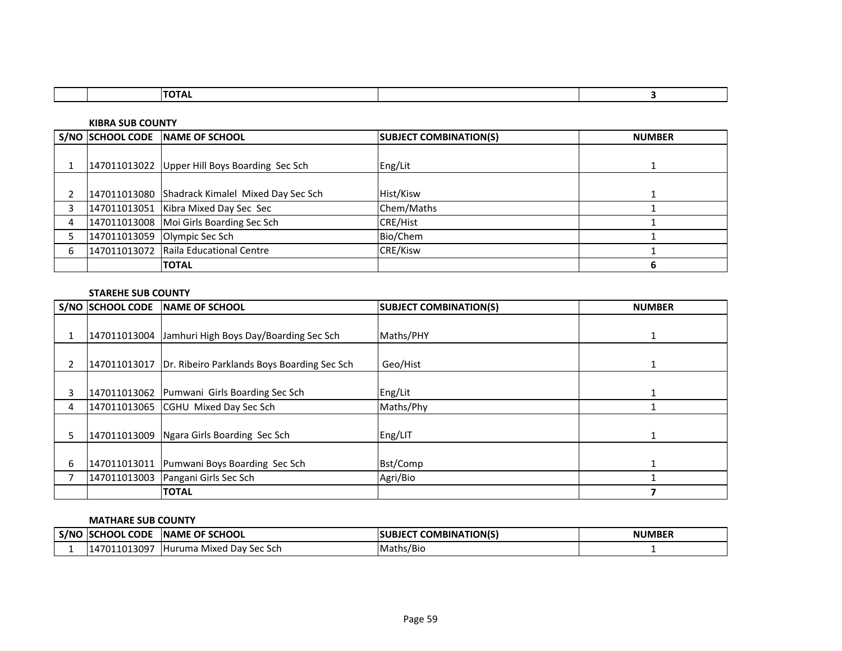**KIBRA SUB COUNTY**

|   | S/NO SCHOOL CODE NAME OF SCHOOL                 | <b>SUBJECT COMBINATION(S)</b> | <b>NUMBER</b> |
|---|-------------------------------------------------|-------------------------------|---------------|
|   |                                                 |                               |               |
|   | 147011013022 Upper Hill Boys Boarding Sec Sch   | Eng/Lit                       |               |
|   |                                                 |                               |               |
|   | 147011013080 Shadrack Kimalel Mixed Day Sec Sch | Hist/Kisw                     |               |
| 3 | 147011013051 Kibra Mixed Day Sec Sec            | Chem/Maths                    |               |
| 4 | 147011013008 Moi Girls Boarding Sec Sch         | <b>CRE/Hist</b>               |               |
|   | 147011013059 Olympic Sec Sch                    | Bio/Chem                      |               |
| 6 | 147011013072 Raila Educational Centre           | CRE/Kisw                      |               |
|   | <b>TOTAL</b>                                    |                               |               |

### **STAREHE SUB COUNTY**

|                | <b>S/NO SCHOOL CODE</b> | <b>INAME OF SCHOOL</b>                              | <b>SUBJECT COMBINATION(S)</b> | <b>NUMBER</b> |
|----------------|-------------------------|-----------------------------------------------------|-------------------------------|---------------|
|                |                         |                                                     |                               |               |
|                |                         | 147011013004 Jamhuri High Boys Day/Boarding Sec Sch | Maths/PHY                     |               |
| $\overline{2}$ | 147011013017            | Dr. Ribeiro Parklands Boys Boarding Sec Sch         | Geo/Hist                      |               |
| 3              |                         | 147011013062 Pumwani Girls Boarding Sec Sch         | Eng/Lit                       |               |
| 4              |                         | 147011013065 CGHU Mixed Day Sec Sch                 | Maths/Phy                     |               |
| 5              |                         | 147011013009 Ngara Girls Boarding Sec Sch           | Eng/LIT                       |               |
| 6              | 147011013011            | Pumwani Boys Boarding Sec Sch                       | Bst/Comp                      |               |
| 7              | 147011013003            | Pangani Girls Sec Sch                               | Agri/Bio                      |               |
|                |                         | <b>TOTAL</b>                                        |                               |               |

#### **MATHARE SUB COUNTY**

| . S/NC | <b>CODE</b><br><b>CHOOL</b><br>ISO | OF SCHOOL<br><b>INAME</b>                   | <b>COMBINATION(S)</b> | <b>NUMBER</b> |
|--------|------------------------------------|---------------------------------------------|-----------------------|---------------|
|        | 11013097؍<br>4701 ،                | <sup>,</sup> Sec Sch<br>THuruma Mixed Dav ! | Maths/Bio             |               |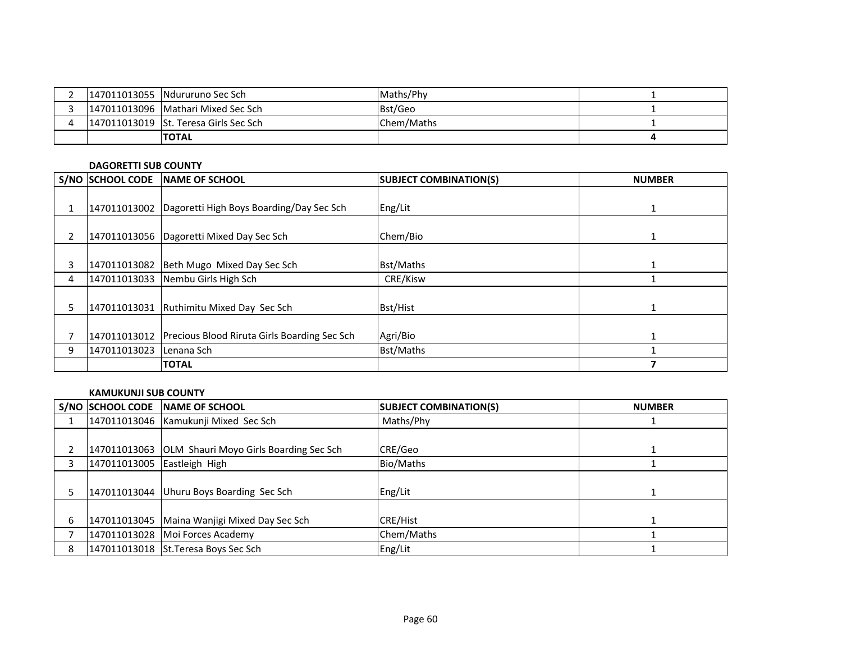|  | 147011013055 Ndururuno Sec Sch        | Maths/Phy  |  |
|--|---------------------------------------|------------|--|
|  | 147011013096 Mathari Mixed Sec Sch    | Bst/Geo    |  |
|  | 147011013019 St. Teresa Girls Sec Sch | Chem/Maths |  |
|  | <b>TOTAL</b>                          |            |  |

#### **DAGORETTI SUB COUNTY**

|                | <b>S/NO SCHOOL CODE</b> | <b>INAME OF SCHOOL</b>                                  | <b>SUBJECT COMBINATION(S)</b> | <b>NUMBER</b> |
|----------------|-------------------------|---------------------------------------------------------|-------------------------------|---------------|
|                |                         | 147011013002   Dagoretti High Boys Boarding/Day Sec Sch | Eng/Lit                       |               |
|                |                         |                                                         |                               |               |
| $\overline{2}$ |                         | 147011013056   Dagoretti Mixed Day Sec Sch              | Chem/Bio                      | 1             |
| 3              |                         | 147011013082 Beth Mugo Mixed Day Sec Sch                | <b>Bst/Maths</b>              |               |
| 4              |                         | 147011013033 Nembu Girls High Sch                       | CRE/Kisw                      |               |
| 5              | 147011013031            | Ruthimitu Mixed Day Sec Sch                             | <b>Bst/Hist</b>               |               |
|                | 147011013012            | <b>Precious Blood Riruta Girls Boarding Sec Sch.</b>    | Agri/Bio                      |               |
| 9              | 147011013023            | Lenana Sch                                              | <b>Bst/Maths</b>              |               |
|                |                         | <b>ITOTAL</b>                                           |                               |               |

#### **KAMUKUNJI SUB COUNTY**

| S/NO SCHOOL CODE            | <b>INAME OF SCHOOL</b>                              | <b>SUBJECT COMBINATION(S)</b> | <b>NUMBER</b> |
|-----------------------------|-----------------------------------------------------|-------------------------------|---------------|
|                             | 147011013046 Kamukunji Mixed Sec Sch                | Maths/Phy                     |               |
|                             |                                                     |                               |               |
|                             | 147011013063 OLM Shauri Moyo Girls Boarding Sec Sch | CRE/Geo                       |               |
| 147011013005 Eastleigh High |                                                     | Bio/Maths                     |               |
|                             |                                                     |                               |               |
|                             | 147011013044 Uhuru Boys Boarding Sec Sch            | Eng/Lit                       |               |
|                             |                                                     |                               |               |
|                             | 147011013045   Maina Wanjigi Mixed Day Sec Sch      | <b>CRE/Hist</b>               |               |
|                             | 147011013028 Moi Forces Academy                     | Chem/Maths                    |               |
|                             | 147011013018 St.Teresa Boys Sec Sch                 | Eng/Lit                       |               |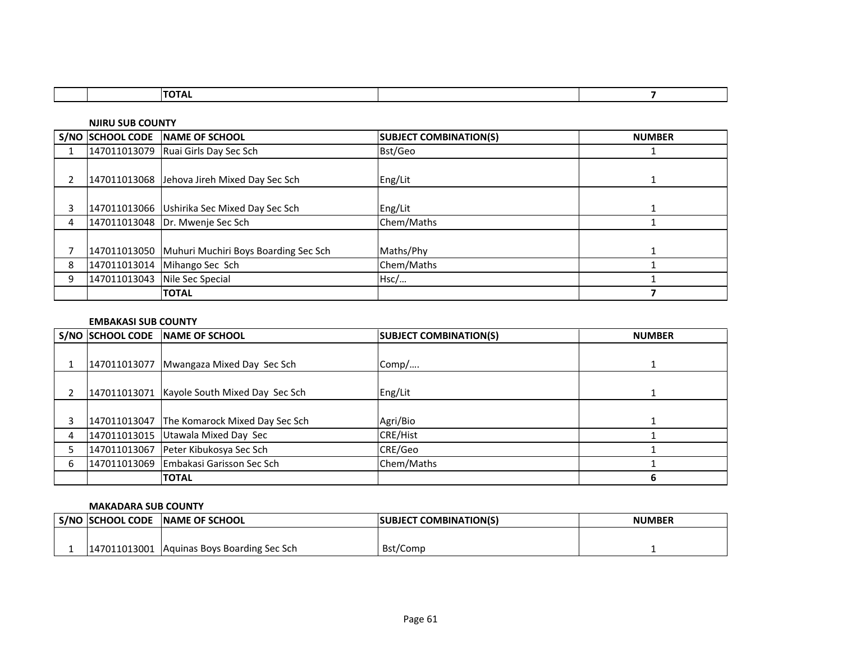|  | . |  |
|--|---|--|
|  |   |  |

**NJIRU SUB COUNTY**

|   | S/NO SCHOOL CODE NAME OF SCHOOL                   | <b>SUBJECT COMBINATION(S)</b> | <b>NUMBER</b> |
|---|---------------------------------------------------|-------------------------------|---------------|
|   | 147011013079 Ruai Girls Day Sec Sch               | Bst/Geo                       |               |
|   | 147011013068 Jehova Jireh Mixed Day Sec Sch       | Eng/Lit                       |               |
| 3 | 147011013066 Ushirika Sec Mixed Day Sec Sch       | Eng/Lit                       |               |
| 4 | 147011013048   Dr. Mwenje Sec Sch                 | Chem/Maths                    |               |
|   | 147011013050 Muhuri Muchiri Boys Boarding Sec Sch | Maths/Phy                     |               |
| 8 | 147011013014 Mihango Sec Sch                      | Chem/Maths                    |               |
| 9 | 147011013043 Nile Sec Special                     | Hsc/                          |               |
|   | <b>ITOTAL</b>                                     |                               |               |

#### **EMBAKASI SUB COUNTY**

|   | S/NO SCHOOL CODE | <b>INAME OF SCHOOL</b>                      | <b>SUBJECT COMBINATION(S)</b> | <b>NUMBER</b> |
|---|------------------|---------------------------------------------|-------------------------------|---------------|
|   |                  |                                             |                               |               |
|   | 147011013077     | Mwangaza Mixed Day Sec Sch                  | Comp/                         |               |
|   |                  |                                             |                               |               |
|   |                  | 147011013071 Kayole South Mixed Day Sec Sch | Eng/Lit                       |               |
|   |                  |                                             |                               |               |
|   |                  | 147011013047 The Komarock Mixed Day Sec Sch | Agri/Bio                      |               |
| 4 |                  | 147011013015 Utawala Mixed Day Sec          | <b>CRE/Hist</b>               |               |
|   |                  | 147011013067 Peter Kibukosya Sec Sch        | CRE/Geo                       |               |
| 6 |                  | 147011013069 Embakasi Garisson Sec Sch      | Chem/Maths                    |               |
|   |                  | <b>TOTAL</b>                                |                               | ь             |

#### **MAKADARA SUB COUNTY**

| <b>S/NO SCHOOL CODE</b> | <b>INAME OF SCHOOL</b>          | <b>ISUBJECT COMBINATION(S)</b> | <b>NUMBER</b> |
|-------------------------|---------------------------------|--------------------------------|---------------|
|                         |                                 |                                |               |
| 147011013001            | . Aquinas Boys Boarding Sec Sch | Bst/Comp                       |               |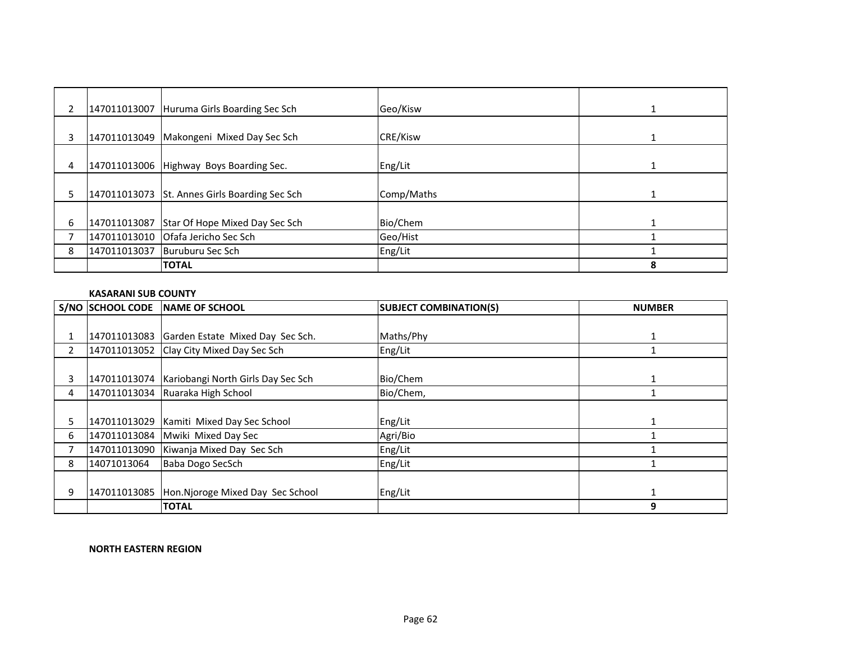|    |              | 147011013007 Huruma Girls Boarding Sec Sch    | Geo/Kisw        |   |
|----|--------------|-----------------------------------------------|-----------------|---|
| 3  | 147011013049 | Makongeni Mixed Day Sec Sch                   | <b>CRE/Kisw</b> |   |
| 4  |              | 147011013006 Highway Boys Boarding Sec.       | Eng/Lit         |   |
| 5. |              | 147011013073 St. Annes Girls Boarding Sec Sch | Comp/Maths      |   |
| 6  | 147011013087 | Star Of Hope Mixed Day Sec Sch                | Bio/Chem        |   |
|    |              |                                               | Geo/Hist        |   |
| 8  | 147011013037 | Buruburu Sec Sch                              | Eng/Lit         |   |
|    |              | <b>TOTAL</b>                                  |                 | 8 |

### **KASARANI SUB COUNTY**

|                |             | S/NO SCHOOL CODE NAME OF SCHOOL                   | <b>SUBJECT COMBINATION(S)</b> | <b>NUMBER</b> |
|----------------|-------------|---------------------------------------------------|-------------------------------|---------------|
|                |             |                                                   |                               |               |
|                |             | 147011013083 Garden Estate Mixed Day Sec Sch.     | Maths/Phy                     |               |
| $\overline{2}$ |             | 147011013052 Clay City Mixed Day Sec Sch          | Eng/Lit                       |               |
|                |             |                                                   |                               |               |
| 3              |             | 147011013074   Kariobangi North Girls Day Sec Sch | Bio/Chem                      |               |
| 4              |             | 147011013034 Ruaraka High School                  | Bio/Chem,                     |               |
|                |             |                                                   |                               |               |
| 5.             |             | 147011013029 Kamiti Mixed Day Sec School          | Eng/Lit                       |               |
| 6              |             | 147011013084 Mwiki Mixed Day Sec                  | Agri/Bio                      |               |
|                |             | 147011013090 Kiwanja Mixed Day Sec Sch            | Eng/Lit                       |               |
| 8              | 14071013064 | Baba Dogo SecSch                                  | Eng/Lit                       |               |
|                |             |                                                   |                               |               |
| 9              |             | 147011013085 Hon.Njoroge Mixed Day Sec School     | Eng/Lit                       |               |
|                |             | <b>TOTAL</b>                                      |                               | 9             |

### **NORTH EASTERN REGION**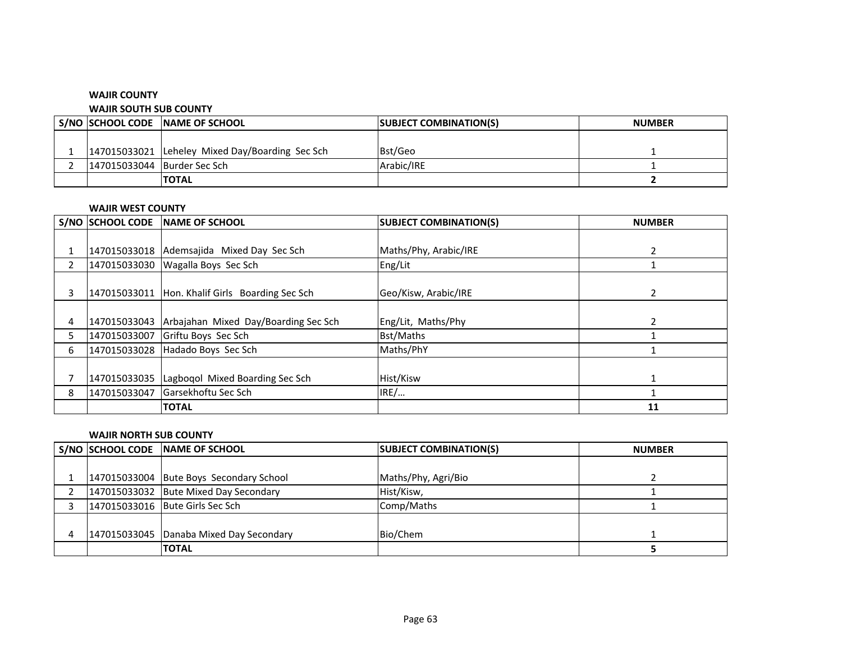### **WAJIR COUNTY**

#### **WAJIR SOUTH SUB COUNTY**

|                             | S/NO SCHOOL CODE NAME OF SCHOOL                 | <b>SUBJECT COMBINATION(S)</b> | <b>NUMBER</b> |
|-----------------------------|-------------------------------------------------|-------------------------------|---------------|
|                             |                                                 |                               |               |
|                             | 147015033021 Leheley Mixed Day/Boarding Sec Sch | Bst/Geo                       |               |
| 147015033044 Burder Sec Sch |                                                 | Arabic/IRE                    |               |
|                             | <b>ITOTAL</b>                                   |                               |               |

### **WAJIR WEST COUNTY**

|                | <b>S/NO SCHOOL CODE</b> | <b>INAME OF SCHOOL</b>               | <b>SUBJECT COMBINATION(S)</b> | <b>NUMBER</b> |
|----------------|-------------------------|--------------------------------------|-------------------------------|---------------|
|                |                         |                                      |                               |               |
|                | 147015033018            | Ademsajida Mixed Day Sec Sch         | Maths/Phy, Arabic/IRE         |               |
| $\overline{2}$ | 147015033030            | Wagalla Boys Sec Sch                 | Eng/Lit                       |               |
|                |                         |                                      |                               |               |
| 3              | 147015033011            | Hon. Khalif Girls Boarding Sec Sch   | Geo/Kisw, Arabic/IRE          | 2             |
|                |                         |                                      |                               |               |
| 4              | 147015033043            | Arbajahan Mixed Day/Boarding Sec Sch | Eng/Lit, Maths/Phy            | 2             |
|                | 147015033007            | Griftu Boys Sec Sch                  | <b>Bst/Maths</b>              |               |
| 6              | 147015033028            | Hadado Boys Sec Sch                  | Maths/PhY                     |               |
|                |                         |                                      |                               |               |
|                | 147015033035            | Lagbogol Mixed Boarding Sec Sch      | Hist/Kisw                     |               |
| 8              | 147015033047            | Garsekhoftu Sec Sch                  | IRE/                          |               |
|                |                         | <b>TOTAL</b>                         |                               | 11            |

#### **WAJIR NORTH SUB COUNTY**

|  | S/NO SCHOOL CODE NAME OF SCHOOL         | <b>SUBJECT COMBINATION(S)</b> | <b>NUMBER</b> |
|--|-----------------------------------------|-------------------------------|---------------|
|  |                                         |                               |               |
|  | 147015033004 Bute Boys Secondary School | Maths/Phy, Agri/Bio           |               |
|  | 147015033032 Bute Mixed Day Secondary   | Hist/Kisw,                    |               |
|  | 147015033016 Bute Girls Sec Sch         | Comp/Maths                    |               |
|  |                                         |                               |               |
|  | 147015033045 Danaba Mixed Day Secondary | Bio/Chem                      |               |
|  | <b>TOTAL</b>                            |                               |               |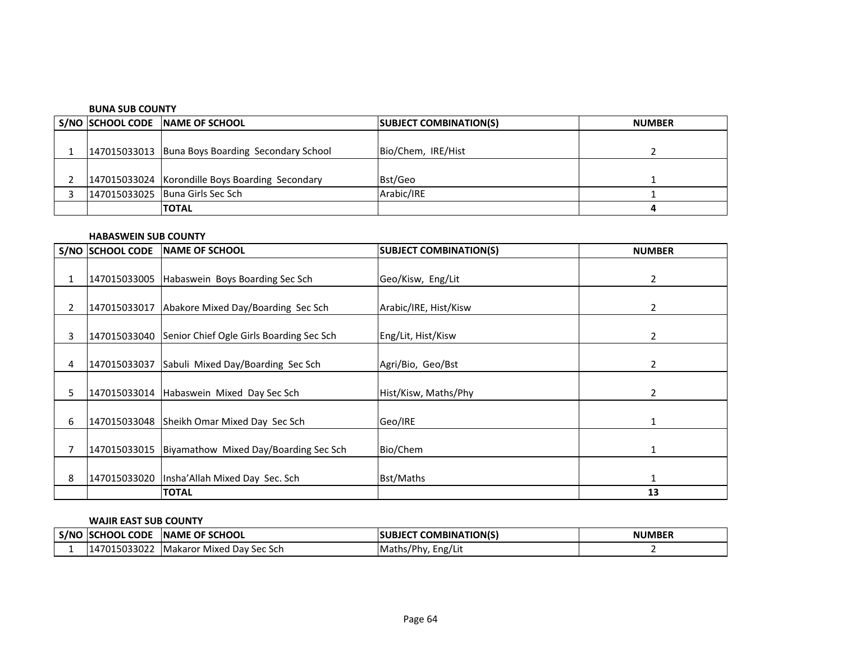#### **BUNA SUB COUNTY**

|  | S/NO SCHOOL CODE NAME OF SCHOOL                  | <b>SUBJECT COMBINATION(S)</b> | <b>NUMBER</b> |
|--|--------------------------------------------------|-------------------------------|---------------|
|  |                                                  |                               |               |
|  | 147015033013 Buna Boys Boarding Secondary School | Bio/Chem, IRE/Hist            |               |
|  |                                                  |                               |               |
|  | 147015033024 Korondille Boys Boarding Secondary  | Bst/Geo                       |               |
|  | 147015033025 Buna Girls Sec Sch                  | Arabic/IRE                    |               |
|  | <b>TOTAL</b>                                     |                               |               |

### **HABASWEIN SUB COUNTY**

|   | S/NO SCHOOL CODE | <b>INAME OF SCHOOL</b>                                | <b>SUBJECT COMBINATION(S)</b> | <b>NUMBER</b> |
|---|------------------|-------------------------------------------------------|-------------------------------|---------------|
| 1 |                  | 147015033005 Habaswein Boys Boarding Sec Sch          | Geo/Kisw, Eng/Lit             | 2             |
| 2 | 147015033017     | Abakore Mixed Day/Boarding Sec Sch                    | Arabic/IRE, Hist/Kisw         | 2             |
| 3 |                  | 147015033040 Senior Chief Ogle Girls Boarding Sec Sch | Eng/Lit, Hist/Kisw            | 2             |
| 4 |                  | 147015033037 Sabuli Mixed Day/Boarding Sec Sch        | Agri/Bio, Geo/Bst             | 2             |
| 5 |                  | 147015033014 Habaswein Mixed Day Sec Sch              | Hist/Kisw, Maths/Phy          | 2             |
| 6 |                  | 147015033048 Sheikh Omar Mixed Day Sec Sch            | Geo/IRE                       | 1             |
|   |                  | 147015033015 Biyamathow Mixed Day/Boarding Sec Sch    | Bio/Chem                      | 1             |
| 8 | 147015033020     | Insha' Allah Mixed Day Sec. Sch                       | <b>Bst/Maths</b>              | $\mathbf{1}$  |
|   |                  | <b>TOTAL</b>                                          |                               | 13            |

### **WAJIR EAST SUB COUNTY**

| S/NC | <b>CODE</b><br>`HOOL | <b>SCHOOL</b><br><b>OF</b><br><b>INAME</b> | <b>COMBINATION(S)</b> | <b>NUMBER</b> |
|------|----------------------|--------------------------------------------|-----------------------|---------------|
|      | 15033022             | ' Dav Sec Sch<br><b>IMakaror</b><br>Mixed  | Maths/Phy,<br>Eng/Lit |               |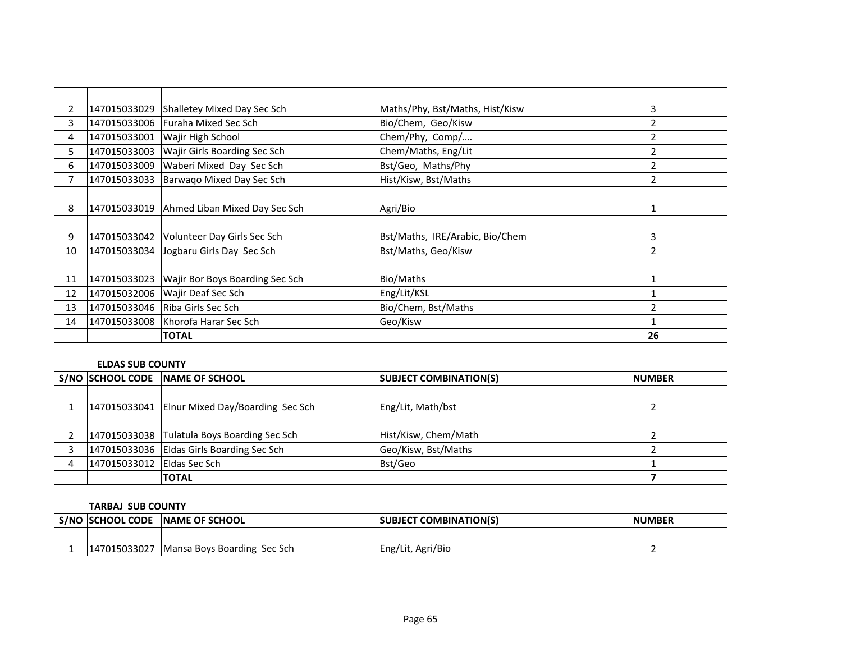| $\overline{2}$ |              | 147015033029 Shalletey Mixed Day Sec Sch   | Maths/Phy, Bst/Maths, Hist/Kisw | 3  |
|----------------|--------------|--------------------------------------------|---------------------------------|----|
| 3              |              | 147015033006 Furaha Mixed Sec Sch          | Bio/Chem, Geo/Kisw              |    |
| 4              | 147015033001 | <b>Wajir High School</b>                   | Chem/Phy, Comp/                 | 2  |
| 5.             | 147015033003 | <b>Wajir Girls Boarding Sec Sch</b>        | Chem/Maths, Eng/Lit             | 2  |
| 6              | 147015033009 | Waberi Mixed Day Sec Sch                   | Bst/Geo, Maths/Phy              | 2  |
| 7              | 147015033033 | Barwago Mixed Day Sec Sch                  | Hist/Kisw, Bst/Maths            | 2  |
|                |              |                                            |                                 |    |
| 8              |              | 147015033019 Ahmed Liban Mixed Day Sec Sch | Agri/Bio                        | 1  |
|                |              |                                            |                                 |    |
| 9              |              | 147015033042 Volunteer Day Girls Sec Sch   | Bst/Maths, IRE/Arabic, Bio/Chem | 3  |
| 10             |              | 147015033034 Jogbaru Girls Day Sec Sch     | Bst/Maths, Geo/Kisw             | 2  |
|                |              |                                            |                                 |    |
| 11             | 147015033023 | Wajir Bor Boys Boarding Sec Sch            | Bio/Maths                       | 1  |
| 12             |              | 147015032006 Wajir Deaf Sec Sch            | Eng/Lit/KSL                     |    |
| 13             |              | 147015033046   Riba Girls Sec Sch          | Bio/Chem, Bst/Maths             | 2  |
| 14             |              | 147015033008 Khorofa Harar Sec Sch         | Geo/Kisw                        | 1  |
|                |              | <b>TOTAL</b>                               |                                 | 26 |

### **ELDAS SUB COUNTY**

|                            | S/NO SCHOOL CODE NAME OF SCHOOL               | <b>SUBJECT COMBINATION(S)</b> | <b>NUMBER</b> |
|----------------------------|-----------------------------------------------|-------------------------------|---------------|
|                            |                                               |                               |               |
|                            | 147015033041 Elnur Mixed Day/Boarding Sec Sch | Eng/Lit, Math/bst             |               |
|                            |                                               |                               |               |
|                            | 147015033038 Tulatula Boys Boarding Sec Sch   | Hist/Kisw, Chem/Math          |               |
|                            | 147015033036 Eldas Girls Boarding Sec Sch     | Geo/Kisw, Bst/Maths           |               |
| 147015033012 Eldas Sec Sch |                                               | Bst/Geo                       |               |
|                            | <b>TOTAL</b>                                  |                               |               |

### **TARBAJ SUB COUNTY**

| ' S/NO  SCHOOL CODE | <b>INAME OF SCHOOL</b>      | <b>SUBJECT COMBINATION(S)</b> | <b>NUMBER</b> |
|---------------------|-----------------------------|-------------------------------|---------------|
|                     |                             |                               |               |
| 147015033027        | Mansa Boys Boarding Sec Sch | Eng/Lit, Agri/Bio             |               |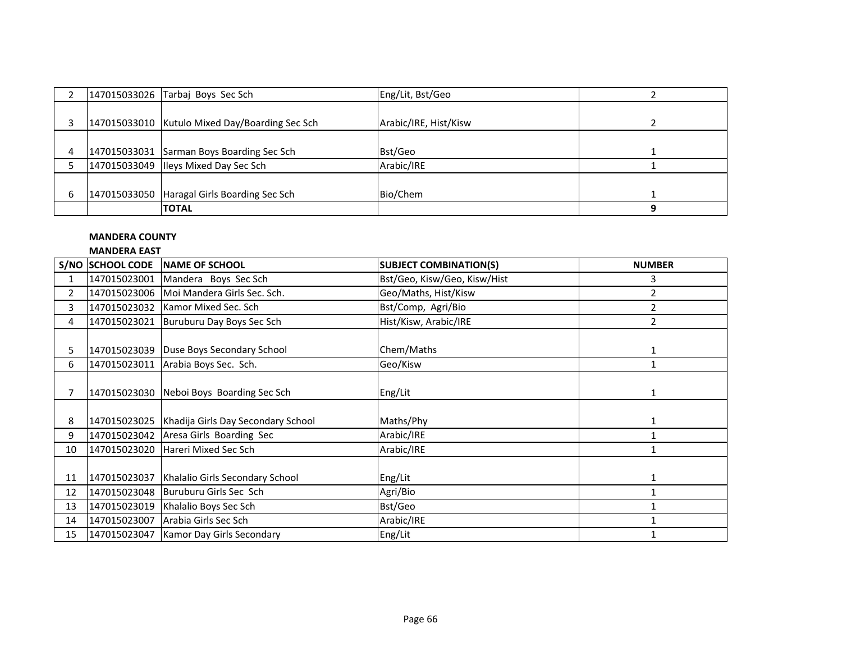|   | 147015033026 Tarbaj Boys Sec Sch               | Eng/Lit, Bst/Geo      |  |
|---|------------------------------------------------|-----------------------|--|
|   | 147015033010 Kutulo Mixed Day/Boarding Sec Sch | Arabic/IRE, Hist/Kisw |  |
| 4 | 147015033031 Sarman Boys Boarding Sec Sch      | Bst/Geo               |  |
|   | 147015033049 Ileys Mixed Day Sec Sch           | Arabic/IRE            |  |
|   |                                                |                       |  |
| 6 | 147015033050 Haragal Girls Boarding Sec Sch    | Bio/Chem              |  |
|   | <b>TOTAL</b>                                   |                       |  |

### **MANDERA COUNTY**

### **MANDERA EAST**

|                | IVIAIVUENA EAJI  |                                                   |                               |                |  |
|----------------|------------------|---------------------------------------------------|-------------------------------|----------------|--|
|                | S/NO SCHOOL CODE | NAME OF SCHOOL                                    | <b>SUBJECT COMBINATION(S)</b> | <b>NUMBER</b>  |  |
| 1              |                  | 147015023001 Mandera Boys Sec Sch                 | Bst/Geo, Kisw/Geo, Kisw/Hist  | 3              |  |
| $\overline{2}$ |                  | 147015023006   Moi Mandera Girls Sec. Sch.        | Geo/Maths, Hist/Kisw          | 2              |  |
| 3              | 147015023032     | Kamor Mixed Sec. Sch                              | Bst/Comp, Agri/Bio            | 2              |  |
| 4              | 147015023021     | Buruburu Day Boys Sec Sch                         | Hist/Kisw, Arabic/IRE         | $\overline{2}$ |  |
|                |                  |                                                   |                               |                |  |
| 5              | 147015023039     | Duse Boys Secondary School                        | Chem/Maths                    | 1              |  |
| 6              | 147015023011     | Arabia Boys Sec. Sch.                             | Geo/Kisw                      | $\mathbf{1}$   |  |
|                |                  |                                                   |                               |                |  |
| $\overline{7}$ | 147015023030     | Neboi Boys Boarding Sec Sch                       | Eng/Lit                       | $\mathbf{1}$   |  |
|                |                  |                                                   |                               |                |  |
| 8              |                  | 147015023025   Khadija Girls Day Secondary School | Maths/Phy                     | 1              |  |
| 9              |                  | 147015023042 Aresa Girls Boarding Sec             | Arabic/IRE                    | $\mathbf{1}$   |  |
| 10             | 147015023020     | Hareri Mixed Sec Sch                              | Arabic/IRE                    | $\mathbf{1}$   |  |
|                |                  |                                                   |                               |                |  |
| 11             | 147015023037     | Khalalio Girls Secondary School                   | Eng/Lit                       | 1              |  |
| 12             |                  | 147015023048 Buruburu Girls Sec Sch               | Agri/Bio                      |                |  |
| 13             | 147015023019     | Khalalio Boys Sec Sch                             | Bst/Geo                       |                |  |
| 14             |                  | 147015023007 Arabia Girls Sec Sch                 | Arabic/IRE                    |                |  |
| 15             |                  | 147015023047   Kamor Day Girls Secondary          | Eng/Lit                       |                |  |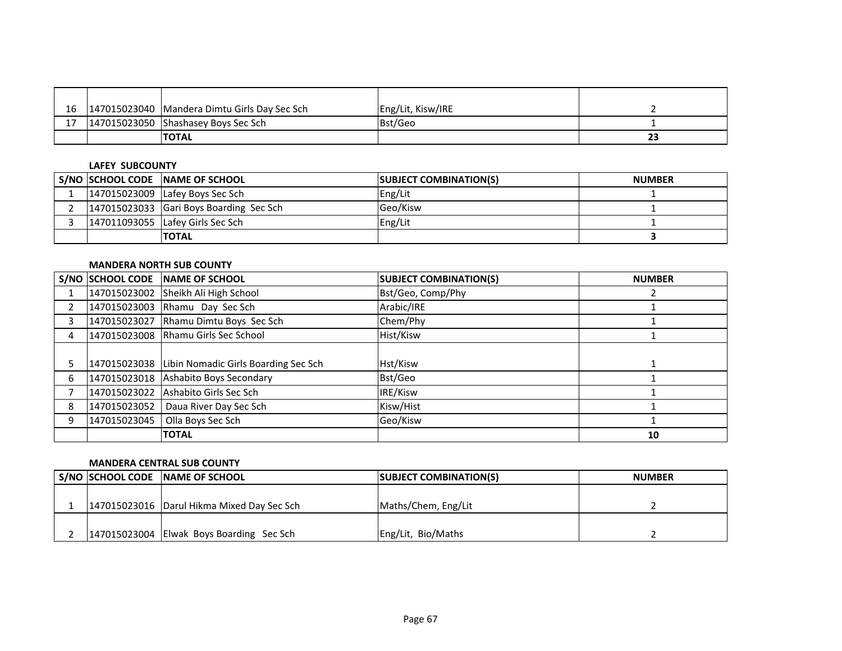|  | 16   147015023040   Mandera Dimtu Girls Day Sec Sch | Eng/Lit, Kisw/IRE |    |
|--|-----------------------------------------------------|-------------------|----|
|  | 147015023050 Shashasey Boys Sec Sch                 | Bst/Geo           |    |
|  | <b>TOTAL</b>                                        |                   | 23 |

#### **LAFEY SUBCOUNTY**

|  | S/NO SCHOOL CODE NAME OF SCHOOL         | <b>SUBJECT COMBINATION(S)</b> | <b>NUMBER</b> |
|--|-----------------------------------------|-------------------------------|---------------|
|  | 147015023009 Lafey Boys Sec Sch         | Eng/Lit                       |               |
|  | 147015023033 Gari Boys Boarding Sec Sch | Geo/Kisw                      |               |
|  | 147011093055 Lafey Girls Sec Sch        | Eng/Lit                       |               |
|  | <b>TOTAL</b>                            |                               |               |

### **MANDERA NORTH SUB COUNTY**

|   | S/NO SCHOOL CODE | NAME OF SCHOOL                                    | <b>SUBJECT COMBINATION(S)</b> | <b>NUMBER</b> |
|---|------------------|---------------------------------------------------|-------------------------------|---------------|
|   | 147015023002     | Sheikh Ali High School                            | Bst/Geo, Comp/Phy             |               |
|   | 147015023003     | Rhamu Day Sec Sch                                 | Arabic/IRE                    |               |
|   |                  | 147015023027 Rhamu Dimtu Boys Sec Sch             | Chem/Phy                      |               |
|   |                  | 147015023008 Rhamu Girls Sec School               | Hist/Kisw                     |               |
|   |                  |                                                   |                               |               |
|   |                  | 147015023038 Libin Nomadic Girls Boarding Sec Sch | Hst/Kisw                      |               |
| 6 |                  | 147015023018 Ashabito Boys Secondary              | Bst/Geo                       |               |
|   | 147015023022     | Ashabito Girls Sec Sch                            | IRE/Kisw                      |               |
|   | 147015023052     | Daua River Day Sec Sch                            | Kisw/Hist                     |               |
|   | 147015023045     | Olla Boys Sec Sch                                 | Geo/Kisw                      |               |
|   |                  | <b>TOTAL</b>                                      |                               | 10            |

### **MANDERA CENTRAL SUB COUNTY**

|  | S/NO SCHOOL CODE NAME OF SCHOOL              | <b>SUBJECT COMBINATION(S)</b> | <b>NUMBER</b> |
|--|----------------------------------------------|-------------------------------|---------------|
|  |                                              |                               |               |
|  | 147015023016   Darul Hikma Mixed Day Sec Sch | Maths/Chem, Eng/Lit           |               |
|  |                                              |                               |               |
|  | 147015023004 Elwak Boys Boarding Sec Sch     | Eng/Lit, Bio/Maths            |               |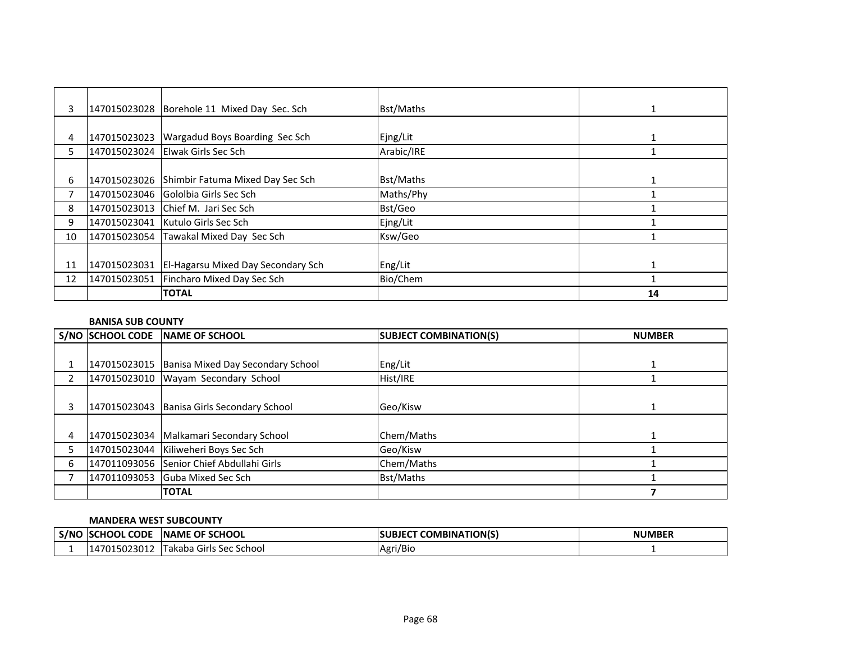| 3  |              | 147015023028 Borehole 11 Mixed Day Sec. Sch   | Bst/Maths  | 1  |
|----|--------------|-----------------------------------------------|------------|----|
|    |              |                                               |            |    |
| 4  | 147015023023 | Wargadud Boys Boarding Sec Sch                | Ejng/Lit   |    |
| 5. |              | 147015023024 Elwak Girls Sec Sch              | Arabic/IRE |    |
|    |              |                                               |            |    |
| 6  |              | 147015023026 Shimbir Fatuma Mixed Day Sec Sch | Bst/Maths  |    |
|    |              | 147015023046 Gololbia Girls Sec Sch           | Maths/Phy  |    |
| 8  | 147015023013 | <b>Chief M. Jari Sec Sch</b>                  | Bst/Geo    |    |
| 9  |              | 147015023041   Kutulo Girls Sec Sch           | Ejng/Lit   |    |
| 10 |              | 147015023054 Tawakal Mixed Day Sec Sch        | Ksw/Geo    |    |
|    |              |                                               |            |    |
| 11 | 147015023031 | <b>El-Hagarsu Mixed Day Secondary Sch</b>     | Eng/Lit    |    |
| 12 | 147015023051 | Fincharo Mixed Day Sec Sch                    | Bio/Chem   |    |
|    |              | <b>TOTAL</b>                                  |            | 14 |

### **BANISA SUB COUNTY**

|   | S/NO SCHOOL CODE | <b>INAME OF SCHOOL</b>                         | <b>SUBJECT COMBINATION(S)</b> | <b>NUMBER</b> |
|---|------------------|------------------------------------------------|-------------------------------|---------------|
|   |                  |                                                |                               |               |
|   |                  | 147015023015 Banisa Mixed Day Secondary School | Eng/Lit                       |               |
| 2 |                  | 147015023010 Wayam Secondary School            | Hist/IRE                      |               |
|   |                  |                                                |                               |               |
| 3 |                  | 147015023043 Banisa Girls Secondary School     | Geo/Kisw                      |               |
|   |                  |                                                |                               |               |
| 4 |                  | 147015023034   Malkamari Secondary School      | Chem/Maths                    |               |
|   |                  | 147015023044 Kiliweheri Boys Sec Sch           | Geo/Kisw                      |               |
| 6 |                  | 147011093056 Senior Chief Abdullahi Girls      | Chem/Maths                    |               |
|   |                  | 147011093053 Guba Mixed Sec Sch                | Bst/Maths                     |               |
|   |                  | <b>TOTAL</b>                                   |                               |               |

### **MANDERA WEST SUBCOUNTY**

| S/NC | <b>ISCHOOL CODE</b> | OF SCHOOL<br><b>INAME</b>      | <b>COMBINATION(S)</b><br><b>SUBJEC</b> | <b>NUMBER</b> |
|------|---------------------|--------------------------------|----------------------------------------|---------------|
|      | )15023012<br>.4701  | s Sec School ،<br>Takaba Girls | Agri/Bio                               |               |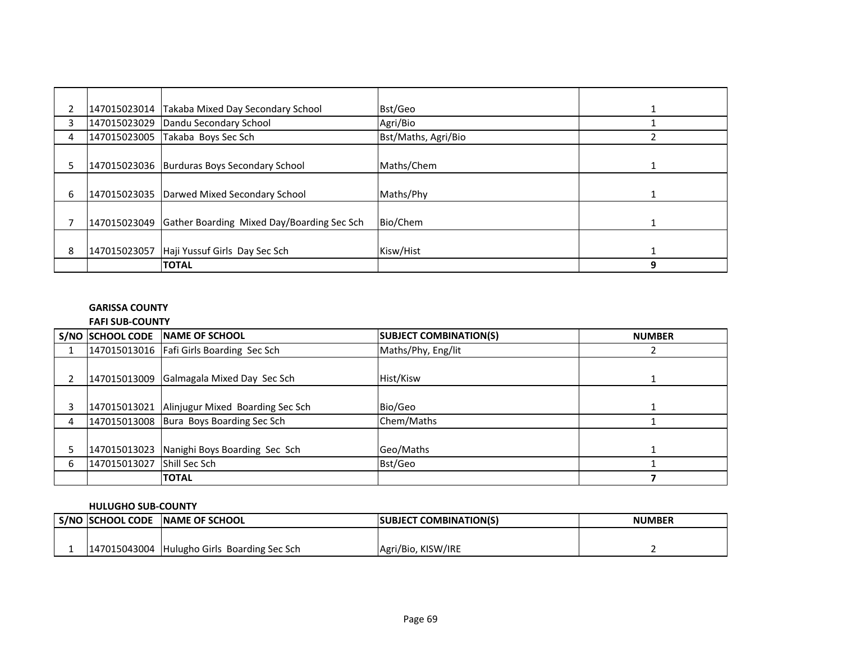|    | 147015023014 | Takaba Mixed Day Secondary School                       | Bst/Geo             |   |
|----|--------------|---------------------------------------------------------|---------------------|---|
| 3  |              | 147015023029 Dandu Secondary School                     | Agri/Bio            |   |
| 4  |              | 147015023005 Takaba Boys Sec Sch                        | Bst/Maths, Agri/Bio |   |
|    |              |                                                         |                     |   |
| 5. |              | 147015023036 Burduras Boys Secondary School             | Maths/Chem          |   |
|    |              |                                                         |                     |   |
| 6  |              | 147015023035 Darwed Mixed Secondary School              | Maths/Phy           |   |
|    |              |                                                         |                     |   |
|    |              | 147015023049 Gather Boarding Mixed Day/Boarding Sec Sch | Bio/Chem            |   |
|    |              |                                                         |                     |   |
| 8  |              | 147015023057 Haji Yussuf Girls Day Sec Sch              | Kisw/Hist           |   |
|    |              | <b>TOTAL</b>                                            |                     | 9 |

# **GARISSA COUNTY**

# **FAFI SUB-COUNTY**

|   |              | S/NO SCHOOL CODE NAME OF SCHOOL               | <b>SUBJECT COMBINATION(S)</b> | <b>NUMBER</b> |
|---|--------------|-----------------------------------------------|-------------------------------|---------------|
|   |              | 147015013016   Fafi Girls Boarding Sec Sch    | Maths/Phy, Eng/lit            |               |
|   |              | 147015013009 Galmagala Mixed Day Sec Sch      | Hist/Kisw                     |               |
|   |              | 147015013021 Alinjugur Mixed Boarding Sec Sch | Bio/Geo                       |               |
| 4 |              | 147015013008 Bura Boys Boarding Sec Sch       | Chem/Maths                    |               |
|   |              | 147015013023 Nanighi Boys Boarding Sec Sch    | Geo/Maths                     |               |
| 6 | 147015013027 | <b>Shill Sec Sch</b>                          | Bst/Geo                       |               |
|   |              | <b>TOTAL</b>                                  |                               |               |

### **HULUGHO SUB-COUNTY**

|  | I S/NO SCHOOL CODE NAME OF SCHOOL           | <b>SUBJECT COMBINATION(S)</b> | <b>NUMBER</b> |
|--|---------------------------------------------|-------------------------------|---------------|
|  |                                             |                               |               |
|  | 147015043004 Hulugho Girls Boarding Sec Sch | Agri/Bio, KISW/IRE            |               |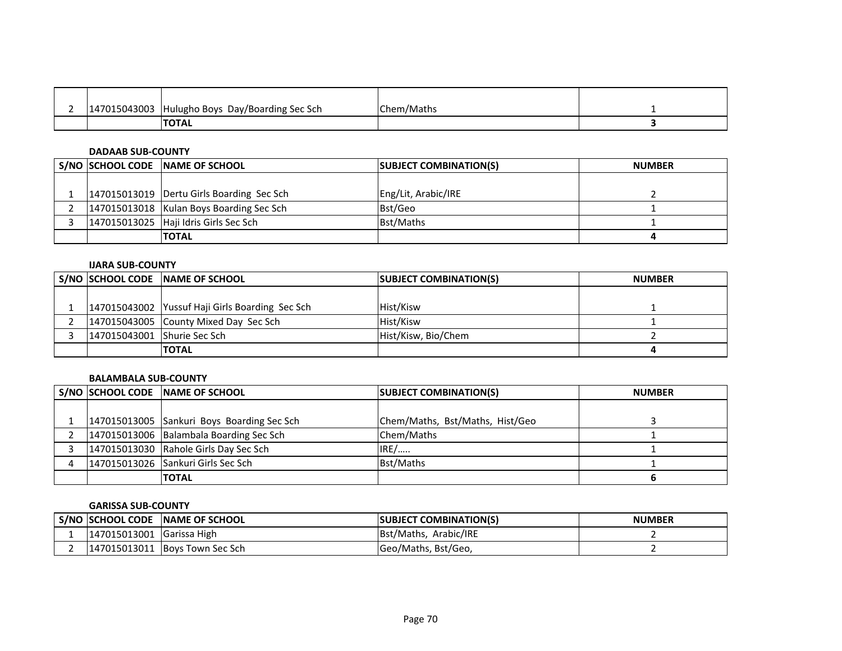| 147015043003 | Hulugho Boys Day/Boarding Sec Sch ز | Chem/Maths |  |
|--------------|-------------------------------------|------------|--|
|              | <b>ITOTAL</b>                       |            |  |

### **DADAAB SUB-COUNTY**

|  | S/NO SCHOOL CODE NAME OF SCHOOL             | <b>SUBJECT COMBINATION(S)</b> | <b>NUMBER</b> |
|--|---------------------------------------------|-------------------------------|---------------|
|  |                                             |                               |               |
|  | 147015013019   Dertu Girls Boarding Sec Sch | Eng/Lit, Arabic/IRE           |               |
|  | 147015013018 Kulan Boys Boarding Sec Sch    | Bst/Geo                       |               |
|  | 147015013025 Haji Idris Girls Sec Sch       | Bst/Maths                     |               |
|  | <b>TOTAL</b>                                |                               |               |

### **IJARA SUB-COUNTY**

|                             | S/NO SCHOOL CODE NAME OF SCHOOL                 | <b>SUBJECT COMBINATION(S)</b> | <b>NUMBER</b> |
|-----------------------------|-------------------------------------------------|-------------------------------|---------------|
|                             |                                                 |                               |               |
|                             | 147015043002 Yussuf Haji Girls Boarding Sec Sch | Hist/Kisw                     |               |
|                             | 147015043005 County Mixed Day Sec Sch           | Hist/Kisw                     |               |
| 147015043001 Shurie Sec Sch |                                                 | Hist/Kisw, Bio/Chem           |               |
|                             | <b>ITOTAL</b>                                   |                               |               |

#### **BALAMBALA SUB-COUNTY**

|  | S/NO SCHOOL CODE NAME OF SCHOOL            | <b>SUBJECT COMBINATION(S)</b>   | <b>NUMBER</b> |
|--|--------------------------------------------|---------------------------------|---------------|
|  |                                            |                                 |               |
|  | 147015013005 Sankuri Boys Boarding Sec Sch | Chem/Maths, Bst/Maths, Hist/Geo |               |
|  | 147015013006 Balambala Boarding Sec Sch    | Chem/Maths                      |               |
|  | 147015013030 Rahole Girls Day Sec Sch      | IRE/                            |               |
|  | 147015013026 Sankuri Girls Sec Sch         | Bst/Maths                       |               |
|  | <b>TOTAL</b>                               |                                 |               |

#### **GARISSA SUB-COUNTY**

| S/NO  SCHOOL CODE         | <b>INAME OF SCHOOL</b>         | <b>ISUBJECT COMBINATION(S)</b> | <b>NUMBER</b> |
|---------------------------|--------------------------------|--------------------------------|---------------|
| 147015013001 Garissa High |                                | <b>Bst/Maths, Arabic/IRE</b>   |               |
|                           | 147015013011 Boys Town Sec Sch | Geo/Maths, Bst/Geo,            |               |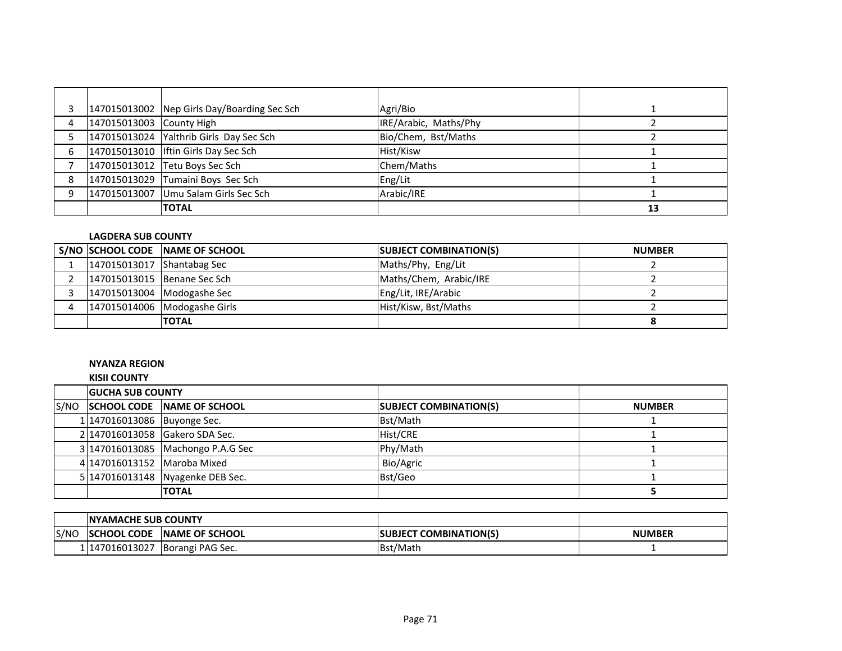|   |                          | 147015013002 Nep Girls Day/Boarding Sec Sch | Agri/Bio              |    |
|---|--------------------------|---------------------------------------------|-----------------------|----|
| 4 | 147015013003 County High |                                             | IRE/Arabic, Maths/Phy |    |
|   |                          | 147015013024 Yalthrib Girls Day Sec Sch     | Bio/Chem, Bst/Maths   |    |
| 6 |                          | 147015013010 Iftin Girls Day Sec Sch        | Hist/Kisw             |    |
|   |                          | 147015013012 Tetu Boys Sec Sch              | Chem/Maths            |    |
| 8 |                          | 147015013029 Tumaini Boys Sec Sch           | Eng/Lit               |    |
| q |                          | 147015013007 Umu Salam Girls Sec Sch        | Arabic/IRE            |    |
|   |                          | <b>TOTAL</b>                                |                       | 13 |

### **LAGDERA SUB COUNTY**

|                            | S/NO SCHOOL CODE NAME OF SCHOOL | <b>SUBJECT COMBINATION(S)</b> | <b>NUMBER</b> |
|----------------------------|---------------------------------|-------------------------------|---------------|
| 147015013017 Shantabag Sec |                                 | Maths/Phy, Eng/Lit            |               |
|                            | 147015013015 Benane Sec Sch     | Maths/Chem, Arabic/IRE        |               |
|                            | 147015013004 Modogashe Sec      | Eng/Lit, IRE/Arabic           |               |
|                            | 147015014006 Modogashe Girls    | Hist/Kisw, Bst/Maths          |               |
|                            | <b>ITOTAL</b>                   |                               |               |

#### **NYANZA REGION**

|      | <b>KISII COUNTY</b>         |                                   |                               |               |  |
|------|-----------------------------|-----------------------------------|-------------------------------|---------------|--|
|      | <b>GUCHA SUB COUNTY</b>     |                                   |                               |               |  |
| S/NO |                             | SCHOOL CODE NAME OF SCHOOL        | <b>SUBJECT COMBINATION(S)</b> | <b>NUMBER</b> |  |
|      | 1 147016013086 Buyonge Sec. |                                   | Bst/Math                      |               |  |
|      |                             | 2 147016013058 Gakero SDA Sec.    | Hist/CRE                      |               |  |
|      |                             | 3 147016013085 Machongo P.A.G Sec | Phy/Math                      |               |  |
|      | 4 147016013152 Maroba Mixed |                                   | Bio/Agric                     |               |  |
|      |                             | 5 147016013148 Nyagenke DEB Sec.  | Bst/Geo                       |               |  |
|      |                             | <b>TOTAL</b>                      |                               |               |  |

|      | <b>INYAMACHE SUB COUNTY</b> |                        |                                |               |
|------|-----------------------------|------------------------|--------------------------------|---------------|
| S/NO | <b>ISCHOOL CODE</b>         | <b>INAME OF SCHOOL</b> | <b>ISUBJECT COMBINATION(S)</b> | <b>NUMBER</b> |
|      | 1147016013027               | Borangi PAG Sec.       | <b>IBst/Math</b>               |               |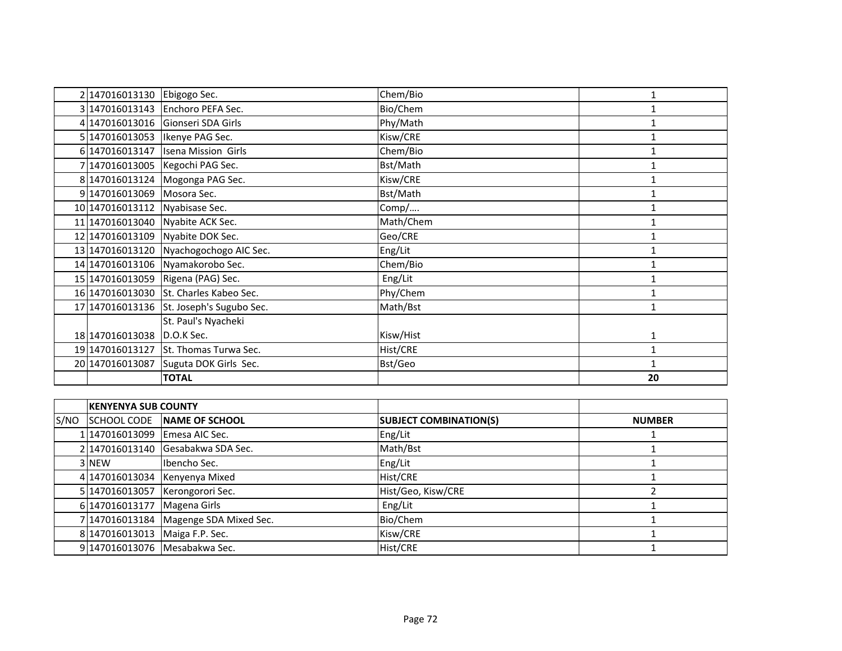|      | 2 147016013130 Ebigogo Sec. |                                          | Chem/Bio                      | $\mathbf{1}$  |
|------|-----------------------------|------------------------------------------|-------------------------------|---------------|
|      |                             | 3 147016013143 Enchoro PEFA Sec.         | Bio/Chem                      | 1             |
|      |                             | 4 147016013016 Gionseri SDA Girls        | Phy/Math                      | $\mathbf{1}$  |
|      | 5 147016013053              | Ikenye PAG Sec.                          | Kisw/CRE                      | $\mathbf{1}$  |
|      |                             | 6 147016013147   Isena Mission Girls     | Chem/Bio                      | 1             |
|      |                             | 7 147016013005   Kegochi PAG Sec.        | Bst/Math                      | 1             |
|      | 8 147016013124              | Mogonga PAG Sec.                         | Kisw/CRE                      | 1             |
|      | 9 147016013069 Mosora Sec.  |                                          | Bst/Math                      | 1             |
|      | 10 147016013112             | Nyabisase Sec.                           | Comp/                         | $\mathbf{1}$  |
|      |                             | 11 147016013040 Nyabite ACK Sec.         | Math/Chem                     | 1             |
|      | 12 147016013109             | Nyabite DOK Sec.                         | Geo/CRE                       | 1             |
|      | 13 147016013120             | Nyachogochogo AIC Sec.                   | Eng/Lit                       | 1             |
|      |                             | 14 147016013106 Nyamakorobo Sec.         | Chem/Bio                      | 1             |
|      | 15 147016013059             | Rigena (PAG) Sec.                        | Eng/Lit                       | 1             |
|      |                             | 16 147016013030 St. Charles Kabeo Sec.   | Phy/Chem                      | $\mathbf{1}$  |
|      |                             | 17 147016013136 St. Joseph's Sugubo Sec. | Math/Bst                      | 1             |
|      |                             | St. Paul's Nyacheki                      |                               |               |
|      | 18 147016013038 D.O.K Sec.  |                                          | Kisw/Hist                     | 1             |
|      | 19 147016013127             | St. Thomas Turwa Sec.                    | Hist/CRE                      | $\mathbf{1}$  |
|      | 20 147016013087             | Suguta DOK Girls Sec.                    | Bst/Geo                       | $\mathbf{1}$  |
|      |                             | <b>TOTAL</b>                             |                               | 20            |
|      |                             |                                          |                               |               |
|      | <b>KENYENYA SUB COUNTY</b>  |                                          |                               |               |
| S/NO | <b>SCHOOL CODE</b>          | <b>NAME OF SCHOOL</b>                    | <b>SUBJECT COMBINATION(S)</b> | <b>NUMBER</b> |
|      | 1147016013099               | Emesa AIC Sec.                           | Eng/Lit                       | 1             |
|      | 2 147016013140              | Gesabakwa SDA Sec.                       | Math/Bst                      | 1             |
|      | 3 NFW                       | Ibencho Sec.                             | Eng/Lit                       | 1             |

|                                | 2 147016013140 Gesabakwa SDA Sec.     | Math/Bst           |  |
|--------------------------------|---------------------------------------|--------------------|--|
| 3 NEW                          | Ibencho Sec.                          | Eng/Lit            |  |
|                                | 4 147016013034 Kenyenya Mixed         | Hist/CRE           |  |
|                                | 5 147016013057 Kerongorori Sec.       | Hist/Geo, Kisw/CRE |  |
| 6 147016013177 Magena Girls    |                                       | Eng/Lit            |  |
|                                | 7 147016013184 Magenge SDA Mixed Sec. | Bio/Chem           |  |
| 8 147016013013 Maiga F.P. Sec. |                                       | Kisw/CRE           |  |
|                                | 9 147016013076 Mesabakwa Sec.         | Hist/CRE           |  |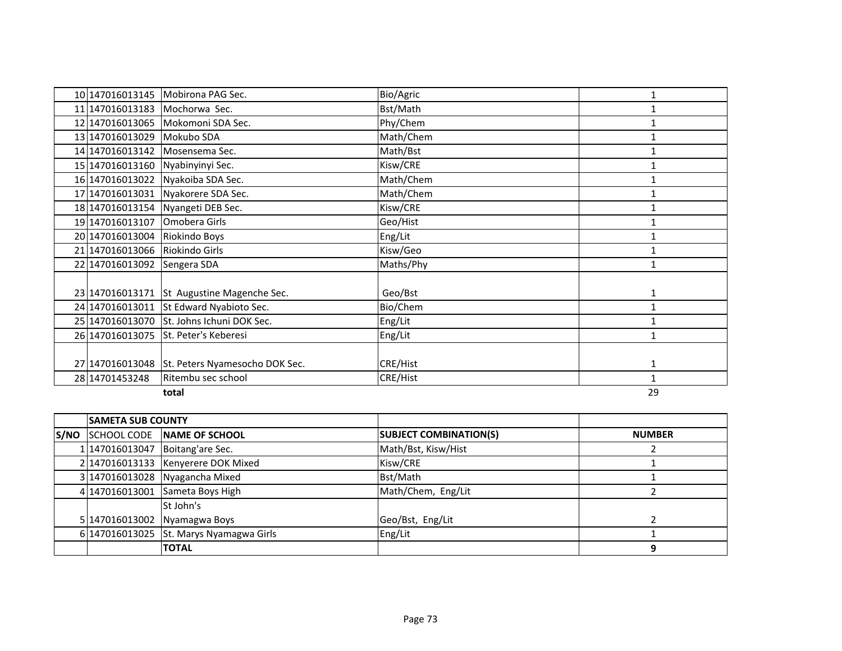|       |                                | 10 147016013145 Mobirona PAG Sec.              | Bio/Agric       | 1            |
|-------|--------------------------------|------------------------------------------------|-----------------|--------------|
|       |                                | 11 147016013183 Mochorwa Sec.                  | Bst/Math        |              |
|       |                                | 12 147016013065 Mokomoni SDA Sec.              | Phy/Chem        |              |
|       | 13 147016013029 Mokubo SDA     |                                                | Math/Chem       | 1            |
|       |                                | 14 147016013142 Mosensema Sec.                 | Math/Bst        | 1            |
|       |                                | 15 147016013160 Nyabinyinyi Sec.               | Kisw/CRE        | $\mathbf{1}$ |
|       |                                | 16 147016013022 Nyakoiba SDA Sec.              | Math/Chem       | $\mathbf{1}$ |
|       |                                | 17 147016013031 Nyakorere SDA Sec.             | Math/Chem       |              |
|       |                                | 18 147016013154 Nyangeti DEB Sec.              | Kisw/CRE        | $\mathbf{1}$ |
|       | 19 147016013107                | Omobera Girls                                  | Geo/Hist        | 1            |
|       | 20 147016013004                | Riokindo Boys                                  | Eng/Lit         | 1            |
|       | 21 147016013066 Riokindo Girls |                                                | Kisw/Geo        | $\mathbf{1}$ |
|       | 22 147016013092                | Sengera SDA                                    | Maths/Phy       | $\mathbf{1}$ |
|       |                                |                                                |                 |              |
|       |                                | 23 147016013171 St Augustine Magenche Sec.     | Geo/Bst         | 1            |
|       |                                | 24 147016013011 St Edward Nyabioto Sec.        | Bio/Chem        | $\mathbf{1}$ |
|       |                                | 25 147016013070 St. Johns Ichuni DOK Sec.      | Eng/Lit         | $\mathbf{1}$ |
|       | 26 147016013075                | <b>St. Peter's Keberesi</b>                    | Eng/Lit         | 1            |
|       |                                |                                                |                 |              |
|       |                                | 27 147016013048 St. Peters Nyamesocho DOK Sec. | <b>CRE/Hist</b> | 1            |
|       | 28 14701453248                 | Ritembu sec school                             | <b>CRE/Hist</b> | $\mathbf{1}$ |
| total |                                |                                                |                 |              |

| <b>SAMETA SUB COUNTY</b> |                                         |                               |               |
|--------------------------|-----------------------------------------|-------------------------------|---------------|
|                          | S/NO SCHOOL CODE NAME OF SCHOOL         | <b>SUBJECT COMBINATION(S)</b> | <b>NUMBER</b> |
|                          | 1 147016013047   Boitang'are Sec.       | Math/Bst, Kisw/Hist           |               |
|                          | 2 147016013133   Kenyerere DOK Mixed    | Kisw/CRE                      |               |
|                          | 3 147016013028 Nyagancha Mixed          | Bst/Math                      |               |
|                          | 4 147016013001 Sameta Boys High         | Math/Chem, Eng/Lit            |               |
|                          | St John's                               |                               |               |
|                          | 5 147016013002 Nyamagwa Boys            | Geo/Bst, Eng/Lit              |               |
|                          | 6 147016013025 St. Marys Nyamagwa Girls | Eng/Lit                       |               |
|                          | <b>TOTAL</b>                            |                               |               |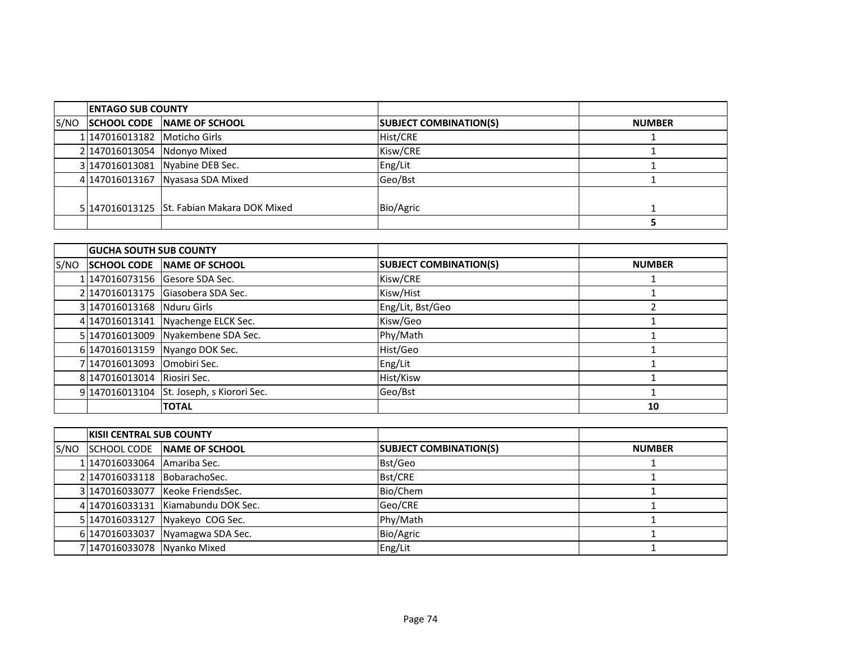|      | <b>ENTAGO SUB COUNTY</b>     |                                            |                               |               |
|------|------------------------------|--------------------------------------------|-------------------------------|---------------|
| S/NO |                              | SCHOOL CODE NAME OF SCHOOL                 | <b>SUBJECT COMBINATION(S)</b> | <b>NUMBER</b> |
|      | 1 147016013182 Moticho Girls |                                            | Hist/CRE                      |               |
|      | 2 147016013054 Ndonyo Mixed  |                                            | Kisw/CRE                      |               |
|      |                              | 3 147016013081 Nyabine DEB Sec.            | Eng/Lit                       |               |
|      |                              | 4 147016013167 Nyasasa SDA Mixed           | Geo/Bst                       |               |
|      |                              |                                            |                               |               |
|      |                              | 5 147016013125 St. Fabian Makara DOK Mixed | Bio/Agric                     |               |
|      |                              |                                            |                               |               |

|      | <b>GUCHA SOUTH SUB COUNTY</b> |                                           |                               |               |
|------|-------------------------------|-------------------------------------------|-------------------------------|---------------|
| S/NO |                               | <b>SCHOOL CODE NAME OF SCHOOL</b>         | <b>SUBJECT COMBINATION(S)</b> | <b>NUMBER</b> |
|      |                               | 1 147016073156 Gesore SDA Sec.            | Kisw/CRE                      |               |
|      |                               | 2 147016013175 Giasobera SDA Sec.         | Kisw/Hist                     |               |
|      | 3 147016013168 Nduru Girls    |                                           | Eng/Lit, Bst/Geo              |               |
|      |                               | 4 147016013141 Nyachenge ELCK Sec.        | Kisw/Geo                      |               |
|      |                               | 5 147016013009 Nyakembene SDA Sec.        | Phy/Math                      |               |
|      |                               | 6 147016013159 Nyango DOK Sec.            | Hist/Geo                      |               |
|      | 7 147016013093                | Omobiri Sec.                              | Eng/Lit                       |               |
|      | 8 147016013014 Riosiri Sec.   |                                           | Hist/Kisw                     |               |
|      |                               | 9 147016013104 St. Joseph, s Kiorori Sec. | Geo/Bst                       |               |
|      |                               | <b>TOTAL</b>                              |                               | 10            |

|      | <b>IKISII CENTRAL SUB COUNTY</b> |                                    |                               |               |
|------|----------------------------------|------------------------------------|-------------------------------|---------------|
| S/NO |                                  | SCHOOL CODE NAME OF SCHOOL         | <b>SUBJECT COMBINATION(S)</b> | <b>NUMBER</b> |
|      | 1 147016033064 Amariba Sec.      |                                    | Bst/Geo                       |               |
|      | 2 147016033118 BobarachoSec.     |                                    | <b>Bst/CRE</b>                |               |
|      |                                  | 3 147016033077 Keoke FriendsSec.   | Bio/Chem                      |               |
|      |                                  | 4 147016033131 Kiamabundu DOK Sec. | Geo/CRE                       |               |
|      |                                  | 5 147016033127 Nyakeyo COG Sec.    | Phy/Math                      |               |
|      |                                  | 6 147016033037 Nyamagwa SDA Sec.   | Bio/Agric                     |               |
|      | 7 147016033078 Nyanko Mixed      |                                    | Eng/Lit                       |               |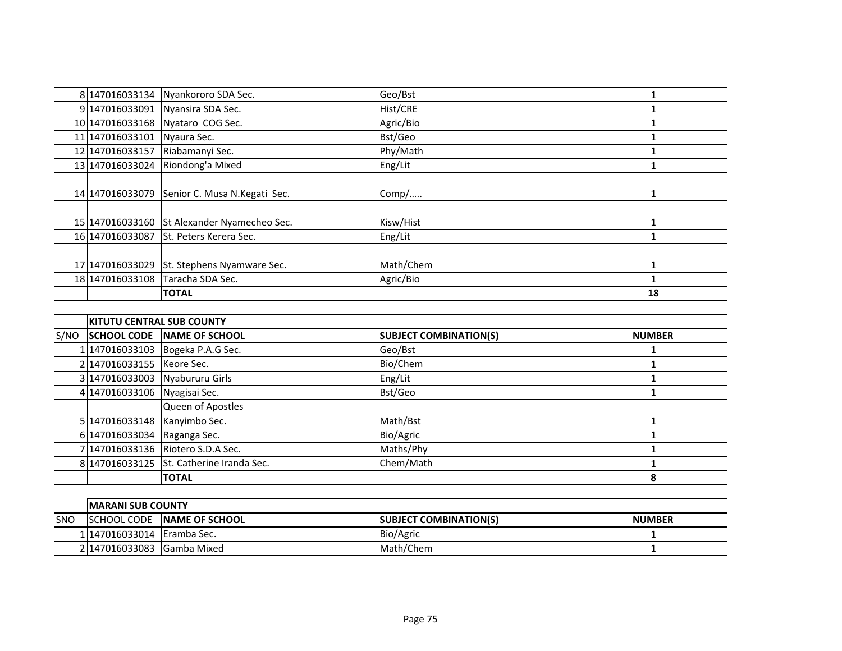|                    | 8 147016033134 Nyankororo SDA Sec. | Geo/Bst         |    |
|--------------------|------------------------------------|-----------------|----|
| 9 147016033091     | Nyansira SDA Sec.                  | <b>Hist/CRE</b> |    |
| 10 147016033168    | Nyataro COG Sec.                   | Agric/Bio       |    |
| 11 147016033101    | Nyaura Sec.                        | Bst/Geo         |    |
| 12 147016033157    | Riabamanyi Sec.                    | Phy/Math        |    |
| 13 147016033024    | Riondong'a Mixed                   | Eng/Lit         |    |
|                    |                                    |                 |    |
| 14 1470 160 330 79 | Senior C. Musa N. Kegati Sec.      | Comp/           |    |
|                    |                                    |                 |    |
| 15 147016033160    | St Alexander Nyamecheo Sec.        | Kisw/Hist       |    |
| 16 147016033087    | <b>St. Peters Kerera Sec.</b>      | Eng/Lit         |    |
|                    |                                    |                 |    |
| 17 147016033029    | St. Stephens Nyamware Sec.         | Math/Chem       |    |
| 18 147016033108    | Taracha SDA Sec.                   | Agric/Bio       |    |
|                    | <b>TOTAL</b>                       |                 | 18 |

|      | <b>KITUTU CENTRAL SUB COUNTY</b> |                                          |                               |               |
|------|----------------------------------|------------------------------------------|-------------------------------|---------------|
| S/NO |                                  | <b>ISCHOOL CODE INAME OF SCHOOL</b>      | <b>SUBJECT COMBINATION(S)</b> | <b>NUMBER</b> |
|      |                                  | 1 147016033103   Bogeka P.A.G Sec.       | Geo/Bst                       |               |
|      | 2 147016033155 Keore Sec.        |                                          | Bio/Chem                      |               |
|      | 3 147016033003 Nyabururu Girls   |                                          | Eng/Lit                       |               |
|      | 4 147016033106 Nyagisai Sec.     |                                          | Bst/Geo                       |               |
|      |                                  | Queen of Apostles                        |                               |               |
|      | 5 147016033148                   | Kanyimbo Sec.                            | Math/Bst                      |               |
|      | 6 147016033034                   | Raganga Sec.                             | Bio/Agric                     |               |
|      |                                  | 7 147016033136 Riotero S.D.A Sec.        | Maths/Phy                     |               |
|      |                                  | 8 147016033125 St. Catherine Iranda Sec. | Chem/Math                     |               |
|      |                                  | <b>ITOTAL</b>                            |                               | 8             |

|      | <b>IMARANI SUB COUNTY</b>  |                        |                               |               |
|------|----------------------------|------------------------|-------------------------------|---------------|
| ISNO | <b>ISCHOOL CODE</b>        | <b>INAME OF SCHOOL</b> | <b>SUBJECT COMBINATION(S)</b> | <b>NUMBER</b> |
|      | 1 147016033014 Eramba Sec. |                        | Bio/Agric                     |               |
|      | 2 147016033083 Gamba Mixed |                        | Math/Chem                     |               |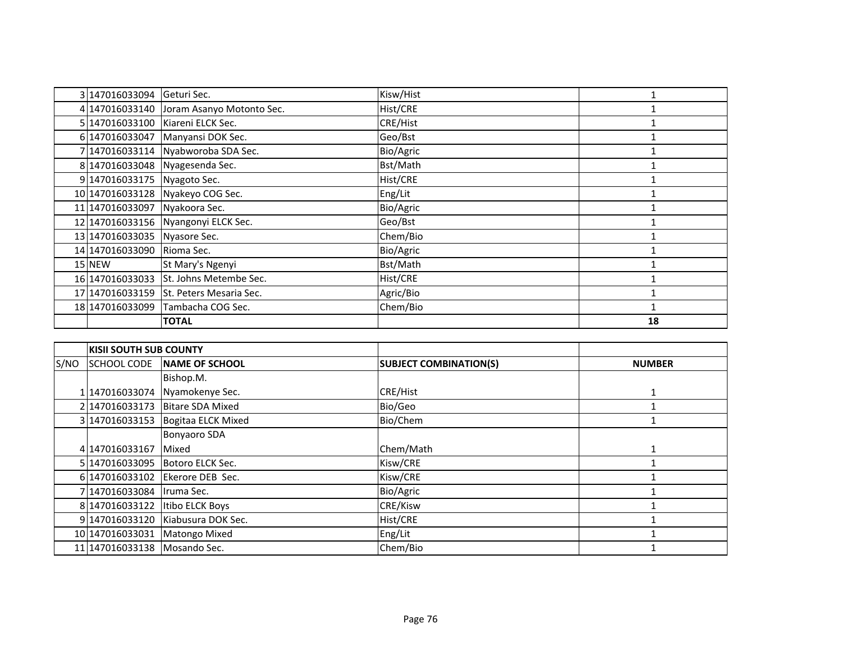| 3 147016033094                | Geturi Sec.                              | Kisw/Hist |    |
|-------------------------------|------------------------------------------|-----------|----|
|                               | 4 147016033140 Joram Asanyo Motonto Sec. | Hist/CRE  |    |
|                               | 5 147016033100 Kiareni ELCK Sec.         | CRE/Hist  |    |
| 6 147016033047                | Manyansi DOK Sec.                        | Geo/Bst   |    |
|                               | 7 147016033114 Nyabworoba SDA Sec.       | Bio/Agric |    |
|                               | 8 147016033048 Nyagesenda Sec.           | Bst/Math  |    |
| 9 147016033175 Nyagoto Sec.   |                                          | Hist/CRE  |    |
|                               | 10 147016033128 Nyakeyo COG Sec.         | Eng/Lit   |    |
| 11 147016033097 Nyakoora Sec. |                                          | Bio/Agric |    |
|                               | 12 147016033156 Nyangonyi ELCK Sec.      | Geo/Bst   |    |
| 13 147016033035 Nyasore Sec.  |                                          | Chem/Bio  |    |
| 14 147016033090               | Rioma Sec.                               | Bio/Agric |    |
| 15 NEW                        | St Mary's Ngenyi                         | Bst/Math  |    |
| 16 147016033033               | St. Johns Metembe Sec.                   | Hist/CRE  |    |
| 17 147016033159               | St. Peters Mesaria Sec.                  | Agric/Bio |    |
| 18 147016033099               | Tambacha COG Sec.                        | Chem/Bio  |    |
|                               | <b>TOTAL</b>                             |           | 18 |

|      | <b>KISII SOUTH SUB COUNTY</b> |                                 |                               |               |
|------|-------------------------------|---------------------------------|-------------------------------|---------------|
| S/NO | <b>SCHOOL CODE</b>            | <b>NAME OF SCHOOL</b>           | <b>SUBJECT COMBINATION(S)</b> | <b>NUMBER</b> |
|      |                               | Bishop.M.                       |                               |               |
|      |                               | 1 147016033074 Nyamokenye Sec.  | <b>CRE/Hist</b>               |               |
|      | 2147016033173                 | <b>Bitare SDA Mixed</b>         | Bio/Geo                       |               |
|      | 3 147016033153                | Bogitaa ELCK Mixed              | Bio/Chem                      |               |
|      |                               | <b>Bonyaoro SDA</b>             |                               |               |
|      | 4 147016033167                | Mixed                           | Chem/Math                     |               |
|      |                               | 5 147016033095 Botoro ELCK Sec. | Kisw/CRE                      |               |
|      | 6 147016033102                | Ekerore DEB Sec.                | Kisw/CRE                      |               |
|      | 7 147016033084   Iruma Sec.   |                                 | Bio/Agric                     |               |
|      | 8 147016033122                | Itibo ELCK Boys                 | <b>CRE/Kisw</b>               |               |
|      | 9147016033120                 | Kiabusura DOK Sec.              | Hist/CRE                      |               |
|      | 10 147016033031               | <b>Matongo Mixed</b>            | Eng/Lit                       |               |
|      | 11 147016033138 Mosando Sec.  |                                 | Chem/Bio                      |               |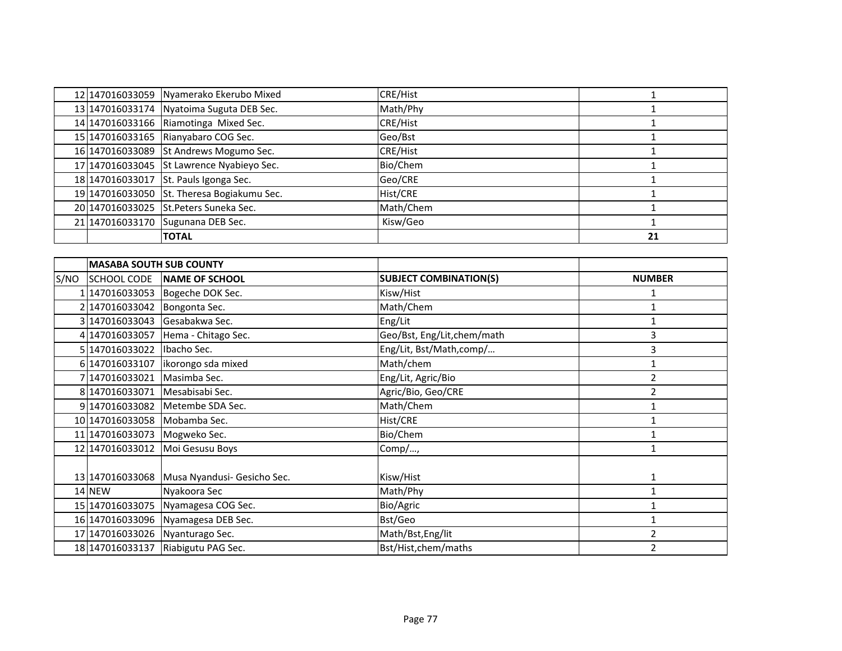|      |                                | 12 147016033059 Nyamerako Ekerubo Mixed     | CRE/Hist                      | $\mathbf{1}$   |
|------|--------------------------------|---------------------------------------------|-------------------------------|----------------|
|      |                                | 13 147016033174 Nyatoima Suguta DEB Sec.    | Math/Phy                      | 1              |
|      |                                | 14 147016033166 Riamotinga Mixed Sec.       | <b>CRE/Hist</b>               | 1              |
|      |                                | 15 147016033165 Rianyabaro COG Sec.         | Geo/Bst                       | $\mathbf{1}$   |
|      |                                | 16 147016033089 St Andrews Mogumo Sec.      | CRE/Hist                      | $\mathbf{1}$   |
|      |                                | 17 147016033045 St Lawrence Nyabieyo Sec.   | Bio/Chem                      | 1              |
|      | 18 147016033017                | St. Pauls Igonga Sec.                       | Geo/CRE                       | 1              |
|      |                                | 19 147016033050 St. Theresa Bogiakumu Sec.  | Hist/CRE                      | $\mathbf{1}$   |
|      |                                | 20 147016033025 St. Peters Suneka Sec.      | Math/Chem                     | $\mathbf{1}$   |
|      |                                | 21 147016033170 Sugunana DEB Sec.           | Kisw/Geo                      | $\mathbf{1}$   |
|      |                                | <b>TOTAL</b>                                |                               | 21             |
|      |                                |                                             |                               |                |
|      | <b>MASABA SOUTH SUB COUNTY</b> |                                             |                               |                |
| S/NO | <b>SCHOOL CODE</b>             | NAME OF SCHOOL                              | <b>SUBJECT COMBINATION(S)</b> | <b>NUMBER</b>  |
|      |                                | 1 147016033053 Bogeche DOK Sec.             | Kisw/Hist                     | 1              |
|      | 2 147016033042 Bongonta Sec.   |                                             | Math/Chem                     | $\mathbf{1}$   |
|      | 3 147016033043 Gesabakwa Sec.  |                                             | Eng/Lit                       | 1              |
|      |                                | 4 147016033057 Hema - Chitago Sec.          | Geo/Bst, Eng/Lit, chem/math   | 3              |
|      | 5 147016033022 Ibacho Sec.     |                                             | Eng/Lit, Bst/Math,comp/       | 3              |
|      | 6 147016033107                 | ikorongo sda mixed                          | Math/chem                     | $\mathbf{1}$   |
|      | 147016033021                   | Masimba Sec.                                | Eng/Lit, Agric/Bio            | $\overline{2}$ |
|      | 8 147016033071                 | Mesabisabi Sec.                             | Agric/Bio, Geo/CRE            | $\overline{2}$ |
|      |                                | 9 147016033082 Metembe SDA Sec.             | Math/Chem                     | $\mathbf{1}$   |
|      | 10 147016033058 Mobamba Sec.   |                                             | Hist/CRE                      | 1              |
|      | 11 147016033073                | Mogweko Sec.                                | Bio/Chem                      | 1              |
|      | 12 147016033012                | Moi Gesusu Boys                             | Comp/,                        | 1              |
|      |                                |                                             |                               |                |
|      |                                | 13 147016033068 Musa Nyandusi- Gesicho Sec. | Kisw/Hist                     | 1              |
|      | 14 NEW                         | Nyakoora Sec                                | Math/Phy                      | $\mathbf{1}$   |
|      |                                | 15 147016033075 Nyamagesa COG Sec.          | Bio/Agric                     | $\mathbf{1}$   |
|      |                                | 16 147016033096 Nyamagesa DEB Sec.          | Bst/Geo                       | $\mathbf{1}$   |
|      |                                | 17 147016033026 Nyanturago Sec.             | Math/Bst, Eng/lit             | $\overline{2}$ |
|      |                                | 18 147016033137 Riabigutu PAG Sec.          | Bst/Hist,chem/maths           | $\overline{2}$ |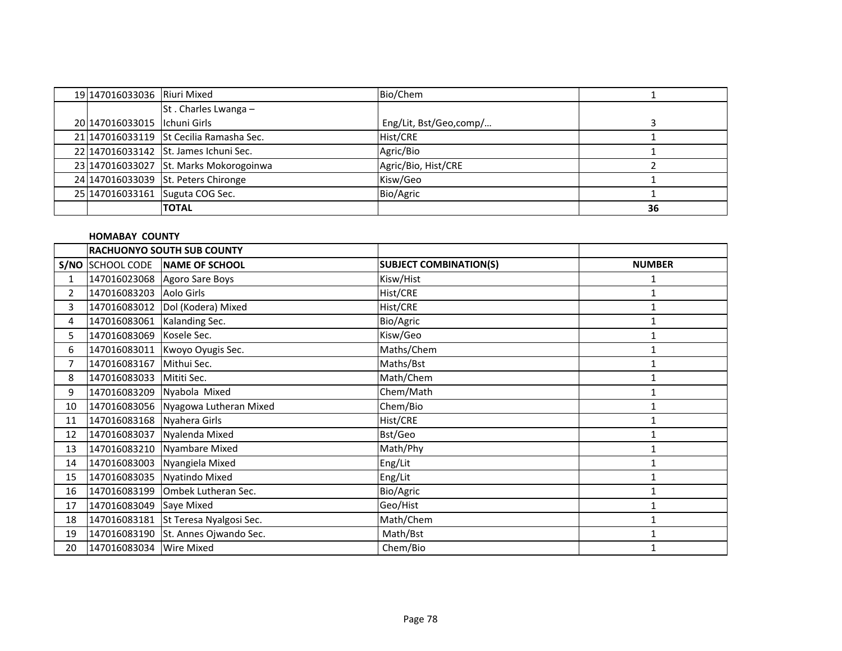| 19 147016033036 Riuri Mixed    |                                         | Bio/Chem               |    |
|--------------------------------|-----------------------------------------|------------------------|----|
|                                | St. Charles Lwanga -                    |                        |    |
| 20 147016033015   Ichuni Girls |                                         | Eng/Lit, Bst/Geo,comp/ |    |
|                                | 21 147016033119 St Cecilia Ramasha Sec. | Hist/CRE               |    |
|                                | 22 147016033142 St. James Ichuni Sec.   | Agric/Bio              |    |
|                                | 23 147016033027 St. Marks Mokorogoinwa  | Agric/Bio, Hist/CRE    |    |
|                                | 24 147016033039 St. Peters Chironge     | Kisw/Geo               |    |
|                                | 25 147016033161 Suguta COG Sec.         | Bio/Agric              |    |
|                                | <b>TOTAL</b>                            |                        | 36 |

## **HOMABAY COUNTY**

|                       | <b>RACHUONYO SOUTH SUB COUNTY</b> |                                      |                               |               |
|-----------------------|-----------------------------------|--------------------------------------|-------------------------------|---------------|
|                       |                                   | S/NO SCHOOL CODE NAME OF SCHOOL      | <b>SUBJECT COMBINATION(S)</b> | <b>NUMBER</b> |
| 1                     |                                   | 147016023068 Agoro Sare Boys         | Kisw/Hist                     |               |
| $\mathbf{2}^{\prime}$ | 147016083203 Aolo Girls           |                                      | Hist/CRE                      | $\mathbf{1}$  |
| 3                     |                                   | 147016083012 Dol (Kodera) Mixed      | Hist/CRE                      |               |
| 4                     | 147016083061 Kalanding Sec.       |                                      | Bio/Agric                     | 1             |
| 5                     | 147016083069 Kosele Sec.          |                                      | Kisw/Geo                      |               |
| 6                     |                                   | 147016083011 Kwoyo Oyugis Sec.       | Maths/Chem                    | 1             |
| 7                     | 147016083167 Mithui Sec.          |                                      | Maths/Bst                     |               |
| 8                     | 147016083033 Mititi Sec.          |                                      | Math/Chem                     | 1             |
| 9                     | 147016083209 Nyabola Mixed        |                                      | Chem/Math                     | 1             |
| 10                    |                                   | 147016083056 Nyagowa Lutheran Mixed  | Chem/Bio                      |               |
| 11                    | 147016083168 Nyahera Girls        |                                      | Hist/CRE                      |               |
| 12                    | 147016083037                      | Nyalenda Mixed                       | Bst/Geo                       | $\mathbf{1}$  |
| 13                    |                                   | 147016083210 Nyambare Mixed          | Math/Phy                      |               |
| 14                    |                                   | 147016083003 Nyangiela Mixed         | Eng/Lit                       |               |
| 15                    |                                   | 147016083035 Nyatindo Mixed          | Eng/Lit                       | $\mathbf{1}$  |
| 16                    |                                   | 147016083199 Ombek Lutheran Sec.     | Bio/Agric                     |               |
| 17                    | 147016083049 Saye Mixed           |                                      | Geo/Hist                      | 1             |
| 18                    |                                   | 147016083181 St Teresa Nyalgosi Sec. | Math/Chem                     | 1             |
| 19                    |                                   | 147016083190 St. Annes Ojwando Sec.  | Math/Bst                      |               |
| 20                    | 147016083034 Wire Mixed           |                                      | Chem/Bio                      | $\mathbf{1}$  |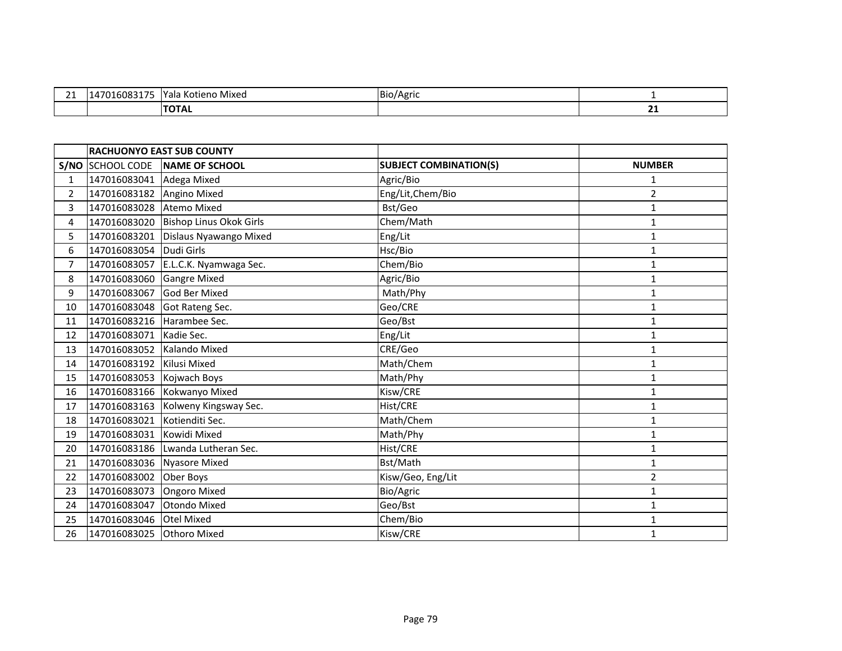| <b>.</b><br><u>_ _</u> | 0.217<br>101<br>```<br>הנוח ו<br>. . | $V - I$<br>ı Kotieno Mixed<br>did | Bio/<br>Aoric |    |
|------------------------|--------------------------------------|-----------------------------------|---------------|----|
|                        |                                      | יהוטי                             |               | -- |

|                | <b>RACHUONYO EAST SUB COUNTY</b> |                                   |                               |                |
|----------------|----------------------------------|-----------------------------------|-------------------------------|----------------|
| S/NO           | <b>SCHOOL CODE</b>               | NAME OF SCHOOL                    | <b>SUBJECT COMBINATION(S)</b> | <b>NUMBER</b>  |
| 1              | 147016083041                     | Adega Mixed                       | Agric/Bio                     | 1              |
| $\overline{2}$ | 147016083182                     | Angino Mixed                      | Eng/Lit, Chem/Bio             | $\overline{2}$ |
| 3              | 147016083028                     | <b>Atemo Mixed</b>                | Bst/Geo                       | $\mathbf{1}$   |
| 4              | 147016083020                     | Bishop Linus Okok Girls           | Chem/Math                     | $\mathbf{1}$   |
| 5.             | 147016083201                     | Dislaus Nyawango Mixed            | Eng/Lit                       | 1              |
| 6              | 147016083054                     | Dudi Girls                        | Hsc/Bio                       | $\mathbf{1}$   |
| 7              | 147016083057                     | E.L.C.K. Nyamwaga Sec.            | Chem/Bio                      | $\mathbf{1}$   |
| 8              | 147016083060                     | <b>Gangre Mixed</b>               | Agric/Bio                     | $\mathbf{1}$   |
| 9              | 147016083067                     | <b>God Ber Mixed</b>              | Math/Phy                      | $\mathbf{1}$   |
| 10             |                                  | 147016083048 Got Rateng Sec.      | Geo/CRE                       | $\mathbf{1}$   |
| 11             | 147016083216 Harambee Sec.       |                                   | Geo/Bst                       | 1              |
| 12             | 147016083071                     | Kadie Sec.                        | Eng/Lit                       | 1              |
| 13             | 147016083052 Kalando Mixed       |                                   | CRE/Geo                       | $\mathbf{1}$   |
| 14             | 147016083192                     | Kilusi Mixed                      | Math/Chem                     | 1              |
| 15             | 147016083053                     | Kojwach Boys                      | Math/Phy                      | 1              |
| 16             |                                  | 147016083166 Kokwanyo Mixed       | Kisw/CRE                      | $\mathbf{1}$   |
| 17             | 147016083163                     | Kolweny Kingsway Sec.             | Hist/CRE                      | 1              |
| 18             | 147016083021                     | Kotienditi Sec.                   | Math/Chem                     | $\mathbf{1}$   |
| 19             | 147016083031                     | Kowidi Mixed                      | Math/Phy                      | 1              |
| 20             |                                  | 147016083186 Lwanda Lutheran Sec. | Hist/CRE                      | $\mathbf{1}$   |
| 21             | 147016083036                     | Nyasore Mixed                     | Bst/Math                      | $\mathbf{1}$   |
| 22             | 147016083002                     | Ober Boys                         | Kisw/Geo, Eng/Lit             | $\overline{c}$ |
| 23             | 147016083073                     | <b>Ongoro Mixed</b>               | Bio/Agric                     | 1              |
| 24             | 147016083047                     | <b>Otondo Mixed</b>               | Geo/Bst                       | 1              |
| 25             | 147016083046 Otel Mixed          |                                   | Chem/Bio                      | 1              |
| 26             | 147016083025 Othoro Mixed        |                                   | Kisw/CRE                      | 1              |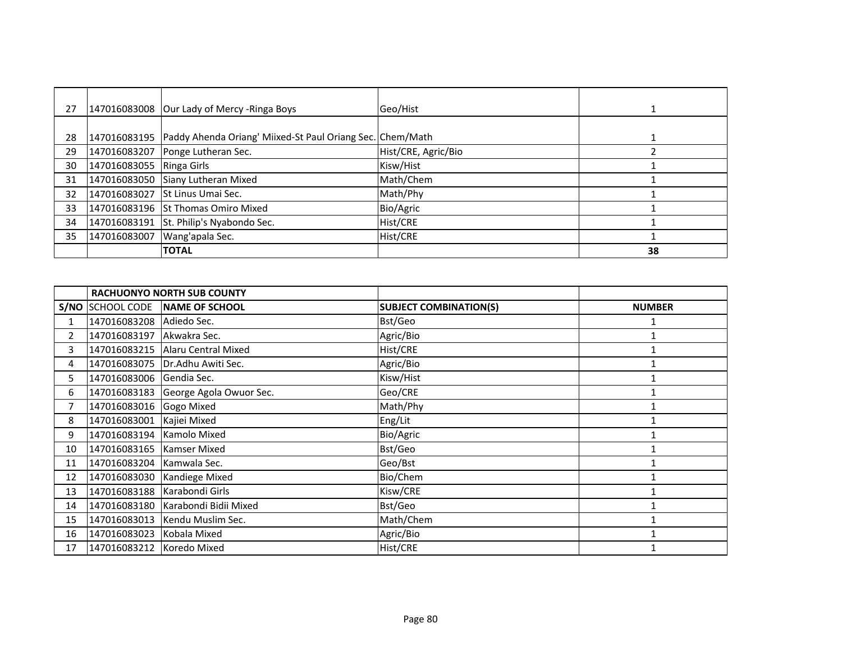| 27 |                          | 147016083008 Our Lady of Mercy - Ringa Boys                              | Geo/Hist            |    |
|----|--------------------------|--------------------------------------------------------------------------|---------------------|----|
|    |                          |                                                                          |                     |    |
| 28 |                          | 147016083195   Paddy Ahenda Oriang' Miixed-St Paul Oriang Sec. Chem/Math |                     |    |
| 29 | 147016083207             | Ponge Lutheran Sec.                                                      | Hist/CRE, Agric/Bio |    |
| 30 | 147016083055 Ringa Girls |                                                                          | Kisw/Hist           |    |
| 31 |                          | 147016083050 Siany Lutheran Mixed                                        | Math/Chem           |    |
| 32 |                          | 147016083027 St Linus Umai Sec.                                          | Math/Phy            |    |
| 33 |                          | 147016083196 St Thomas Omiro Mixed                                       | Bio/Agric           |    |
| 34 |                          | 147016083191 St. Philip's Nyabondo Sec.                                  | Hist/CRE            |    |
| 35 | 147016083007             | Wang'apala Sec.                                                          | Hist/CRE            |    |
|    |                          | <b>TOTAL</b>                                                             |                     | 38 |

|              | <b>RACHUONYO NORTH SUB COUNTY</b> |                                    |                               |               |
|--------------|-----------------------------------|------------------------------------|-------------------------------|---------------|
|              | S/NO SCHOOL CODE                  | NAME OF SCHOOL                     | <b>SUBJECT COMBINATION(S)</b> | <b>NUMBER</b> |
| $\mathbf{1}$ | 147016083208 Adiedo Sec.          |                                    | Bst/Geo                       |               |
| $\mathbf{2}$ | 147016083197                      | Akwakra Sec.                       | Agric/Bio                     |               |
| 3            | 147016083215                      | Alaru Central Mixed                | Hist/CRE                      |               |
| 4            |                                   | 147016083075   Dr. Adhu Awiti Sec. | Agric/Bio                     |               |
| 5            | 147016083006 Gendia Sec.          |                                    | Kisw/Hist                     |               |
| 6            | 147016083183                      | George Agola Owuor Sec.            | Geo/CRE                       |               |
| 7            | 147016083016 Gogo Mixed           |                                    | Math/Phy                      |               |
| 8            | 147016083001                      | Kajiei Mixed                       | Eng/Lit                       |               |
| 9            | 147016083194 Kamolo Mixed         |                                    | Bio/Agric                     |               |
| 10           | 147016083165 Kamser Mixed         |                                    | Bst/Geo                       |               |
| 11           | 147016083204 Kamwala Sec.         |                                    | Geo/Bst                       |               |
| 12           | 147016083030                      | Kandiege Mixed                     | Bio/Chem                      |               |
| 13           | 147016083188 Karabondi Girls      |                                    | Kisw/CRE                      |               |
| 14           |                                   | 147016083180 Karabondi Bidii Mixed | Bst/Geo                       |               |
| 15           | 147016083013                      | Kendu Muslim Sec.                  | Math/Chem                     |               |
| 16           | 147016083023                      | Kobala Mixed                       | Agric/Bio                     |               |
| 17           | 147016083212 Koredo Mixed         |                                    | Hist/CRE                      |               |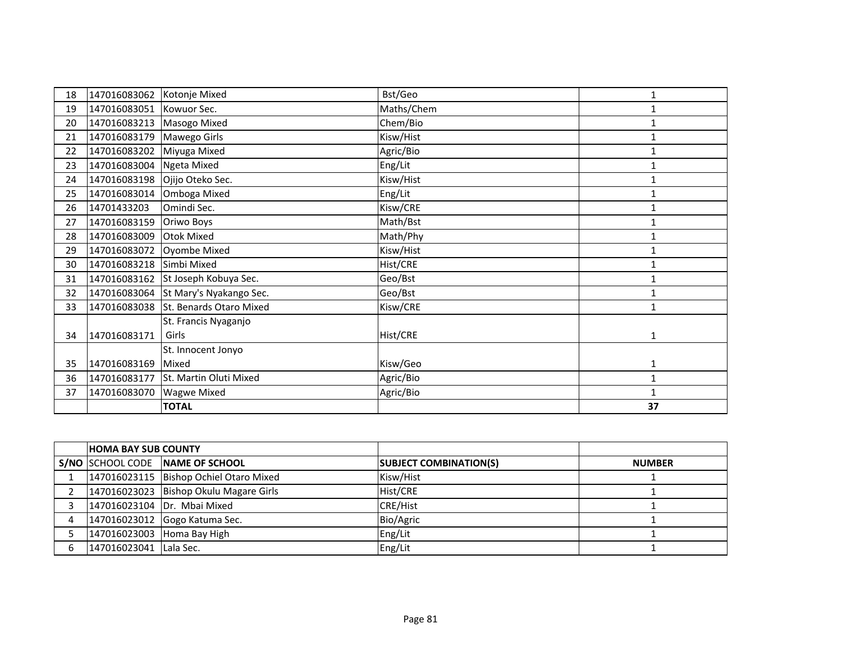| 18 | 147016083062             | Kotonje Mixed           | Bst/Geo    | $\mathbf{1}$ |
|----|--------------------------|-------------------------|------------|--------------|
| 19 | 147016083051 Kowuor Sec. |                         | Maths/Chem | 1            |
| 20 | 147016083213             | Masogo Mixed            | Chem/Bio   | 1            |
| 21 | 147016083179             | Mawego Girls            | Kisw/Hist  | 1            |
| 22 | 147016083202             | Miyuga Mixed            | Agric/Bio  | $\mathbf{1}$ |
| 23 | 147016083004             | <b>Ngeta Mixed</b>      | Eng/Lit    | $\mathbf{1}$ |
| 24 | 147016083198             | Ojijo Oteko Sec.        | Kisw/Hist  | $\mathbf{1}$ |
| 25 | 147016083014             | Omboga Mixed            | Eng/Lit    | $\mathbf{1}$ |
| 26 | 14701433203              | Omindi Sec.             | Kisw/CRE   |              |
| 27 | 147016083159             | Oriwo Boys              | Math/Bst   | 1            |
| 28 | 147016083009             | <b>Otok Mixed</b>       | Math/Phy   | 1            |
| 29 | 147016083072             | Oyombe Mixed            | Kisw/Hist  | $\mathbf{1}$ |
| 30 | 147016083218 Simbi Mixed |                         | Hist/CRE   | 1            |
| 31 | 147016083162             | St Joseph Kobuya Sec.   | Geo/Bst    | 1            |
| 32 | 147016083064             | St Mary's Nyakango Sec. | Geo/Bst    | $\mathbf{1}$ |
| 33 | 147016083038             | St. Benards Otaro Mixed | Kisw/CRE   | 1            |
|    |                          | St. Francis Nyaganjo    |            |              |
| 34 | 147016083171             | Girls                   | Hist/CRE   | 1            |
|    |                          | St. Innocent Jonyo      |            |              |
| 35 | 147016083169             | Mixed                   | Kisw/Geo   | $\mathbf{1}$ |
| 36 | 147016083177             | St. Martin Oluti Mixed  | Agric/Bio  | $\mathbf{1}$ |
| 37 | 147016083070             | <b>Wagwe Mixed</b>      | Agric/Bio  | $\mathbf{1}$ |
|    |                          | <b>TOTAL</b>            |            | 37           |

| <b>HOMA BAY SUB COUNTY</b> |                                        |                               |               |
|----------------------------|----------------------------------------|-------------------------------|---------------|
|                            | S/NO SCHOOL CODE NAME OF SCHOOL        | <b>SUBJECT COMBINATION(S)</b> | <b>NUMBER</b> |
|                            | 147016023115 Bishop Ochiel Otaro Mixed | Kisw/Hist                     |               |
|                            | 147016023023 Bishop Okulu Magare Girls | Hist/CRE                      |               |
|                            | 147016023104 Dr. Mbai Mixed            | <b>CRE/Hist</b>               |               |
|                            | 147016023012 Gogo Katuma Sec.          | Bio/Agric                     |               |
| 147016023003 Homa Bay High |                                        | Eng/Lit                       |               |
| 147016023041 Lala Sec.     |                                        | Eng/Lit                       |               |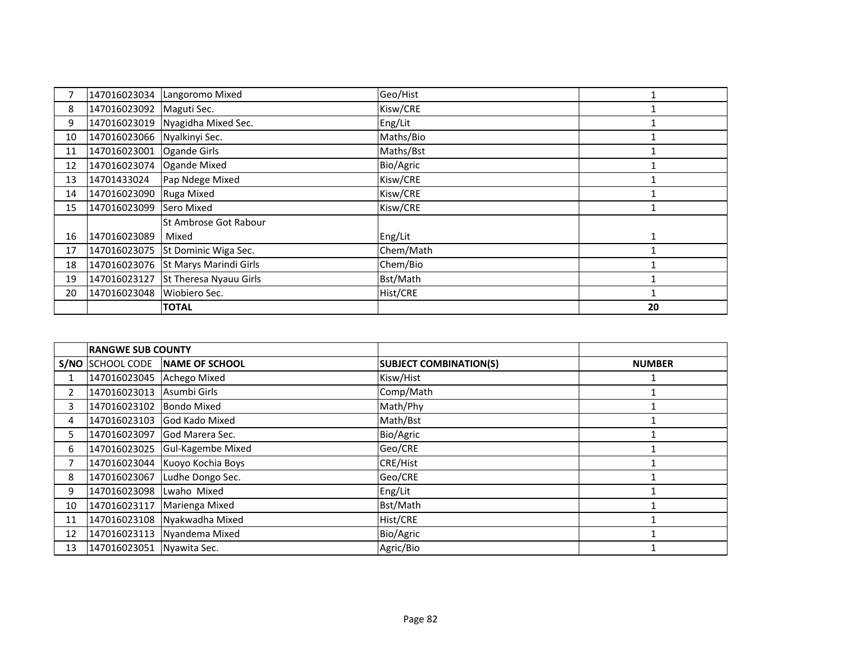|    | 147016023034                | Langoromo Mixed                     | Geo/Hist  |    |
|----|-----------------------------|-------------------------------------|-----------|----|
| 8  | 147016023092                | Maguti Sec.                         | Kisw/CRE  |    |
| 9  | 147016023019                | Nyagidha Mixed Sec.                 | Eng/Lit   |    |
| 10 | 147016023066 Nyalkinyi Sec. |                                     | Maths/Bio |    |
| 11 | 147016023001                | Ogande Girls                        | Maths/Bst |    |
| 12 | 147016023074 Ogande Mixed   |                                     | Bio/Agric |    |
| 13 | 14701433024                 | Pap Ndege Mixed                     | Kisw/CRE  |    |
| 14 | 147016023090                | Ruga Mixed                          | Kisw/CRE  |    |
| 15 | 147016023099                | Sero Mixed                          | Kisw/CRE  |    |
|    |                             | St Ambrose Got Rabour               |           |    |
| 16 | 147016023089                | Mixed                               | Eng/Lit   | 1  |
| 17 |                             | 147016023075 St Dominic Wiga Sec.   | Chem/Math |    |
| 18 |                             | 147016023076 St Marys Marindi Girls | Chem/Bio  |    |
| 19 | 147016023127                | St Theresa Nyauu Girls              | Bst/Math  |    |
| 20 | 147016023048                | Wiobiero Sec.                       | Hist/CRE  |    |
|    |                             | <b>TOTAL</b>                        |           | 20 |

|                | <b>RANGWE SUB COUNTY</b>  |                                |                               |               |
|----------------|---------------------------|--------------------------------|-------------------------------|---------------|
|                | S/NO SCHOOL CODE          | NAME OF SCHOOL                 | <b>SUBJECT COMBINATION(S)</b> | <b>NUMBER</b> |
|                | 147016023045 Achego Mixed |                                | Kisw/Hist                     |               |
| $\overline{2}$ | 147016023013              | Asumbi Girls                   | Comp/Math                     |               |
| 3              | 147016023102              | <b>Bondo Mixed</b>             | Math/Phy                      |               |
| 4              |                           | 147016023103 God Kado Mixed    | Math/Bst                      |               |
|                | 147016023097              | <b>God Marera Sec.</b>         | Bio/Agric                     |               |
| 6              | 147016023025              | <b>Gul-Kagembe Mixed</b>       | Geo/CRE                       |               |
|                |                           | 147016023044 Kuoyo Kochia Boys | <b>CRE/Hist</b>               |               |
| 8              | 147016023067              | Ludhe Dongo Sec.               | Geo/CRE                       |               |
| 9              | 147016023098              | Lwaho Mixed                    | Eng/Lit                       |               |
| 10             | 147016023117              | Marienga Mixed                 | Bst/Math                      |               |
| 11             | 147016023108              | Nyakwadha Mixed                | Hist/CRE                      |               |
| 12             | 147016023113              | Nyandema Mixed                 | Bio/Agric                     |               |
| 13             | 147016023051 Nyawita Sec. |                                | Agric/Bio                     |               |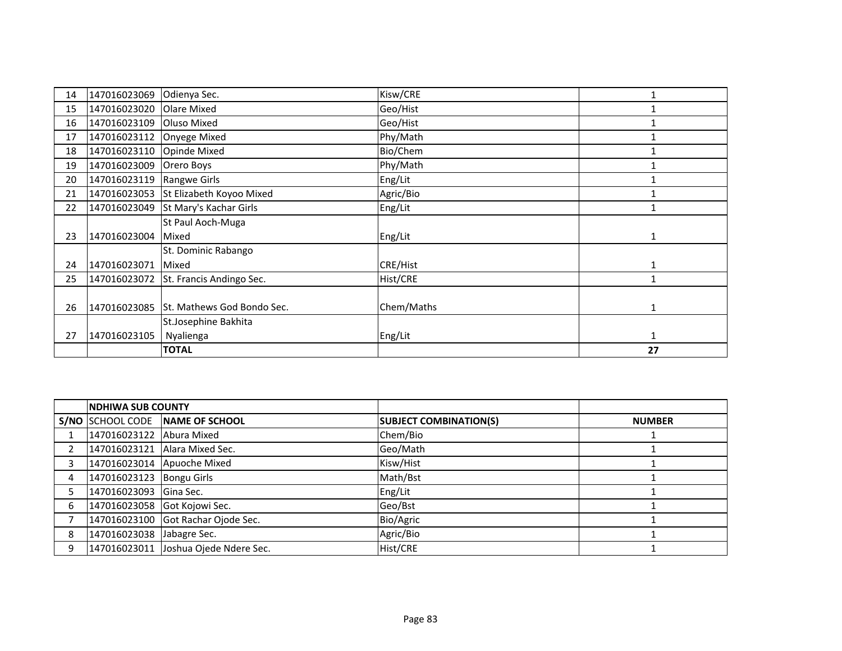| 14 | 147016023069 | Odienya Sec.               | Kisw/CRE   |              |
|----|--------------|----------------------------|------------|--------------|
| 15 | 147016023020 | Olare Mixed                | Geo/Hist   |              |
| 16 | 147016023109 | Oluso Mixed                | Geo/Hist   |              |
| 17 | 147016023112 | Onyege Mixed               | Phy/Math   |              |
| 18 | 147016023110 | Opinde Mixed               | Bio/Chem   |              |
| 19 | 147016023009 | Orero Boys                 | Phy/Math   |              |
| 20 | 147016023119 | Rangwe Girls               | Eng/Lit    |              |
| 21 | 147016023053 | St Elizabeth Koyoo Mixed   | Agric/Bio  |              |
| 22 | 147016023049 | St Mary's Kachar Girls     | Eng/Lit    |              |
|    |              | St Paul Aoch-Muga          |            |              |
| 23 | 147016023004 | Mixed                      | Eng/Lit    | 1            |
|    |              | St. Dominic Rabango        |            |              |
| 24 | 147016023071 | Mixed                      | CRE/Hist   | 1            |
| 25 | 147016023072 | St. Francis Andingo Sec.   | Hist/CRE   | 1            |
|    |              |                            |            |              |
| 26 | 147016023085 | St. Mathews God Bondo Sec. | Chem/Maths | 1            |
|    |              | St.Josephine Bakhita       |            |              |
| 27 | 147016023105 | Nyalienga                  | Eng/Lit    | $\mathbf{1}$ |
|    |              | <b>TOTAL</b>               |            | 27           |

|                | <b>INDHIWA SUB COUNTY</b>    |                                      |                               |               |
|----------------|------------------------------|--------------------------------------|-------------------------------|---------------|
|                |                              | S/NO SCHOOL CODE NAME OF SCHOOL      | <b>SUBJECT COMBINATION(S)</b> | <b>NUMBER</b> |
|                | 147016023122 Abura Mixed     |                                      | Chem/Bio                      |               |
|                |                              | 147016023121 Alara Mixed Sec.        | Geo/Math                      |               |
| 3              |                              | 147016023014 Apuoche Mixed           | Kisw/Hist                     |               |
| $\overline{4}$ | 147016023123 Bongu Girls     |                                      | Math/Bst                      |               |
| 5.             | 147016023093 Gina Sec.       |                                      | Eng/Lit                       |               |
| 6              | 147016023058 Got Kojowi Sec. |                                      | Geo/Bst                       |               |
|                |                              | 147016023100 Got Rachar Ojode Sec.   | Bio/Agric                     |               |
| 8              | 147016023038 Jabagre Sec.    |                                      | Agric/Bio                     |               |
| 9              |                              | 147016023011 Joshua Ojede Ndere Sec. | Hist/CRE                      |               |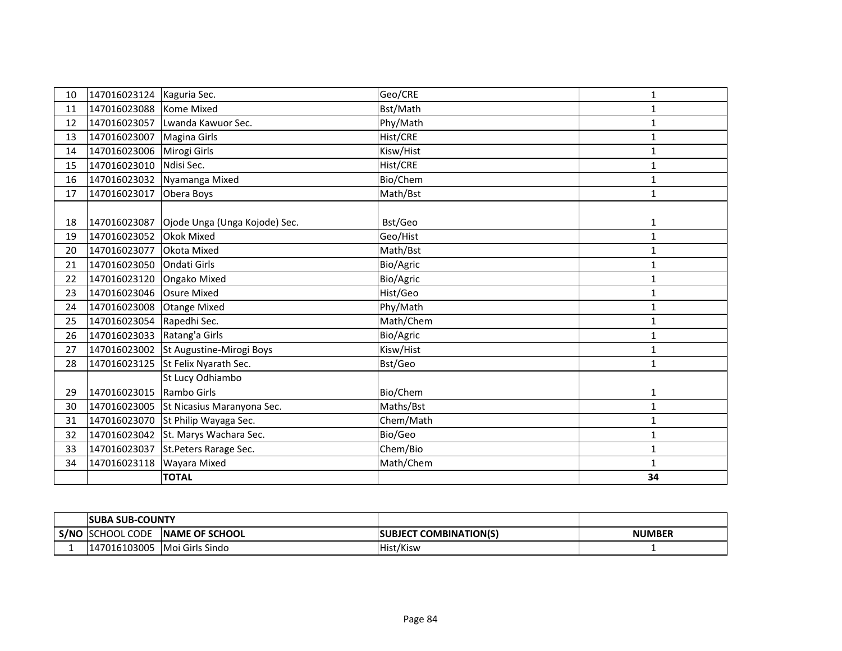| 10 | 147016023124   Kaguria Sec. |                                            | Geo/CRE   | 1            |
|----|-----------------------------|--------------------------------------------|-----------|--------------|
| 11 | 147016023088                | Kome Mixed                                 | Bst/Math  | 1            |
| 12 |                             | 147016023057 Lwanda Kawuor Sec.            | Phy/Math  | $\mathbf{1}$ |
| 13 | 147016023007                | <b>Magina Girls</b>                        | Hist/CRE  | $\mathbf{1}$ |
| 14 | 147016023006                | Mirogi Girls                               | Kisw/Hist | $\mathbf{1}$ |
| 15 | 147016023010                | Ndisi Sec.                                 | Hist/CRE  | 1            |
| 16 | 147016023032                | Nyamanga Mixed                             | Bio/Chem  | 1            |
| 17 | 147016023017                | Obera Boys                                 | Math/Bst  | $\mathbf{1}$ |
|    |                             |                                            |           |              |
| 18 |                             | 147016023087 Ojode Unga (Unga Kojode) Sec. | Bst/Geo   | 1            |
| 19 | 147016023052                | Okok Mixed                                 | Geo/Hist  | $\mathbf{1}$ |
| 20 | 147016023077                | Okota Mixed                                | Math/Bst  | $\mathbf{1}$ |
| 21 | 147016023050                | <b>Ondati Girls</b>                        | Bio/Agric | 1            |
| 22 | 147016023120                | Ongako Mixed                               | Bio/Agric | $\mathbf{1}$ |
| 23 | 147016023046                | <b>Osure Mixed</b>                         | Hist/Geo  | $\mathbf{1}$ |
| 24 | 147016023008                | <b>Otange Mixed</b>                        | Phy/Math  | 1            |
| 25 | 147016023054                | Rapedhi Sec.                               | Math/Chem | $\mathbf{1}$ |
| 26 | 147016023033 Ratang'a Girls |                                            | Bio/Agric | $\mathbf{1}$ |
| 27 |                             | 147016023002 St Augustine-Mirogi Boys      | Kisw/Hist | 1            |
| 28 | 147016023125                | St Felix Nyarath Sec.                      | Bst/Geo   | $\mathbf{1}$ |
|    |                             | St Lucy Odhiambo                           |           |              |
| 29 | 147016023015                | Rambo Girls                                | Bio/Chem  | 1            |
| 30 | 147016023005                | St Nicasius Maranyona Sec.                 | Maths/Bst | $\mathbf{1}$ |
| 31 | 147016023070                | St Philip Wayaga Sec.                      | Chem/Math | $\mathbf{1}$ |
| 32 |                             | 147016023042 St. Marys Wachara Sec.        | Bio/Geo   | 1            |
| 33 | 147016023037                | St. Peters Rarage Sec.                     | Chem/Bio  | $\mathbf{1}$ |
| 34 | 147016023118                | Wayara Mixed                               | Math/Chem | 1            |
|    |                             | <b>TOTAL</b>                               |           | 34           |

|      | <b>ISUBA SUB-COUNTY</b> |                        |                                |               |
|------|-------------------------|------------------------|--------------------------------|---------------|
| S/NC | <b>ISCHOOL CODE</b>     | <b>INAME OF SCHOOL</b> | <b>ISUBJECT COMBINATION(S)</b> | <b>NUMBER</b> |
|      | 147016103005            | <b>Moi Girls Sindo</b> | Hist/Kisw                      |               |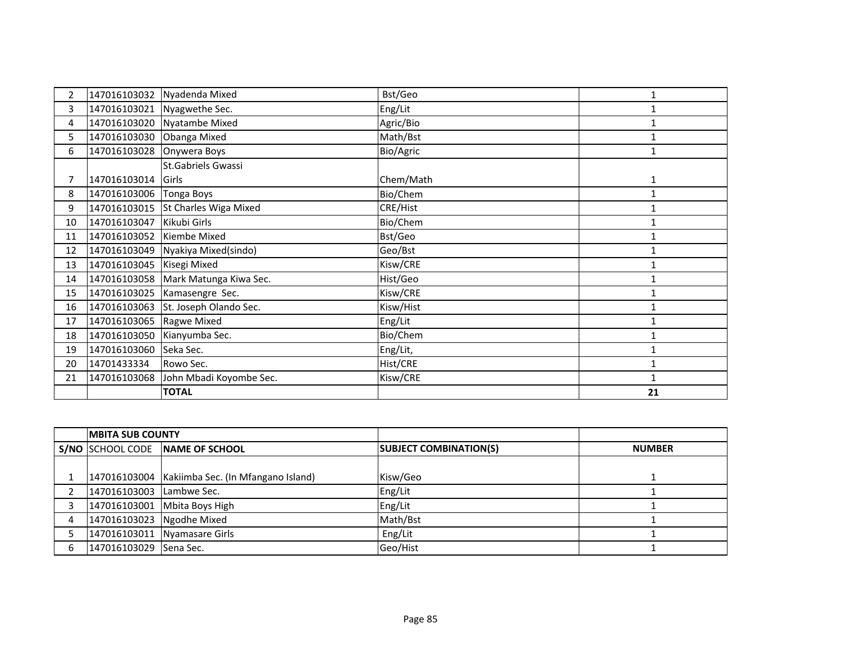| 2  | 147016103032              | Nyadenda Mixed                      | Bst/Geo   |              |
|----|---------------------------|-------------------------------------|-----------|--------------|
| 3  |                           | 147016103021 Nyagwethe Sec.         | Eng/Lit   | $\mathbf{1}$ |
| 4  |                           | 147016103020 Nyatambe Mixed         | Agric/Bio | 1            |
| 5. | 147016103030 Obanga Mixed |                                     | Math/Bst  | $\mathbf{1}$ |
| 6  | 147016103028 Onywera Boys |                                     | Bio/Agric |              |
|    |                           | St.Gabriels Gwassi                  |           |              |
|    | 147016103014 Girls        |                                     | Chem/Math | $\mathbf{1}$ |
| 8  | 147016103006 Tonga Boys   |                                     | Bio/Chem  | 1            |
| 9  |                           | 147016103015 St Charles Wiga Mixed  | CRE/Hist  | 1            |
| 10 | 147016103047              | Kikubi Girls                        | Bio/Chem  |              |
| 11 | 147016103052 Kiembe Mixed |                                     | Bst/Geo   | $\mathbf{1}$ |
| 12 |                           | 147016103049 Nyakiya Mixed(sindo)   | Geo/Bst   |              |
| 13 | 147016103045 Kisegi Mixed |                                     | Kisw/CRE  | 1            |
| 14 |                           | 147016103058 Mark Matunga Kiwa Sec. | Hist/Geo  | 1            |
| 15 |                           | 147016103025 Kamasengre Sec.        | Kisw/CRE  |              |
| 16 | 147016103063              | St. Joseph Olando Sec.              | Kisw/Hist | 1            |
| 17 | 147016103065              | Ragwe Mixed                         | Eng/Lit   | $\mathbf{1}$ |
| 18 | 147016103050              | Kianyumba Sec.                      | Bio/Chem  | $\mathbf{1}$ |
| 19 | 147016103060 Seka Sec.    |                                     | Eng/Lit,  | 1            |
| 20 | 14701433334               | Rowo Sec.                           | Hist/CRE  | $\mathbf{1}$ |
| 21 | 147016103068              | John Mbadi Koyombe Sec.             | Kisw/CRE  | $\mathbf{1}$ |
|    |                           | <b>TOTAL</b>                        |           | 21           |

|   | <b>IMBITA SUB COUNTY</b>  |                                                   |                               |               |
|---|---------------------------|---------------------------------------------------|-------------------------------|---------------|
|   |                           | S/NO SCHOOL CODE NAME OF SCHOOL                   | <b>SUBJECT COMBINATION(S)</b> | <b>NUMBER</b> |
|   |                           |                                                   |                               |               |
|   |                           | 147016103004   Kakiimba Sec. (In Mfangano Island) | Kisw/Geo                      |               |
|   | 147016103003              | Lambwe Sec.                                       | Eng/Lit                       |               |
|   |                           | 147016103001 Mbita Boys High                      | Eng/Lit                       |               |
| 4 | 147016103023 Ngodhe Mixed |                                                   | Math/Bst                      |               |
|   |                           | 147016103011 Nyamasare Girls                      | Eng/Lit                       |               |
| 6 | 147016103029 Sena Sec.    |                                                   | Geo/Hist                      |               |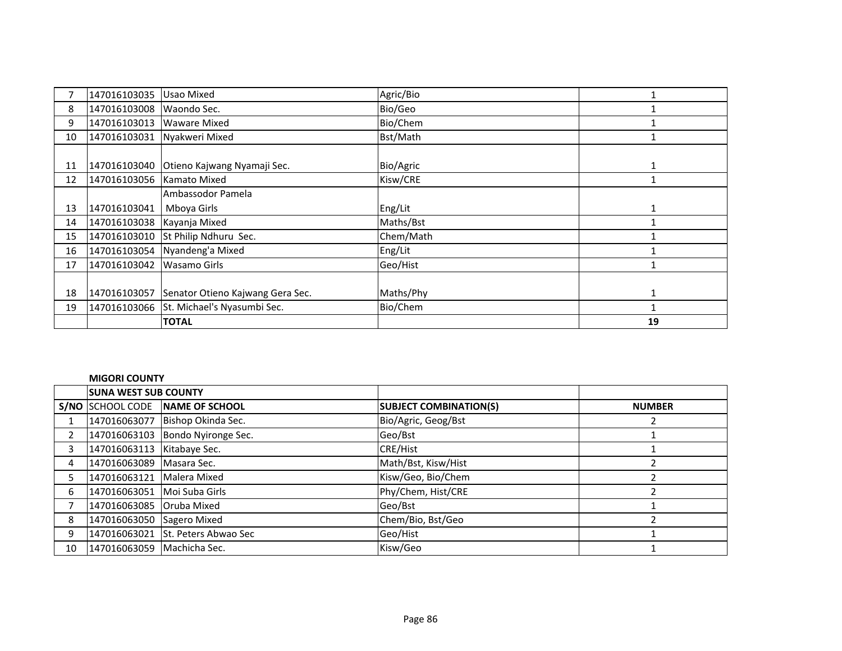|    | 147016103035                | Usao Mixed                               | Agric/Bio |    |
|----|-----------------------------|------------------------------------------|-----------|----|
| 8  | 147016103008                | Waondo Sec.                              | Bio/Geo   |    |
| 9  | 147016103013                | <b>Waware Mixed</b>                      | Bio/Chem  |    |
| 10 | 147016103031                | Nyakweri Mixed                           | Bst/Math  |    |
|    |                             |                                          |           |    |
| 11 |                             | 147016103040 Otieno Kajwang Nyamaji Sec. | Bio/Agric | 1  |
| 12 | 147016103056   Kamato Mixed |                                          | Kisw/CRE  |    |
|    |                             | Ambassodor Pamela                        |           |    |
| 13 | 147016103041                | Mboya Girls                              | Eng/Lit   | 1  |
| 14 | 147016103038 Kayanja Mixed  |                                          | Maths/Bst |    |
| 15 | 147016103010                | St Philip Ndhuru Sec.                    | Chem/Math |    |
| 16 |                             | 147016103054 Nyandeng'a Mixed            | Eng/Lit   |    |
| 17 | 147016103042                | Wasamo Girls                             | Geo/Hist  |    |
|    |                             |                                          |           |    |
| 18 | 147016103057                | Senator Otieno Kajwang Gera Sec.         | Maths/Phy |    |
| 19 |                             | 147016103066 St. Michael's Nyasumbi Sec. | Bio/Chem  |    |
|    |                             | <b>TOTAL</b>                             |           | 19 |

### **MIGORI COUNTY**

|                | <b>SUNA WEST SUB COUNTY</b> |                                   |                               |               |
|----------------|-----------------------------|-----------------------------------|-------------------------------|---------------|
|                |                             | S/NO SCHOOL CODE NAME OF SCHOOL   | <b>SUBJECT COMBINATION(S)</b> | <b>NUMBER</b> |
|                |                             | 147016063077 Bishop Okinda Sec.   | Bio/Agric, Geog/Bst           |               |
| $\overline{2}$ |                             | 147016063103 Bondo Nyironge Sec.  | Geo/Bst                       |               |
| 3              | 147016063113 Kitabaye Sec.  |                                   | <b>CRE/Hist</b>               |               |
| 4              | 147016063089   Masara Sec.  |                                   | Math/Bst, Kisw/Hist           |               |
| 5.             | 147016063121   Malera Mixed |                                   | Kisw/Geo, Bio/Chem            |               |
| 6              | 147016063051 Moi Suba Girls |                                   | Phy/Chem, Hist/CRE            |               |
|                | 147016063085 Oruba Mixed    |                                   | Geo/Bst                       |               |
| 8              | 147016063050 Sagero Mixed   |                                   | Chem/Bio, Bst/Geo             |               |
| 9              |                             | 147016063021 St. Peters Abwao Sec | Geo/Hist                      |               |
| 10             | 147016063059 Machicha Sec.  |                                   | Kisw/Geo                      |               |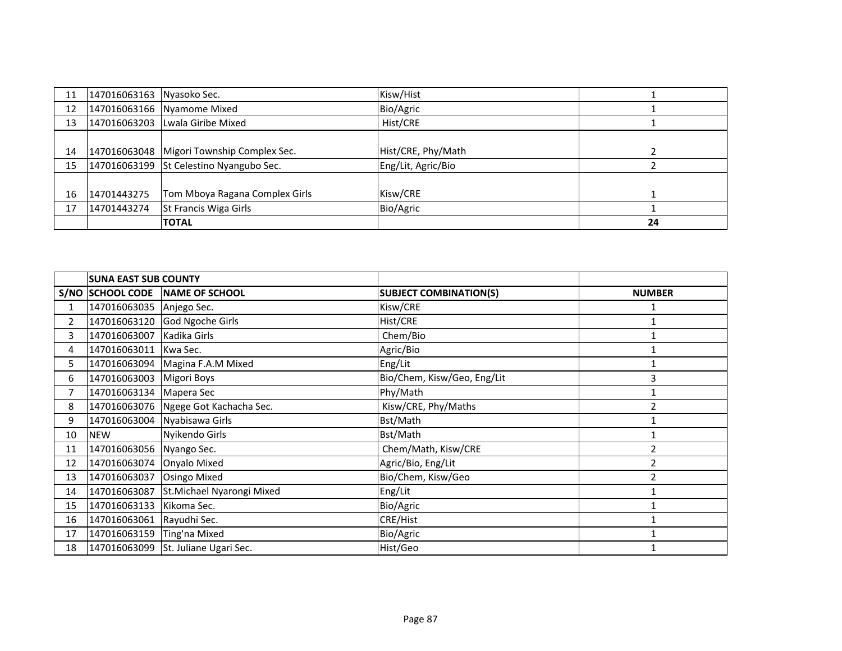| 11 | 147016063163 Nyasoko Sec. |                                             | Kisw/Hist          |    |
|----|---------------------------|---------------------------------------------|--------------------|----|
| 12 |                           | 147016063166 Nyamome Mixed                  | Bio/Agric          |    |
| 13 |                           | 147016063203 Lwala Giribe Mixed             | Hist/CRE           |    |
|    |                           |                                             |                    |    |
| 14 |                           | 147016063048   Migori Township Complex Sec. | Hist/CRE, Phy/Math |    |
| 15 |                           | 147016063199 St Celestino Nyangubo Sec.     | Eng/Lit, Agric/Bio |    |
|    |                           |                                             |                    |    |
| 16 | 14701443275               | Tom Mboya Ragana Complex Girls              | Kisw/CRE           |    |
| 17 | 14701443274               | St Francis Wiga Girls                       | Bio/Agric          |    |
|    |                           | <b>TOTAL</b>                                |                    | 24 |

|    | <b>SUNA EAST SUB COUNTY</b> |                                      |                               |                |
|----|-----------------------------|--------------------------------------|-------------------------------|----------------|
|    |                             | S/NO SCHOOL CODE NAME OF SCHOOL      | <b>SUBJECT COMBINATION(S)</b> | <b>NUMBER</b>  |
| 1  | 147016063035 Anjego Sec.    |                                      | Kisw/CRE                      |                |
| 2  | 147016063120                | <b>God Ngoche Girls</b>              | Hist/CRE                      |                |
| 3  | 147016063007                | Kadika Girls                         | Chem/Bio                      |                |
| 4  | 147016063011                | Kwa Sec.                             | Agric/Bio                     |                |
| 5. |                             | 147016063094 Magina F.A.M Mixed      | Eng/Lit                       |                |
| 6  | 147016063003                | <b>Migori Boys</b>                   | Bio/Chem, Kisw/Geo, Eng/Lit   | 3              |
| 7  | 147016063134                | Mapera Sec                           | Phy/Math                      |                |
| 8  |                             | 147016063076 Ngege Got Kachacha Sec. | Kisw/CRE, Phy/Maths           | $\overline{2}$ |
| 9  | 147016063004                | Nyabisawa Girls                      | Bst/Math                      |                |
| 10 | <b>NEW</b>                  | Nyikendo Girls                       | Bst/Math                      |                |
| 11 | 147016063056                | Nyango Sec.                          | Chem/Math, Kisw/CRE           | $\overline{2}$ |
| 12 | 147016063074 Onyalo Mixed   |                                      | Agric/Bio, Eng/Lit            | $\overline{2}$ |
| 13 | 147016063037                | <b>Osingo Mixed</b>                  | Bio/Chem, Kisw/Geo            | $\overline{2}$ |
| 14 | 147016063087                | St.Michael Nyarongi Mixed            | Eng/Lit                       |                |
| 15 | 147016063133                | Kikoma Sec.                          | Bio/Agric                     |                |
| 16 | 147016063061                | Rayudhi Sec.                         | CRE/Hist                      |                |
| 17 | 147016063159                | Ting'na Mixed                        | Bio/Agric                     |                |
| 18 |                             | 147016063099 St. Juliane Ugari Sec.  | Hist/Geo                      |                |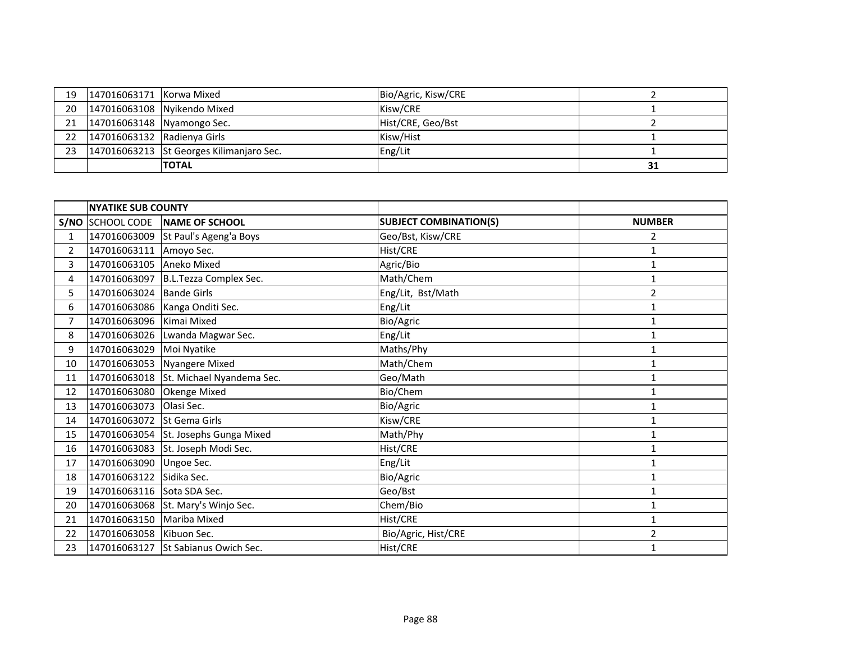| 19 | 147016063171   Korwa Mixed     |                                            | Bio/Agric, Kisw/CRE |    |
|----|--------------------------------|--------------------------------------------|---------------------|----|
|    |                                | 20   147016063108   Nyikendo Mixed         | Kisw/CRE            |    |
|    |                                | 21   147016063148   Nyamongo Sec.          | Hist/CRE, Geo/Bst   |    |
|    | 22 147016063132 Radienya Girls |                                            | Kisw/Hist           |    |
| 23 |                                | $147016063213$ St Georges Kilimanjaro Sec. | Eng/Lit             |    |
|    |                                | <b>TOTAL</b>                               |                     | 31 |

|                | <b>NYATIKE SUB COUNTY</b>  |                                        |                               |                |
|----------------|----------------------------|----------------------------------------|-------------------------------|----------------|
|                | S/NO SCHOOL CODE           | NAME OF SCHOOL                         | <b>SUBJECT COMBINATION(S)</b> | <b>NUMBER</b>  |
| $\mathbf{1}$   | 147016063009               | St Paul's Ageng'a Boys                 | Geo/Bst, Kisw/CRE             | 2              |
| $\overline{2}$ | 147016063111 Amoyo Sec.    |                                        | Hist/CRE                      | 1              |
| $\overline{3}$ | 147016063105 Aneko Mixed   |                                        | Agric/Bio                     | $\mathbf{1}$   |
| 4              |                            | 147016063097 B.L.Tezza Complex Sec.    | Math/Chem                     | 1              |
| 5              | 147016063024               | <b>Bande Girls</b>                     | Eng/Lit, Bst/Math             | $\overline{2}$ |
| 6              |                            | 147016063086 Kanga Onditi Sec.         | Eng/Lit                       | 1              |
| $\overline{7}$ | 147016063096 Kimai Mixed   |                                        | Bio/Agric                     | 1              |
| 8              |                            | 147016063026 Lwanda Magwar Sec.        | Eng/Lit                       | 1              |
| 9              | 147016063029               | Moi Nyatike                            | Maths/Phy                     | $\mathbf{1}$   |
| 10             |                            | 147016063053 Nyangere Mixed            | Math/Chem                     | $\mathbf{1}$   |
| 11             |                            | 147016063018 St. Michael Nyandema Sec. | Geo/Math                      | $\mathbf{1}$   |
| 12             | 147016063080               | Okenge Mixed                           | Bio/Chem                      | 1              |
| 13             | 147016063073               | Olasi Sec.                             | Bio/Agric                     | $\mathbf{1}$   |
| 14             | 147016063072 St Gema Girls |                                        | Kisw/CRE                      | 1              |
| 15             |                            | 147016063054 St. Josephs Gunga Mixed   | Math/Phy                      | $\mathbf{1}$   |
| 16             | 147016063083               | St. Joseph Modi Sec.                   | Hist/CRE                      | $\mathbf{1}$   |
| 17             | 147016063090               | Ungoe Sec.                             | Eng/Lit                       | 1              |
| 18             | 147016063122               | Sidika Sec.                            | Bio/Agric                     | $\mathbf{1}$   |
| 19             | 147016063116 Sota SDA Sec. |                                        | Geo/Bst                       | $\mathbf{1}$   |
| 20             |                            | 147016063068 St. Mary's Winjo Sec.     | Chem/Bio                      | $\mathbf{1}$   |
| 21             | 147016063150 Mariba Mixed  |                                        | Hist/CRE                      | $\mathbf{1}$   |
| 22             | 147016063058 Kibuon Sec.   |                                        | Bio/Agric, Hist/CRE           | $\overline{2}$ |
| 23             |                            | 147016063127 St Sabianus Owich Sec.    | Hist/CRE                      | $\mathbf{1}$   |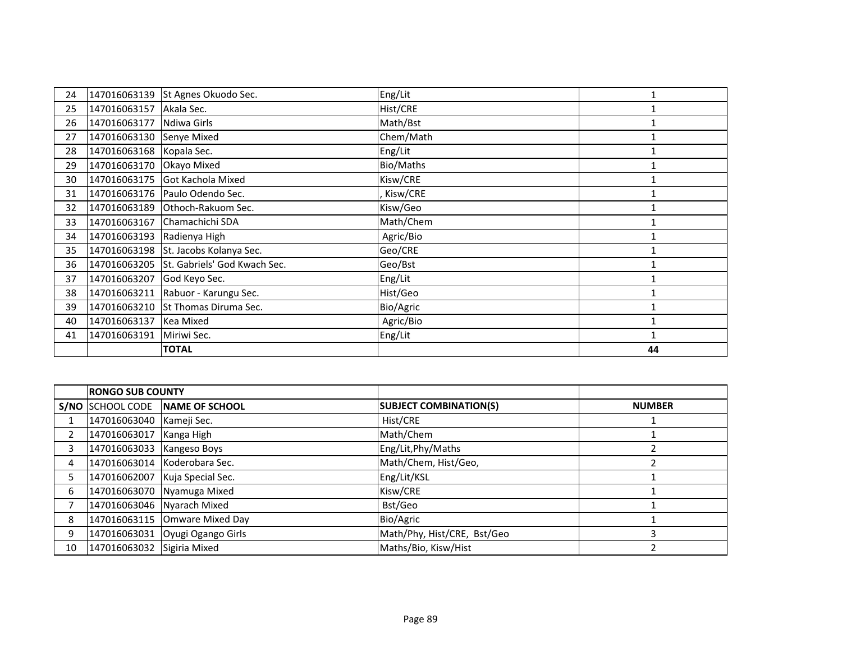| 24 | 147016063139 | St Agnes Okuodo Sec.                 | Eng/Lit   |    |
|----|--------------|--------------------------------------|-----------|----|
| 25 | 147016063157 | Akala Sec.                           | Hist/CRE  |    |
| 26 | 147016063177 | Ndiwa Girls                          | Math/Bst  |    |
| 27 | 147016063130 | Senye Mixed                          | Chem/Math |    |
| 28 | 147016063168 | Kopala Sec.                          | Eng/Lit   |    |
| 29 | 147016063170 | Okayo Mixed                          | Bio/Maths |    |
| 30 | 147016063175 | Got Kachola Mixed                    | Kisw/CRE  |    |
| 31 |              | 147016063176 Paulo Odendo Sec.       | Kisw/CRE  |    |
| 32 | 147016063189 | Othoch-Rakuom Sec.                   | Kisw/Geo  |    |
| 33 | 147016063167 | Chamachichi SDA                      | Math/Chem |    |
| 34 | 147016063193 | Radienya High                        | Agric/Bio |    |
| 35 |              | 147016063198 St. Jacobs Kolanya Sec. | Geo/CRE   |    |
| 36 | 147016063205 | St. Gabriels' God Kwach Sec.         | Geo/Bst   |    |
| 37 | 147016063207 | God Keyo Sec.                        | Eng/Lit   |    |
| 38 | 147016063211 | Rabuor - Karungu Sec.                | Hist/Geo  |    |
| 39 | 147016063210 | St Thomas Diruma Sec.                | Bio/Agric |    |
| 40 | 147016063137 | Kea Mixed                            | Agric/Bio |    |
| 41 | 147016063191 | Miriwi Sec.                          | Eng/Lit   |    |
|    |              | <b>TOTAL</b>                         |           | 44 |

|    | <b>RONGO SUB COUNTY</b>    |                                  |                               |               |
|----|----------------------------|----------------------------------|-------------------------------|---------------|
|    |                            | S/NO SCHOOL CODE NAME OF SCHOOL  | <b>SUBJECT COMBINATION(S)</b> | <b>NUMBER</b> |
|    | 147016063040 Kameji Sec.   |                                  | Hist/CRE                      |               |
|    | 147016063017 Kanga High    |                                  | Math/Chem                     |               |
| 3  | 147016063033 Kangeso Boys  |                                  | Eng/Lit, Phy/Maths            |               |
| 4  |                            | 147016063014 Koderobara Sec.     | Math/Chem, Hist/Geo,          |               |
|    |                            | 147016062007   Kuja Special Sec. | Eng/Lit/KSL                   |               |
| 6  |                            | 147016063070 Nyamuga Mixed       | Kisw/CRE                      |               |
|    | 147016063046 Nyarach Mixed |                                  | Bst/Geo                       |               |
| 8  |                            | 147016063115 Omware Mixed Day    | Bio/Agric                     |               |
| 9  |                            | 147016063031 Oyugi Ogango Girls  | Math/Phy, Hist/CRE, Bst/Geo   |               |
| 10 | 147016063032 Sigiria Mixed |                                  | Maths/Bio, Kisw/Hist          |               |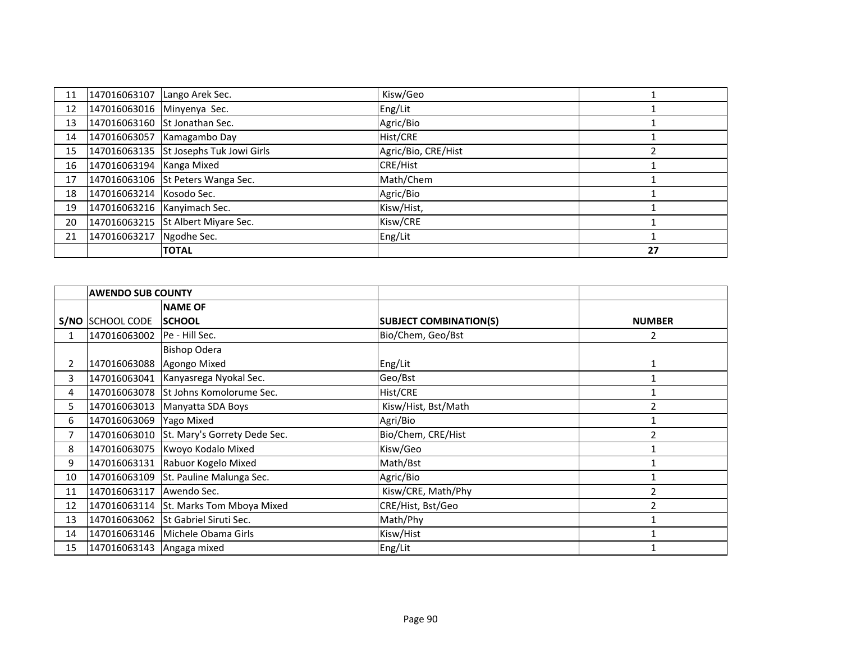| 11 |                             | 147016063107 Lango Arek Sec.           | Kisw/Geo            |    |
|----|-----------------------------|----------------------------------------|---------------------|----|
| 12 | 147016063016 Minyenya Sec.  |                                        | Eng/Lit             |    |
| 13 |                             | 147016063160 St Jonathan Sec.          | Agric/Bio           |    |
| 14 |                             | 147016063057 Kamagambo Day             | Hist/CRE            |    |
| 15 |                             | 147016063135 St Josephs Tuk Jowi Girls | Agric/Bio, CRE/Hist |    |
| 16 | 147016063194 Kanga Mixed    |                                        | <b>CRE/Hist</b>     |    |
| 17 |                             | 147016063106 St Peters Wanga Sec.      | Math/Chem           |    |
| 18 | 147016063214 Kosodo Sec.    |                                        | Agric/Bio           |    |
| 19 | 147016063216 Kanyimach Sec. |                                        | Kisw/Hist,          |    |
| 20 |                             | 147016063215 St Albert Miyare Sec.     | Kisw/CRE            |    |
| 21 | 147016063217 Ngodhe Sec.    |                                        | Eng/Lit             |    |
|    |                             | <b>TOTAL</b>                           |                     | 27 |

|              | <b>AWENDO SUB COUNTY</b>  |                                        |                               |               |
|--------------|---------------------------|----------------------------------------|-------------------------------|---------------|
|              |                           | <b>NAME OF</b>                         |                               |               |
|              | S/NO SCHOOL CODE          | <b>SCHOOL</b>                          | <b>SUBJECT COMBINATION(S)</b> | <b>NUMBER</b> |
| $\mathbf{1}$ | 147016063002              | Pe - Hill Sec.                         | Bio/Chem, Geo/Bst             | 2             |
|              |                           | <b>Bishop Odera</b>                    |                               |               |
| 2            | 147016063088              | Agongo Mixed                           | Eng/Lit                       |               |
| 3            | 147016063041              | Kanyasrega Nyokal Sec.                 | Geo/Bst                       |               |
| 4            | 147016063078              | St Johns Komolorume Sec.               | Hist/CRE                      |               |
| 5.           | 147016063013              | Manyatta SDA Boys                      | Kisw/Hist, Bst/Math           |               |
| 6            | 147016063069              | Yago Mixed                             | Agri/Bio                      |               |
| 7            | 147016063010              | St. Mary's Gorrety Dede Sec.           | Bio/Chem, CRE/Hist            |               |
| 8            | 147016063075              | Kwoyo Kodalo Mixed                     | Kisw/Geo                      |               |
| 9            |                           | 147016063131 Rabuor Kogelo Mixed       | Math/Bst                      |               |
| 10           | 147016063109              | St. Pauline Malunga Sec.               | Agric/Bio                     |               |
| 11           | 147016063117              | Awendo Sec.                            | Kisw/CRE, Math/Phy            | 2             |
| 12           |                           | 147016063114 St. Marks Tom Mboya Mixed | CRE/Hist, Bst/Geo             |               |
| 13           |                           | 147016063062 St Gabriel Siruti Sec.    | Math/Phy                      |               |
| 14           |                           | 147016063146 Michele Obama Girls       | Kisw/Hist                     |               |
| 15           | 147016063143 Angaga mixed |                                        | Eng/Lit                       |               |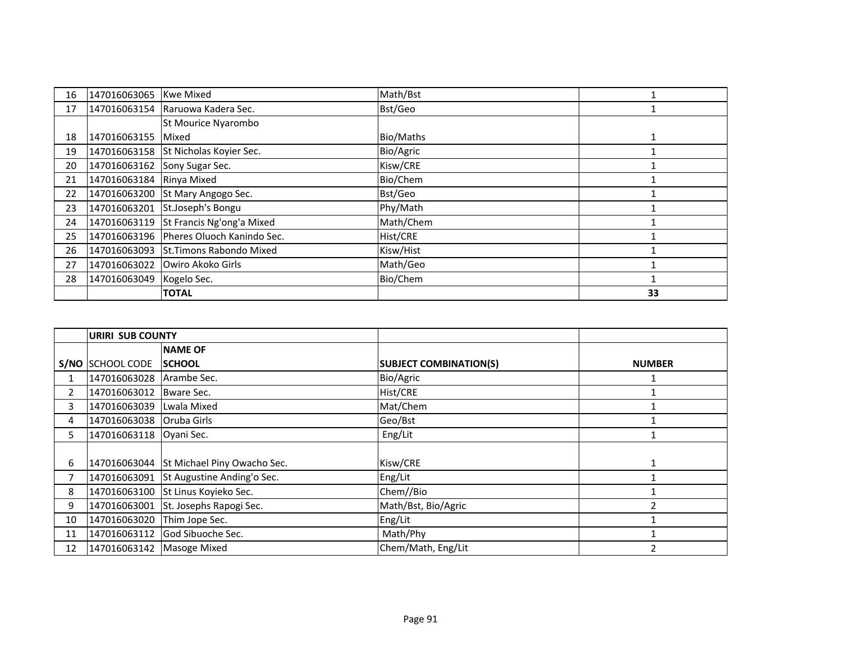| 16 | 147016063065 Kwe Mixed       |                                         | Math/Bst  |    |
|----|------------------------------|-----------------------------------------|-----------|----|
| 17 |                              | 147016063154 Raruowa Kadera Sec.        | Bst/Geo   |    |
|    |                              | St Mourice Nyarombo                     |           |    |
| 18 | 147016063155 Mixed           |                                         | Bio/Maths |    |
| 19 |                              | 147016063158 St Nicholas Koyier Sec.    | Bio/Agric |    |
| 20 | 147016063162 Sony Sugar Sec. |                                         | Kisw/CRE  |    |
| 21 | 147016063184 Rinya Mixed     |                                         | Bio/Chem  |    |
| 22 |                              | 147016063200 St Mary Angogo Sec.        | Bst/Geo   |    |
| 23 |                              | 147016063201 St.Joseph's Bongu          | Phy/Math  |    |
| 24 |                              | 147016063119 St Francis Ng'ong'a Mixed  | Math/Chem |    |
| 25 |                              | 147016063196 Pheres Oluoch Kanindo Sec. | Hist/CRE  |    |
| 26 |                              | 147016063093 St.Timons Rabondo Mixed    | Kisw/Hist |    |
| 27 |                              | 147016063022 Owiro Akoko Girls          | Math/Geo  |    |
| 28 | 147016063049                 | Kogelo Sec.                             | Bio/Chem  |    |
|    |                              | <b>TOTAL</b>                            |           | 33 |

|    | <b>URIRI SUB COUNTY</b>   |                                          |                               |               |
|----|---------------------------|------------------------------------------|-------------------------------|---------------|
|    |                           | <b>NAME OF</b>                           |                               |               |
|    | S/NO SCHOOL CODE          | <b>SCHOOL</b>                            | <b>SUBJECT COMBINATION(S)</b> | <b>NUMBER</b> |
|    | 147016063028              | Arambe Sec.                              | Bio/Agric                     |               |
| 2  | 147016063012              | Bware Sec.                               | Hist/CRE                      |               |
| 3  | 147016063039              | Lwala Mixed                              | Mat/Chem                      |               |
| 4  | 147016063038              | Oruba Girls                              | Geo/Bst                       |               |
| 5. | 147016063118              | Oyani Sec.                               | Eng/Lit                       |               |
|    |                           |                                          |                               |               |
| 6  |                           | 147016063044 St Michael Piny Owacho Sec. | Kisw/CRE                      |               |
|    | 147016063091              | St Augustine Anding'o Sec.               | Eng/Lit                       |               |
| 8  | 147016063100              | St Linus Koyieko Sec.                    | Chem//Bio                     |               |
| 9  | 147016063001              | St. Josephs Rapogi Sec.                  | Math/Bst, Bio/Agric           |               |
| 10 | 147016063020              | Thim Jope Sec.                           | Eng/Lit                       |               |
| 11 |                           | 147016063112 God Sibuoche Sec.           | Math/Phy                      |               |
| 12 | 147016063142 Masoge Mixed |                                          | Chem/Math, Eng/Lit            | 2             |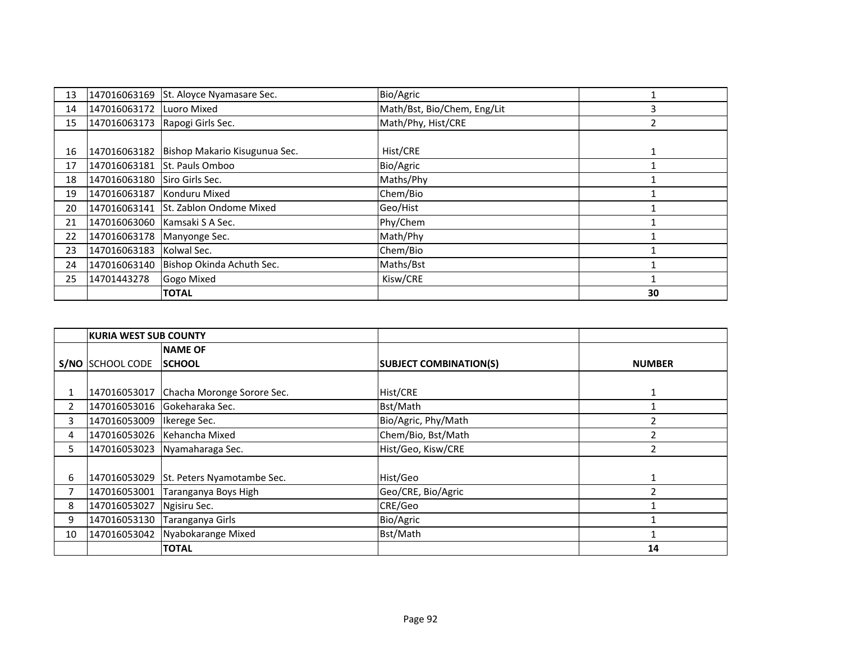| 13 | 147016063169 | St. Aloyce Nyamasare Sec.     | Bio/Agric                   |    |
|----|--------------|-------------------------------|-----------------------------|----|
| 14 | 147016063172 | Luoro Mixed                   | Math/Bst, Bio/Chem, Eng/Lit |    |
| 15 | 147016063173 | Rapogi Girls Sec.             | Math/Phy, Hist/CRE          |    |
|    |              |                               |                             |    |
| 16 | 147016063182 | Bishop Makario Kisugunua Sec. | Hist/CRE                    |    |
| 17 | 147016063181 | St. Pauls Omboo               | Bio/Agric                   |    |
| 18 | 147016063180 | Siro Girls Sec.               | Maths/Phy                   |    |
| 19 | 147016063187 | Konduru Mixed                 | Chem/Bio                    |    |
| 20 | 147016063141 | St. Zablon Ondome Mixed       | Geo/Hist                    |    |
| 21 |              | 147016063060 Kamsaki S A Sec. | Phy/Chem                    |    |
| 22 | 147016063178 | Manyonge Sec.                 | Math/Phy                    |    |
| 23 | 147016063183 | Kolwal Sec.                   | Chem/Bio                    |    |
| 24 | 147016063140 | Bishop Okinda Achuth Sec.     | Maths/Bst                   |    |
| 25 | 14701443278  | Gogo Mixed                    | Kisw/CRE                    |    |
|    |              | <b>TOTAL</b>                  |                             | 30 |

|                | <b>KURIA WEST SUB COUNTY</b> |                                         |                               |               |
|----------------|------------------------------|-----------------------------------------|-------------------------------|---------------|
|                |                              | <b>NAME OF</b>                          |                               |               |
|                | S/NO SCHOOL CODE             | <b>SCHOOL</b>                           | <b>SUBJECT COMBINATION(S)</b> | <b>NUMBER</b> |
|                |                              |                                         |                               |               |
|                |                              | 147016053017 Chacha Moronge Sorore Sec. | Hist/CRE                      | 1             |
| $\overline{2}$ |                              | 147016053016 Gokeharaka Sec.            | Bst/Math                      |               |
| 3              | 147016053009                 | Ikerege Sec.                            | Bio/Agric, Phy/Math           |               |
| 4              |                              | 147016053026 Kehancha Mixed             | Chem/Bio, Bst/Math            |               |
| 5.             | 147016053023                 | Nyamaharaga Sec.                        | Hist/Geo, Kisw/CRE            | 2             |
|                |                              |                                         |                               |               |
| 6              | 147016053029                 | St. Peters Nyamotambe Sec.              | Hist/Geo                      |               |
|                | 147016053001                 | Taranganya Boys High                    | Geo/CRE, Bio/Agric            |               |
| 8              | 147016053027                 | Ngisiru Sec.                            | CRE/Geo                       |               |
| 9              | 147016053130                 | Taranganya Girls                        | Bio/Agric                     |               |
| 10             | 147016053042                 | Nyabokarange Mixed                      | Bst/Math                      |               |
|                |                              | <b>TOTAL</b>                            |                               | 14            |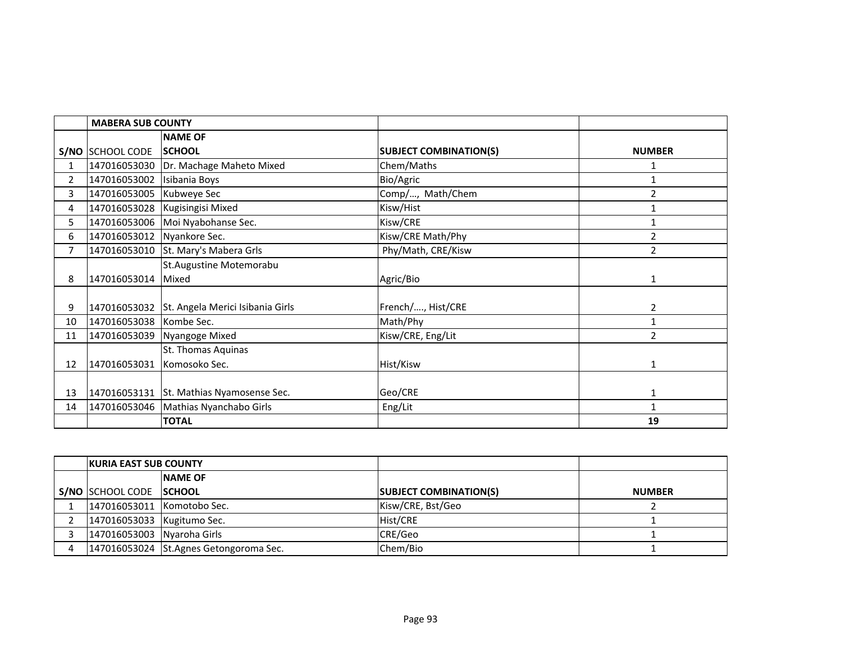|                | <b>MABERA SUB COUNTY</b>   |                                               |                               |                |
|----------------|----------------------------|-----------------------------------------------|-------------------------------|----------------|
|                |                            | <b>NAME OF</b>                                |                               |                |
|                | S/NO SCHOOL CODE           | <b>SCHOOL</b>                                 | <b>SUBJECT COMBINATION(S)</b> | <b>NUMBER</b>  |
| 1              |                            | 147016053030 Dr. Machage Maheto Mixed         | Chem/Maths                    | 1              |
| $\overline{2}$ | 147016053002 Isibania Boys |                                               | Bio/Agric                     | $\mathbf{1}$   |
| 3              | 147016053005               | Kubweye Sec                                   | Comp/, Math/Chem              | $\overline{2}$ |
| 4              |                            | 147016053028 Kugisingisi Mixed                | Kisw/Hist                     | 1              |
| 5              |                            | 147016053006 Moi Nyabohanse Sec.              | Kisw/CRE                      | 1              |
| 6              | 147016053012 Nyankore Sec. |                                               | Kisw/CRE Math/Phy             | $\overline{2}$ |
| $\overline{7}$ | 147016053010               | St. Mary's Mabera Grls                        | Phy/Math, CRE/Kisw            | $\overline{2}$ |
|                |                            | St. Augustine Motemorabu                      |                               |                |
| 8              | 147016053014               | Mixed                                         | Agric/Bio                     | 1              |
|                |                            |                                               |                               |                |
| 9              |                            | 147016053032 St. Angela Merici Isibania Girls | French/, Hist/CRE             | 2              |
| 10             | 147016053038 Kombe Sec.    |                                               | Math/Phy                      | 1              |
| 11             |                            | 147016053039 Nyangoge Mixed                   | Kisw/CRE, Eng/Lit             | $\overline{2}$ |
|                |                            | St. Thomas Aquinas                            |                               |                |
| 12             | 147016053031               | Komosoko Sec.                                 | Hist/Kisw                     | 1              |
|                |                            |                                               |                               |                |
| 13             |                            | 147016053131 St. Mathias Nyamosense Sec.      | Geo/CRE                       | $\mathbf{1}$   |
| 14             |                            | 147016053046   Mathias Nyanchabo Girls        | Eng/Lit                       | 1              |
|                |                            | <b>TOTAL</b>                                  |                               | 19             |

| <b>IKURIA EAST SUB COUNTY</b> |                                        |                               |               |
|-------------------------------|----------------------------------------|-------------------------------|---------------|
|                               | <b>INAME OF</b>                        |                               |               |
| S/NO SCHOOL CODE SCHOOL       |                                        | <b>SUBJECT COMBINATION(S)</b> | <b>NUMBER</b> |
| 147016053011 Komotobo Sec.    |                                        | Kisw/CRE, Bst/Geo             |               |
| 147016053033 Kugitumo Sec.    |                                        | Hist/CRE                      |               |
| 147016053003 Nyaroha Girls    |                                        | CRE/Geo                       |               |
|                               | 147016053024 St.Agnes Getongoroma Sec. | Chem/Bio                      |               |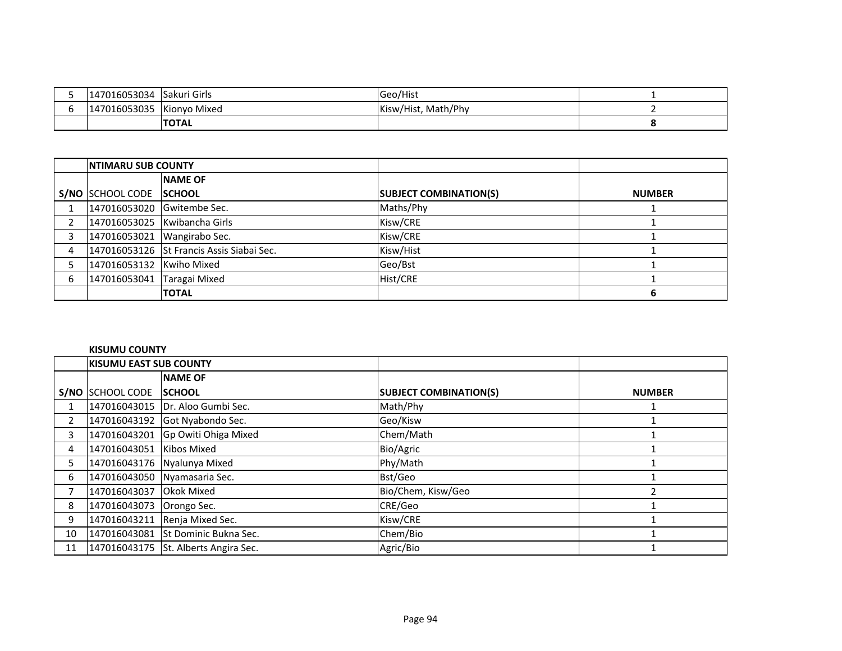| 147016053034 | Sakuri Girls | Geo/Hist                 |  |
|--------------|--------------|--------------------------|--|
| 147016053035 | Kionyo Mixed | , Math/Phy<br>Kisw/Hist, |  |
|              | <b>TOTAL</b> |                          |  |

|   | <b>INTIMARU SUB COUNTY</b> |                                           |                               |               |
|---|----------------------------|-------------------------------------------|-------------------------------|---------------|
|   |                            | <b>NAME OF</b>                            |                               |               |
|   | S/NO SCHOOL CODE SCHOOL    |                                           | <b>SUBJECT COMBINATION(S)</b> | <b>NUMBER</b> |
|   | 147016053020 Gwitembe Sec. |                                           | Maths/Phy                     |               |
|   |                            | 147016053025 Kwibancha Girls              | Kisw/CRE                      |               |
| 3 |                            | 147016053021 Wangirabo Sec.               | Kisw/CRE                      |               |
| 4 |                            | 147016053126 St Francis Assis Siabai Sec. | Kisw/Hist                     |               |
|   | 147016053132 Kwiho Mixed   |                                           | Geo/Bst                       |               |
| 6 | 147016053041 Taragai Mixed |                                           | Hist/CRE                      |               |
|   |                            | <b>TOTAL</b>                              |                               |               |

### **KISUMU COUNTY**

|                | <b>KISUMU EAST SUB COUNTY</b> |                                      |                               |               |
|----------------|-------------------------------|--------------------------------------|-------------------------------|---------------|
|                |                               | <b>NAME OF</b>                       |                               |               |
|                | S/NO SCHOOL CODE              | <b>ISCHOOL</b>                       | <b>SUBJECT COMBINATION(S)</b> | <b>NUMBER</b> |
|                |                               | 147016043015   Dr. Aloo Gumbi Sec.   | Math/Phy                      |               |
| $\overline{2}$ |                               | 147016043192 Got Nyabondo Sec.       | Geo/Kisw                      |               |
| 3              |                               | 147016043201 Gp Owiti Ohiga Mixed    | Chem/Math                     |               |
| 4              | 147016043051 Kibos Mixed      |                                      | Bio/Agric                     |               |
| 5.             |                               | 147016043176 Nyalunya Mixed          | Phy/Math                      |               |
| 6              |                               | 147016043050 Nyamasaria Sec.         | Bst/Geo                       |               |
|                | 147016043037 Okok Mixed       |                                      | Bio/Chem, Kisw/Geo            |               |
| 8              | 147016043073 Orongo Sec.      |                                      | CRE/Geo                       |               |
| 9              |                               | 147016043211 Renja Mixed Sec.        | Kisw/CRE                      |               |
| 10             |                               | 147016043081 St Dominic Bukna Sec.   | Chem/Bio                      |               |
| 11             |                               | 147016043175 St. Alberts Angira Sec. | Agric/Bio                     |               |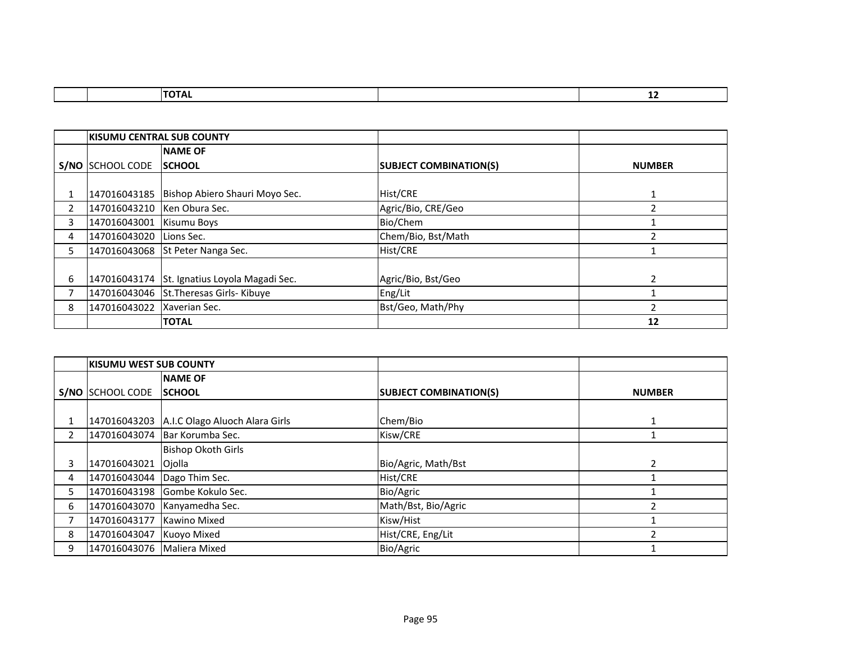|  | . | -- |
|--|---|----|
|  |   |    |

|    | IKISUMU CENTRAL SUB COUNTY |                                              |                               |               |
|----|----------------------------|----------------------------------------------|-------------------------------|---------------|
|    |                            | <b>NAME OF</b>                               |                               |               |
|    | S/NO SCHOOL CODE           | <b>ISCHOOL</b>                               | <b>SUBJECT COMBINATION(S)</b> | <b>NUMBER</b> |
|    |                            |                                              |                               |               |
|    |                            | 147016043185 Bishop Abiero Shauri Moyo Sec.  | Hist/CRE                      |               |
| 2  |                            | 147016043210   Ken Obura Sec.                | Agric/Bio, CRE/Geo            |               |
| 3  | 147016043001               | Kisumu Boys                                  | Bio/Chem                      |               |
| 4  | 147016043020 Lions Sec.    |                                              | Chem/Bio, Bst/Math            |               |
| 5. |                            | 147016043068 St Peter Nanga Sec.             | Hist/CRE                      |               |
|    |                            |                                              |                               |               |
| 6  |                            | 147016043174 St. Ignatius Loyola Magadi Sec. | Agric/Bio, Bst/Geo            |               |
|    |                            | 147016043046 St. Theresas Girls- Kibuye      | Eng/Lit                       |               |
| 8  | 147016043022               | Xaverian Sec.                                | Bst/Geo, Math/Phy             |               |
|    |                            | <b>TOTAL</b>                                 |                               | 12            |

|                | <b>KISUMU WEST SUB COUNTY</b> |                                |                               |               |
|----------------|-------------------------------|--------------------------------|-------------------------------|---------------|
|                |                               | <b>NAME OF</b>                 |                               |               |
|                | <b>S/NO SCHOOL CODE</b>       | <b>ISCHOOL</b>                 | <b>SUBJECT COMBINATION(S)</b> | <b>NUMBER</b> |
|                |                               |                                |                               |               |
|                | 147016043203                  | A.I.C Olago Aluoch Alara Girls | Chem/Bio                      |               |
| $\overline{2}$ | 147016043074                  | Bar Korumba Sec.               | Kisw/CRE                      |               |
|                |                               | <b>Bishop Okoth Girls</b>      |                               |               |
|                | 147016043021 Ojolla           |                                | Bio/Agric, Math/Bst           | 2             |
| 4              | 147016043044   Dago Thim Sec. |                                | Hist/CRE                      |               |
| 5.             |                               | 147016043198 Gombe Kokulo Sec. | Bio/Agric                     |               |
| 6              | 147016043070                  | Kanyamedha Sec.                | Math/Bst, Bio/Agric           |               |
|                | 147016043177                  | Kawino Mixed                   | Kisw/Hist                     |               |
| 8              | 147016043047                  | Kuoyo Mixed                    | Hist/CRE, Eng/Lit             |               |
| 9              | 147016043076   Maliera Mixed  |                                | Bio/Agric                     |               |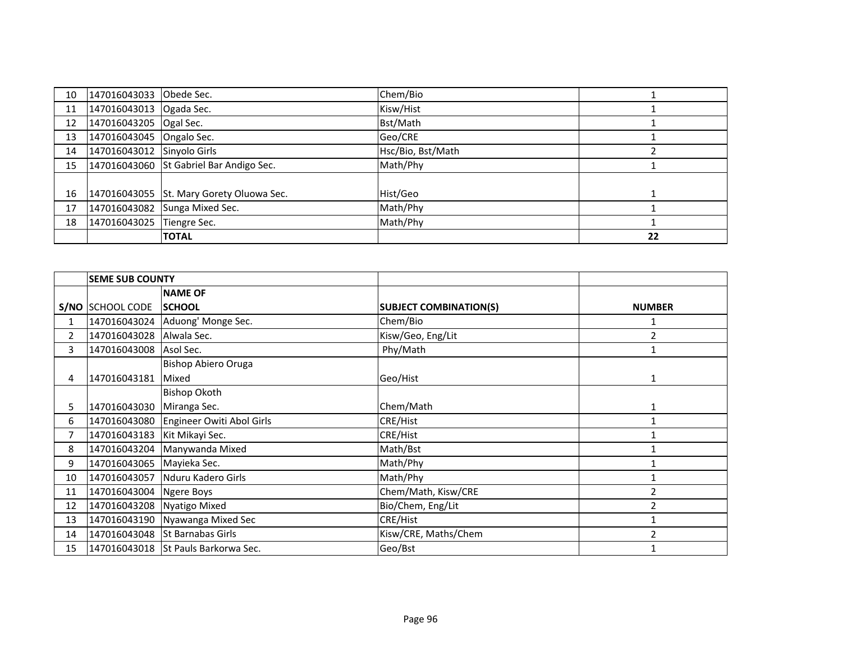| 10 | 147016043033 Obede Sec.    |                                          | Chem/Bio          |    |
|----|----------------------------|------------------------------------------|-------------------|----|
| 11 | 147016043013 Ogada Sec.    |                                          | Kisw/Hist         |    |
| 12 | 147016043205 Ogal Sec.     |                                          | Bst/Math          |    |
| 13 | 147016043045 Ongalo Sec.   |                                          | Geo/CRE           |    |
| 14 | 147016043012 Sinyolo Girls |                                          | Hsc/Bio, Bst/Math |    |
| 15 |                            | 147016043060 St Gabriel Bar Andigo Sec.  | Math/Phy          |    |
|    |                            |                                          |                   |    |
| 16 |                            | 147016043055 St. Mary Gorety Oluowa Sec. | Hist/Geo          |    |
| 17 |                            | 147016043082 Sunga Mixed Sec.            | Math/Phy          |    |
| 18 | 147016043025 Tiengre Sec.  |                                          | Math/Phy          |    |
|    |                            | <b>TOTAL</b>                             |                   | 22 |

|                | <b>SEME SUB COUNTY</b>    |                                        |                               |                |
|----------------|---------------------------|----------------------------------------|-------------------------------|----------------|
|                |                           | <b>NAME OF</b>                         |                               |                |
|                | S/NO SCHOOL CODE          | <b>SCHOOL</b>                          | <b>SUBJECT COMBINATION(S)</b> | <b>NUMBER</b>  |
| 1              |                           | 147016043024 Aduong' Monge Sec.        | Chem/Bio                      |                |
| $\overline{2}$ | 147016043028 Alwala Sec.  |                                        | Kisw/Geo, Eng/Lit             | $\overline{2}$ |
| 3              | 147016043008              | Asol Sec.                              | Phy/Math                      | $\mathbf{1}$   |
|                |                           | Bishop Abiero Oruga                    |                               |                |
| 4              | 147016043181              | Mixed                                  | Geo/Hist                      | $\mathbf{1}$   |
|                |                           | <b>Bishop Okoth</b>                    |                               |                |
| 5.             | 147016043030              | Miranga Sec.                           | Chem/Math                     | $\mathbf{1}$   |
| 6              |                           | 147016043080 Engineer Owiti Abol Girls | CRE/Hist                      |                |
| 7              | 147016043183              | Kit Mikayi Sec.                        | CRE/Hist                      |                |
| 8              |                           | 147016043204 Manywanda Mixed           | Math/Bst                      |                |
| 9              | 147016043065 Mayieka Sec. |                                        | Math/Phy                      |                |
| 10             | 147016043057              | Nduru Kadero Girls                     | Math/Phy                      |                |
| 11             | 147016043004              | Ngere Boys                             | Chem/Math, Kisw/CRE           | 2              |
| 12             | 147016043208              | <b>Nyatigo Mixed</b>                   | Bio/Chem, Eng/Lit             | 2              |
| 13             |                           | 147016043190 Nyawanga Mixed Sec        | CRE/Hist                      |                |
| 14             |                           | 147016043048 St Barnabas Girls         | Kisw/CRE, Maths/Chem          | $\overline{2}$ |
| 15             |                           | 147016043018 St Pauls Barkorwa Sec.    | Geo/Bst                       |                |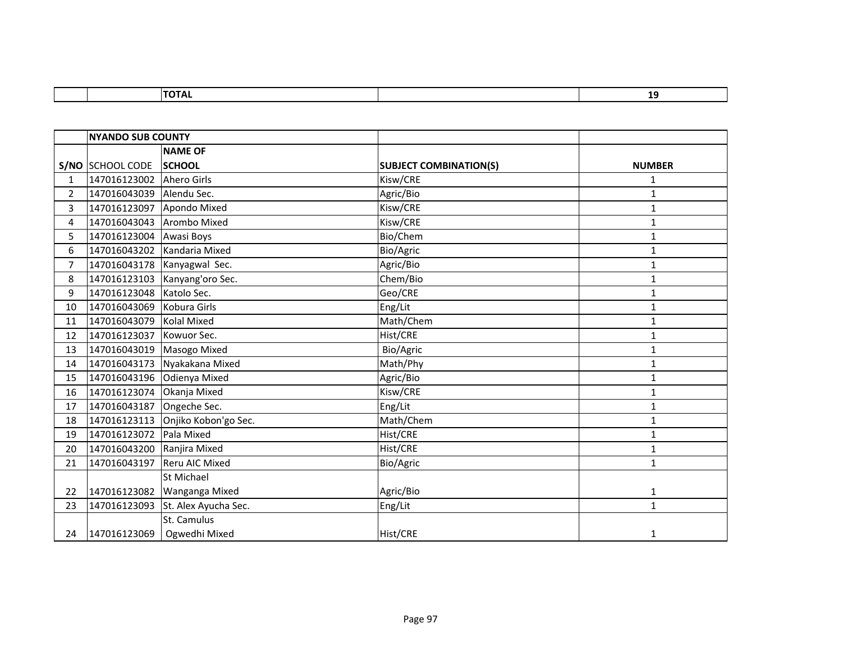|                | <b>NYANDO SUB COUNTY</b>   |                                   |                               |               |
|----------------|----------------------------|-----------------------------------|-------------------------------|---------------|
|                |                            | <b>NAME OF</b>                    |                               |               |
|                | S/NO SCHOOL CODE           | <b>SCHOOL</b>                     | <b>SUBJECT COMBINATION(S)</b> | <b>NUMBER</b> |
| $\mathbf{1}$   | 147016123002 Ahero Girls   |                                   | Kisw/CRE                      | 1             |
| $\overline{2}$ | 147016043039               | Alendu Sec.                       | Agric/Bio                     | $\mathbf{1}$  |
| 3              | 147016123097               | Apondo Mixed                      | Kisw/CRE                      | $\mathbf{1}$  |
| 4              | 147016043043 Arombo Mixed  |                                   | Kisw/CRE                      | $\mathbf{1}$  |
| 5              | 147016123004               | Awasi Boys                        | Bio/Chem                      | $\mathbf{1}$  |
| 6              | 147016043202               | Kandaria Mixed                    | Bio/Agric                     | $\mathbf{1}$  |
| $\overline{7}$ |                            | 147016043178 Kanyagwal Sec.       | Agric/Bio                     | $\mathbf{1}$  |
| 8              |                            | 147016123103 Kanyang'oro Sec.     | Chem/Bio                      | 1             |
| 9              | 147016123048               | Katolo Sec.                       | Geo/CRE                       | $\mathbf{1}$  |
| 10             | 147016043069               | Kobura Girls                      | Eng/Lit                       | $\mathbf{1}$  |
| 11             | 147016043079 Kolal Mixed   |                                   | Math/Chem                     | $\mathbf{1}$  |
| 12             | 147016123037               | Kowuor Sec.                       | Hist/CRE                      | $\mathbf{1}$  |
| 13             | 147016043019               | Masogo Mixed                      | Bio/Agric                     | $\mathbf{1}$  |
| 14             | 147016043173               | Nyakakana Mixed                   | Math/Phy                      | $\mathbf{1}$  |
| 15             | 147016043196 Odienya Mixed |                                   | Agric/Bio                     | $\mathbf{1}$  |
| 16             | 147016123074               | Okanja Mixed                      | Kisw/CRE                      | $\mathbf{1}$  |
| 17             | 147016043187               | Ongeche Sec.                      | Eng/Lit                       | $\mathbf{1}$  |
| 18             |                            | 147016123113 Onjiko Kobon'go Sec. | Math/Chem                     | $\mathbf{1}$  |
| 19             | 147016123072               | Pala Mixed                        | Hist/CRE                      | $\mathbf{1}$  |
| 20             | 147016043200               | Ranjira Mixed                     | Hist/CRE                      | $\mathbf{1}$  |
| 21             | 147016043197               | Reru AIC Mixed                    | Bio/Agric                     | $\mathbf{1}$  |
|                |                            | St Michael                        |                               |               |
| 22             | 147016123082               | Wanganga Mixed                    | Agric/Bio                     | $\mathbf{1}$  |
| 23             | 147016123093               | St. Alex Ayucha Sec.              | Eng/Lit                       | $\mathbf{1}$  |
|                |                            | St. Camulus                       |                               |               |
| 24             | 147016123069               | Ogwedhi Mixed                     | Hist/CRE                      | 1             |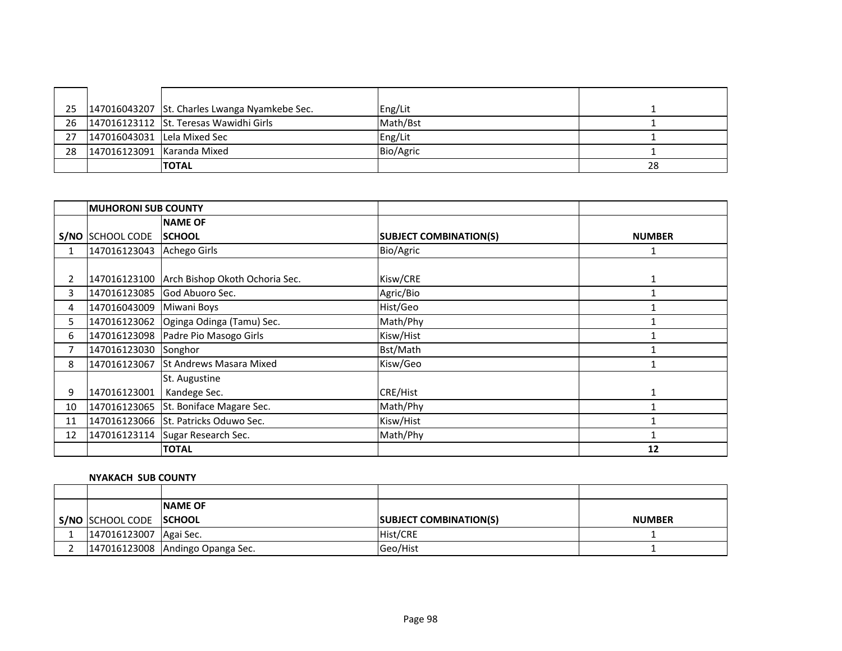|    |                                | 25   147016043207   St. Charles Lwanga Nyamkebe Sec. | Eng/Lit   |    |
|----|--------------------------------|------------------------------------------------------|-----------|----|
|    |                                | 26 147016123112 St. Teresas Wawidhi Girls            | Math/Bst  |    |
|    | 27 147016043031 Lela Mixed Sec |                                                      | Eng/Lit   |    |
| 28 | 147016123091 Karanda Mixed     |                                                      | Bio/Agric |    |
|    |                                | <b>TOTAL</b>                                         |           | 28 |

|      | <b>MUHORONI SUB COUNTY</b> |                                      |                               |               |
|------|----------------------------|--------------------------------------|-------------------------------|---------------|
|      |                            | <b>NAME OF</b>                       |                               |               |
| S/NO | <b>SCHOOL CODE</b>         | <b>SCHOOL</b>                        | <b>SUBJECT COMBINATION(S)</b> | <b>NUMBER</b> |
| 1    | 147016123043               | Achego Girls                         | Bio/Agric                     |               |
|      |                            |                                      |                               |               |
| 2    | 147016123100               | Arch Bishop Okoth Ochoria Sec.       | Kisw/CRE                      |               |
| 3    | 147016123085               | God Abuoro Sec.                      | Agric/Bio                     |               |
| 4    | 147016043009               | Miwani Boys                          | Hist/Geo                      |               |
| 5.   | 147016123062               | Oginga Odinga (Tamu) Sec.            | Math/Phy                      |               |
| 6    | 147016123098               | Padre Pio Masogo Girls               | Kisw/Hist                     |               |
|      | 147016123030               | Songhor                              | Bst/Math                      |               |
| 8    | 147016123067               | <b>St Andrews Masara Mixed</b>       | Kisw/Geo                      |               |
|      |                            | St. Augustine                        |                               |               |
| 9    | 147016123001               | Kandege Sec.                         | <b>CRE/Hist</b>               | 1             |
| 10   | 147016123065               | St. Boniface Magare Sec.             | Math/Phy                      |               |
| 11   |                            | 147016123066 St. Patricks Oduwo Sec. | Kisw/Hist                     |               |
| 12   | 147016123114               | Sugar Research Sec.                  | Math/Phy                      |               |
|      |                            | <b>TOTAL</b>                         |                               | 12            |

# **NYAKACH SUB COUNTY**

|                          | <b>INAME OF</b>                  |                               |               |
|--------------------------|----------------------------------|-------------------------------|---------------|
| S/NO SCHOOL CODE SCHOOL  |                                  | <b>SUBJECT COMBINATION(S)</b> | <b>NUMBER</b> |
| 147016123007   Agai Sec. |                                  | Hist/CRE                      |               |
|                          | 147016123008 Andingo Opanga Sec. | <b>Geo/Hist</b>               |               |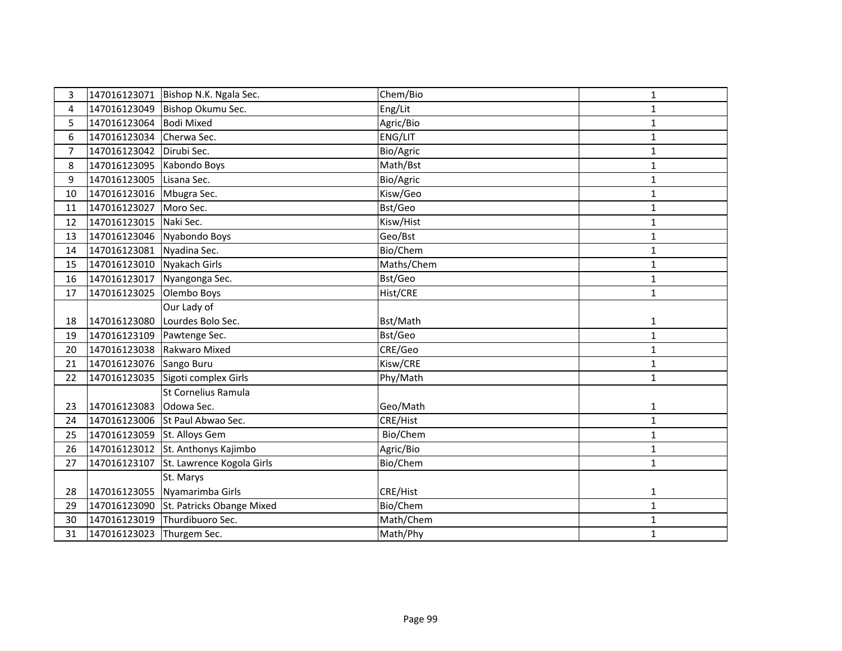| 3              |                           | 147016123071   Bishop N.K. Ngala Sec.  | Chem/Bio   | 1            |
|----------------|---------------------------|----------------------------------------|------------|--------------|
| 4              | 147016123049              | Bishop Okumu Sec.                      | Eng/Lit    | 1            |
| 5              | 147016123064              | <b>Bodi Mixed</b>                      | Agric/Bio  | $\mathbf{1}$ |
| 6              | 147016123034              | Cherwa Sec.                            | ENG/LIT    | $\mathbf{1}$ |
| $\overline{7}$ | 147016123042              | Dirubi Sec.                            | Bio/Agric  | $\mathbf{1}$ |
| 8              | 147016123095              | Kabondo Boys                           | Math/Bst   | $\mathbf 1$  |
| 9              | 147016123005              | Lisana Sec.                            | Bio/Agric  | $\mathbf{1}$ |
| 10             | 147016123016              | Mbugra Sec.                            | Kisw/Geo   | $\mathbf{1}$ |
| 11             | 147016123027              | Moro Sec.                              | Bst/Geo    | $\mathbf{1}$ |
| 12             | 147016123015              | Naki Sec.                              | Kisw/Hist  | $\mathbf{1}$ |
| 13             | 147016123046              | Nyabondo Boys                          | Geo/Bst    | $\mathbf{1}$ |
| 14             | 147016123081 Nyadina Sec. |                                        | Bio/Chem   | $\mathbf 1$  |
| 15             | 147016123010              | Nyakach Girls                          | Maths/Chem | $\mathbf{1}$ |
| 16             | 147016123017              | Nyangonga Sec.                         | Bst/Geo    | $\mathbf{1}$ |
| 17             | 147016123025              | Olembo Boys                            | Hist/CRE   | $\mathbf{1}$ |
|                |                           | Our Lady of                            |            |              |
| 18             | 147016123080              | Lourdes Bolo Sec.                      | Bst/Math   | $\mathbf 1$  |
| 19             | 147016123109              | Pawtenge Sec.                          | Bst/Geo    | $\mathbf 1$  |
| 20             | 147016123038              | Rakwaro Mixed                          | CRE/Geo    | $\mathbf{1}$ |
| 21             | 147016123076              | Sango Buru                             | Kisw/CRE   | $\mathbf{1}$ |
| 22             | 147016123035              | Sigoti complex Girls                   | Phy/Math   | $\mathbf{1}$ |
|                |                           | St Cornelius Ramula                    |            |              |
| 23             | 147016123083 Odowa Sec.   |                                        | Geo/Math   | $\mathbf{1}$ |
| 24             |                           | 147016123006 St Paul Abwao Sec.        | CRE/Hist   | $\mathbf{1}$ |
| 25             | 147016123059              | St. Alloys Gem                         | Bio/Chem   | $\mathbf{1}$ |
| 26             |                           | 147016123012 St. Anthonys Kajimbo      | Agric/Bio  | $\mathbf{1}$ |
| 27             | 147016123107              | St. Lawrence Kogola Girls              | Bio/Chem   | $\mathbf{1}$ |
|                |                           | St. Marys                              |            |              |
| 28             |                           | 147016123055 Nyamarimba Girls          | CRE/Hist   | $\mathbf{1}$ |
| 29             |                           | 147016123090 St. Patricks Obange Mixed | Bio/Chem   | $\mathbf{1}$ |
| 30             | 147016123019              | Thurdibuoro Sec.                       | Math/Chem  | $\mathbf{1}$ |
| 31             | 147016123023 Thurgem Sec. |                                        | Math/Phy   | $\mathbf{1}$ |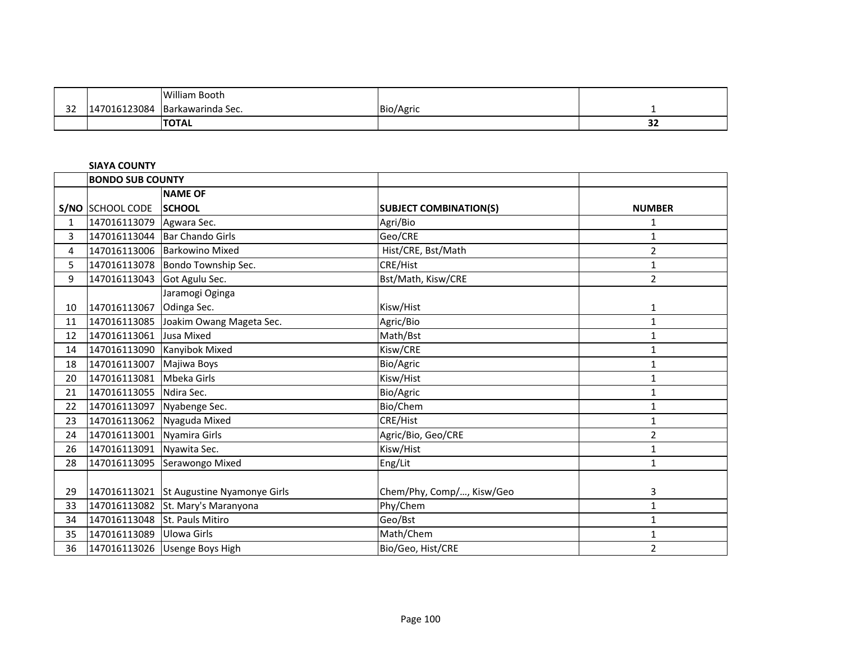|              |              | <b>William Booth</b> |           |               |
|--------------|--------------|----------------------|-----------|---------------|
| $\sim$<br>ےر | 147016123084 | Barkawarinda Sec.    | Bio/Agric |               |
|              |              | <b>ITOTAL</b>        |           | $\sim$<br>- - |

# **SIAYA COUNTY**

|    | <b>BONDO SUB COUNTY</b>       |                                          |                               |                |
|----|-------------------------------|------------------------------------------|-------------------------------|----------------|
|    |                               | <b>NAME OF</b>                           |                               |                |
|    | S/NO SCHOOL CODE              | <b>ISCHOOL</b>                           | <b>SUBJECT COMBINATION(S)</b> | <b>NUMBER</b>  |
| 1  | 147016113079                  | Agwara Sec.                              | Agri/Bio                      | 1              |
| 3  |                               | 147016113044   Bar Chando Girls          | Geo/CRE                       | $\mathbf{1}$   |
| 4  |                               | 147016113006 Barkowino Mixed             | Hist/CRE, Bst/Math            | $\overline{2}$ |
| 5  |                               | 147016113078   Bondo Township Sec.       | CRE/Hist                      | 1              |
| 9  | 147016113043 Got Agulu Sec.   |                                          | Bst/Math, Kisw/CRE            | $\overline{2}$ |
|    |                               | Jaramogi Oginga                          |                               |                |
| 10 | 147016113067                  | Odinga Sec.                              | Kisw/Hist                     | 1              |
| 11 | 147016113085                  | Joakim Owang Mageta Sec.                 | Agric/Bio                     | 1              |
| 12 | 147016113061                  | Jusa Mixed                               | Math/Bst                      | $\mathbf{1}$   |
| 14 | 147016113090                  | Kanyibok Mixed                           | Kisw/CRE                      | 1              |
| 18 | 147016113007                  | Majiwa Boys                              | Bio/Agric                     | 1              |
| 20 | 147016113081                  | Mbeka Girls                              | Kisw/Hist                     | 1              |
| 21 | 147016113055                  | Ndira Sec.                               | Bio/Agric                     | $\mathbf{1}$   |
| 22 | 147016113097                  | Nyabenge Sec.                            | Bio/Chem                      | 1              |
| 23 | 147016113062                  | Nyaguda Mixed                            | CRE/Hist                      | $\mathbf{1}$   |
| 24 | 147016113001                  | Nyamira Girls                            | Agric/Bio, Geo/CRE            | $\overline{2}$ |
| 26 | 147016113091                  | Nyawita Sec.                             | Kisw/Hist                     | $\mathbf{1}$   |
| 28 | 147016113095                  | Serawongo Mixed                          | Eng/Lit                       | 1              |
|    |                               |                                          |                               |                |
| 29 |                               | 147016113021 St Augustine Nyamonye Girls | Chem/Phy, Comp/, Kisw/Geo     | 3              |
| 33 |                               | 147016113082 St. Mary's Maranyona        | Phy/Chem                      | $\mathbf{1}$   |
| 34 | 147016113048 St. Pauls Mitiro |                                          | Geo/Bst                       | 1              |
| 35 | 147016113089                  | Ulowa Girls                              | Math/Chem                     | $\mathbf{1}$   |
| 36 |                               | 147016113026 Usenge Boys High            | Bio/Geo, Hist/CRE             | $\overline{2}$ |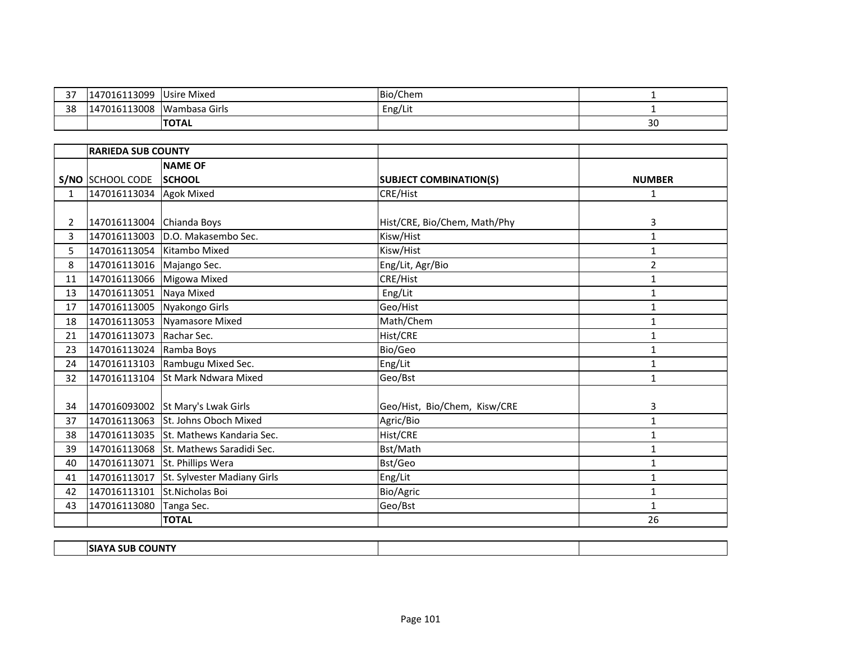| $\sim$<br>. پ | 7016113099                  | <b>Usire Mixed</b> | Bio/Chem            |    |
|---------------|-----------------------------|--------------------|---------------------|----|
| 38            | )16113008<br>$\overline{1}$ | Wambasa Girls      | $\cdots$<br>Eng/Lit |    |
|               |                             | <b>TOTAL</b>       |                     | 30 |

|              | <b>RARIEDA SUB COUNTY</b> |                                        |                               |                |
|--------------|---------------------------|----------------------------------------|-------------------------------|----------------|
|              |                           | <b>NAME OF</b>                         |                               |                |
|              | S/NO SCHOOL CODE          | <b>SCHOOL</b>                          | <b>SUBJECT COMBINATION(S)</b> | <b>NUMBER</b>  |
| $\mathbf{1}$ | 147016113034              | <b>Agok Mixed</b>                      | <b>CRE/Hist</b>               | $\mathbf{1}$   |
|              |                           |                                        |                               |                |
| $\mathbf{2}$ | 147016113004 Chianda Boys |                                        | Hist/CRE, Bio/Chem, Math/Phy  | 3              |
| 3            | 147016113003              | D.O. Makasembo Sec.                    | Kisw/Hist                     | $\mathbf{1}$   |
| 5.           | 147016113054              | Kitambo Mixed                          | Kisw/Hist                     | $\mathbf{1}$   |
| 8            | 147016113016 Majango Sec. |                                        | Eng/Lit, Agr/Bio              | $\overline{2}$ |
| 11           | 147016113066 Migowa Mixed |                                        | CRE/Hist                      | $\mathbf{1}$   |
| 13           | 147016113051              | Naya Mixed                             | Eng/Lit                       | $\mathbf{1}$   |
| 17           | 147016113005              | Nyakongo Girls                         | Geo/Hist                      | 1              |
| 18           | 147016113053              | <b>Nyamasore Mixed</b>                 | Math/Chem                     | $\mathbf{1}$   |
| 21           | 147016113073              | Rachar Sec.                            | Hist/CRE                      | $\mathbf{1}$   |
| 23           | 147016113024 Ramba Boys   |                                        | Bio/Geo                       | 1              |
| 24           | 147016113103              | Rambugu Mixed Sec.                     | Eng/Lit                       | 1              |
| 32           | 147016113104              | <b>St Mark Ndwara Mixed</b>            | Geo/Bst                       | $\mathbf{1}$   |
|              |                           |                                        |                               |                |
| 34           | 147016093002              | St Mary's Lwak Girls                   | Geo/Hist, Bio/Chem, Kisw/CRE  | 3              |
| 37           |                           | 147016113063 St. Johns Oboch Mixed     | Agric/Bio                     | $\mathbf{1}$   |
| 38           |                           | 147016113035 St. Mathews Kandaria Sec. | Hist/CRE                      | 1              |
| 39           | 147016113068              | St. Mathews Saradidi Sec.              | Bst/Math                      | 1              |
| 40           |                           | 147016113071 St. Phillips Wera         | Bst/Geo                       | 1              |
| 41           | 147016113017              | St. Sylvester Madiany Girls            | Eng/Lit                       | 1              |
| 42           | 147016113101              | St.Nicholas Boi                        | Bio/Agric                     | $\mathbf{1}$   |
| 43           | 147016113080              | Tanga Sec.                             | Geo/Bst                       | 1              |
|              |                           | <b>TOTAL</b>                           |                               | 26             |
|              |                           |                                        |                               |                |

| JUNTY<br>517<br>--- |  |  |
|---------------------|--|--|
|                     |  |  |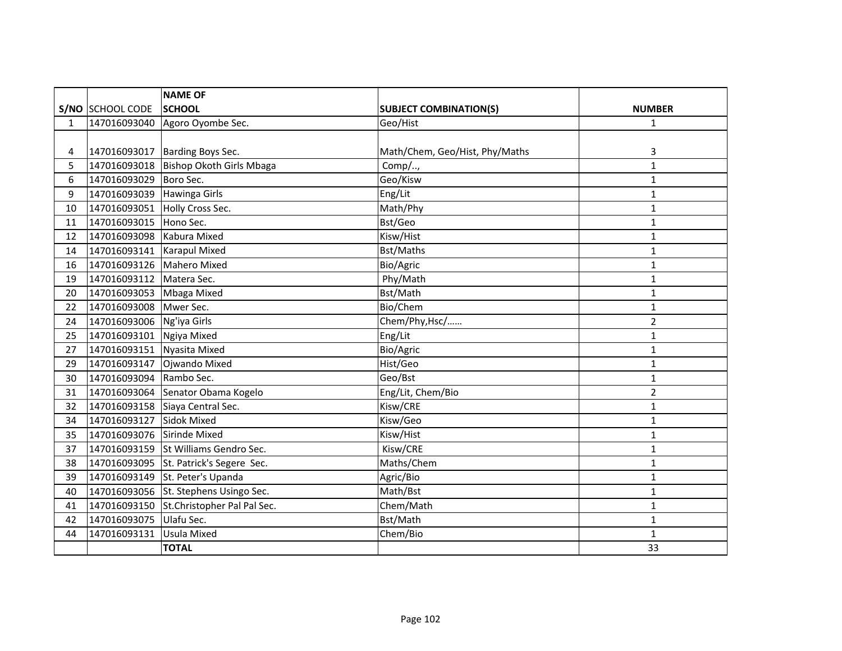|              |                           | <b>NAME OF</b>                    |                                |                |
|--------------|---------------------------|-----------------------------------|--------------------------------|----------------|
|              | S/NO SCHOOL CODE          | <b>SCHOOL</b>                     | <b>SUBJECT COMBINATION(S)</b>  | <b>NUMBER</b>  |
| $\mathbf{1}$ | 147016093040              | Agoro Oyombe Sec.                 | Geo/Hist                       | $\mathbf{1}$   |
|              |                           |                                   |                                |                |
| 4            | 147016093017              | Barding Boys Sec.                 | Math/Chem, Geo/Hist, Phy/Maths | 3              |
| 5            | 147016093018              | Bishop Okoth Girls Mbaga          | Comp/,                         | $\mathbf{1}$   |
| 6            | 147016093029              | Boro Sec.                         | Geo/Kisw                       | $\mathbf{1}$   |
| 9            | 147016093039              | Hawinga Girls                     | Eng/Lit                        | $\mathbf{1}$   |
| 10           | 147016093051              | Holly Cross Sec.                  | Math/Phy                       | 1              |
| 11           | 147016093015              | Hono Sec.                         | Bst/Geo                        | $\mathbf{1}$   |
| 12           | 147016093098              | Kabura Mixed                      | Kisw/Hist                      | $\mathbf{1}$   |
| 14           | 147016093141              | <b>Karapul Mixed</b>              | <b>Bst/Maths</b>               | $\mathbf{1}$   |
| 16           | 147016093126 Mahero Mixed |                                   | Bio/Agric                      | 1              |
| 19           | 147016093112              | Matera Sec.                       | Phy/Math                       | $\mathbf{1}$   |
| 20           | 147016093053              | Mbaga Mixed                       | Bst/Math                       | 1              |
| 22           | 147016093008              | Mwer Sec.                         | Bio/Chem                       | $\mathbf{1}$   |
| 24           | 147016093006              | Ng'iya Girls                      | Chem/Phy, Hsc/                 | 2              |
| 25           | 147016093101              | Ngiya Mixed                       | Eng/Lit                        | $\mathbf{1}$   |
| 27           | 147016093151              | Nyasita Mixed                     | Bio/Agric                      | $\mathbf{1}$   |
| 29           | 147016093147              | Ojwando Mixed                     | Hist/Geo                       | $\mathbf{1}$   |
| 30           | 147016093094              | Rambo Sec.                        | Geo/Bst                        | $\mathbf{1}$   |
| 31           |                           | 147016093064 Senator Obama Kogelo | Eng/Lit, Chem/Bio              | $\overline{2}$ |
| 32           | 147016093158              | Siaya Central Sec.                | Kisw/CRE                       | $\mathbf{1}$   |
| 34           | 147016093127              | <b>Sidok Mixed</b>                | Kisw/Geo                       | 1              |
| 35           | 147016093076              | Sirinde Mixed                     | Kisw/Hist                      | 1              |
| 37           | 147016093159              | St Williams Gendro Sec.           | Kisw/CRE                       | 1              |
| 38           | 147016093095              | St. Patrick's Segere Sec.         | Maths/Chem                     | $\mathbf 1$    |
| 39           | 147016093149              | St. Peter's Upanda                | Agric/Bio                      | 1              |
| 40           | 147016093056              | St. Stephens Usingo Sec.          | Math/Bst                       | 1              |
| 41           | 147016093150              | St.Christopher Pal Pal Sec.       | Chem/Math                      | 1              |
| 42           | 147016093075              | Ulafu Sec.                        | Bst/Math                       | 1              |
| 44           | 147016093131              | <b>Usula Mixed</b>                | Chem/Bio                       | 1              |
|              |                           | <b>TOTAL</b>                      |                                | 33             |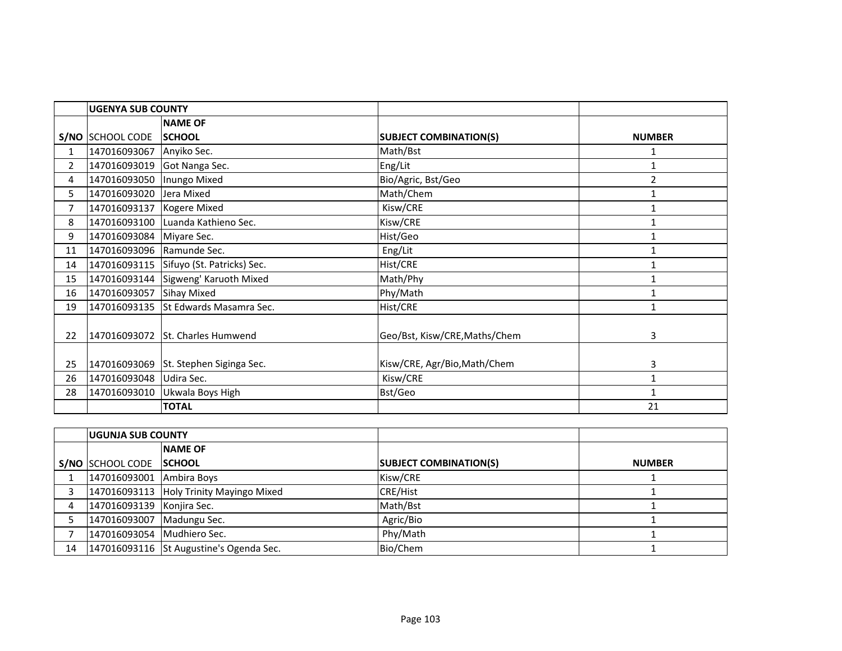|                | <b>UGENYA SUB COUNTY</b>  |                                         |                               |                |
|----------------|---------------------------|-----------------------------------------|-------------------------------|----------------|
|                |                           | <b>NAME OF</b>                          |                               |                |
|                | S/NO SCHOOL CODE          | <b>SCHOOL</b>                           | <b>SUBJECT COMBINATION(S)</b> | <b>NUMBER</b>  |
| $\mathbf{1}$   | 147016093067 Anyiko Sec.  |                                         | Math/Bst                      | 1              |
| $\overline{2}$ | 147016093019              | Got Nanga Sec.                          | Eng/Lit                       |                |
| 4              | 147016093050              | Inungo Mixed                            | Bio/Agric, Bst/Geo            | $\overline{2}$ |
| 5.             | 147016093020              | Jera Mixed                              | Math/Chem                     | $\mathbf{1}$   |
| $\overline{7}$ | 147016093137              | <b>Kogere Mixed</b>                     | Kisw/CRE                      | $\mathbf{1}$   |
| 8              | 147016093100              | Luanda Kathieno Sec.                    | Kisw/CRE                      |                |
| 9              | 147016093084 Miyare Sec.  |                                         | Hist/Geo                      | $\mathbf{1}$   |
| 11             | 147016093096 Ramunde Sec. |                                         | Eng/Lit                       | 1              |
| 14             |                           | 147016093115 Sifuyo (St. Patricks) Sec. | Hist/CRE                      | $\mathbf{1}$   |
| 15             |                           | 147016093144 Sigweng' Karuoth Mixed     | Math/Phy                      |                |
| 16             | 147016093057              | <b>Sihay Mixed</b>                      | Phy/Math                      | 1              |
| 19             |                           | 147016093135 St Edwards Masamra Sec.    | Hist/CRE                      |                |
| 22             | 147016093072              | <b>St. Charles Humwend</b>              | Geo/Bst, Kisw/CRE, Maths/Chem | 3              |
|                |                           |                                         |                               |                |
| 25             |                           | 147016093069 St. Stephen Siginga Sec.   | Kisw/CRE, Agr/Bio, Math/Chem  | 3              |
| 26             | 147016093048 Udira Sec.   |                                         | Kisw/CRE                      | $\mathbf{1}$   |
| 28             | 147016093010              | Ukwala Boys High                        | Bst/Geo                       | $\mathbf{1}$   |
|                |                           | <b>TOTAL</b>                            |                               | 21             |

|    | <b>IUGUNJA SUB COUNTY</b>  |                                         |                               |               |
|----|----------------------------|-----------------------------------------|-------------------------------|---------------|
|    |                            | <b>NAME OF</b>                          |                               |               |
|    | S/NO SCHOOL CODE SCHOOL    |                                         | <b>SUBJECT COMBINATION(S)</b> | <b>NUMBER</b> |
|    | 147016093001 Ambira Boys   |                                         | Kisw/CRE                      |               |
|    |                            | 147016093113 Holy Trinity Mayingo Mixed | <b>CRE/Hist</b>               |               |
| 4  | 147016093139 Konjira Sec.  |                                         | Math/Bst                      |               |
|    | 147016093007 Madungu Sec.  |                                         | Agric/Bio                     |               |
|    | 147016093054 Mudhiero Sec. |                                         | Phy/Math                      |               |
| 14 |                            | 147016093116 St Augustine's Ogenda Sec. | Bio/Chem                      |               |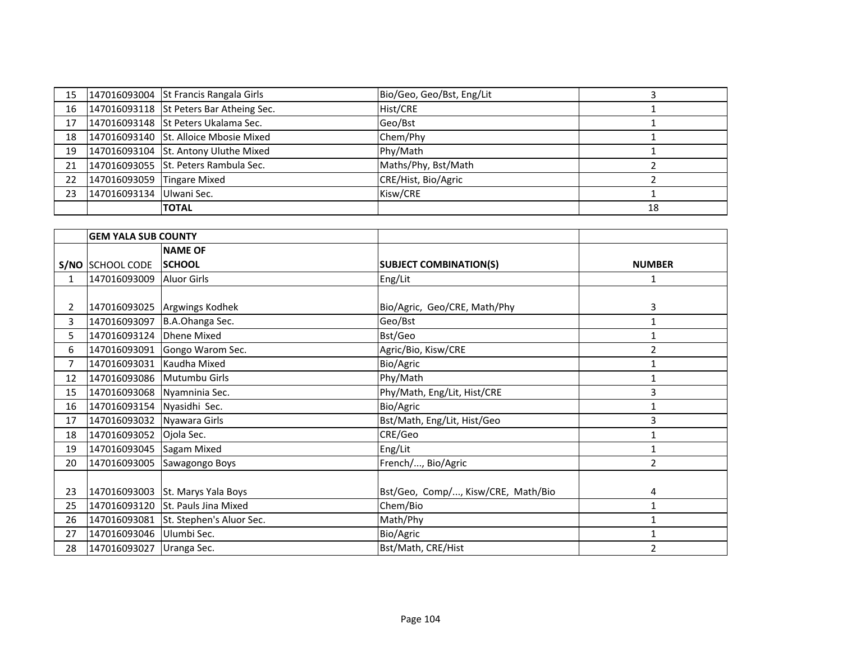|    |                               | 15   147016093004 St Francis Rangala Girls   | Bio/Geo, Geo/Bst, Eng/Lit |    |
|----|-------------------------------|----------------------------------------------|---------------------------|----|
| 16 |                               | 147016093118 St Peters Bar Atheing Sec.      | Hist/CRE                  |    |
|    |                               | 17   147016093148   St Peters Ukalama Sec.   | Geo/Bst                   |    |
|    |                               | 18   147016093140   St. Alloice Mbosie Mixed | Chem/Phy                  |    |
|    |                               | 19   147016093104   St. Antony Uluthe Mixed  | Phy/Math                  |    |
|    |                               | 21   147016093055   St. Peters Rambula Sec.  | Maths/Phy, Bst/Math       |    |
|    | 22 147016093059 Tingare Mixed |                                              | CRE/Hist, Bio/Agric       |    |
|    | 23 147016093134 Ulwani Sec.   |                                              | Kisw/CRE                  |    |
|    |                               | <b>TOTAL</b>                                 |                           | 18 |

|              | <b>GEM YALA SUB COUNTY</b> |                                   |                                    |                |
|--------------|----------------------------|-----------------------------------|------------------------------------|----------------|
|              |                            | <b>NAME OF</b>                    |                                    |                |
|              | S/NO SCHOOL CODE           | <b>SCHOOL</b>                     | <b>SUBJECT COMBINATION(S)</b>      | <b>NUMBER</b>  |
| $\mathbf{1}$ | 147016093009               | <b>Aluor Girls</b>                | Eng/Lit                            | 1              |
|              |                            |                                   |                                    |                |
| $\mathbf{2}$ | 147016093025               | Argwings Kodhek                   | Bio/Agric, Geo/CRE, Math/Phy       | 3              |
| 3            | 147016093097               | B.A.Ohanga Sec.                   | Geo/Bst                            | 1              |
| 5.           | 147016093124               | <b>Dhene Mixed</b>                | Bst/Geo                            | 1              |
| 6            | 147016093091               | Gongo Warom Sec.                  | Agric/Bio, Kisw/CRE                | 2              |
| 7            | 147016093031               | Kaudha Mixed                      | Bio/Agric                          | $\mathbf{1}$   |
| 12           | 147016093086 Mutumbu Girls |                                   | Phy/Math                           | $\mathbf{1}$   |
| 15           | 147016093068               | Nyamninia Sec.                    | Phy/Math, Eng/Lit, Hist/CRE        | 3              |
| 16           | 147016093154 Nyasidhi Sec. |                                   | Bio/Agric                          | 1              |
| 17           | 147016093032               | Nyawara Girls                     | Bst/Math, Eng/Lit, Hist/Geo        | 3              |
| 18           | 147016093052               | Ojola Sec.                        | CRE/Geo                            | $\mathbf{1}$   |
| 19           | 147016093045               | Sagam Mixed                       | Eng/Lit                            | $\mathbf{1}$   |
| 20           | 147016093005               | Sawagongo Boys                    | French/, Bio/Agric                 | $\overline{2}$ |
|              |                            |                                   |                                    |                |
| 23           | 147016093003               | St. Marys Yala Boys               | Bst/Geo, Comp/, Kisw/CRE, Math/Bio | 4              |
| 25           |                            | 147016093120 St. Pauls Jina Mixed | Chem/Bio                           | $\mathbf{1}$   |
| 26           | 147016093081               | St. Stephen's Aluor Sec.          | Math/Phy                           | $\mathbf{1}$   |
| 27           | 147016093046 Ulumbi Sec.   |                                   | Bio/Agric                          | 1              |
| 28           | 147016093027               | Uranga Sec.                       | Bst/Math, CRE/Hist                 | $\overline{2}$ |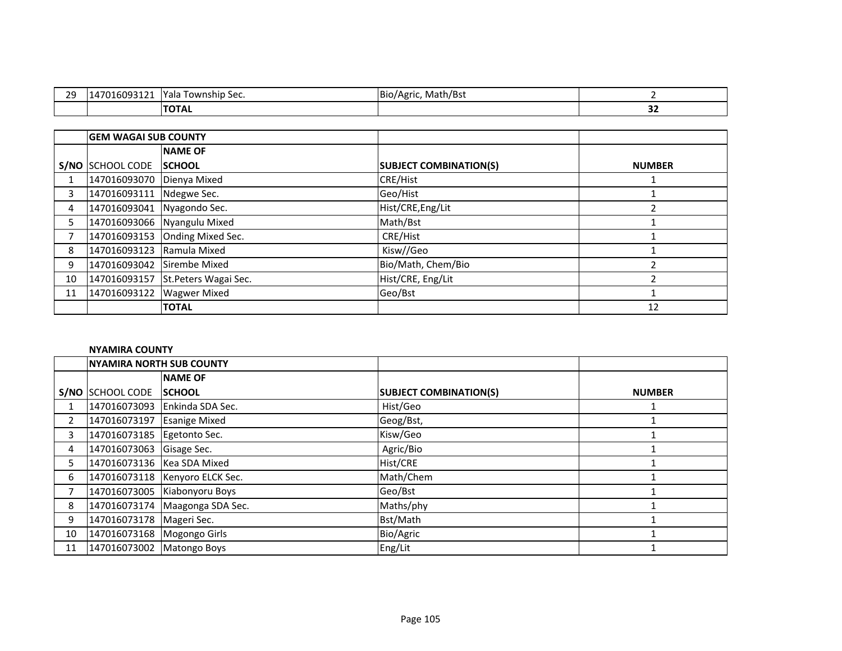| າດ<br>-- | oogaa.<br>ı 4<br>10093121 | $\cdots$<br>Vへしへ<br>Township Sec.<br>1 dia | Bio/<br>Math/Bst<br>''Agric. |         |
|----------|---------------------------|--------------------------------------------|------------------------------|---------|
|          |                           | ,,,,                                       |                              | --<br>◡ |

|    | <b>GEM WAGAI SUB COUNTY</b> |                                   |                               |               |
|----|-----------------------------|-----------------------------------|-------------------------------|---------------|
|    |                             | <b>NAME OF</b>                    |                               |               |
|    | S/NO SCHOOL CODE            | <b>SCHOOL</b>                     | <b>SUBJECT COMBINATION(S)</b> | <b>NUMBER</b> |
|    | 147016093070 Dienya Mixed   |                                   | <b>CRE/Hist</b>               |               |
| 3  | 147016093111 Ndegwe Sec.    |                                   | Geo/Hist                      |               |
| 4  | 147016093041 Nyagondo Sec.  |                                   | Hist/CRE, Eng/Lit             |               |
| 5. |                             | 147016093066 Nyangulu Mixed       | Math/Bst                      |               |
|    |                             | 147016093153 Onding Mixed Sec.    | CRE/Hist                      |               |
| 8  | 147016093123 Ramula Mixed   |                                   | Kisw//Geo                     |               |
| 9  | 147016093042 Sirembe Mixed  |                                   | Bio/Math, Chem/Bio            |               |
| 10 |                             | 147016093157 St.Peters Wagai Sec. | Hist/CRE, Eng/Lit             |               |
| 11 | 147016093122                | <b>Wagwer Mixed</b>               | Geo/Bst                       |               |
|    |                             | <b>TOTAL</b>                      |                               | 12            |

### **NYAMIRA COUNTY**

|                | <b>NYAMIRA NORTH SUB COUNTY</b> |                                  |                               |               |
|----------------|---------------------------------|----------------------------------|-------------------------------|---------------|
|                |                                 | <b>NAME OF</b>                   |                               |               |
|                | S/NO SCHOOL CODE                | <b>SCHOOL</b>                    | <b>SUBJECT COMBINATION(S)</b> | <b>NUMBER</b> |
|                |                                 | 147016073093 Enkinda SDA Sec.    | Hist/Geo                      |               |
| $\overline{2}$ | 147016073197 Esanige Mixed      |                                  | Geog/Bst,                     |               |
| 3              | 147016073185 Egetonto Sec.      |                                  | Kisw/Geo                      |               |
| 4              | 147016073063 Gisage Sec.        |                                  | Agric/Bio                     |               |
| 5.             | 147016073136   Kea SDA Mixed    |                                  | Hist/CRE                      |               |
| 6              |                                 | 147016073118   Kenyoro ELCK Sec. | Math/Chem                     |               |
|                |                                 | 147016073005 Kiabonyoru Boys     | Geo/Bst                       |               |
| 8              |                                 | 147016073174 Maagonga SDA Sec.   | Maths/phy                     |               |
| 9              | 147016073178   Mageri Sec.      |                                  | Bst/Math                      |               |
| 10             | 147016073168 Mogongo Girls      |                                  | Bio/Agric                     |               |
| 11             | 147016073002 Matongo Boys       |                                  | Eng/Lit                       |               |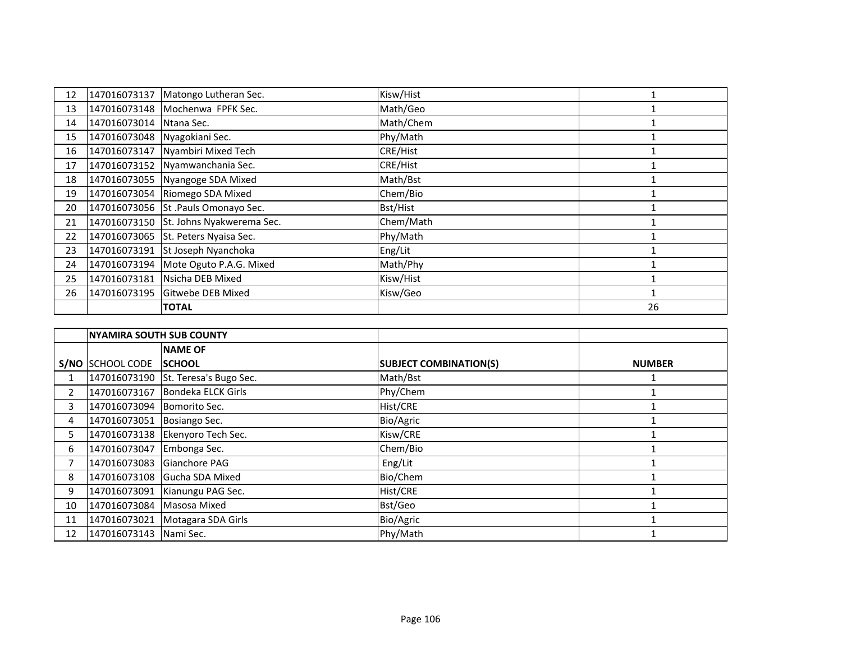| 12 | 147016073137                 | Matongo Lutheran Sec.                  | Kisw/Hist |    |
|----|------------------------------|----------------------------------------|-----------|----|
| 13 |                              | 147016073148 Mochenwa FPFK Sec.        | Math/Geo  |    |
| 14 | 147016073014                 | Ntana Sec.                             | Math/Chem |    |
| 15 | 147016073048 Nyagokiani Sec. |                                        | Phy/Math  |    |
| 16 | 147016073147                 | Nyambiri Mixed Tech                    | CRE/Hist  |    |
| 17 | 147016073152                 | Nyamwanchania Sec.                     | CRE/Hist  |    |
| 18 |                              | 147016073055 Nyangoge SDA Mixed        | Math/Bst  |    |
| 19 |                              | 147016073054 Riomego SDA Mixed         | Chem/Bio  |    |
| 20 |                              | 147016073056 St .Pauls Omonayo Sec.    | Bst/Hist  |    |
| 21 |                              | 147016073150 St. Johns Nyakwerema Sec. | Chem/Math |    |
| 22 |                              | 147016073065 St. Peters Nyaisa Sec.    | Phy/Math  |    |
| 23 | 147016073191                 | St Joseph Nyanchoka                    | Eng/Lit   |    |
| 24 | 147016073194                 | Mote Oguto P.A.G. Mixed                | Math/Phy  |    |
| 25 |                              | 147016073181 Nsicha DEB Mixed          | Kisw/Hist |    |
| 26 |                              | 147016073195 Gitwebe DEB Mixed         | Kisw/Geo  |    |
|    |                              | <b>TOTAL</b>                           |           | 26 |

|                | <b>NYAMIRA SOUTH SUB COUNTY</b> |                                     |                               |               |
|----------------|---------------------------------|-------------------------------------|-------------------------------|---------------|
|                |                                 | <b>NAME OF</b>                      |                               |               |
|                | S/NO SCHOOL CODE                | <b>SCHOOL</b>                       | <b>SUBJECT COMBINATION(S)</b> | <b>NUMBER</b> |
|                |                                 | 147016073190 St. Teresa's Bugo Sec. | Math/Bst                      |               |
| $\overline{2}$ | 147016073167                    | Bondeka ELCK Girls                  | Phy/Chem                      |               |
| 3              | 147016073094                    | Bomorito Sec.                       | Hist/CRE                      |               |
| 4              | 147016073051                    | Bosiango Sec.                       | Bio/Agric                     |               |
| 5.             |                                 | 147016073138 Ekenyoro Tech Sec.     | Kisw/CRE                      |               |
| 6              | 147016073047                    | Embonga Sec.                        | Chem/Bio                      |               |
|                | 147016073083                    | Gianchore PAG                       | Eng/Lit                       |               |
| 8              |                                 | 147016073108 Gucha SDA Mixed        | Bio/Chem                      |               |
| 9              | 147016073091                    | Kianungu PAG Sec.                   | Hist/CRE                      |               |
| 10             | 147016073084                    | Masosa Mixed                        | Bst/Geo                       |               |
| 11             | 147016073021                    | Motagara SDA Girls                  | Bio/Agric                     |               |
| 12             | 147016073143 Nami Sec.          |                                     | Phy/Math                      |               |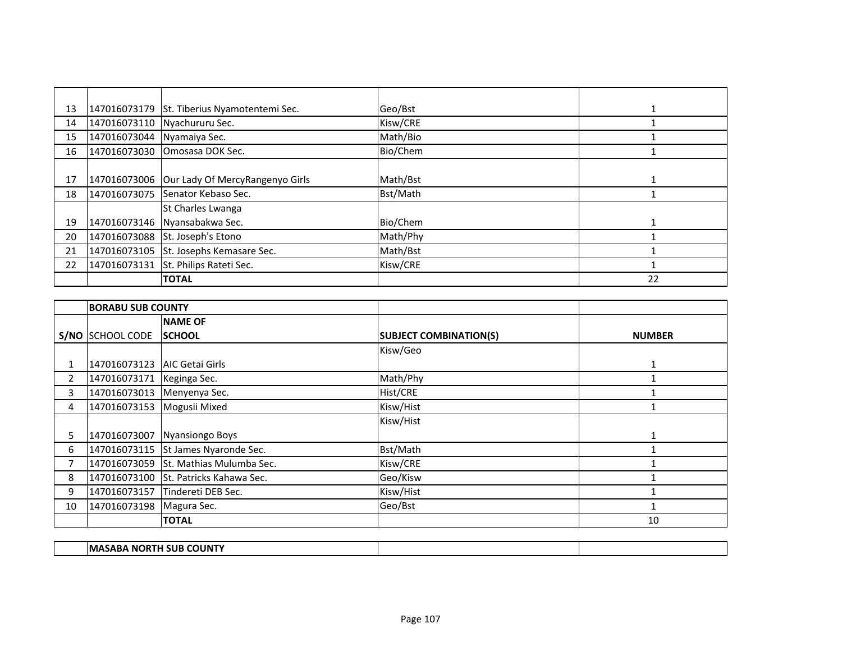| 13 | 147016073179 | St. Tiberius Nyamotentemi Sec.  | Geo/Bst  |    |
|----|--------------|---------------------------------|----------|----|
| 14 |              | 147016073110 Nyachururu Sec.    | Kisw/CRE |    |
| 15 | 147016073044 | Nyamaiya Sec.                   | Math/Bio |    |
| 16 | 147016073030 | <b>Omosasa DOK Sec.</b>         | Bio/Chem |    |
|    |              |                                 |          |    |
| 17 | 147016073006 | Our Lady Of MercyRangenyo Girls | Math/Bst |    |
| 18 | 147016073075 | Senator Kebaso Sec.             | Bst/Math |    |
|    |              | St Charles Lwanga               |          |    |
| 19 | 147016073146 | Nyansabakwa Sec.                | Bio/Chem |    |
| 20 | 147016073088 | St. Joseph's Etono              | Math/Phy |    |
| 21 | 147016073105 | St. Josephs Kemasare Sec.       | Math/Bst |    |
| 22 | 147016073131 | St. Philips Rateti Sec.         | Kisw/CRE |    |
|    |              | <b>TOTAL</b>                    |          | 22 |

|                | <b>BORABU SUB COUNTY</b>    |                                       |                               |               |
|----------------|-----------------------------|---------------------------------------|-------------------------------|---------------|
|                |                             | <b>NAME OF</b>                        |                               |               |
|                | S/NO SCHOOL CODE            | <b>SCHOOL</b>                         | <b>SUBJECT COMBINATION(S)</b> | <b>NUMBER</b> |
|                |                             |                                       | Kisw/Geo                      |               |
|                | 147016073123                | <b>AIC Getai Girls</b>                |                               | 1             |
| $\overline{2}$ | 147016073171   Keginga Sec. |                                       | Math/Phy                      |               |
| 3              | 147016073013                | Menyenya Sec.                         | Hist/CRE                      |               |
| 4              | 147016073153                | Mogusii Mixed                         | Kisw/Hist                     |               |
|                |                             |                                       | Kisw/Hist                     |               |
| 5.             | 147016073007                | <b>Nyansiongo Boys</b>                |                               |               |
| 6              |                             | 147016073115 St James Nyaronde Sec.   | Bst/Math                      |               |
| 7              |                             | 147016073059 St. Mathias Mulumba Sec. | Kisw/CRE                      |               |
| 8              |                             | 147016073100 St. Patricks Kahawa Sec. | Geo/Kisw                      |               |
| 9              | 147016073157                | Tindereti DEB Sec.                    | Kisw/Hist                     |               |
| 10             | 147016073198 Magura Sec.    |                                       | Geo/Bst                       | 1             |
|                |                             | <b>TOTAL</b>                          |                               | 10            |

| SUB<br>IM.<br><b>COUNTY</b><br>. N6<br>. .<br>$\cdots$ |  |
|--------------------------------------------------------|--|
|                                                        |  |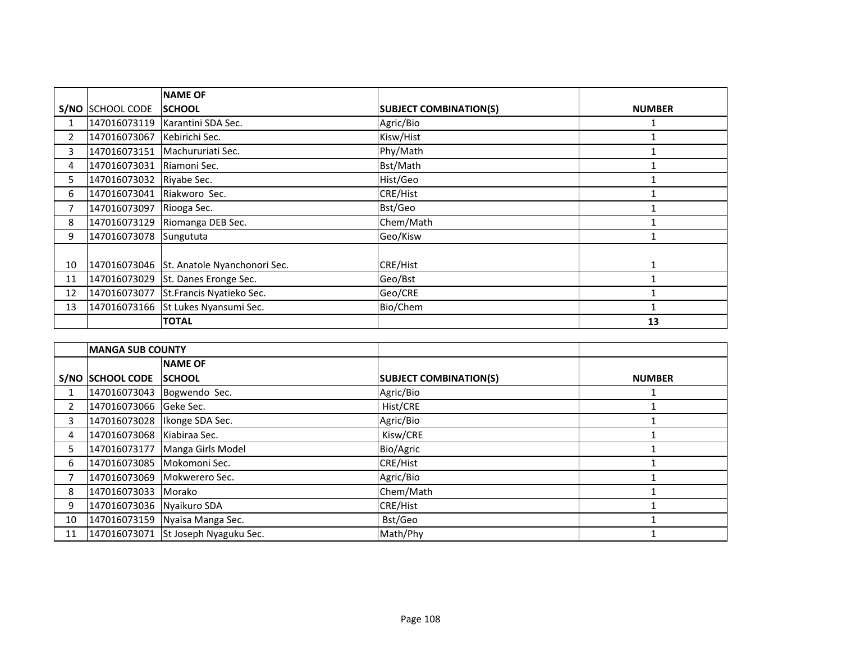|                |                            | <b>NAME OF</b>                            |                               |               |
|----------------|----------------------------|-------------------------------------------|-------------------------------|---------------|
|                | S/NO SCHOOL CODE           | <b>ISCHOOL</b>                            | <b>SUBJECT COMBINATION(S)</b> | <b>NUMBER</b> |
| 1              | 147016073119               | Karantini SDA Sec.                        | Agric/Bio                     |               |
| $\overline{2}$ | 147016073067               | Kebirichi Sec.                            | Kisw/Hist                     |               |
| 3              |                            | 147016073151   Machururiati Sec.          | Phy/Math                      |               |
| 4              | 147016073031               | Riamoni Sec.                              | Bst/Math                      |               |
| 5.             | 147016073032 Riyabe Sec.   |                                           | Hist/Geo                      |               |
| 6              | 147016073041 Riakworo Sec. |                                           | CRE/Hist                      |               |
| 7              | 147016073097               | Riooga Sec.                               | Bst/Geo                       |               |
| 8              | 147016073129               | Riomanga DEB Sec.                         | Chem/Math                     |               |
| 9              | 147016073078 Sungututa     |                                           | Geo/Kisw                      |               |
|                |                            |                                           |                               |               |
| 10             |                            | 147016073046 St. Anatole Nyanchonori Sec. | <b>CRE/Hist</b>               |               |
| 11             |                            | 147016073029 St. Danes Eronge Sec.        | Geo/Bst                       |               |
| 12             |                            | 147016073077 St.Francis Nyatieko Sec.     | Geo/CRE                       |               |
| 13             |                            | 147016073166 St Lukes Nyansumi Sec.       | Bio/Chem                      |               |
|                |                            | <b>TOTAL</b>                              |                               | 13            |

|                | <b>MANGA SUB COUNTY</b>    |                                     |                               |               |
|----------------|----------------------------|-------------------------------------|-------------------------------|---------------|
|                |                            | <b>NAME OF</b>                      |                               |               |
|                | S/NO SCHOOL CODE           | <b>SCHOOL</b>                       | <b>SUBJECT COMBINATION(S)</b> | <b>NUMBER</b> |
|                |                            | 147016073043 Bogwendo Sec.          | Agric/Bio                     |               |
| $\overline{2}$ | 147016073066 Geke Sec.     |                                     | Hist/CRE                      |               |
| 3              |                            | 147016073028   Ikonge SDA Sec.      | Agric/Bio                     |               |
| 4              | 147016073068 Kiabiraa Sec. |                                     | Kisw/CRE                      |               |
| 5.             |                            | 147016073177 Manga Girls Model      | Bio/Agric                     |               |
| 6              | 147016073085 Mokomoni Sec. |                                     | <b>CRE/Hist</b>               |               |
|                |                            | 147016073069 Mokwerero Sec.         | Agric/Bio                     |               |
| 8              | 147016073033               | Morako                              | Chem/Math                     |               |
| 9              | 147016073036 Nyaikuro SDA  |                                     | CRE/Hist                      |               |
| 10             |                            | 147016073159 Nyaisa Manga Sec.      | Bst/Geo                       |               |
| 11             |                            | 147016073071 St Joseph Nyaguku Sec. | Math/Phy                      |               |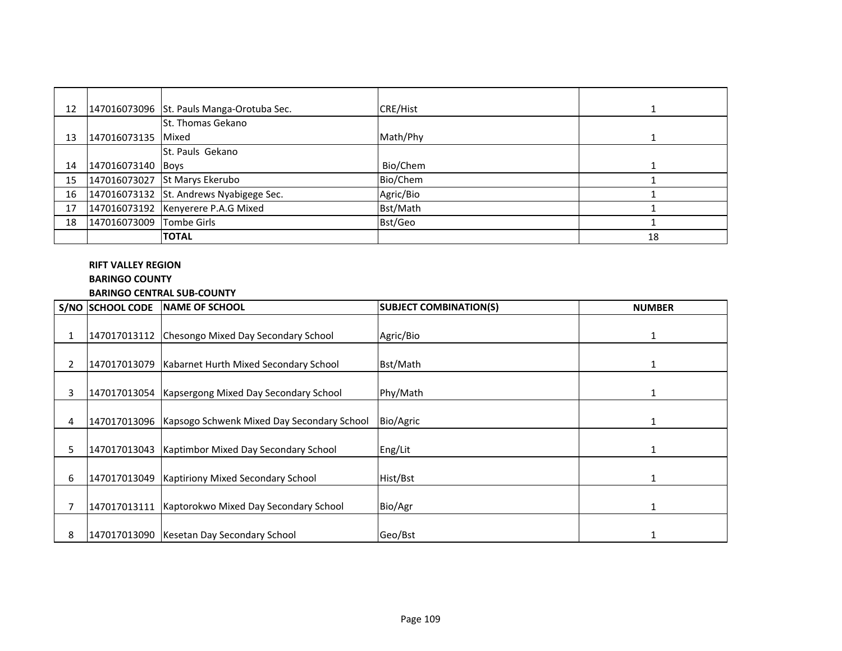| 12 |                          | 147016073096 St. Pauls Manga-Orotuba Sec. | <b>CRE/Hist</b> |    |
|----|--------------------------|-------------------------------------------|-----------------|----|
|    |                          | St. Thomas Gekano                         |                 |    |
| 13 | 147016073135 Mixed       |                                           | Math/Phy        |    |
|    |                          | <b>St. Pauls Gekano</b>                   |                 |    |
| 14 | 147016073140 Boys        |                                           | Bio/Chem        |    |
| 15 |                          | 147016073027 St Marys Ekerubo             | Bio/Chem        |    |
| 16 |                          | 147016073132 St. Andrews Nyabigege Sec.   | Agric/Bio       |    |
| 17 |                          | 147016073192 Kenyerere P.A.G Mixed        | Bst/Math        |    |
| 18 | 147016073009 Tombe Girls |                                           | Bst/Geo         |    |
|    |                          | <b>TOTAL</b>                              |                 | 18 |

#### **RIFT VALLEY REGION**

# **BARINGO COUNTY**

# **BARINGO CENTRAL SUB-COUNTY**

|                | S/NO SCHOOL CODE | <b>INAME OF SCHOOL</b>                                    | <b>SUBJECT COMBINATION(S)</b> | <b>NUMBER</b> |
|----------------|------------------|-----------------------------------------------------------|-------------------------------|---------------|
| 1              |                  | 147017013112 Chesongo Mixed Day Secondary School          | Agric/Bio                     |               |
| $\overline{2}$ | 147017013079     | Kabarnet Hurth Mixed Secondary School                     | Bst/Math                      |               |
| 3              |                  | 147017013054   Kapsergong Mixed Day Secondary School      | Phy/Math                      |               |
| 4              |                  | 147017013096   Kapsogo Schwenk Mixed Day Secondary School | Bio/Agric                     |               |
| 5              | 147017013043     | Kaptimbor Mixed Day Secondary School                      | Eng/Lit                       |               |
| 6              | 147017013049     | <b>Kaptiriony Mixed Secondary School</b>                  | Hist/Bst                      |               |
|                |                  | 147017013111   Kaptorokwo Mixed Day Secondary School      | Bio/Agr                       |               |
| 8              |                  | 147017013090 Kesetan Day Secondary School                 | Geo/Bst                       |               |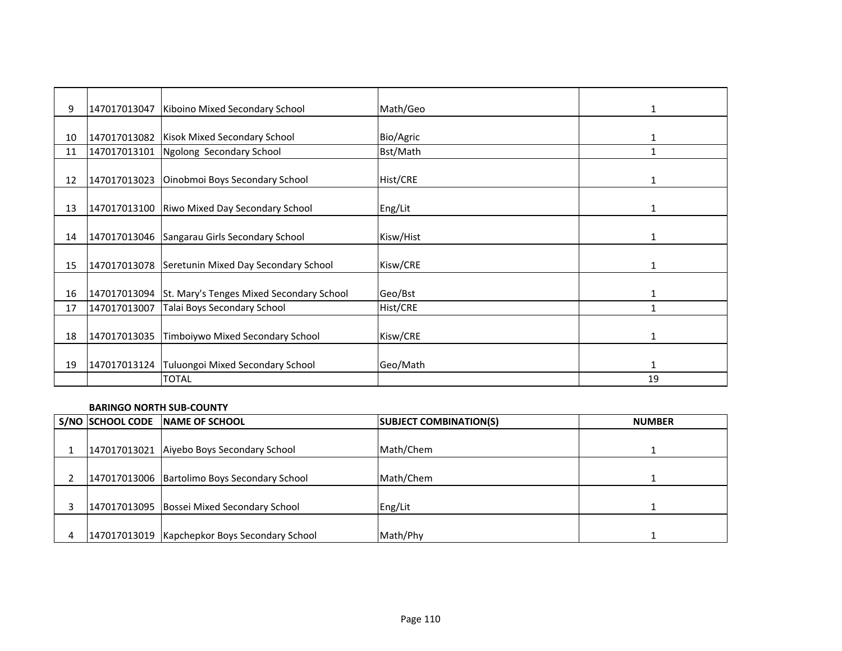| 9  | 147017013047 | Kiboino Mixed Secondary School                        | Math/Geo  | 1  |
|----|--------------|-------------------------------------------------------|-----------|----|
|    |              |                                                       |           |    |
| 10 |              | 147017013082   Kisok Mixed Secondary School           | Bio/Agric |    |
| 11 | 147017013101 | Ngolong Secondary School                              | Bst/Math  |    |
| 12 | 147017013023 | Oinobmoi Boys Secondary School                        | Hist/CRE  |    |
| 13 |              | 147017013100 Riwo Mixed Day Secondary School          | Eng/Lit   | 1  |
| 14 |              | 147017013046 Sangarau Girls Secondary School          | Kisw/Hist | 1  |
| 15 |              | 147017013078 Seretunin Mixed Day Secondary School     | Kisw/CRE  | 1  |
| 16 |              | 147017013094 St. Mary's Tenges Mixed Secondary School | Geo/Bst   | 1  |
| 17 | 147017013007 | Talai Boys Secondary School                           | Hist/CRE  | 1  |
| 18 | 147017013035 | Timboiywo Mixed Secondary School                      | Kisw/CRE  | 1  |
| 19 | 147017013124 | Tuluongoi Mixed Secondary School                      | Geo/Math  | 1  |
|    |              | <b>TOTAL</b>                                          |           | 19 |

#### **BARINGO NORTH SUB-COUNTY**

| S/NO SCHOOL CODE | <b>INAME OF SCHOOL</b>                          | <b>SUBJECT COMBINATION(S)</b> | <b>NUMBER</b> |
|------------------|-------------------------------------------------|-------------------------------|---------------|
|                  |                                                 |                               |               |
|                  | 147017013021 Aiyebo Boys Secondary School       | Math/Chem                     |               |
|                  |                                                 |                               |               |
|                  | 147017013006 Bartolimo Boys Secondary School    | Math/Chem                     |               |
|                  |                                                 |                               |               |
|                  | 147017013095 Bossei Mixed Secondary School      | Eng/Lit                       |               |
|                  |                                                 |                               |               |
|                  | 147017013019   Kapchepkor Boys Secondary School | Math/Phy                      |               |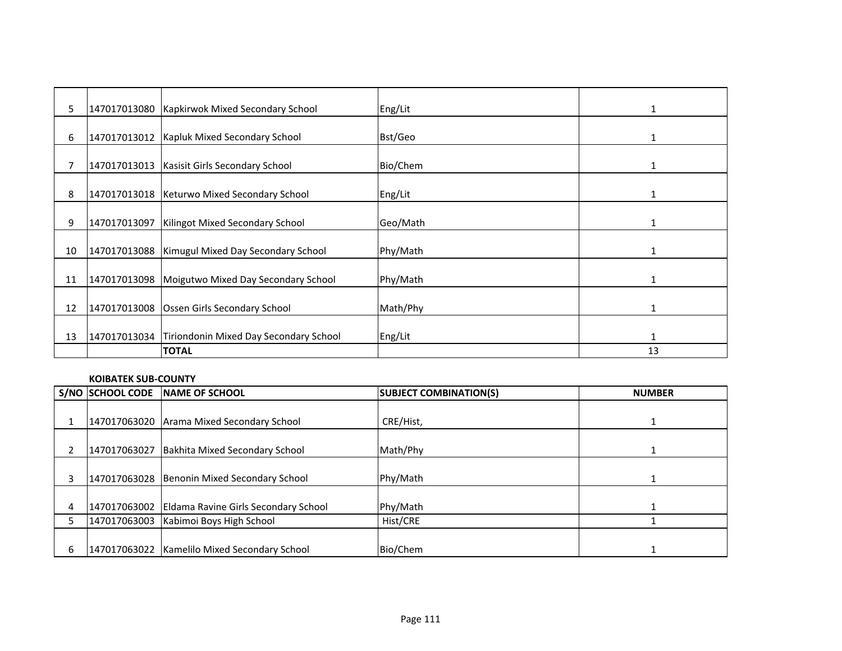| 5  |              | 147017013080   Kapkirwok Mixed Secondary School     | Eng/Lit  | 1            |
|----|--------------|-----------------------------------------------------|----------|--------------|
|    |              |                                                     |          |              |
| 6  | 147017013012 | Kapluk Mixed Secondary School                       | Bst/Geo  | $\mathbf{1}$ |
| 7  | 147017013013 | Kasisit Girls Secondary School                      | Bio/Chem | 1            |
| 8  |              | 147017013018   Keturwo Mixed Secondary School       | Eng/Lit  | 1            |
| 9  | 147017013097 | Kilingot Mixed Secondary School                     | Geo/Math | 1            |
| 10 |              | 147017013088   Kimugul Mixed Day Secondary School   | Phy/Math | 1            |
| 11 |              | 147017013098 Moigutwo Mixed Day Secondary School    | Phy/Math | $\mathbf{1}$ |
| 12 |              | 147017013008 Ossen Girls Secondary School           | Math/Phy | $\mathbf{1}$ |
| 13 |              | 147017013034 Tiriondonin Mixed Day Secondary School | Eng/Lit  | 1            |
|    |              | <b>TOTAL</b>                                        |          | 13           |

#### **KOIBATEK SUB-COUNTY**

|   | S/NO SCHOOL CODE | <b>INAME OF SCHOOL</b>                       | <b>SUBJECT COMBINATION(S)</b> | <b>NUMBER</b> |
|---|------------------|----------------------------------------------|-------------------------------|---------------|
|   |                  |                                              |                               |               |
|   | 147017063020     | Arama Mixed Secondary School                 | CRE/Hist,                     |               |
|   |                  |                                              |                               |               |
|   | 147017063027     | Bakhita Mixed Secondary School               | Math/Phy                      |               |
|   |                  |                                              |                               |               |
|   |                  | 147017063028 Benonin Mixed Secondary School  | Phy/Math                      |               |
|   |                  |                                              |                               |               |
| 4 | 147017063002     | Eldama Ravine Girls Secondary School         | Phy/Math                      |               |
|   | 147017063003     | Kabimoi Boys High School                     | Hist/CRE                      |               |
|   |                  |                                              |                               |               |
| 6 |                  | 147017063022 Kamelilo Mixed Secondary School | Bio/Chem                      |               |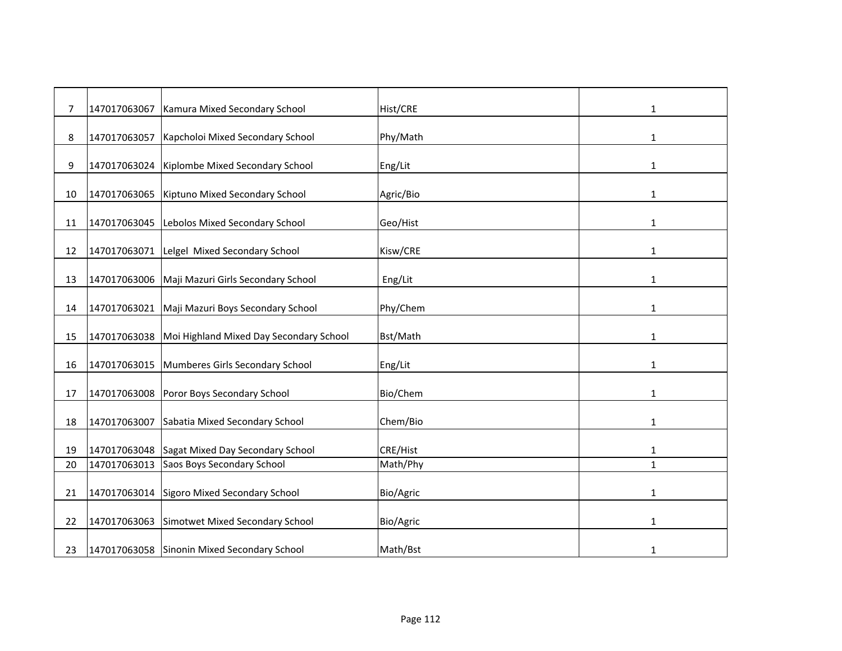| 7  | 147017063067 | Kamura Mixed Secondary School               | Hist/CRE  | 1            |
|----|--------------|---------------------------------------------|-----------|--------------|
| 8  | 147017063057 | Kapcholoi Mixed Secondary School            | Phy/Math  | $\mathbf{1}$ |
| 9  | 147017063024 | Kiplombe Mixed Secondary School             | Eng/Lit   | 1            |
| 10 | 147017063065 | Kiptuno Mixed Secondary School              | Agric/Bio | 1            |
| 11 | 147017063045 | Lebolos Mixed Secondary School              | Geo/Hist  | 1            |
| 12 | 147017063071 | Lelgel Mixed Secondary School               | Kisw/CRE  | $\mathbf{1}$ |
| 13 | 147017063006 | Maji Mazuri Girls Secondary School          | Eng/Lit   | $\mathbf{1}$ |
|    |              |                                             |           |              |
| 14 | 147017063021 | Maji Mazuri Boys Secondary School           | Phy/Chem  | 1            |
| 15 | 147017063038 | Moi Highland Mixed Day Secondary School     | Bst/Math  | 1            |
| 16 | 147017063015 | Mumberes Girls Secondary School             | Eng/Lit   | 1            |
| 17 | 147017063008 | Poror Boys Secondary School                 | Bio/Chem  | 1            |
| 18 | 147017063007 | Sabatia Mixed Secondary School              | Chem/Bio  | 1            |
| 19 | 147017063048 | Sagat Mixed Day Secondary School            | CRE/Hist  | 1            |
| 20 | 147017063013 | Saos Boys Secondary School                  | Math/Phy  | $\mathbf{1}$ |
|    |              |                                             |           |              |
| 21 | 147017063014 | Sigoro Mixed Secondary School               | Bio/Agric | 1            |
| 22 | 147017063063 | Simotwet Mixed Secondary School             | Bio/Agric | 1            |
| 23 |              | 147017063058 Sinonin Mixed Secondary School | Math/Bst  | 1            |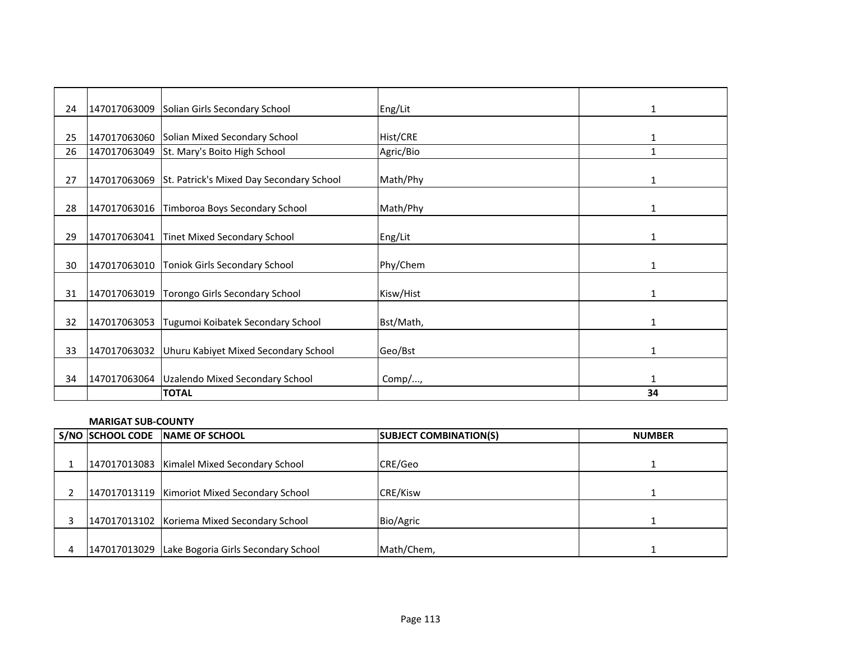| 24 |              | 147017063009 Solian Girls Secondary School            | Eng/Lit   | 1            |
|----|--------------|-------------------------------------------------------|-----------|--------------|
|    |              |                                                       |           |              |
| 25 |              | 147017063060 Solian Mixed Secondary School            | Hist/CRE  | 1            |
| 26 | 147017063049 | St. Mary's Boito High School                          | Agric/Bio | $\mathbf{1}$ |
|    |              | 147017063069 St. Patrick's Mixed Day Secondary School | Math/Phy  |              |
| 27 |              |                                                       |           | 1            |
| 28 |              | 147017063016 Timboroa Boys Secondary School           | Math/Phy  | 1            |
|    |              |                                                       |           |              |
| 29 |              | 147017063041 Tinet Mixed Secondary School             | Eng/Lit   | 1            |
|    |              |                                                       |           |              |
| 30 |              | 147017063010 Toniok Girls Secondary School            | Phy/Chem  | 1            |
|    |              |                                                       |           |              |
| 31 | 147017063019 | Torongo Girls Secondary School                        | Kisw/Hist | 1            |
|    |              |                                                       |           |              |
| 32 | 147017063053 | Tugumoi Koibatek Secondary School                     | Bst/Math, | $\mathbf{1}$ |
|    |              |                                                       |           |              |
| 33 |              | 147017063032 Uhuru Kabiyet Mixed Secondary School     | Geo/Bst   | $\mathbf{1}$ |
|    |              |                                                       |           |              |
| 34 |              | 147017063064   Uzalendo Mixed Secondary School        | Comp/ $,$ |              |
|    |              | <b>TOTAL</b>                                          |           | 34           |

# **MARIGAT SUB-COUNTY**

|  | S/NO SCHOOL CODE NAME OF SCHOOL                  | <b>SUBJECT COMBINATION(S)</b> | <b>NUMBER</b> |
|--|--------------------------------------------------|-------------------------------|---------------|
|  | 147017013083   Kimalel Mixed Secondary School    | CRE/Geo                       |               |
|  |                                                  |                               |               |
|  | 147017013119   Kimoriot Mixed Secondary School   | <b>CRE/Kisw</b>               |               |
|  | 147017013102 Koriema Mixed Secondary School      | Bio/Agric                     |               |
|  | 147017013029 Lake Bogoria Girls Secondary School | Math/Chem,                    |               |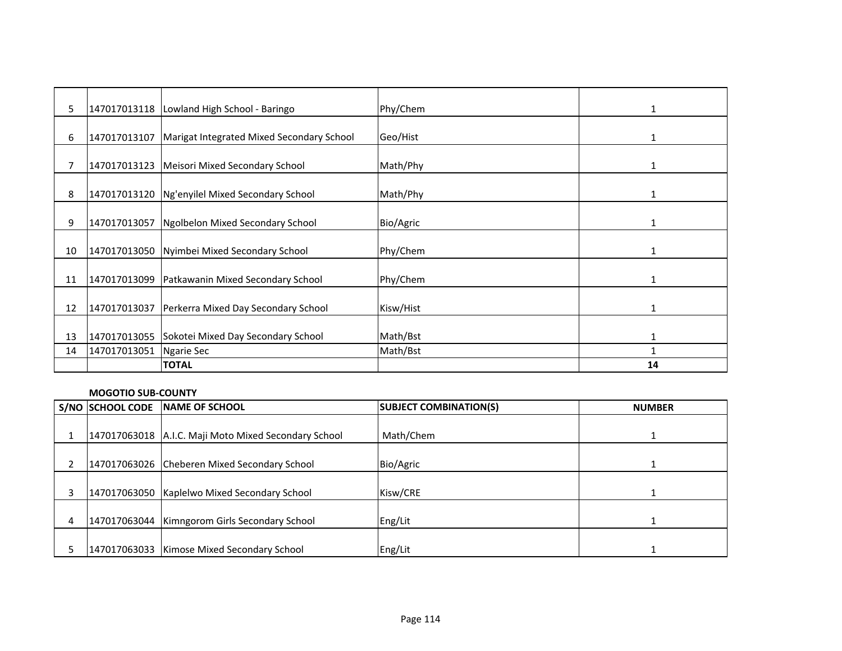| 5  |              | 147017013118   Lowland High School - Baringo    | Phy/Chem  | 1            |
|----|--------------|-------------------------------------------------|-----------|--------------|
|    |              |                                                 |           |              |
| 6  | 147017013107 | Marigat Integrated Mixed Secondary School       | Geo/Hist  |              |
|    |              |                                                 |           |              |
| 7  |              | 147017013123   Meisori Mixed Secondary School   | Math/Phy  | $\mathbf{1}$ |
|    |              |                                                 |           |              |
| 8  |              | 147017013120 Ng'enyilel Mixed Secondary School  | Math/Phy  | 1            |
|    |              |                                                 |           |              |
| 9  |              | 147017013057 Ngolbelon Mixed Secondary School   | Bio/Agric |              |
|    |              |                                                 |           |              |
| 10 |              | 147017013050 Nyimbei Mixed Secondary School     | Phy/Chem  | 1            |
|    |              |                                                 |           |              |
| 11 | 147017013099 | Patkawanin Mixed Secondary School               | Phy/Chem  | 1            |
|    |              |                                                 |           |              |
| 12 | 147017013037 | Perkerra Mixed Day Secondary School             | Kisw/Hist | 1            |
|    |              |                                                 |           |              |
|    |              |                                                 |           |              |
| 13 |              | 147017013055 Sokotei Mixed Day Secondary School | Math/Bst  | 1            |
| 14 | 147017013051 | Ngarie Sec                                      | Math/Bst  |              |
|    |              | <b>TOTAL</b>                                    |           | 14           |

#### **MOGOTIO SUB-COUNTY**

| S/NO SCHOOL CODE | NAME OF SCHOOL                                       | <b>SUBJECT COMBINATION(S)</b> | <b>NUMBER</b> |
|------------------|------------------------------------------------------|-------------------------------|---------------|
|                  |                                                      |                               |               |
|                  | 147017063018 A.I.C. Maji Moto Mixed Secondary School | Math/Chem                     |               |
|                  |                                                      |                               |               |
|                  | 147017063026 Cheberen Mixed Secondary School         | Bio/Agric                     |               |
|                  |                                                      |                               |               |
|                  | 147017063050 Kaplelwo Mixed Secondary School         | Kisw/CRE                      |               |
|                  |                                                      |                               |               |
|                  | 147017063044   Kimngorom Girls Secondary School      | Eng/Lit                       |               |
|                  |                                                      |                               |               |
|                  | 147017063033   Kimose Mixed Secondary School         | Eng/Lit                       |               |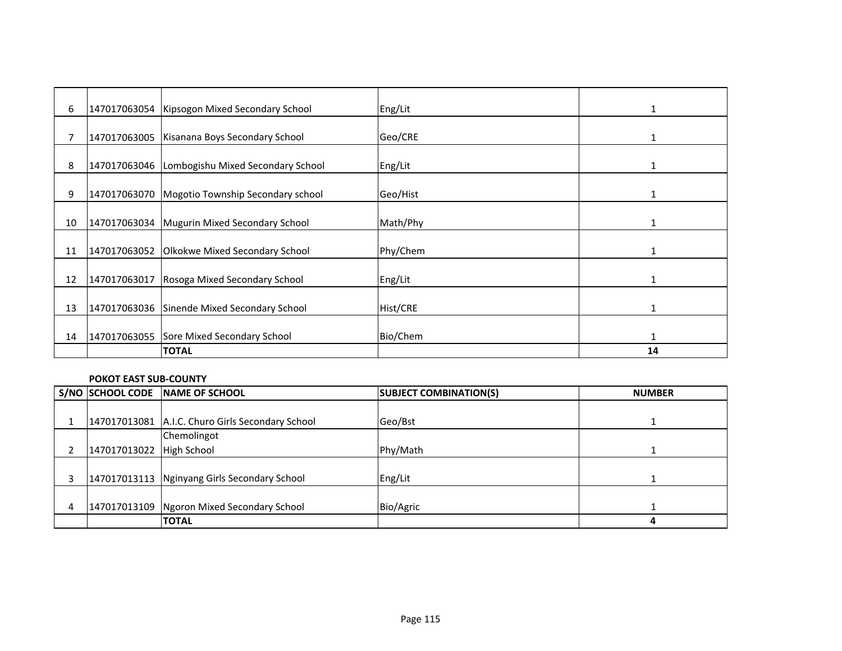| 6  |              | 147017063054   Kipsogon Mixed Secondary School | Eng/Lit  | $\mathbf{1}$ |
|----|--------------|------------------------------------------------|----------|--------------|
|    |              |                                                |          |              |
| 7  |              | 147017063005   Kisanana Boys Secondary School  | Geo/CRE  | $\mathbf{1}$ |
| 8  |              | 147017063046 Lombogishu Mixed Secondary School | Eng/Lit  |              |
| 9  |              | 147017063070 Mogotio Township Secondary school | Geo/Hist | 1            |
| 10 |              | 147017063034 Mugurin Mixed Secondary School    | Math/Phy | 1            |
| 11 |              | 147017063052 Olkokwe Mixed Secondary School    | Phy/Chem |              |
| 12 | 147017063017 | Rosoga Mixed Secondary School                  | Eng/Lit  | $\mathbf{1}$ |
| 13 |              | 147017063036 Sinende Mixed Secondary School    | Hist/CRE | $\mathbf{1}$ |
| 14 |              | 147017063055 Sore Mixed Secondary School       | Bio/Chem | $\mathbf{1}$ |
|    |              | <b>TOTAL</b>                                   |          | 14           |

#### **POKOT EAST SUB-COUNTY**

|                            | S/NO SCHOOL CODE NAME OF SCHOOL                  | <b>SUBJECT COMBINATION(S)</b> | <b>NUMBER</b> |
|----------------------------|--------------------------------------------------|-------------------------------|---------------|
|                            |                                                  |                               |               |
|                            | 147017013081 A.I.C. Churo Girls Secondary School | Geo/Bst                       |               |
|                            | Chemolingot                                      |                               |               |
| 147017013022   High School |                                                  | Phy/Math                      |               |
|                            |                                                  |                               |               |
|                            | 147017013113 Nginyang Girls Secondary School     | Eng/Lit                       |               |
|                            |                                                  |                               |               |
|                            | 147017013109 Ngoron Mixed Secondary School       | Bio/Agric                     |               |
|                            | <b>TOTAL</b>                                     |                               |               |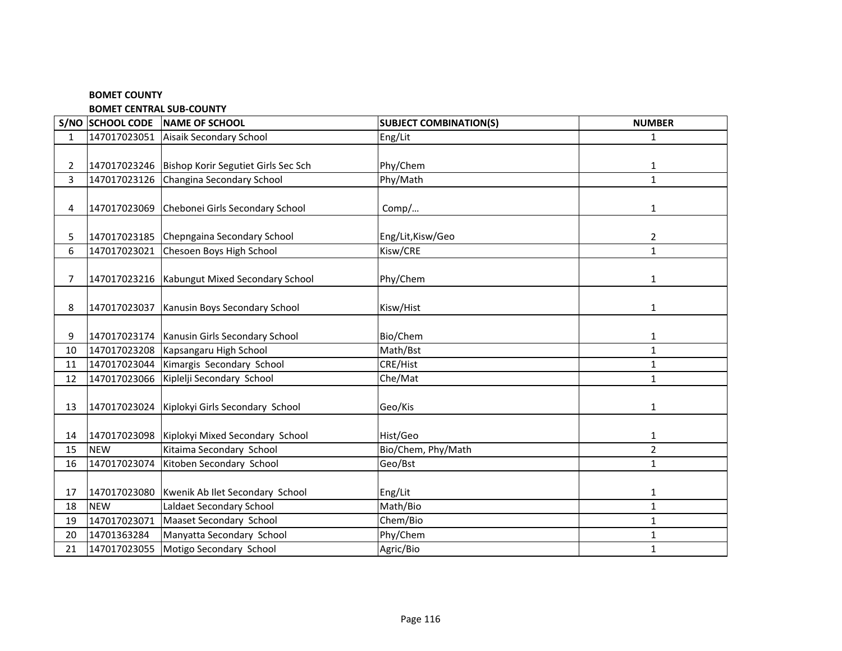#### **BOMET COUNTY**

**BOMET CENTRAL SUB-COUNTY**

|              | S/NO SCHOOL CODE | NAME OF SCHOOL                                     | <b>SUBJECT COMBINATION(S)</b> | <b>NUMBER</b>  |
|--------------|------------------|----------------------------------------------------|-------------------------------|----------------|
| $\mathbf{1}$ | 147017023051     | Aisaik Secondary School                            | Eng/Lit                       | $\mathbf{1}$   |
|              |                  |                                                    |                               |                |
| 2            |                  | 147017023246   Bishop Korir Segutiet Girls Sec Sch | Phy/Chem                      | 1              |
| 3            |                  | 147017023126 Changina Secondary School             | Phy/Math                      | $\mathbf{1}$   |
|              |                  |                                                    |                               |                |
| 4            |                  | 147017023069 Chebonei Girls Secondary School       | Comp/                         | $\mathbf{1}$   |
|              |                  |                                                    |                               |                |
| 5.           |                  | 147017023185 Chepngaina Secondary School           | Eng/Lit, Kisw/Geo             | $\overline{2}$ |
| 6            | 147017023021     | Chesoen Boys High School                           | Kisw/CRE                      | $\mathbf{1}$   |
|              |                  |                                                    |                               |                |
| 7            |                  | 147017023216   Kabungut Mixed Secondary School     | Phy/Chem                      | $\mathbf{1}$   |
|              |                  |                                                    |                               |                |
| 8            | 147017023037     | Kanusin Boys Secondary School                      | Kisw/Hist                     | $\mathbf{1}$   |
|              |                  |                                                    |                               |                |
| 9            |                  | 147017023174   Kanusin Girls Secondary School      | Bio/Chem                      | 1              |
| 10           | 147017023208     | Kapsangaru High School                             | Math/Bst                      | $\mathbf{1}$   |
| 11           | 147017023044     | Kimargis Secondary School                          | CRE/Hist                      | $\mathbf{1}$   |
| 12           | 147017023066     | Kiplelji Secondary School                          | Che/Mat                       | $\mathbf{1}$   |
|              |                  |                                                    |                               |                |
| 13           |                  | 147017023024 Kiplokyi Girls Secondary School       | Geo/Kis                       | $\mathbf{1}$   |
|              |                  |                                                    |                               |                |
| 14           |                  | 147017023098 Kiplokyi Mixed Secondary School       | Hist/Geo                      | $\mathbf{1}$   |
| 15           | <b>NEW</b>       | Kitaima Secondary School                           | Bio/Chem, Phy/Math            | $\overline{2}$ |
| 16           | 147017023074     | Kitoben Secondary School                           | Geo/Bst                       | $\mathbf{1}$   |
|              |                  |                                                    |                               |                |
| 17           | 147017023080     | Kwenik Ab Ilet Secondary School                    | Eng/Lit                       | $\mathbf{1}$   |
| 18           | <b>NEW</b>       | Laldaet Secondary School                           | Math/Bio                      | $\mathbf{1}$   |
| 19           | 147017023071     | Maaset Secondary School                            | Chem/Bio                      | $\mathbf{1}$   |
| 20           | 14701363284      | Manyatta Secondary School                          | Phy/Chem                      | $\mathbf{1}$   |
| 21           | 147017023055     | Motigo Secondary School                            | Agric/Bio                     | $\mathbf{1}$   |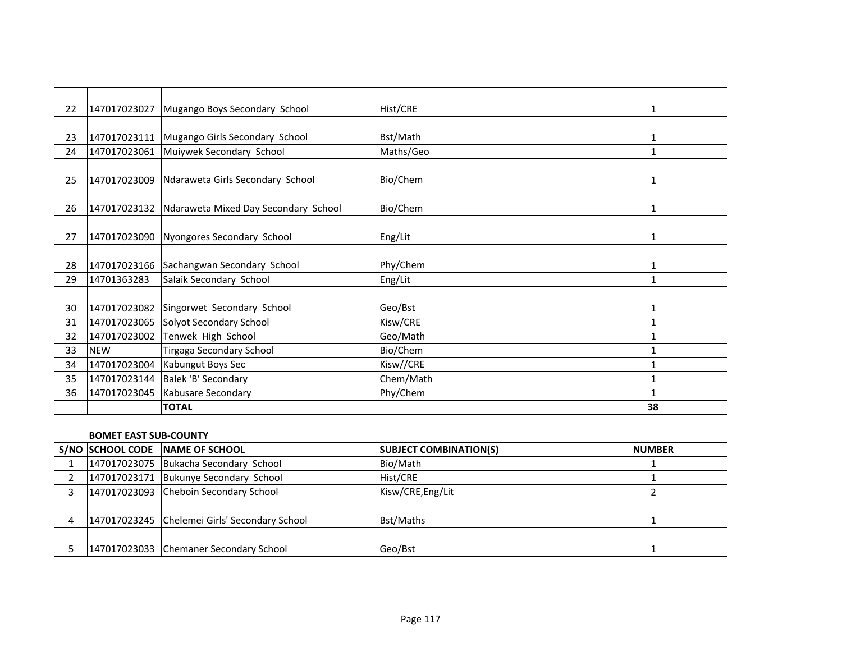| 22 | 147017023027 | Mugango Boys Secondary School                     | Hist/CRE  | $\mathbf{1}$ |
|----|--------------|---------------------------------------------------|-----------|--------------|
|    |              |                                                   |           |              |
| 23 |              | 147017023111   Mugango Girls Secondary School     | Bst/Math  | 1            |
| 24 |              | 147017023061 Muiywek Secondary School             | Maths/Geo | $\mathbf{1}$ |
|    |              |                                                   |           |              |
| 25 | 147017023009 | Ndaraweta Girls Secondary School                  | Bio/Chem  | $\mathbf{1}$ |
|    |              |                                                   |           |              |
| 26 |              | 147017023132 Ndaraweta Mixed Day Secondary School | Bio/Chem  | 1            |
|    |              |                                                   |           |              |
| 27 | 147017023090 | Nyongores Secondary School                        | Eng/Lit   | 1            |
|    |              |                                                   |           |              |
| 28 |              | 147017023166 Sachangwan Secondary School          | Phy/Chem  | 1            |
| 29 | 14701363283  | Salaik Secondary School                           | Eng/Lit   | $\mathbf{1}$ |
|    |              |                                                   |           |              |
| 30 |              | 147017023082 Singorwet Secondary School           | Geo/Bst   | $\mathbf{1}$ |
| 31 | 147017023065 | Solyot Secondary School                           | Kisw/CRE  | 1            |
| 32 | 147017023002 | Tenwek High School                                | Geo/Math  | 1            |
| 33 | <b>NEW</b>   | Tirgaga Secondary School                          | Bio/Chem  | 1            |
| 34 | 147017023004 | Kabungut Boys Sec                                 | Kisw//CRE | $\mathbf{1}$ |
| 35 |              | 147017023144   Balek 'B' Secondary                | Chem/Math | $\mathbf{1}$ |
| 36 | 147017023045 | Kabusare Secondary                                | Phy/Chem  |              |
|    |              | <b>TOTAL</b>                                      |           | 38           |

#### **BOMET EAST SUB-COUNTY**

|  | S/NO SCHOOL CODE NAME OF SCHOOL               | <b>SUBJECT COMBINATION(S)</b> | <b>NUMBER</b> |
|--|-----------------------------------------------|-------------------------------|---------------|
|  | 147017023075 Bukacha Secondary School         | Bio/Math                      |               |
|  | 147017023171 Bukunye Secondary School         | Hist/CRE                      |               |
|  | 147017023093 Cheboin Secondary School         | Kisw/CRE, Eng/Lit             |               |
|  |                                               |                               |               |
|  | 147017023245 Chelemei Girls' Secondary School | Bst/Maths                     |               |
|  |                                               |                               |               |
|  | 147017023033 Chemaner Secondary School        | Geo/Bst                       |               |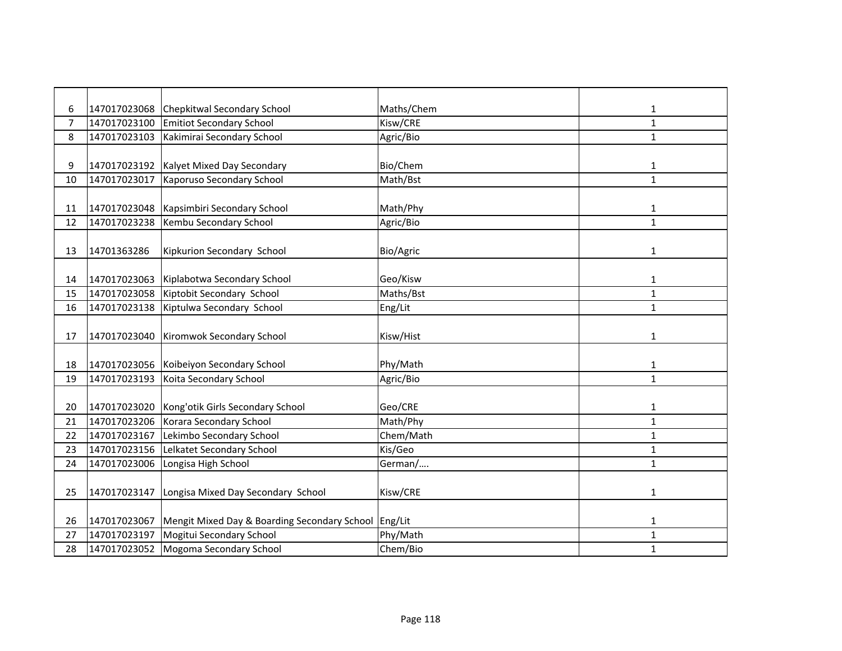| 6  | 147017023068 | <b>Chepkitwal Secondary School</b>                   | Maths/Chem | 1            |
|----|--------------|------------------------------------------------------|------------|--------------|
| 7  | 147017023100 | <b>Emitiot Secondary School</b>                      | Kisw/CRE   | $\mathbf{1}$ |
| 8  | 147017023103 | Kakimirai Secondary School                           | Agric/Bio  | $\mathbf{1}$ |
|    |              |                                                      |            |              |
| 9  |              | 147017023192 Kalyet Mixed Day Secondary              | Bio/Chem   | 1            |
| 10 | 147017023017 | Kaporuso Secondary School                            | Math/Bst   | $\mathbf{1}$ |
|    |              |                                                      |            |              |
| 11 | 147017023048 | Kapsimbiri Secondary School                          | Math/Phy   | 1            |
| 12 | 147017023238 | Kembu Secondary School                               | Agric/Bio  | $\mathbf{1}$ |
|    |              |                                                      |            |              |
| 13 | 14701363286  | Kipkurion Secondary School                           | Bio/Agric  | 1            |
|    |              |                                                      |            |              |
| 14 | 147017023063 | Kiplabotwa Secondary School                          | Geo/Kisw   | 1            |
| 15 | 147017023058 | Kiptobit Secondary School                            | Maths/Bst  | $\mathbf{1}$ |
| 16 | 147017023138 | Kiptulwa Secondary School                            | Eng/Lit    | $\mathbf{1}$ |
|    |              |                                                      |            |              |
| 17 | 147017023040 | Kiromwok Secondary School                            | Kisw/Hist  | 1            |
|    |              |                                                      |            |              |
| 18 | 147017023056 | Koibeiyon Secondary School                           | Phy/Math   | 1            |
| 19 | 147017023193 | Koita Secondary School                               | Agric/Bio  | $\mathbf{1}$ |
|    |              |                                                      |            |              |
| 20 | 147017023020 | Kong'otik Girls Secondary School                     | Geo/CRE    | 1            |
| 21 | 147017023206 | Korara Secondary School                              | Math/Phy   | $\mathbf{1}$ |
| 22 | 147017023167 | Lekimbo Secondary School                             | Chem/Math  | $\mathbf{1}$ |
| 23 | 147017023156 | Lelkatet Secondary School                            | Kis/Geo    | $\mathbf{1}$ |
| 24 | 147017023006 | Longisa High School                                  | German/    | $\mathbf{1}$ |
|    |              |                                                      |            |              |
| 25 | 147017023147 | Longisa Mixed Day Secondary School                   | Kisw/CRE   | $\mathbf{1}$ |
|    |              |                                                      |            |              |
| 26 | 147017023067 | Mengit Mixed Day & Boarding Secondary School Eng/Lit |            | 1            |
| 27 | 147017023197 | Mogitui Secondary School                             | Phy/Math   | 1            |
| 28 | 147017023052 | Mogoma Secondary School                              | Chem/Bio   | 1            |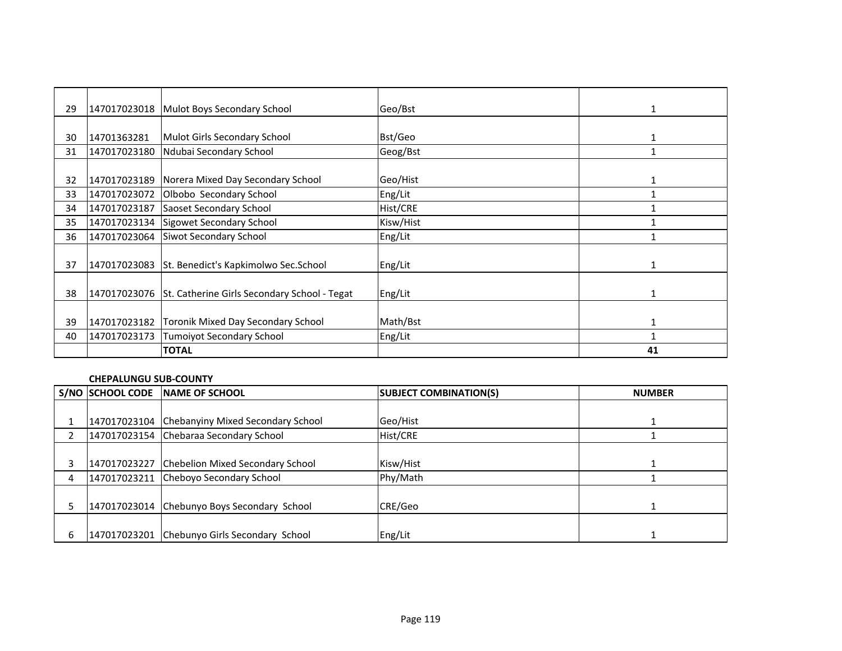| 29 |              | 147017023018 Mulot Boys Secondary School                  | Geo/Bst   | 1            |
|----|--------------|-----------------------------------------------------------|-----------|--------------|
|    |              |                                                           |           |              |
| 30 | 14701363281  | Mulot Girls Secondary School                              | Bst/Geo   |              |
| 31 | 147017023180 | Ndubai Secondary School                                   | Geog/Bst  | 1            |
|    |              |                                                           |           |              |
| 32 | 147017023189 | Norera Mixed Day Secondary School                         | Geo/Hist  | 1            |
| 33 | 147017023072 | Olbobo Secondary School                                   | Eng/Lit   |              |
| 34 | 147017023187 | Saoset Secondary School                                   | Hist/CRE  |              |
| 35 | 147017023134 | Sigowet Secondary School                                  | Kisw/Hist |              |
| 36 | 147017023064 | <b>Siwot Secondary School</b>                             | Eng/Lit   |              |
|    |              |                                                           |           |              |
| 37 | 147017023083 | St. Benedict's Kapkimolwo Sec. School                     | Eng/Lit   | 1            |
|    |              |                                                           |           |              |
| 38 |              | 147017023076 St. Catherine Girls Secondary School - Tegat | Eng/Lit   | $\mathbf{1}$ |
|    |              |                                                           |           |              |
| 39 |              | 147017023182 Toronik Mixed Day Secondary School           | Math/Bst  |              |
| 40 | 147017023173 | Tumoiyot Secondary School                                 | Eng/Lit   |              |
|    |              | <b>TOTAL</b>                                              |           | 41           |

## **CHEPALUNGU SUB-COUNTY**

|   | S/NO SCHOOL CODE NAME OF SCHOOL                | <b>SUBJECT COMBINATION(S)</b> | <b>NUMBER</b> |
|---|------------------------------------------------|-------------------------------|---------------|
|   |                                                |                               |               |
|   | 147017023104 Chebanyiny Mixed Secondary School | Geo/Hist                      |               |
|   | 147017023154 Chebaraa Secondary School         | Hist/CRE                      |               |
|   |                                                |                               |               |
|   | 147017023227 Chebelion Mixed Secondary School  | Kisw/Hist                     |               |
| 4 | 147017023211 Cheboyo Secondary School          | Phy/Math                      |               |
|   |                                                |                               |               |
|   | 147017023014 Chebunyo Boys Secondary School    | CRE/Geo                       |               |
|   |                                                |                               |               |
|   | 147017023201 Chebunyo Girls Secondary School   | Eng/Lit                       |               |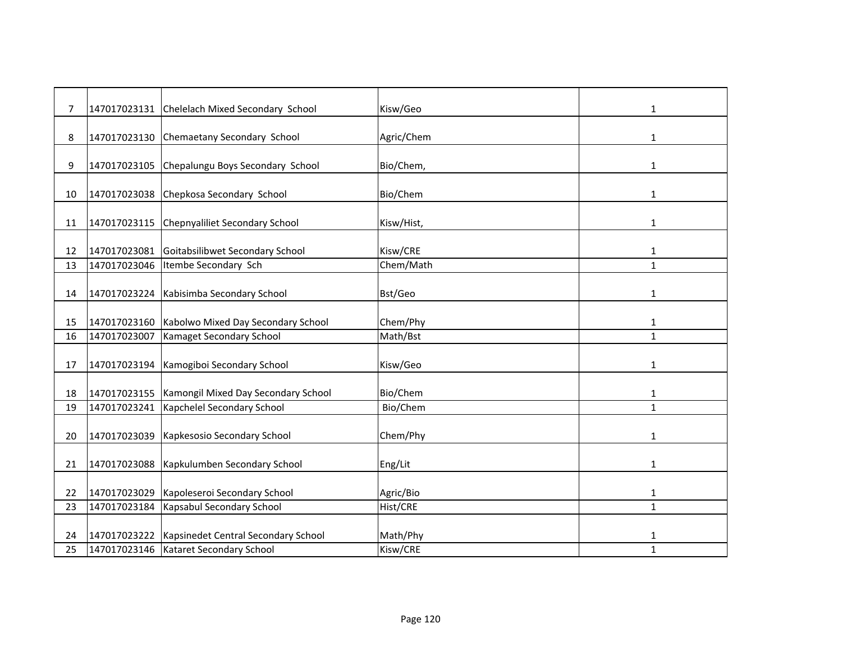| 7  | 147017023131 | Chelelach Mixed Secondary School        | Kisw/Geo   | 1            |
|----|--------------|-----------------------------------------|------------|--------------|
| 8  | 147017023130 | Chemaetany Secondary School             | Agric/Chem | 1            |
| 9  | 147017023105 | Chepalungu Boys Secondary School        | Bio/Chem,  | 1            |
| 10 | 147017023038 | Chepkosa Secondary School               | Bio/Chem   | 1            |
| 11 | 147017023115 | Chepnyaliliet Secondary School          | Kisw/Hist, | 1            |
| 12 | 147017023081 | Goitabsilibwet Secondary School         | Kisw/CRE   | 1            |
| 13 | 147017023046 | Itembe Secondary Sch                    | Chem/Math  | $\mathbf{1}$ |
| 14 |              | 147017023224 Kabisimba Secondary School | Bst/Geo    | $\mathbf{1}$ |
| 15 | 147017023160 | Kabolwo Mixed Day Secondary School      | Chem/Phy   | 1            |
| 16 | 147017023007 | Kamaget Secondary School                | Math/Bst   | $\mathbf{1}$ |
| 17 | 147017023194 | Kamogiboi Secondary School              | Kisw/Geo   | 1            |
| 18 | 147017023155 | Kamongil Mixed Day Secondary School     | Bio/Chem   | $\mathbf{1}$ |
| 19 | 147017023241 | Kapchelel Secondary School              | Bio/Chem   | $\mathbf{1}$ |
| 20 | 147017023039 | Kapkesosio Secondary School             | Chem/Phy   | 1            |
| 21 | 147017023088 | Kapkulumben Secondary School            | Eng/Lit    | $\mathbf{1}$ |
| 22 | 147017023029 | Kapoleseroi Secondary School            | Agric/Bio  | $\mathbf{1}$ |
| 23 | 147017023184 | Kapsabul Secondary School               | Hist/CRE   | $\mathbf{1}$ |
| 24 | 147017023222 | Kapsinedet Central Secondary School     | Math/Phy   | 1            |
| 25 |              | 147017023146   Kataret Secondary School | Kisw/CRE   | $\mathbf{1}$ |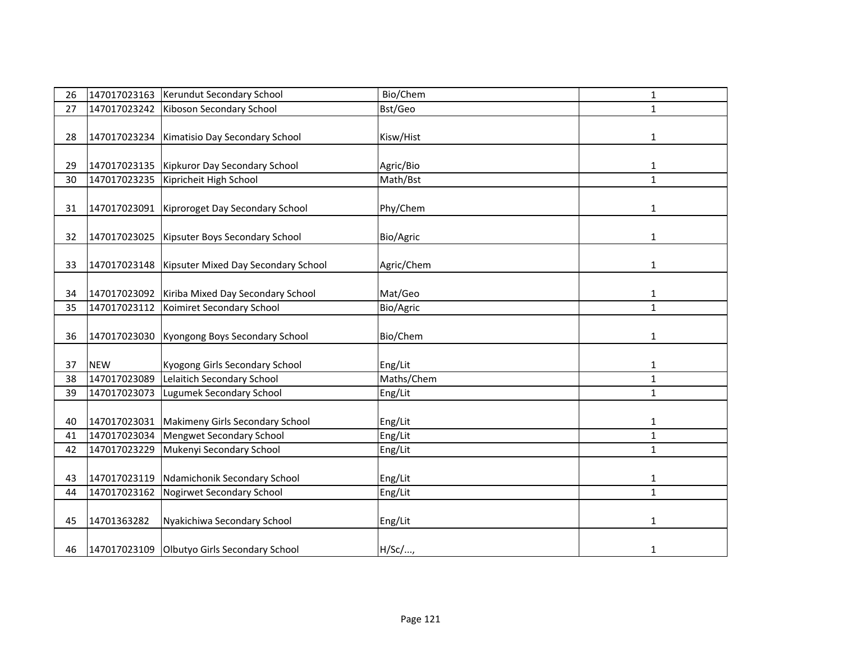| 26 | 147017023163 | Kerundut Secondary School                          | Bio/Chem   | $\mathbf{1}$ |
|----|--------------|----------------------------------------------------|------------|--------------|
| 27 | 147017023242 | Kiboson Secondary School                           | Bst/Geo    | $\mathbf{1}$ |
|    |              |                                                    |            |              |
| 28 | 147017023234 | Kimatisio Day Secondary School                     | Kisw/Hist  | $\mathbf{1}$ |
|    |              |                                                    |            |              |
| 29 |              | 147017023135   Kipkuror Day Secondary School       | Agric/Bio  | $\mathbf{1}$ |
| 30 | 147017023235 | Kipricheit High School                             | Math/Bst   | $\mathbf{1}$ |
|    |              |                                                    |            |              |
| 31 |              | 147017023091   Kiproroget Day Secondary School     | Phy/Chem   | 1            |
|    |              |                                                    |            |              |
| 32 |              | 147017023025   Kipsuter Boys Secondary School      | Bio/Agric  | 1            |
|    |              |                                                    |            |              |
| 33 |              | 147017023148   Kipsuter Mixed Day Secondary School | Agric/Chem | 1            |
|    |              |                                                    |            |              |
| 34 |              | 147017023092 Kiriba Mixed Day Secondary School     | Mat/Geo    | 1            |
| 35 | 147017023112 | Koimiret Secondary School                          | Bio/Agric  | $\mathbf{1}$ |
|    |              |                                                    |            |              |
| 36 | 147017023030 | Kyongong Boys Secondary School                     | Bio/Chem   | 1            |
|    |              |                                                    |            |              |
| 37 | <b>NEW</b>   | Kyogong Girls Secondary School                     | Eng/Lit    | $\mathbf{1}$ |
| 38 | 147017023089 | Lelaitich Secondary School                         | Maths/Chem | $\mathbf{1}$ |
| 39 | 147017023073 | Lugumek Secondary School                           | Eng/Lit    | $\mathbf{1}$ |
|    |              |                                                    |            |              |
| 40 | 147017023031 | Makimeny Girls Secondary School                    | Eng/Lit    | $\mathbf{1}$ |
| 41 | 147017023034 | Mengwet Secondary School                           | Eng/Lit    | $\mathbf{1}$ |
| 42 | 147017023229 | Mukenyi Secondary School                           | Eng/Lit    | $\mathbf{1}$ |
|    |              |                                                    |            |              |
| 43 | 147017023119 | Ndamichonik Secondary School                       | Eng/Lit    | $\mathbf{1}$ |
| 44 | 147017023162 | Nogirwet Secondary School                          | Eng/Lit    | $\mathbf{1}$ |
|    |              |                                                    |            |              |
| 45 | 14701363282  | Nyakichiwa Secondary School                        | Eng/Lit    | 1            |
|    |              |                                                    |            |              |
| 46 |              | 147017023109 Olbutyo Girls Secondary School        | H/Sc/,     | 1            |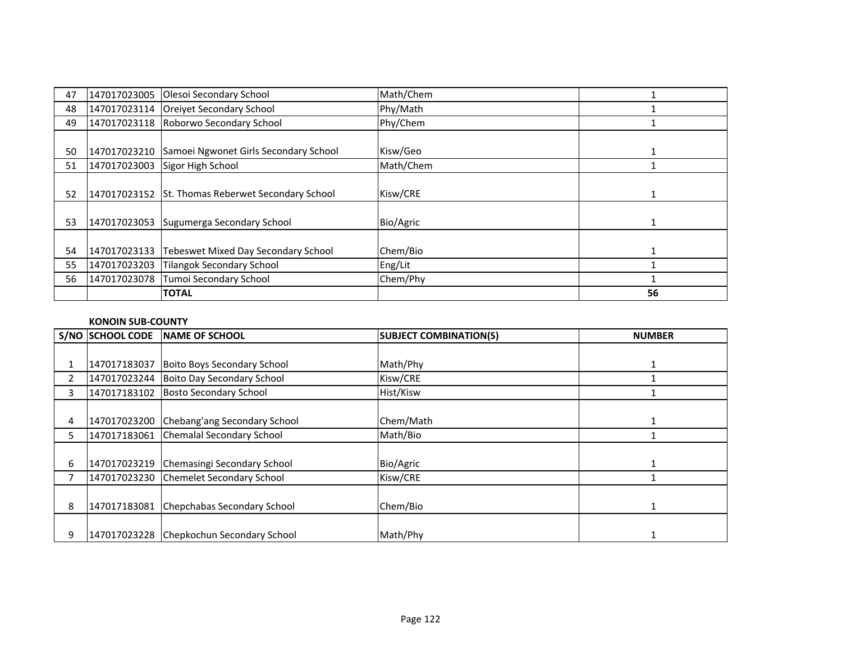| 47 | 147017023005 | Olesoi Secondary School               | Math/Chem |    |
|----|--------------|---------------------------------------|-----------|----|
| 48 |              | 147017023114 Oreivet Secondary School | Phy/Math  |    |
| 49 | 147017023118 | Roborwo Secondary School              | Phy/Chem  |    |
|    |              |                                       |           |    |
| 50 | 147017023210 | Samoei Ngwonet Girls Secondary School | Kisw/Geo  |    |
| 51 | 147017023003 | Sigor High School                     | Math/Chem |    |
|    |              |                                       |           |    |
| 52 | 147017023152 | St. Thomas Reberwet Secondary School  | Kisw/CRE  |    |
|    |              |                                       |           |    |
| 53 | 147017023053 | Sugumerga Secondary School            | Bio/Agric |    |
|    |              |                                       |           |    |
| 54 | 147017023133 | Tebeswet Mixed Day Secondary School   | Chem/Bio  |    |
| 55 | 147017023203 | <b>Tilangok Secondary School</b>      | Eng/Lit   |    |
| 56 | 147017023078 | Tumoi Secondary School                | Chem/Phy  |    |
|    |              | <b>TOTAL</b>                          |           | 56 |

## **KONOIN SUB-COUNTY**

|   | S/NO SCHOOL CODE | <b>NAME OF SCHOOL</b>                    | <b>SUBJECT COMBINATION(S)</b> | <b>NUMBER</b> |
|---|------------------|------------------------------------------|-------------------------------|---------------|
|   |                  |                                          |                               |               |
|   | 147017183037     | Boito Boys Secondary School              | Math/Phy                      |               |
|   |                  | 147017023244 Boito Day Secondary School  | Kisw/CRE                      |               |
| 3 |                  | 147017183102 Bosto Secondary School      | Hist/Kisw                     |               |
|   |                  |                                          |                               |               |
| 4 | 147017023200     | Chebang'ang Secondary School             | Chem/Math                     |               |
| 5 | 147017183061     | Chemalal Secondary School                | Math/Bio                      |               |
|   |                  |                                          |                               |               |
| 6 | 147017023219     | Chemasingi Secondary School              | Bio/Agric                     |               |
|   |                  | 147017023230 Chemelet Secondary School   | Kisw/CRE                      |               |
|   |                  |                                          |                               |               |
| 8 | 147017183081     | Chepchabas Secondary School              | Chem/Bio                      |               |
|   |                  |                                          |                               |               |
| 9 |                  | 147017023228 Chepkochun Secondary School | Math/Phy                      |               |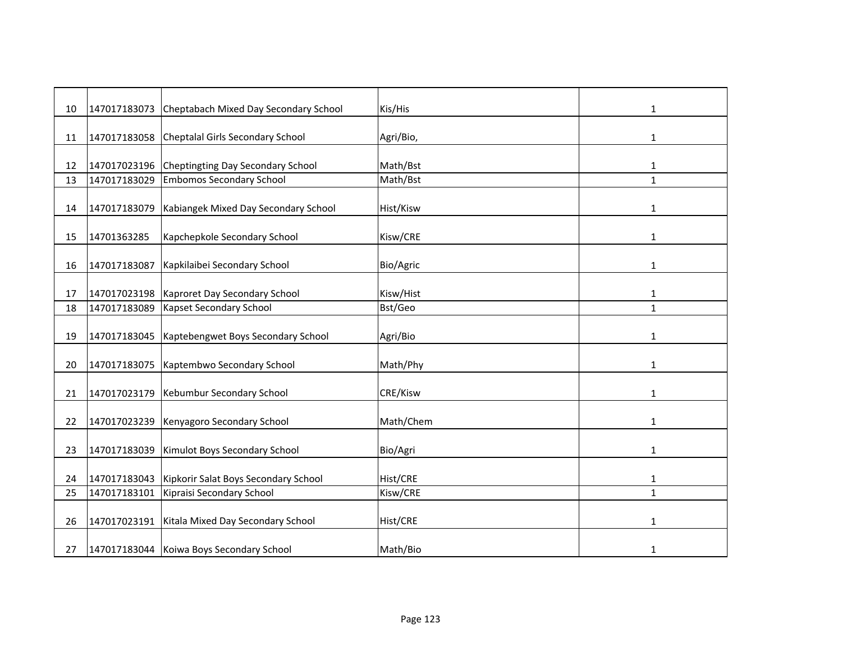| 10 | 147017183073 | Cheptabach Mixed Day Secondary School    | Kis/His         | 1            |
|----|--------------|------------------------------------------|-----------------|--------------|
| 11 | 147017183058 | Cheptalal Girls Secondary School         | Agri/Bio,       | 1            |
| 12 | 147017023196 | Cheptingting Day Secondary School        | Math/Bst        | 1            |
| 13 | 147017183029 | <b>Embomos Secondary School</b>          | Math/Bst        | $\mathbf{1}$ |
| 14 | 147017183079 | Kabiangek Mixed Day Secondary School     | Hist/Kisw       | 1            |
| 15 | 14701363285  | Kapchepkole Secondary School             | Kisw/CRE        | $\mathbf{1}$ |
| 16 | 147017183087 | Kapkilaibei Secondary School             | Bio/Agric       | $\mathbf{1}$ |
| 17 | 147017023198 | Kaproret Day Secondary School            | Kisw/Hist       | $\mathbf{1}$ |
| 18 | 147017183089 | Kapset Secondary School                  | Bst/Geo         | $\mathbf{1}$ |
| 19 | 147017183045 | Kaptebengwet Boys Secondary School       | Agri/Bio        | 1            |
| 20 | 147017183075 | Kaptembwo Secondary School               | Math/Phy        | $\mathbf{1}$ |
| 21 | 147017023179 | Kebumbur Secondary School                | CRE/Kisw        | 1            |
| 22 | 147017023239 | Kenyagoro Secondary School               | Math/Chem       | 1            |
| 23 | 147017183039 | Kimulot Boys Secondary School            | Bio/Agri        | $\mathbf{1}$ |
| 24 | 147017183043 | Kipkorir Salat Boys Secondary School     | Hist/CRE        | $\mathbf{1}$ |
| 25 | 147017183101 | Kipraisi Secondary School                | Kisw/CRE        | $\mathbf{1}$ |
| 26 | 147017023191 | Kitala Mixed Day Secondary School        | <b>Hist/CRE</b> | 1            |
| 27 |              | 147017183044 Koiwa Boys Secondary School | Math/Bio        | $\mathbf{1}$ |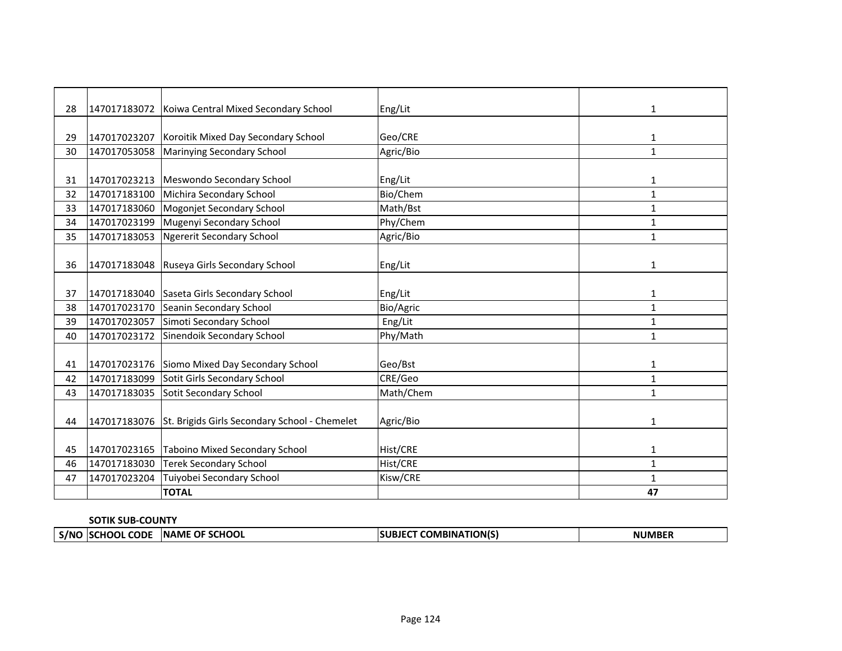| 28 |              | 147017183072 Koiwa Central Mixed Secondary School          | Eng/Lit   | 1            |
|----|--------------|------------------------------------------------------------|-----------|--------------|
|    |              |                                                            |           |              |
| 29 |              | 147017023207 Koroitik Mixed Day Secondary School           | Geo/CRE   | 1            |
| 30 | 147017053058 | Marinying Secondary School                                 | Agric/Bio | $\mathbf{1}$ |
|    |              |                                                            |           |              |
| 31 | 147017023213 | Meswondo Secondary School                                  | Eng/Lit   | $\mathbf{1}$ |
| 32 | 147017183100 | Michira Secondary School                                   | Bio/Chem  | $\mathbf{1}$ |
| 33 | 147017183060 | Mogonjet Secondary School                                  | Math/Bst  | $\mathbf{1}$ |
| 34 | 147017023199 | Mugenyi Secondary School                                   | Phy/Chem  | 1            |
| 35 | 147017183053 | <b>Ngererit Secondary School</b>                           | Agric/Bio | $\mathbf{1}$ |
|    |              |                                                            |           |              |
| 36 |              | 147017183048 Ruseya Girls Secondary School                 | Eng/Lit   | 1            |
|    |              |                                                            |           |              |
| 37 |              | 147017183040 Saseta Girls Secondary School                 | Eng/Lit   | 1            |
| 38 | 147017023170 | Seanin Secondary School                                    | Bio/Agric | $\mathbf{1}$ |
| 39 | 147017023057 | Simoti Secondary School                                    | Eng/Lit   | 1            |
| 40 | 147017023172 | Sinendoik Secondary School                                 | Phy/Math  | $\mathbf{1}$ |
|    |              |                                                            |           |              |
| 41 |              | 147017023176 Siomo Mixed Day Secondary School              | Geo/Bst   | $\mathbf{1}$ |
| 42 | 147017183099 | Sotit Girls Secondary School                               | CRE/Geo   | $\mathbf{1}$ |
| 43 | 147017183035 | Sotit Secondary School                                     | Math/Chem | $\mathbf{1}$ |
|    |              |                                                            |           |              |
| 44 |              | 147017183076 St. Brigids Girls Secondary School - Chemelet | Agric/Bio | 1            |
|    |              |                                                            |           |              |
| 45 |              | 147017023165 Taboino Mixed Secondary School                | Hist/CRE  | 1            |
| 46 | 147017183030 | <b>Terek Secondary School</b>                              | Hist/CRE  | $\mathbf{1}$ |
| 47 | 147017023204 | Tuiyobei Secondary School                                  | Kisw/CRE  | $\mathbf{1}$ |
|    |              | <b>TOTAL</b>                                               |           | 47           |

# **SOTIK SUB-COUNTY**

| - 5/N | $\sim$ $-$<br><b>CODF</b><br>лн | <b>INAME</b><br>$\sim$ $\sim$<br>ΩF<br><b>HUUL</b> | TION(S)<br>1BINA | $- - - -$ |
|-------|---------------------------------|----------------------------------------------------|------------------|-----------|
|       |                                 |                                                    |                  |           |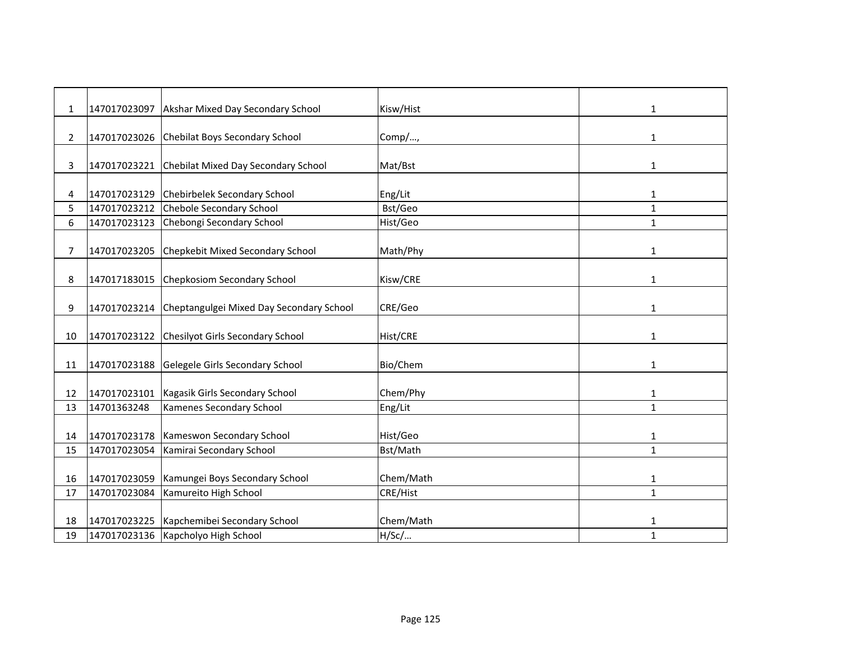| 1              | 147017023097 | Akshar Mixed Day Secondary School        | Kisw/Hist | 1            |
|----------------|--------------|------------------------------------------|-----------|--------------|
| $\overline{2}$ | 147017023026 | Chebilat Boys Secondary School           | Comp/,    | $\mathbf{1}$ |
|                |              |                                          |           |              |
| 3              | 147017023221 | Chebilat Mixed Day Secondary School      | Mat/Bst   | 1            |
| 4              | 147017023129 | Chebirbelek Secondary School             | Eng/Lit   | $\mathbf{1}$ |
| 5              | 147017023212 | Chebole Secondary School                 | Bst/Geo   | $\mathbf{1}$ |
| 6              | 147017023123 | Chebongi Secondary School                | Hist/Geo  | $\mathbf{1}$ |
| 7              | 147017023205 | Chepkebit Mixed Secondary School         | Math/Phy  | $\mathbf{1}$ |
| 8              | 147017183015 | Chepkosiom Secondary School              | Kisw/CRE  | 1            |
| 9              | 147017023214 | Cheptangulgei Mixed Day Secondary School | CRE/Geo   | 1            |
| 10             | 147017023122 | Chesilyot Girls Secondary School         | Hist/CRE  | 1            |
| 11             | 147017023188 | Gelegele Girls Secondary School          | Bio/Chem  | 1            |
| 12             | 147017023101 | Kagasik Girls Secondary School           | Chem/Phy  | $\mathbf{1}$ |
| 13             | 14701363248  | Kamenes Secondary School                 | Eng/Lit   | $\mathbf{1}$ |
| 14             | 147017023178 | Kameswon Secondary School                | Hist/Geo  | 1            |
| 15             | 147017023054 | Kamirai Secondary School                 | Bst/Math  | $\mathbf{1}$ |
| 16             | 147017023059 | Kamungei Boys Secondary School           | Chem/Math | 1            |
| 17             | 147017023084 | Kamureito High School                    | CRE/Hist  | $\mathbf{1}$ |
|                |              |                                          |           |              |
| 18             | 147017023225 | Kapchemibei Secondary School             | Chem/Math | 1            |
| 19             | 147017023136 | Kapcholyo High School                    | H/SC/     | $\mathbf{1}$ |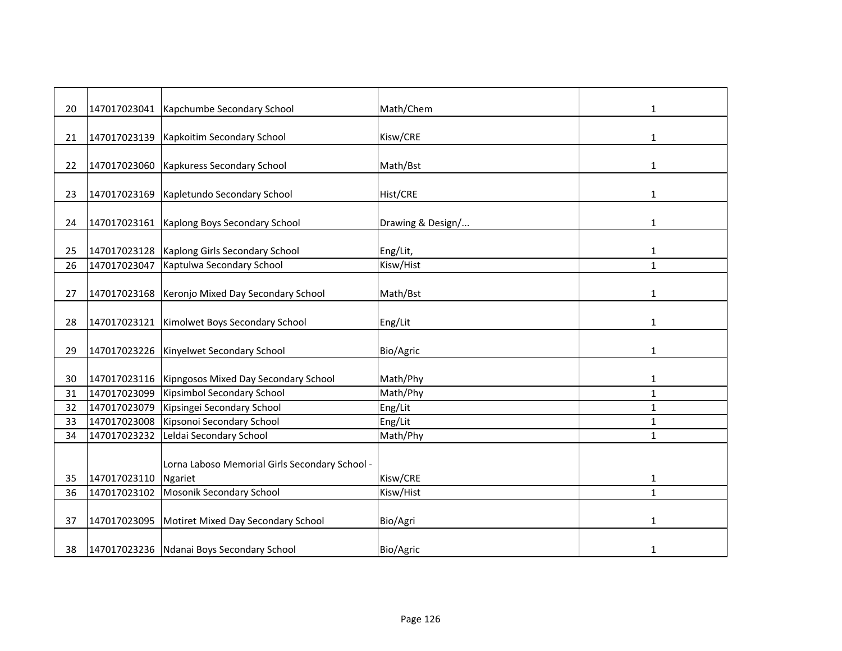| 20 |              | 147017023041   Kapchumbe Secondary School           | Math/Chem         | 1            |
|----|--------------|-----------------------------------------------------|-------------------|--------------|
| 21 | 147017023139 | Kapkoitim Secondary School                          | Kisw/CRE          | 1            |
|    |              |                                                     |                   |              |
| 22 | 147017023060 | <b>Kapkuress Secondary School</b>                   | Math/Bst          | 1            |
| 23 |              | 147017023169   Kapletundo Secondary School          | Hist/CRE          | 1            |
| 24 |              | 147017023161 Kaplong Boys Secondary School          | Drawing & Design/ | 1            |
|    |              |                                                     |                   |              |
| 25 | 147017023128 | Kaplong Girls Secondary School                      | Eng/Lit,          | $\mathbf{1}$ |
| 26 | 147017023047 | Kaptulwa Secondary School                           | Kisw/Hist         | $\mathbf{1}$ |
| 27 |              | 147017023168 Keronjo Mixed Day Secondary School     | Math/Bst          | $\mathbf{1}$ |
| 28 | 147017023121 | Kimolwet Boys Secondary School                      | Eng/Lit           | 1            |
| 29 | 147017023226 | Kinyelwet Secondary School                          | Bio/Agric         | 1            |
| 30 |              | 147017023116   Kipngosos Mixed Day Secondary School | Math/Phy          | $\mathbf{1}$ |
| 31 | 147017023099 | Kipsimbol Secondary School                          | Math/Phy          | $\mathbf{1}$ |
| 32 | 147017023079 | Kipsingei Secondary School                          | Eng/Lit           | $\mathbf{1}$ |
| 33 | 147017023008 | Kipsonoi Secondary School                           | Eng/Lit           | 1            |
| 34 | 147017023232 | Leldai Secondary School                             | Math/Phy          | $\mathbf{1}$ |
|    |              | Lorna Laboso Memorial Girls Secondary School -      |                   |              |
| 35 | 147017023110 | <b>Ngariet</b>                                      | Kisw/CRE          | 1            |
| 36 | 147017023102 | Mosonik Secondary School                            | Kisw/Hist         | $\mathbf{1}$ |
| 37 | 147017023095 | Motiret Mixed Day Secondary School                  | Bio/Agri          | 1            |
| 38 |              | 147017023236 Ndanai Boys Secondary School           | Bio/Agric         | 1            |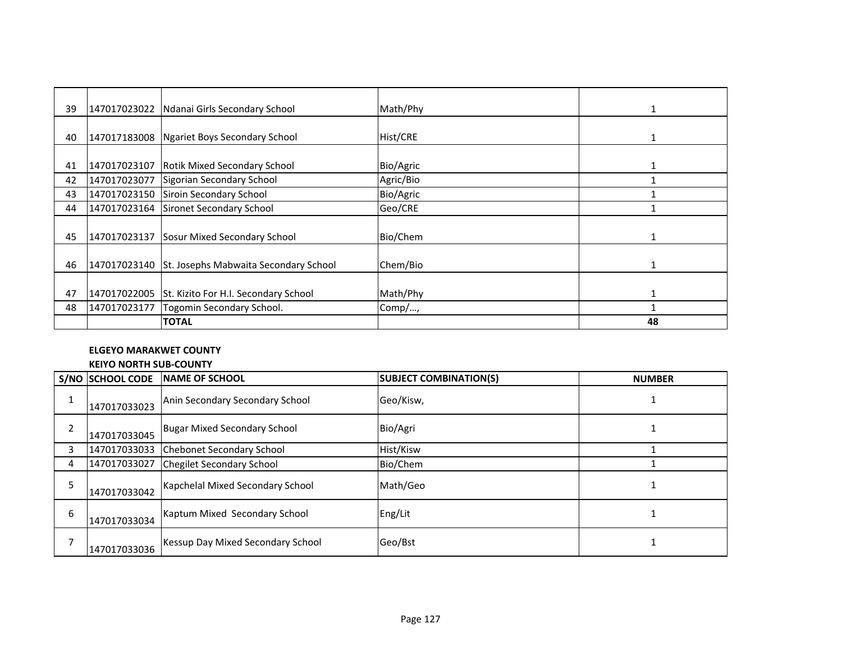| 39 |              | 147017023022 Ndanai Girls Secondary School         | Math/Phy  |    |
|----|--------------|----------------------------------------------------|-----------|----|
|    |              |                                                    |           |    |
| 40 |              | 147017183008 Ngariet Boys Secondary School         | Hist/CRE  |    |
|    |              |                                                    |           |    |
| 41 | 147017023107 | <b>Rotik Mixed Secondary School</b>                | Bio/Agric |    |
| 42 | 147017023077 | Sigorian Secondary School                          | Agric/Bio |    |
| 43 |              | 147017023150 Siroin Secondary School               | Bio/Agric |    |
| 44 |              | 147017023164 Sironet Secondary School              | Geo/CRE   |    |
|    |              |                                                    |           |    |
| 45 | 147017023137 | Sosur Mixed Secondary School                       | Bio/Chem  |    |
|    |              |                                                    |           |    |
| 46 |              | 147017023140 St. Josephs Mabwaita Secondary School | Chem/Bio  |    |
|    |              |                                                    |           |    |
| 47 |              | 147017022005 St. Kizito For H.I. Secondary School  | Math/Phy  | 1  |
| 48 | 147017023177 | Togomin Secondary School.                          | Comp/,    |    |
|    |              | <b>TOTAL</b>                                       |           | 48 |

# **ELGEYO MARAKWET COUNTY**

# **KEIYO NORTH SUB-COUNTY**

|   | S/NO SCHOOL CODE | <b>NAME OF SCHOOL</b>               | <b>SUBJECT COMBINATION(S)</b> | <b>NUMBER</b> |
|---|------------------|-------------------------------------|-------------------------------|---------------|
|   | 147017033023     | Anin Secondary Secondary School     | Geo/Kisw,                     |               |
|   | 147017033045     | <b>Bugar Mixed Secondary School</b> | Bio/Agri                      |               |
|   | 147017033033     | <b>Chebonet Secondary School</b>    | Hist/Kisw                     |               |
| 4 | 147017033027     | <b>Chegilet Secondary School</b>    | Bio/Chem                      |               |
|   | 147017033042     | Kapchelal Mixed Secondary School    | Math/Geo                      |               |
| 6 | 147017033034     | Kaptum Mixed Secondary School       | Eng/Lit                       |               |
|   | 147017033036     | Kessup Day Mixed Secondary School   | Geo/Bst                       |               |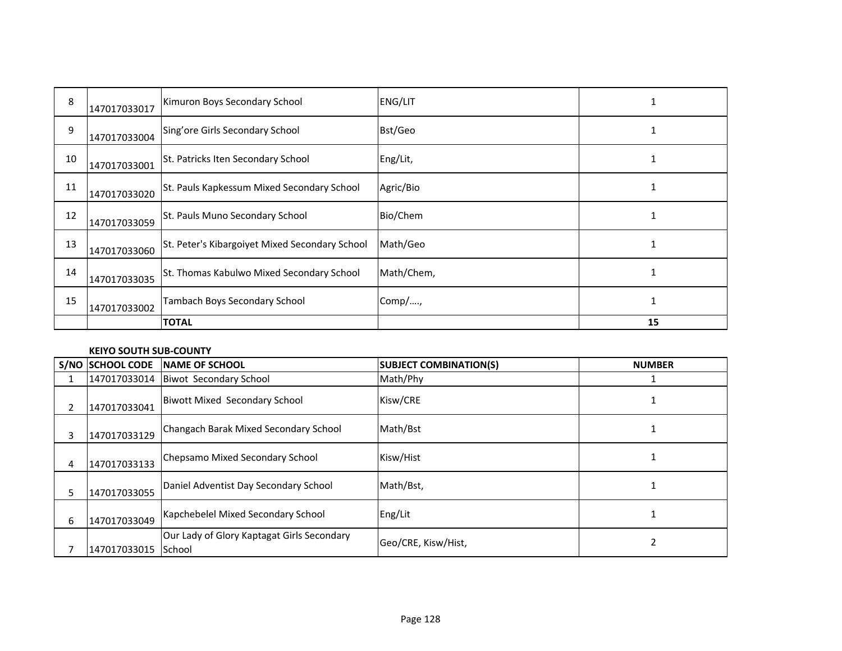| 8  | 147017033017 | Kimuron Boys Secondary School                  | ENG/LIT    |    |
|----|--------------|------------------------------------------------|------------|----|
| 9  | 147017033004 | Sing'ore Girls Secondary School                | Bst/Geo    |    |
| 10 | 147017033001 | St. Patricks Iten Secondary School             | Eng/Lit,   |    |
| 11 | 147017033020 | St. Pauls Kapkessum Mixed Secondary School     | Agric/Bio  |    |
| 12 | 147017033059 | St. Pauls Muno Secondary School                | Bio/Chem   |    |
| 13 | 147017033060 | St. Peter's Kibargoiyet Mixed Secondary School | Math/Geo   |    |
| 14 | 147017033035 | St. Thomas Kabulwo Mixed Secondary School      | Math/Chem, |    |
| 15 | 147017033002 | Tambach Boys Secondary School                  | Comp/,     |    |
|    |              | <b>TOTAL</b>                                   |            | 15 |

## **KEIYO SOUTH SUB-COUNTY**

|    | <b>S/NO SCHOOL CODE</b> | <b>INAME OF SCHOOL</b>                               | <b>SUBJECT COMBINATION(S)</b> | <b>NUMBER</b> |
|----|-------------------------|------------------------------------------------------|-------------------------------|---------------|
|    | 147017033014            | <b>Biwot Secondary School</b>                        | Math/Phy                      |               |
| 2  | 147017033041            | Biwott Mixed Secondary School                        | Kisw/CRE                      |               |
| 3  | 147017033129            | Changach Barak Mixed Secondary School                | Math/Bst                      |               |
| 4  | 147017033133            | Chepsamo Mixed Secondary School                      | Kisw/Hist                     |               |
| 5. | 147017033055            | Daniel Adventist Day Secondary School                | Math/Bst,                     |               |
| 6  | 147017033049            | Kapchebelel Mixed Secondary School                   | Eng/Lit                       |               |
|    | 147017033015            | Our Lady of Glory Kaptagat Girls Secondary<br>School | Geo/CRE, Kisw/Hist,           |               |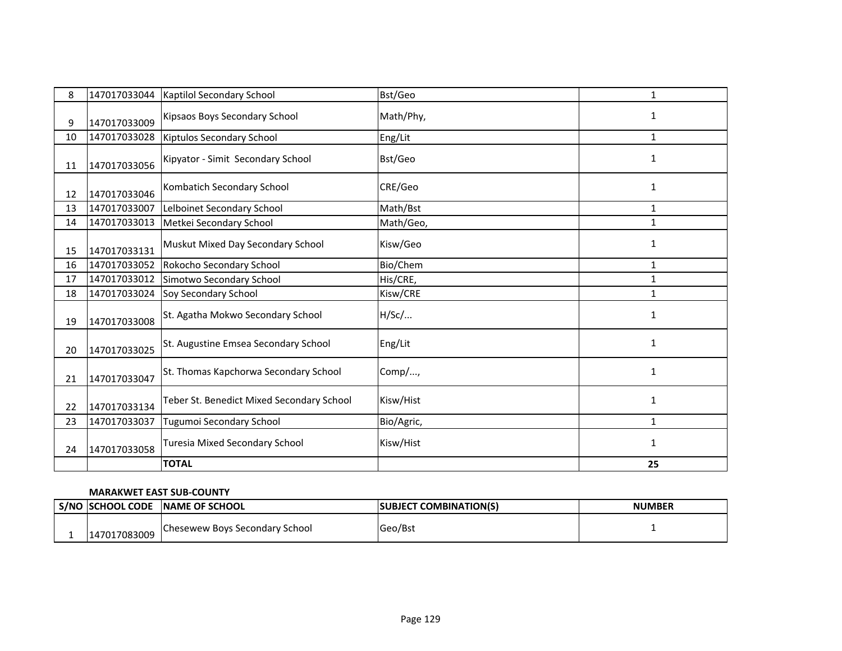| 8  | 147017033044 | Kaptilol Secondary School                 | Bst/Geo    | 1            |
|----|--------------|-------------------------------------------|------------|--------------|
| 9  | 147017033009 | Kipsaos Boys Secondary School             | Math/Phy,  | 1            |
| 10 | 147017033028 | <b>Kiptulos Secondary School</b>          | Eng/Lit    | $\mathbf{1}$ |
| 11 | 147017033056 | Kipyator - Simit Secondary School         | Bst/Geo    | 1            |
| 12 | 147017033046 | Kombatich Secondary School                | CRE/Geo    | 1            |
| 13 | 147017033007 | Lelboinet Secondary School                | Math/Bst   | $\mathbf{1}$ |
| 14 | 147017033013 | Metkei Secondary School                   | Math/Geo,  | $\mathbf{1}$ |
| 15 | 147017033131 | Muskut Mixed Day Secondary School         | Kisw/Geo   | $\mathbf{1}$ |
| 16 | 147017033052 | Rokocho Secondary School                  | Bio/Chem   | $\mathbf{1}$ |
| 17 | 147017033012 | Simotwo Secondary School                  | His/CRE,   | 1            |
| 18 | 147017033024 | Soy Secondary School                      | Kisw/CRE   | $\mathbf{1}$ |
| 19 | 147017033008 | St. Agatha Mokwo Secondary School         | H/SC/      | 1            |
| 20 | 147017033025 | St. Augustine Emsea Secondary School      | Eng/Lit    | $\mathbf{1}$ |
| 21 | 147017033047 | St. Thomas Kapchorwa Secondary School     | Comp/,     | $\mathbf{1}$ |
| 22 | 147017033134 | Teber St. Benedict Mixed Secondary School | Kisw/Hist  | $\mathbf{1}$ |
| 23 | 147017033037 | Tugumoi Secondary School                  | Bio/Agric, | $\mathbf{1}$ |
| 24 | 147017033058 | <b>Turesia Mixed Secondary School</b>     | Kisw/Hist  | $\mathbf{1}$ |
|    |              | <b>TOTAL</b>                              |            | 25           |

# **MARAKWET EAST SUB-COUNTY**

| S/NO SCHOOL CODE | <b>INAME OF SCHOOL</b>                | <b>ISUBJECT COMBINATION(S)</b> | <b>NUMBER</b> |
|------------------|---------------------------------------|--------------------------------|---------------|
| 147017083009     | <b>Chesewew Boys Secondary School</b> | <b>IGeo/Bst</b>                |               |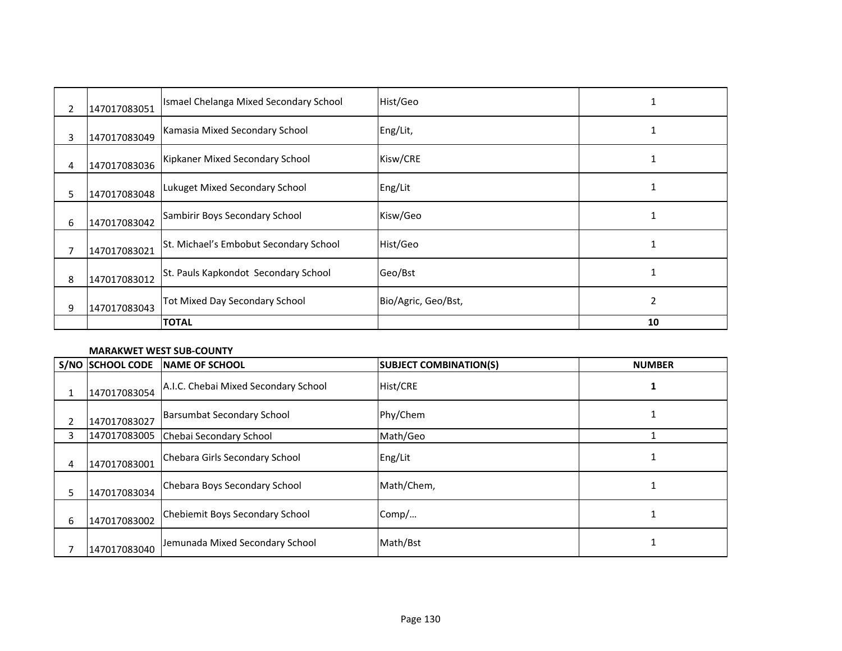| $\overline{2}$ | 147017083051 | Ismael Chelanga Mixed Secondary School | Hist/Geo            |    |
|----------------|--------------|----------------------------------------|---------------------|----|
| 3              | 147017083049 | Kamasia Mixed Secondary School         | Eng/Lit,            |    |
| 4              | 147017083036 | Kipkaner Mixed Secondary School        | Kisw/CRE            |    |
| 5.             | 147017083048 | Lukuget Mixed Secondary School         | Eng/Lit             |    |
| 6              | 147017083042 | Sambirir Boys Secondary School         | Kisw/Geo            |    |
| 7              | 147017083021 | St. Michael's Embobut Secondary School | Hist/Geo            |    |
| 8              | 147017083012 | St. Pauls Kapkondot Secondary School   | Geo/Bst             |    |
| 9              | 147017083043 | Tot Mixed Day Secondary School         | Bio/Agric, Geo/Bst, | 2  |
|                |              | <b>TOTAL</b>                           |                     | 10 |

## **MARAKWET WEST SUB-COUNTY**

|   | S/NO SCHOOL CODE | NAME OF SCHOOL                       | <b>SUBJECT COMBINATION(S)</b> | <b>NUMBER</b> |
|---|------------------|--------------------------------------|-------------------------------|---------------|
|   | 147017083054     | A.I.C. Chebai Mixed Secondary School | <b>Hist/CRE</b>               |               |
| 2 | 147017083027     | <b>Barsumbat Secondary School</b>    | Phy/Chem                      |               |
| 3 | 147017083005     | Chebai Secondary School              | Math/Geo                      |               |
| 4 | 147017083001     | Chebara Girls Secondary School       | Eng/Lit                       |               |
| 5 | 147017083034     | Chebara Boys Secondary School        | Math/Chem,                    |               |
| 6 | 147017083002     | Chebiemit Boys Secondary School      | Comp/                         |               |
|   | 147017083040     | Jemunada Mixed Secondary School      | Math/Bst                      |               |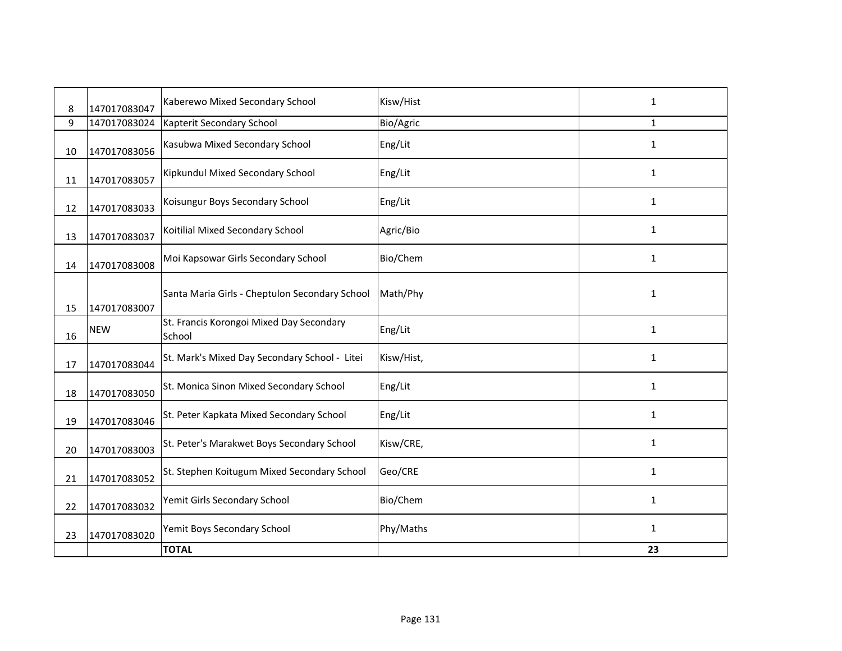| 8  | 147017083047 | Kaberewo Mixed Secondary School                    | Kisw/Hist  | 1            |
|----|--------------|----------------------------------------------------|------------|--------------|
| 9  | 147017083024 | Kapterit Secondary School                          | Bio/Agric  | $\mathbf{1}$ |
| 10 | 147017083056 | Kasubwa Mixed Secondary School                     | Eng/Lit    | $\mathbf{1}$ |
| 11 | 147017083057 | Kipkundul Mixed Secondary School                   | Eng/Lit    | 1            |
| 12 | 147017083033 | Koisungur Boys Secondary School                    | Eng/Lit    | 1            |
| 13 | 147017083037 | Koitilial Mixed Secondary School                   | Agric/Bio  | $\mathbf{1}$ |
| 14 | 147017083008 | Moi Kapsowar Girls Secondary School                | Bio/Chem   | 1            |
| 15 | 147017083007 | Santa Maria Girls - Cheptulon Secondary School     | Math/Phy   | $\mathbf{1}$ |
| 16 | <b>NEW</b>   | St. Francis Korongoi Mixed Day Secondary<br>School | Eng/Lit    | $\mathbf{1}$ |
| 17 | 147017083044 | St. Mark's Mixed Day Secondary School - Litei      | Kisw/Hist, | 1            |
| 18 | 147017083050 | St. Monica Sinon Mixed Secondary School            | Eng/Lit    | $\mathbf{1}$ |
| 19 | 147017083046 | St. Peter Kapkata Mixed Secondary School           | Eng/Lit    | $\mathbf{1}$ |
| 20 | 147017083003 | St. Peter's Marakwet Boys Secondary School         | Kisw/CRE,  | $\mathbf{1}$ |
| 21 | 147017083052 | St. Stephen Koitugum Mixed Secondary School        | Geo/CRE    | $\mathbf{1}$ |
| 22 | 147017083032 | Yemit Girls Secondary School                       | Bio/Chem   | $\mathbf{1}$ |
| 23 | 147017083020 | Yemit Boys Secondary School                        | Phy/Maths  | $\mathbf{1}$ |
|    |              | <b>TOTAL</b>                                       |            | 23           |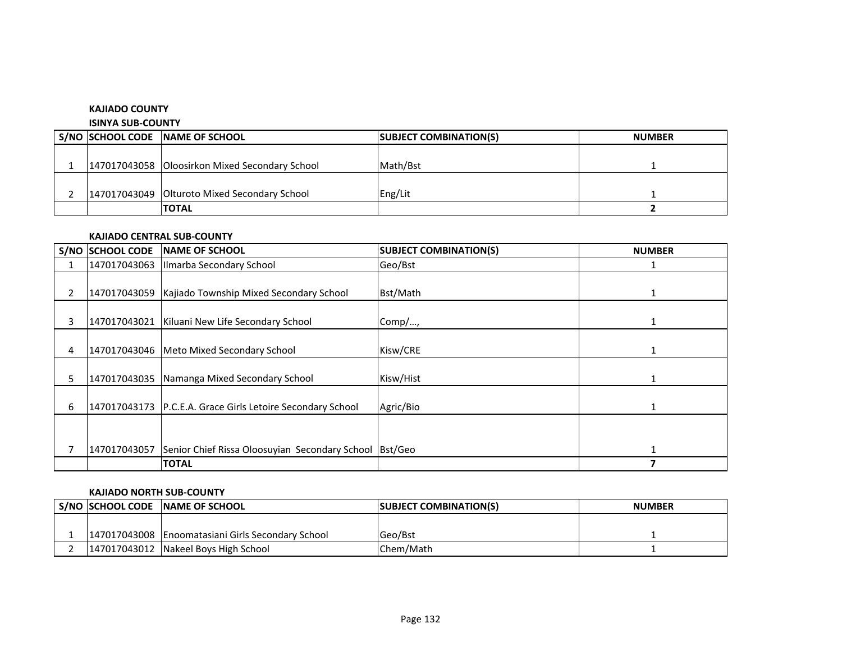#### **KAJIADO COUNTY**

#### **ISINYA SUB-COUNTY**

|  | S/NO SCHOOL CODE NAME OF SCHOOL                  | <b>SUBJECT COMBINATION(S)</b> | <b>NUMBER</b> |
|--|--------------------------------------------------|-------------------------------|---------------|
|  |                                                  |                               |               |
|  | 147017043058   Oloosirkon Mixed Secondary School | Math/Bst                      |               |
|  |                                                  |                               |               |
|  | 147017043049   Olturoto Mixed Secondary School   | Eng/Lit                       |               |
|  | <b>ITOTAL</b>                                    |                               |               |

#### **KAJIADO CENTRAL SUB-COUNTY**

|    | S/NO SCHOOL CODE | <b>INAME OF SCHOOL</b>                                     | <b>SUBJECT COMBINATION(S)</b> | <b>NUMBER</b> |
|----|------------------|------------------------------------------------------------|-------------------------------|---------------|
|    | 147017043063     | Ilmarba Secondary School                                   | Geo/Bst                       |               |
| 2  | 147017043059     | Kajiado Township Mixed Secondary School                    | Bst/Math                      |               |
| 3  | 147017043021     | Kiluani New Life Secondary School                          | Comp/,                        |               |
| 4  |                  | 147017043046   Meto Mixed Secondary School                 | Kisw/CRE                      |               |
| 5. |                  | 147017043035 Namanga Mixed Secondary School                | Kisw/Hist                     |               |
| 6  |                  | 147017043173 P.C.E.A. Grace Girls Letoire Secondary School | Agric/Bio                     |               |
|    |                  |                                                            |                               |               |
|    | 147017043057     | Senior Chief Rissa Oloosuyian Secondary School Bst/Geo     |                               |               |
|    |                  | <b>TOTAL</b>                                               |                               | 7             |

## **KAJIADO NORTH SUB-COUNTY**

|  | l S/NO ISCHOOL CODE INAME OF SCHOOL               | <b>SUBJECT COMBINATION(S)</b> | <b>NUMBER</b> |
|--|---------------------------------------------------|-------------------------------|---------------|
|  |                                                   |                               |               |
|  | 147017043008 Enoomatasiani Girls Secondary School | <b>Geo/Bst</b>                |               |
|  | 147017043012 Nakeel Boys High School              | Chem/Math                     |               |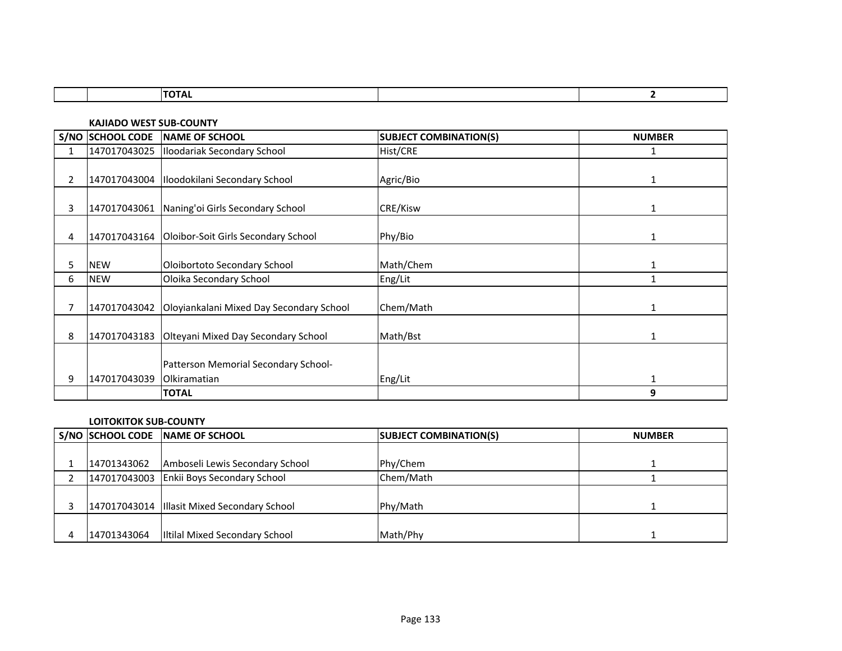| ---<br>-- |  |
|-----------|--|

**KAJIADO WEST SUB-COUNTY**

|                |              | S/NO SCHOOL CODE NAME OF SCHOOL                  | <b>SUBJECT COMBINATION(S)</b> | <b>NUMBER</b> |
|----------------|--------------|--------------------------------------------------|-------------------------------|---------------|
| 1              |              | 147017043025  Iloodariak Secondary School        | Hist/CRE                      | 1             |
|                |              |                                                  |                               |               |
| $\overline{2}$ | 147017043004 | Iloodokilani Secondary School                    | Agric/Bio                     | 1             |
|                |              |                                                  |                               |               |
| 3              | 147017043061 | Naning'oi Girls Secondary School                 | CRE/Kisw                      | $\mathbf{1}$  |
|                |              |                                                  |                               |               |
| 4              |              | 147017043164 Oloibor-Soit Girls Secondary School | Phy/Bio                       | 1             |
|                |              |                                                  |                               |               |
| 5              | <b>NEW</b>   | Oloibortoto Secondary School                     | Math/Chem                     |               |
| 6              | <b>NEW</b>   | Oloika Secondary School                          | Eng/Lit                       |               |
|                |              |                                                  |                               |               |
|                | 147017043042 | Oloyiankalani Mixed Day Secondary School         | Chem/Math                     | 1             |
|                |              |                                                  |                               |               |
| 8              |              | 147017043183 Olteyani Mixed Day Secondary School | Math/Bst                      |               |
|                |              |                                                  |                               |               |
|                |              | Patterson Memorial Secondary School-             |                               |               |
| 9              | 147017043039 | <b>Olkiramatian</b>                              | Eng/Lit                       | $\mathbf{1}$  |
|                |              | <b>TOTAL</b>                                     |                               | 9             |

# **LOITOKITOK SUB-COUNTY**

|             | S/NO SCHOOL CODE NAME OF SCHOOL               | <b>SUBJECT COMBINATION(S)</b> | <b>NUMBER</b> |
|-------------|-----------------------------------------------|-------------------------------|---------------|
|             |                                               |                               |               |
| 14701343062 | Amboseli Lewis Secondary School               | Phy/Chem                      |               |
|             | 147017043003 Enkii Boys Secondary School      | Chem/Math                     |               |
|             |                                               |                               |               |
|             | 147017043014   Illasit Mixed Secondary School | Phy/Math                      |               |
|             |                                               |                               |               |
| 14701343064 | Iltilal Mixed Secondary School                | Math/Phy                      |               |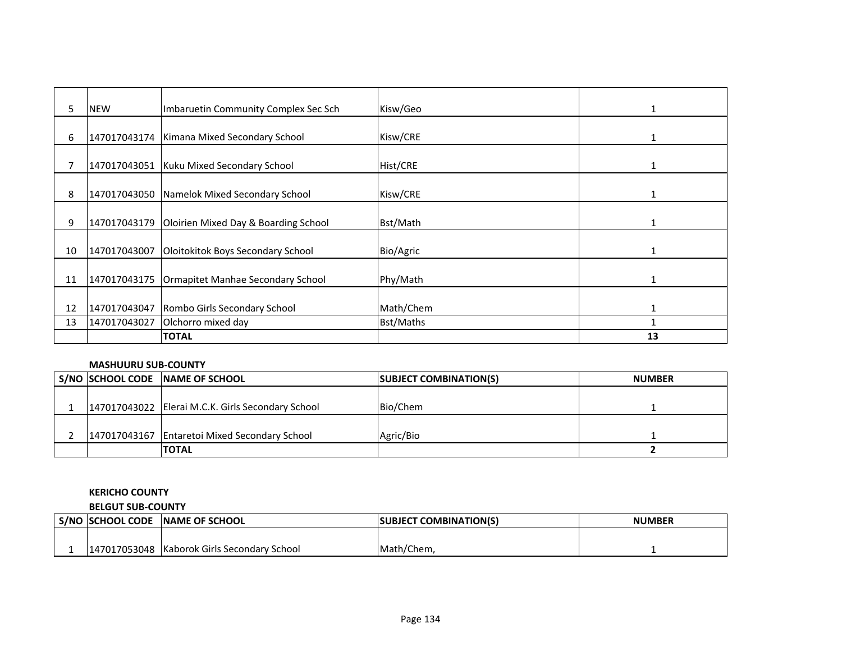| 5  | <b>NEW</b>   | Imbaruetin Community Complex Sec Sch              | Kisw/Geo        | 1            |
|----|--------------|---------------------------------------------------|-----------------|--------------|
|    |              |                                                   |                 |              |
| 6  |              | 147017043174   Kimana Mixed Secondary School      | Kisw/CRE        |              |
|    |              |                                                   |                 |              |
|    | 147017043051 | Kuku Mixed Secondary School                       | <b>Hist/CRE</b> |              |
|    |              |                                                   |                 |              |
| 8  |              | 147017043050 Namelok Mixed Secondary School       | Kisw/CRE        |              |
|    |              |                                                   |                 |              |
| 9  |              | 147017043179 Oloirien Mixed Day & Boarding School | Bst/Math        |              |
|    |              |                                                   |                 |              |
| 10 | 147017043007 | Oloitokitok Boys Secondary School                 | Bio/Agric       | 1            |
|    |              |                                                   |                 |              |
| 11 | 147017043175 | Ormapitet Manhae Secondary School                 | Phy/Math        | $\mathbf{1}$ |
|    |              |                                                   |                 |              |
| 12 | 147017043047 | Rombo Girls Secondary School                      | Math/Chem       |              |
| 13 | 147017043027 | Olchorro mixed day                                | Bst/Maths       |              |
|    |              | <b>TOTAL</b>                                      |                 | 13           |

## **MASHUURU SUB-COUNTY**

|  | S/NO SCHOOL CODE NAME OF SCHOOL                   | <b>SUBJECT COMBINATION(S)</b> | <b>NUMBER</b> |
|--|---------------------------------------------------|-------------------------------|---------------|
|  |                                                   |                               |               |
|  | 147017043022 Elerai M.C.K. Girls Secondary School | Bio/Chem                      |               |
|  |                                                   |                               |               |
|  | 147017043167 Entaretoi Mixed Secondary School     | Agric/Bio                     |               |
|  | <b>TOTAL</b>                                      |                               |               |

# **KERICHO COUNTY**

**BELGUT SUB-COUNTY**

| S/NO | <b>ISCHOOL CODE</b> | <b>INAME OF SCHOOL</b>         | <b>SUBJECT COMBINATION(S)</b> | NUMBER |
|------|---------------------|--------------------------------|-------------------------------|--------|
|      |                     |                                |                               |        |
|      | 147017053048        | Kaborok Girls Secondary School | Math/Chem,                    |        |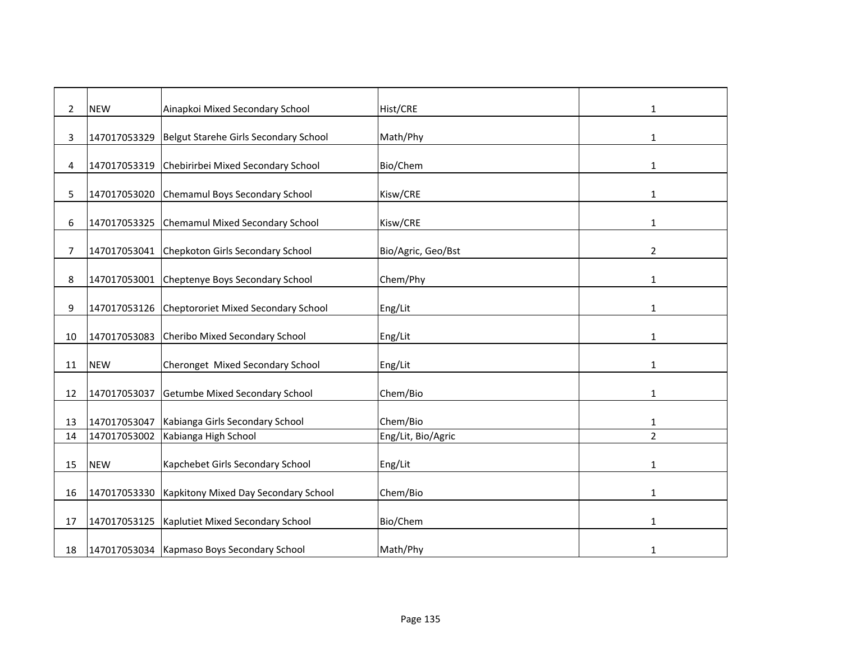| $\overline{2}$ | <b>NEW</b>   | Ainapkoi Mixed Secondary School            | Hist/CRE           | 1              |
|----------------|--------------|--------------------------------------------|--------------------|----------------|
|                |              |                                            |                    |                |
| 3              | 147017053329 | Belgut Starehe Girls Secondary School      | Math/Phy           | 1              |
|                |              |                                            |                    |                |
| 4              | 147017053319 | Chebirirbei Mixed Secondary School         | Bio/Chem           | 1              |
|                |              |                                            |                    |                |
| 5              | 147017053020 | Chemamul Boys Secondary School             | Kisw/CRE           | 1              |
|                |              |                                            |                    |                |
| 6              | 147017053325 | <b>Chemamul Mixed Secondary School</b>     | Kisw/CRE           | 1              |
|                |              |                                            |                    |                |
| 7              | 147017053041 | Chepkoton Girls Secondary School           | Bio/Agric, Geo/Bst | $\overline{2}$ |
|                |              |                                            |                    |                |
| 8              | 147017053001 | Cheptenye Boys Secondary School            | Chem/Phy           | $\mathbf{1}$   |
|                |              |                                            |                    |                |
| 9              | 147017053126 | Cheptororiet Mixed Secondary School        | Eng/Lit            | 1              |
| 10             | 147017053083 | Cheribo Mixed Secondary School             |                    |                |
|                |              |                                            | Eng/Lit            | 1              |
| 11             | <b>NEW</b>   | Cheronget Mixed Secondary School           | Eng/Lit            | 1              |
|                |              |                                            |                    |                |
| 12             | 147017053037 | Getumbe Mixed Secondary School             | Chem/Bio           | 1              |
|                |              |                                            |                    |                |
| 13             | 147017053047 | Kabianga Girls Secondary School            | Chem/Bio           | 1              |
| 14             | 147017053002 | Kabianga High School                       | Eng/Lit, Bio/Agric | $\overline{2}$ |
|                |              |                                            |                    |                |
| 15             | <b>NEW</b>   | Kapchebet Girls Secondary School           | Eng/Lit            | 1              |
|                |              |                                            |                    |                |
| 16             | 147017053330 | Kapkitony Mixed Day Secondary School       | Chem/Bio           | 1              |
|                |              |                                            |                    |                |
| 17             | 147017053125 | Kaplutiet Mixed Secondary School           | Bio/Chem           | 1              |
|                |              |                                            |                    |                |
| 18             |              | 147017053034 Kapmaso Boys Secondary School | Math/Phy           | 1              |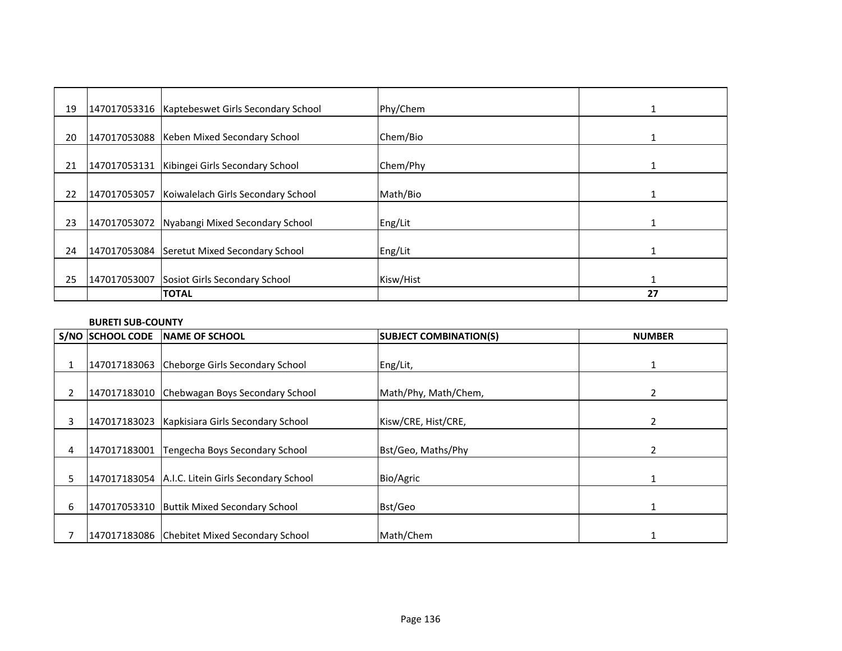| 19 |              | 147017053316   Kaptebeswet Girls Secondary School | Phy/Chem  | 1  |
|----|--------------|---------------------------------------------------|-----------|----|
| 20 | 147017053088 | Keben Mixed Secondary School                      | Chem/Bio  |    |
| 21 | 147017053131 | Kibingei Girls Secondary School                   | Chem/Phy  |    |
| 22 | 147017053057 | Koiwalelach Girls Secondary School                | Math/Bio  |    |
| 23 | 147017053072 | Nyabangi Mixed Secondary School                   | Eng/Lit   |    |
| 24 |              | 147017053084 Seretut Mixed Secondary School       | Eng/Lit   |    |
| 25 | 147017053007 | Sosiot Girls Secondary School                     | Kisw/Hist |    |
|    |              | <b>TOTAL</b>                                      |           | 27 |

# **BURETI SUB-COUNTY**

|    | S/NO SCHOOL CODE | <b>NAME OF SCHOOL</b>                             | <b>SUBJECT COMBINATION(S)</b> | <b>NUMBER</b> |
|----|------------------|---------------------------------------------------|-------------------------------|---------------|
|    |                  |                                                   |                               |               |
|    | 147017183063     | Cheborge Girls Secondary School                   | Eng/Lit,                      |               |
| 2  |                  | 147017183010 Chebwagan Boys Secondary School      | Math/Phy, Math/Chem,          | 2             |
|    |                  |                                                   |                               |               |
| 3  | 147017183023     | Kapkisiara Girls Secondary School                 | Kisw/CRE, Hist/CRE,           | 2             |
|    |                  |                                                   |                               |               |
| 4  | 147017183001     | Tengecha Boys Secondary School                    | Bst/Geo, Maths/Phy            | 2             |
|    |                  |                                                   |                               |               |
| 5. |                  | 147017183054 A.I.C. Litein Girls Secondary School | Bio/Agric                     |               |
|    |                  |                                                   |                               |               |
| 6  |                  | 147017053310 Buttik Mixed Secondary School        | Bst/Geo                       |               |
|    |                  |                                                   |                               |               |
|    |                  | 147017183086 Chebitet Mixed Secondary School      | Math/Chem                     |               |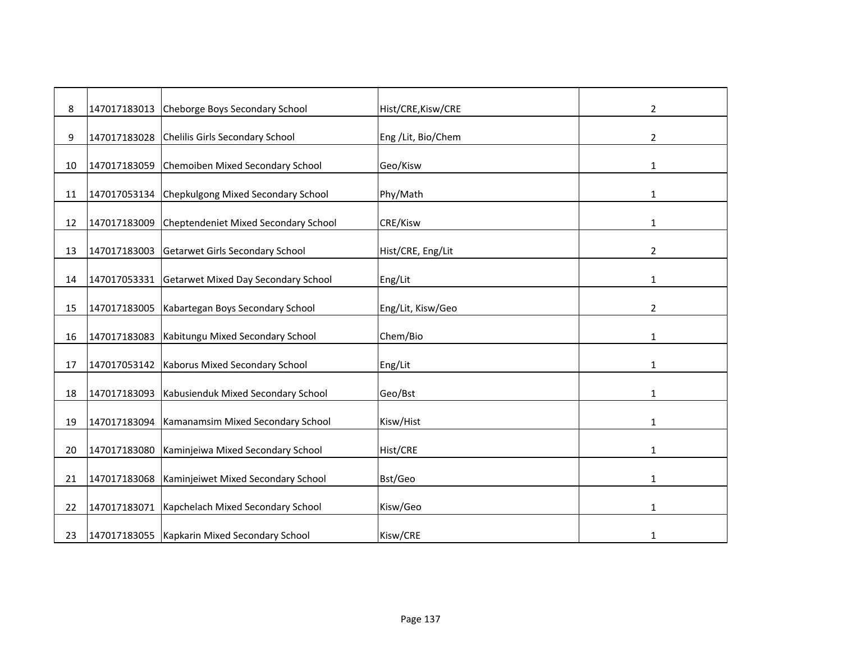| 8  | 147017183013 | Cheborge Boys Secondary School               | Hist/CRE, Kisw/CRE  | 2              |
|----|--------------|----------------------------------------------|---------------------|----------------|
| 9  | 147017183028 | Chelilis Girls Secondary School              | Eng / Lit, Bio/Chem | 2              |
|    |              |                                              |                     |                |
| 10 | 147017183059 | Chemoiben Mixed Secondary School             | Geo/Kisw            | 1              |
| 11 | 147017053134 | Chepkulgong Mixed Secondary School           | Phy/Math            | $\mathbf{1}$   |
| 12 | 147017183009 | Cheptendeniet Mixed Secondary School         | CRE/Kisw            | 1              |
|    |              |                                              |                     |                |
| 13 | 147017183003 | <b>Getarwet Girls Secondary School</b>       | Hist/CRE, Eng/Lit   | $\overline{2}$ |
|    |              |                                              |                     |                |
| 14 | 147017053331 | Getarwet Mixed Day Secondary School          | Eng/Lit             | 1              |
| 15 | 147017183005 | Kabartegan Boys Secondary School             | Eng/Lit, Kisw/Geo   | 2              |
| 16 | 147017183083 | Kabitungu Mixed Secondary School             | Chem/Bio            | 1              |
|    |              |                                              |                     |                |
| 17 | 147017053142 | Kaborus Mixed Secondary School               | Eng/Lit             | 1              |
|    |              |                                              |                     |                |
| 18 | 147017183093 | Kabusienduk Mixed Secondary School           | Geo/Bst             | 1              |
| 19 | 147017183094 | Kamanamsim Mixed Secondary School            | Kisw/Hist           | $\mathbf{1}$   |
|    |              |                                              |                     |                |
| 20 | 147017183080 | Kaminjeiwa Mixed Secondary School            | <b>Hist/CRE</b>     | 1              |
| 21 | 147017183068 | Kaminjeiwet Mixed Secondary School           | Bst/Geo             | 1              |
| 22 | 147017183071 | Kapchelach Mixed Secondary School            | Kisw/Geo            | $\mathbf{1}$   |
|    |              |                                              |                     |                |
| 23 |              | 147017183055 Kapkarin Mixed Secondary School | Kisw/CRE            | 1              |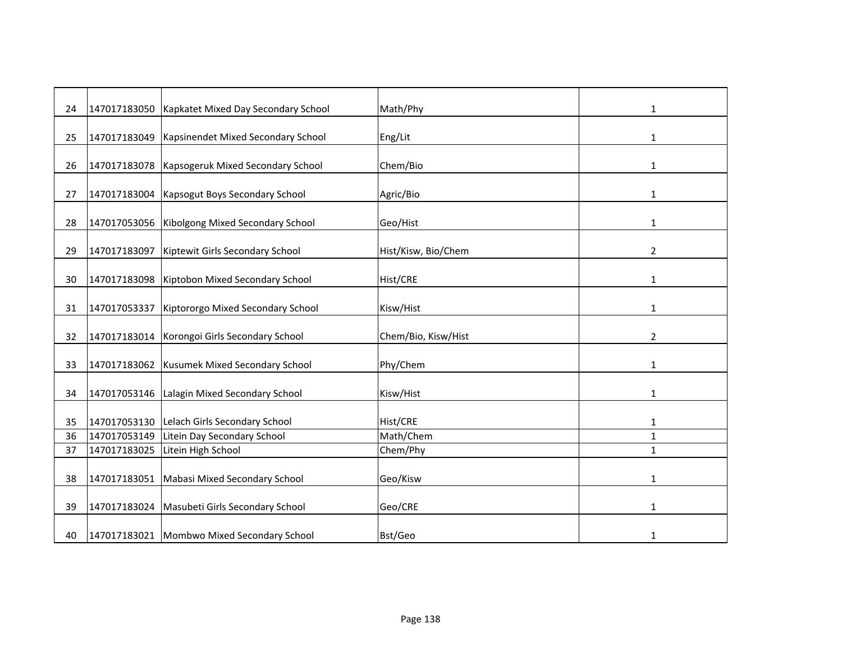| 24 | 147017183050 | Kapkatet Mixed Day Secondary School        | Math/Phy            | 1              |
|----|--------------|--------------------------------------------|---------------------|----------------|
|    |              |                                            |                     |                |
| 25 | 147017183049 | Kapsinendet Mixed Secondary School         | Eng/Lit             | 1              |
| 26 | 147017183078 | Kapsogeruk Mixed Secondary School          | Chem/Bio            | 1              |
|    |              |                                            |                     |                |
| 27 | 147017183004 | Kapsogut Boys Secondary School             | Agric/Bio           | 1              |
|    |              |                                            |                     |                |
| 28 | 147017053056 | Kibolgong Mixed Secondary School           | Geo/Hist            | $\mathbf{1}$   |
| 29 | 147017183097 | Kiptewit Girls Secondary School            | Hist/Kisw, Bio/Chem | $\overline{2}$ |
|    |              |                                            |                     |                |
| 30 | 147017183098 | Kiptobon Mixed Secondary School            | Hist/CRE            | 1              |
|    |              |                                            |                     |                |
| 31 | 147017053337 | Kiptororgo Mixed Secondary School          | Kisw/Hist           | 1              |
| 32 | 147017183014 | Korongoi Girls Secondary School            | Chem/Bio, Kisw/Hist | 2              |
|    |              |                                            |                     |                |
| 33 | 147017183062 | Kusumek Mixed Secondary School             | Phy/Chem            | 1              |
|    |              |                                            |                     |                |
| 34 | 147017053146 | Lalagin Mixed Secondary School             | Kisw/Hist           | 1              |
| 35 | 147017053130 | Lelach Girls Secondary School              | Hist/CRE            | $\mathbf{1}$   |
| 36 | 147017053149 | Litein Day Secondary School                | Math/Chem           | $\mathbf{1}$   |
| 37 | 147017183025 | Litein High School                         | Chem/Phy            | $\mathbf{1}$   |
|    |              |                                            |                     |                |
| 38 | 147017183051 | Mabasi Mixed Secondary School              | Geo/Kisw            | $\mathbf{1}$   |
| 39 | 147017183024 | Masubeti Girls Secondary School            | Geo/CRE             | 1              |
|    |              |                                            |                     |                |
| 40 |              | 147017183021 Mombwo Mixed Secondary School | Bst/Geo             | 1              |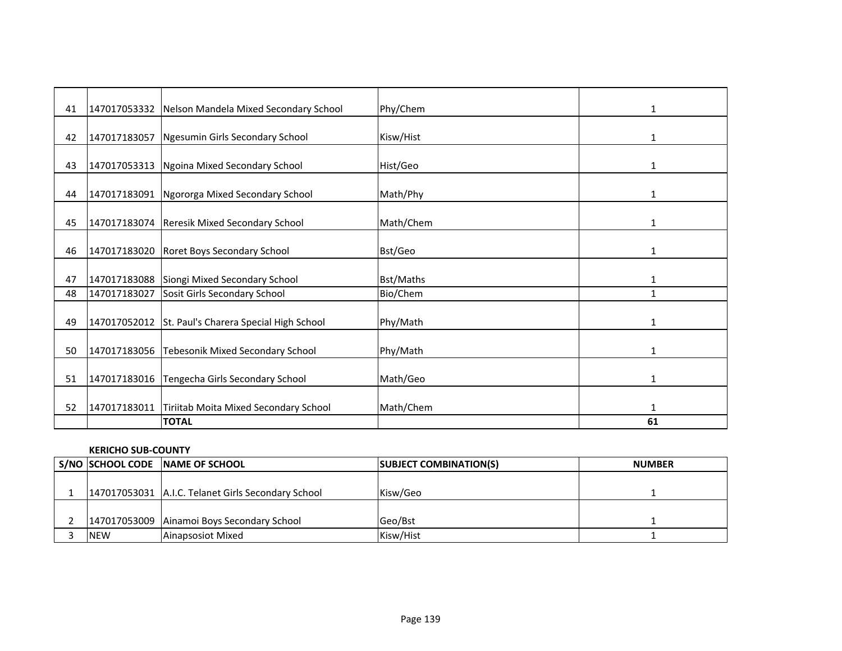| 41 |              | 147017053332 Nelson Mandela Mixed Secondary School  | Phy/Chem  | 1            |
|----|--------------|-----------------------------------------------------|-----------|--------------|
|    |              |                                                     |           |              |
| 42 |              | 147017183057 Ngesumin Girls Secondary School        | Kisw/Hist | 1            |
| 43 | 147017053313 | Ngoina Mixed Secondary School                       | Hist/Geo  | 1            |
| 44 |              | 147017183091 Ngororga Mixed Secondary School        | Math/Phy  | 1            |
| 45 |              | 147017183074 Reresik Mixed Secondary School         | Math/Chem | 1            |
| 46 |              | 147017183020 Roret Boys Secondary School            | Bst/Geo   | 1            |
| 47 |              | 147017183088 Siongi Mixed Secondary School          | Bst/Maths | 1            |
| 48 | 147017183027 | Sosit Girls Secondary School                        | Bio/Chem  | 1            |
| 49 |              | 147017052012 St. Paul's Charera Special High School | Phy/Math  | 1            |
| 50 |              | 147017183056 Tebesonik Mixed Secondary School       | Phy/Math  | 1            |
| 51 |              | 147017183016 Tengecha Girls Secondary School        | Math/Geo  | $\mathbf{1}$ |
| 52 | 147017183011 | Tiriitab Moita Mixed Secondary School               | Math/Chem | 1            |
|    |              | <b>TOTAL</b>                                        |           | 61           |

#### **KERICHO SUB-COUNTY**

|            | S/NO SCHOOL CODE NAME OF SCHOOL                    | <b>SUBJECT COMBINATION(S)</b> | <b>NUMBER</b> |
|------------|----------------------------------------------------|-------------------------------|---------------|
|            |                                                    |                               |               |
|            | 147017053031 A.I.C. Telanet Girls Secondary School | Kisw/Geo                      |               |
|            |                                                    |                               |               |
|            | 147017053009 Ainamoi Boys Secondary School         | Geo/Bst                       |               |
| <b>NEW</b> | Ainapsosiot Mixed                                  | Kisw/Hist                     |               |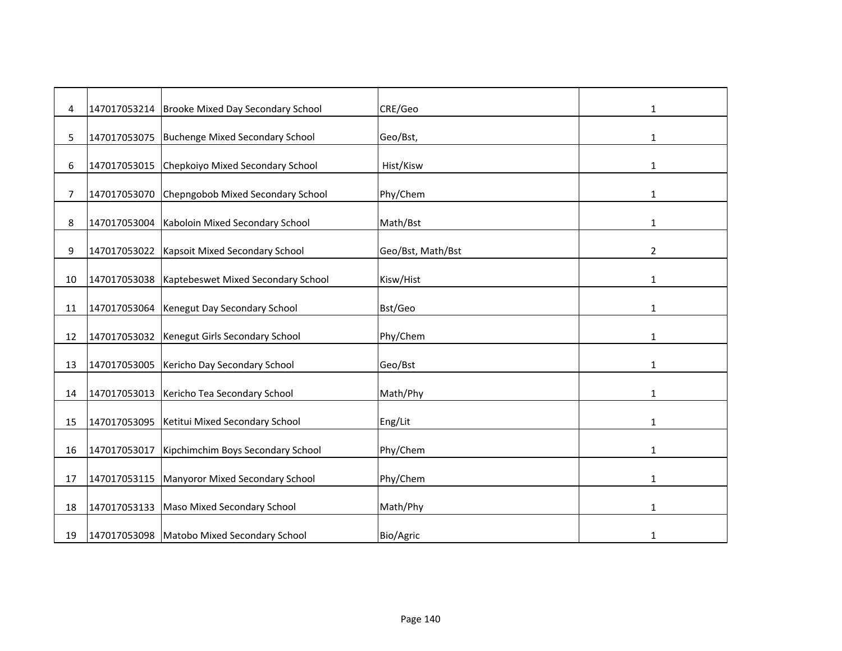| 4  | 147017053214 | Brooke Mixed Day Secondary School          | CRE/Geo           | 1              |
|----|--------------|--------------------------------------------|-------------------|----------------|
| 5. | 147017053075 | <b>Buchenge Mixed Secondary School</b>     | Geo/Bst,          | 1              |
| 6  | 147017053015 | Chepkoiyo Mixed Secondary School           | Hist/Kisw         | 1              |
| 7  | 147017053070 | Chepngobob Mixed Secondary School          | Phy/Chem          | 1              |
|    | 147017053004 | Kaboloin Mixed Secondary School            | Math/Bst          |                |
| 8  |              |                                            |                   | 1              |
| 9  | 147017053022 | Kapsoit Mixed Secondary School             | Geo/Bst, Math/Bst | $\overline{2}$ |
| 10 | 147017053038 | Kaptebeswet Mixed Secondary School         | Kisw/Hist         | 1              |
| 11 | 147017053064 | Kenegut Day Secondary School               | Bst/Geo           | $\mathbf{1}$   |
| 12 | 147017053032 | Kenegut Girls Secondary School             | Phy/Chem          | $\mathbf{1}$   |
| 13 | 147017053005 | Kericho Day Secondary School               | Geo/Bst           | 1              |
| 14 | 147017053013 | Kericho Tea Secondary School               | Math/Phy          | 1              |
| 15 | 147017053095 | Ketitui Mixed Secondary School             | Eng/Lit           | $\mathbf{1}$   |
| 16 | 147017053017 | Kipchimchim Boys Secondary School          | Phy/Chem          | 1              |
|    |              |                                            |                   |                |
| 17 | 147017053115 | Manyoror Mixed Secondary School            | Phy/Chem          | 1              |
| 18 | 147017053133 | Maso Mixed Secondary School                | Math/Phy          | 1              |
| 19 |              | 147017053098 Matobo Mixed Secondary School | Bio/Agric         | 1              |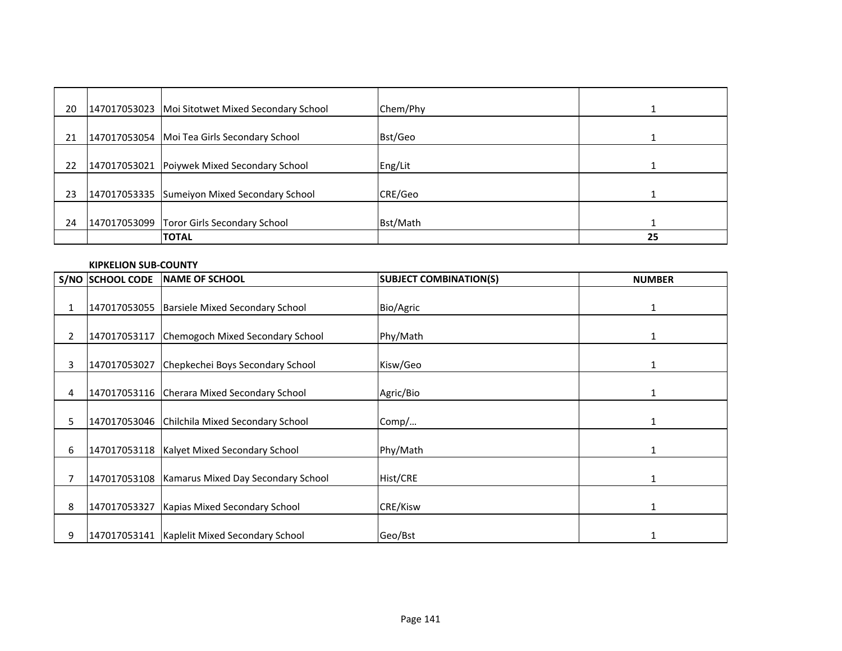| 20 | 147017053023 Moi Sitotwet Mixed Secondary School | Chem/Phy |    |
|----|--------------------------------------------------|----------|----|
| 21 | 147017053054 Moi Tea Girls Secondary School      | Bst/Geo  |    |
| 22 | 147017053021 Poiywek Mixed Secondary School      | Eng/Lit  |    |
| 23 | 147017053335 Sumeiyon Mixed Secondary School     | CRE/Geo  |    |
| 24 | 147017053099 Toror Girls Secondary School        | Bst/Math |    |
|    | <b>TOTAL</b>                                     |          | 25 |

#### **KIPKELION SUB-COUNTY**

|                | <b>S/NO SCHOOL CODE</b> | <b>INAME OF SCHOOL</b>                            | <b>SUBJECT COMBINATION(S)</b> | <b>NUMBER</b> |
|----------------|-------------------------|---------------------------------------------------|-------------------------------|---------------|
|                |                         |                                                   |                               |               |
| 1              | 147017053055            | Barsiele Mixed Secondary School                   | Bio/Agric                     | 1             |
|                |                         |                                                   |                               |               |
| $\overline{2}$ | 147017053117            | Chemogoch Mixed Secondary School                  | Phy/Math                      | 1             |
| 3              | 147017053027            | Chepkechei Boys Secondary School                  | Kisw/Geo                      | 1             |
| 4              |                         | 147017053116 Cherara Mixed Secondary School       | Agric/Bio                     |               |
| 5              |                         | 147017053046 Chilchila Mixed Secondary School     | Comp/                         |               |
| 6              |                         | 147017053118   Kalyet Mixed Secondary School      | Phy/Math                      |               |
|                |                         | 147017053108   Kamarus Mixed Day Secondary School | Hist/CRE                      | 1             |
| 8              | 147017053327            | Kapias Mixed Secondary School                     | CRE/Kisw                      |               |
| 9              |                         | 147017053141   Kaplelit Mixed Secondary School    | Geo/Bst                       |               |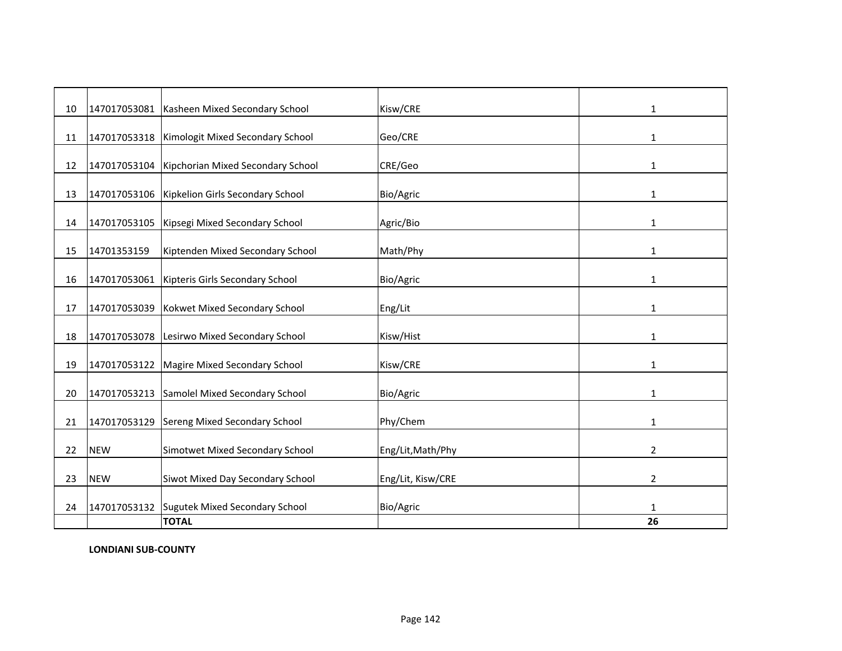| 10 |              | 147017053081 Kasheen Mixed Secondary School      | Kisw/CRE          | 1              |
|----|--------------|--------------------------------------------------|-------------------|----------------|
| 11 |              | 147017053318   Kimologit Mixed Secondary School  | Geo/CRE           | 1              |
|    |              |                                                  |                   |                |
| 12 |              | 147017053104   Kipchorian Mixed Secondary School | CRE/Geo           | 1              |
| 13 |              | 147017053106   Kipkelion Girls Secondary School  | Bio/Agric         | 1              |
| 14 |              | 147017053105   Kipsegi Mixed Secondary School    | Agric/Bio         | 1              |
| 15 | 14701353159  | Kiptenden Mixed Secondary School                 | Math/Phy          | 1              |
| 16 |              | 147017053061 Kipteris Girls Secondary School     | Bio/Agric         | $\mathbf{1}$   |
| 17 |              | 147017053039 Kokwet Mixed Secondary School       | Eng/Lit           | 1              |
| 18 |              | 147017053078 Lesirwo Mixed Secondary School      | Kisw/Hist         | 1              |
| 19 |              | 147017053122 Magire Mixed Secondary School       | Kisw/CRE          | 1              |
| 20 | 147017053213 | Samolel Mixed Secondary School                   | Bio/Agric         | 1              |
| 21 | 147017053129 | Sereng Mixed Secondary School                    | Phy/Chem          | 1              |
| 22 | <b>NEW</b>   | Simotwet Mixed Secondary School                  | Eng/Lit, Math/Phy | 2              |
| 23 | <b>NEW</b>   | Siwot Mixed Day Secondary School                 | Eng/Lit, Kisw/CRE | $\overline{2}$ |
| 24 |              | 147017053132 Sugutek Mixed Secondary School      | Bio/Agric         | 1              |
|    |              | <b>TOTAL</b>                                     |                   | 26             |

**LONDIANI SUB-COUNTY**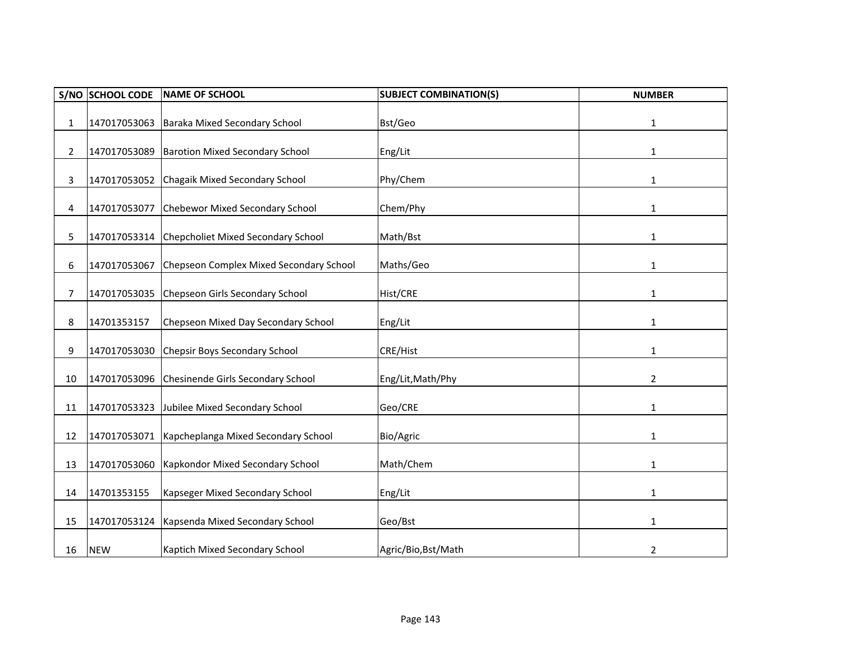| S/NO           | <b>SCHOOL CODE</b> | <b>NAME OF SCHOOL</b>                    | <b>SUBJECT COMBINATION(S)</b> | <b>NUMBER</b> |
|----------------|--------------------|------------------------------------------|-------------------------------|---------------|
| $\mathbf{1}$   | 147017053063       | Baraka Mixed Secondary School            | Bst/Geo                       | $\mathbf{1}$  |
| $\overline{2}$ | 147017053089       | <b>Barotion Mixed Secondary School</b>   | Eng/Lit                       | 1             |
| 3              | 147017053052       | Chagaik Mixed Secondary School           | Phy/Chem                      | 1             |
| 4              | 147017053077       | Chebewor Mixed Secondary School          | Chem/Phy                      | 1             |
| 5              | 147017053314       | Chepcholiet Mixed Secondary School       | Math/Bst                      | $\mathbf{1}$  |
| 6              | 147017053067       | Chepseon Complex Mixed Secondary School  | Maths/Geo                     | $\mathbf{1}$  |
| $\overline{7}$ | 147017053035       | Chepseon Girls Secondary School          | Hist/CRE                      | 1             |
| 8              | 14701353157        | Chepseon Mixed Day Secondary School      | Eng/Lit                       | 1             |
| 9              | 147017053030       | Chepsir Boys Secondary School            | CRE/Hist                      | 1             |
| 10             | 147017053096       | <b>Chesinende Girls Secondary School</b> | Eng/Lit, Math/Phy             | 2             |
| 11             | 147017053323       | Jubilee Mixed Secondary School           | Geo/CRE                       | 1             |
| 12             | 147017053071       | Kapcheplanga Mixed Secondary School      | Bio/Agric                     | 1             |
| 13             | 147017053060       | Kapkondor Mixed Secondary School         | Math/Chem                     | 1             |
| 14             | 14701353155        | Kapseger Mixed Secondary School          | Eng/Lit                       | 1             |
| 15             | 147017053124       | Kapsenda Mixed Secondary School          | Geo/Bst                       | 1             |
| 16             | <b>NEW</b>         | Kaptich Mixed Secondary School           | Agric/Bio, Bst/Math           | 2             |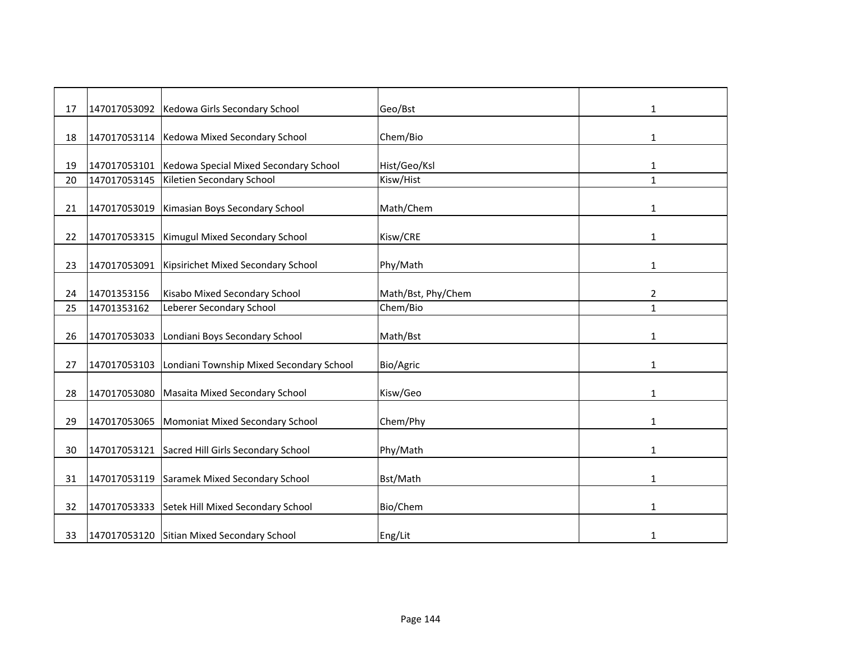| 17 | 147017053092 | Kedowa Girls Secondary School              | Geo/Bst            | 1            |
|----|--------------|--------------------------------------------|--------------------|--------------|
| 18 | 147017053114 | Kedowa Mixed Secondary School              | Chem/Bio           | 1            |
|    |              |                                            |                    |              |
| 19 | 147017053101 | Kedowa Special Mixed Secondary School      | Hist/Geo/Ksl       | 1            |
| 20 | 147017053145 | Kiletien Secondary School                  | Kisw/Hist          | $\mathbf{1}$ |
| 21 | 147017053019 | Kimasian Boys Secondary School             | Math/Chem          | 1            |
| 22 | 147017053315 | Kimugul Mixed Secondary School             | Kisw/CRE           | 1            |
| 23 | 147017053091 | Kipsirichet Mixed Secondary School         | Phy/Math           | 1            |
| 24 | 14701353156  | Kisabo Mixed Secondary School              | Math/Bst, Phy/Chem | 2            |
| 25 | 14701353162  | Leberer Secondary School                   | Chem/Bio           | $\mathbf{1}$ |
| 26 | 147017053033 | Londiani Boys Secondary School             | Math/Bst           | 1            |
| 27 | 147017053103 | Londiani Township Mixed Secondary School   | Bio/Agric          | 1            |
| 28 | 147017053080 | Masaita Mixed Secondary School             | Kisw/Geo           | 1            |
| 29 | 147017053065 | Momoniat Mixed Secondary School            | Chem/Phy           | 1            |
| 30 | 147017053121 | Sacred Hill Girls Secondary School         | Phy/Math           | 1            |
| 31 | 147017053119 | Saramek Mixed Secondary School             | Bst/Math           | $\mathbf{1}$ |
| 32 | 147017053333 | Setek Hill Mixed Secondary School          | Bio/Chem           | $\mathbf{1}$ |
| 33 |              | 147017053120 Sitian Mixed Secondary School | Eng/Lit            | 1            |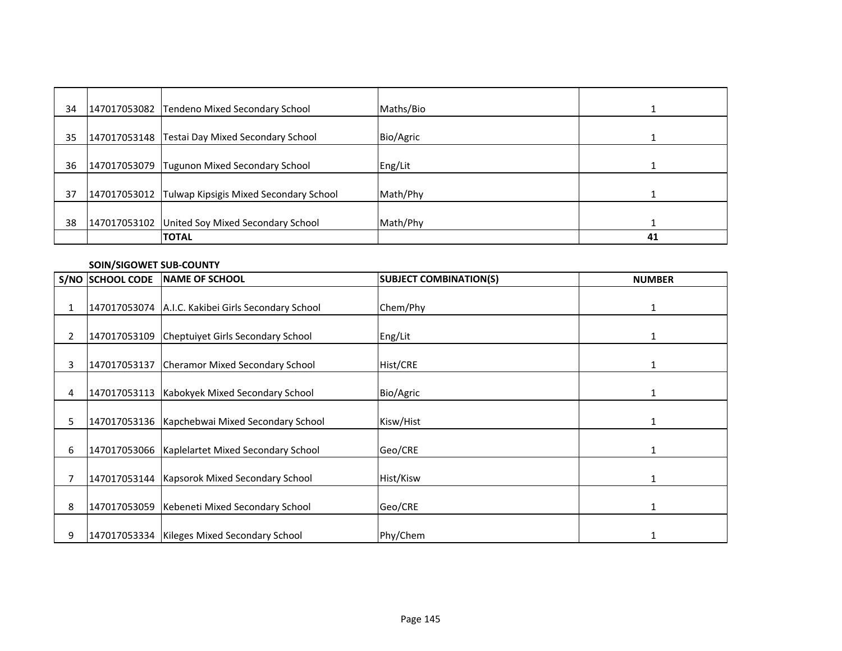| 34 | 147017053082 Tendeno Mixed Secondary School         | Maths/Bio |    |
|----|-----------------------------------------------------|-----------|----|
| 35 | 147017053148   Testai Day Mixed Secondary School    | Bio/Agric |    |
| 36 | 147017053079 Tugunon Mixed Secondary School         | Eng/Lit   |    |
| 37 | 147017053012 Tulwap Kipsigis Mixed Secondary School | Math/Phy  |    |
| 38 | 147017053102 United Soy Mixed Secondary School      | Math/Phy  |    |
|    | <b>TOTAL</b>                                        |           | 41 |

### **SOIN/SIGOWET SUB-COUNTY**

|                | <b>S/NO SCHOOL CODE</b> | <b>INAME OF SCHOOL</b>                             | <b>SUBJECT COMBINATION(S)</b> | <b>NUMBER</b> |
|----------------|-------------------------|----------------------------------------------------|-------------------------------|---------------|
|                |                         |                                                    |                               |               |
| 1              |                         | 147017053074 A.I.C. Kakibei Girls Secondary School | Chem/Phy                      | 1             |
| $\overline{2}$ | 147017053109            | Cheptuiyet Girls Secondary School                  | Eng/Lit                       | 1             |
|                |                         |                                                    |                               |               |
| 3              |                         | 147017053137 Cheramor Mixed Secondary School       | Hist/CRE                      |               |
| 4              | 147017053113            | Kabokyek Mixed Secondary School                    | Bio/Agric                     | 1             |
| 5              |                         | 147017053136   Kapchebwai Mixed Secondary School   | Kisw/Hist                     |               |
| 6              |                         | 147017053066 Kaplelartet Mixed Secondary School    | Geo/CRE                       |               |
|                |                         | 147017053144   Kapsorok Mixed Secondary School     | Hist/Kisw                     | $\mathbf{1}$  |
| 8              |                         | 147017053059 Kebeneti Mixed Secondary School       | Geo/CRE                       |               |
| 9              |                         | 147017053334   Kileges Mixed Secondary School      | Phy/Chem                      |               |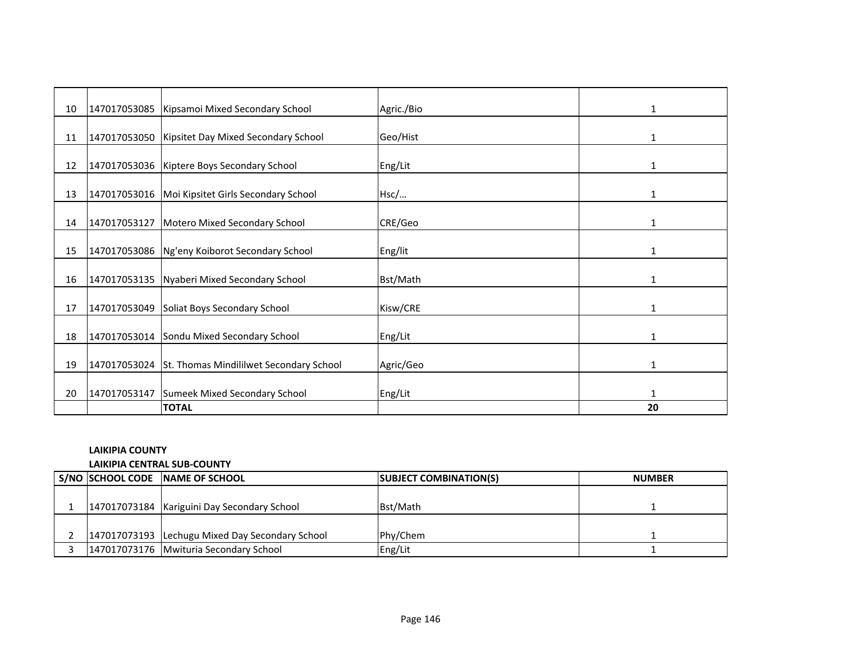| 10 | 147017053085   Kipsamoi Mixed Secondary School       | Agric./Bio | $\mathbf{1}$ |
|----|------------------------------------------------------|------------|--------------|
|    |                                                      |            |              |
| 11 | 147017053050 Kipsitet Day Mixed Secondary School     | Geo/Hist   | 1            |
|    |                                                      |            |              |
| 12 | 147017053036 Kiptere Boys Secondary School           | Eng/Lit    | 1            |
| 13 | 147017053016   Moi Kipsitet Girls Secondary School   | Hsc/       | $\mathbf{1}$ |
|    |                                                      |            |              |
| 14 | 147017053127 Motero Mixed Secondary School           | CRE/Geo    | $\mathbf{1}$ |
|    |                                                      |            |              |
| 15 | 147017053086 Ng'eny Koiborot Secondary School        | Eng/lit    | 1            |
|    |                                                      |            |              |
| 16 | 147017053135 Nyaberi Mixed Secondary School          | Bst/Math   | 1            |
| 17 | 147017053049 Soliat Boys Secondary School            | Kisw/CRE   | 1            |
|    |                                                      |            |              |
| 18 | 147017053014 Sondu Mixed Secondary School            | Eng/Lit    | 1            |
|    |                                                      |            |              |
| 19 | 147017053024 St. Thomas Mindililwet Secondary School | Agric/Geo  | 1            |
|    |                                                      |            |              |
| 20 | 147017053147 Sumeek Mixed Secondary School           | Eng/Lit    | 1            |
|    | <b>TOTAL</b>                                         |            | 20           |

## **LAIKIPIA COUNTY**

#### **LAIKIPIA CENTRAL SUB-COUNTY**

|  | S/NO SCHOOL CODE NAME OF SCHOOL                 | <b>SUBJECT COMBINATION(S)</b> | <b>NUMBER</b> |
|--|-------------------------------------------------|-------------------------------|---------------|
|  |                                                 |                               |               |
|  | 147017073184 Kariguini Day Secondary School     | Bst/Math                      |               |
|  |                                                 |                               |               |
|  | 147017073193 Lechugu Mixed Day Secondary School | Phy/Chem                      |               |
|  | 147017073176 Mwituria Secondary School          | Eng/Lit                       |               |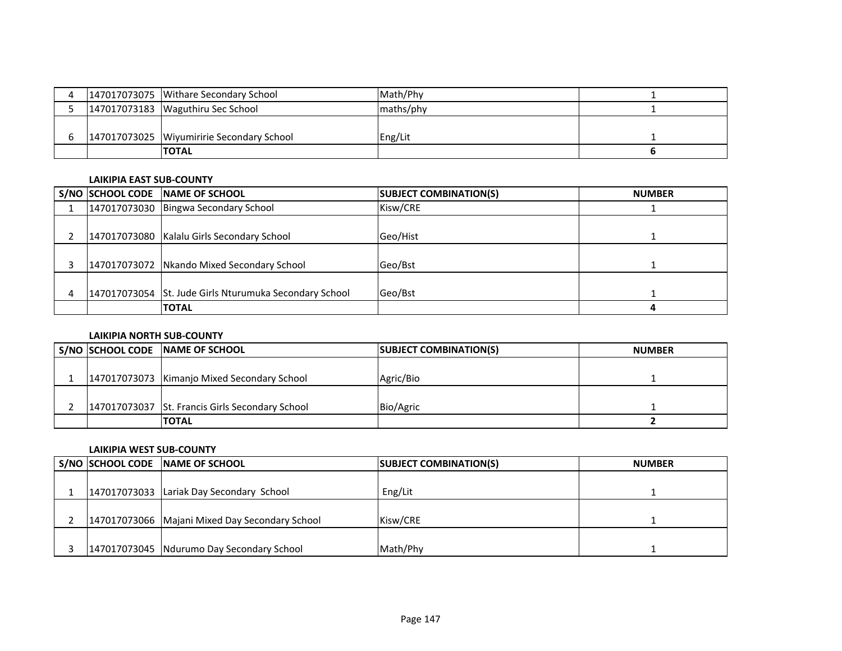|  | 147017073075 Withare Secondary School       | Math/Phy   |  |
|--|---------------------------------------------|------------|--|
|  | 147017073183   Waguthiru Sec School         | Imaths/phy |  |
|  |                                             |            |  |
|  | 147017073025   Wiyumiririe Secondary School | Eng/Lit    |  |
|  | <b>ITOTAL</b>                               |            |  |

#### **LAIKIPIA EAST SUB-COUNTY**

|  | S/NO SCHOOL CODE NAME OF SCHOOL                        | <b>SUBJECT COMBINATION(S)</b> | <b>NUMBER</b> |
|--|--------------------------------------------------------|-------------------------------|---------------|
|  | 147017073030 Bingwa Secondary School                   | Kisw/CRE                      |               |
|  |                                                        |                               |               |
|  | 147017073080 Kalalu Girls Secondary School             | Geo/Hist                      |               |
|  |                                                        |                               |               |
|  | 147017073072 Nkando Mixed Secondary School             | Geo/Bst                       |               |
|  |                                                        |                               |               |
|  | 147017073054 St. Jude Girls Nturumuka Secondary School | Geo/Bst                       |               |
|  | <b>TOTAL</b>                                           |                               |               |

### **LAIKIPIA NORTH SUB-COUNTY**

|  | S/NO SCHOOL CODE NAME OF SCHOOL                 | <b>SUBJECT COMBINATION(S)</b> | <b>NUMBER</b> |
|--|-------------------------------------------------|-------------------------------|---------------|
|  |                                                 |                               |               |
|  | 147017073073 Kimanjo Mixed Secondary School     | Agric/Bio                     |               |
|  |                                                 |                               |               |
|  | 147017073037 St. Francis Girls Secondary School | Bio/Agric                     |               |
|  | <b>TOTAL</b>                                    |                               |               |

### **LAIKIPIA WEST SUB-COUNTY**

|  | S/NO SCHOOL CODE NAME OF SCHOOL                | <b>SUBJECT COMBINATION(S)</b> | <b>NUMBER</b> |
|--|------------------------------------------------|-------------------------------|---------------|
|  |                                                |                               |               |
|  | 147017073033 Lariak Day Secondary School       | Eng/Lit                       |               |
|  |                                                |                               |               |
|  | 147017073066 Majani Mixed Day Secondary School | Kisw/CRE                      |               |
|  |                                                |                               |               |
|  | 147017073045 Ndurumo Day Secondary School      | Math/Phy                      |               |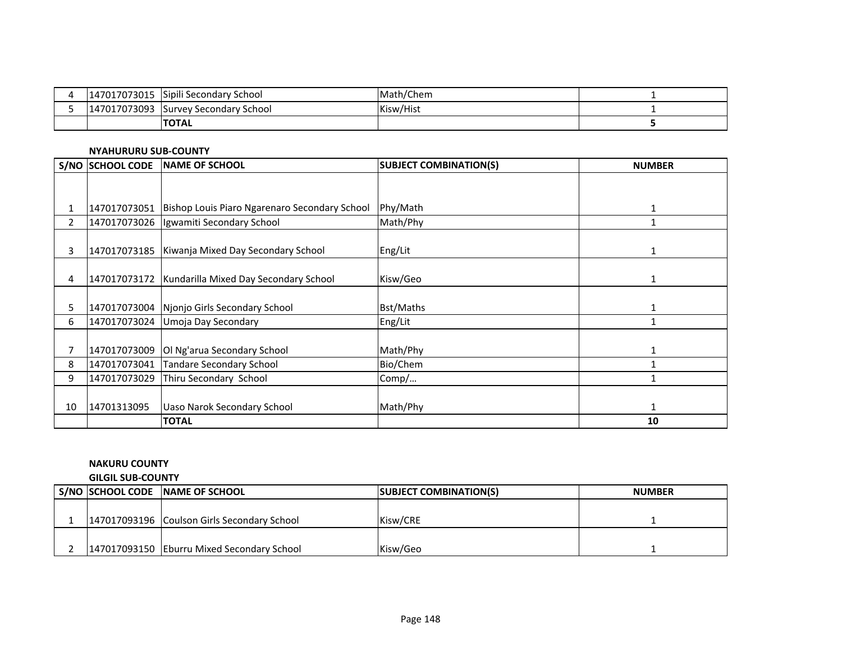| 7017073015<br>1470 | Sipili Secondary School | Math/Chem |  |
|--------------------|-------------------------|-----------|--|
| 147017073093       | Survey Secondary School | Kisw/Hist |  |
|                    | <b>TOTAL</b>            |           |  |

### **NYAHURURU SUB-COUNTY**

|                | S/NO SCHOOL CODE | NAME OF SCHOOL                                             | <b>SUBJECT COMBINATION(S)</b> | <b>NUMBER</b> |
|----------------|------------------|------------------------------------------------------------|-------------------------------|---------------|
|                |                  |                                                            |                               |               |
|                |                  |                                                            |                               |               |
| 1              |                  | 147017073051 Bishop Louis Piaro Ngarenaro Secondary School | Phy/Math                      | $\mathbf{1}$  |
| $\overline{2}$ |                  | 147017073026   Igwamiti Secondary School                   | Math/Phy                      |               |
|                |                  |                                                            |                               |               |
| 3              |                  | 147017073185   Kiwanja Mixed Day Secondary School          | Eng/Lit                       |               |
|                |                  |                                                            |                               |               |
| 4              |                  | 147017073172   Kundarilla Mixed Day Secondary School       | Kisw/Geo                      | 1             |
|                |                  |                                                            |                               |               |
| 5              |                  | 147017073004 Njonjo Girls Secondary School                 | Bst/Maths                     |               |
| 6              | 147017073024     | Umoja Day Secondary                                        | Eng/Lit                       |               |
|                |                  |                                                            |                               |               |
|                | 147017073009     | Ol Ng'arua Secondary School                                | Math/Phy                      |               |
| 8              |                  | 147017073041 Tandare Secondary School                      | Bio/Chem                      |               |
| 9              | 147017073029     | Thiru Secondary School                                     | Comp/                         |               |
|                |                  |                                                            |                               |               |
| 10             | 14701313095      | Uaso Narok Secondary School                                | Math/Phy                      |               |
|                |                  | <b>TOTAL</b>                                               |                               | 10            |

# **NAKURU COUNTY**

**GILGIL SUB-COUNTY**

|  | S/NO SCHOOL CODE NAME OF SCHOOL             | <b>SUBJECT COMBINATION(S)</b> | <b>NUMBER</b> |
|--|---------------------------------------------|-------------------------------|---------------|
|  |                                             |                               |               |
|  | 147017093196 Coulson Girls Secondary School | Kisw/CRE                      |               |
|  |                                             |                               |               |
|  | 147017093150 Eburru Mixed Secondary School  | Kisw/Geo                      |               |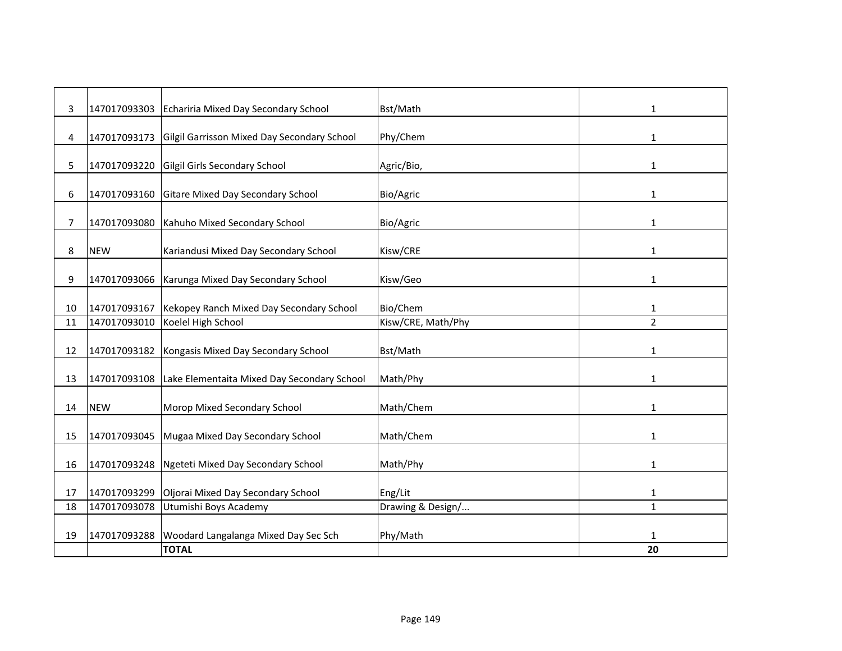| 3  | 147017093303 | Echariria Mixed Day Secondary School              | Bst/Math           | 1              |
|----|--------------|---------------------------------------------------|--------------------|----------------|
| 4  | 147017093173 | Gilgil Garrisson Mixed Day Secondary School       | Phy/Chem           | 1              |
| 5. | 147017093220 | Gilgil Girls Secondary School                     | Agric/Bio,         | $\mathbf{1}$   |
| 6  | 147017093160 | Gitare Mixed Day Secondary School                 | Bio/Agric          | 1              |
| 7  | 147017093080 | Kahuho Mixed Secondary School                     | Bio/Agric          | 1              |
| 8  | <b>NEW</b>   | Kariandusi Mixed Day Secondary School             | Kisw/CRE           | 1              |
| 9  |              | 147017093066 Karunga Mixed Day Secondary School   | Kisw/Geo           | $\mathbf{1}$   |
|    |              |                                                   |                    |                |
| 10 | 147017093167 | Kekopey Ranch Mixed Day Secondary School          | Bio/Chem           | 1              |
| 11 | 147017093010 | Koelel High School                                | Kisw/CRE, Math/Phy | $\overline{2}$ |
| 12 | 147017093182 | Kongasis Mixed Day Secondary School               | Bst/Math           | $\mathbf{1}$   |
| 13 | 147017093108 | Lake Elementaita Mixed Day Secondary School       | Math/Phy           | 1              |
| 14 | <b>NEW</b>   | Morop Mixed Secondary School                      | Math/Chem          | 1              |
| 15 |              | 147017093045 Mugaa Mixed Day Secondary School     | Math/Chem          | 1              |
| 16 | 147017093248 | Ngeteti Mixed Day Secondary School                | Math/Phy           | 1              |
|    |              |                                                   |                    |                |
| 17 | 147017093299 | Oljorai Mixed Day Secondary School                | Eng/Lit            | $\mathbf{1}$   |
| 18 | 147017093078 | Utumishi Boys Academy                             | Drawing & Design/  | $\mathbf{1}$   |
|    |              |                                                   |                    |                |
| 19 |              | 147017093288 Woodard Langalanga Mixed Day Sec Sch | Phy/Math           | 1              |
|    |              | <b>TOTAL</b>                                      |                    | 20             |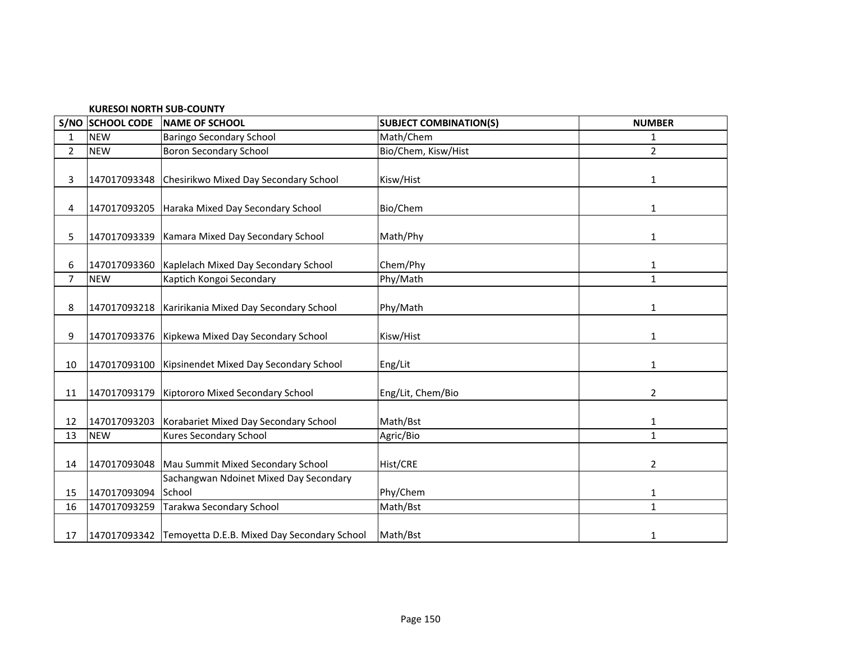| <b>KURESOI NORTH SUB-COUNTY</b> |  |
|---------------------------------|--|
|---------------------------------|--|

|                | S/NO SCHOOL CODE | <b>NAME OF SCHOOL</b>                                    | <b>SUBJECT COMBINATION(S)</b> | <b>NUMBER</b> |
|----------------|------------------|----------------------------------------------------------|-------------------------------|---------------|
| 1              | <b>NEW</b>       | <b>Baringo Secondary School</b>                          | Math/Chem                     | $\mathbf{1}$  |
| $\overline{2}$ | <b>NEW</b>       | <b>Boron Secondary School</b>                            | Bio/Chem, Kisw/Hist           | 2             |
| 3              |                  | 147017093348 Chesirikwo Mixed Day Secondary School       | Kisw/Hist                     | 1             |
| 4              |                  | 147017093205 Haraka Mixed Day Secondary School           | Bio/Chem                      | 1             |
| 5              |                  | 147017093339 Kamara Mixed Day Secondary School           | Math/Phy                      | 1             |
| 6              |                  | 147017093360   Kaplelach Mixed Day Secondary School      | Chem/Phy                      | 1             |
| $\overline{7}$ | <b>NEW</b>       | Kaptich Kongoi Secondary                                 | Phy/Math                      | $\mathbf{1}$  |
| 8              |                  | 147017093218   Karirikania Mixed Day Secondary School    | Phy/Math                      | 1             |
| 9              |                  | 147017093376   Kipkewa Mixed Day Secondary School        | Kisw/Hist                     | $\mathbf{1}$  |
| 10             |                  | 147017093100 Kipsinendet Mixed Day Secondary School      | Eng/Lit                       | $\mathbf{1}$  |
| 11             |                  | 147017093179 Kiptororo Mixed Secondary School            | Eng/Lit, Chem/Bio             | 2             |
| 12             |                  | 147017093203 Korabariet Mixed Day Secondary School       | Math/Bst                      | $\mathbf{1}$  |
| 13             | <b>NEW</b>       | Kures Secondary School                                   | Agric/Bio                     | $\mathbf{1}$  |
| 14             |                  | 147017093048   Mau Summit Mixed Secondary School         | Hist/CRE                      | 2             |
| 15             | 147017093094     | Sachangwan Ndoinet Mixed Day Secondary<br>School         | Phy/Chem                      | 1             |
| 16             | 147017093259     | Tarakwa Secondary School                                 | Math/Bst                      | $\mathbf{1}$  |
| 17             |                  | 147017093342 Temoyetta D.E.B. Mixed Day Secondary School | Math/Bst                      | $\mathbf{1}$  |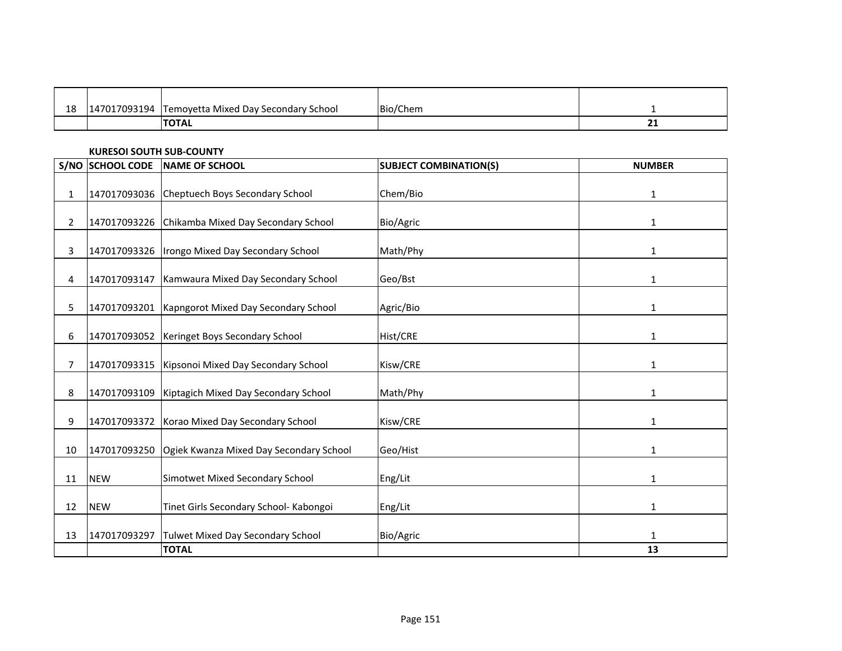| 18 | '7093194 | Temovetta Mixed Day Secondary School | Bio/Chem |    |
|----|----------|--------------------------------------|----------|----|
|    |          |                                      |          |    |
|    |          | <b>TOTAL</b>                         |          | -- |

### **KURESOI SOUTH SUB-COUNTY**

|                | S/NO SCHOOL CODE | <b>NAME OF SCHOOL</b>                               | <b>SUBJECT COMBINATION(S)</b> | <b>NUMBER</b> |
|----------------|------------------|-----------------------------------------------------|-------------------------------|---------------|
| $\mathbf{1}$   |                  | 147017093036 Cheptuech Boys Secondary School        | Chem/Bio                      | $\mathbf{1}$  |
| $\overline{2}$ |                  | 147017093226 Chikamba Mixed Day Secondary School    | Bio/Agric                     | 1             |
| 3              |                  | 147017093326   Irongo Mixed Day Secondary School    | Math/Phy                      | 1             |
| 4              | 147017093147     | Kamwaura Mixed Day Secondary School                 | Geo/Bst                       | 1             |
| 5              |                  | 147017093201   Kapngorot Mixed Day Secondary School | Agric/Bio                     | 1             |
| 6              |                  | 147017093052 Keringet Boys Secondary School         | Hist/CRE                      | 1             |
| $\overline{7}$ |                  | 147017093315   Kipsonoi Mixed Day Secondary School  | Kisw/CRE                      | 1             |
| 8              | 147017093109     | Kiptagich Mixed Day Secondary School                | Math/Phy                      | $\mathbf{1}$  |
| 9              | 147017093372     | Korao Mixed Day Secondary School                    | Kisw/CRE                      | 1             |
| 10             | 147017093250     | Ogiek Kwanza Mixed Day Secondary School             | Geo/Hist                      | $\mathbf{1}$  |
| 11             | <b>NEW</b>       | Simotwet Mixed Secondary School                     | Eng/Lit                       | 1             |
| 12             | <b>NEW</b>       | Tinet Girls Secondary School- Kabongoi              | Eng/Lit                       | 1             |
| 13             | 147017093297     | <b>Tulwet Mixed Day Secondary School</b>            | Bio/Agric                     | 1             |
|                |                  | <b>TOTAL</b>                                        |                               | 13            |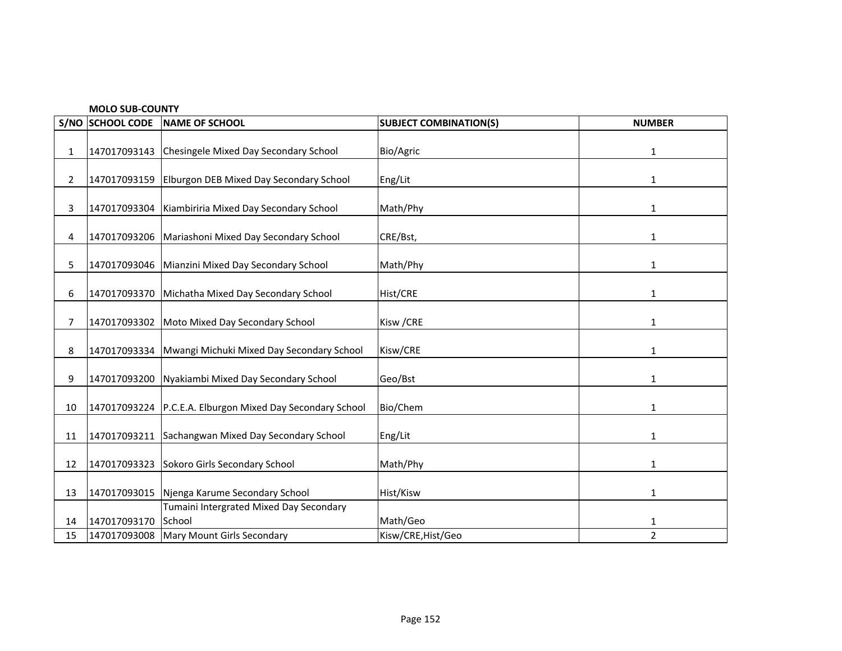|      | <b>MOLO SUB-COUNTY</b> |                                              |                               |                |  |  |
|------|------------------------|----------------------------------------------|-------------------------------|----------------|--|--|
| S/NO | <b>SCHOOL CODE</b>     | NAME OF SCHOOL                               | <b>SUBJECT COMBINATION(S)</b> | <b>NUMBER</b>  |  |  |
|      |                        |                                              |                               |                |  |  |
| 1    | 147017093143           | Chesingele Mixed Day Secondary School        | Bio/Agric                     | 1              |  |  |
|      |                        |                                              |                               |                |  |  |
| 2    | 147017093159           | Elburgon DEB Mixed Day Secondary School      | Eng/Lit                       | 1              |  |  |
|      |                        |                                              |                               |                |  |  |
| 3    | 147017093304           | Kiambiriria Mixed Day Secondary School       | Math/Phy                      | 1              |  |  |
|      |                        |                                              |                               |                |  |  |
| 4    | 147017093206           | Mariashoni Mixed Day Secondary School        | CRE/Bst,                      | $\mathbf{1}$   |  |  |
|      |                        |                                              |                               |                |  |  |
| 5.   | 147017093046           | Mianzini Mixed Day Secondary School          | Math/Phy                      | 1              |  |  |
|      |                        |                                              |                               |                |  |  |
| 6    | 147017093370           | Michatha Mixed Day Secondary School          | Hist/CRE                      | 1              |  |  |
|      |                        |                                              |                               |                |  |  |
| 7    | 147017093302           | Moto Mixed Day Secondary School              | Kisw / CRE                    | 1              |  |  |
|      |                        |                                              |                               |                |  |  |
| 8    | 147017093334           | Mwangi Michuki Mixed Day Secondary School    | Kisw/CRE                      | 1              |  |  |
|      |                        |                                              |                               |                |  |  |
| 9    | 147017093200           | Nyakiambi Mixed Day Secondary School         | Geo/Bst                       | $\mathbf{1}$   |  |  |
|      |                        |                                              |                               |                |  |  |
| 10   | 147017093224           | P.C.E.A. Elburgon Mixed Day Secondary School | Bio/Chem                      | 1              |  |  |
|      |                        |                                              |                               |                |  |  |
| 11   | 147017093211           | Sachangwan Mixed Day Secondary School        | Eng/Lit                       | 1              |  |  |
|      |                        |                                              |                               |                |  |  |
| 12   | 147017093323           | Sokoro Girls Secondary School                | Math/Phy                      | 1              |  |  |
|      |                        |                                              |                               |                |  |  |
| 13   | 147017093015           | Njenga Karume Secondary School               | Hist/Kisw                     | 1              |  |  |
|      |                        | Tumaini Intergrated Mixed Day Secondary      |                               |                |  |  |
| 14   | 147017093170           | School                                       | Math/Geo                      | 1              |  |  |
| 15   | 147017093008           | Mary Mount Girls Secondary                   | Kisw/CRE, Hist/Geo            | $\overline{2}$ |  |  |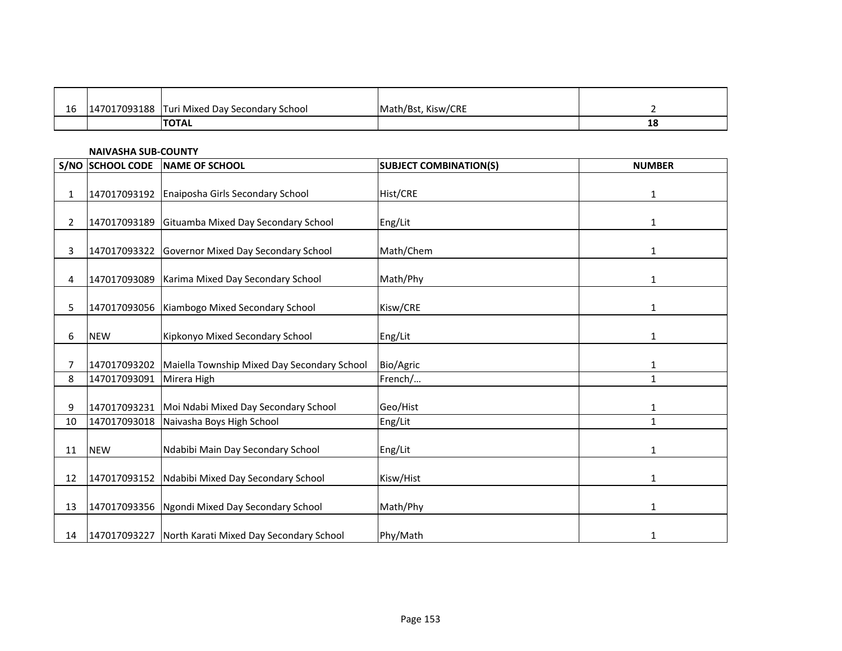| 16 | 147017093188 | <b>Turi Mixed Day Secondary School</b> | Math/Bst, Kisw/CRE |    |
|----|--------------|----------------------------------------|--------------------|----|
|    |              | <b>ITOTAL</b>                          |                    | ΤC |

### **NAIVASHA SUB-COUNTY**

| S/NO           | <b>SCHOOL CODE</b> | <b>NAME OF SCHOOL</b>                                | <b>SUBJECT COMBINATION(S)</b> | <b>NUMBER</b> |
|----------------|--------------------|------------------------------------------------------|-------------------------------|---------------|
|                |                    |                                                      |                               |               |
| $\mathbf{1}$   |                    | 147017093192 Enaiposha Girls Secondary School        | Hist/CRE                      | 1             |
|                |                    |                                                      |                               |               |
| $\overline{2}$ | 147017093189       | Gituamba Mixed Day Secondary School                  | Eng/Lit                       | $\mathbf{1}$  |
| 3              |                    | 147017093322 Governor Mixed Day Secondary School     | Math/Chem                     | 1             |
| 4              | 147017093089       | Karima Mixed Day Secondary School                    | Math/Phy                      | 1             |
|                |                    |                                                      |                               |               |
| 5              |                    | 147017093056 Kiambogo Mixed Secondary School         | Kisw/CRE                      | 1             |
|                |                    |                                                      |                               |               |
| 6              | <b>NEW</b>         | Kipkonyo Mixed Secondary School                      | Eng/Lit                       | 1             |
| 7              | 147017093202       | Maiella Township Mixed Day Secondary School          | Bio/Agric                     | 1             |
| 8              | 147017093091       | Mirera High                                          | French/                       | $\mathbf{1}$  |
| 9              | 147017093231       | Moi Ndabi Mixed Day Secondary School                 | Geo/Hist                      | $\mathbf{1}$  |
| 10             | 147017093018       | Naivasha Boys High School                            | Eng/Lit                       | $\mathbf{1}$  |
| 11             | <b>NEW</b>         | Ndabibi Main Day Secondary School                    | Eng/Lit                       | $\mathbf{1}$  |
|                |                    |                                                      |                               |               |
| 12             |                    | 147017093152 Ndabibi Mixed Day Secondary School      | Kisw/Hist                     | 1             |
| 13             |                    | 147017093356 Ngondi Mixed Day Secondary School       | Math/Phy                      | 1             |
| 14             |                    | 147017093227 North Karati Mixed Day Secondary School | Phy/Math                      | 1             |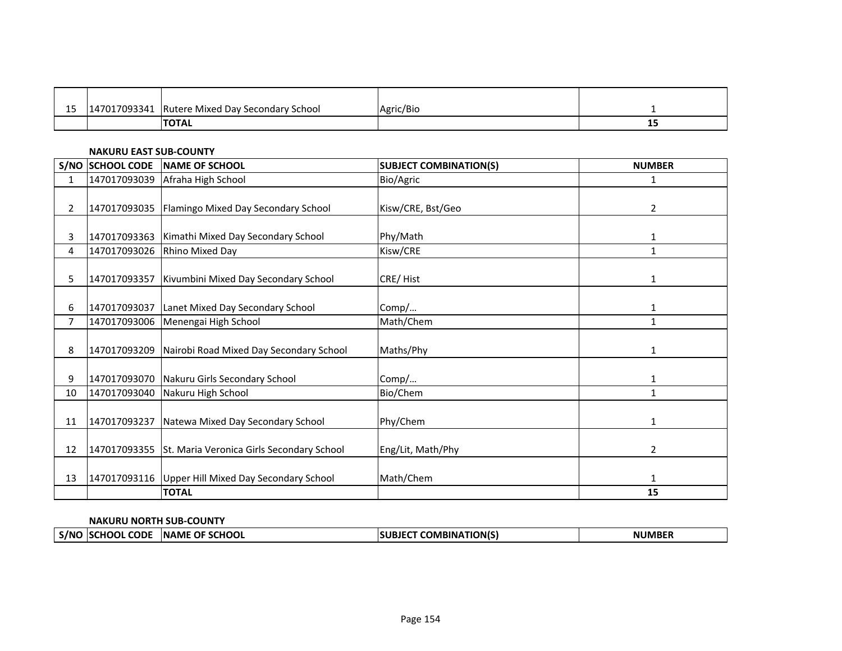| $\sim$<br>-- | 147017093341 | Rutere Mixed Day Secondary School | Agric/Bio |    |
|--------------|--------------|-----------------------------------|-----------|----|
|              |              | <b>ITOTAL</b>                     |           | -- |

### **NAKURU EAST SUB-COUNTY**

|                       | S/NO SCHOOL CODE | <b>NAME OF SCHOOL</b>                                  | <b>SUBJECT COMBINATION(S)</b> | <b>NUMBER</b> |
|-----------------------|------------------|--------------------------------------------------------|-------------------------------|---------------|
| 1                     | 147017093039     | Afraha High School                                     | Bio/Agric                     | 1             |
|                       |                  |                                                        |                               |               |
| $\mathbf{2}^{\prime}$ |                  | 147017093035 Flamingo Mixed Day Secondary School       | Kisw/CRE, Bst/Geo             | 2             |
|                       |                  |                                                        |                               |               |
| 3                     | 147017093363     | Kimathi Mixed Day Secondary School                     | Phy/Math                      | 1             |
| 4                     | 147017093026     | <b>Rhino Mixed Day</b>                                 | Kisw/CRE                      | $\mathbf{1}$  |
|                       |                  |                                                        |                               |               |
| 5.                    | 147017093357     | Kivumbini Mixed Day Secondary School                   | CRE/Hist                      | 1             |
|                       |                  |                                                        |                               |               |
| 6                     | 147017093037     | Lanet Mixed Day Secondary School                       | Comp/                         | $\mathbf{1}$  |
| $\overline{7}$        | 147017093006     | Menengai High School                                   | Math/Chem                     | 1             |
|                       |                  |                                                        |                               |               |
| 8                     | 147017093209     | Nairobi Road Mixed Day Secondary School                | Maths/Phy                     | 1             |
|                       |                  |                                                        |                               |               |
| 9                     | 147017093070     | Nakuru Girls Secondary School                          | Comp/                         | 1             |
| 10                    | 147017093040     | Nakuru High School                                     | Bio/Chem                      | $\mathbf{1}$  |
|                       |                  |                                                        |                               |               |
| 11                    | 147017093237     | Natewa Mixed Day Secondary School                      | Phy/Chem                      | 1             |
|                       |                  |                                                        |                               |               |
| 12                    |                  | 147017093355 St. Maria Veronica Girls Secondary School | Eng/Lit, Math/Phy             | 2             |
|                       |                  |                                                        |                               |               |
| 13                    |                  | 147017093116 Upper Hill Mixed Day Secondary School     | Math/Chem                     | $\mathbf{1}$  |
|                       |                  | <b>TOTAL</b>                                           |                               | 15            |

#### **NAKURU NORTH SUB-COUNTY**

| $- - - -$<br>TION(S<br>S/N <sub>o</sub><br><b>SCHOOI</b><br><b>COMBINA</b><br>'Sι<br>ΩF<br>п<br><b>INAME</b><br><b>CODF</b> |  |
|-----------------------------------------------------------------------------------------------------------------------------|--|
|-----------------------------------------------------------------------------------------------------------------------------|--|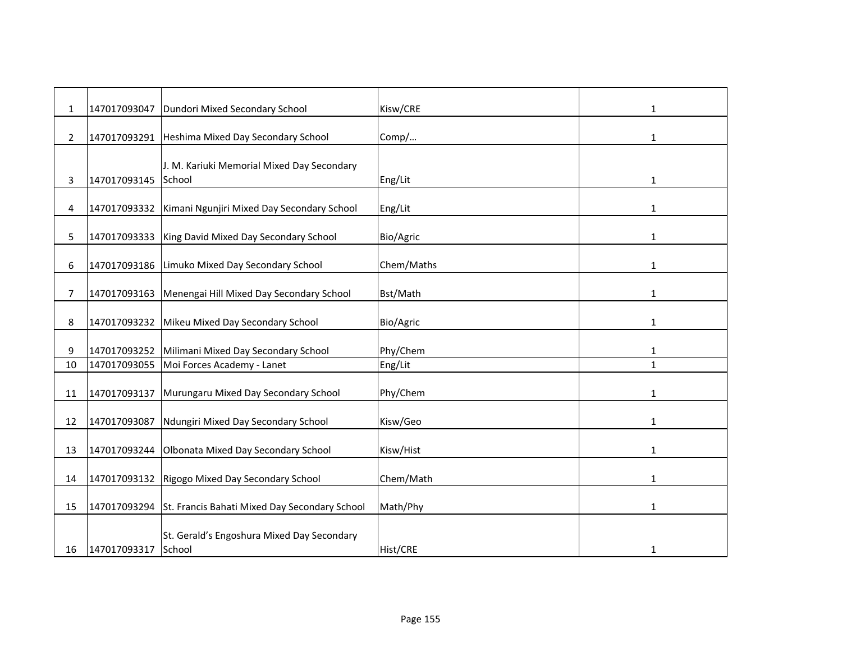| $\mathbf{1}$   | 147017093047 | Dundori Mixed Secondary School                             | Kisw/CRE   | 1            |
|----------------|--------------|------------------------------------------------------------|------------|--------------|
| $\overline{2}$ | 147017093291 | Heshima Mixed Day Secondary School                         | Comp/      | 1            |
|                |              | J. M. Kariuki Memorial Mixed Day Secondary                 |            |              |
| 3              | 147017093145 | School                                                     | Eng/Lit    | 1            |
| 4              | 147017093332 | Kimani Ngunjiri Mixed Day Secondary School                 | Eng/Lit    | 1            |
| 5              | 147017093333 | King David Mixed Day Secondary School                      | Bio/Agric  | 1            |
| 6              | 147017093186 | Limuko Mixed Day Secondary School                          | Chem/Maths | 1            |
| 7              | 147017093163 | Menengai Hill Mixed Day Secondary School                   | Bst/Math   | 1            |
| 8              | 147017093232 | Mikeu Mixed Day Secondary School                           | Bio/Agric  | 1            |
| 9              | 147017093252 | Milimani Mixed Day Secondary School                        | Phy/Chem   | $\mathbf{1}$ |
| 10             | 147017093055 | Moi Forces Academy - Lanet                                 | Eng/Lit    | $\mathbf{1}$ |
| 11             | 147017093137 | Murungaru Mixed Day Secondary School                       | Phy/Chem   | 1            |
| 12             | 147017093087 | Ndungiri Mixed Day Secondary School                        | Kisw/Geo   | 1            |
| 13             | 147017093244 | Olbonata Mixed Day Secondary School                        | Kisw/Hist  | 1            |
| 14             | 147017093132 | Rigogo Mixed Day Secondary School                          | Chem/Math  | 1            |
| 15             |              | 147017093294 St. Francis Bahati Mixed Day Secondary School | Math/Phy   | 1            |
|                |              | St. Gerald's Engoshura Mixed Day Secondary                 |            |              |
| 16             | 147017093317 | School                                                     | Hist/CRE   | $\mathbf{1}$ |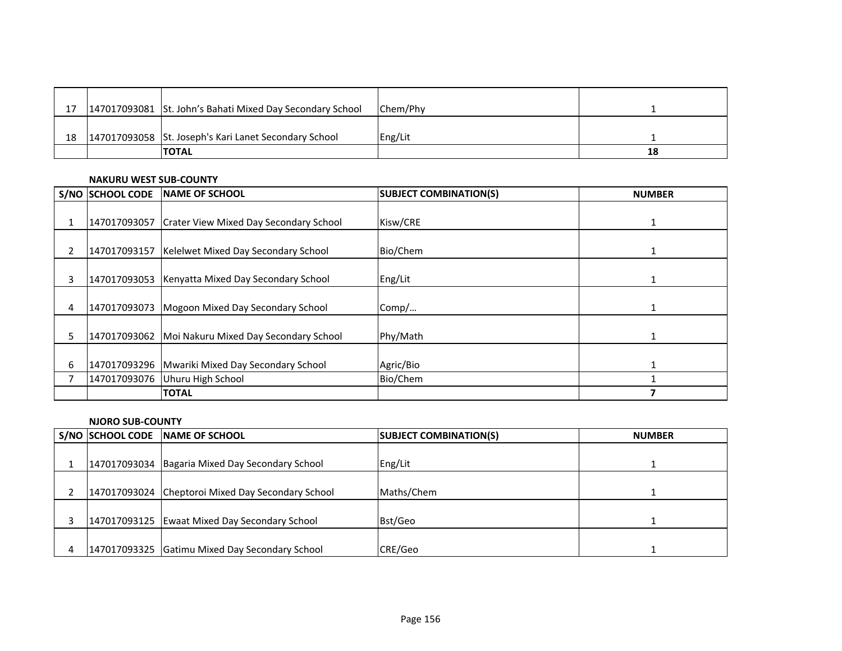| 17 | 147017093081 St. John's Bahati Mixed Day Secondary School | Chem/Phy |    |
|----|-----------------------------------------------------------|----------|----|
|    |                                                           |          |    |
| 18 | 147017093058 St. Joseph's Kari Lanet Secondary School     | Eng/Lit  |    |
|    | <b>TOTAL</b>                                              |          | 18 |

#### **NAKURU WEST SUB-COUNTY**

|    | S/NO SCHOOL CODE | <b>NAME OF SCHOOL</b>                               | <b>SUBJECT COMBINATION(S)</b> | <b>NUMBER</b> |
|----|------------------|-----------------------------------------------------|-------------------------------|---------------|
|    |                  |                                                     |                               |               |
|    |                  | 147017093057 Crater View Mixed Day Secondary School | Kisw/CRE                      |               |
|    | 147017093157     | Kelelwet Mixed Day Secondary School                 | Bio/Chem                      |               |
| 3  |                  | 147017093053 Kenyatta Mixed Day Secondary School    | Eng/Lit                       |               |
| 4  |                  | 147017093073   Mogoon Mixed Day Secondary School    | Comp/                         |               |
| 5. | 147017093062     | Moi Nakuru Mixed Day Secondary School               | Phy/Math                      |               |
| 6  |                  | 147017093296 Mwariki Mixed Day Secondary School     | Agric/Bio                     |               |
|    |                  | 147017093076 Uhuru High School                      | Bio/Chem                      |               |
|    |                  | <b>TOTAL</b>                                        |                               |               |

### **NJORO SUB-COUNTY**

| S/NO SCHOOL CODE | <b>INAME OF SCHOOL</b>                            | <b>SUBJECT COMBINATION(S)</b> | <b>NUMBER</b> |
|------------------|---------------------------------------------------|-------------------------------|---------------|
|                  |                                                   |                               |               |
|                  | 147017093034 Bagaria Mixed Day Secondary School   | Eng/Lit                       |               |
|                  |                                                   |                               |               |
|                  | 147017093024 Cheptoroi Mixed Day Secondary School | Maths/Chem                    |               |
|                  |                                                   |                               |               |
|                  | 147017093125 Ewaat Mixed Day Secondary School     | Bst/Geo                       |               |
|                  |                                                   |                               |               |
|                  | 147017093325 Gatimu Mixed Day Secondary School    | CRE/Geo                       |               |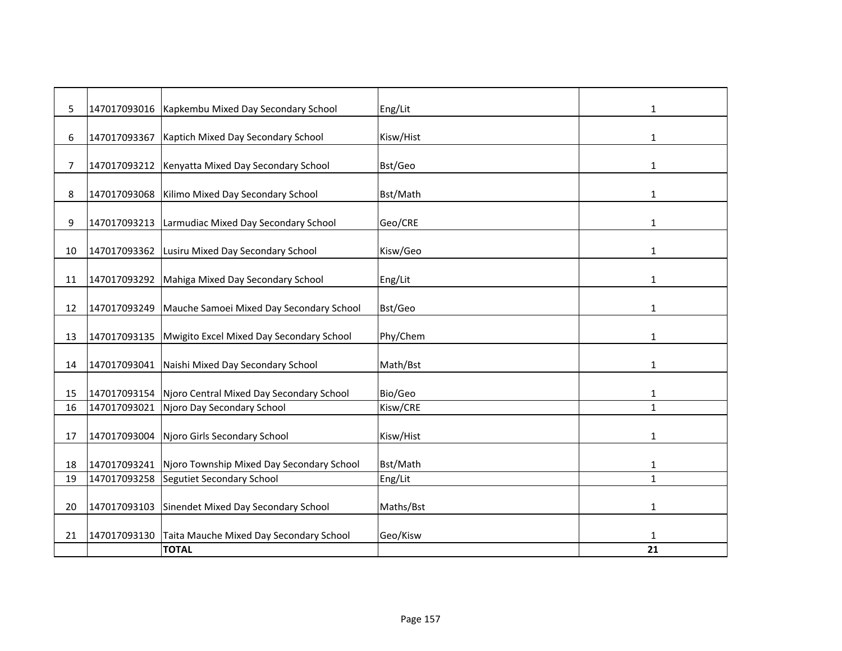| 5  | 147017093016 | Kapkembu Mixed Day Secondary School       | Eng/Lit   | 1            |
|----|--------------|-------------------------------------------|-----------|--------------|
| 6  | 147017093367 | Kaptich Mixed Day Secondary School        | Kisw/Hist | 1            |
| 7  | 147017093212 | Kenyatta Mixed Day Secondary School       | Bst/Geo   | $\mathbf{1}$ |
| 8  | 147017093068 | Kilimo Mixed Day Secondary School         | Bst/Math  | 1            |
|    |              |                                           |           |              |
| 9  | 147017093213 | Larmudiac Mixed Day Secondary School      | Geo/CRE   | 1            |
| 10 | 147017093362 | Lusiru Mixed Day Secondary School         | Kisw/Geo  | 1            |
| 11 | 147017093292 | Mahiga Mixed Day Secondary School         | Eng/Lit   | $\mathbf{1}$ |
|    |              |                                           |           |              |
| 12 | 147017093249 | Mauche Samoei Mixed Day Secondary School  | Bst/Geo   | 1            |
|    |              |                                           |           |              |
| 13 | 147017093135 | Mwigito Excel Mixed Day Secondary School  | Phy/Chem  | 1            |
| 14 | 147017093041 | Naishi Mixed Day Secondary School         | Math/Bst  | $\mathbf{1}$ |
| 15 | 147017093154 | Njoro Central Mixed Day Secondary School  | Bio/Geo   | 1            |
| 16 | 147017093021 | Njoro Day Secondary School                | Kisw/CRE  | $\mathbf{1}$ |
|    |              |                                           |           |              |
| 17 | 147017093004 | Njoro Girls Secondary School              | Kisw/Hist | 1            |
|    |              |                                           |           |              |
| 18 | 147017093241 | Njoro Township Mixed Day Secondary School | Bst/Math  | $\mathbf{1}$ |
| 19 | 147017093258 | Segutiet Secondary School                 | Eng/Lit   | $\mathbf{1}$ |
| 20 | 147017093103 | Sinendet Mixed Day Secondary School       | Maths/Bst | 1            |
|    |              |                                           |           |              |
| 21 | 147017093130 | Taita Mauche Mixed Day Secondary School   | Geo/Kisw  | 1            |
|    |              | <b>TOTAL</b>                              |           | 21           |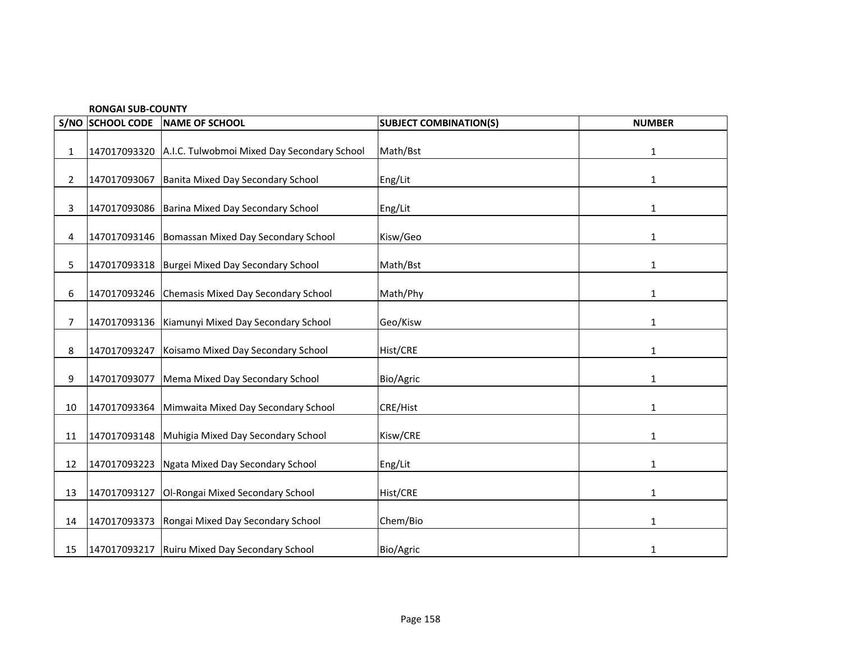|                | <b>RONGAI SUB-COUNTY</b> |                                                  |                               |               |  |
|----------------|--------------------------|--------------------------------------------------|-------------------------------|---------------|--|
|                | S/NO SCHOOL CODE         | NAME OF SCHOOL                                   | <b>SUBJECT COMBINATION(S)</b> | <b>NUMBER</b> |  |
| 1              | 147017093320             | A.I.C. Tulwobmoi Mixed Day Secondary School      | Math/Bst                      | 1             |  |
| $\overline{2}$ | 147017093067             | Banita Mixed Day Secondary School                | Eng/Lit                       | $\mathbf{1}$  |  |
| 3              |                          | 147017093086 Barina Mixed Day Secondary School   | Eng/Lit                       | 1             |  |
| 4              | 147017093146             | Bomassan Mixed Day Secondary School              | Kisw/Geo                      | $\mathbf{1}$  |  |
| 5              |                          | 147017093318 Burgei Mixed Day Secondary School   | Math/Bst                      | $\mathbf{1}$  |  |
| 6              |                          | 147017093246 Chemasis Mixed Day Secondary School | Math/Phy                      | 1             |  |
| $\overline{7}$ |                          | 147017093136 Kiamunyi Mixed Day Secondary School | Geo/Kisw                      | $\mathbf{1}$  |  |
| 8              | 147017093247             | Koisamo Mixed Day Secondary School               | Hist/CRE                      | $\mathbf{1}$  |  |
| 9              | 147017093077             | Mema Mixed Day Secondary School                  | Bio/Agric                     | 1             |  |
| 10             | 147017093364             | Mimwaita Mixed Day Secondary School              | CRE/Hist                      | $\mathbf{1}$  |  |
| 11             | 147017093148             | Muhigia Mixed Day Secondary School               | Kisw/CRE                      | $\mathbf{1}$  |  |
| 12             | 147017093223             | Ngata Mixed Day Secondary School                 | Eng/Lit                       | 1             |  |
| 13             | 147017093127             | Ol-Rongai Mixed Secondary School                 | Hist/CRE                      | $\mathbf{1}$  |  |
| 14             | 147017093373             | Rongai Mixed Day Secondary School                | Chem/Bio                      | 1             |  |
| 15             |                          | 147017093217 Ruiru Mixed Day Secondary School    | Bio/Agric                     | 1             |  |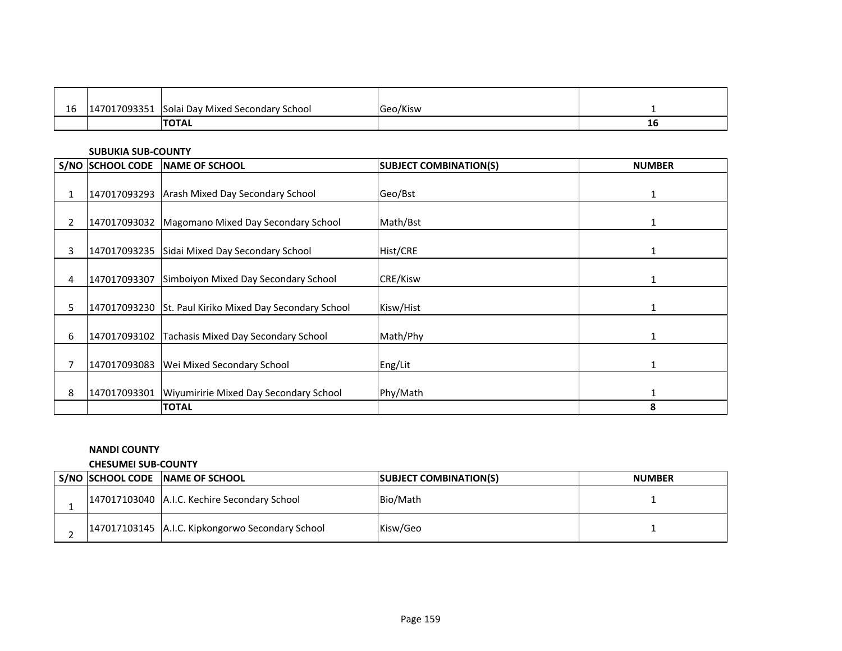| 1C<br>ᆚ | 17002254<br>47<br>៸บฯรรวบ | <b>Solai Day Mixed Secondary School</b> | Geo/Kisw |    |
|---------|---------------------------|-----------------------------------------|----------|----|
|         |                           | <b>TOTAL</b>                            |          | ΤO |

#### **SUBUKIA SUB-COUNTY**

|   | S/NO SCHOOL CODE | NAME OF SCHOOL                                          | <b>SUBJECT COMBINATION(S)</b> | <b>NUMBER</b> |
|---|------------------|---------------------------------------------------------|-------------------------------|---------------|
|   |                  |                                                         |                               |               |
|   |                  | 147017093293 Arash Mixed Day Secondary School           | Geo/Bst                       | 1             |
|   |                  |                                                         |                               |               |
| 2 |                  | 147017093032 Magomano Mixed Day Secondary School        | Math/Bst                      | 1             |
| 3 |                  | 147017093235 Sidai Mixed Day Secondary School           | Hist/CRE                      |               |
| 4 | 147017093307     | Simboiyon Mixed Day Secondary School                    | <b>CRE/Kisw</b>               |               |
| 5 |                  | 147017093230 St. Paul Kiriko Mixed Day Secondary School | Kisw/Hist                     | 1             |
| 6 |                  | 147017093102 Tachasis Mixed Day Secondary School        | Math/Phy                      | 1             |
|   | 147017093083     | Wei Mixed Secondary School                              | Eng/Lit                       | 1             |
| 8 | 147017093301     | Wiyumiririe Mixed Day Secondary School                  | Phy/Math                      | $\mathbf{1}$  |
|   |                  | <b>TOTAL</b>                                            |                               | 8             |

### **NANDI COUNTY**

**CHESUMEI SUB-COUNTY**

|  | S/NO SCHOOL CODE NAME OF SCHOOL                  | <b>SUBJECT COMBINATION(S)</b> | <b>NUMBER</b> |
|--|--------------------------------------------------|-------------------------------|---------------|
|  | 147017103040 A.I.C. Kechire Secondary School     | Bio/Math                      |               |
|  | 147017103145 A.I.C. Kipkongorwo Secondary School | Kisw/Geo                      |               |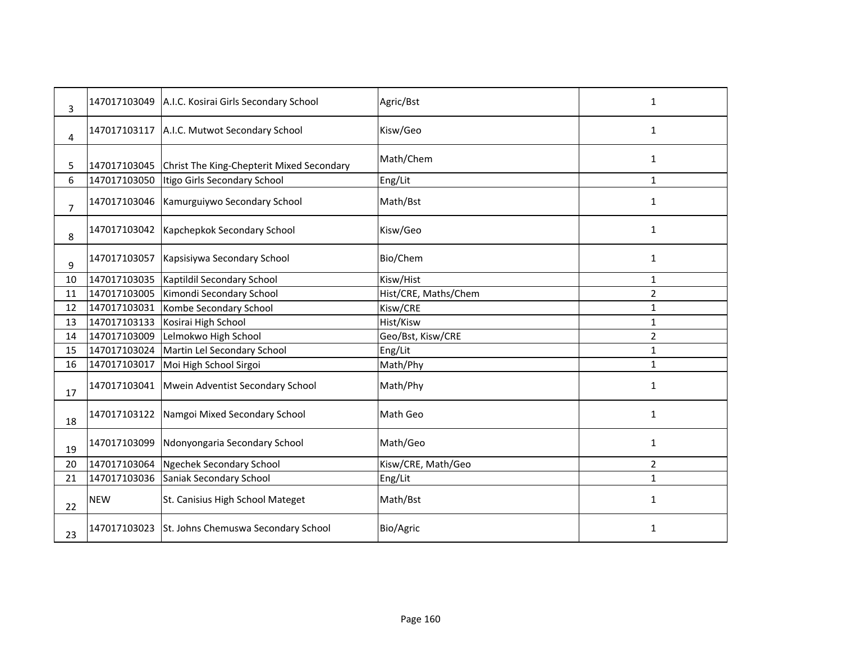| 3              | 147017103049 | A.I.C. Kosirai Girls Secondary School     | Agric/Bst            | 1              |
|----------------|--------------|-------------------------------------------|----------------------|----------------|
| 4              | 147017103117 | A.I.C. Mutwot Secondary School            | Kisw/Geo             | 1              |
| 5              | 147017103045 | Christ The King-Chepterit Mixed Secondary | Math/Chem            | 1              |
| 6              | 147017103050 | Itigo Girls Secondary School              | Eng/Lit              | $\mathbf{1}$   |
| $\overline{7}$ | 147017103046 | Kamurguiywo Secondary School              | Math/Bst             | 1              |
| 8              | 147017103042 | Kapchepkok Secondary School               | Kisw/Geo             | 1              |
| 9              | 147017103057 | Kapsisiywa Secondary School               | Bio/Chem             | $\mathbf{1}$   |
| 10             | 147017103035 | Kaptildil Secondary School                | Kisw/Hist            | 1              |
| 11             | 147017103005 | Kimondi Secondary School                  | Hist/CRE, Maths/Chem | $\overline{2}$ |
| 12             | 147017103031 | Kombe Secondary School                    | Kisw/CRE             | $\mathbf{1}$   |
| 13             | 147017103133 | Kosirai High School                       | Hist/Kisw            | 1              |
| 14             | 147017103009 | Lelmokwo High School                      | Geo/Bst, Kisw/CRE    | $\overline{2}$ |
| 15             | 147017103024 | Martin Lel Secondary School               | Eng/Lit              | $\mathbf{1}$   |
| 16             | 147017103017 | Moi High School Sirgoi                    | Math/Phy             | 1              |
| 17             | 147017103041 | Mwein Adventist Secondary School          | Math/Phy             | 1              |
| 18             | 147017103122 | Namgoi Mixed Secondary School             | Math Geo             | 1              |
| 19             | 147017103099 | Ndonyongaria Secondary School             | Math/Geo             | $\mathbf{1}$   |
| 20             | 147017103064 | Ngechek Secondary School                  | Kisw/CRE, Math/Geo   | $\overline{2}$ |
| 21             | 147017103036 | Saniak Secondary School                   | Eng/Lit              | 1              |
| 22             | <b>NEW</b>   | St. Canisius High School Mateget          | Math/Bst             | 1              |
| 23             | 147017103023 | St. Johns Chemuswa Secondary School       | Bio/Agric            | 1              |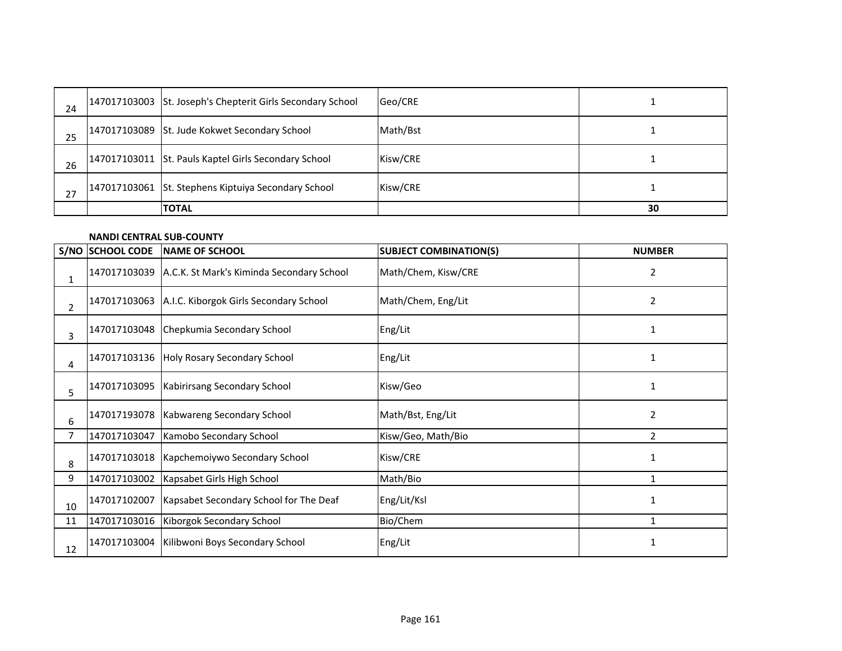| 24 | 147017103003 St. Joseph's Chepterit Girls Secondary School | Geo/CRE  |    |
|----|------------------------------------------------------------|----------|----|
| 25 | 147017103089 St. Jude Kokwet Secondary School              | Math/Bst |    |
| 26 | 147017103011 St. Pauls Kaptel Girls Secondary School       | Kisw/CRE |    |
| 27 | 147017103061 St. Stephens Kiptuiya Secondary School        | Kisw/CRE |    |
|    | <b>TOTAL</b>                                               |          | 30 |

### **NANDI CENTRAL SUB-COUNTY**

|                | S/NO SCHOOL CODE | <b>NAME OF SCHOOL</b>                     | <b>SUBJECT COMBINATION(S)</b> | <b>NUMBER</b> |
|----------------|------------------|-------------------------------------------|-------------------------------|---------------|
| 1              | 147017103039     | A.C.K. St Mark's Kiminda Secondary School | Math/Chem, Kisw/CRE           | 2             |
| $\overline{2}$ | 147017103063     | A.I.C. Kiborgok Girls Secondary School    | Math/Chem, Eng/Lit            | 2             |
| 3              | 147017103048     | Chepkumia Secondary School                | Eng/Lit                       | 1             |
| 4              |                  | 147017103136 Holy Rosary Secondary School | Eng/Lit                       |               |
| 5              | 147017103095     | Kabirirsang Secondary School              | Kisw/Geo                      | 1             |
| 6              | 147017193078     | Kabwareng Secondary School                | Math/Bst, Eng/Lit             | 2             |
| 7              | 147017103047     | Kamobo Secondary School                   | Kisw/Geo, Math/Bio            | 2             |
| 8              | 147017103018     | Kapchemoiywo Secondary School             | Kisw/CRE                      |               |
| 9              | 147017103002     | Kapsabet Girls High School                | Math/Bio                      | 1             |
| 10             | 147017102007     | Kapsabet Secondary School for The Deaf    | Eng/Lit/Ksl                   |               |
| 11             | 147017103016     | Kiborgok Secondary School                 | Bio/Chem                      | $\mathbf{1}$  |
| 12             | 147017103004     | Kilibwoni Boys Secondary School           | Eng/Lit                       | 1             |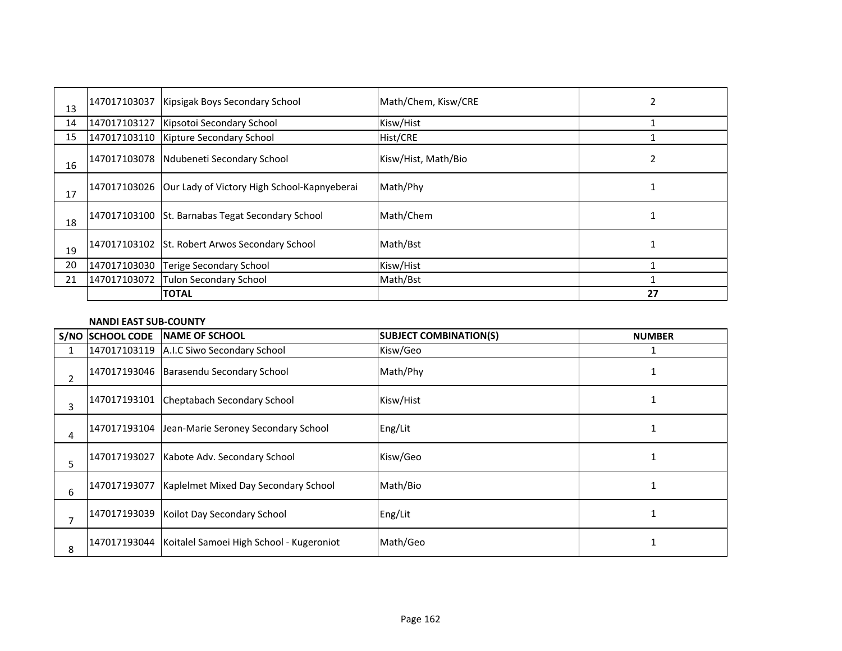| 13 | 147017103037 | Kipsigak Boys Secondary School                           | Math/Chem, Kisw/CRE | 2  |
|----|--------------|----------------------------------------------------------|---------------------|----|
| 14 | 147017103127 | Kipsotoi Secondary School                                | Kisw/Hist           |    |
| 15 | 147017103110 | Kipture Secondary School                                 | Hist/CRE            |    |
| 16 | 147017103078 | Ndubeneti Secondary School                               | Kisw/Hist, Math/Bio | 2  |
| 17 |              | 147017103026 Our Lady of Victory High School-Kapnyeberai | Math/Phy            |    |
| 18 | 147017103100 | St. Barnabas Tegat Secondary School                      | Math/Chem           |    |
| 19 | 147017103102 | St. Robert Arwos Secondary School                        | Math/Bst            |    |
| 20 | 147017103030 | <b>Terige Secondary School</b>                           | Kisw/Hist           |    |
| 21 | 147017103072 | Tulon Secondary School                                   | Math/Bst            |    |
|    |              | <b>TOTAL</b>                                             |                     | 27 |

### **NANDI EAST SUB-COUNTY**

|   | S/NO SCHOOL CODE | <b>INAME OF SCHOOL</b>                                | <b>SUBJECT COMBINATION(S)</b> | <b>NUMBER</b> |
|---|------------------|-------------------------------------------------------|-------------------------------|---------------|
|   |                  | 147017103119 A.I.C Siwo Secondary School              | Kisw/Geo                      |               |
| 2 |                  | 147017193046 Barasendu Secondary School               | Math/Phy                      |               |
| 3 |                  | 147017193101 Cheptabach Secondary School              | Kisw/Hist                     |               |
| 4 |                  | 147017193104 Jean-Marie Seroney Secondary School      | Eng/Lit                       |               |
| 5 | 147017193027     | Kabote Adv. Secondary School                          | Kisw/Geo                      |               |
| 6 | 147017193077     | Kaplelmet Mixed Day Secondary School                  | Math/Bio                      |               |
|   | 147017193039     | Koilot Day Secondary School                           | Eng/Lit                       |               |
| 8 |                  | 147017193044 Koitalel Samoei High School - Kugeroniot | Math/Geo                      |               |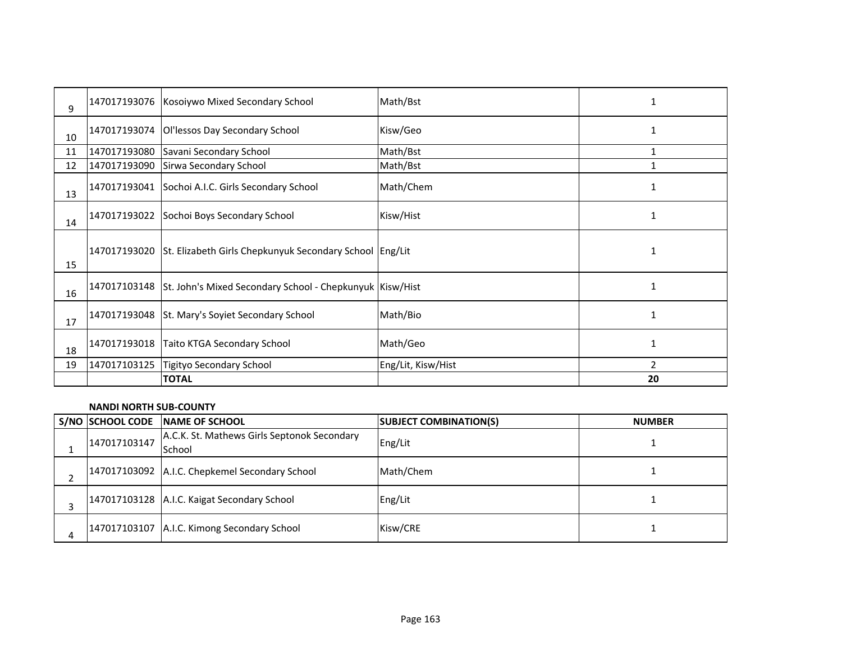| 9  | 147017193076 | Kosoiywo Mixed Secondary School                                       | Math/Bst           | 1              |
|----|--------------|-----------------------------------------------------------------------|--------------------|----------------|
| 10 | 147017193074 | Ol'lessos Day Secondary School                                        | Kisw/Geo           | 1              |
| 11 | 147017193080 | Savani Secondary School                                               | Math/Bst           | 1              |
| 12 | 147017193090 | Sirwa Secondary School                                                | Math/Bst           |                |
| 13 |              | 147017193041 Sochoi A.I.C. Girls Secondary School                     | Math/Chem          |                |
| 14 | 147017193022 | Sochoi Boys Secondary School                                          | Kisw/Hist          | 1              |
| 15 |              | 147017193020 St. Elizabeth Girls Chepkunyuk Secondary School Eng/Lit  |                    | 1              |
| 16 |              | 147017103148 St. John's Mixed Secondary School - Chepkunyuk Kisw/Hist |                    | $\mathbf{1}$   |
| 17 | 147017193048 | St. Mary's Soyiet Secondary School                                    | Math/Bio           |                |
| 18 | 147017193018 | <b>Taito KTGA Secondary School</b>                                    | Math/Geo           | 1              |
| 19 | 147017103125 | Tigityo Secondary School                                              | Eng/Lit, Kisw/Hist | $\mathfrak{p}$ |
|    |              | <b>TOTAL</b>                                                          |                    | 20             |

### **NANDI NORTH SUB-COUNTY**

|   | <b>S/NO SCHOOL CODE</b> | <b>INAME OF SCHOOL</b>                                | <b>SUBJECT COMBINATION(S)</b> | <b>NUMBER</b> |
|---|-------------------------|-------------------------------------------------------|-------------------------------|---------------|
|   | 147017103147            | A.C.K. St. Mathews Girls Septonok Secondary<br>School | Eng/Lit                       |               |
|   |                         | 147017103092 A.I.C. Chepkemel Secondary School        | Math/Chem                     |               |
|   |                         | 147017103128 A.I.C. Kaigat Secondary School           | Eng/Lit                       |               |
| 4 |                         | 147017103107 A.I.C. Kimong Secondary School           | Kisw/CRE                      |               |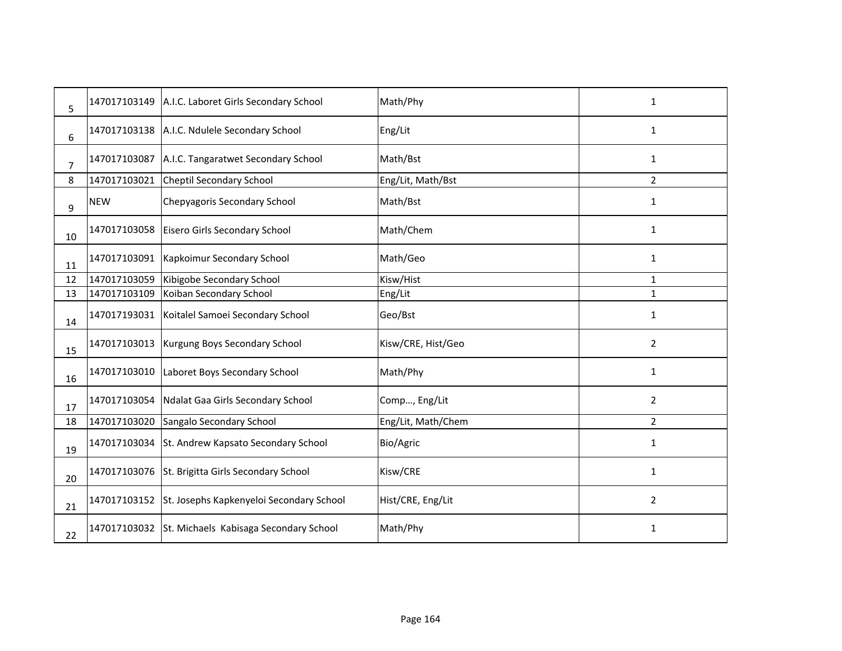| 5              | 147017103149 | A.I.C. Laboret Girls Secondary School    | Math/Phy           | 1              |
|----------------|--------------|------------------------------------------|--------------------|----------------|
| 6              | 147017103138 | A.I.C. Ndulele Secondary School          | Eng/Lit            | 1              |
| $\overline{7}$ | 147017103087 | A.I.C. Tangaratwet Secondary School      | Math/Bst           | 1              |
| 8              | 147017103021 | <b>Cheptil Secondary School</b>          | Eng/Lit, Math/Bst  | $\overline{2}$ |
| 9              | <b>NEW</b>   | Chepyagoris Secondary School             | Math/Bst           | $\mathbf{1}$   |
| 10             | 147017103058 | Eisero Girls Secondary School            | Math/Chem          | 1              |
| 11             | 147017103091 | Kapkoimur Secondary School               | Math/Geo           | 1              |
| 12             | 147017103059 | Kibigobe Secondary School                | Kisw/Hist          | 1              |
| 13             | 147017103109 | Koiban Secondary School                  | Eng/Lit            | $\mathbf{1}$   |
| 14             | 147017193031 | Koitalel Samoei Secondary School         | Geo/Bst            | 1              |
| 15             | 147017103013 | Kurgung Boys Secondary School            | Kisw/CRE, Hist/Geo | $\overline{2}$ |
| 16             | 147017103010 | Laboret Boys Secondary School            | Math/Phy           | 1              |
| 17             | 147017103054 | Ndalat Gaa Girls Secondary School        | Comp, Eng/Lit      | $\overline{2}$ |
| 18             | 147017103020 | Sangalo Secondary School                 | Eng/Lit, Math/Chem | $\overline{2}$ |
| 19             | 147017103034 | St. Andrew Kapsato Secondary School      | Bio/Agric          | 1              |
| 20             | 147017103076 | St. Brigitta Girls Secondary School      | Kisw/CRE           | 1              |
| 21             | 147017103152 | St. Josephs Kapkenyeloi Secondary School | Hist/CRE, Eng/Lit  | $\overline{2}$ |
| 22             | 147017103032 | St. Michaels Kabisaga Secondary School   | Math/Phy           | 1              |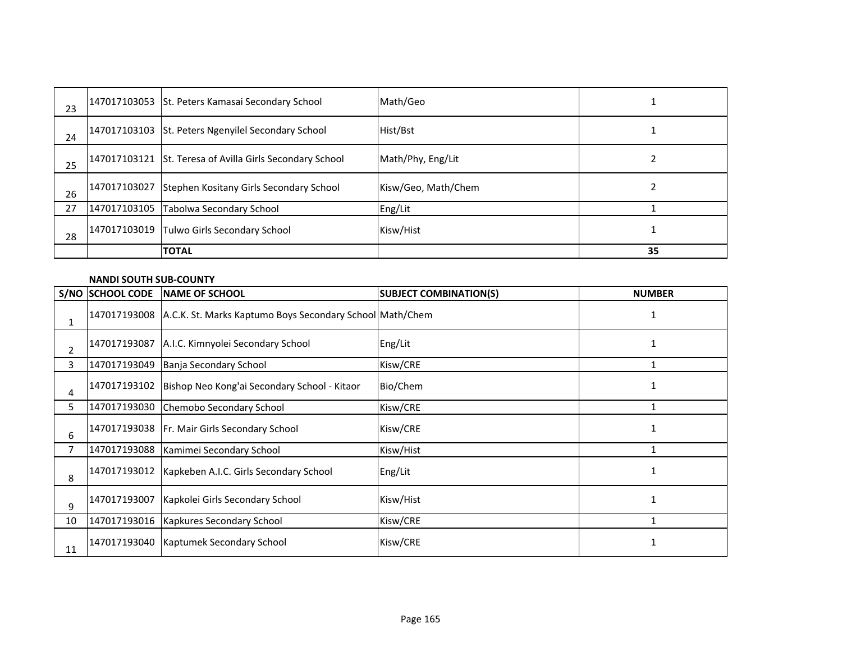| 23 | 147017103053 St. Peters Kamasai Secondary School         | Math/Geo            |    |
|----|----------------------------------------------------------|---------------------|----|
| 24 | 147017103103 St. Peters Ngenyilel Secondary School       | Hist/Bst            |    |
| 25 | 147017103121 St. Teresa of Avilla Girls Secondary School | Math/Phy, Eng/Lit   |    |
| 26 | 147017103027 Stephen Kositany Girls Secondary School     | Kisw/Geo, Math/Chem |    |
| 27 | 147017103105 Tabolwa Secondary School                    | Eng/Lit             |    |
| 28 | 147017103019 Tulwo Girls Secondary School                | Kisw/Hist           |    |
|    | <b>TOTAL</b>                                             |                     | 35 |

### **NANDI SOUTH SUB-COUNTY**

|                | <b>S/NO SCHOOL CODE</b> | <b>INAME OF SCHOOL</b>                                                | <b>SUBJECT COMBINATION(S)</b> | <b>NUMBER</b> |
|----------------|-------------------------|-----------------------------------------------------------------------|-------------------------------|---------------|
|                |                         | 147017193008 A.C.K. St. Marks Kaptumo Boys Secondary School Math/Chem |                               | 1             |
| $\overline{2}$ | 147017193087            | A.I.C. Kimnyolei Secondary School                                     | Eng/Lit                       | 1             |
| 3              | 147017193049            | Banja Secondary School                                                | Kisw/CRE                      |               |
| 4              |                         | 147017193102 Bishop Neo Kong'ai Secondary School - Kitaor             | Bio/Chem                      | 1             |
| 5.             | 147017193030            | Chemobo Secondary School                                              | Kisw/CRE                      |               |
| 6              |                         | 147017193038   Fr. Mair Girls Secondary School                        | Kisw/CRE                      |               |
| 7              | 147017193088            | Kamimei Secondary School                                              | Kisw/Hist                     |               |
| 8              |                         | 147017193012   Kapkeben A.I.C. Girls Secondary School                 | Eng/Lit                       |               |
| 9              | 147017193007            | Kapkolei Girls Secondary School                                       | Kisw/Hist                     |               |
| 10             | 147017193016            | Kapkures Secondary School                                             | Kisw/CRE                      |               |
| 11             |                         | 147017193040   Kaptumek Secondary School                              | Kisw/CRE                      |               |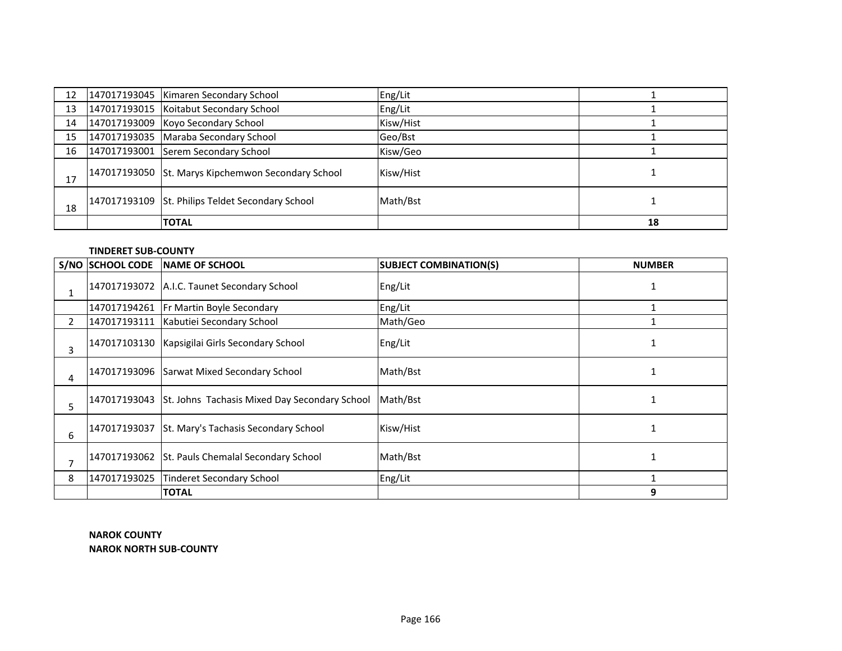| 12 | 147017193045   Kimaren Secondary School            | Eng/Lit   |    |
|----|----------------------------------------------------|-----------|----|
| 13 | 147017193015 Koitabut Secondary School             | Eng/Lit   |    |
| 14 | 147017193009 Koyo Secondary School                 | Kisw/Hist |    |
| 15 | 147017193035 Maraba Secondary School               | Geo/Bst   |    |
| 16 | 147017193001 Serem Secondary School                | Kisw/Geo  |    |
| 17 | 147017193050 St. Marys Kipchemwon Secondary School | Kisw/Hist |    |
| 18 | 147017193109 St. Philips Teldet Secondary School   | Math/Bst  |    |
|    | <b>TOTAL</b>                                       |           | 18 |

| <b>TINDERET SUB-COUNTY</b> |  |
|----------------------------|--|
|----------------------------|--|

|                | <b>S/NO SCHOOL CODE</b> | NAME OF SCHOOL                                             | <b>SUBJECT COMBINATION(S)</b> | <b>NUMBER</b> |
|----------------|-------------------------|------------------------------------------------------------|-------------------------------|---------------|
|                |                         | 147017193072 A.I.C. Taunet Secondary School                | Eng/Lit                       |               |
|                |                         | 147017194261 Fr Martin Boyle Secondary                     | Eng/Lit                       |               |
| $\overline{2}$ | 147017193111            | Kabutiei Secondary School                                  | Math/Geo                      |               |
| 3              |                         | 147017103130 Kapsigilai Girls Secondary School             | Eng/Lit                       |               |
| 4              |                         | 147017193096 Sarwat Mixed Secondary School                 | Math/Bst                      |               |
| 5              |                         | 147017193043 St. Johns Tachasis Mixed Day Secondary School | Math/Bst                      |               |
| 6              |                         | 147017193037 St. Mary's Tachasis Secondary School          | Kisw/Hist                     |               |
| 7              |                         | 147017193062 St. Pauls Chemalal Secondary School           | Math/Bst                      |               |
| 8              | 147017193025            | Tinderet Secondary School                                  | Eng/Lit                       |               |
|                |                         | <b>TOTAL</b>                                               |                               | 9             |

**NAROK COUNTY NAROK NORTH SUB-COUNTY**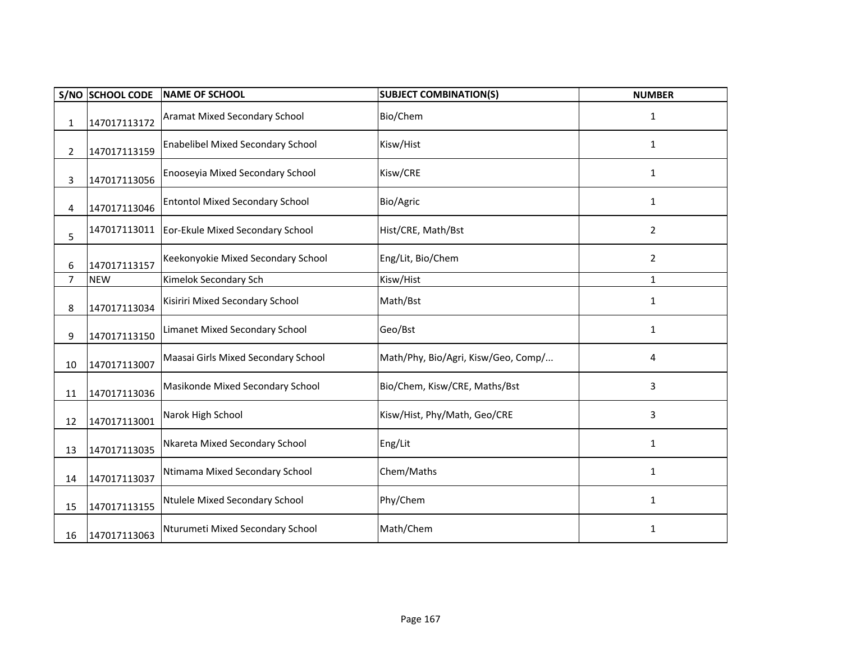|                | <b>S/NO SCHOOL CODE</b> | <b>NAME OF SCHOOL</b>                    | <b>SUBJECT COMBINATION(S)</b>       | <b>NUMBER</b>  |
|----------------|-------------------------|------------------------------------------|-------------------------------------|----------------|
| 1              | 147017113172            | <b>Aramat Mixed Secondary School</b>     | Bio/Chem                            | $\mathbf{1}$   |
| $\overline{2}$ | 147017113159            | <b>Enabelibel Mixed Secondary School</b> | Kisw/Hist                           | 1              |
| 3              | 147017113056            | Enooseyia Mixed Secondary School         | Kisw/CRE                            | $\mathbf{1}$   |
| 4              | 147017113046            | <b>Entontol Mixed Secondary School</b>   | Bio/Agric                           | $\mathbf{1}$   |
| 5              | 147017113011            | Eor-Ekule Mixed Secondary School         | Hist/CRE, Math/Bst                  | 2              |
| 6              | 147017113157            | Keekonyokie Mixed Secondary School       | Eng/Lit, Bio/Chem                   | $\overline{2}$ |
| $\overline{7}$ | <b>NEW</b>              | Kimelok Secondary Sch                    | Kisw/Hist                           | $\mathbf{1}$   |
| 8              | 147017113034            | Kisiriri Mixed Secondary School          | Math/Bst                            | $\mathbf{1}$   |
| 9              | 147017113150            | <b>Limanet Mixed Secondary School</b>    | Geo/Bst                             | $\mathbf{1}$   |
| 10             | 147017113007            | Maasai Girls Mixed Secondary School      | Math/Phy, Bio/Agri, Kisw/Geo, Comp/ | 4              |
| 11             | 147017113036            | Masikonde Mixed Secondary School         | Bio/Chem, Kisw/CRE, Maths/Bst       | 3              |
| 12             | 147017113001            | Narok High School                        | Kisw/Hist, Phy/Math, Geo/CRE        | 3              |
| 13             | 147017113035            | Nkareta Mixed Secondary School           | Eng/Lit                             | $\mathbf{1}$   |
| 14             | 147017113037            | Ntimama Mixed Secondary School           | Chem/Maths                          | $\mathbf{1}$   |
| 15             | 147017113155            | Ntulele Mixed Secondary School           | Phy/Chem                            | 1              |
| 16             | 147017113063            | Nturumeti Mixed Secondary School         | Math/Chem                           | $\mathbf{1}$   |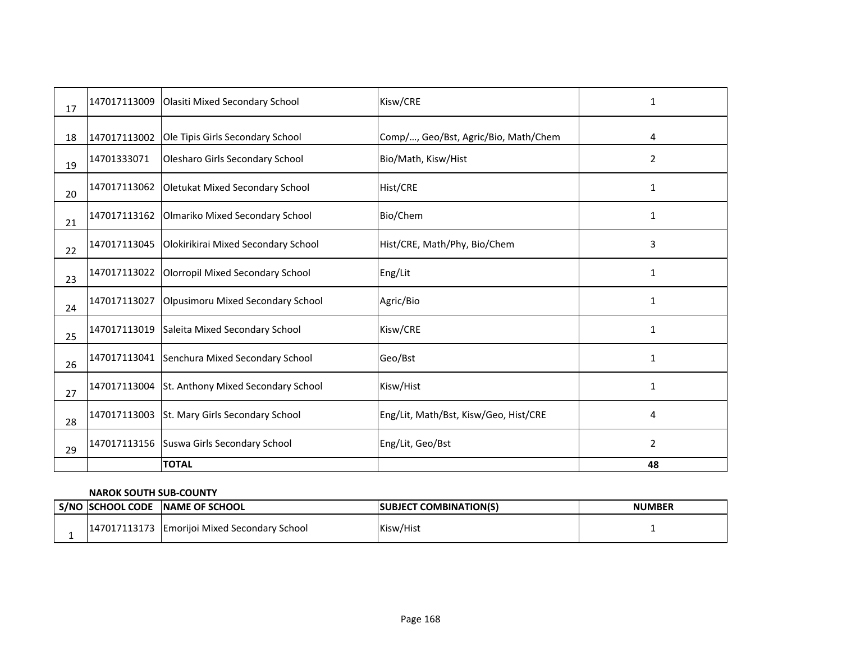| 17 | 147017113009 | Olasiti Mixed Secondary School               | Kisw/CRE                              | 1              |
|----|--------------|----------------------------------------------|---------------------------------------|----------------|
| 18 | 147017113002 | Ole Tipis Girls Secondary School             | Comp/, Geo/Bst, Agric/Bio, Math/Chem  | 4              |
| 19 | 14701333071  | Olesharo Girls Secondary School              | Bio/Math, Kisw/Hist                   | $\overline{2}$ |
| 20 | 147017113062 | Oletukat Mixed Secondary School              | <b>Hist/CRE</b>                       | 1              |
| 21 | 147017113162 | Olmariko Mixed Secondary School              | Bio/Chem                              | 1              |
| 22 | 147017113045 | Olokirikirai Mixed Secondary School          | Hist/CRE, Math/Phy, Bio/Chem          | 3              |
| 23 | 147017113022 | Olorropil Mixed Secondary School             | Eng/Lit                               | 1              |
| 24 | 147017113027 | Olpusimoru Mixed Secondary School            | Agric/Bio                             | 1              |
| 25 | 147017113019 | Saleita Mixed Secondary School               | Kisw/CRE                              | 1              |
| 26 |              | 147017113041 Senchura Mixed Secondary School | Geo/Bst                               | 1              |
| 27 | 147017113004 | St. Anthony Mixed Secondary School           | Kisw/Hist                             | 1              |
| 28 | 147017113003 | St. Mary Girls Secondary School              | Eng/Lit, Math/Bst, Kisw/Geo, Hist/CRE | 4              |
| 29 | 147017113156 | Suswa Girls Secondary School                 | Eng/Lit, Geo/Bst                      | $\overline{2}$ |
|    |              | <b>TOTAL</b>                                 |                                       | 48             |

#### **NAROK SOUTH SUB-COUNTY**

|  | S/NO SCHOOL CODE | <b>INAME OF SCHOOL</b>           | Γ COMBINATION(S)<br><b>SUBJECT</b> | <b>NUMBER</b> |
|--|------------------|----------------------------------|------------------------------------|---------------|
|  | 147017113173     | JEmorijoi Mixed Secondary School | Kisw/Hist                          |               |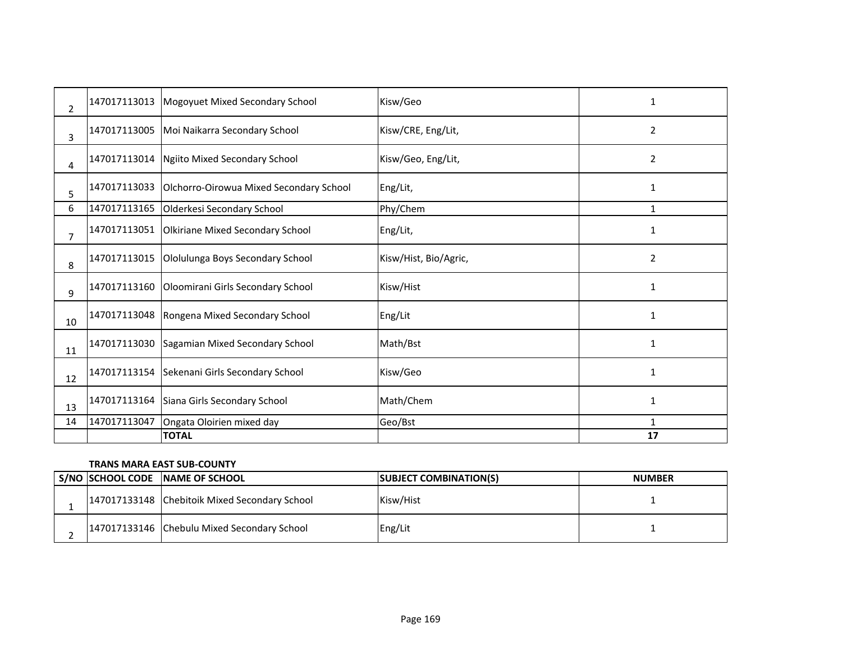| $\overline{2}$ | 147017113013 | Mogoyuet Mixed Secondary School         | Kisw/Geo              | 1              |
|----------------|--------------|-----------------------------------------|-----------------------|----------------|
| 3              | 147017113005 | Moi Naikarra Secondary School           | Kisw/CRE, Eng/Lit,    | $\overline{2}$ |
| 4              | 147017113014 | Ngiito Mixed Secondary School           | Kisw/Geo, Eng/Lit,    | $\overline{2}$ |
| 5              | 147017113033 | Olchorro-Oirowua Mixed Secondary School | Eng/Lit,              | 1              |
| 6              | 147017113165 | Olderkesi Secondary School              | Phy/Chem              | 1              |
| $\overline{7}$ | 147017113051 | Olkiriane Mixed Secondary School        | Eng/Lit,              | 1              |
| 8              | 147017113015 | Ololulunga Boys Secondary School        | Kisw/Hist, Bio/Agric, | 2              |
| 9              | 147017113160 | Oloomirani Girls Secondary School       | Kisw/Hist             | $\mathbf{1}$   |
| 10             | 147017113048 | Rongena Mixed Secondary School          | Eng/Lit               | 1              |
| 11             | 147017113030 | Sagamian Mixed Secondary School         | Math/Bst              | 1              |
| 12             | 147017113154 | Sekenani Girls Secondary School         | Kisw/Geo              | $\mathbf{1}$   |
| 13             | 147017113164 | Siana Girls Secondary School            | Math/Chem             | 1              |
| 14             | 147017113047 | Ongata Oloirien mixed day               | Geo/Bst               | 1              |
|                |              | <b>TOTAL</b>                            |                       | 17             |

### **TRANS MARA EAST SUB-COUNTY**

|  | S/NO SCHOOL CODE NAME OF SCHOOL               | <b>SUBJECT COMBINATION(S)</b> | <b>NUMBER</b> |
|--|-----------------------------------------------|-------------------------------|---------------|
|  | 147017133148 Chebitoik Mixed Secondary School | Kisw/Hist                     |               |
|  | 147017133146 Chebulu Mixed Secondary School   | Eng/Lit                       |               |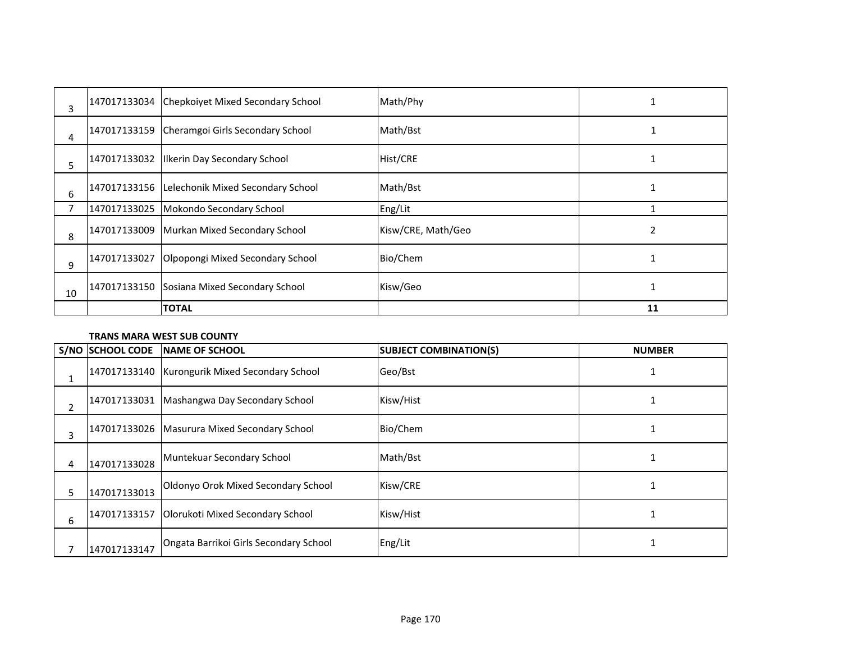| 3  |              | 147017133034 Chepkoiyet Mixed Secondary School | Math/Phy           |    |
|----|--------------|------------------------------------------------|--------------------|----|
| 4  | 147017133159 | Cheramgoi Girls Secondary School               | Math/Bst           |    |
| 5  |              | 147017133032   Ilkerin Day Secondary School    | Hist/CRE           |    |
| 6  |              | 147017133156 Lelechonik Mixed Secondary School | Math/Bst           |    |
| 7  | 147017133025 | Mokondo Secondary School                       | Eng/Lit            |    |
| 8  |              | 147017133009 Murkan Mixed Secondary School     | Kisw/CRE, Math/Geo |    |
| 9  | 147017133027 | Olpopongi Mixed Secondary School               | Bio/Chem           |    |
| 10 |              | 147017133150 Sosiana Mixed Secondary School    | Kisw/Geo           |    |
|    |              | <b>TOTAL</b>                                   |                    | 11 |

### **TRANS MARA WEST SUB COUNTY**

|    | S/NO SCHOOL CODE | NAME OF SCHOOL                                 | <b>SUBJECT COMBINATION(S)</b> | <b>NUMBER</b> |
|----|------------------|------------------------------------------------|-------------------------------|---------------|
|    |                  | 147017133140 Kurongurik Mixed Secondary School | Geo/Bst                       |               |
| 2  |                  | 147017133031 Mashangwa Day Secondary School    | Kisw/Hist                     |               |
| 3  |                  | 147017133026   Masurura Mixed Secondary School | Bio/Chem                      |               |
| 4  | 147017133028     | Muntekuar Secondary School                     | Math/Bst                      |               |
| 5. | 147017133013     | Oldonyo Orok Mixed Secondary School            | Kisw/CRE                      |               |
| 6  | 147017133157     | Olorukoti Mixed Secondary School               | Kisw/Hist                     |               |
|    | 147017133147     | Ongata Barrikoi Girls Secondary School         | Eng/Lit                       |               |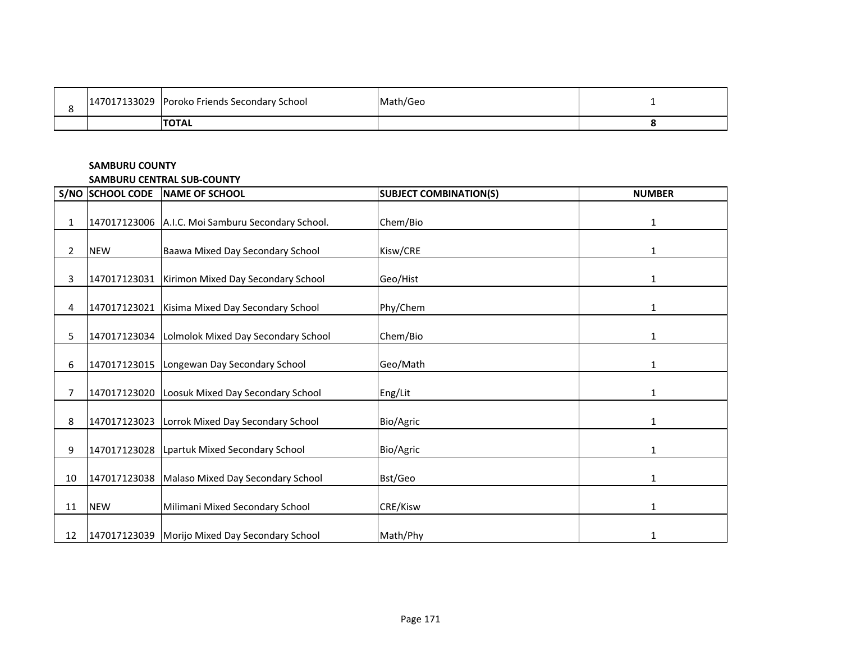| 147017133029 | J Poroko Friends Secondary School | Math/Geo |  |
|--------------|-----------------------------------|----------|--|
|              | <b>ITOTAL</b>                     |          |  |

### **SAMBURU COUNTY**

#### **SAMBURU CENTRAL SUB-COUNTY**

|              | S/NO SCHOOL CODE | <b>NAME OF SCHOOL</b>                             | <b>SUBJECT COMBINATION(S)</b> | <b>NUMBER</b> |
|--------------|------------------|---------------------------------------------------|-------------------------------|---------------|
| 1            |                  | 147017123006 A.I.C. Moi Samburu Secondary School. | Chem/Bio                      | 1             |
| $\mathbf{2}$ | <b>NEW</b>       | Baawa Mixed Day Secondary School                  | Kisw/CRE                      | 1             |
| 3            | 147017123031     | Kirimon Mixed Day Secondary School                | Geo/Hist                      | 1             |
| 4            | 147017123021     | Kisima Mixed Day Secondary School                 | Phy/Chem                      | $\mathbf{1}$  |
| 5            |                  | 147017123034 Lolmolok Mixed Day Secondary School  | Chem/Bio                      | 1             |
| 6            |                  | 147017123015   Longewan Day Secondary School      | Geo/Math                      | $\mathbf{1}$  |
| 7            |                  | 147017123020 Loosuk Mixed Day Secondary School    | Eng/Lit                       | 1             |
| 8            | 147017123023     | Lorrok Mixed Day Secondary School                 | Bio/Agric                     | 1             |
| 9            |                  | 147017123028 Lpartuk Mixed Secondary School       | Bio/Agric                     | 1             |
| 10           |                  | 147017123038 Malaso Mixed Day Secondary School    | Bst/Geo                       | 1             |
| 11           | <b>NEW</b>       | Milimani Mixed Secondary School                   | CRE/Kisw                      | 1             |
| 12           |                  | 147017123039   Morijo Mixed Day Secondary School  | Math/Phy                      | 1             |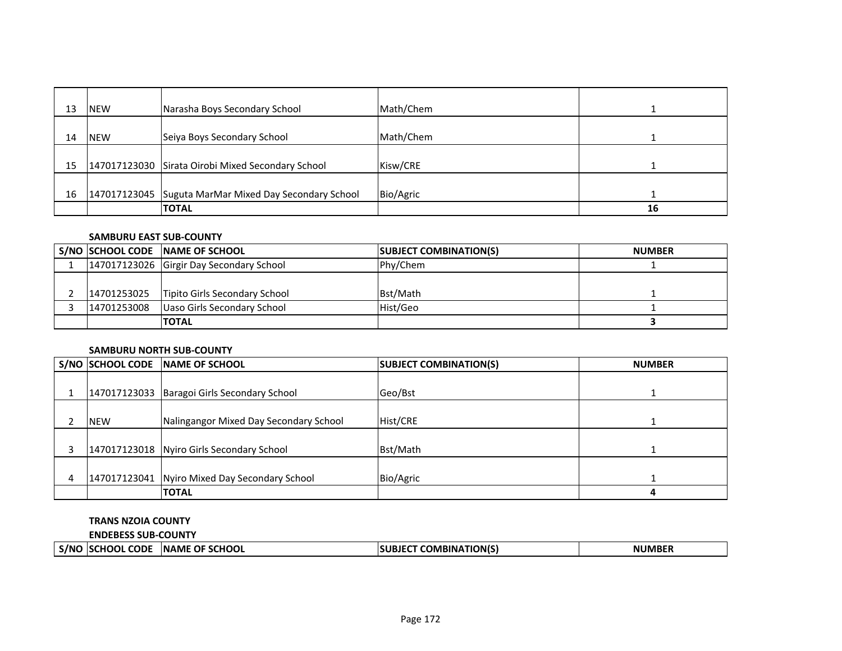| 13 | <b>NEW</b> | Narasha Boys Secondary School                         | Math/Chem |    |
|----|------------|-------------------------------------------------------|-----------|----|
| 14 | <b>NEW</b> | Seiya Boys Secondary School                           | Math/Chem |    |
| 15 |            | 147017123030 Sirata Oirobi Mixed Secondary School     | Kisw/CRE  |    |
| 16 |            | 147017123045 Suguta MarMar Mixed Day Secondary School | Bio/Agric |    |
|    |            | <b>TOTAL</b>                                          |           | 16 |

#### **SAMBURU EAST SUB-COUNTY**

|             | S/NO SCHOOL CODE NAME OF SCHOOL             | <b>SUBJECT COMBINATION(S)</b> | <b>NUMBER</b> |
|-------------|---------------------------------------------|-------------------------------|---------------|
|             | 147017123026 Girgir Day Secondary School    | Phy/Chem                      |               |
|             |                                             |                               |               |
|             | 14701253025   Tipito Girls Secondary School | Bst/Math                      |               |
| 14701253008 | Uaso Girls Secondary School                 | Hist/Geo                      |               |
|             | <b>ITOTAL</b>                               |                               |               |

### **SAMBURU NORTH SUB-COUNTY**

|            | S/NO SCHOOL CODE NAME OF SCHOOL               | <b>SUBJECT COMBINATION(S)</b> | <b>NUMBER</b> |
|------------|-----------------------------------------------|-------------------------------|---------------|
|            |                                               |                               |               |
|            | 147017123033 Baragoi Girls Secondary School   | Geo/Bst                       |               |
|            |                                               |                               |               |
| <b>NEW</b> | Nalingangor Mixed Day Secondary School        | Hist/CRE                      |               |
|            |                                               |                               |               |
|            | 147017123018 Nyiro Girls Secondary School     | Bst/Math                      |               |
|            |                                               |                               |               |
|            | 147017123041 Nyiro Mixed Day Secondary School | Bio/Agric                     |               |
|            | <b>TOTAL</b>                                  |                               |               |

# **TRANS NZOIA COUNTY**

**ENDEBESS SUB-COUNTY**

| T COMBINATION(S)<br><b>INAME OF SCHOOL</b><br><b>CODE</b><br>11 IN 4 D E D<br>S/NC<br><b>ISCHOOL</b><br>NI<br>$\cdots$ IVIDE. | _ _ _ _ _ _ _ _ _ _ _ _ _ _ _ _ |  |  |
|-------------------------------------------------------------------------------------------------------------------------------|---------------------------------|--|--|
|                                                                                                                               |                                 |  |  |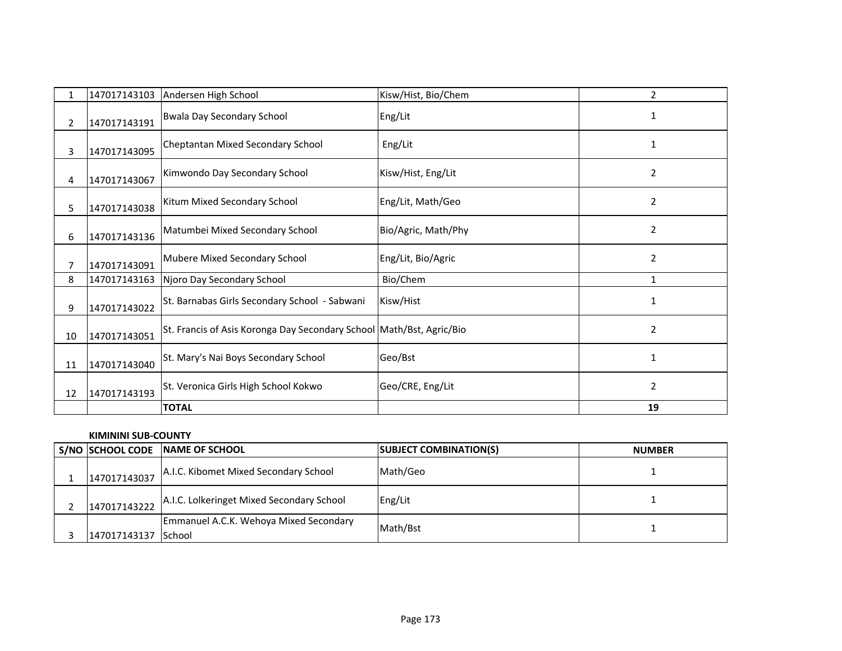|    | 147017143103 | Andersen High School                                                 | Kisw/Hist, Bio/Chem | 2              |
|----|--------------|----------------------------------------------------------------------|---------------------|----------------|
| 2  | 147017143191 | <b>Bwala Day Secondary School</b>                                    | Eng/Lit             |                |
| 3  | 147017143095 | Cheptantan Mixed Secondary School                                    | Eng/Lit             | $\mathbf{1}$   |
| 4  | 147017143067 | Kimwondo Day Secondary School                                        | Kisw/Hist, Eng/Lit  | 2              |
| 5. | 147017143038 | Kitum Mixed Secondary School                                         | Eng/Lit, Math/Geo   | 2              |
| 6  | 147017143136 | Matumbei Mixed Secondary School                                      | Bio/Agric, Math/Phy | $\overline{2}$ |
|    | 147017143091 | Mubere Mixed Secondary School                                        | Eng/Lit, Bio/Agric  | $\overline{2}$ |
| 8  | 147017143163 | Njoro Day Secondary School                                           | Bio/Chem            | 1              |
| 9  | 147017143022 | St. Barnabas Girls Secondary School - Sabwani                        | Kisw/Hist           | 1              |
| 10 | 147017143051 | St. Francis of Asis Koronga Day Secondary School Math/Bst, Agric/Bio |                     | $\overline{2}$ |
| 11 | 147017143040 | St. Mary's Nai Boys Secondary School                                 | Geo/Bst             | 1              |
| 12 | 147017143193 | St. Veronica Girls High School Kokwo                                 | Geo/CRE, Eng/Lit    | $\overline{2}$ |
|    |              | <b>TOTAL</b>                                                         |                     | 19             |

### **KIMININI SUB-COUNTY**

|              | S/NO SCHOOL CODE NAME OF SCHOOL                           | <b>SUBJECT COMBINATION(S)</b> | <b>NUMBER</b> |
|--------------|-----------------------------------------------------------|-------------------------------|---------------|
| 147017143037 | A.I.C. Kibomet Mixed Secondary School                     | Math/Geo                      |               |
| 147017143222 | A.I.C. Lolkeringet Mixed Secondary School                 | Eng/Lit                       |               |
| 147017143137 | Emmanuel A.C.K. Wehoya Mixed Secondary<br><b>I</b> School | Math/Bst                      |               |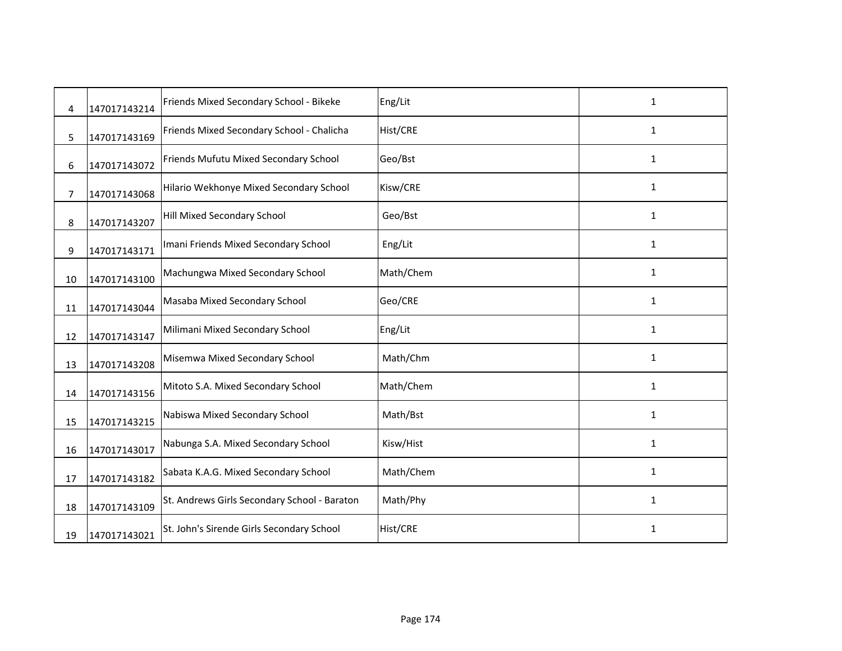| 4  | 147017143214 | Friends Mixed Secondary School - Bikeke      | Eng/Lit   | 1            |
|----|--------------|----------------------------------------------|-----------|--------------|
| 5  | 147017143169 | Friends Mixed Secondary School - Chalicha    | Hist/CRE  | $\mathbf{1}$ |
| 6  | 147017143072 | Friends Mufutu Mixed Secondary School        | Geo/Bst   | $\mathbf{1}$ |
| 7  | 147017143068 | Hilario Wekhonye Mixed Secondary School      | Kisw/CRE  | $\mathbf{1}$ |
| 8  | 147017143207 | Hill Mixed Secondary School                  | Geo/Bst   | $\mathbf{1}$ |
| 9  | 147017143171 | Imani Friends Mixed Secondary School         | Eng/Lit   | 1            |
| 10 | 147017143100 | Machungwa Mixed Secondary School             | Math/Chem | $\mathbf{1}$ |
| 11 | 147017143044 | Masaba Mixed Secondary School                | Geo/CRE   | $\mathbf{1}$ |
| 12 | 147017143147 | Milimani Mixed Secondary School              | Eng/Lit   | $\mathbf{1}$ |
| 13 | 147017143208 | Misemwa Mixed Secondary School               | Math/Chm  | $\mathbf{1}$ |
| 14 | 147017143156 | Mitoto S.A. Mixed Secondary School           | Math/Chem | $\mathbf{1}$ |
| 15 | 147017143215 | Nabiswa Mixed Secondary School               | Math/Bst  | $\mathbf{1}$ |
| 16 | 147017143017 | Nabunga S.A. Mixed Secondary School          | Kisw/Hist | $\mathbf{1}$ |
| 17 | 147017143182 | Sabata K.A.G. Mixed Secondary School         | Math/Chem | $\mathbf{1}$ |
| 18 | 147017143109 | St. Andrews Girls Secondary School - Baraton | Math/Phy  | 1            |
| 19 | 147017143021 | St. John's Sirende Girls Secondary School    | Hist/CRE  | $\mathbf{1}$ |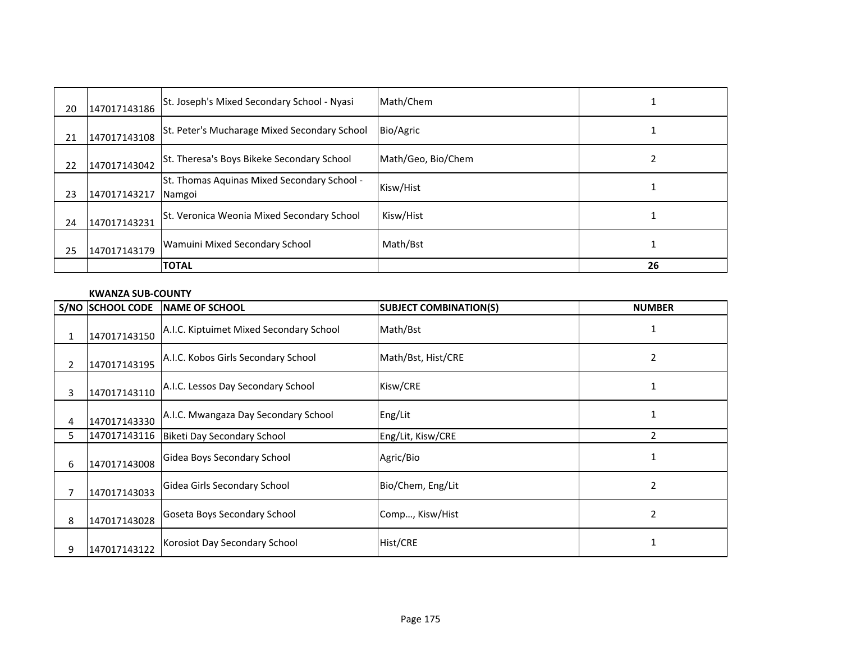| 20 | 147017143186 | St. Joseph's Mixed Secondary School - Nyasi           | Math/Chem          |    |
|----|--------------|-------------------------------------------------------|--------------------|----|
| 21 | 147017143108 | St. Peter's Mucharage Mixed Secondary School          | Bio/Agric          |    |
| 22 | 147017143042 | St. Theresa's Boys Bikeke Secondary School            | Math/Geo, Bio/Chem |    |
| 23 | 147017143217 | St. Thomas Aquinas Mixed Secondary School -<br>Namgoi | Kisw/Hist          |    |
| 24 | 147017143231 | St. Veronica Weonia Mixed Secondary School            | Kisw/Hist          |    |
| 25 | 147017143179 | <b>Wamuini Mixed Secondary School</b>                 | Math/Bst           |    |
|    |              | <b>TOTAL</b>                                          |                    | 26 |

### **KWANZA SUB-COUNTY**

|    | S/NO SCHOOL CODE | <b>NAME OF SCHOOL</b>                   | <b>SUBJECT COMBINATION(S)</b> | <b>NUMBER</b> |
|----|------------------|-----------------------------------------|-------------------------------|---------------|
| 1  | 147017143150     | A.I.C. Kiptuimet Mixed Secondary School | Math/Bst                      |               |
|    | 147017143195     | A.I.C. Kobos Girls Secondary School     | Math/Bst, Hist/CRE            | 2             |
| 3  | 147017143110     | A.I.C. Lessos Day Secondary School      | Kisw/CRE                      |               |
| 4  | 147017143330     | A.I.C. Mwangaza Day Secondary School    | Eng/Lit                       |               |
| 5. | 147017143116     | Biketi Day Secondary School             | Eng/Lit, Kisw/CRE             |               |
| 6  | 147017143008     | Gidea Boys Secondary School             | Agric/Bio                     | 1             |
|    | 147017143033     | Gidea Girls Secondary School            | Bio/Chem, Eng/Lit             | 2             |
| 8  | 147017143028     | Goseta Boys Secondary School            | Comp, Kisw/Hist               | 2             |
| 9  | 147017143122     | Korosiot Day Secondary School           | Hist/CRE                      |               |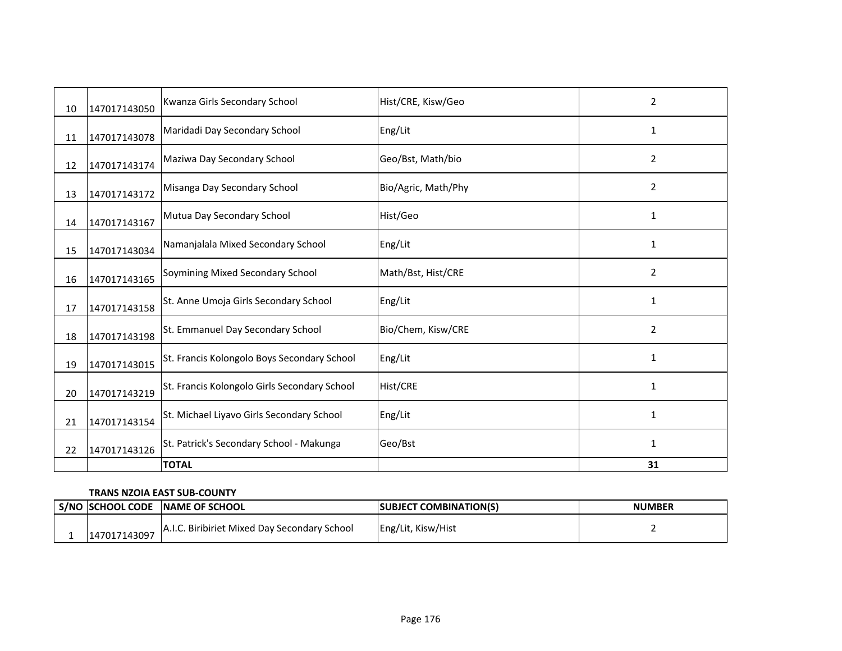| 10 | 147017143050 | Kwanza Girls Secondary School                | Hist/CRE, Kisw/Geo  | 2              |
|----|--------------|----------------------------------------------|---------------------|----------------|
| 11 | 147017143078 | Maridadi Day Secondary School                | Eng/Lit             | 1              |
| 12 | 147017143174 | Maziwa Day Secondary School                  | Geo/Bst, Math/bio   | $\overline{2}$ |
| 13 | 147017143172 | Misanga Day Secondary School                 | Bio/Agric, Math/Phy | 2              |
| 14 | 147017143167 | Mutua Day Secondary School                   | Hist/Geo            | 1              |
| 15 | 147017143034 | Namanjalala Mixed Secondary School           | Eng/Lit             | $\mathbf{1}$   |
| 16 | 147017143165 | Soymining Mixed Secondary School             | Math/Bst, Hist/CRE  | 2              |
| 17 | 147017143158 | St. Anne Umoja Girls Secondary School        | Eng/Lit             | 1              |
| 18 | 147017143198 | St. Emmanuel Day Secondary School            | Bio/Chem, Kisw/CRE  | $\overline{2}$ |
| 19 | 147017143015 | St. Francis Kolongolo Boys Secondary School  | Eng/Lit             | 1              |
| 20 | 147017143219 | St. Francis Kolongolo Girls Secondary School | <b>Hist/CRE</b>     | $\mathbf{1}$   |
| 21 | 147017143154 | St. Michael Liyavo Girls Secondary School    | Eng/Lit             | $\mathbf{1}$   |
| 22 | 147017143126 | St. Patrick's Secondary School - Makunga     | Geo/Bst             | 1              |
|    |              | <b>TOTAL</b>                                 |                     | 31             |

### **TRANS NZOIA EAST SUB-COUNTY**

|              | S/NO SCHOOL CODE NAME OF SCHOOL              | <b>SUBJECT COMBINATION(S)</b> | <b>NUMBER</b> |
|--------------|----------------------------------------------|-------------------------------|---------------|
| 147017143097 | A.I.C. Biribiriet Mixed Day Secondary School | Eng/Lit, Kisw/Hist            |               |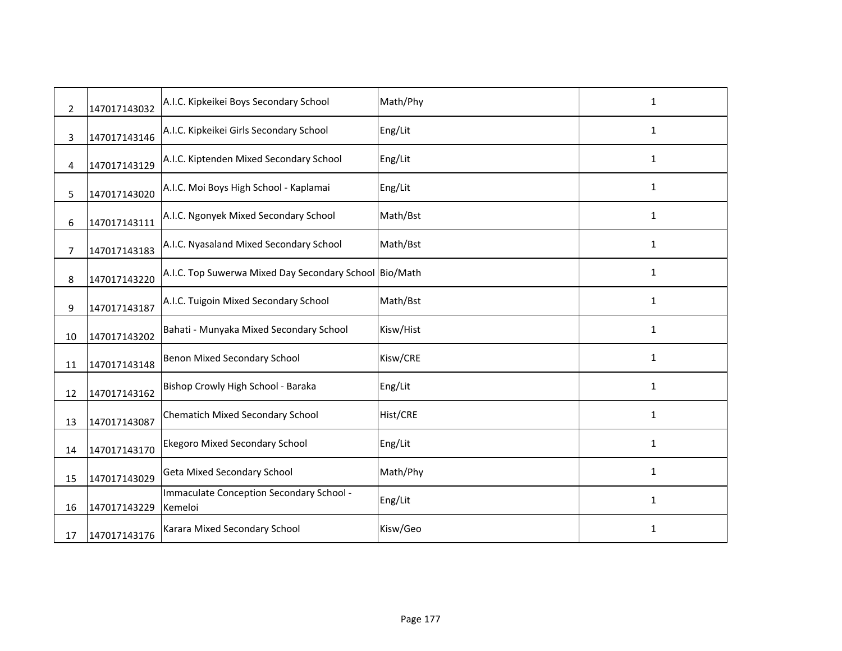| $\overline{2}$ | 147017143032 | A.I.C. Kipkeikei Boys Secondary School                 | Math/Phy  | 1            |
|----------------|--------------|--------------------------------------------------------|-----------|--------------|
| 3              | 147017143146 | A.I.C. Kipkeikei Girls Secondary School                | Eng/Lit   | $\mathbf{1}$ |
| 4              | 147017143129 | A.I.C. Kiptenden Mixed Secondary School                | Eng/Lit   | $\mathbf{1}$ |
| 5              | 147017143020 | A.I.C. Moi Boys High School - Kaplamai                 | Eng/Lit   | 1            |
| 6              | 147017143111 | A.I.C. Ngonyek Mixed Secondary School                  | Math/Bst  | $\mathbf{1}$ |
| 7              | 147017143183 | A.I.C. Nyasaland Mixed Secondary School                | Math/Bst  | $\mathbf{1}$ |
| 8              | 147017143220 | A.I.C. Top Suwerwa Mixed Day Secondary School Bio/Math |           | 1            |
| 9              | 147017143187 | A.I.C. Tuigoin Mixed Secondary School                  | Math/Bst  | 1            |
| 10             | 147017143202 | Bahati - Munyaka Mixed Secondary School                | Kisw/Hist | $\mathbf{1}$ |
| 11             | 147017143148 | Benon Mixed Secondary School                           | Kisw/CRE  | 1            |
| 12             | 147017143162 | Bishop Crowly High School - Baraka                     | Eng/Lit   | $\mathbf{1}$ |
| 13             | 147017143087 | <b>Chematich Mixed Secondary School</b>                | Hist/CRE  | 1            |
| 14             | 147017143170 | <b>Ekegoro Mixed Secondary School</b>                  | Eng/Lit   | 1            |
| 15             | 147017143029 | <b>Geta Mixed Secondary School</b>                     | Math/Phy  | $\mathbf{1}$ |
| 16             | 147017143229 | Immaculate Conception Secondary School -<br>Kemeloi    | Eng/Lit   | $\mathbf{1}$ |
| 17             | 147017143176 | Karara Mixed Secondary School                          | Kisw/Geo  | $\mathbf{1}$ |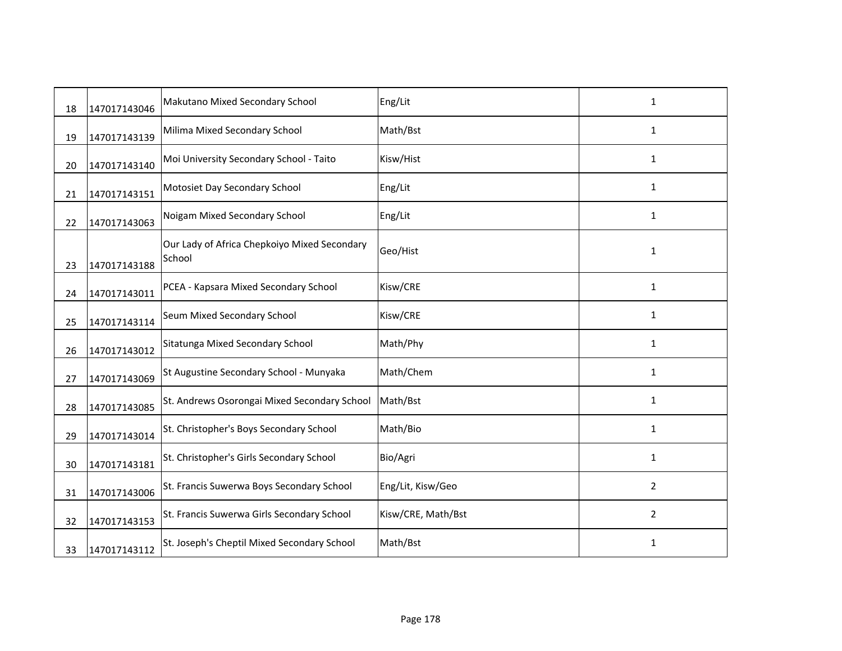| 18 | 147017143046 | Makutano Mixed Secondary School                        | Eng/Lit            | $\mathbf{1}$   |
|----|--------------|--------------------------------------------------------|--------------------|----------------|
| 19 | 147017143139 | Milima Mixed Secondary School                          | Math/Bst           | 1              |
| 20 | 147017143140 | Moi University Secondary School - Taito                | Kisw/Hist          | 1              |
| 21 | 147017143151 | Motosiet Day Secondary School                          | Eng/Lit            | $\mathbf{1}$   |
| 22 | 147017143063 | Noigam Mixed Secondary School                          | Eng/Lit            | $\mathbf{1}$   |
| 23 | 147017143188 | Our Lady of Africa Chepkoiyo Mixed Secondary<br>School | Geo/Hist           | $\mathbf{1}$   |
| 24 | 147017143011 | PCEA - Kapsara Mixed Secondary School                  | Kisw/CRE           | $\mathbf{1}$   |
| 25 | 147017143114 | Seum Mixed Secondary School                            | Kisw/CRE           | 1              |
| 26 | 147017143012 | Sitatunga Mixed Secondary School                       | Math/Phy           | $\mathbf{1}$   |
| 27 | 147017143069 | St Augustine Secondary School - Munyaka                | Math/Chem          | 1              |
| 28 | 147017143085 | St. Andrews Osorongai Mixed Secondary School           | Math/Bst           | $\mathbf{1}$   |
| 29 | 147017143014 | St. Christopher's Boys Secondary School                | Math/Bio           | $\mathbf{1}$   |
| 30 | 147017143181 | St. Christopher's Girls Secondary School               | Bio/Agri           | $\mathbf{1}$   |
| 31 | 147017143006 | St. Francis Suwerwa Boys Secondary School              | Eng/Lit, Kisw/Geo  | 2              |
| 32 | 147017143153 | St. Francis Suwerwa Girls Secondary School             | Kisw/CRE, Math/Bst | $\overline{2}$ |
| 33 | 147017143112 | St. Joseph's Cheptil Mixed Secondary School            | Math/Bst           | $\mathbf{1}$   |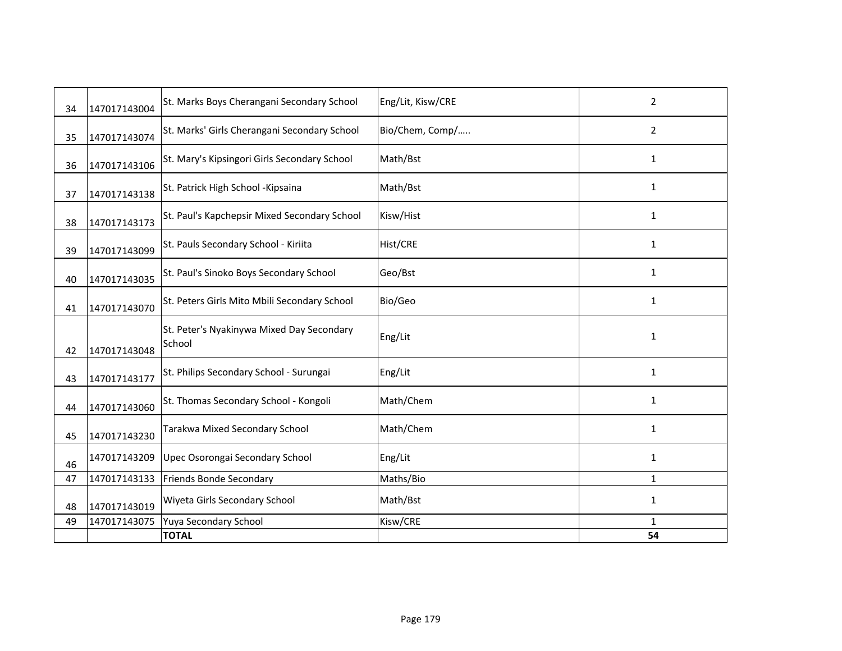| 34 | 147017143004 | St. Marks Boys Cherangani Secondary School          | Eng/Lit, Kisw/CRE | $\overline{2}$ |
|----|--------------|-----------------------------------------------------|-------------------|----------------|
| 35 | 147017143074 | St. Marks' Girls Cherangani Secondary School        | Bio/Chem, Comp/   | 2              |
| 36 | 147017143106 | St. Mary's Kipsingori Girls Secondary School        | Math/Bst          | 1              |
| 37 | 147017143138 | St. Patrick High School - Kipsaina                  | Math/Bst          | 1              |
| 38 | 147017143173 | St. Paul's Kapchepsir Mixed Secondary School        | Kisw/Hist         | 1              |
| 39 | 147017143099 | St. Pauls Secondary School - Kiriita                | Hist/CRE          | 1              |
| 40 | 147017143035 | St. Paul's Sinoko Boys Secondary School             | Geo/Bst           | 1              |
|    |              | St. Peters Girls Mito Mbili Secondary School        | Bio/Geo           | 1              |
| 41 | 147017143070 |                                                     |                   |                |
| 42 | 147017143048 | St. Peter's Nyakinywa Mixed Day Secondary<br>School | Eng/Lit           | 1              |
| 43 | 147017143177 | St. Philips Secondary School - Surungai             | Eng/Lit           | 1              |
| 44 | 147017143060 | St. Thomas Secondary School - Kongoli               | Math/Chem         | 1              |
| 45 | 147017143230 | Tarakwa Mixed Secondary School                      | Math/Chem         | 1              |
| 46 | 147017143209 | Upec Osorongai Secondary School                     | Eng/Lit           | 1              |
| 47 | 147017143133 | <b>Friends Bonde Secondary</b>                      | Maths/Bio         | 1              |
| 48 | 147017143019 | Wiyeta Girls Secondary School                       | Math/Bst          | 1              |
| 49 | 147017143075 | Yuya Secondary School                               | Kisw/CRE          | 1              |
|    |              | <b>TOTAL</b>                                        |                   | 54             |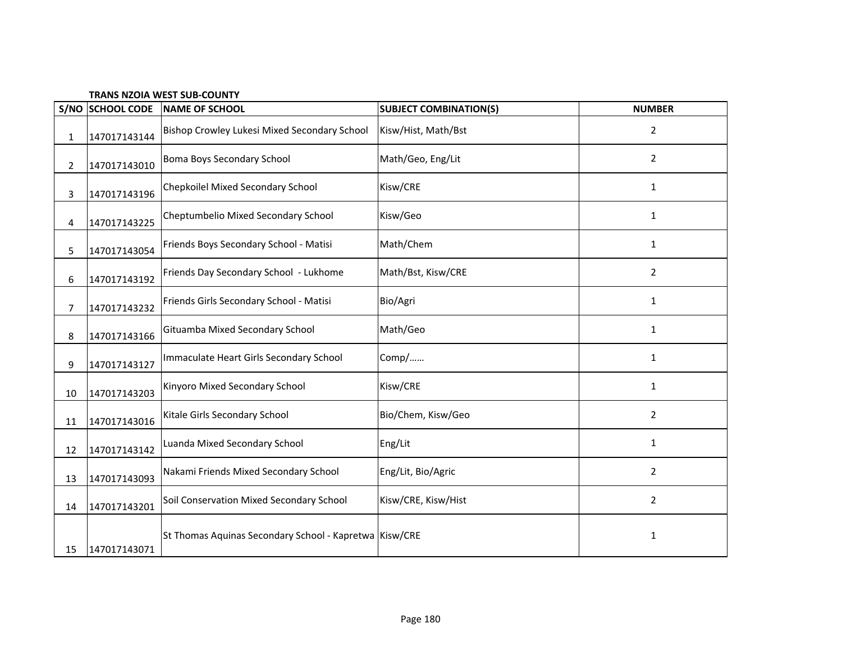|  |  |  |  | <b>TRANS NZOIA WEST SUB-COUNTY</b> |
|--|--|--|--|------------------------------------|
|--|--|--|--|------------------------------------|

|                | S/NO SCHOOL CODE | <b>NAME OF SCHOOL</b>                                  | <b>SUBJECT COMBINATION(S)</b> | <b>NUMBER</b>  |
|----------------|------------------|--------------------------------------------------------|-------------------------------|----------------|
| 1              | 147017143144     | Bishop Crowley Lukesi Mixed Secondary School           | Kisw/Hist, Math/Bst           | $\overline{2}$ |
| $\overline{2}$ | 147017143010     | Boma Boys Secondary School                             | Math/Geo, Eng/Lit             | $\overline{2}$ |
| 3              | 147017143196     | Chepkoilel Mixed Secondary School                      | Kisw/CRE                      | $\mathbf{1}$   |
| 4              | 147017143225     | Cheptumbelio Mixed Secondary School                    | Kisw/Geo                      | 1              |
| 5              | 147017143054     | Friends Boys Secondary School - Matisi                 | Math/Chem                     | 1              |
| 6              | 147017143192     | Friends Day Secondary School - Lukhome                 | Math/Bst, Kisw/CRE            | $\overline{2}$ |
| $\overline{7}$ | 147017143232     | Friends Girls Secondary School - Matisi                | Bio/Agri                      | 1              |
| 8              | 147017143166     | Gituamba Mixed Secondary School                        | Math/Geo                      | 1              |
| 9              | 147017143127     | Immaculate Heart Girls Secondary School                | Comp/                         | $\mathbf{1}$   |
| 10             | 147017143203     | Kinyoro Mixed Secondary School                         | Kisw/CRE                      | $\mathbf{1}$   |
| 11             | 147017143016     | Kitale Girls Secondary School                          | Bio/Chem, Kisw/Geo            | $\overline{2}$ |
| 12             | 147017143142     | Luanda Mixed Secondary School                          | Eng/Lit                       | $\mathbf{1}$   |
| 13             | 147017143093     | Nakami Friends Mixed Secondary School                  | Eng/Lit, Bio/Agric            | 2              |
| 14             | 147017143201     | Soil Conservation Mixed Secondary School               | Kisw/CRE, Kisw/Hist           | $\overline{2}$ |
| 15             | 147017143071     | St Thomas Aquinas Secondary School - Kapretwa Kisw/CRE |                               | $\mathbf 1$    |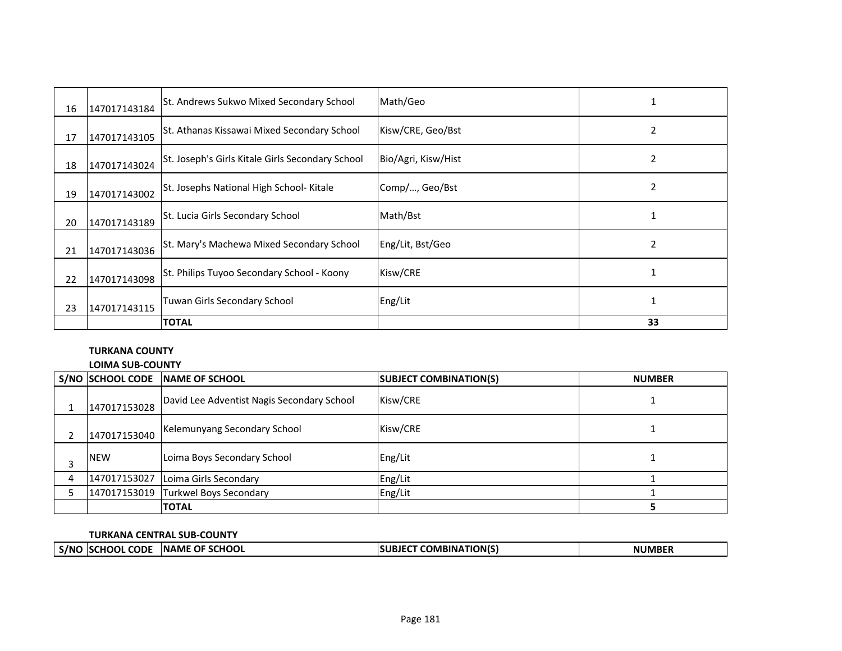| 16 | 147017143184 | St. Andrews Sukwo Mixed Secondary School         | Math/Geo            |    |
|----|--------------|--------------------------------------------------|---------------------|----|
| 17 | 147017143105 | St. Athanas Kissawai Mixed Secondary School      | Kisw/CRE, Geo/Bst   | 2  |
| 18 | 147017143024 | St. Joseph's Girls Kitale Girls Secondary School | Bio/Agri, Kisw/Hist | 2  |
| 19 | 147017143002 | St. Josephs National High School- Kitale         | Comp/, Geo/Bst      | 2  |
| 20 | 147017143189 | St. Lucia Girls Secondary School                 | Math/Bst            |    |
| 21 | 147017143036 | St. Mary's Machewa Mixed Secondary School        | Eng/Lit, Bst/Geo    | 2  |
| 22 | 147017143098 | St. Philips Tuyoo Secondary School - Koony       | Kisw/CRE            |    |
| 23 | 147017143115 | Tuwan Girls Secondary School                     | Eng/Lit             |    |
|    |              | <b>TOTAL</b>                                     |                     | 33 |

# **TURKANA COUNTY**

**LOIMA SUB-COUNTY**

|   | S/NO SCHOOL CODE | <b>INAME OF SCHOOL</b>                     | <b>SUBJECT COMBINATION(S)</b> | <b>NUMBER</b> |
|---|------------------|--------------------------------------------|-------------------------------|---------------|
|   | 147017153028     | David Lee Adventist Nagis Secondary School | Kisw/CRE                      |               |
|   | 147017153040     | Kelemunyang Secondary School               | Kisw/CRE                      |               |
| ∍ | <b>NEW</b>       | Loima Boys Secondary School                | Eng/Lit                       |               |
|   | 147017153027     | Loima Girls Secondary                      | Eng/Lit                       |               |
|   | 147017153019     | Turkwel Boys Secondary                     | Eng/Lit                       |               |
|   |                  | <b>TOTAL</b>                               |                               |               |

## **TURKANA CENTRAL SUB-COUNTY**

| l s/nc | <b>CODE</b><br>:HOOL | OF SCHOOL<br><b>INAME</b> | T COMBINATION(S) | <b>NUMBER</b> |
|--------|----------------------|---------------------------|------------------|---------------|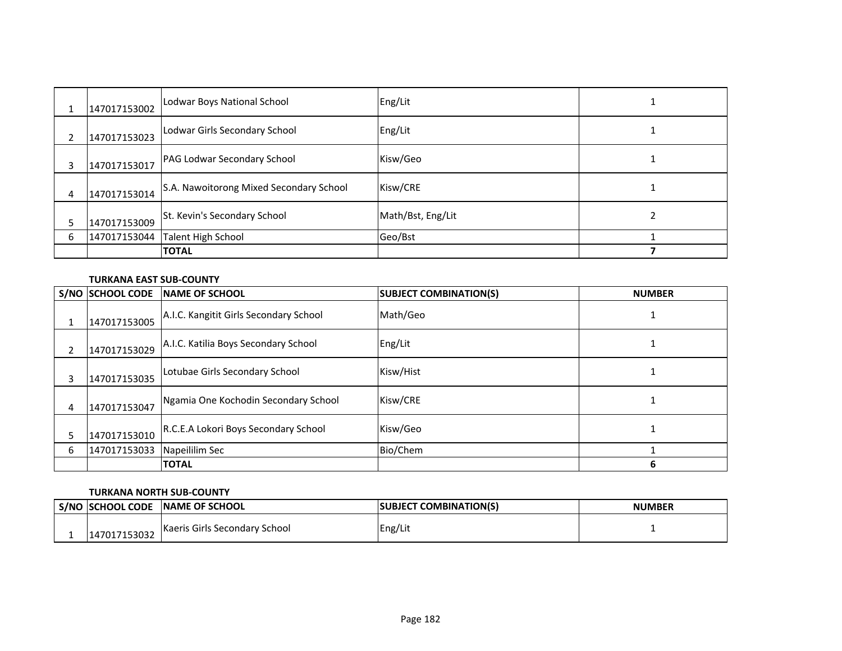|   | 147017153002 | Lodwar Boys National School             | Eng/Lit           |  |
|---|--------------|-----------------------------------------|-------------------|--|
|   | 147017153023 | Lodwar Girls Secondary School           | Eng/Lit           |  |
| 3 | 147017153017 | PAG Lodwar Secondary School             | Kisw/Geo          |  |
| 4 | 147017153014 | S.A. Nawoitorong Mixed Secondary School | Kisw/CRE          |  |
| 5 | 147017153009 | St. Kevin's Secondary School            | Math/Bst, Eng/Lit |  |
| 6 |              | 147017153044 Talent High School         | Geo/Bst           |  |
|   |              | <b>TOTAL</b>                            |                   |  |

## **TURKANA EAST SUB-COUNTY**

|   | S/NO SCHOOL CODE | <b>INAME OF SCHOOL</b>                 | <b>SUBJECT COMBINATION(S)</b> | <b>NUMBER</b> |
|---|------------------|----------------------------------------|-------------------------------|---------------|
|   | 147017153005     | A.I.C. Kangitit Girls Secondary School | Math/Geo                      |               |
|   | 147017153029     | A.I.C. Katilia Boys Secondary School   | Eng/Lit                       |               |
| 3 | 147017153035     | Lotubae Girls Secondary School         | Kisw/Hist                     |               |
| 4 | 147017153047     | Ngamia One Kochodin Secondary School   | Kisw/CRE                      |               |
|   | 147017153010     | R.C.E.A Lokori Boys Secondary School   | Kisw/Geo                      |               |
| 6 | 147017153033     | Napeililim Sec                         | Bio/Chem                      |               |
|   |                  | <b>TOTAL</b>                           |                               | 6             |

## **TURKANA NORTH SUB-COUNTY**

| <b>S/NO SCHOOL CODE</b> | <b>INAME OF SCHOOL</b>        | <b>ISUBJECT COMBINATION(S)</b> | <b>NUMBER</b> |
|-------------------------|-------------------------------|--------------------------------|---------------|
| 147017153032            | Kaeris Girls Secondary School | Eng/Lit                        |               |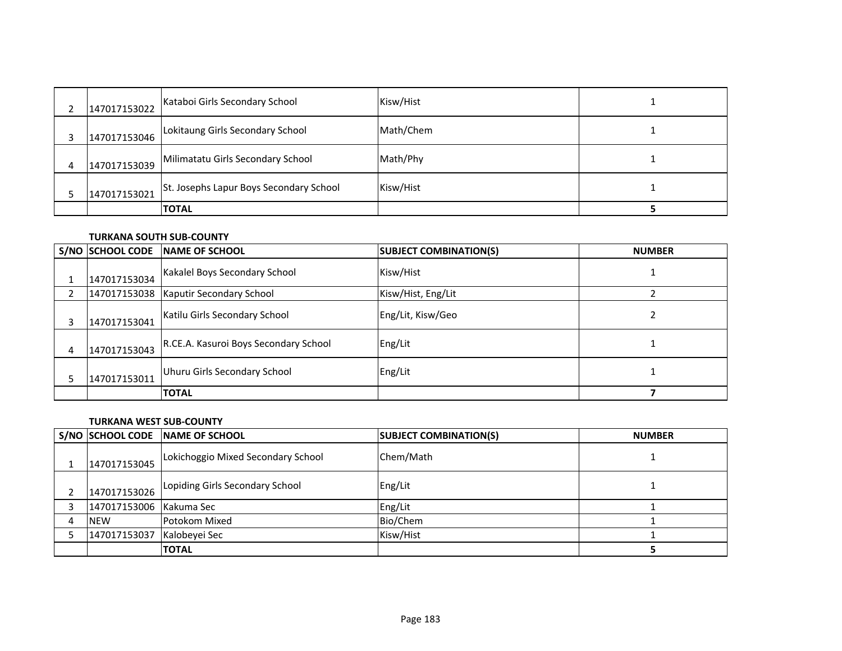|   | 147017153022 | Kataboi Girls Secondary School          | Kisw/Hist |  |
|---|--------------|-----------------------------------------|-----------|--|
|   | 147017153046 | Lokitaung Girls Secondary School        | Math/Chem |  |
| 4 | 147017153039 | Milimatatu Girls Secondary School       | Math/Phy  |  |
|   | 147017153021 | St. Josephs Lapur Boys Secondary School | Kisw/Hist |  |
|   |              | <b>TOTAL</b>                            |           |  |

#### **TURKANA SOUTH SUB-COUNTY**

|   | S/NO SCHOOL CODE | <b>INAME OF SCHOOL</b>                | <b>SUBJECT COMBINATION(S)</b> | <b>NUMBER</b> |
|---|------------------|---------------------------------------|-------------------------------|---------------|
|   | 147017153034     | Kakalel Boys Secondary School         | Kisw/Hist                     |               |
|   |                  | 147017153038 Kaputir Secondary School | Kisw/Hist, Eng/Lit            |               |
| 3 | 147017153041     | Katilu Girls Secondary School         | Eng/Lit, Kisw/Geo             |               |
| 4 | 147017153043     | R.CE.A. Kasuroi Boys Secondary School | Eng/Lit                       |               |
|   | 147017153011     | Uhuru Girls Secondary School          | Eng/Lit                       |               |
|   |                  | <b>TOTAL</b>                          |                               |               |

### **TURKANA WEST SUB-COUNTY**

| S/NO SCHOOL CODE        | <b>INAME OF SCHOOL</b>             | <b>SUBJECT COMBINATION(S)</b> | <b>NUMBER</b> |
|-------------------------|------------------------------------|-------------------------------|---------------|
| 147017153045            | Lokichoggio Mixed Secondary School | Chem/Math                     |               |
| 147017153026            | Lopiding Girls Secondary School    | Eng/Lit                       |               |
| 147017153006 Kakuma Sec |                                    | Eng/Lit                       |               |
| <b>NEW</b>              | <b>Potokom Mixed</b>               | Bio/Chem                      |               |
| 147017153037            | Kalobeyei Sec                      | Kisw/Hist                     |               |
|                         | <b>TOTAL</b>                       |                               |               |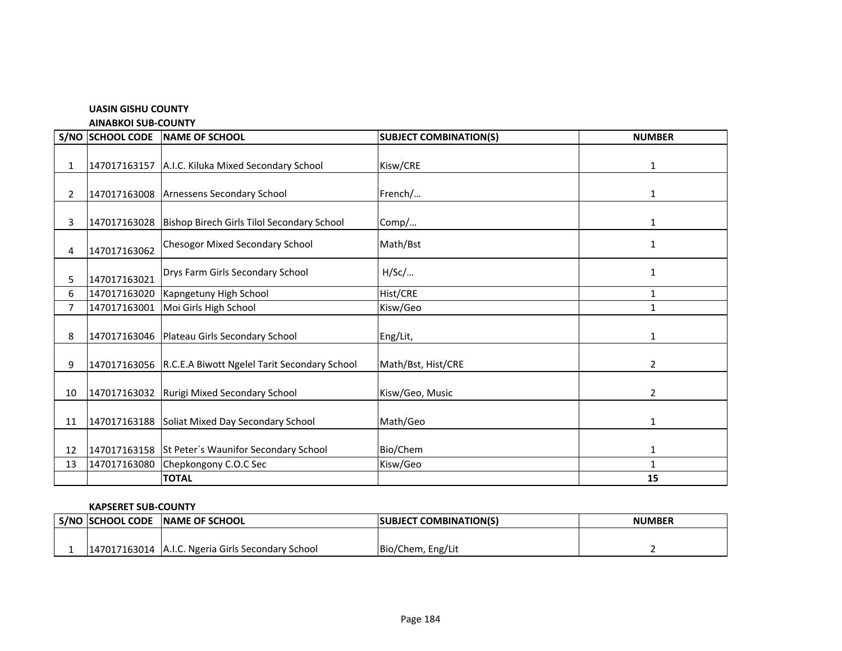#### **UASIN GISHU COUNTY**

**AINABKOI SUB-COUNTY**

|                | S/NO SCHOOL CODE | <b>NAME OF SCHOOL</b>                                     | <b>SUBJECT COMBINATION(S)</b> | <b>NUMBER</b>  |
|----------------|------------------|-----------------------------------------------------------|-------------------------------|----------------|
| $\mathbf{1}$   |                  | 147017163157 A.I.C. Kiluka Mixed Secondary School         | Kisw/CRE                      | 1              |
| $\mathbf{2}$   |                  | 147017163008 Arnessens Secondary School                   | French/                       | 1              |
| 3              |                  | 147017163028 Bishop Birech Girls Tilol Secondary School   | Comp/                         | 1              |
| 4              | 147017163062     | <b>Chesogor Mixed Secondary School</b>                    | Math/Bst                      | 1              |
| 5              | 147017163021     | Drys Farm Girls Secondary School                          | $H/$ Sc $/$                   | 1              |
| 6              | 147017163020     | Kapngetuny High School                                    | Hist/CRE                      | 1              |
| $\overline{7}$ | 147017163001     | Moi Girls High School                                     | Kisw/Geo                      | 1              |
| 8              |                  | 147017163046   Plateau Girls Secondary School             | Eng/Lit,                      | 1              |
| 9              |                  | 147017163056 R.C.E.A Biwott Ngelel Tarit Secondary School | Math/Bst, Hist/CRE            | $\overline{2}$ |
| 10             |                  | 147017163032 Rurigi Mixed Secondary School                | Kisw/Geo, Music               | $\overline{2}$ |
| 11             |                  | 147017163188 Soliat Mixed Day Secondary School            | Math/Geo                      | 1              |
| 12             |                  | 147017163158 St Peter's Waunifor Secondary School         | Bio/Chem                      | 1              |
| 13             | 147017163080     | Chepkongony C.O.C Sec                                     | Kisw/Geo                      | $\mathbf{1}$   |
|                |                  | <b>TOTAL</b>                                              |                               | 15             |

#### **KAPSERET SUB-COUNTY**

| S/NO  SCHOOL CODE | <b>NAME OF SCHOOL</b>                             | <b>SUBJECT COMBINATION(S)</b> | <b>NUMBER</b> |
|-------------------|---------------------------------------------------|-------------------------------|---------------|
|                   |                                                   |                               |               |
|                   | 147017163014 A.I.C. Ngeria Girls Secondary School | Bio/Chem, Eng/Lit             |               |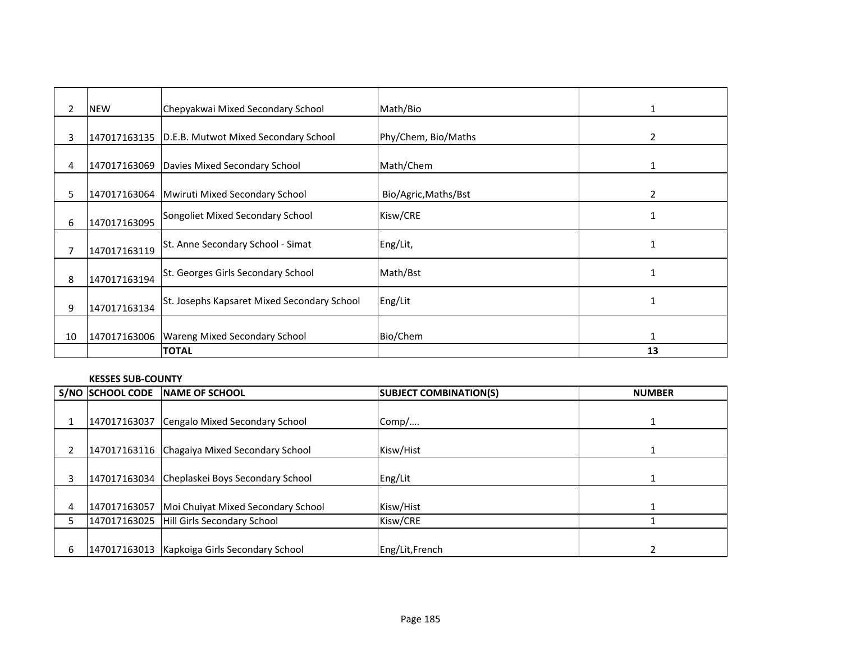| $\overline{2}$ | <b>NEW</b>   | Chepyakwai Mixed Secondary School                   | Math/Bio             | 1            |
|----------------|--------------|-----------------------------------------------------|----------------------|--------------|
| 3              |              | 147017163135   D.E.B. Mutwot Mixed Secondary School | Phy/Chem, Bio/Maths  | 2            |
| 4              | 147017163069 | Davies Mixed Secondary School                       | Math/Chem            | 1            |
| 5              |              | 147017163064   Mwiruti Mixed Secondary School       | Bio/Agric, Maths/Bst | 2            |
| 6              | 147017163095 | Songoliet Mixed Secondary School                    | Kisw/CRE             |              |
| 7              | 147017163119 | St. Anne Secondary School - Simat                   | Eng/Lit,             |              |
| 8              | 147017163194 | St. Georges Girls Secondary School                  | Math/Bst             |              |
| 9              | 147017163134 | St. Josephs Kapsaret Mixed Secondary School         | Eng/Lit              | $\mathbf{1}$ |
| 10             |              | 147017163006   Wareng Mixed Secondary School        | Bio/Chem             | 1            |
|                |              | <b>TOTAL</b>                                        |                      | 13           |

#### **KESSES SUB-COUNTY**

|   | S/NO SCHOOL CODE | <b>INAME OF SCHOOL</b>                        | <b>SUBJECT COMBINATION(S)</b> | <b>NUMBER</b> |
|---|------------------|-----------------------------------------------|-------------------------------|---------------|
|   |                  |                                               |                               |               |
|   | 147017163037     | Cengalo Mixed Secondary School                | Comp/                         |               |
|   |                  |                                               |                               |               |
|   |                  | 147017163116 Chagaiya Mixed Secondary School  | Kisw/Hist                     |               |
|   |                  |                                               |                               |               |
|   |                  | 147017163034 Cheplaskei Boys Secondary School | Eng/Lit                       |               |
|   |                  |                                               |                               |               |
| 4 | 147017163057     | Moi Chuiyat Mixed Secondary School            | Kisw/Hist                     |               |
|   |                  | 147017163025 Hill Girls Secondary School      | Kisw/CRE                      |               |
|   |                  |                                               |                               |               |
| 6 | 147017163013     | Kapkoiga Girls Secondary School               | Eng/Lit, French               |               |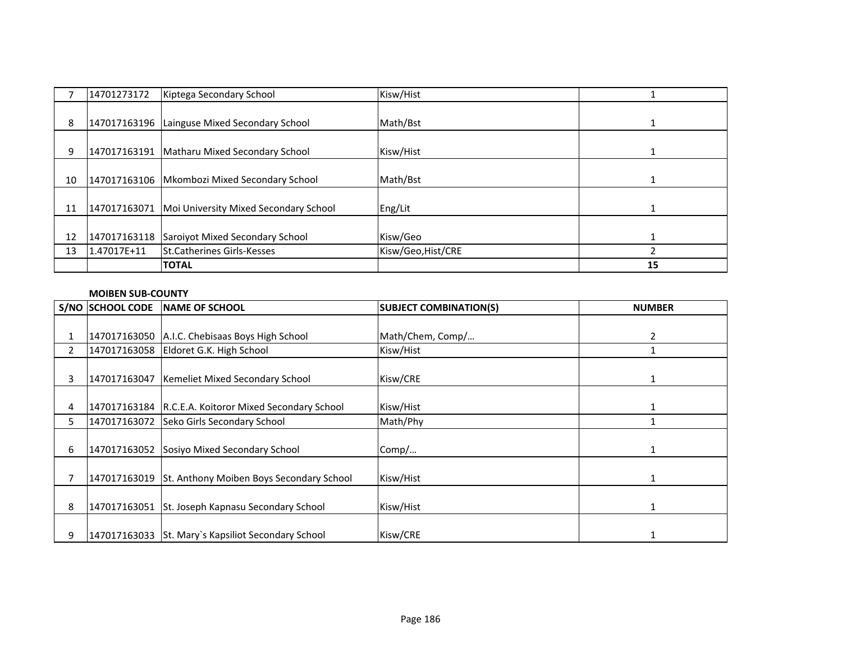|    | 14701273172  | Kiptega Secondary School                      | Kisw/Hist          |    |
|----|--------------|-----------------------------------------------|--------------------|----|
|    |              |                                               |                    |    |
| 8  |              | 147017163196 Lainguse Mixed Secondary School  | Math/Bst           |    |
|    |              |                                               |                    |    |
| 9  |              | 147017163191   Matharu Mixed Secondary School | Kisw/Hist          |    |
|    |              |                                               |                    |    |
| 10 | 147017163106 | Mkombozi Mixed Secondary School               | Math/Bst           |    |
|    |              |                                               |                    |    |
| 11 | 147017163071 | Moi University Mixed Secondary School         | Eng/Lit            |    |
|    |              |                                               |                    |    |
| 12 | 147017163118 | Saroiyot Mixed Secondary School               | Kisw/Geo           |    |
| 13 | 1.47017E+11  | <b>ISt.Catherines Girls-Kesses</b>            | Kisw/Geo, Hist/CRE |    |
|    |              | <b>TOTAL</b>                                  |                    | 15 |

## **MOIBEN SUB-COUNTY**

|    | <b>S/NO SCHOOL CODE</b> | <b>INAME OF SCHOOL</b>                                  | <b>SUBJECT COMBINATION(S)</b> | <b>NUMBER</b> |
|----|-------------------------|---------------------------------------------------------|-------------------------------|---------------|
|    |                         |                                                         |                               |               |
| 1  |                         | 147017163050 A.I.C. Chebisaas Boys High School          | Math/Chem, Comp/              | 2             |
| 2  |                         | 147017163058 Eldoret G.K. High School                   | Kisw/Hist                     |               |
| 3  |                         | 147017163047 Kemeliet Mixed Secondary School            | Kisw/CRE                      | 1             |
| 4  |                         | 147017163184   R.C.E.A. Koitoror Mixed Secondary School | Kisw/Hist                     |               |
| 5. |                         | 147017163072 Seko Girls Secondary School                | Math/Phy                      |               |
| 6  |                         | 147017163052 Sosiyo Mixed Secondary School              | Comp/                         |               |
|    |                         | 147017163019 St. Anthony Moiben Boys Secondary School   | Kisw/Hist                     |               |
| 8  |                         | 147017163051 St. Joseph Kapnasu Secondary School        | Kisw/Hist                     |               |
| 9  |                         | 147017163033 St. Mary's Kapsiliot Secondary School      | Kisw/CRE                      |               |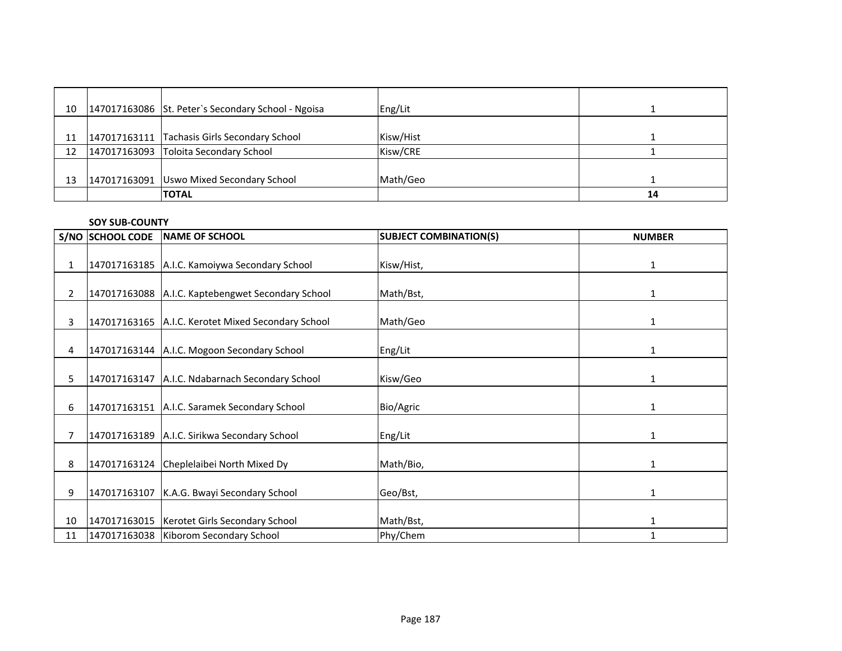| 10 | 147017163086 St. Peter's Secondary School - Ngoisa | Eng/Lit   |    |
|----|----------------------------------------------------|-----------|----|
| 11 | 147017163111 Tachasis Girls Secondary School       | Kisw/Hist |    |
| 12 | 147017163093 Toloita Secondary School              | Kisw/CRE  |    |
| 13 | 147017163091 Uswo Mixed Secondary School           | Math/Geo  |    |
|    | <b>TOTAL</b>                                       |           | 14 |

#### **SOY SUB-COUNTY**

|                | <b>S/NO SCHOOL CODE</b> | <b>NAME OF SCHOOL</b>                              | <b>SUBJECT COMBINATION(S)</b> | <b>NUMBER</b> |
|----------------|-------------------------|----------------------------------------------------|-------------------------------|---------------|
|                |                         |                                                    |                               |               |
| $\mathbf{1}$   |                         | 147017163185 A.I.C. Kamoiywa Secondary School      | Kisw/Hist,                    | $\mathbf{1}$  |
| $\overline{2}$ |                         | 147017163088 A.I.C. Kaptebengwet Secondary School  | Math/Bst,                     | 1             |
| 3              |                         | 147017163165 A.I.C. Kerotet Mixed Secondary School | Math/Geo                      | 1             |
| 4              |                         | 147017163144   A.I.C. Mogoon Secondary School      | Eng/Lit                       | 1             |
| 5.             |                         | 147017163147 A.I.C. Ndabarnach Secondary School    | Kisw/Geo                      | $\mathbf{1}$  |
| 6              |                         | 147017163151 A.I.C. Saramek Secondary School       | Bio/Agric                     | 1             |
| 7              |                         | 147017163189 A.I.C. Sirikwa Secondary School       | Eng/Lit                       | 1             |
| 8              |                         | 147017163124 Cheplelaibei North Mixed Dy           | Math/Bio,                     | 1             |
| 9              |                         | 147017163107 K.A.G. Bwayi Secondary School         | Geo/Bst,                      | $\mathbf{1}$  |
| 10             |                         | 147017163015   Kerotet Girls Secondary School      | Math/Bst,                     | 1             |
| 11             |                         | 147017163038 Kiborom Secondary School              | Phy/Chem                      | 1             |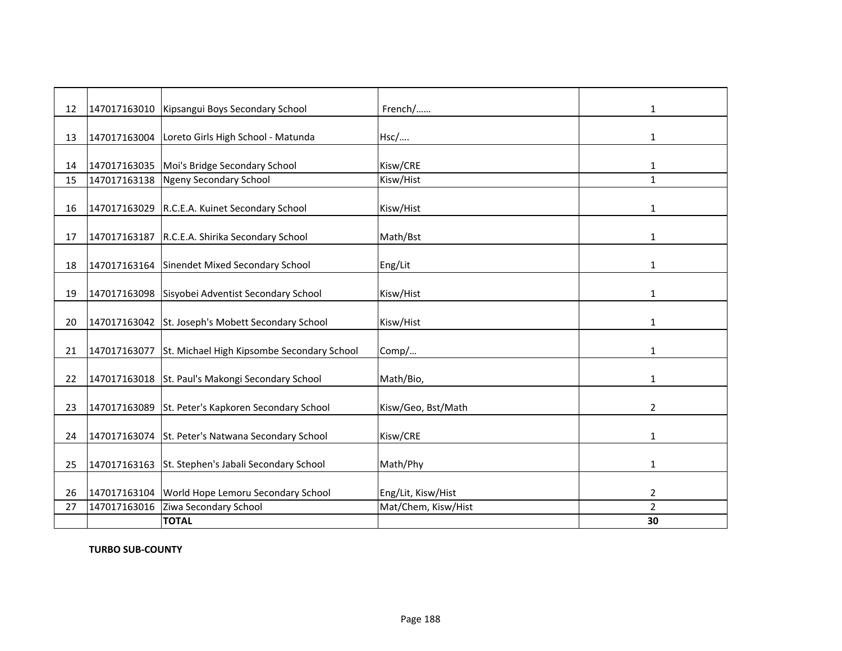| 12 |              | 147017163010   Kipsangui Boys Secondary School          | French/             | $\mathbf{1}$   |
|----|--------------|---------------------------------------------------------|---------------------|----------------|
|    |              |                                                         |                     |                |
| 13 |              | 147017163004 Loreto Girls High School - Matunda         | Hsc/                | $\mathbf{1}$   |
|    |              |                                                         |                     |                |
| 14 |              | 147017163035 Moi's Bridge Secondary School              | Kisw/CRE            | 1              |
| 15 |              | 147017163138 Ngeny Secondary School                     | Kisw/Hist           | $\mathbf{1}$   |
|    |              |                                                         |                     |                |
| 16 |              | 147017163029 R.C.E.A. Kuinet Secondary School           | Kisw/Hist           | $\mathbf{1}$   |
|    |              |                                                         |                     |                |
| 17 |              | 147017163187 R.C.E.A. Shirika Secondary School          | Math/Bst            | 1              |
|    |              |                                                         |                     |                |
| 18 |              | 147017163164 Sinendet Mixed Secondary School            | Eng/Lit             | $\mathbf{1}$   |
|    |              |                                                         |                     |                |
| 19 |              | 147017163098 Sisyobei Adventist Secondary School        | Kisw/Hist           | 1              |
|    |              |                                                         |                     |                |
| 20 |              | 147017163042 St. Joseph's Mobett Secondary School       | Kisw/Hist           | 1              |
|    |              |                                                         |                     |                |
| 21 |              | 147017163077 St. Michael High Kipsombe Secondary School | Comp/               | $\mathbf{1}$   |
|    |              |                                                         |                     |                |
| 22 |              | 147017163018 St. Paul's Makongi Secondary School        | Math/Bio,           | 1              |
|    |              |                                                         |                     |                |
| 23 |              | 147017163089 St. Peter's Kapkoren Secondary School      | Kisw/Geo, Bst/Math  | $\overline{2}$ |
|    |              |                                                         |                     |                |
| 24 |              | 147017163074 St. Peter's Natwana Secondary School       | Kisw/CRE            | $\mathbf{1}$   |
| 25 |              | 147017163163 St. Stephen's Jabali Secondary School      | Math/Phy            | $\mathbf{1}$   |
|    |              |                                                         |                     |                |
| 26 |              | 147017163104 World Hope Lemoru Secondary School         | Eng/Lit, Kisw/Hist  | $\overline{2}$ |
| 27 | 147017163016 | Ziwa Secondary School                                   | Mat/Chem, Kisw/Hist | $\overline{2}$ |
|    |              | <b>TOTAL</b>                                            |                     | 30             |

**TURBO SUB-COUNTY**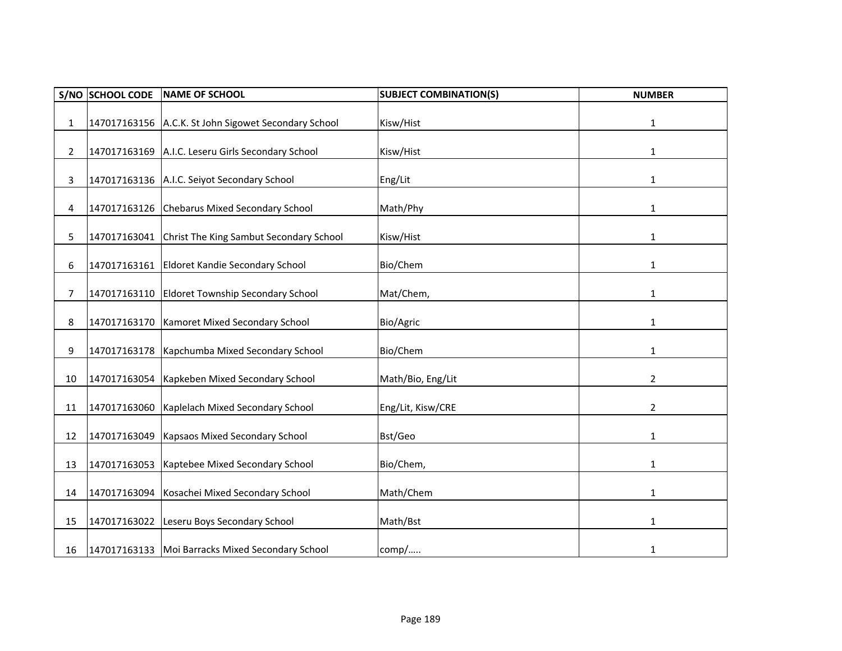| S/NO         | <b>SCHOOL CODE</b> | <b>NAME OF SCHOOL</b>                                | <b>SUBJECT COMBINATION(S)</b> | <b>NUMBER</b>  |
|--------------|--------------------|------------------------------------------------------|-------------------------------|----------------|
| $\mathbf{1}$ |                    | 147017163156 A.C.K. St John Sigowet Secondary School | Kisw/Hist                     | $\mathbf{1}$   |
| 2            | 147017163169       | A.I.C. Leseru Girls Secondary School                 | Kisw/Hist                     | $\mathbf{1}$   |
| 3            |                    | 147017163136 A.I.C. Seiyot Secondary School          | Eng/Lit                       | $\mathbf{1}$   |
| 4            |                    | 147017163126 Chebarus Mixed Secondary School         | Math/Phy                      | 1              |
| 5.           |                    | 147017163041 Christ The King Sambut Secondary School | Kisw/Hist                     | $\mathbf{1}$   |
| 6            |                    | 147017163161 Eldoret Kandie Secondary School         | Bio/Chem                      | $\mathbf{1}$   |
| 7            | 147017163110       | <b>Eldoret Township Secondary School</b>             | Mat/Chem,                     | $\mathbf{1}$   |
| 8            |                    | 147017163170   Kamoret Mixed Secondary School        | Bio/Agric                     | 1              |
| 9            | 147017163178       | Kapchumba Mixed Secondary School                     | Bio/Chem                      | $\mathbf{1}$   |
| 10           | 147017163054       | Kapkeben Mixed Secondary School                      | Math/Bio, Eng/Lit             | $\overline{2}$ |
| 11           | 147017163060       | Kaplelach Mixed Secondary School                     | Eng/Lit, Kisw/CRE             | 2              |
| 12           | 147017163049       | Kapsaos Mixed Secondary School                       | Bst/Geo                       | 1              |
| 13           | 147017163053       | Kaptebee Mixed Secondary School                      | Bio/Chem,                     | $\mathbf{1}$   |
| 14           | 147017163094       | Kosachei Mixed Secondary School                      | Math/Chem                     | 1              |
| 15           | 147017163022       | Leseru Boys Secondary School                         | Math/Bst                      | 1              |
| 16           |                    | 147017163133   Moi Barracks Mixed Secondary School   | comp/                         | $\mathbf{1}$   |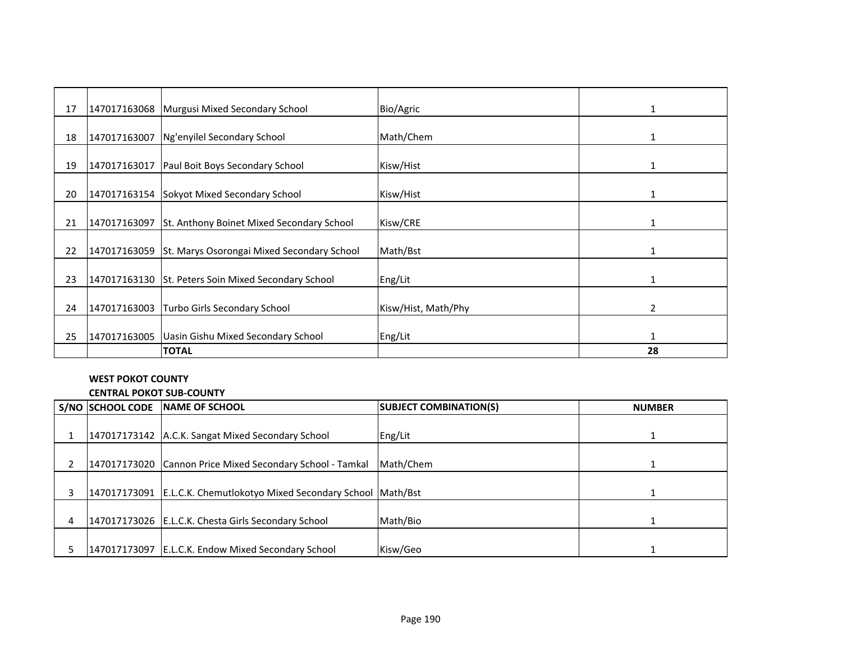| 17 |              | 147017163068   Murgusi Mixed Secondary School          | Bio/Agric           | 1  |
|----|--------------|--------------------------------------------------------|---------------------|----|
|    |              |                                                        |                     |    |
| 18 | 147017163007 | Ng'enyilel Secondary School                            | Math/Chem           | 1  |
|    |              |                                                        |                     |    |
| 19 | 147017163017 | Paul Boit Boys Secondary School                        | Kisw/Hist           |    |
|    |              |                                                        |                     |    |
| 20 |              | 147017163154 Sokyot Mixed Secondary School             | Kisw/Hist           |    |
|    |              |                                                        |                     |    |
| 21 |              | 147017163097 St. Anthony Boinet Mixed Secondary School | Kisw/CRE            | 1  |
|    |              |                                                        |                     |    |
| 22 | 147017163059 | St. Marys Osorongai Mixed Secondary School             | Math/Bst            |    |
|    |              |                                                        |                     |    |
| 23 |              | 147017163130 St. Peters Soin Mixed Secondary School    | Eng/Lit             | 1  |
|    |              |                                                        |                     |    |
| 24 | 147017163003 | Turbo Girls Secondary School                           | Kisw/Hist, Math/Phy | 2  |
|    |              |                                                        |                     |    |
| 25 | 147017163005 | Uasin Gishu Mixed Secondary School                     | Eng/Lit             | 1  |
|    |              | <b>TOTAL</b>                                           |                     | 28 |

# **WEST POKOT COUNTY**

**CENTRAL POKOT SUB-COUNTY**

|   | S/NO SCHOOL CODE | <b>INAME OF SCHOOL</b>                                    | <b>SUBJECT COMBINATION(S)</b> | <b>NUMBER</b> |
|---|------------------|-----------------------------------------------------------|-------------------------------|---------------|
|   |                  |                                                           |                               |               |
|   |                  | 147017173142 A.C.K. Sangat Mixed Secondary School         | Eng/Lit                       |               |
|   |                  |                                                           |                               |               |
|   |                  | 147017173020 Cannon Price Mixed Secondary School - Tamkal | Math/Chem                     |               |
|   |                  |                                                           |                               |               |
|   | 147017173091     | E.L.C.K. Chemutlokotyo Mixed Secondary School Math/Bst    |                               |               |
|   |                  |                                                           |                               |               |
| 4 |                  | 147017173026   E.L.C.K. Chesta Girls Secondary School     | Math/Bio                      |               |
|   |                  |                                                           |                               |               |
|   |                  | 147017173097 E.L.C.K. Endow Mixed Secondary School        | Kisw/Geo                      |               |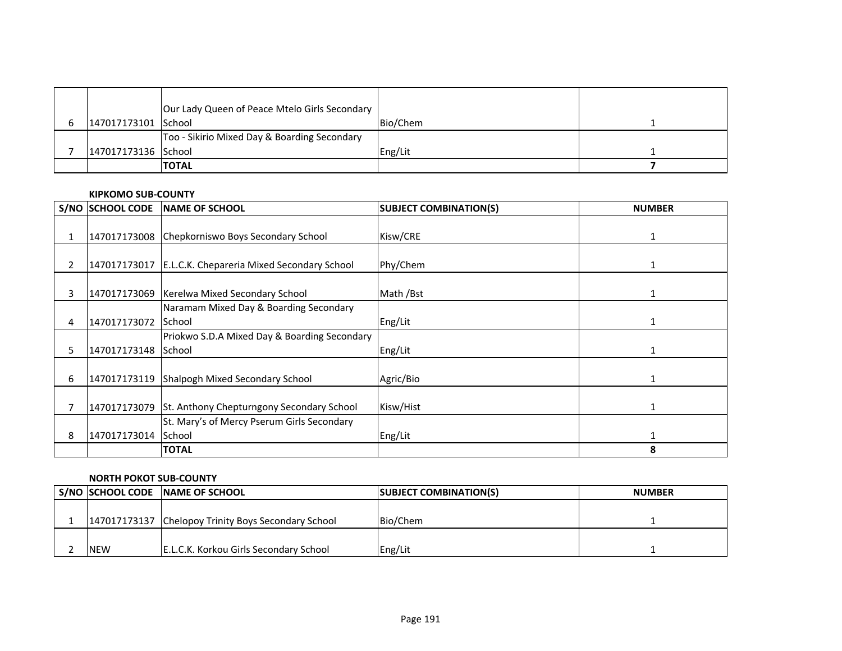|                     | Our Lady Queen of Peace Mtelo Girls Secondary |          |  |
|---------------------|-----------------------------------------------|----------|--|
| 147017173101 School |                                               | Bio/Chem |  |
|                     | Too - Sikirio Mixed Day & Boarding Secondary  |          |  |
| 147017173136 School |                                               | Eng/Lit  |  |
|                     | <b>ITOTAL</b>                                 |          |  |

#### **KIPKOMO SUB-COUNTY**

|    | <b>S/NO SCHOOL CODE</b> | <b>NAME OF SCHOOL</b>                           | <b>SUBJECT COMBINATION(S)</b> | <b>NUMBER</b> |
|----|-------------------------|-------------------------------------------------|-------------------------------|---------------|
|    |                         |                                                 |                               |               |
|    |                         | 147017173008 Chepkorniswo Boys Secondary School | Kisw/CRE                      |               |
|    |                         |                                                 |                               |               |
| 2  | 147017173017            | E.L.C.K. Chepareria Mixed Secondary School      | Phy/Chem                      |               |
|    |                         |                                                 |                               |               |
| 3  |                         | 147017173069   Kerelwa Mixed Secondary School   | Math /Bst                     |               |
|    |                         | Naramam Mixed Day & Boarding Secondary          |                               |               |
| 4  | 147017173072            | <b>School</b>                                   | Eng/Lit                       |               |
|    |                         | Priokwo S.D.A Mixed Day & Boarding Secondary    |                               |               |
| 5. | 147017173148            | <b>School</b>                                   | Eng/Lit                       |               |
|    |                         |                                                 |                               |               |
| 6  | 147017173119            | Shalpogh Mixed Secondary School                 | Agric/Bio                     |               |
|    |                         |                                                 |                               |               |
|    | 147017173079            | St. Anthony Chepturngony Secondary School       | Kisw/Hist                     | 1             |
|    |                         | St. Mary's of Mercy Pserum Girls Secondary      |                               |               |
| 8  | 147017173014 School     |                                                 | Eng/Lit                       |               |
|    |                         | <b>TOTAL</b>                                    |                               | 8             |

### **NORTH POKOT SUB-COUNTY**

|              | S/NO SCHOOL CODE NAME OF SCHOOL        | <b>SUBJECT COMBINATION(S)</b> | <b>NUMBER</b> |
|--------------|----------------------------------------|-------------------------------|---------------|
|              |                                        |                               |               |
| 147017173137 | Chelopoy Trinity Boys Secondary School | Bio/Chem                      |               |
|              |                                        |                               |               |
| <b>NEW</b>   | E.L.C.K. Korkou Girls Secondary School | Eng/Lit                       |               |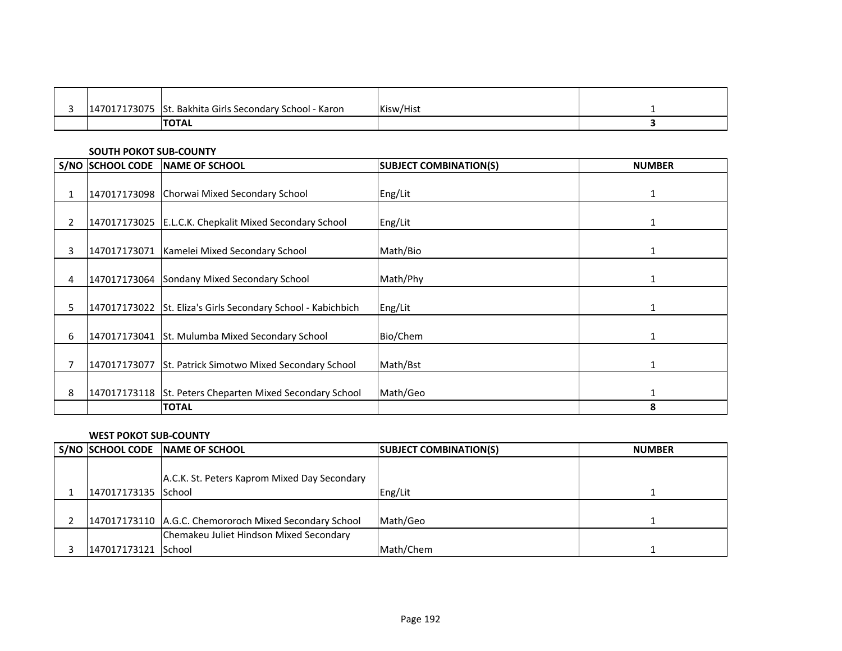| 147017173075 | St. Bakhita Girls Secondary School - Karon | Kisw/Hist |  |
|--------------|--------------------------------------------|-----------|--|
|              | <b>ITOTAL</b>                              |           |  |

### **SOUTH POKOT SUB-COUNTY**

|              | <b>S/NO SCHOOL CODE</b> | NAME OF SCHOOL                                               | <b>SUBJECT COMBINATION(S)</b> | <b>NUMBER</b> |
|--------------|-------------------------|--------------------------------------------------------------|-------------------------------|---------------|
| 1            |                         | 147017173098 Chorwai Mixed Secondary School                  | Eng/Lit                       | 1             |
| $\mathbf{2}$ |                         | 147017173025 E.L.C.K. Chepkalit Mixed Secondary School       | Eng/Lit                       |               |
| 3            |                         | 147017173071 Kamelei Mixed Secondary School                  | Math/Bio                      |               |
| 4            |                         | 147017173064 Sondany Mixed Secondary School                  | Math/Phy                      |               |
| 5.           |                         | 147017173022 St. Eliza's Girls Secondary School - Kabichbich | Eng/Lit                       |               |
| 6            | 147017173041            | St. Mulumba Mixed Secondary School                           | Bio/Chem                      | 1             |
|              | 147017173077            | St. Patrick Simotwo Mixed Secondary School                   | Math/Bst                      |               |
| 8            |                         | 147017173118 St. Peters Cheparten Mixed Secondary School     | Math/Geo                      |               |
|              |                         | <b>TOTAL</b>                                                 |                               | 8             |

### **WEST POKOT SUB-COUNTY**

|                     | S/NO SCHOOL CODE NAME OF SCHOOL                        | <b>SUBJECT COMBINATION(S)</b> | <b>NUMBER</b> |
|---------------------|--------------------------------------------------------|-------------------------------|---------------|
|                     | A.C.K. St. Peters Kaprom Mixed Day Secondary           |                               |               |
| 147017173135 School |                                                        | Eng/Lit                       |               |
|                     |                                                        |                               |               |
|                     | 147017173110 A.G.C. Chemororoch Mixed Secondary School | Math/Geo                      |               |
|                     | Chemakeu Juliet Hindson Mixed Secondary                |                               |               |
| 147017173121 School |                                                        | Math/Chem                     |               |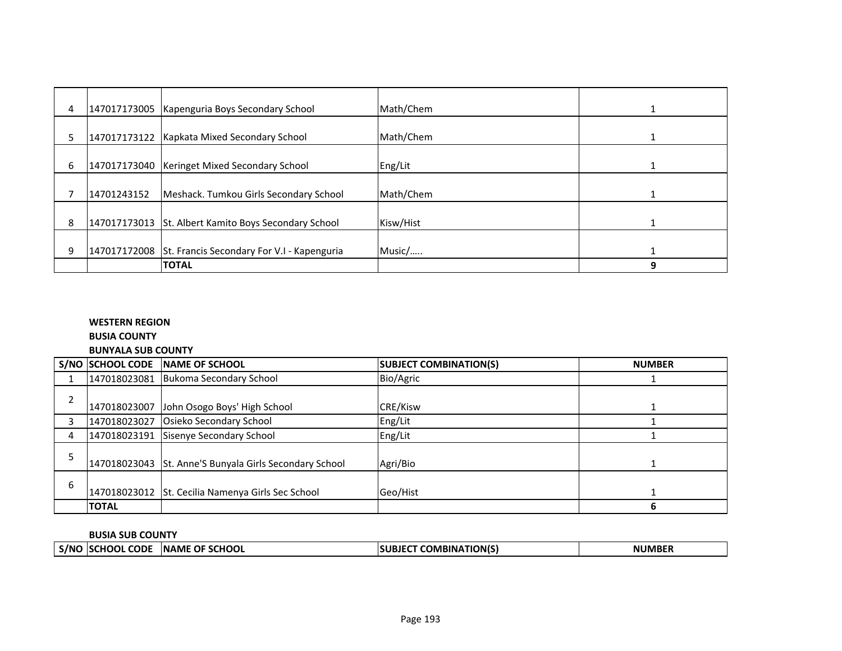| 4 |             | 147017173005   Kapenguria Boys Secondary School         | Math/Chem |   |
|---|-------------|---------------------------------------------------------|-----------|---|
| 5 |             | 147017173122   Kapkata Mixed Secondary School           | Math/Chem |   |
| 6 |             | 147017173040   Keringet Mixed Secondary School          | Eng/Lit   |   |
|   | 14701243152 | Meshack. Tumkou Girls Secondary School                  | Math/Chem |   |
| 8 |             | 147017173013 St. Albert Kamito Boys Secondary School    | Kisw/Hist |   |
| 9 |             | 147017172008 St. Francis Secondary For V.I - Kapenguria | Music/    |   |
|   |             | <b>TOTAL</b>                                            |           | 9 |

# **WESTERN REGION**

**BUSIA COUNTY**

**BUNYALA SUB COUNTY**

|   |              | S/NO SCHOOL CODE NAME OF SCHOOL                        | <b>SUBJECT COMBINATION(S)</b> | <b>NUMBER</b> |
|---|--------------|--------------------------------------------------------|-------------------------------|---------------|
|   |              | 147018023081 Bukoma Secondary School                   | Bio/Agric                     |               |
| າ |              | 147018023007 John Osogo Boys' High School              | CRE/Kisw                      |               |
|   | 147018023027 | Osieko Secondary School                                | Eng/Lit                       |               |
| 4 |              | 147018023191 Sisenye Secondary School                  | Eng/Lit                       |               |
|   |              | 147018023043 St. Anne'S Bunyala Girls Secondary School | Agri/Bio                      |               |
| 6 |              | 147018023012 St. Cecilia Namenya Girls Sec School      | Geo/Hist                      |               |
|   | <b>TOTAL</b> |                                                        |                               |               |

## **BUSIA SUB COUNTY**

|       | --------------             |                                     |                                       |             |  |
|-------|----------------------------|-------------------------------------|---------------------------------------|-------------|--|
| _S/NC | <b>CODE</b><br><b>HOOL</b> | <b>SCHOOL</b><br><b>INAME</b><br>ΩF | <b>COMBINATION(S)</b><br><b>SUB</b> n | $A$ $D E^T$ |  |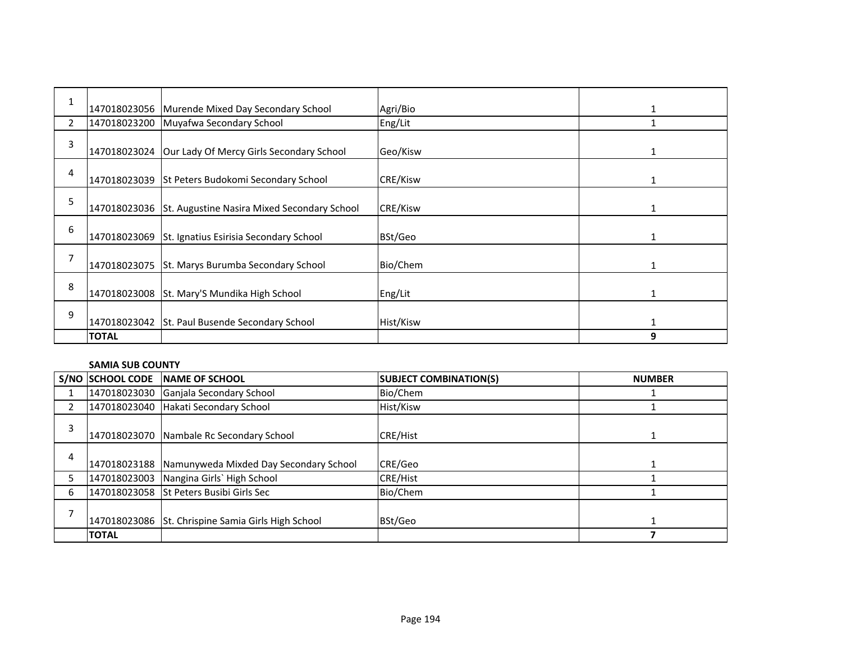| 1              |              | 147018023056 Murende Mixed Day Secondary School          | Agri/Bio  |   |
|----------------|--------------|----------------------------------------------------------|-----------|---|
| $\overline{2}$ |              | 147018023200 Muyafwa Secondary School                    | Eng/Lit   |   |
| 3              |              | 147018023024 Our Lady Of Mercy Girls Secondary School    | Geo/Kisw  |   |
| 4              |              | 147018023039 St Peters Budokomi Secondary School         | CRE/Kisw  |   |
| 5              |              | 147018023036 St. Augustine Nasira Mixed Secondary School | CRE/Kisw  |   |
| 6              |              | 147018023069 St. Ignatius Esirisia Secondary School      | BSt/Geo   |   |
| 7              |              | 147018023075 St. Marys Burumba Secondary School          | Bio/Chem  |   |
| 8              |              | 147018023008 St. Mary'S Mundika High School              | Eng/Lit   | 1 |
| 9              |              | 147018023042 St. Paul Busende Secondary School           | Hist/Kisw | 1 |
|                | <b>TOTAL</b> |                                                          |           | 9 |

#### **SAMIA SUB COUNTY**

|   | <b>S/NO SCHOOL CODE</b> | <b>INAME OF SCHOOL</b>                              | <b>SUBJECT COMBINATION(S)</b> | <b>NUMBER</b> |
|---|-------------------------|-----------------------------------------------------|-------------------------------|---------------|
|   |                         | 147018023030 Ganjala Secondary School               | Bio/Chem                      |               |
|   |                         | 147018023040 Hakati Secondary School                | Hist/Kisw                     |               |
| 3 |                         | 147018023070 Nambale Rc Secondary School            | <b>CRE/Hist</b>               |               |
| 4 |                         | 147018023188 Namunyweda Mixded Day Secondary School | CRE/Geo                       |               |
|   |                         | 147018023003 Nangina Girls' High School             | CRE/Hist                      |               |
| 6 |                         | 147018023058 St Peters Busibi Girls Sec             | Bio/Chem                      |               |
|   |                         | 147018023086 St. Chrispine Samia Girls High School  | BSt/Geo                       |               |
|   | <b>TOTAL</b>            |                                                     |                               |               |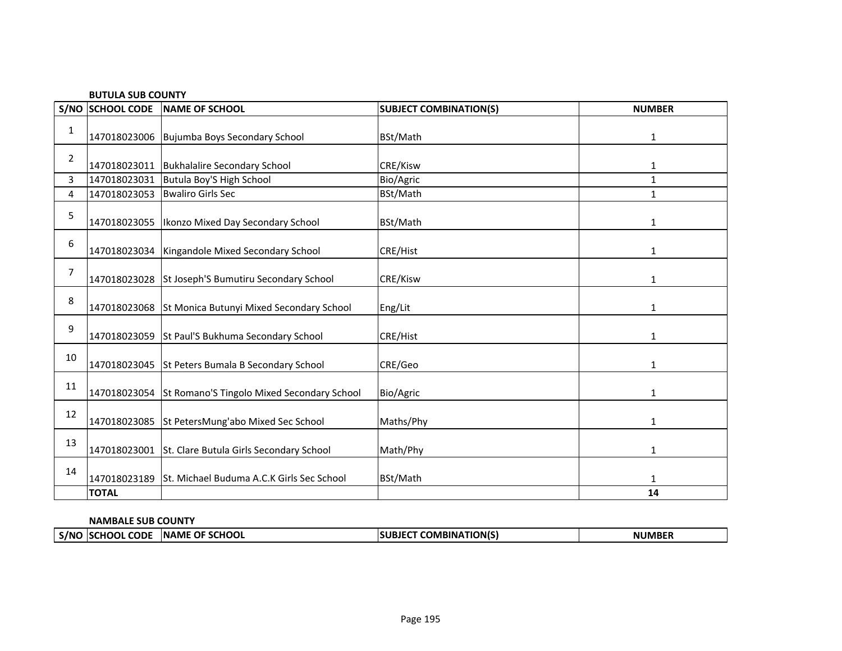|      | <b>BUTULA SUB COUNTY</b> |                                                         |                               |               |  |
|------|--------------------------|---------------------------------------------------------|-------------------------------|---------------|--|
| S/NO | <b>SCHOOL CODE</b>       | NAME OF SCHOOL                                          | <b>SUBJECT COMBINATION(S)</b> | <b>NUMBER</b> |  |
| 1    |                          | 147018023006 Bujumba Boys Secondary School              | BSt/Math                      | $\mathbf{1}$  |  |
| 2    | 147018023011             | <b>Bukhalalire Secondary School</b>                     | CRE/Kisw                      | 1             |  |
| 3    | 147018023031             | Butula Boy'S High School                                | Bio/Agric                     | $\mathbf{1}$  |  |
| 4    | 147018023053             | <b>Bwaliro Girls Sec</b>                                | BSt/Math                      | $\mathbf{1}$  |  |
| 5    |                          | 147018023055   Ikonzo Mixed Day Secondary School        | BSt/Math                      | 1             |  |
| 6    |                          | 147018023034   Kingandole Mixed Secondary School        | <b>CRE/Hist</b>               | 1             |  |
| 7    |                          | 147018023028 St Joseph'S Bumutiru Secondary School      | CRE/Kisw                      | $\mathbf{1}$  |  |
| 8    |                          | 147018023068 St Monica Butunyi Mixed Secondary School   | Eng/Lit                       | 1             |  |
| 9    |                          | 147018023059 St Paul'S Bukhuma Secondary School         | <b>CRE/Hist</b>               | 1             |  |
| 10   |                          | 147018023045 St Peters Bumala B Secondary School        | CRE/Geo                       | 1             |  |
| 11   |                          | 147018023054 St Romano'S Tingolo Mixed Secondary School | Bio/Agric                     | 1             |  |
| 12   |                          | 147018023085 St PetersMung'abo Mixed Sec School         | Maths/Phy                     | 1             |  |
| 13   |                          | 147018023001 St. Clare Butula Girls Secondary School    | Math/Phy                      | 1             |  |
| 14   | 147018023189             | St. Michael Buduma A.C.K Girls Sec School               | BSt/Math                      | 1             |  |
|      | <b>TOTAL</b>             |                                                         |                               | 14            |  |

## **NAMBALE SUB COUNTY**

| <b>NATION(S)</b><br><b>SCHOOL</b><br><b>INAME</b><br><b>OF</b><br>1BINA<br><b>CODE</b><br><b>JMBER</b><br>S/N <sub>o</sub><br>SUR.<br>HOOL<br>3 I E |  |  |  |  |  |
|-----------------------------------------------------------------------------------------------------------------------------------------------------|--|--|--|--|--|
|                                                                                                                                                     |  |  |  |  |  |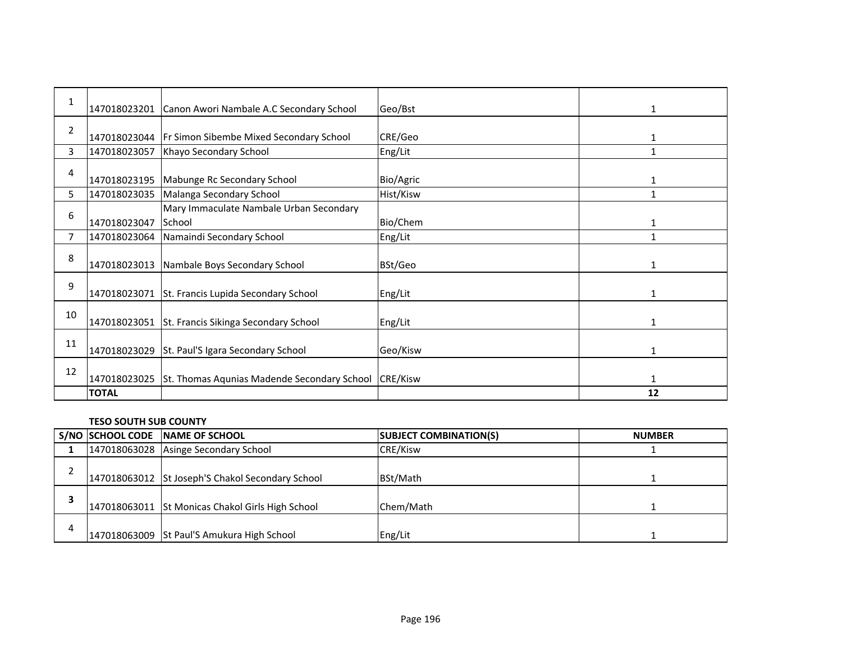| 1  | 147018023201 | Canon Awori Nambale A.C Secondary School          | Geo/Bst         | 1            |
|----|--------------|---------------------------------------------------|-----------------|--------------|
| 2  | 147018023044 | Fr Simon Sibembe Mixed Secondary School           | CRE/Geo         | 1            |
| 3  | 147018023057 | Khayo Secondary School                            | Eng/Lit         | 1            |
| 4  | 147018023195 | Mabunge Rc Secondary School                       | Bio/Agric       | 1            |
| 5  | 147018023035 | Malanga Secondary School                          | Hist/Kisw       | $\mathbf{1}$ |
| 6  | 147018023047 | Mary Immaculate Nambale Urban Secondary<br>School | Bio/Chem        | 1            |
| 7  | 147018023064 | Namaindi Secondary School                         | Eng/Lit         | $\mathbf{1}$ |
| 8  | 147018023013 | Nambale Boys Secondary School                     | BSt/Geo         | 1            |
| 9  | 147018023071 | St. Francis Lupida Secondary School               | Eng/Lit         | 1            |
| 10 | 147018023051 | St. Francis Sikinga Secondary School              | Eng/Lit         | 1            |
| 11 | 147018023029 | St. Paul'S Igara Secondary School                 | Geo/Kisw        | 1            |
| 12 | 147018023025 | St. Thomas Aqunias Madende Secondary School       | <b>CRE/Kisw</b> | 1            |
|    | <b>TOTAL</b> |                                                   |                 | 12           |

## **TESO SOUTH SUB COUNTY**

|   | S/NO SCHOOL CODE NAME OF SCHOOL                  | <b>SUBJECT COMBINATION(S)</b> | <b>NUMBER</b> |
|---|--------------------------------------------------|-------------------------------|---------------|
|   | 147018063028 Asinge Secondary School             | <b>CRE/Kisw</b>               |               |
|   | 147018063012 St Joseph'S Chakol Secondary School | BSt/Math                      |               |
|   | 147018063011 St Monicas Chakol Girls High School | Chem/Math                     |               |
| 4 | 147018063009 St Paul'S Amukura High School       | Eng/Lit                       |               |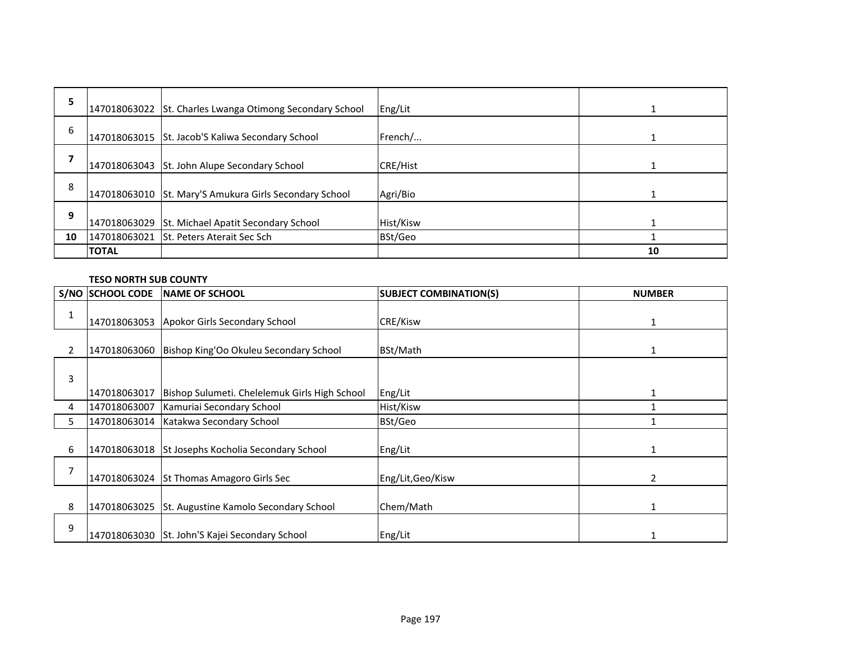| 5  |              | 147018063022 St. Charles Lwanga Otimong Secondary School | Eng/Lit   |    |
|----|--------------|----------------------------------------------------------|-----------|----|
| 6  |              | 147018063015 St. Jacob'S Kaliwa Secondary School         | French/   |    |
|    |              | 147018063043 St. John Alupe Secondary School             | CRE/Hist  |    |
| 8  |              | 147018063010 St. Mary'S Amukura Girls Secondary School   | Agri/Bio  |    |
| 9  |              | 147018063029 St. Michael Apatit Secondary School         | Hist/Kisw |    |
| 10 |              | 147018063021 St. Peters Aterait Sec Sch                  | BSt/Geo   |    |
|    | <b>TOTAL</b> |                                                          |           | 10 |

## **TESO NORTH SUB COUNTY**

|                | S/NO SCHOOL CODE | NAME OF SCHOOL                                     | <b>SUBJECT COMBINATION(S)</b> | <b>NUMBER</b> |
|----------------|------------------|----------------------------------------------------|-------------------------------|---------------|
| 1              |                  | 147018063053 Apokor Girls Secondary School         | CRE/Kisw                      | 1             |
| $\overline{2}$ | 147018063060     | Bishop King'Oo Okuleu Secondary School             | BSt/Math                      | 1             |
| 3              |                  |                                                    |                               |               |
|                | 147018063017     | Bishop Sulumeti. Chelelemuk Girls High School      | Eng/Lit                       |               |
| 4              | 147018063007     | Kamuriai Secondary School                          | Hist/Kisw                     |               |
| 5              | 147018063014     | Katakwa Secondary School                           | BSt/Geo                       |               |
| 6              |                  | 147018063018 St Josephs Kocholia Secondary School  | Eng/Lit                       |               |
| 7              |                  | 147018063024 St Thomas Amagoro Girls Sec           | Eng/Lit, Geo/Kisw             | 2             |
| 8              |                  | 147018063025 St. Augustine Kamolo Secondary School | Chem/Math                     |               |
| 9              |                  | 147018063030 St. John'S Kajei Secondary School     | Eng/Lit                       |               |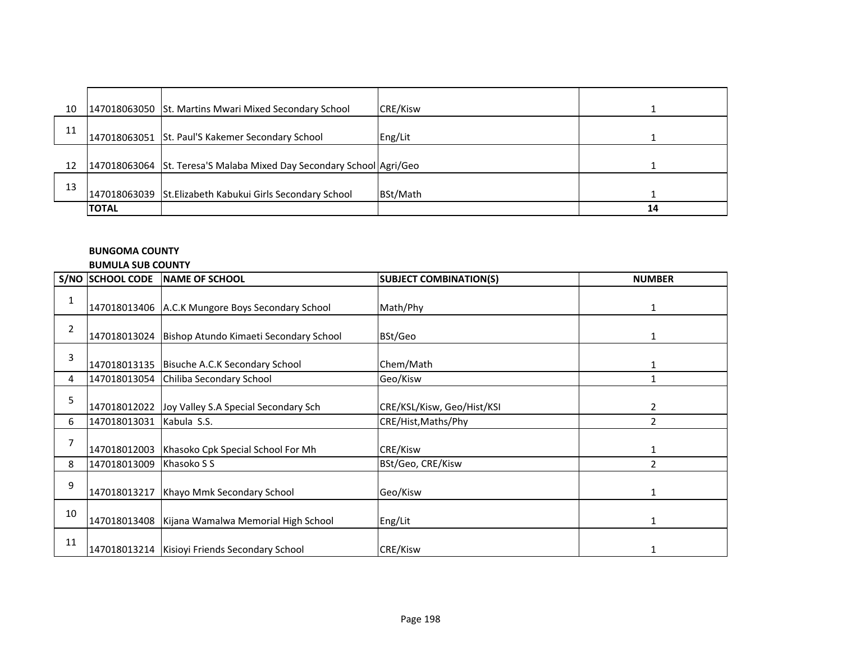| 10 |              | 147018063050 St. Martins Mwari Mixed Secondary School                | <b>CRE/Kisw</b> |    |
|----|--------------|----------------------------------------------------------------------|-----------------|----|
| 11 |              | 147018063051 St. Paul'S Kakemer Secondary School                     | Eng/Lit         |    |
| 12 |              | 147018063064 St. Teresa'S Malaba Mixed Day Secondary School Agri/Geo |                 |    |
| 13 |              | 147018063039 St.Elizabeth Kabukui Girls Secondary School             | BSt/Math        |    |
|    | <b>TOTAL</b> |                                                                      |                 | 14 |

## **BUNGOMA COUNTY**

#### **BUMULA SUB COUNTY**

|                | S/NO SCHOOL CODE | <b>NAME OF SCHOOL</b>                              | <b>SUBJECT COMBINATION(S)</b> | <b>NUMBER</b>  |
|----------------|------------------|----------------------------------------------------|-------------------------------|----------------|
| 1              |                  | 147018013406 A.C.K Mungore Boys Secondary School   | Math/Phy                      | 1              |
| $\overline{2}$ | 147018013024     | Bishop Atundo Kimaeti Secondary School             | BSt/Geo                       | 1              |
| 3              | 147018013135     | Bisuche A.C.K Secondary School                     | Chem/Math                     | 1              |
| 4              | 147018013054     | Chiliba Secondary School                           | Geo/Kisw                      | 1              |
| 5              | 147018012022     | Joy Valley S.A Special Secondary Sch               | CRE/KSL/Kisw, Geo/Hist/KSI    | 2              |
| 6              | 147018013031     | Kabula S.S.                                        | CRE/Hist, Maths/Phy           | 2              |
|                | 147018012003     | Khasoko Cpk Special School For Mh                  | CRE/Kisw                      |                |
| 8              | 147018013009     | Khasoko S S                                        | BSt/Geo, CRE/Kisw             | $\mathfrak{p}$ |
| 9              | 147018013217     | Khayo Mmk Secondary School                         | Geo/Kisw                      | $\mathbf{1}$   |
| 10             |                  | 147018013408   Kijana Wamalwa Memorial High School | Eng/Lit                       |                |
| 11             |                  | 147018013214   Kisioyi Friends Secondary School    | CRE/Kisw                      |                |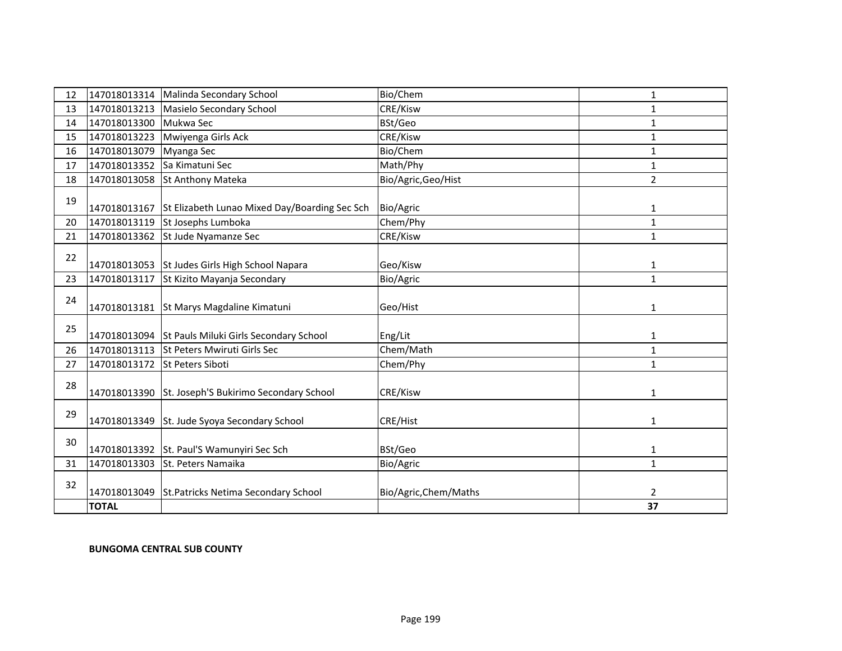| 12 | 147018013314 | Malinda Secondary School                            | Bio/Chem              | 1              |
|----|--------------|-----------------------------------------------------|-----------------------|----------------|
| 13 | 147018013213 | Masielo Secondary School                            | CRE/Kisw              | $\mathbf{1}$   |
| 14 | 147018013300 | Mukwa Sec                                           | BSt/Geo               | 1              |
| 15 | 147018013223 | Mwiyenga Girls Ack                                  | CRE/Kisw              | 1              |
| 16 | 147018013079 | Myanga Sec                                          | Bio/Chem              | 1              |
| 17 | 147018013352 | Sa Kimatuni Sec                                     | Math/Phy              | 1              |
| 18 | 147018013058 | <b>St Anthony Mateka</b>                            | Bio/Agric, Geo/Hist   | $\overline{2}$ |
| 19 | 147018013167 | St Elizabeth Lunao Mixed Day/Boarding Sec Sch       | Bio/Agric             | 1              |
| 20 | 147018013119 | St Josephs Lumboka                                  | Chem/Phy              | $\mathbf{1}$   |
| 21 | 147018013362 | St Jude Nyamanze Sec                                | CRE/Kisw              | $\mathbf{1}$   |
| 22 |              | 147018013053 St Judes Girls High School Napara      | Geo/Kisw              | 1              |
| 23 | 147018013117 | St Kizito Mayanja Secondary                         | Bio/Agric             | 1              |
| 24 |              | 147018013181 St Marys Magdaline Kimatuni            | Geo/Hist              | 1              |
| 25 |              | 147018013094 St Pauls Miluki Girls Secondary School | Eng/Lit               | 1              |
| 26 | 147018013113 | <b>St Peters Mwiruti Girls Sec</b>                  | Chem/Math             | $\mathbf{1}$   |
| 27 | 147018013172 | <b>St Peters Siboti</b>                             | Chem/Phy              | $\mathbf{1}$   |
| 28 |              | 147018013390 St. Joseph'S Bukirimo Secondary School | CRE/Kisw              | 1              |
| 29 |              | 147018013349 St. Jude Syoya Secondary School        | CRE/Hist              | 1              |
| 30 |              | 147018013392 St. Paul'S Wamunyiri Sec Sch           | BSt/Geo               | 1              |
| 31 | 147018013303 | St. Peters Namaika                                  | Bio/Agric             | $\mathbf{1}$   |
| 32 |              | 147018013049 St.Patricks Netima Secondary School    | Bio/Agric, Chem/Maths | $\overline{2}$ |
|    | <b>TOTAL</b> |                                                     |                       | 37             |

### **BUNGOMA CENTRAL SUB COUNTY**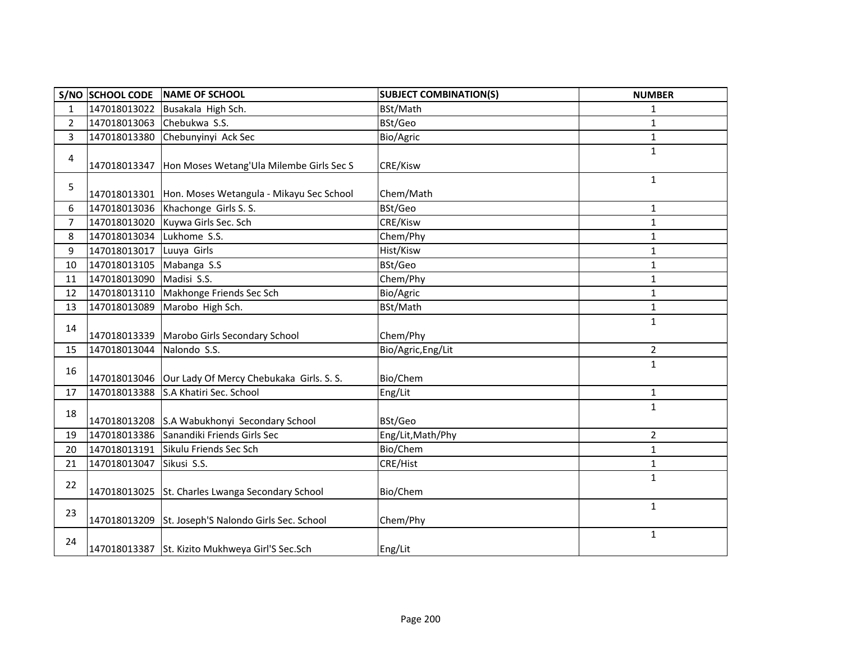|                | S/NO SCHOOL CODE          | NAME OF SCHOOL                                           | <b>SUBJECT COMBINATION(S)</b> | <b>NUMBER</b>  |
|----------------|---------------------------|----------------------------------------------------------|-------------------------------|----------------|
| $\mathbf{1}$   | 147018013022              | Busakala High Sch.                                       | BSt/Math                      | 1              |
| $\overline{2}$ | 147018013063              | Chebukwa S.S.                                            | BSt/Geo                       | 1              |
| 3              | 147018013380              | Chebunyinyi Ack Sec                                      | Bio/Agric                     | 1              |
| 4              |                           | 147018013347   Hon Moses Wetang' Ula Milembe Girls Sec S | CRE/Kisw                      | 1              |
| 5              |                           | 147018013301 Hon. Moses Wetangula - Mikayu Sec School    | Chem/Math                     | 1              |
| 6              |                           | 147018013036 Khachonge Girls S. S.                       | BSt/Geo                       | 1              |
| $\overline{7}$ | 147018013020              | Kuywa Girls Sec. Sch                                     | CRE/Kisw                      | 1              |
| 8              | 147018013034 Lukhome S.S. |                                                          | Chem/Phy                      | $\mathbf{1}$   |
| 9              | 147018013017              | Luuya Girls                                              | Hist/Kisw                     | 1              |
| 10             | 147018013105              | Mabanga S.S                                              | BSt/Geo                       | $\mathbf{1}$   |
| 11             | 147018013090              | Madisi S.S.                                              | Chem/Phy                      | $\mathbf{1}$   |
| 12             | 147018013110              | Makhonge Friends Sec Sch                                 | Bio/Agric                     | 1              |
| 13             | 147018013089              | Marobo High Sch.                                         | BSt/Math                      | $\mathbf{1}$   |
| 14             |                           | 147018013339 Marobo Girls Secondary School               | Chem/Phy                      | 1              |
| 15             | 147018013044              | Nalondo S.S.                                             | Bio/Agric, Eng/Lit            | $\overline{2}$ |
| 16             |                           | 147018013046 Our Lady Of Mercy Chebukaka Girls. S. S.    | Bio/Chem                      | $\mathbf{1}$   |
| 17             |                           | 147018013388 S.A Khatiri Sec. School                     | Eng/Lit                       | 1              |
| 18             |                           | 147018013208 S.A Wabukhonyi Secondary School             | BSt/Geo                       | $\mathbf{1}$   |
| 19             |                           | 147018013386 Sanandiki Friends Girls Sec                 | Eng/Lit, Math/Phy             | $\overline{2}$ |
| 20             | 147018013191              | Sikulu Friends Sec Sch                                   | Bio/Chem                      | 1              |
| 21             | 147018013047              | Sikusi S.S.                                              | CRE/Hist                      | 1              |
| 22             |                           | 147018013025 St. Charles Lwanga Secondary School         | Bio/Chem                      | $\mathbf{1}$   |
| 23             |                           | 147018013209 St. Joseph'S Nalondo Girls Sec. School      | Chem/Phy                      | $\mathbf{1}$   |
| 24             |                           | 147018013387 St. Kizito Mukhweya Girl'S Sec.Sch          | Eng/Lit                       | 1              |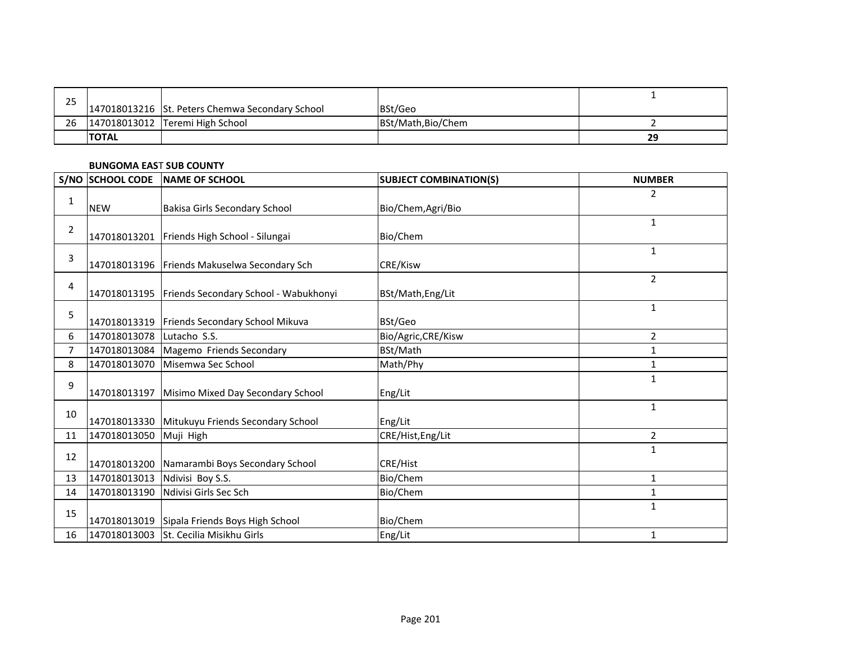| つに |               |                                                 |                    |    |
|----|---------------|-------------------------------------------------|--------------------|----|
| رے |               | 147018013216 St. Peters Chemwa Secondary School | BSt/Geo            |    |
| 26 |               | 147018013012   Teremi High School               | BSt/Math, Bio/Chem |    |
|    | <b>ITOTAL</b> |                                                 |                    | 29 |

## **BUNGOMA EAS**T **SUB COUNTY**

|                | S/NO SCHOOL CODE | <b>NAME OF SCHOOL</b>                                | <b>SUBJECT COMBINATION(S)</b> | <b>NUMBER</b> |
|----------------|------------------|------------------------------------------------------|-------------------------------|---------------|
|                |                  |                                                      |                               | 2             |
| 1              | <b>NEW</b>       | <b>Bakisa Girls Secondary School</b>                 | Bio/Chem, Agri/Bio            |               |
| $\overline{2}$ |                  |                                                      |                               | $\mathbf{1}$  |
|                |                  | 147018013201 Friends High School - Silungai          | Bio/Chem                      |               |
| 3              |                  |                                                      |                               | $\mathbf{1}$  |
|                |                  | 147018013196 Friends Makuselwa Secondary Sch         | CRE/Kisw                      |               |
| 4              |                  |                                                      |                               | 2             |
|                |                  | 147018013195   Friends Secondary School - Wabukhonyi | BSt/Math, Eng/Lit             |               |
| 5              |                  |                                                      |                               | $\mathbf{1}$  |
|                | 147018013319     | Friends Secondary School Mikuva                      | BSt/Geo                       |               |
| 6              | 147018013078     | Lutacho S.S.                                         | Bio/Agric, CRE/Kisw           | 2             |
| 7              | 147018013084     | Magemo Friends Secondary                             | BSt/Math                      | 1             |
| 8              | 147018013070     | Misemwa Sec School                                   | Math/Phy                      | $\mathbf{1}$  |
| 9              |                  |                                                      |                               | $\mathbf{1}$  |
|                | 147018013197     | Misimo Mixed Day Secondary School                    | Eng/Lit                       |               |
| 10             |                  |                                                      |                               | 1             |
|                |                  | 147018013330 Mitukuyu Friends Secondary School       | Eng/Lit                       |               |
| 11             | 147018013050     | Muji High                                            | CRE/Hist, Eng/Lit             | 2             |
| 12             |                  |                                                      |                               | $\mathbf{1}$  |
|                |                  | 147018013200 Namarambi Boys Secondary School         | <b>CRE/Hist</b>               |               |
| 13             | 147018013013     | Ndivisi Boy S.S.                                     | Bio/Chem                      | 1             |
| 14             | 147018013190     | Ndivisi Girls Sec Sch                                | Bio/Chem                      | 1             |
|                |                  |                                                      |                               | $\mathbf{1}$  |
| 15             | 147018013019     | Sipala Friends Boys High School                      | Bio/Chem                      |               |
| 16             | 147018013003     | St. Cecilia Misikhu Girls                            | Eng/Lit                       | 1             |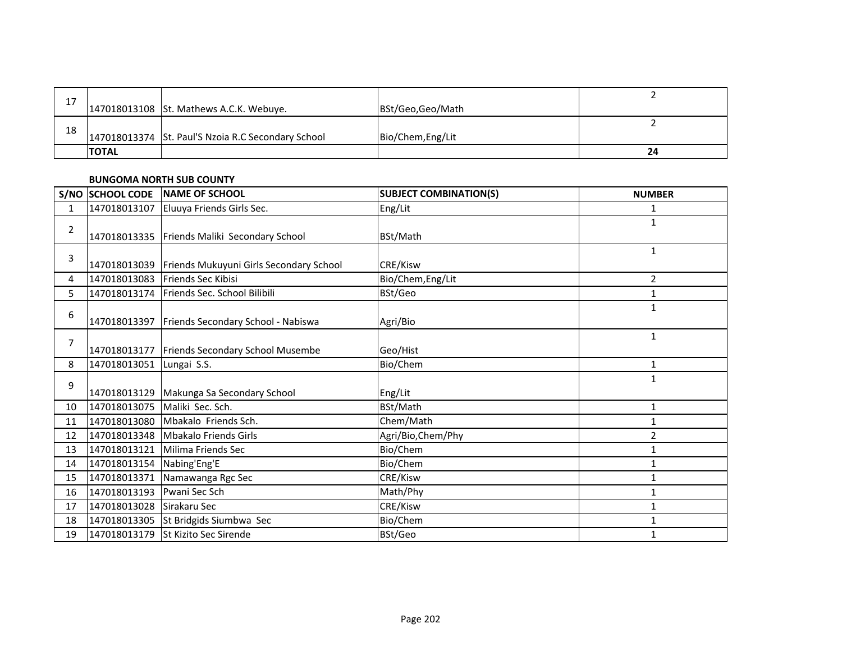| 17 |              |                                                    |                   |    |
|----|--------------|----------------------------------------------------|-------------------|----|
|    |              | 147018013108 St. Mathews A.C.K. Webuye.            | BSt/Geo,Geo/Math  |    |
| 18 |              |                                                    |                   |    |
|    |              | 147018013374 St. Paul'S Nzoia R.C Secondary School | Bio/Chem, Eng/Lit |    |
|    | <b>TOTAL</b> |                                                    |                   | 24 |

#### **BUNGOMA NORTH SUB COUNTY**

|                | S/NO SCHOOL CODE          | NAME OF SCHOOL                                       | <b>SUBJECT COMBINATION(S)</b> | <b>NUMBER</b>  |
|----------------|---------------------------|------------------------------------------------------|-------------------------------|----------------|
| 1              |                           | 147018013107 Eluuya Friends Girls Sec.               | Eng/Lit                       | $\mathbf{1}$   |
| $\overline{2}$ |                           | 147018013335 Friends Maliki Secondary School         | BSt/Math                      | $\mathbf{1}$   |
| 3              |                           | 147018013039 Friends Mukuyuni Girls Secondary School | CRE/Kisw                      | $\mathbf{1}$   |
| 4              |                           | 147018013083 Friends Sec Kibisi                      | Bio/Chem, Eng/Lit             | $\overline{2}$ |
| 5              |                           | 147018013174 Friends Sec. School Bilibili            | BSt/Geo                       | $\mathbf{1}$   |
| 6              |                           | 147018013397 Friends Secondary School - Nabiswa      | Agri/Bio                      | $\mathbf{1}$   |
| $\overline{7}$ |                           | 147018013177   Friends Secondary School Musembe      | Geo/Hist                      | $\mathbf{1}$   |
| 8              | 147018013051              | Lungai S.S.                                          | Bio/Chem                      | $\mathbf{1}$   |
| 9              |                           | 147018013129 Makunga Sa Secondary School             | Eng/Lit                       | $\mathbf{1}$   |
| 10             | 147018013075              | Maliki Sec. Sch.                                     | BSt/Math                      | $\mathbf{1}$   |
| 11             |                           | 147018013080 Mbakalo Friends Sch.                    | Chem/Math                     | 1              |
| 12             |                           | 147018013348   Mbakalo Friends Girls                 | Agri/Bio, Chem/Phy            | $\overline{2}$ |
| 13             | 147018013121              | Milima Friends Sec                                   | Bio/Chem                      | 1              |
| 14             | 147018013154 Nabing'Eng'E |                                                      | Bio/Chem                      | 1              |
| 15             | 147018013371              | Namawanga Rgc Sec                                    | CRE/Kisw                      | 1              |
| 16             | 147018013193              | Pwani Sec Sch                                        | Math/Phy                      | 1              |
| 17             | 147018013028 Sirakaru Sec |                                                      | CRE/Kisw                      | 1              |
| 18             |                           | 147018013305 St Bridgids Siumbwa Sec                 | Bio/Chem                      | 1              |
| 19             |                           | 147018013179 St Kizito Sec Sirende                   | BSt/Geo                       | 1              |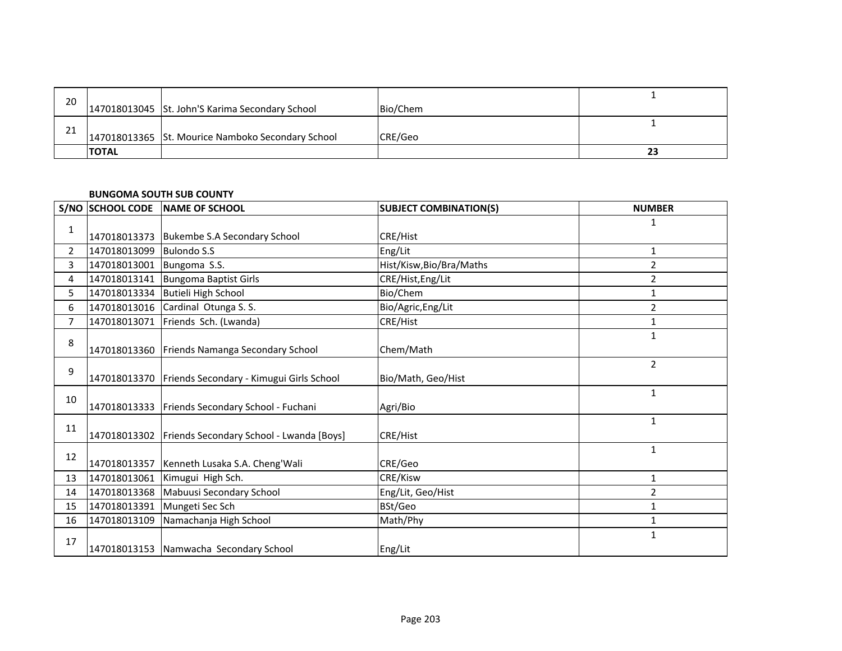| 20 |              |                                                   |          |    |
|----|--------------|---------------------------------------------------|----------|----|
|    |              | 147018013045 St. John'S Karima Secondary School   | Bio/Chem |    |
| ำ1 |              |                                                   |          |    |
| ᅀ  |              | 147018013365 St. Mourice Namboko Secondary School | CRE/Geo  |    |
|    | <b>TOTAL</b> |                                                   |          | 23 |

#### **BUNGOMA SOUTH SUB COUNTY**

|                | S/NO SCHOOL CODE          | NAME OF SCHOOL                                        | <b>SUBJECT COMBINATION(S)</b> | <b>NUMBER</b>  |
|----------------|---------------------------|-------------------------------------------------------|-------------------------------|----------------|
|                |                           |                                                       |                               | 1              |
| 1              |                           | 147018013373 Bukembe S.A Secondary School             | CRE/Hist                      |                |
| $\overline{2}$ | 147018013099 Bulondo S.S  |                                                       | Eng/Lit                       | 1              |
| 3              | 147018013001 Bungoma S.S. |                                                       | Hist/Kisw, Bio/Bra/Maths      | 2              |
| 4              |                           | 147018013141 Bungoma Baptist Girls                    | CRE/Hist, Eng/Lit             | $\overline{2}$ |
| 5              |                           | 147018013334 Butieli High School                      | Bio/Chem                      | 1              |
| 6              |                           | 147018013016 Cardinal Otunga S. S.                    | Bio/Agric, Eng/Lit            | $\overline{2}$ |
| $\overline{7}$ | 147018013071              | Friends Sch. (Lwanda)                                 | CRE/Hist                      | 1              |
| 8              |                           |                                                       |                               | 1              |
|                |                           | 147018013360 Friends Namanga Secondary School         | Chem/Math                     |                |
| 9              |                           |                                                       |                               | $\overline{2}$ |
|                |                           | 147018013370 Friends Secondary - Kimugui Girls School | Bio/Math, Geo/Hist            |                |
| 10             |                           |                                                       |                               | $\mathbf{1}$   |
|                |                           | 147018013333   Friends Secondary School - Fuchani     | Agri/Bio                      |                |
| 11             |                           |                                                       |                               | $\mathbf{1}$   |
|                |                           | 147018013302 Friends Secondary School - Lwanda [Boys] | CRE/Hist                      |                |
| 12             |                           |                                                       |                               | 1              |
|                |                           | 147018013357   Kenneth Lusaka S.A. Cheng' Wali        | CRE/Geo                       |                |
| 13             |                           | 147018013061 Kimugui High Sch.                        | CRE/Kisw                      | 1              |
| 14             |                           | 147018013368   Mabuusi Secondary School               | Eng/Lit, Geo/Hist             | $\overline{2}$ |
| 15             | 147018013391              | Mungeti Sec Sch                                       | BSt/Geo                       | $\mathbf{1}$   |
| 16             |                           | 147018013109 Namachanja High School                   | Math/Phy                      | 1              |
| 17             |                           |                                                       |                               | $\mathbf{1}$   |
|                |                           | 147018013153 Namwacha Secondary School                | Eng/Lit                       |                |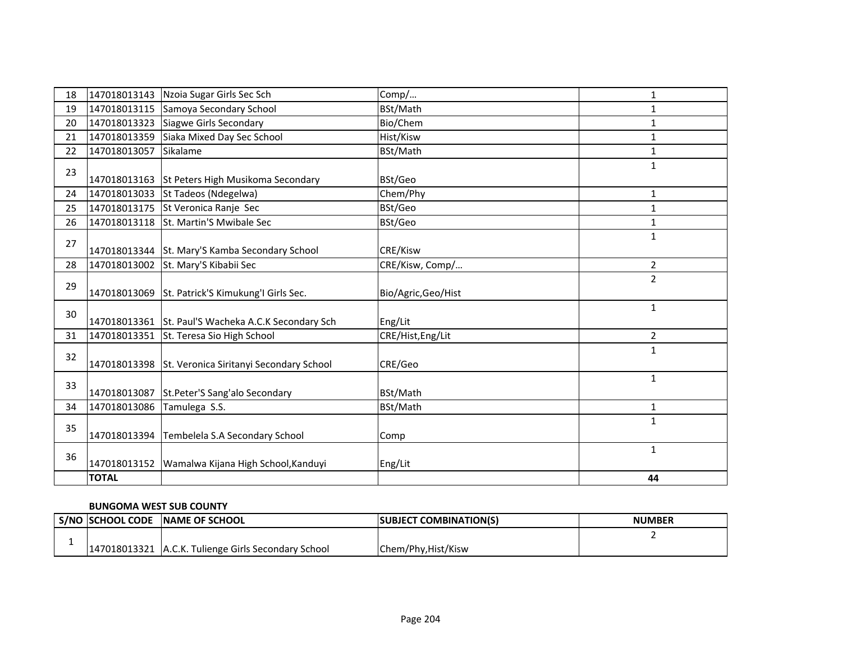| 18 | 147018013143 | Nzoia Sugar Girls Sec Sch                        | Comp/               | 1              |
|----|--------------|--------------------------------------------------|---------------------|----------------|
| 19 | 147018013115 | Samoya Secondary School                          | BSt/Math            | 1              |
| 20 | 147018013323 | Siagwe Girls Secondary                           | Bio/Chem            | 1              |
| 21 | 147018013359 | Siaka Mixed Day Sec School                       | Hist/Kisw           | 1              |
| 22 | 147018013057 | Sikalame                                         | BSt/Math            | 1              |
| 23 |              | 147018013163 St Peters High Musikoma Secondary   | BSt/Geo             | 1              |
| 24 | 147018013033 | St Tadeos (Ndegelwa)                             | Chem/Phy            | 1              |
| 25 | 147018013175 | St Veronica Ranje Sec                            | BSt/Geo             | 1              |
| 26 | 147018013118 | St. Martin'S Mwibale Sec                         | BSt/Geo             | 1              |
| 27 |              | 147018013344 St. Mary'S Kamba Secondary School   | CRE/Kisw            | $\mathbf{1}$   |
| 28 | 147018013002 | St. Mary'S Kibabii Sec                           | CRE/Kisw, Comp/     | $\overline{2}$ |
| 29 |              | 147018013069 St. Patrick'S Kimukung'l Girls Sec. | Bio/Agric, Geo/Hist | $\overline{2}$ |
| 30 | 147018013361 | St. Paul'S Wacheka A.C.K Secondary Sch           | Eng/Lit             | 1              |
| 31 | 147018013351 | St. Teresa Sio High School                       | CRE/Hist, Eng/Lit   | $\overline{2}$ |
| 32 | 147018013398 | St. Veronica Siritanyi Secondary School          | CRE/Geo             | $\mathbf{1}$   |
| 33 | 147018013087 | St.Peter'S Sang'alo Secondary                    | BSt/Math            | $\mathbf{1}$   |
| 34 | 147018013086 | Tamulega S.S.                                    | BSt/Math            | 1              |
| 35 | 147018013394 | Tembelela S.A Secondary School                   | Comp                | $\mathbf{1}$   |
| 36 | 147018013152 | Wamalwa Kijana High School, Kanduyi              | Eng/Lit             | $\mathbf{1}$   |
|    | <b>TOTAL</b> |                                                  |                     | 44             |

#### **BUNGOMA WEST SUB COUNTY**

| <b>S/NO ISCHOOL CODE</b> | <b>INAME OF SCHOOL</b>                   | <b>ISUBJECT COMBINATION(S)</b> | <b>NUMBER</b> |
|--------------------------|------------------------------------------|--------------------------------|---------------|
|                          |                                          |                                |               |
| 147018013321             | L A.C.K. Tulienge Girls Secondary School | Chem/Phy, Hist/Kisw            |               |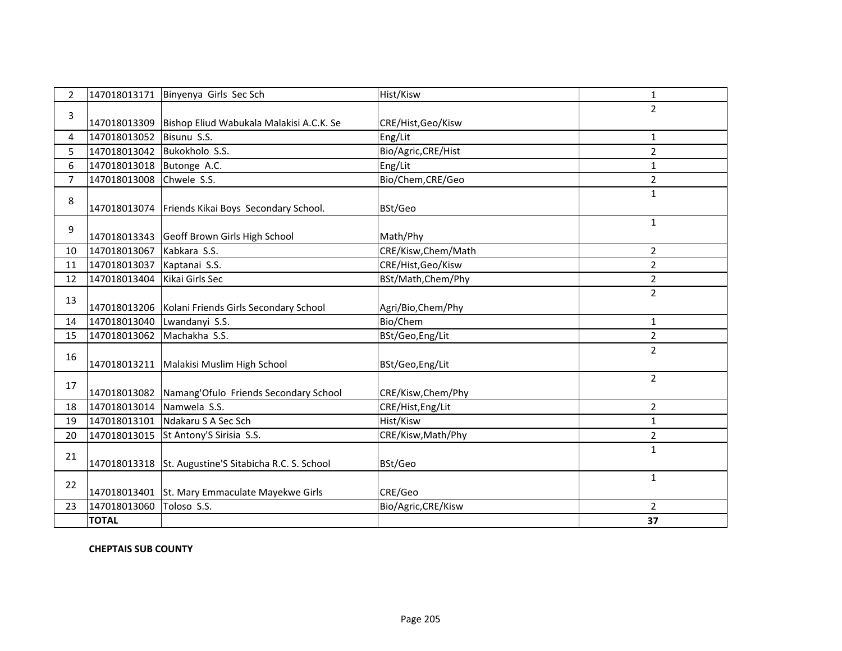| $\overline{2}$ |              | 147018013171 Binyenya Girls Sec Sch                   | Hist/Kisw           | 1              |
|----------------|--------------|-------------------------------------------------------|---------------------|----------------|
| 3              |              |                                                       |                     | $\overline{2}$ |
|                | 147018013309 | Bishop Eliud Wabukala Malakisi A.C.K. Se              | CRE/Hist, Geo/Kisw  |                |
| 4              | 147018013052 | Bisunu S.S.                                           | Eng/Lit             | 1              |
| 5              | 147018013042 | Bukokholo S.S.                                        | Bio/Agric, CRE/Hist | $\overline{2}$ |
| 6              | 147018013018 | Butonge A.C.                                          | Eng/Lit             | 1              |
| $\overline{7}$ | 147018013008 | Chwele S.S.                                           | Bio/Chem, CRE/Geo   | $\overline{2}$ |
| 8              |              | 147018013074 Friends Kikai Boys Secondary School.     | BSt/Geo             | 1              |
| 9              |              | 147018013343 Geoff Brown Girls High School            | Math/Phy            | $\mathbf{1}$   |
| 10             | 147018013067 | Kabkara S.S.                                          | CRE/Kisw, Chem/Math | $\overline{2}$ |
| 11             | 147018013037 | Kaptanai S.S.                                         | CRE/Hist, Geo/Kisw  | $\overline{2}$ |
| 12             | 147018013404 | Kikai Girls Sec                                       | BSt/Math, Chem/Phy  | $\overline{2}$ |
| 13             |              | 147018013206   Kolani Friends Girls Secondary School  | Agri/Bio, Chem/Phy  | $\overline{2}$ |
| 14             | 147018013040 | Lwandanyi S.S.                                        | Bio/Chem            | $\mathbf{1}$   |
| 15             | 147018013062 | Machakha S.S.                                         | BSt/Geo, Eng/Lit    | $\overline{2}$ |
| 16             |              | 147018013211 Malakisi Muslim High School              | BSt/Geo, Eng/Lit    | $\overline{2}$ |
| 17             |              | 147018013082 Namang'Ofulo Friends Secondary School    | CRE/Kisw, Chem/Phy  | $\overline{2}$ |
| 18             | 147018013014 | Namwela S.S.                                          | CRE/Hist, Eng/Lit   | $\overline{2}$ |
| 19             | 147018013101 | Ndakaru S A Sec Sch                                   | Hist/Kisw           | 1              |
| 20             |              | 147018013015 St Antony'S Sirisia S.S.                 | CRE/Kisw, Math/Phy  | $\overline{2}$ |
| 21             |              | 147018013318 St. Augustine'S Sitabicha R.C. S. School | BSt/Geo             | $\mathbf{1}$   |
| 22             |              | 147018013401 St. Mary Emmaculate Mayekwe Girls        | CRE/Geo             | 1              |
| 23             | 147018013060 | Toloso S.S.                                           | Bio/Agric, CRE/Kisw | $\overline{2}$ |
|                | <b>TOTAL</b> |                                                       |                     | 37             |

**CHEPTAIS SUB COUNTY**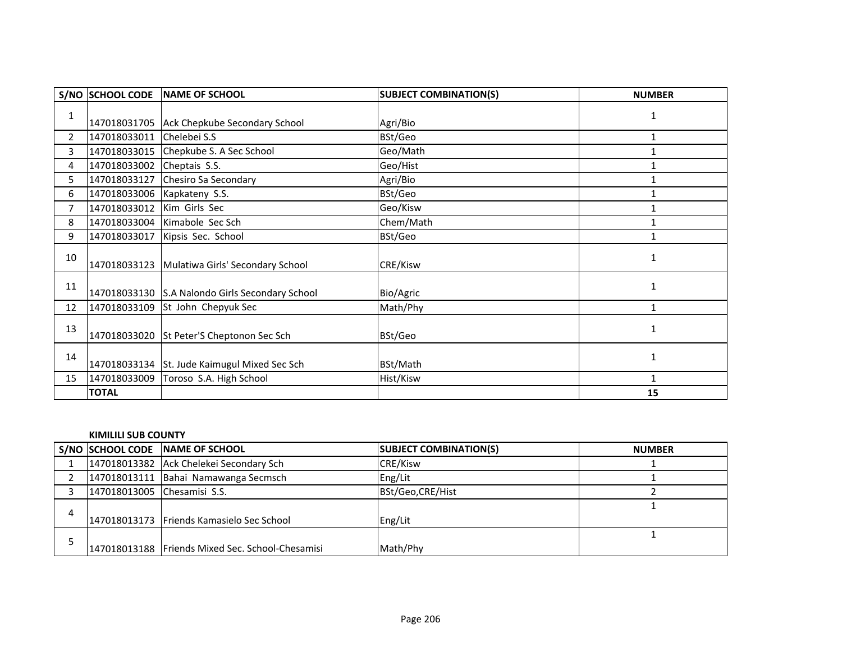|                | S/NO SCHOOL CODE            | NAME OF SCHOOL                                  | <b>SUBJECT COMBINATION(S)</b> | <b>NUMBER</b> |
|----------------|-----------------------------|-------------------------------------------------|-------------------------------|---------------|
| 1              |                             | 147018031705 Ack Chepkube Secondary School      | Agri/Bio                      | 1             |
| $\overline{2}$ | 147018033011 Chelebei S.S   |                                                 | BSt/Geo                       | 1             |
| 3              |                             | 147018033015 Chepkube S. A Sec School           | Geo/Math                      |               |
| 4              | 147018033002 Cheptais S.S.  |                                                 | Geo/Hist                      |               |
| 5.             | 147018033127                | Chesiro Sa Secondary                            | Agri/Bio                      |               |
| 6              | 147018033006 Kapkateny S.S. |                                                 | BSt/Geo                       |               |
| $\overline{7}$ | 147018033012                | Kim Girls Sec                                   | Geo/Kisw                      | $\mathbf{1}$  |
| 8              |                             | 147018033004 Kimabole Sec Sch                   | Chem/Math                     | $\mathbf{1}$  |
| 9              | 147018033017                | Kipsis Sec. School                              | BSt/Geo                       |               |
| 10             |                             | 147018033123 Mulatiwa Girls' Secondary School   | CRE/Kisw                      |               |
| 11             |                             | 147018033130 S.A Nalondo Girls Secondary School | Bio/Agric                     | 1             |
| 12             |                             | 147018033109 St John Chepyuk Sec                | Math/Phy                      | 1             |
| 13             |                             | 147018033020 St Peter'S Cheptonon Sec Sch       | BSt/Geo                       | 1             |
| 14             |                             | 147018033134 St. Jude Kaimugul Mixed Sec Sch    | BSt/Math                      | $\mathbf{1}$  |
| 15             | 147018033009                | Toroso S.A. High School                         | Hist/Kisw                     |               |
|                | <b>TOTAL</b>                |                                                 |                               | 15            |

#### **KIMILILI SUB COUNTY**

|   |                             | S/NO SCHOOL CODE NAME OF SCHOOL                  | <b>SUBJECT COMBINATION(S)</b> | <b>NUMBER</b> |
|---|-----------------------------|--------------------------------------------------|-------------------------------|---------------|
|   |                             | 147018013382 Ack Chelekei Secondary Sch          | <b>CRE/Kisw</b>               |               |
|   |                             | 147018013111 Bahai Namawanga Secmsch             | Eng/Lit                       |               |
|   | 147018013005 Chesamisi S.S. |                                                  | BSt/Geo, CRE/Hist             |               |
|   |                             |                                                  |                               |               |
| 4 |                             | 147018013173 Friends Kamasielo Sec School        | Eng/Lit                       |               |
|   |                             |                                                  |                               |               |
|   |                             | 147018013188 Friends Mixed Sec. School-Chesamisi | Math/Phy                      |               |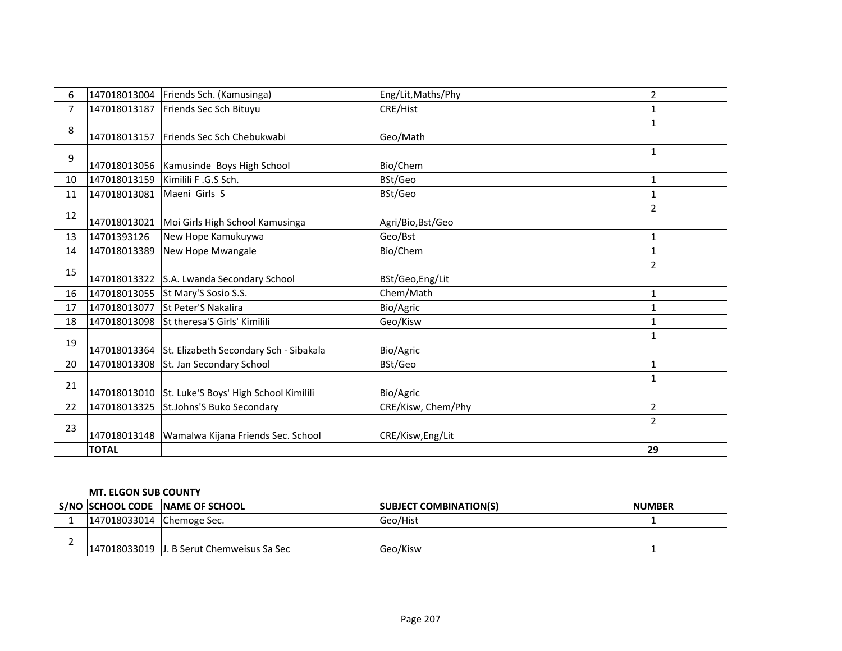| 6              |              | 147018013004 Friends Sch. (Kamusinga)               | Eng/Lit, Maths/Phy | $\overline{2}$ |
|----------------|--------------|-----------------------------------------------------|--------------------|----------------|
| $\overline{7}$ | 147018013187 | Friends Sec Sch Bituyu                              | CRE/Hist           | $\mathbf{1}$   |
| 8              |              |                                                     |                    | $\mathbf{1}$   |
|                |              | 147018013157 Friends Sec Sch Chebukwabi             | Geo/Math           |                |
| 9              |              | 147018013056 Kamusinde Boys High School             | Bio/Chem           | 1              |
| 10             | 147018013159 | Kimilili F.G.S Sch.                                 | BSt/Geo            | 1              |
| 11             | 147018013081 | Maeni Girls S                                       | BSt/Geo            | 1              |
| 12             |              |                                                     |                    | $\overline{2}$ |
|                |              | 147018013021 Moi Girls High School Kamusinga        | Agri/Bio, Bst/Geo  |                |
| 13             | 14701393126  | New Hope Kamukuywa                                  | Geo/Bst            | 1              |
| 14             | 147018013389 | New Hope Mwangale                                   | Bio/Chem           | 1              |
| 15             |              |                                                     |                    | $\overline{2}$ |
|                |              | 147018013322 S.A. Lwanda Secondary School           | BSt/Geo, Eng/Lit   |                |
| 16             |              | 147018013055 St Mary'S Sosio S.S.                   | Chem/Math          | $\mathbf{1}$   |
| 17             | 147018013077 | <b>St Peter'S Nakalira</b>                          | Bio/Agric          | $\mathbf{1}$   |
| 18             | 147018013098 | St theresa'S Girls' Kimilili                        | Geo/Kisw           | 1              |
| 19             |              |                                                     |                    | $\mathbf{1}$   |
|                |              | 147018013364 St. Elizabeth Secondary Sch - Sibakala | Bio/Agric          |                |
| 20             | 147018013308 | St. Jan Secondary School                            | BSt/Geo            | 1              |
| 21             |              |                                                     |                    | $\mathbf{1}$   |
|                |              | 147018013010 St. Luke'S Boys' High School Kimilili  | Bio/Agric          |                |
| 22             | 147018013325 | St.Johns'S Buko Secondary                           | CRE/Kisw, Chem/Phy | $\overline{2}$ |
| 23             |              |                                                     |                    | $\overline{2}$ |
|                |              | 147018013148   Wamalwa Kijana Friends Sec. School   | CRE/Kisw, Eng/Lit  |                |
|                | <b>TOTAL</b> |                                                     |                    | 29             |

## **MT. ELGON SUB COUNTY**

|                           | S/NO SCHOOL CODE NAME OF SCHOOL           | <b>SUBJECT COMBINATION(S)</b> | <b>NUMBER</b> |
|---------------------------|-------------------------------------------|-------------------------------|---------------|
| 147018033014 Chemoge Sec. |                                           | Geo/Hist                      |               |
|                           | 147018033019 J. B Serut Chemweisus Sa Sec | Geo/Kisw                      |               |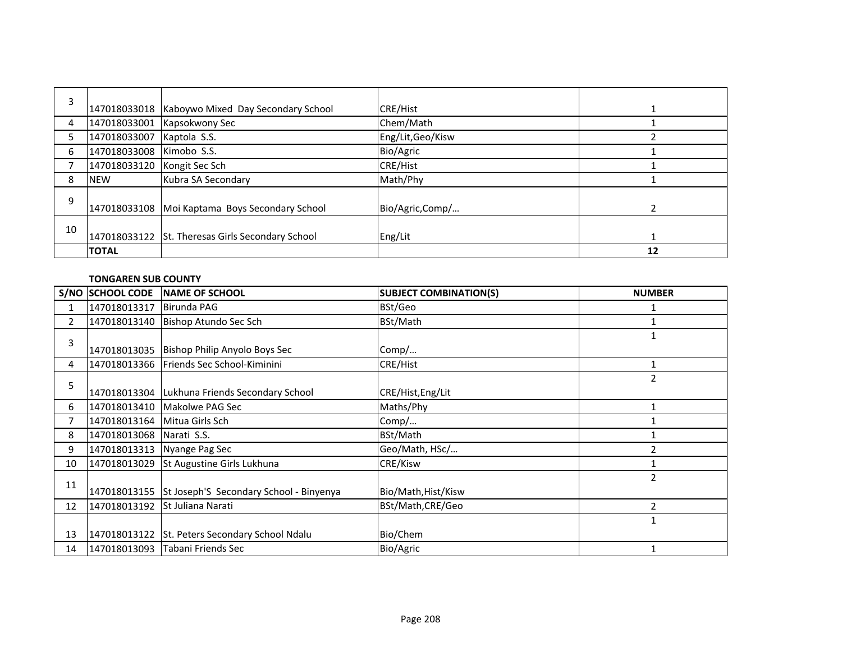| 3  |                             |                                                   |                   |    |
|----|-----------------------------|---------------------------------------------------|-------------------|----|
|    |                             | 147018033018   Kaboywo Mixed Day Secondary School | CRE/Hist          |    |
| 4  | 147018033001                | Kapsokwony Sec                                    | Chem/Math         |    |
| 5  | 147018033007                | Kaptola S.S.                                      | Eng/Lit, Geo/Kisw |    |
| 6  | 147018033008                | Kimobo S.S.                                       | Bio/Agric         |    |
|    | 147018033120 Kongit Sec Sch |                                                   | CRE/Hist          |    |
| 8  | <b>INEW</b>                 | Kubra SA Secondary                                | Math/Phy          |    |
| 9  |                             | 147018033108 Moi Kaptama Boys Secondary School    | Bio/Agric,Comp/   |    |
| 10 |                             | 147018033122 St. Theresas Girls Secondary School  | Eng/Lit           |    |
|    | <b>TOTAL</b>                |                                                   |                   | 12 |

### **TONGAREN SUB COUNTY**

|                | <b>S/NO SCHOOL CODE</b>      | NAME OF SCHOOL                                       | <b>SUBJECT COMBINATION(S)</b> | <b>NUMBER</b>  |
|----------------|------------------------------|------------------------------------------------------|-------------------------------|----------------|
|                | 147018013317                 | Birunda PAG                                          | BSt/Geo                       |                |
| $\overline{2}$ | 147018013140                 | Bishop Atundo Sec Sch                                | BSt/Math                      |                |
| 3              |                              | 147018013035 Bishop Philip Anyolo Boys Sec           | Comp/                         | 1              |
| 4              |                              | 147018013366 Friends Sec School-Kiminini             | <b>CRE/Hist</b>               |                |
| 5              |                              | 147018013304 Lukhuna Friends Secondary School        | CRE/Hist, Eng/Lit             | 2              |
| 6              |                              | 147018013410   Makolwe PAG Sec                       | Maths/Phy                     |                |
| 7              | 147018013164 Mitua Girls Sch |                                                      | Comp/                         |                |
| 8              | 147018013068 Narati S.S.     |                                                      | BSt/Math                      |                |
| 9              |                              | 147018013313   Nyange Pag Sec                        | Geo/Math, HSc/                | 2              |
| 10             | 147018013029                 | St Augustine Girls Lukhuna                           | CRE/Kisw                      |                |
| 11             |                              | 147018013155 St Joseph'S Secondary School - Binyenya | Bio/Math, Hist/Kisw           | $\overline{2}$ |
| 12             |                              | 147018013192 St Juliana Narati                       | BSt/Math,CRE/Geo              | $\overline{2}$ |
|                |                              |                                                      |                               | $\mathbf{1}$   |
| 13             |                              | 147018013122 St. Peters Secondary School Ndalu       | Bio/Chem                      |                |
| 14             |                              | 147018013093 Tabani Friends Sec                      | Bio/Agric                     |                |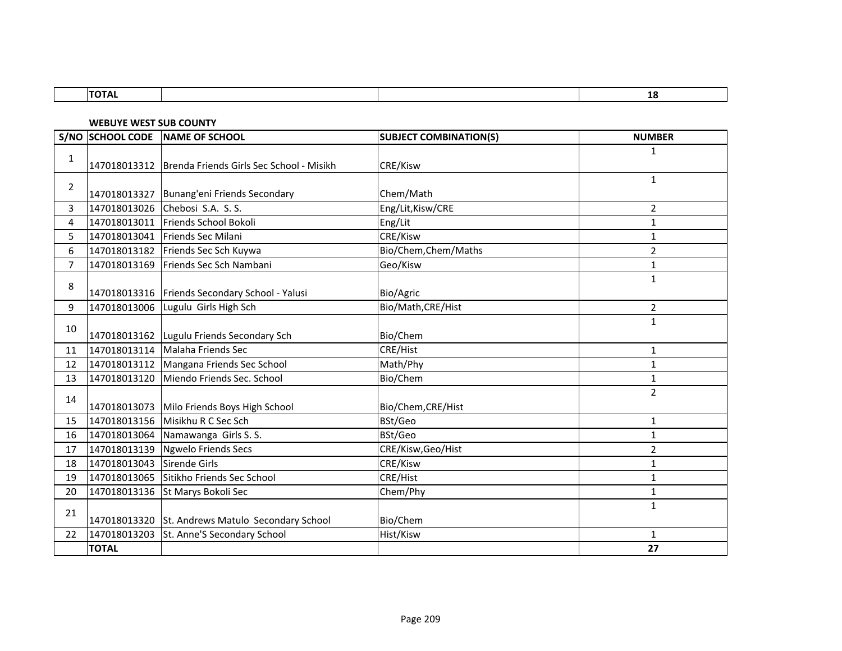| $\blacksquare$<br>. |  | -- |
|---------------------|--|----|

**WEBUYE WEST SUB COUNTY**

|                | S/NO SCHOOL CODE | NAME OF SCHOOL                                          | <b>SUBJECT COMBINATION(S)</b> | <b>NUMBER</b>  |
|----------------|------------------|---------------------------------------------------------|-------------------------------|----------------|
| $\mathbf{1}$   |                  |                                                         |                               | 1              |
|                |                  | 147018013312   Brenda Friends Girls Sec School - Misikh | <b>CRE/Kisw</b>               |                |
| 2              |                  |                                                         |                               | $\mathbf{1}$   |
|                |                  | 147018013327 Bunang'eni Friends Secondary               | Chem/Math                     |                |
| 3              |                  | 147018013026 Chebosi S.A. S.S.                          | Eng/Lit, Kisw/CRE             | 2              |
| 4              |                  | 147018013011 Friends School Bokoli                      | Eng/Lit                       | $\mathbf{1}$   |
| 5              |                  | 147018013041 Friends Sec Milani                         | CRE/Kisw                      | 1              |
| 6              |                  | 147018013182 Friends Sec Sch Kuywa                      | Bio/Chem, Chem/Maths          | $\overline{2}$ |
| $\overline{7}$ | 147018013169     | Friends Sec Sch Nambani                                 | Geo/Kisw                      | 1              |
|                |                  |                                                         |                               | 1              |
| 8              |                  | 147018013316 Friends Secondary School - Yalusi          | Bio/Agric                     |                |
| 9              |                  | 147018013006 Lugulu Girls High Sch                      | Bio/Math, CRE/Hist            | 2              |
|                |                  |                                                         |                               | 1              |
| 10             |                  | 147018013162 Lugulu Friends Secondary Sch               | Bio/Chem                      |                |
| 11             | 147018013114     | Malaha Friends Sec                                      | <b>CRE/Hist</b>               | 1              |
| 12             | 147018013112     | Mangana Friends Sec School                              | Math/Phy                      | 1              |
| 13             | 147018013120     | Miendo Friends Sec. School                              | Bio/Chem                      | 1              |
|                |                  |                                                         |                               | $\overline{2}$ |
| 14             |                  | 147018013073 Milo Friends Boys High School              | Bio/Chem, CRE/Hist            |                |
| 15             | 147018013156     | Misikhu R C Sec Sch                                     | BSt/Geo                       | 1              |
| 16             | 147018013064     | Namawanga Girls S. S.                                   | BSt/Geo                       | 1              |
| 17             | 147018013139     | <b>Ngwelo Friends Secs</b>                              | CRE/Kisw, Geo/Hist            | $\overline{2}$ |
| 18             | 147018013043     | Sirende Girls                                           | CRE/Kisw                      | 1              |
| 19             | 147018013065     | Sitikho Friends Sec School                              | CRE/Hist                      | 1              |
| 20             | 147018013136     | St Marys Bokoli Sec                                     | Chem/Phy                      | 1              |
|                |                  |                                                         |                               | 1              |
| 21             |                  | 147018013320 St. Andrews Matulo Secondary School        | Bio/Chem                      |                |
| 22             | 147018013203     | St. Anne'S Secondary School                             | Hist/Kisw                     | 1              |
|                | <b>TOTAL</b>     |                                                         |                               | 27             |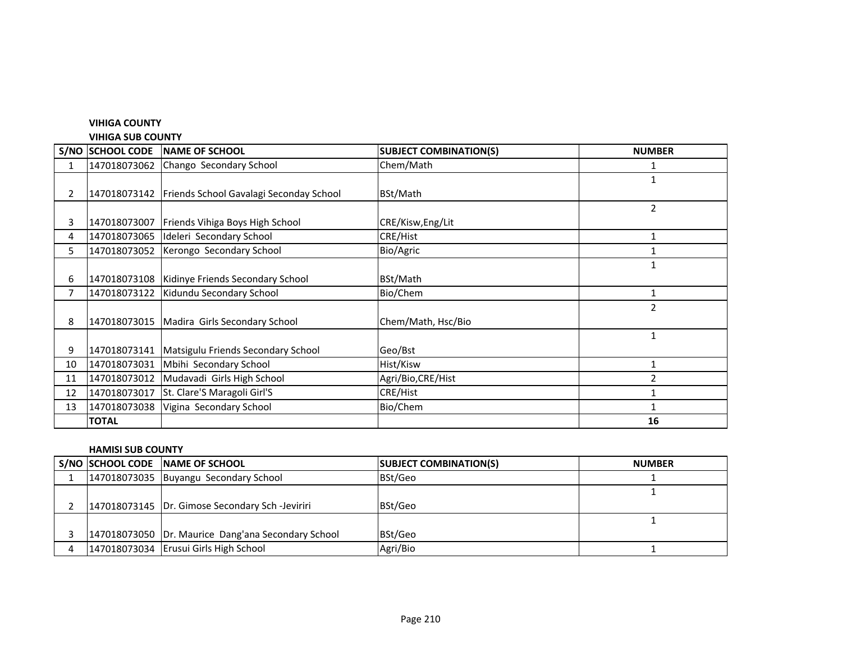## **VIHIGA COUNTY**

#### **VIHIGA SUB COUNTY**

|    | S/NO SCHOOL CODE | <b>INAME OF SCHOOL</b>                                 | <b>SUBJECT COMBINATION(S)</b> | <b>NUMBER</b>  |
|----|------------------|--------------------------------------------------------|-------------------------------|----------------|
|    | 147018073062     | Chango Secondary School                                | Chem/Math                     |                |
|    |                  |                                                        |                               | $\mathbf{1}$   |
| 2  |                  | 147018073142   Friends School Gavalagi Seconday School | BSt/Math                      |                |
|    |                  |                                                        |                               | $\overline{2}$ |
|    | 147018073007     | <b>Friends Vihiga Boys High School</b>                 | CRE/Kisw, Eng/Lit             |                |
| 4  |                  | 147018073065 Ideleri Secondary School                  | CRE/Hist                      | 1              |
| 5. | 147018073052     | Kerongo Secondary School                               | Bio/Agric                     |                |
|    |                  |                                                        |                               | 1              |
| 6  |                  | 147018073108   Kidinye Friends Secondary School        | BSt/Math                      |                |
|    | 147018073122     | Kidundu Secondary School                               | Bio/Chem                      |                |
|    |                  |                                                        |                               | $\overline{2}$ |
| 8  |                  | 147018073015   Madira Girls Secondary School           | Chem/Math, Hsc/Bio            |                |
|    |                  |                                                        |                               | 1              |
| 9  | 147018073141     | Matsigulu Friends Secondary School                     | Geo/Bst                       |                |
| 10 | 147018073031     | Mbihi Secondary School                                 | Hist/Kisw                     | 1              |
| 11 | 147018073012     | Mudavadi Girls High School                             | Agri/Bio, CRE/Hist            | 2              |
| 12 | 147018073017     | St. Clare'S Maragoli Girl'S                            | <b>CRE/Hist</b>               |                |
| 13 | 147018073038     | Vigina Secondary School                                | Bio/Chem                      |                |
|    | <b>TOTAL</b>     |                                                        |                               | 16             |

## **HAMISI SUB COUNTY**

|  | S/NO SCHOOL CODE NAME OF SCHOOL                    | <b>SUBJECT COMBINATION(S)</b> | <b>NUMBER</b> |
|--|----------------------------------------------------|-------------------------------|---------------|
|  | 147018073035 Buyangu Secondary School              | BSt/Geo                       |               |
|  |                                                    |                               |               |
|  | 147018073145   Dr. Gimose Secondary Sch -Jeviriri  | BSt/Geo                       |               |
|  |                                                    |                               |               |
|  | 147018073050 Dr. Maurice Dang'ana Secondary School | BSt/Geo                       |               |
|  | 147018073034 Erusui Girls High School              | Agri/Bio                      |               |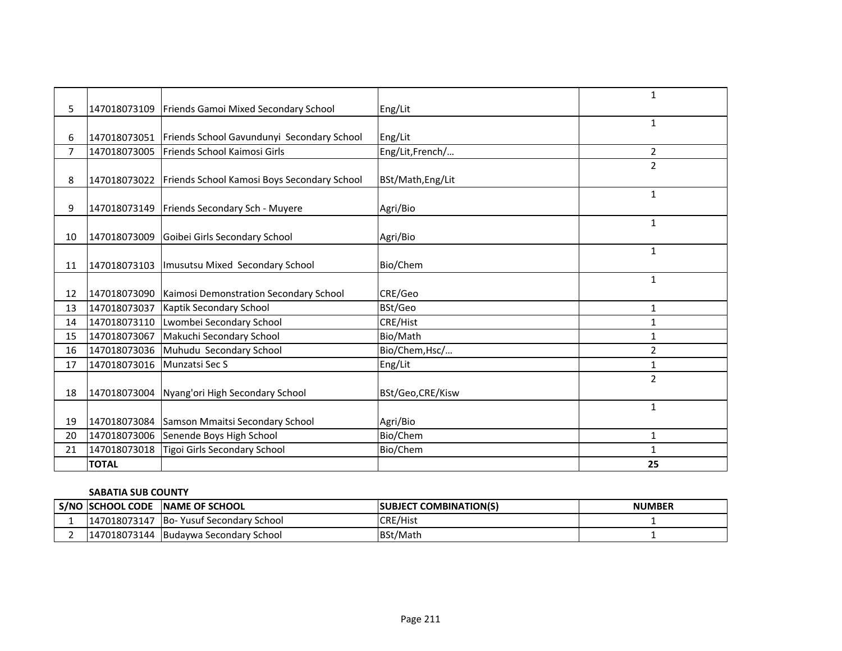| 5              | 147018073109 | Friends Gamoi Mixed Secondary School                    | Eng/Lit           | $\mathbf{1}$   |
|----------------|--------------|---------------------------------------------------------|-------------------|----------------|
|                |              |                                                         |                   | $\mathbf{1}$   |
| 6              |              | 147018073051 Friends School Gavundunyi Secondary School | Eng/Lit           |                |
| $\overline{7}$ |              |                                                         |                   |                |
|                | 147018073005 | Friends School Kaimosi Girls                            | Eng/Lit,French/   | 2              |
| 8              | 147018073022 | Friends School Kamosi Boys Secondary School             | BSt/Math, Eng/Lit | $\overline{2}$ |
|                |              |                                                         |                   | $\mathbf{1}$   |
| 9              |              | 147018073149   Friends Secondary Sch - Muyere           | Agri/Bio          |                |
|                |              |                                                         |                   | $\mathbf{1}$   |
| 10             |              | 147018073009 Goibei Girls Secondary School              | Agri/Bio          |                |
|                |              |                                                         |                   | 1              |
| 11             |              | 147018073103   Imusutsu Mixed Secondary School          | Bio/Chem          |                |
|                |              |                                                         |                   | 1              |
| 12             | 147018073090 | Kaimosi Demonstration Secondary School                  | CRE/Geo           |                |
| 13             | 147018073037 | <b>Kaptik Secondary School</b>                          | BSt/Geo           | 1              |
| 14             | 147018073110 | Lwombei Secondary School                                | <b>CRE/Hist</b>   | 1              |
| 15             | 147018073067 | Makuchi Secondary School                                | Bio/Math          | 1              |
| 16             | 147018073036 | Muhudu Secondary School                                 | Bio/Chem, Hsc/    | $\overline{2}$ |
| 17             | 147018073016 | Munzatsi Sec S                                          | Eng/Lit           | $\mathbf{1}$   |
|                |              |                                                         |                   | $\overline{2}$ |
| 18             | 147018073004 | Nyang'ori High Secondary School                         | BSt/Geo,CRE/Kisw  |                |
|                |              |                                                         |                   | $\mathbf{1}$   |
| 19             |              | 147018073084 Samson Mmaitsi Secondary School            | Agri/Bio          |                |
| 20             | 147018073006 | Senende Boys High School                                | Bio/Chem          | 1              |
| 21             | 147018073018 | Tigoi Girls Secondary School                            | Bio/Chem          | $\mathbf{1}$   |
|                | <b>TOTAL</b> |                                                         |                   | 25             |

## **SABATIA SUB COUNTY**

| <b>S/NO SCHOOL CODE</b> | <b>INAME OF SCHOOL</b>    | <b>COMBINATION(S)</b><br><b>ISUBJECT</b> | <b>NUMBER</b> |
|-------------------------|---------------------------|------------------------------------------|---------------|
| 147018073147            | Bo-Yusuf Secondary School | <b>CRE/Hist</b>                          |               |
| 147018073144            | Budaywa Secondary School  | <b>BSt/Math</b>                          |               |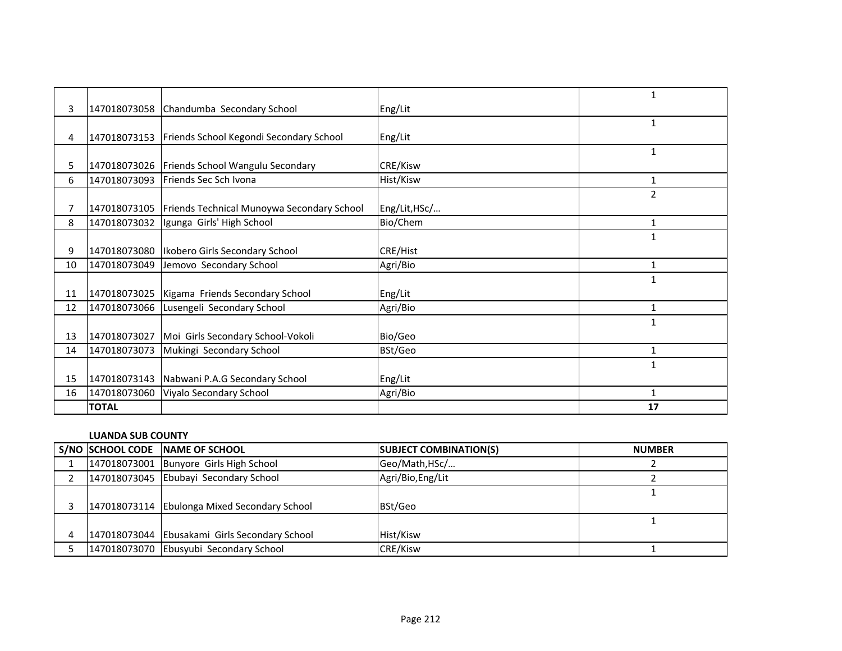|    |              |                                                 |               | 1              |
|----|--------------|-------------------------------------------------|---------------|----------------|
| 3  | 147018073058 | Chandumba Secondary School                      | Eng/Lit       |                |
|    |              |                                                 |               | $\mathbf{1}$   |
| 4  | 147018073153 | Friends School Kegondi Secondary School         | Eng/Lit       |                |
|    |              |                                                 |               | $\mathbf{1}$   |
| 5. |              | 147018073026   Friends School Wangulu Secondary | CRE/Kisw      |                |
| 6  | 147018073093 | Friends Sec Sch Ivona                           | Hist/Kisw     | 1              |
|    |              |                                                 |               | $\overline{2}$ |
|    | 147018073105 | Friends Technical Munoywa Secondary School      | Eng/Lit, HSc/ |                |
| 8  | 147018073032 | Igunga Girls' High School                       | Bio/Chem      | 1              |
|    |              |                                                 |               | $\mathbf{1}$   |
| 9  |              | 147018073080   Ikobero Girls Secondary School   | CRE/Hist      |                |
| 10 | 147018073049 | Jemovo Secondary School                         | Agri/Bio      | 1              |
|    |              |                                                 |               | $\mathbf{1}$   |
| 11 |              | 147018073025   Kigama Friends Secondary School  | Eng/Lit       |                |
| 12 | 147018073066 | Lusengeli Secondary School                      | Agri/Bio      | 1              |
|    |              |                                                 |               | $\mathbf{1}$   |
| 13 | 147018073027 | Moi Girls Secondary School-Vokoli               | Bio/Geo       |                |
| 14 | 147018073073 | Mukingi Secondary School                        | BSt/Geo       | 1              |
|    |              |                                                 |               | $\mathbf{1}$   |
| 15 | 147018073143 | Nabwani P.A.G Secondary School                  | Eng/Lit       |                |
| 16 | 147018073060 | Viyalo Secondary School                         | Agri/Bio      | 1              |
|    | <b>TOTAL</b> |                                                 |               | 17             |

#### **LUANDA SUB COUNTY**

|  | S/NO SCHOOL CODE NAME OF SCHOOL               | <b>SUBJECT COMBINATION(S)</b> | <b>NUMBER</b> |
|--|-----------------------------------------------|-------------------------------|---------------|
|  | 147018073001 Bunyore Girls High School        | Geo/Math, HSc/                |               |
|  | 147018073045 Ebubayi Secondary School         | Agri/Bio, Eng/Lit             |               |
|  |                                               |                               |               |
|  | 147018073114 Ebulonga Mixed Secondary School  | BSt/Geo                       |               |
|  |                                               |                               |               |
|  | 147018073044 Ebusakami Girls Secondary School | Hist/Kisw                     |               |
|  | 147018073070 Ebusyubi Secondary School        | <b>CRE/Kisw</b>               |               |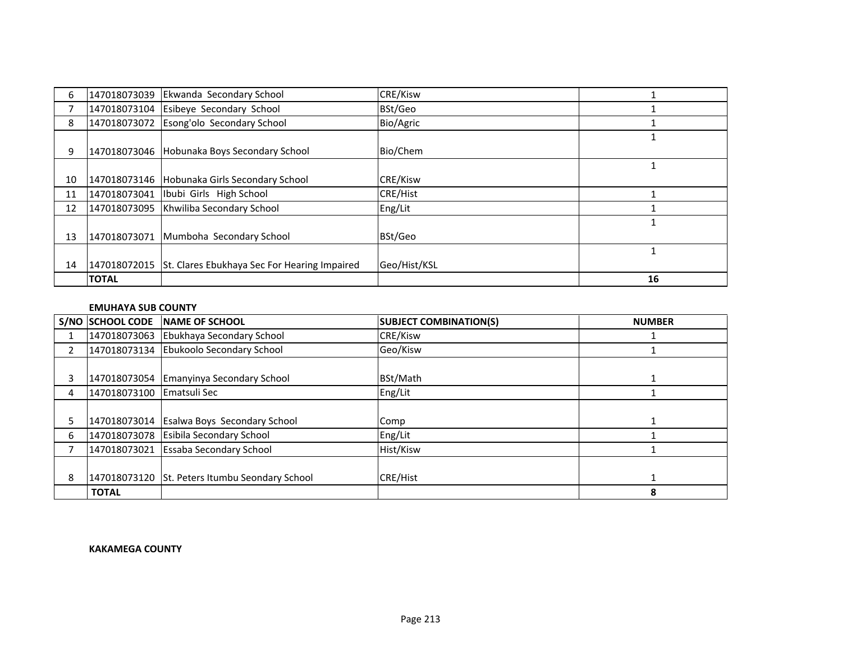|    | <b>TOTAL</b> |                                                           |                 | 16 |
|----|--------------|-----------------------------------------------------------|-----------------|----|
| 14 |              | 147018072015 St. Clares Ebukhaya Sec For Hearing Impaired | Geo/Hist/KSL    |    |
|    |              |                                                           |                 |    |
| 13 | 147018073071 | Mumboha Secondary School                                  | BSt/Geo         |    |
| 12 |              | 147018073095 Khwiliba Secondary School                    | Eng/Lit         |    |
| 11 |              | 147018073041   Ibubi Girls High School                    | <b>CRE/Hist</b> |    |
| 10 |              | 147018073146   Hobunaka Girls Secondary School            | <b>CRE/Kisw</b> |    |
|    |              |                                                           |                 |    |
| 9  |              | 147018073046 Hobunaka Boys Secondary School               | Bio/Chem        |    |
|    |              |                                                           |                 |    |
| 8  |              | 147018073072 Esong'olo Secondary School                   | Bio/Agric       |    |
|    |              | 147018073104 Esibeye Secondary School                     | BSt/Geo         |    |
| 6  |              | 147018073039 Ekwanda Secondary School                     | <b>CRE/Kisw</b> |    |

#### **EMUHAYA SUB COUNTY**

|    | S/NO SCHOOL CODE          | <b>INAME OF SCHOOL</b>                         | <b>SUBJECT COMBINATION(S)</b> | <b>NUMBER</b> |
|----|---------------------------|------------------------------------------------|-------------------------------|---------------|
|    |                           | 147018073063 Ebukhaya Secondary School         | CRE/Kisw                      |               |
| 2  |                           | 147018073134 Ebukoolo Secondary School         | Geo/Kisw                      |               |
|    |                           |                                                |                               |               |
|    |                           | 147018073054 Emanyinya Secondary School        | BSt/Math                      |               |
| 4  | 147018073100 Ematsuli Sec |                                                | Eng/Lit                       |               |
|    |                           |                                                |                               |               |
| 5. |                           | 147018073014 Esalwa Boys Secondary School      | Comp                          |               |
| 6  |                           | 147018073078 Esibila Secondary School          | Eng/Lit                       |               |
|    |                           | 147018073021 Essaba Secondary School           | Hist/Kisw                     |               |
|    |                           |                                                |                               |               |
| 8  |                           | 147018073120 St. Peters Itumbu Seondary School | <b>CRE/Hist</b>               |               |
|    | <b>TOTAL</b>              |                                                |                               | 8             |

#### **KAKAMEGA COUNTY**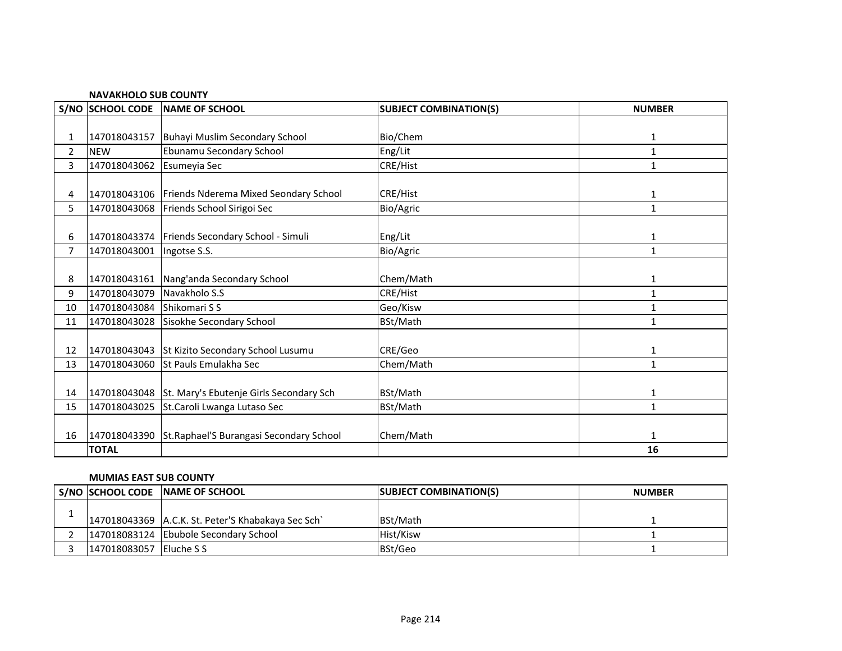|                | S/NO SCHOOL CODE | NAME OF SCHOOL                                     | <b>SUBJECT COMBINATION(S)</b> | <b>NUMBER</b> |  |  |
|----------------|------------------|----------------------------------------------------|-------------------------------|---------------|--|--|
|                |                  |                                                    |                               |               |  |  |
| 1              | 147018043157     | Buhayi Muslim Secondary School                     | Bio/Chem                      | 1             |  |  |
| $\overline{2}$ | <b>NEW</b>       | Ebunamu Secondary School                           | Eng/Lit                       | $\mathbf{1}$  |  |  |
| 3              | 147018043062     | Esumeyia Sec                                       | CRE/Hist                      | 1             |  |  |
|                |                  |                                                    |                               |               |  |  |
| 4              |                  | 147018043106 Friends Nderema Mixed Seondary School | <b>CRE/Hist</b>               | 1             |  |  |
| 5              | 147018043068     | Friends School Sirigoi Sec                         | Bio/Agric                     | $\mathbf{1}$  |  |  |
|                |                  |                                                    |                               |               |  |  |
| 6              |                  | 147018043374   Friends Secondary School - Simuli   | Eng/Lit                       | 1             |  |  |
| 7              | 147018043001     | Ingotse S.S.                                       | Bio/Agric                     | $\mathbf{1}$  |  |  |
|                |                  |                                                    |                               |               |  |  |
| 8              | 147018043161     | Nang'anda Secondary School                         | Chem/Math                     | 1             |  |  |
| 9              | 147018043079     | Navakholo S.S                                      | CRE/Hist                      | 1             |  |  |
| 10             | 147018043084     | Shikomari S S                                      | Geo/Kisw                      | 1             |  |  |
| 11             | 147018043028     | Sisokhe Secondary School                           | BSt/Math                      | $\mathbf{1}$  |  |  |
|                |                  |                                                    |                               |               |  |  |
| 12             |                  | 147018043043 St Kizito Secondary School Lusumu     | CRE/Geo                       | 1             |  |  |
| 13             | 147018043060     | St Pauls Emulakha Sec                              | Chem/Math                     | $\mathbf{1}$  |  |  |
|                |                  |                                                    |                               |               |  |  |
| 14             | 147018043048     | St. Mary's Ebutenje Girls Secondary Sch            | BSt/Math                      | 1             |  |  |
| 15             | 147018043025     | St.Caroli Lwanga Lutaso Sec                        | BSt/Math                      | 1             |  |  |
|                |                  |                                                    |                               |               |  |  |
| 16             | 147018043390     | St.Raphael'S Burangasi Secondary School            | Chem/Math                     | 1             |  |  |
|                | <b>TOTAL</b>     |                                                    |                               | 16            |  |  |

#### **NAVAKHOLO SUB COUNTY**

#### **MUMIAS EAST SUB COUNTY**

|                         | S/NO SCHOOL CODE NAME OF SCHOOL                      | <b>SUBJECT COMBINATION(S)</b> | <b>NUMBER</b> |
|-------------------------|------------------------------------------------------|-------------------------------|---------------|
|                         |                                                      |                               |               |
|                         | 147018043369   A.C.K. St. Peter'S Khabakaya Sec Sch` | <b>IBSt/Math</b>              |               |
|                         | 147018083124 Ebubole Secondary School                | Hist/Kisw                     |               |
| 147018083057 Eluche S S |                                                      | BSt/Geo                       |               |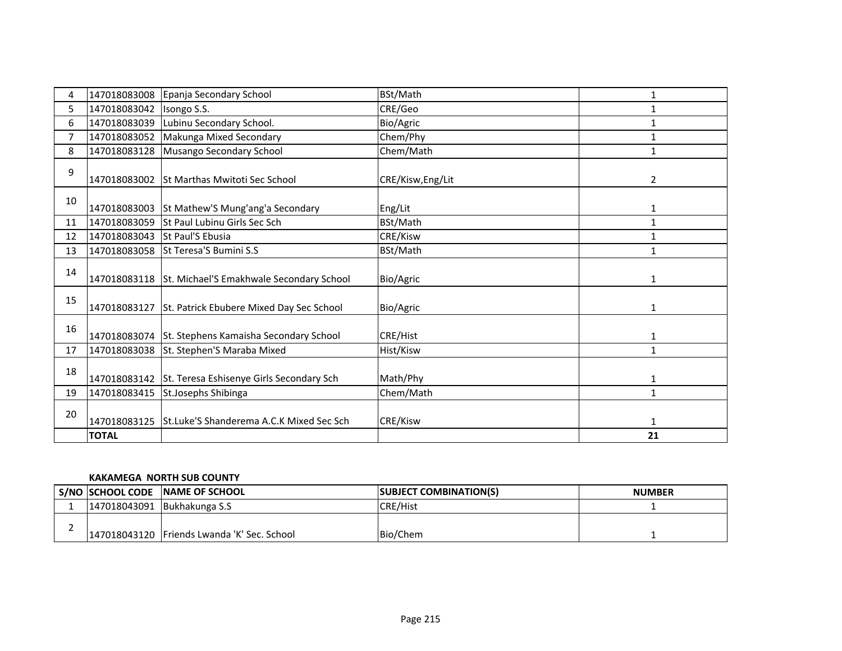| 4              | 147018083008 | Epanja Secondary School                               | BSt/Math          | 1            |
|----------------|--------------|-------------------------------------------------------|-------------------|--------------|
| 5              | 147018083042 | Isongo S.S.                                           | CRE/Geo           | 1            |
| 6              | 147018083039 | Lubinu Secondary School.                              | Bio/Agric         | 1            |
| $\overline{7}$ | 147018083052 | Makunga Mixed Secondary                               | Chem/Phy          | $\mathbf{1}$ |
| 8              | 147018083128 | Musango Secondary School                              | Chem/Math         | $\mathbf{1}$ |
| 9              |              | 147018083002 St Marthas Mwitoti Sec School            | CRE/Kisw, Eng/Lit | 2            |
| 10             |              | 147018083003 St Mathew'S Mung'ang'a Secondary         | Eng/Lit           | 1            |
| 11             | 147018083059 | St Paul Lubinu Girls Sec Sch                          | BSt/Math          | $\mathbf{1}$ |
| 12             | 147018083043 | St Paul'S Ebusia                                      | CRE/Kisw          | 1            |
| 13             | 147018083058 | <b>St Teresa'S Bumini S.S</b>                         | BSt/Math          | 1            |
| 14             |              | 147018083118 St. Michael'S Emakhwale Secondary School | Bio/Agric         | 1            |
| 15             |              | 147018083127 St. Patrick Ebubere Mixed Day Sec School | Bio/Agric         | $\mathbf{1}$ |
| 16             |              | 147018083074 St. Stephens Kamaisha Secondary School   | CRE/Hist          | 1            |
| 17             |              | 147018083038 St. Stephen'S Maraba Mixed               | Hist/Kisw         | $\mathbf{1}$ |
| 18             |              | 147018083142 St. Teresa Eshisenye Girls Secondary Sch | Math/Phy          | 1            |
| 19             | 147018083415 | St.Josephs Shibinga                                   | Chem/Math         | $\mathbf{1}$ |
| 20             |              | 147018083125 St.Luke'S Shanderema A.C.K Mixed Sec Sch | CRE/Kisw          | 1            |
|                | <b>TOTAL</b> |                                                       |                   | 21           |

### **KAKAMEGA NORTH SUB COUNTY**

|                             | I S/NO ISCHOOL CODE INAME OF SCHOOL         | <b>ISUBJECT COMBINATION(S)</b> | <b>NUMBER</b> |
|-----------------------------|---------------------------------------------|--------------------------------|---------------|
| 147018043091 Bukhakunga S.S |                                             | <b>CRE/Hist</b>                |               |
|                             | 147018043120 Friends Lwanda 'K' Sec. School | Bio/Chem                       |               |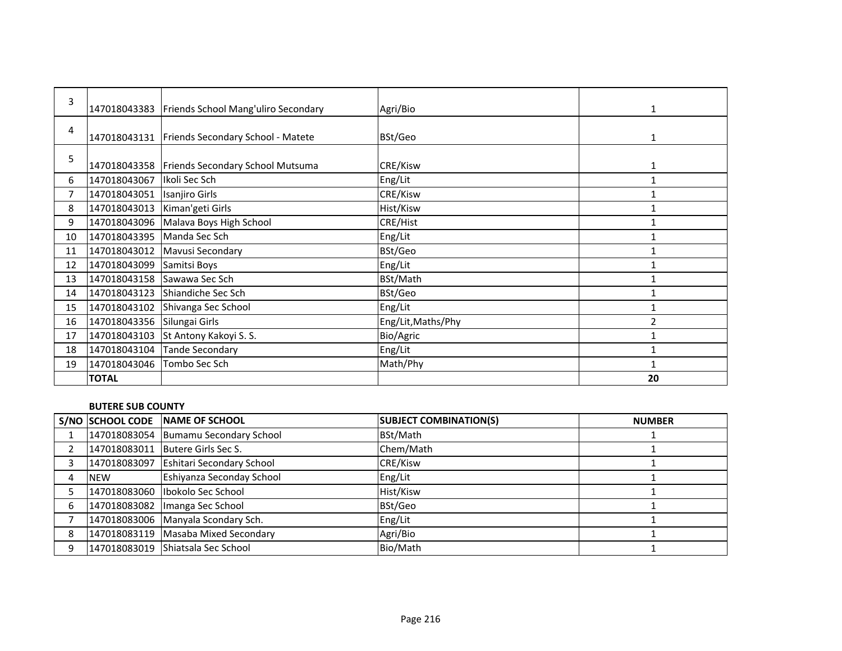| 3  |                            | 147018043383   Friends School Mang'uliro Secondary | Agri/Bio           | 1              |
|----|----------------------------|----------------------------------------------------|--------------------|----------------|
| 4  |                            | 147018043131   Friends Secondary School - Matete   | BSt/Geo            | $\mathbf{1}$   |
| 5  |                            | 147018043358   Friends Secondary School Mutsuma    | CRE/Kisw           | 1              |
| 6  | 147018043067               | Ikoli Sec Sch                                      | Eng/Lit            |                |
|    | 147018043051               | Isanjiro Girls                                     | CRE/Kisw           |                |
| 8  | 147018043013               | Kiman'geti Girls                                   | Hist/Kisw          |                |
| 9  | 147018043096               | Malava Boys High School                            | CRE/Hist           | $\mathbf{1}$   |
| 10 | 147018043395 Manda Sec Sch |                                                    | Eng/Lit            |                |
| 11 | 147018043012               | Mavusi Secondary                                   | BSt/Geo            | $\mathbf{1}$   |
| 12 | 147018043099               | Samitsi Boys                                       | Eng/Lit            |                |
| 13 | 147018043158               | Sawawa Sec Sch                                     | BSt/Math           | $\mathbf{1}$   |
| 14 | 147018043123               | Shiandiche Sec Sch                                 | BSt/Geo            | $\mathbf{1}$   |
| 15 | 147018043102               | Shivanga Sec School                                | Eng/Lit            |                |
| 16 | 147018043356               | Silungai Girls                                     | Eng/Lit, Maths/Phy | $\overline{2}$ |
| 17 | 147018043103               | St Antony Kakoyi S. S.                             | Bio/Agric          | $\mathbf{1}$   |
| 18 | 147018043104               | Tande Secondary                                    | Eng/Lit            | $\mathbf{1}$   |
| 19 | 147018043046               | Tombo Sec Sch                                      | Math/Phy           |                |
|    | <b>TOTAL</b>               |                                                    |                    | 20             |

## **BUTERE SUB COUNTY**

|   |              | S/NO SCHOOL CODE NAME OF SCHOOL        | <b>SUBJECT COMBINATION(S)</b> | <b>NUMBER</b> |
|---|--------------|----------------------------------------|-------------------------------|---------------|
|   |              | 147018083054 Bumamu Secondary School   | BSt/Math                      |               |
|   | 147018083011 | Butere Girls Sec S.                    | Chem/Math                     |               |
|   |              | 147018083097 Eshitari Secondary School | CRE/Kisw                      |               |
|   | <b>NEW</b>   | Eshiyanza Seconday School              | Eng/Lit                       |               |
|   |              | 147018083060   Ibokolo Sec School      | Hist/Kisw                     |               |
| 6 |              | 147018083082   Imanga Sec School       | BSt/Geo                       |               |
|   |              | 147018083006 Manyala Scondary Sch.     | Eng/Lit                       |               |
|   |              | 147018083119 Masaba Mixed Secondary    | Agri/Bio                      |               |
|   |              | 147018083019 Shiatsala Sec School      | Bio/Math                      |               |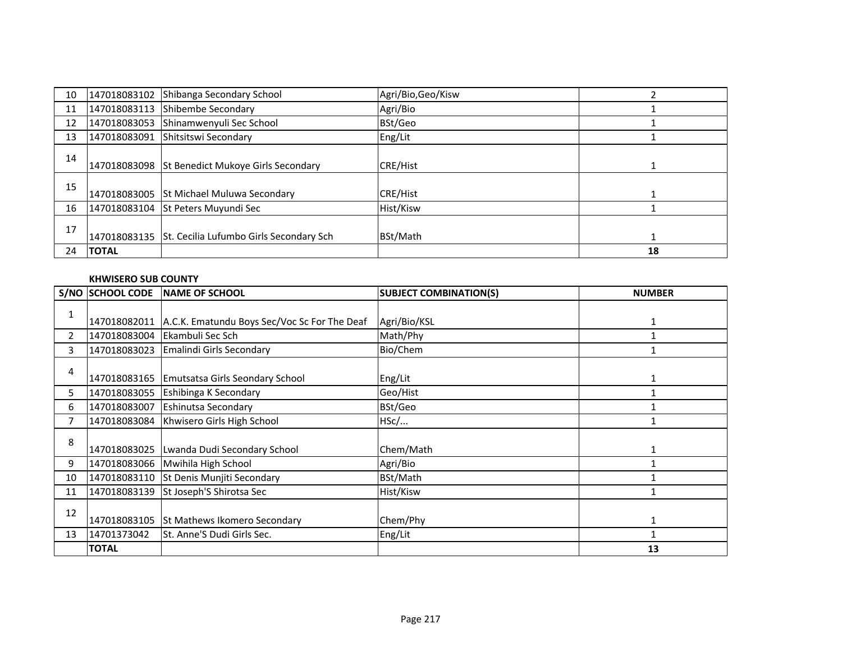| 10 | 147018083102 | Shibanga Secondary School                            | Agri/Bio, Geo/Kisw |    |
|----|--------------|------------------------------------------------------|--------------------|----|
| 11 | 147018083113 | Shibembe Secondary                                   | Agri/Bio           |    |
| 12 | 147018083053 | Shinamwenyuli Sec School                             | BSt/Geo            |    |
| 13 | 147018083091 | Shitsitswi Secondary                                 | Eng/Lit            |    |
| 14 |              | 147018083098 St Benedict Mukoye Girls Secondary      | <b>CRE/Hist</b>    |    |
| 15 |              | 147018083005 St Michael Muluwa Secondary             | <b>CRE/Hist</b>    |    |
| 16 |              | 147018083104 St Peters Muyundi Sec                   | Hist/Kisw          |    |
| 17 |              | 147018083135 St. Cecilia Lufumbo Girls Secondary Sch | BSt/Math           |    |
| 24 | <b>TOTAL</b> |                                                      |                    | 18 |

#### **KHWISERO SUB COUNTY**

|                       | S/NO SCHOOL CODE | <b>INAME OF SCHOOL</b>                       | <b>SUBJECT COMBINATION(S)</b> | <b>NUMBER</b> |
|-----------------------|------------------|----------------------------------------------|-------------------------------|---------------|
|                       |                  |                                              |                               |               |
| T.                    | 147018082011     | A.C.K. Ematundu Boys Sec/Voc Sc For The Deaf | Agri/Bio/KSL                  |               |
| $\mathbf{2}^{\prime}$ | 147018083004     | Ekambuli Sec Sch                             | Math/Phy                      |               |
| 3                     | 147018083023     | Emalindi Girls Secondary                     | Bio/Chem                      |               |
|                       |                  |                                              |                               |               |
| 4                     |                  | 147018083165 Emutsatsa Girls Seondary School | Eng/Lit                       |               |
| 5.                    | 147018083055     | <b>Eshibinga K Secondary</b>                 | Geo/Hist                      |               |
| 6                     | 147018083007     | <b>Eshinutsa Secondary</b>                   | BSt/Geo                       |               |
|                       | 147018083084     | Khwisero Girls High School                   | HSc/                          |               |
|                       |                  |                                              |                               |               |
| 8                     | 147018083025     | Lwanda Dudi Secondary School                 | Chem/Math                     |               |
| 9                     |                  | 147018083066 Mwihila High School             | Agri/Bio                      |               |
| 10                    | 147018083110     | St Denis Munjiti Secondary                   | BSt/Math                      |               |
| 11                    | 147018083139     | St Joseph'S Shirotsa Sec                     | Hist/Kisw                     |               |
|                       |                  |                                              |                               |               |
| 12                    | 147018083105     | St Mathews Ikomero Secondary                 | Chem/Phy                      | 1             |
| 13                    | 14701373042      | St. Anne'S Dudi Girls Sec.                   | Eng/Lit                       |               |
|                       | <b>TOTAL</b>     |                                              |                               | 13            |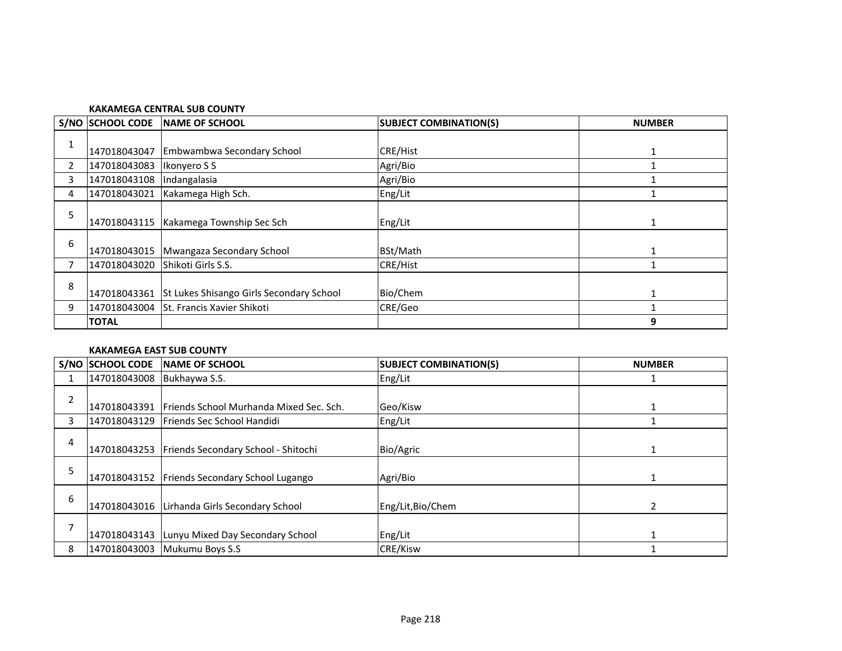#### **KAKAMEGA CENTRAL SUB COUNTY**

|   | S/NO SCHOOL CODE | <b>INAME OF SCHOOL</b>                   | <b>SUBJECT COMBINATION(S)</b> | <b>NUMBER</b> |
|---|------------------|------------------------------------------|-------------------------------|---------------|
| 1 | 147018043047     | Embwambwa Secondary School               | <b>CRE/Hist</b>               |               |
| 2 | 147018043083     | Ikonyero S S                             | Agri/Bio                      |               |
| 3 | 147018043108     | Indangalasia                             | Agri/Bio                      |               |
| 4 | 147018043021     | Kakamega High Sch.                       | Eng/Lit                       |               |
| 5 | 147018043115     | Kakamega Township Sec Sch                | Eng/Lit                       |               |
| 6 | 147018043015     | Mwangaza Secondary School                | BSt/Math                      |               |
| 7 | 147018043020     | <b>Shikoti Girls S.S.</b>                | <b>CRE/Hist</b>               |               |
| 8 | 147018043361     | St Lukes Shisango Girls Secondary School | Bio/Chem                      |               |
| 9 | 147018043004     | St. Francis Xavier Shikoti               | CRE/Geo                       |               |
|   | <b>TOTAL</b>     |                                          |                               | 9             |

## **KAKAMEGA EAST SUB COUNTY**

|                | <b>S/NO SCHOOL CODE</b> | <b>NAME OF SCHOOL</b>                          | <b>SUBJECT COMBINATION(S)</b> | <b>NUMBER</b> |
|----------------|-------------------------|------------------------------------------------|-------------------------------|---------------|
|                | 147018043008            | Bukhaywa S.S.                                  | Eng/Lit                       |               |
| $\overline{2}$ | 147018043391            | Friends School Murhanda Mixed Sec. Sch.        | Geo/Kisw                      |               |
| 3              | 147018043129            | Friends Sec School Handidi                     | Eng/Lit                       |               |
| 4              | 147018043253            | Friends Secondary School - Shitochi            | Bio/Agric                     |               |
|                | 147018043152            | Friends Secondary School Lugango               | Agri/Bio                      |               |
| 6              |                         | 147018043016   Lirhanda Girls Secondary School | Eng/Lit, Bio/Chem             | 2             |
|                | 147018043143            | Lunyu Mixed Day Secondary School               | Eng/Lit                       |               |
| 8              | 147018043003            | Mukumu Boys S.S                                | <b>CRE/Kisw</b>               |               |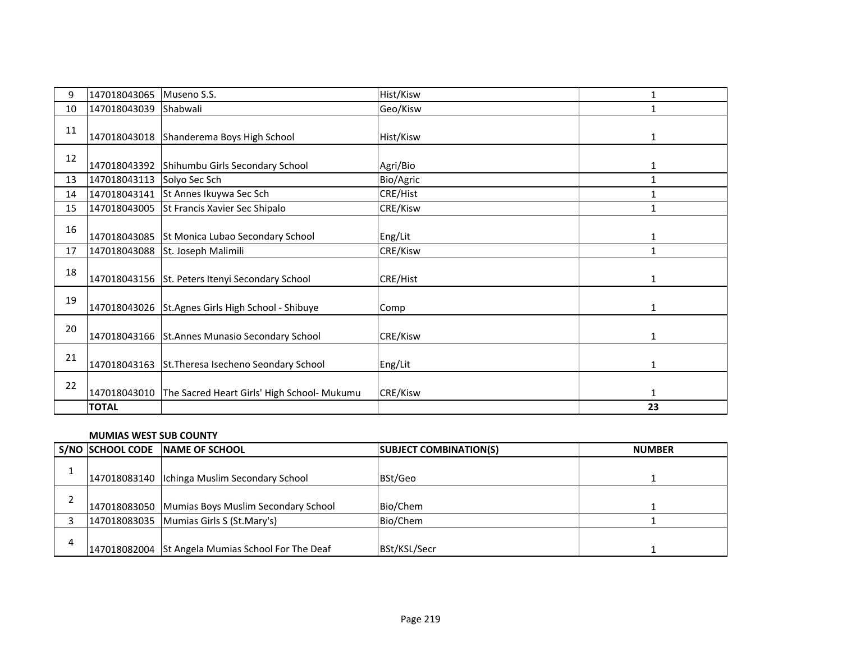| 9  | 147018043065 | Museno S.S.                                     | Hist/Kisw | 1            |
|----|--------------|-------------------------------------------------|-----------|--------------|
| 10 | 147018043039 | Shabwali                                        | Geo/Kisw  | 1            |
| 11 | 147018043018 | Shanderema Boys High School                     | Hist/Kisw | 1            |
| 12 | 147018043392 | Shihumbu Girls Secondary School                 | Agri/Bio  | 1            |
| 13 | 147018043113 | Solyo Sec Sch                                   | Bio/Agric | $\mathbf{1}$ |
| 14 | 147018043141 | St Annes Ikuywa Sec Sch                         | CRE/Hist  |              |
| 15 | 147018043005 | St Francis Xavier Sec Shipalo                   | CRE/Kisw  | $\mathbf{1}$ |
| 16 | 147018043085 | St Monica Lubao Secondary School                | Eng/Lit   | $\mathbf{1}$ |
| 17 | 147018043088 | St. Joseph Malimili                             | CRE/Kisw  | $\mathbf{1}$ |
| 18 |              | 147018043156 St. Peters Itenyi Secondary School | CRE/Hist  | $\mathbf{1}$ |
| 19 | 147018043026 | St.Agnes Girls High School - Shibuye            | Comp      | $\mathbf{1}$ |
| 20 |              | 147018043166 St.Annes Munasio Secondary School  | CRE/Kisw  | 1            |
| 21 | 147018043163 | St. Theresa Isecheno Seondary School            | Eng/Lit   | 1            |
| 22 | 147018043010 | The Sacred Heart Girls' High School- Mukumu     | CRE/Kisw  | $\mathbf{1}$ |
|    | <b>TOTAL</b> |                                                 |           | 23           |

#### **MUMIAS WEST SUB COUNTY**

|   | S/NO SCHOOL CODE NAME OF SCHOOL                   | <b>SUBJECT COMBINATION(S)</b> | <b>NUMBER</b> |
|---|---------------------------------------------------|-------------------------------|---------------|
|   | 147018083140   Ichinga Muslim Secondary School    | BSt/Geo                       |               |
|   | 147018083050 Mumias Boys Muslim Secondary School  | Bio/Chem                      |               |
|   | 147018083035 Mumias Girls S (St.Mary's)           | Bio/Chem                      |               |
| 4 | 147018082004 St Angela Mumias School For The Deaf | BSt/KSL/Secr                  |               |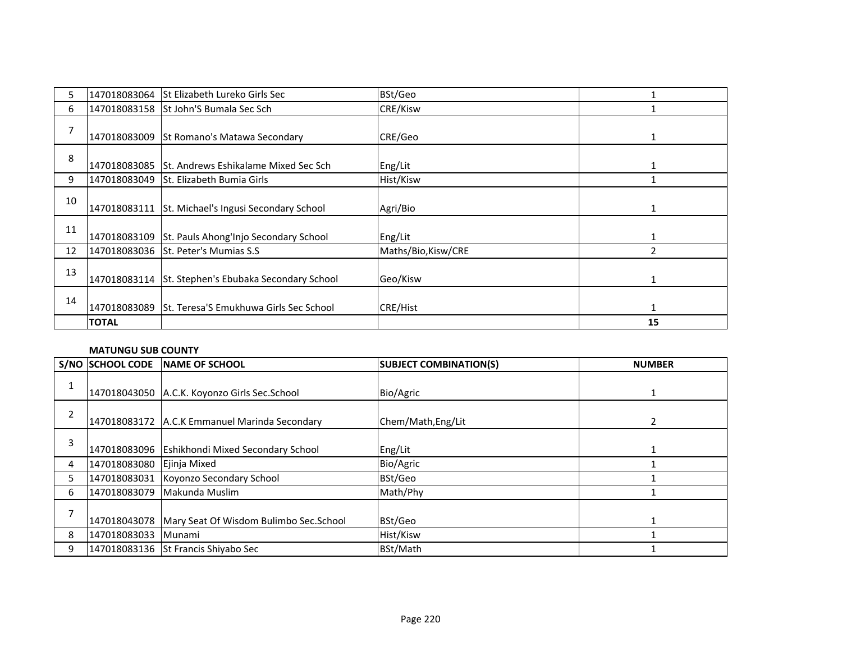| 5. |              | 147018083064 St Elizabeth Lureko Girls Sec          | BSt/Geo             |               |
|----|--------------|-----------------------------------------------------|---------------------|---------------|
| 6  |              | 147018083158 St John'S Bumala Sec Sch               | <b>CRE/Kisw</b>     |               |
| 7  |              | 147018083009 St Romano's Matawa Secondary           | CRE/Geo             |               |
| 8  | 147018083085 | St. Andrews Eshikalame Mixed Sec Sch                | Eng/Lit             |               |
| 9  | 147018083049 | <b>St. Elizabeth Bumia Girls</b>                    | Hist/Kisw           |               |
| 10 | 147018083111 | St. Michael's Ingusi Secondary School               | Agri/Bio            | 1             |
| 11 |              | 147018083109 St. Pauls Ahong'Injo Secondary School  | Eng/Lit             |               |
| 12 |              | 147018083036 St. Peter's Mumias S.S                 | Maths/Bio, Kisw/CRE | $\mathfrak z$ |
| 13 |              | 147018083114 St. Stephen's Ebubaka Secondary School | Geo/Kisw            |               |
| 14 |              | 147018083089 St. Teresa'S Emukhuwa Girls Sec School | <b>CRE/Hist</b>     | $\mathbf{1}$  |
|    | <b>TOTAL</b> |                                                     |                     | 15            |

#### **MATUNGU SUB COUNTY**

|   | S/NO SCHOOL CODE | <b>INAME OF SCHOOL</b>                                 | <b>SUBJECT COMBINATION(S)</b> | <b>NUMBER</b> |
|---|------------------|--------------------------------------------------------|-------------------------------|---------------|
|   |                  | 147018043050 A.C.K. Koyonzo Girls Sec.School           | Bio/Agric                     |               |
| 2 |                  | 147018083172 A.C.K Emmanuel Marinda Secondary          | Chem/Math, Eng/Lit            |               |
| 3 |                  | 147018083096 Eshikhondi Mixed Secondary School         | Eng/Lit                       |               |
| 4 | 147018083080     | Ejinja Mixed                                           | Bio/Agric                     |               |
| 5 |                  | 147018083031 Koyonzo Secondary School                  | BSt/Geo                       |               |
| 6 | 147018083079     | Makunda Muslim                                         | Math/Phy                      |               |
|   |                  | 147018043078   Mary Seat Of Wisdom Bulimbo Sec. School | BSt/Geo                       |               |
| 8 | 147018083033     | Munami                                                 | Hist/Kisw                     |               |
| 9 |                  | 147018083136 St Francis Shiyabo Sec                    | BSt/Math                      |               |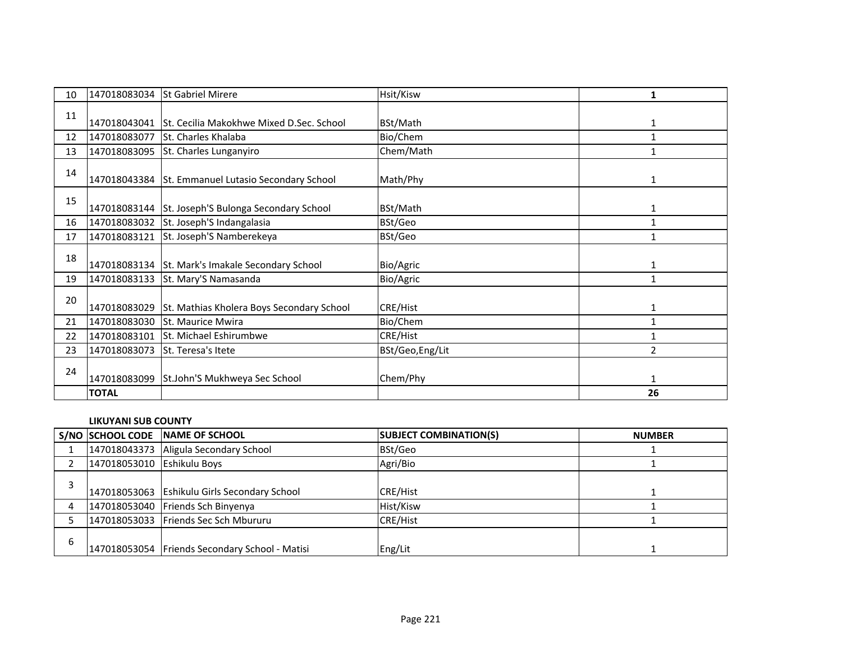| 10 | 147018083034 | <b>St Gabriel Mirere</b>                  | Hsit/Kisw        | 1            |
|----|--------------|-------------------------------------------|------------------|--------------|
| 11 | 147018043041 | St. Cecilia Makokhwe Mixed D.Sec. School  | BSt/Math         | 1            |
| 12 | 147018083077 | St. Charles Khalaba                       | Bio/Chem         | $\mathbf{1}$ |
| 13 | 147018083095 | St. Charles Lunganyiro                    | Chem/Math        |              |
| 14 | 147018043384 | St. Emmanuel Lutasio Secondary School     | Math/Phy         | 1            |
| 15 | 147018083144 | St. Joseph'S Bulonga Secondary School     | BSt/Math         | 1            |
| 16 | 147018083032 | St. Joseph'S Indangalasia                 | BSt/Geo          | $\mathbf{1}$ |
| 17 | 147018083121 | St. Joseph'S Namberekeya                  | BSt/Geo          |              |
| 18 | 147018083134 | St. Mark's Imakale Secondary School       | Bio/Agric        | 1            |
| 19 | 147018083133 | St. Mary'S Namasanda                      | Bio/Agric        | $\mathbf{1}$ |
| 20 | 147018083029 | St. Mathias Kholera Boys Secondary School | <b>CRE/Hist</b>  | 1            |
| 21 | 147018083030 | <b>St. Maurice Mwira</b>                  | Bio/Chem         | $\mathbf{1}$ |
| 22 | 147018083101 | St. Michael Eshirumbwe                    | <b>CRE/Hist</b>  |              |
| 23 | 147018083073 | St. Teresa's Itete                        | BSt/Geo, Eng/Lit | 2            |
| 24 | 147018083099 | St.John'S Mukhweya Sec School             | Chem/Phy         | 1            |
|    | <b>TOTAL</b> |                                           |                  | 26           |

# **LIKUYANI SUB COUNTY**

|   |                            | S/NO SCHOOL CODE NAME OF SCHOOL                  | <b>SUBJECT COMBINATION(S)</b> | <b>NUMBER</b> |
|---|----------------------------|--------------------------------------------------|-------------------------------|---------------|
|   |                            | 147018043373 Aligula Secondary School            | BSt/Geo                       |               |
|   | 147018053010 Eshikulu Boys |                                                  | Agri/Bio                      |               |
|   |                            | 147018053063 Eshikulu Girls Secondary School     | <b>CRE/Hist</b>               |               |
|   |                            | 147018053040 Friends Sch Binyenya                | Hist/Kisw                     |               |
|   |                            | 147018053033 Friends Sec Sch Mbururu             | <b>CRE/Hist</b>               |               |
| 6 |                            | 147018053054   Friends Secondary School - Matisi | Eng/Lit                       |               |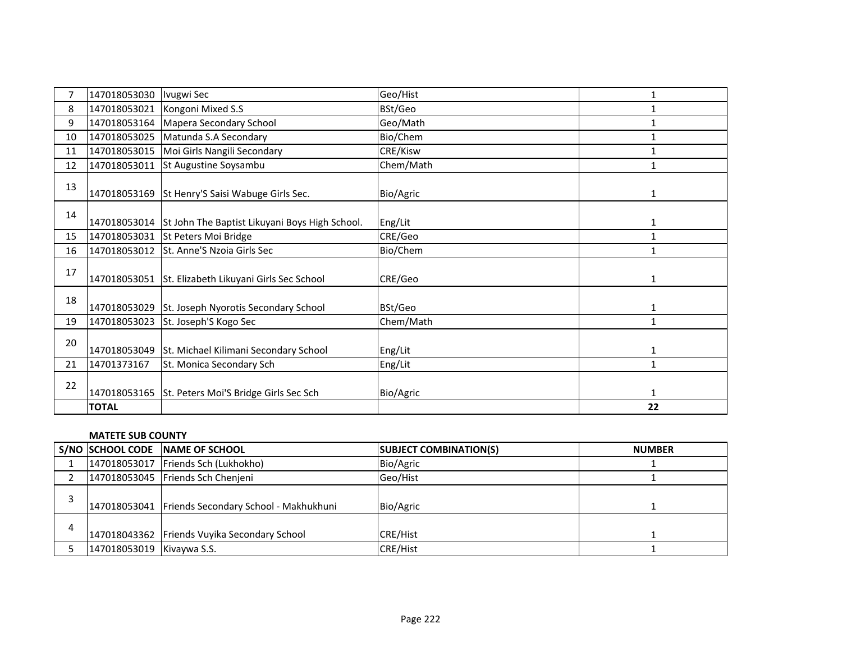|    | 147018053030 | Ivugwi Sec                                                  | Geo/Hist  | 1            |
|----|--------------|-------------------------------------------------------------|-----------|--------------|
| 8  | 147018053021 | Kongoni Mixed S.S                                           | BSt/Geo   | $\mathbf{1}$ |
| 9  | 147018053164 | Mapera Secondary School                                     | Geo/Math  | 1            |
| 10 | 147018053025 | Matunda S.A Secondary                                       | Bio/Chem  | $\mathbf{1}$ |
| 11 | 147018053015 | Moi Girls Nangili Secondary                                 | CRE/Kisw  | $\mathbf{1}$ |
| 12 | 147018053011 | St Augustine Soysambu                                       | Chem/Math | 1            |
| 13 | 147018053169 | St Henry'S Saisi Wabuge Girls Sec.                          | Bio/Agric | 1            |
| 14 |              | 147018053014 St John The Baptist Likuyani Boys High School. | Eng/Lit   | 1            |
| 15 | 147018053031 | St Peters Moi Bridge                                        | CRE/Geo   | $\mathbf{1}$ |
| 16 | 147018053012 | St. Anne'S Nzoia Girls Sec                                  | Bio/Chem  |              |
| 17 | 147018053051 | St. Elizabeth Likuyani Girls Sec School                     | CRE/Geo   | $\mathbf{1}$ |
| 18 | 147018053029 | St. Joseph Nyorotis Secondary School                        | BSt/Geo   | $\mathbf{1}$ |
| 19 | 147018053023 | St. Joseph'S Kogo Sec                                       | Chem/Math | 1            |
| 20 | 147018053049 | St. Michael Kilimani Secondary School                       | Eng/Lit   | 1            |
| 21 | 14701373167  | St. Monica Secondary Sch                                    | Eng/Lit   | $\mathbf{1}$ |
| 22 | 147018053165 | St. Peters Moi'S Bridge Girls Sec Sch                       | Bio/Agric | $\mathbf{1}$ |
|    | <b>TOTAL</b> |                                                             |           | 22           |

#### **MATETE SUB COUNTY**

|                           | S/NO SCHOOL CODE NAME OF SCHOOL                    | <b>SUBJECT COMBINATION(S)</b> | <b>NUMBER</b> |
|---------------------------|----------------------------------------------------|-------------------------------|---------------|
|                           | 147018053017   Friends Sch (Lukhokho)              | Bio/Agric                     |               |
|                           | 147018053045 Friends Sch Chenjeni                  | Geo/Hist                      |               |
|                           | 147018053041 Friends Secondary School - Makhukhuni | Bio/Agric                     |               |
|                           | 147018043362 Friends Vuyika Secondary School       | <b>CRE/Hist</b>               |               |
| 147018053019 Kivaywa S.S. |                                                    | <b>CRE/Hist</b>               |               |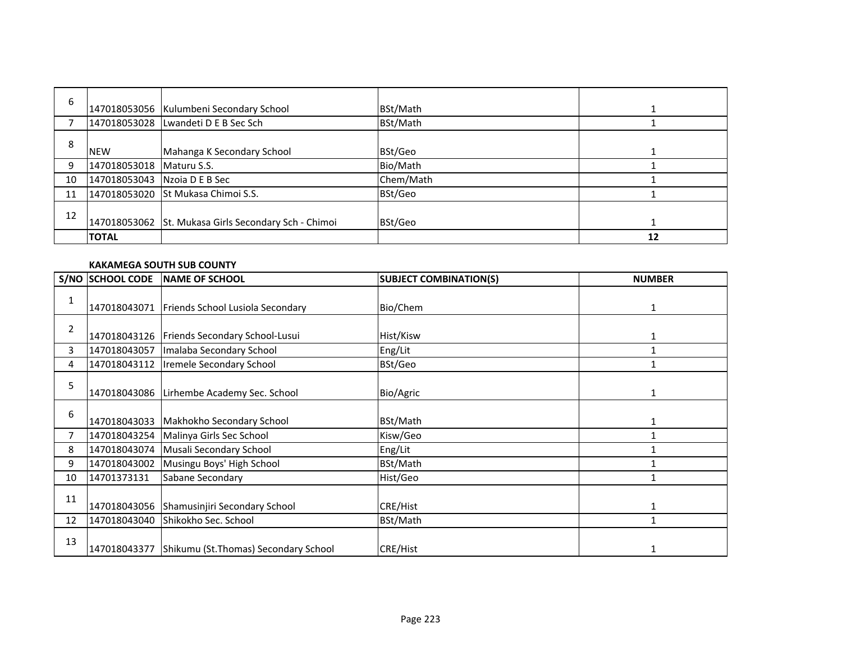| 6  |                          | 147018053056 Kulumbeni Secondary School              | BSt/Math  |    |
|----|--------------------------|------------------------------------------------------|-----------|----|
|    |                          | 147018053028 Lwandeti D E B Sec Sch                  | BSt/Math  |    |
| 8  | <b>NEW</b>               | Mahanga K Secondary School                           | BSt/Geo   |    |
| 9  | 147018053018 Maturu S.S. |                                                      | Bio/Math  |    |
| 10 | 147018053043             | Nzoia D E B Sec                                      | Chem/Math |    |
| 11 |                          | 147018053020 St Mukasa Chimoi S.S.                   | BSt/Geo   |    |
| 12 |                          | 147018053062 St. Mukasa Girls Secondary Sch - Chimoi | BSt/Geo   |    |
|    | <b>TOTAL</b>             |                                                      |           | 12 |

#### **KAKAMEGA SOUTH SUB COUNTY**

|                | S/NO SCHOOL CODE | <b>NAME OF SCHOOL</b>                         | <b>SUBJECT COMBINATION(S)</b> | <b>NUMBER</b> |
|----------------|------------------|-----------------------------------------------|-------------------------------|---------------|
| 1              | 147018043071     | Friends School Lusiola Secondary              | Bio/Chem                      | 1             |
| 2              |                  | 147018043126   Friends Secondary School-Lusui | Hist/Kisw                     |               |
| 3              | 147018043057     | Imalaba Secondary School                      | Eng/Lit                       |               |
| 4              | 147018043112     | Iremele Secondary School                      | BSt/Geo                       |               |
| 5              | 147018043086     | Lirhembe Academy Sec. School                  | Bio/Agric                     | 1             |
| 6              | 147018043033     | Makhokho Secondary School                     | BSt/Math                      |               |
| $\overline{7}$ | 147018043254     | Malinya Girls Sec School                      | Kisw/Geo                      |               |
| 8              | 147018043074     | Musali Secondary School                       | Eng/Lit                       |               |
| 9              | 147018043002     | Musingu Boys' High School                     | BSt/Math                      |               |
| 10             | 14701373131      | Sabane Secondary                              | Hist/Geo                      |               |
| 11             | 147018043056     | Shamusinjiri Secondary School                 | <b>CRE/Hist</b>               |               |
| 12             | 147018043040     | Shikokho Sec. School                          | BSt/Math                      |               |
| 13             | 147018043377     | Shikumu (St.Thomas) Secondary School          | CRE/Hist                      |               |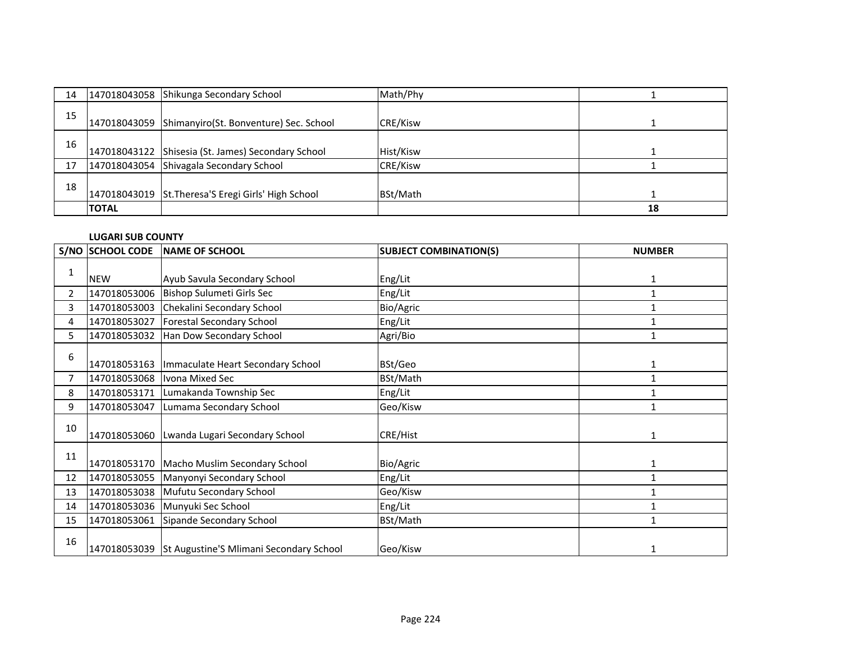| 14 |              | 147018043058 Shikunga Secondary School               | Math/Phy        |    |
|----|--------------|------------------------------------------------------|-----------------|----|
| 15 |              | 147018043059 Shimanyiro (St. Bonventure) Sec. School | <b>CRE/Kisw</b> |    |
| 16 |              | 147018043122 Shisesia (St. James) Secondary School   | Hist/Kisw       |    |
| 17 |              | 147018043054 Shivagala Secondary School              | <b>CRE/Kisw</b> |    |
| 18 |              | 147018043019 St.Theresa'S Eregi Girls' High School   | BSt/Math        |    |
|    | <b>TOTAL</b> |                                                      |                 | 18 |

### **LUGARI SUB COUNTY**

|                | S/NO SCHOOL CODE | <b>INAME OF SCHOOL</b>                               | <b>SUBJECT COMBINATION(S)</b> | <b>NUMBER</b> |
|----------------|------------------|------------------------------------------------------|-------------------------------|---------------|
|                |                  |                                                      |                               |               |
|                | <b>NEW</b>       | Ayub Savula Secondary School                         | Eng/Lit                       | $\mathbf{1}$  |
| $\overline{2}$ | 147018053006     | Bishop Sulumeti Girls Sec                            | Eng/Lit                       | $\mathbf{1}$  |
| 3              | 147018053003     | Chekalini Secondary School                           | Bio/Agric                     |               |
| 4              | 147018053027     | Forestal Secondary School                            | Eng/Lit                       |               |
| 5              | 147018053032     | Han Dow Secondary School                             | Agri/Bio                      |               |
| 6              |                  |                                                      |                               |               |
|                | 147018053163     | Immaculate Heart Secondary School                    | BSt/Geo                       |               |
| $\overline{7}$ |                  | 147018053068  Ivona Mixed Sec                        | BSt/Math                      | 1             |
| 8              | 147018053171     | Lumakanda Township Sec                               | Eng/Lit                       |               |
| 9              | 147018053047     | Lumama Secondary School                              | Geo/Kisw                      |               |
| 10             |                  |                                                      |                               |               |
|                | 147018053060     | Lwanda Lugari Secondary School                       | CRE/Hist                      |               |
| 11             |                  |                                                      |                               |               |
|                |                  | 147018053170 Macho Muslim Secondary School           | Bio/Agric                     | 1             |
| 12             | 147018053055     | Manyonyi Secondary School                            | Eng/Lit                       | 1             |
| 13             |                  | 147018053038 Mufutu Secondary School                 | Geo/Kisw                      |               |
| 14             |                  | 147018053036 Munyuki Sec School                      | Eng/Lit                       |               |
| 15             | 147018053061     | Sipande Secondary School                             | BSt/Math                      | 1             |
| 16             |                  | 147018053039 St Augustine'S Mlimani Secondary School | Geo/Kisw                      |               |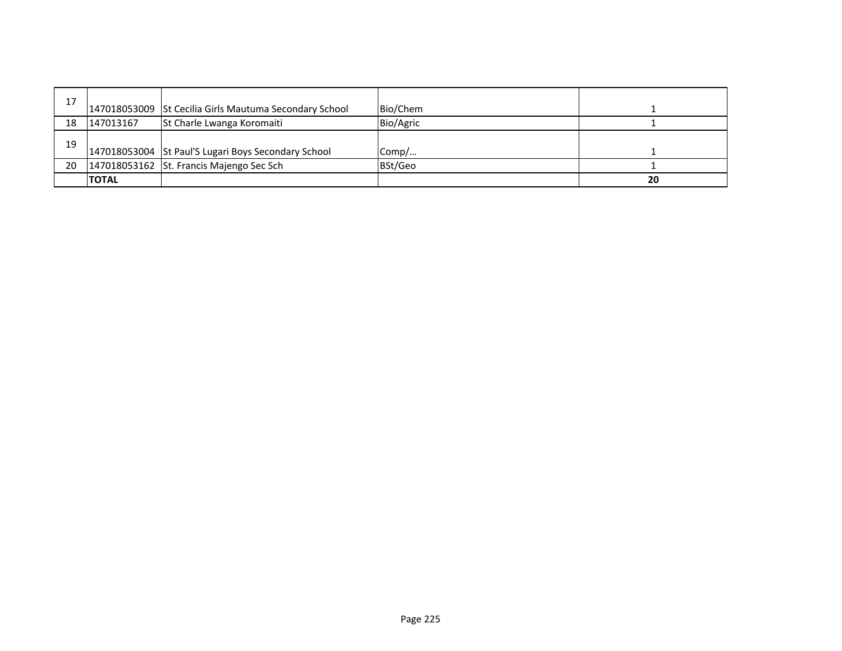| 17 |              | 147018053009 St Cecilia Girls Mautuma Secondary School | Bio/Chem  |    |
|----|--------------|--------------------------------------------------------|-----------|----|
|    |              |                                                        |           |    |
| 18 | 147013167    | St Charle Lwanga Koromaiti                             | Bio/Agric |    |
| 19 |              | 147018053004 St Paul'S Lugari Boys Secondary School    | Comp/     |    |
| 20 |              | 147018053162 St. Francis Majengo Sec Sch               | BSt/Geo   |    |
|    | <b>TOTAL</b> |                                                        |           | 20 |